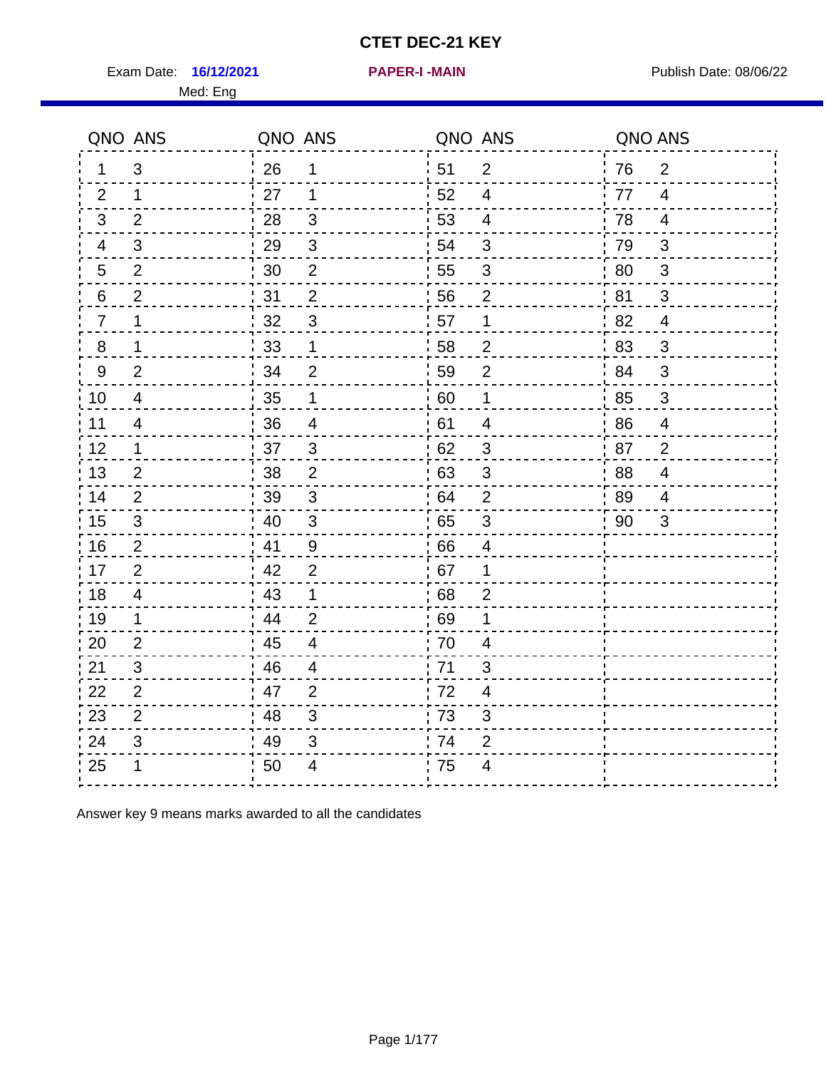Exam Date: 16/12/2021 **PAPER-I-MAIN Exam Date: 08/06/22** 

**16/12/2021 PAPER-I -MAIN**

|                | QNO ANS                  | QNO ANS |                          | QNO ANS |                         | QNO ANS |                          |
|----------------|--------------------------|---------|--------------------------|---------|-------------------------|---------|--------------------------|
| 1.             | 3                        | 26      | 1                        | 51      | $\overline{2}$          | 76      | $\overline{2}$           |
| 2              | 1                        | 27      | 1                        | 52      | 4                       | 77      | $\overline{4}$           |
| 3              | $\overline{2}$           | 28      | 3                        | 53      | $\overline{4}$          | 78      | $\overline{4}$           |
| 4              | 3                        | 29      | $\mathfrak{S}$           | 54      | 3                       | 79      | 3                        |
| 5              | $\overline{2}$           | 30      | $\overline{2}$           | 55      | $\sqrt{3}$              | 80      | $\mathbf{3}$             |
| 6              | $\overline{2}$           | 31      | $\overline{2}$           | 56      | $\overline{2}$          | 81      | 3                        |
| $\overline{7}$ | 1                        | 32      | $\mathfrak{B}$           | 57      | 1                       | 82      | 4                        |
| 8              | 1                        | 33      | 1                        | 58      | $\overline{2}$          | 83      | 3                        |
| 9              | $\overline{2}$           | 34      | $\overline{2}$           | 59      | $\overline{2}$          | 84      | 3                        |
| 10             | $\overline{\mathcal{A}}$ | 35      | 1                        | 60      | 1                       | 85      | $\mathfrak{S}$           |
| 11             | 4                        | 36      | $\overline{\mathcal{A}}$ | 61      | $\overline{4}$          | 86      | $\overline{\mathcal{A}}$ |
| 12             | $\mathbf 1$              | 37      | 3                        | 62      | $\sqrt{3}$              | 87      | $\overline{2}$           |
| 13             | 2                        | 38      | 2                        | 63      | 3                       | 88      | 4                        |
| 14             | 2                        | 39      | 3                        | 64      | $\overline{2}$          | 89      | 4                        |
| 15             | $\mathfrak{B}$           | 40      | $\mathfrak{3}$           | 65      | $\sqrt{3}$              | 90      | 3                        |
| 16             | 2                        | 41      | 9                        | 66      | $\overline{4}$          |         |                          |
| 17             | $\overline{2}$           | 42      | 2                        | 67      | 1                       |         |                          |
| 18             | 4                        | 43      | 1                        | 68      | $\overline{2}$          |         |                          |
| 19             | $\mathbf 1$              | 44      | $\overline{2}$           | 69      | 1                       |         |                          |
| 20             | $\overline{2}$           | 45      | $\overline{4}$           | 70      | $\overline{\mathbf{4}}$ |         |                          |
| 21             | 3                        | 46      | 4                        | 71      | 3                       |         |                          |
| 22             | 2                        | 47      | $\overline{2}$           | 72      | $\overline{4}$          |         |                          |
| 23             | $\overline{2}$           | 48      | 3                        | 73      | 3                       |         |                          |
| 24             | 3                        | 49      | 3                        | 74      | $\overline{2}$          |         |                          |
| 25             | 1                        | 50      | 4                        | 75      | 4                       |         |                          |

Answer key 9 means marks awarded to all the candidates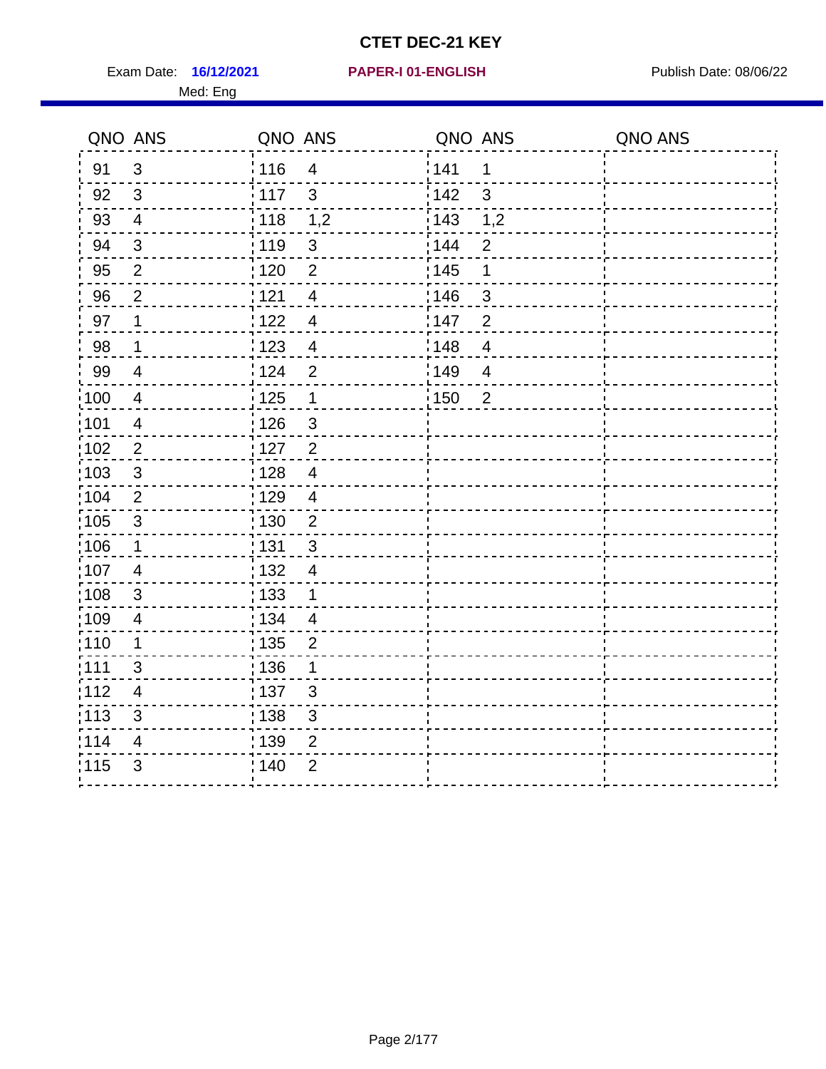Exam Date: 16/12/2021 PAPER-I 01-ENGLISH PREER Publish Date: 08/06/22

#### **16/12/2021 PAPER-I 01-ENGLISH**

#### Med: Eng

| QNO ANS |                           | QNO ANS                            | QNO ANS                         | QNO ANS |
|---------|---------------------------|------------------------------------|---------------------------------|---------|
| 91      | 3                         | 116<br>$\overline{4}$              | <sup>'</sup> 141<br>1           |         |
| 92      | $\mathfrak{S}$            | 117<br>$\mathbf{3}$                | 142<br>$\mathbf{3}$             |         |
| 93      | $\overline{\mathbf{4}}$   | 118<br>1,2                         | 1,2<br>$\frac{1}{2}$ 143        |         |
| 94      | $\mathfrak{S}$            | 119<br>$\mathfrak{S}$              | $\mathbf{2}$<br>144             |         |
| 95      | $\overline{2}$            | 120<br>$\overline{2}$              | : 145<br>$\mathbf 1$            |         |
| 96      | $\mathbf 2$               | 121<br>$\overline{\mathbf{4}}$     | 146<br>$\mathbf{3}$             |         |
| 97      | 1                         | :122<br>$\overline{4}$             | 147<br>$\overline{2}$           |         |
| 98      | 1                         | 123<br>$\overline{4}$              | 148<br>$\overline{4}$           |         |
| 99      | $\overline{\mathbf{4}}$   | 124<br>$\overline{2}$              | ¦149<br>$\overline{\mathbf{4}}$ |         |
| 100     | 4                         | : 125<br>$\mathbf 1$               | :150<br>$\overline{2}$          |         |
| 101     | $\overline{\mathbf{4}}$   | 126<br>$\mathfrak{B}$              |                                 |         |
| 102     | $\overline{c}$            | 127<br>$\overline{2}$              |                                 |         |
| 103     | $\mathfrak{S}$            | 128<br>$\overline{\mathbf{4}}$     |                                 |         |
| :104    | $\overline{2}$            | : 129<br>$\overline{4}$            |                                 |         |
| :105    | $\ensuremath{\mathsf{3}}$ | : 130<br>$\overline{2}$            |                                 |         |
| :106    | 1                         | 131<br>$\sqrt{3}$                  |                                 |         |
| :107    | $\overline{\mathbf{4}}$   | : 132<br>$\overline{4}$            |                                 |         |
| 108     | $\ensuremath{\mathsf{3}}$ | $\frac{1}{1}$ 133<br>$\mathbf 1$   |                                 |         |
| :109    | $\overline{\mathbf{4}}$   | : 134<br>$\overline{4}$            |                                 |         |
| :110    | 1                         | : 135<br>$\overline{2}$            |                                 |         |
| :111    | 3                         | 136<br>$\mathbf 1$                 |                                 |         |
| :112    | $\overline{\mathbf{4}}$   | : 137<br>$\sqrt{3}$                |                                 |         |
| 113     | $\ensuremath{\mathsf{3}}$ | $\ensuremath{\mathsf{3}}$<br>: 138 |                                 |         |
| 114     | 4                         | 139<br>$\mathbf{2}$                |                                 |         |
| 1115    | 3                         | $\overline{2}$<br>140              |                                 |         |
|         |                           |                                    |                                 |         |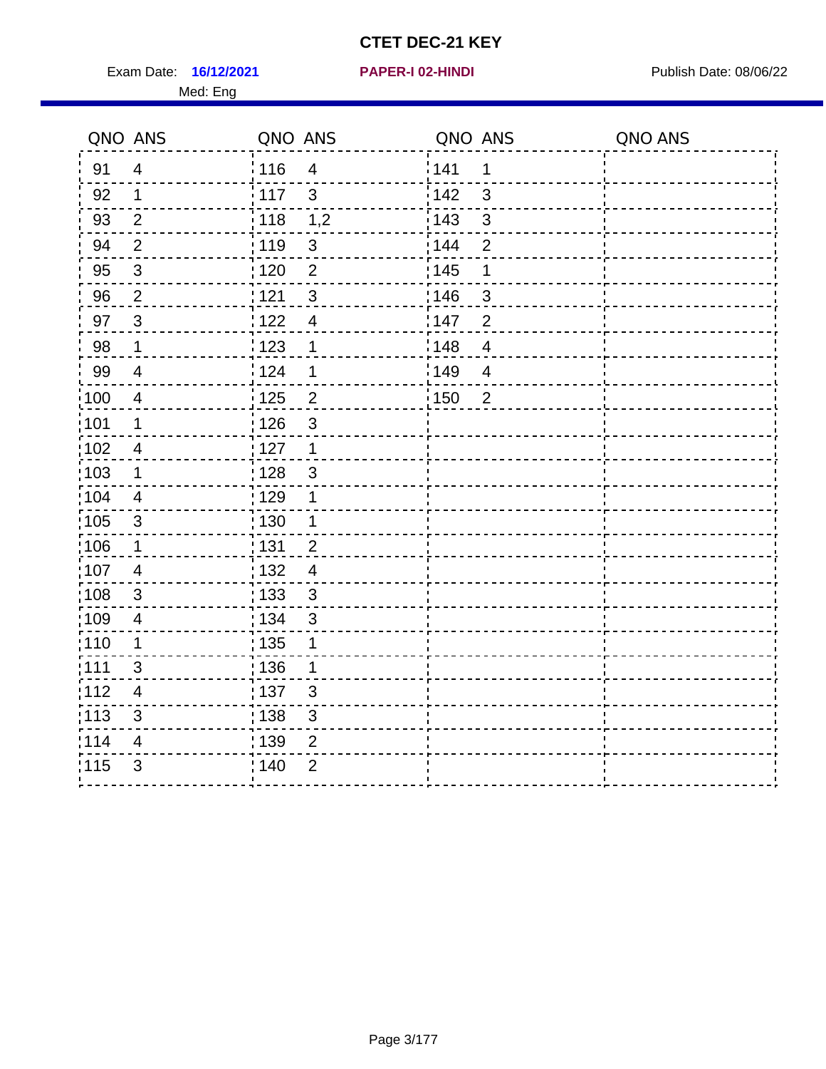Exam Date: 16/12/2021 **PAPER-I 02-HINDI Exam Date: 08/06/22** Med: Eng

## **16/12/2021 PAPER-I 02-HINDI**

|                   | QNO ANS                 | QNO ANS           |                | QNO ANS |                | QNO ANS |
|-------------------|-------------------------|-------------------|----------------|---------|----------------|---------|
| 91                | $\overline{4}$          | 116               | $\overline{4}$ | 141     | 1              |         |
| 92                | 1                       | 117               | 3              | 142     | 3              |         |
| 93                | 2                       | : 118             | 1,2            | 143     | 3              |         |
| 94                | $\overline{2}$          | :119              | $\sqrt{3}$     | 144     | $\overline{2}$ |         |
| 95                | $\mathbf{3}$            | : 120             | $\overline{2}$ | : 145   | 1              |         |
| 96                | $\overline{2}$          | 121               | 3              | 146     | 3              |         |
| 97                | $\mathbf{3}$            | 122               | $\overline{4}$ | 147     | $\overline{2}$ |         |
| 98                | $\mathbf 1$             | 123               | 1              | 148     | $\overline{4}$ |         |
| 99                | $\overline{4}$          | 124               | 1              | 149     | $\overline{4}$ |         |
| $\frac{1}{1}$ 100 | $\overline{\mathbf{4}}$ | $\frac{1}{1}$ 125 | $\overline{2}$ | 150     | $\overline{2}$ |         |
| 101               | $\mathbf 1$             | : 126             | $\mathfrak{S}$ |         |                |         |
| $\frac{1}{1}$ 102 | $\overline{4}$          | : 127             | $\overline{1}$ |         |                |         |
| 103               | 1                       | 128               | 3              |         |                |         |
| 104               | $\overline{4}$          | : 129             | 1              |         |                |         |
| :105              | $\sqrt{3}$              | : 130             | $\mathbf 1$    |         |                |         |
| $\frac{1}{1}$ 106 | $\mathbf 1$             | : 131             | $\overline{2}$ |         |                |         |
| :107              | $\overline{4}$          | : 132             | $\overline{4}$ |         |                |         |
| 108               | 3                       | : 133             | $\mathbf{3}$   |         |                |         |
| :109              | $\overline{\mathbf{4}}$ | : 134             | $\mathbf{3}$   |         |                |         |
| :110              | 1                       | : 135             | 1              |         |                |         |
| :111              | $\mathfrak{S}$          | : 136             | 1              |         |                |         |
| 112               | 4                       | : 137             | $\mathfrak{B}$ |         |                |         |
| : 113             | 3                       | : 138             | $\mathfrak{S}$ |         |                |         |
| 114               | 4                       | 139               | 2              |         |                |         |
| 115               | 3                       | 140               | $\overline{2}$ |         |                |         |
|                   |                         |                   |                |         |                |         |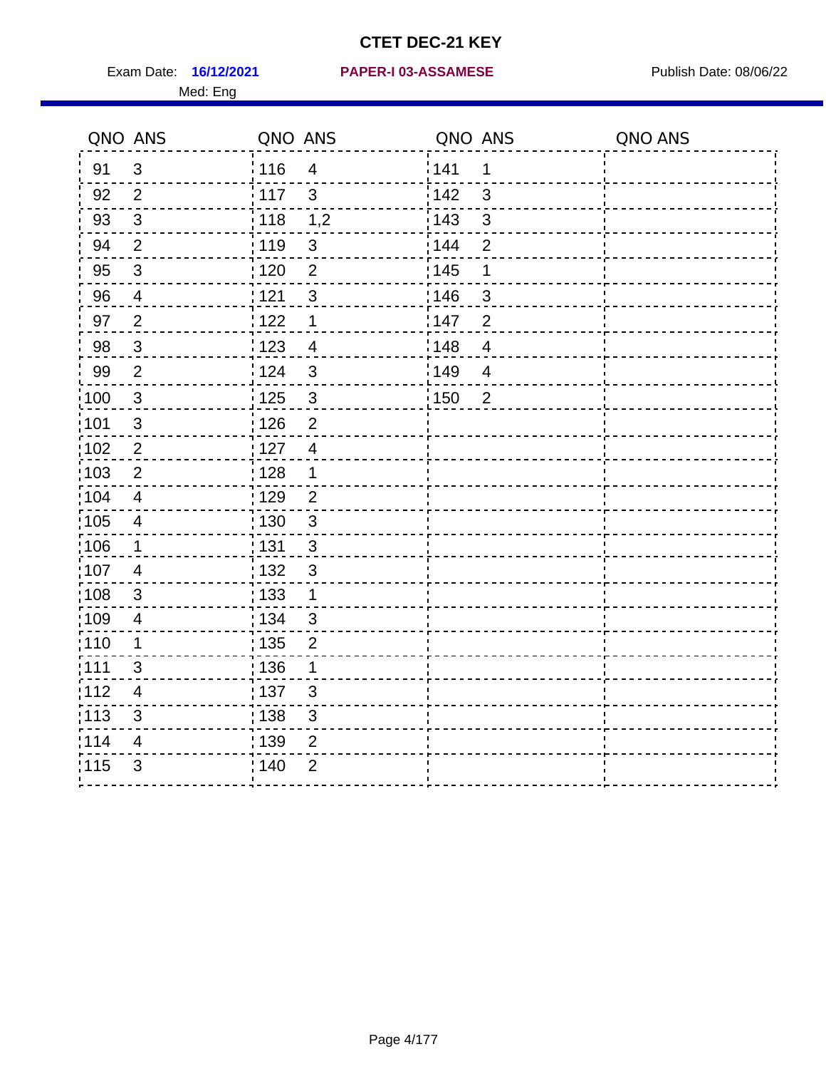Med: Eng

#### **16/12/2021 PAPER-I 03-ASSAMESE** Exam Date: Publish Date: 08/06/22

|                   | QNO ANS                 | QNO ANS           |                | QNO ANS           |                | QNO ANS |
|-------------------|-------------------------|-------------------|----------------|-------------------|----------------|---------|
| 91                | 3                       | 116               | $\overline{4}$ | 141               | 1              |         |
| 92                | $\overline{2}$          | 117               | $\mathbf{3}$   | 142               | $\mathbf{3}$   |         |
| 93                | $\mathbf{3}$            | $\frac{1}{2}$ 118 | 1,2            | 143               | $\mathbf{3}$   |         |
| 94                | $\overline{2}$          | : 119             | $\sqrt{3}$     | 144               | $\overline{2}$ |         |
| 95                | $\sqrt{3}$              | : 120             | $\overline{2}$ | : 145             | 1              |         |
| 96                | 4                       | 121               | $\mathfrak{S}$ | 146               | 3              |         |
| 97                | $\overline{2}$          | 122               | $\mathbf 1$    | 147               | $\overline{2}$ |         |
| 98                | $\mathbf{3}$            | 123               | $\overline{4}$ | 148               | $\overline{4}$ |         |
| 99                | $\overline{2}$          | 124               | $\mathfrak{S}$ | 149               | $\overline{4}$ |         |
| 100               | $\sqrt{3}$              | $\frac{1}{1}$ 125 | $\mathbf{3}$   | $\frac{1}{1}$ 150 | $\overline{2}$ |         |
| 101               | $\sqrt{3}$              | : 126             | $\overline{2}$ |                   |                |         |
| 102               | $\sqrt{2}$              | : 127             | $\overline{4}$ |                   |                |         |
| 103               | 2                       | : 128             | $\mathbf 1$    |                   |                |         |
| 104               | $\overline{4}$          | : 129             | $\overline{2}$ |                   |                |         |
| $\frac{1}{1}$ 105 | $\overline{\mathbf{4}}$ | 130               | $\mathbf{3}$   |                   |                |         |
| 106               | $\mathbf 1$             | : 131             | 3              |                   |                |         |
| 107               | $\overline{4}$          | : 132             | $\mathbf{3}$   |                   |                |         |
| :108              | $\sqrt{3}$              | 133               | $\mathbf{1}$   |                   |                |         |
| :109              | $\overline{\mathbf{4}}$ | : 134             | $\sqrt{3}$     |                   |                |         |
| :110              | 1                       | : 135             | $\overline{2}$ |                   |                |         |
| 111               | 3                       | 136               | 1              |                   |                |         |
| 112               | 4                       | : 137             | $\sqrt{3}$     |                   |                |         |
| :113              | 3                       | : 138             | $\mathfrak{S}$ |                   |                |         |
| 114               | 4                       | 139               | 2              |                   |                |         |
| 115               | 3                       | : 140             | $\overline{2}$ |                   |                |         |
|                   |                         |                   |                |                   |                |         |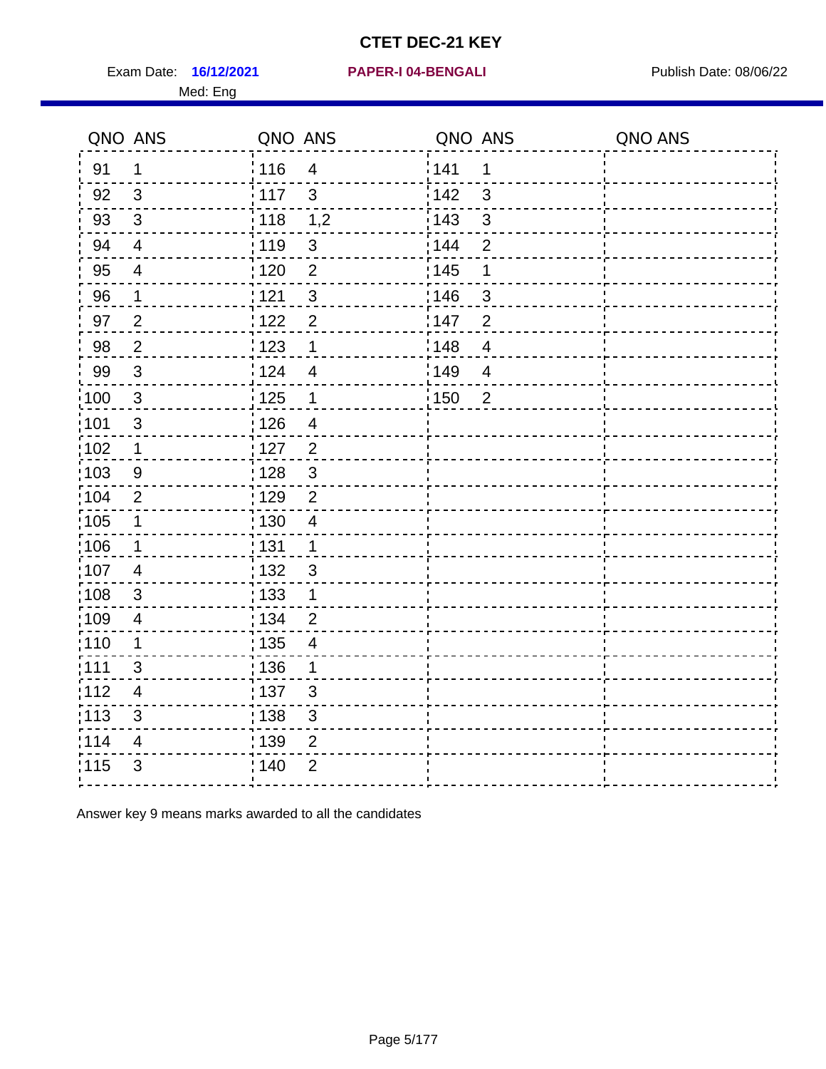Exam Date: 16/12/2021 PAPER-I 04-BENGALI PRERENER Publish Date: 08/06/22 Med: Eng

#### **16/12/2021 PAPER-I 04-BENGALI**

|                   | QNO ANS                 | QNO ANS |                | QNO ANS           |                | QNO ANS |
|-------------------|-------------------------|---------|----------------|-------------------|----------------|---------|
| 91                | $\mathbf 1$             | :116    | $\overline{4}$ | 141               | $\mathbf 1$    |         |
| 92                | 3                       | 117     | $\mathbf{3}$   | 142               | 3              |         |
| 93                | $\mathbf{3}$            | : 118   | 1,2            | 143               | 3              |         |
| 94                | $\overline{4}$          | : 119   | $\sqrt{3}$     | 144               | $\overline{2}$ |         |
| 95                | $\overline{4}$          | : 120   | $\overline{2}$ | : 145             | $\mathbf 1$    |         |
| 96                | $\mathbf{1}$            | 121     | $\mathfrak{3}$ | 146               | 3              |         |
| 97                | $\overline{2}$          | 122     | $\overline{2}$ | 147               | $\overline{2}$ |         |
| 98                | $\sqrt{2}$              | 123     | 1              | 148               | $\overline{4}$ |         |
| 99                | $\mathbf{3}$            | 124     | $\overline{4}$ | 149               | $\overline{4}$ |         |
| $\frac{1}{1}$ 100 | $\mathbf{3}$            | 125     | $\mathbf{1}$   | $\frac{1}{1}$ 150 | $\overline{2}$ |         |
| 101               | $\sqrt{3}$              | : 126   | $\overline{4}$ |                   |                |         |
| :102              | $\mathbf 1$             | : 127   | $\overline{2}$ |                   |                |         |
| 103               | 9                       | : 128   | $\mathbf{3}$   |                   |                |         |
| 104               | $\overline{2}$          | : 129   | $\overline{2}$ |                   |                |         |
| $\frac{1}{1}$ 105 | $\mathbf 1$             | : 130   | $\overline{4}$ |                   |                |         |
| :106              | $\mathbf 1$             | : 131   | $\mathbf{1}$   |                   |                |         |
| 107               | $\overline{4}$          | : 132   | $\mathbf{3}$   |                   |                |         |
| 108               | 3                       | : 133   | $\mathbf{1}$   |                   |                |         |
| 109               | $\overline{4}$          | : 134   | $\overline{2}$ |                   |                |         |
| 110               | 1                       | : 135   | $\overline{4}$ |                   |                |         |
| 111               | 3                       | : 136   | 1              |                   |                |         |
| 112               | $\overline{4}$          | : 137   | $\mathbf{3}$   |                   |                |         |
| $\frac{1}{1}$ 113 | 3                       | : 138   | $\mathfrak{S}$ |                   |                |         |
| 114               | $\overline{\mathbf{4}}$ | 139     | $\overline{2}$ |                   |                |         |
| 115               | 3                       | : 140   | $\overline{2}$ |                   |                |         |
|                   |                         |         |                |                   |                |         |

Answer key 9 means marks awarded to all the candidates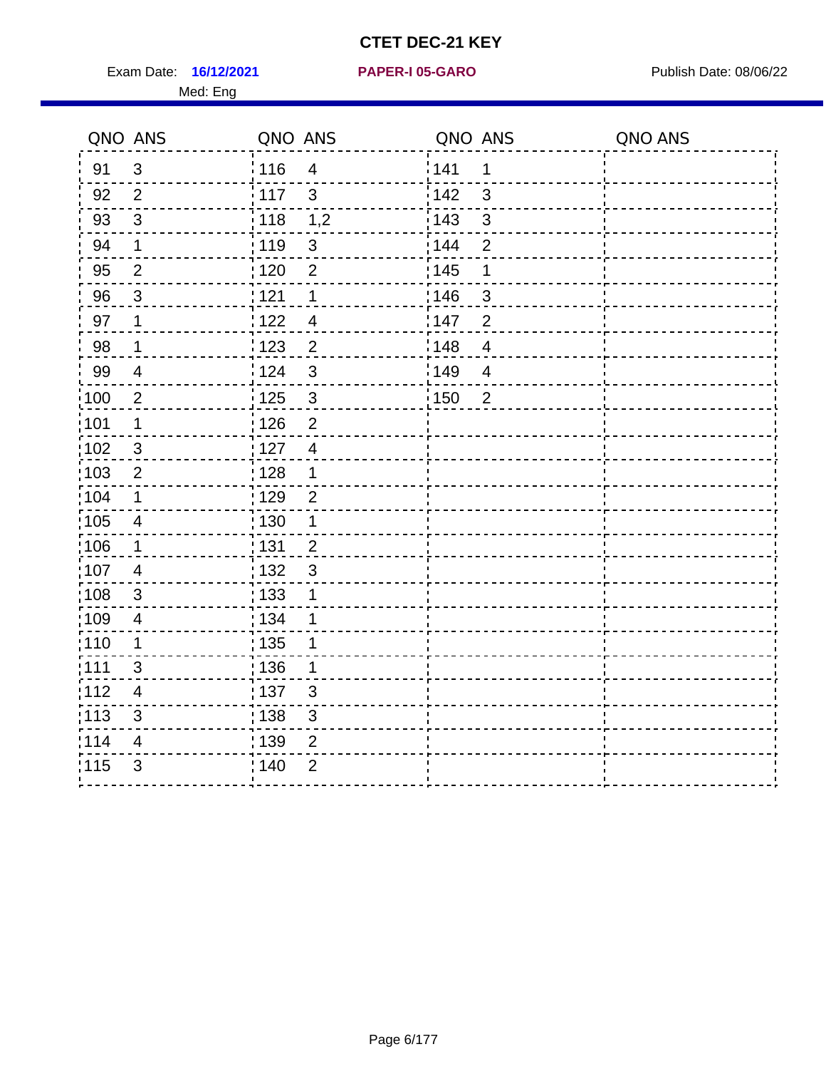Exam Date: 16/12/2021 **PAPER-I 05-GARO** Publish Date: 08/06/22 Med: Eng

## **16/12/2021 PAPER-I 05-GARO**

|                   | QNO ANS                 | QNO ANS           |                | QNO ANS |                | QNO ANS |
|-------------------|-------------------------|-------------------|----------------|---------|----------------|---------|
| 91                | 3                       | 116               | $\overline{4}$ | 141     | 1              |         |
| 92                | $\overline{2}$          | $\frac{1}{2}$ 117 | 3              | 142     | 3              |         |
| 93                | $\mathbf{3}$            | : 118             | 1,2            | 143     | 3              |         |
| 94                | 1                       | : 119             | $\sqrt{3}$     | 144     | $\overline{2}$ |         |
| 95                | $\overline{2}$          | : 120             | $\overline{2}$ | : 145   | 1              |         |
| 96                | $\mathbf{3}$            | 1121              | 1              | 146     | 3              |         |
| 97                | 1                       | 122               | $\overline{4}$ | 147     | $\overline{2}$ |         |
| 98                | $\mathbf 1$             | 1123              | $\overline{2}$ | 148     | $\overline{4}$ |         |
| 99                | $\overline{4}$          | 124               | 3              | 149     | $\overline{4}$ |         |
| $\frac{1}{2}100$  | $\overline{2}$          | 125               | 3              | 150     | $\overline{2}$ |         |
| :101              | $\mathbf 1$             | : 126             | $\overline{2}$ |         |                |         |
| $\frac{1}{1}$ 102 | $\mathbf{3}$            | : 127             | $\overline{4}$ |         |                |         |
| 103               | 2                       | : 128             | $\mathbf 1$    |         |                |         |
| :104              | $\mathbf 1$             | :129              | $\overline{2}$ |         |                |         |
| $\frac{1}{1}$ 105 | $\overline{\mathbf{4}}$ | : 130             | $\mathbf{1}$   |         |                |         |
| 106               | $\mathbf{1}$            | : 131             | $\overline{2}$ |         |                |         |
| 107               | $\overline{4}$          | : 132             | $\mathbf{3}$   |         |                |         |
| 108               | 3                       | $\frac{1}{1}$ 133 | 1              |         |                |         |
| $\frac{1}{1}$ 109 | $\overline{4}$          | : 134             | 1              |         |                |         |
| : 110             | 1                       | $\frac{1}{1}$ 135 | 1              |         |                |         |
| :111              | 3                       | : 136             | 1              |         |                |         |
| 112               | $\overline{\mathbf{4}}$ | :137              | 3              |         |                |         |
| : 113             | $\sqrt{3}$              | : 138             | $\mathfrak{S}$ |         |                |         |
| 114               | 4                       | 139               | $\overline{2}$ |         |                |         |
| 115               | 3                       | 140               | $\overline{2}$ |         |                |         |
|                   |                         |                   |                |         |                |         |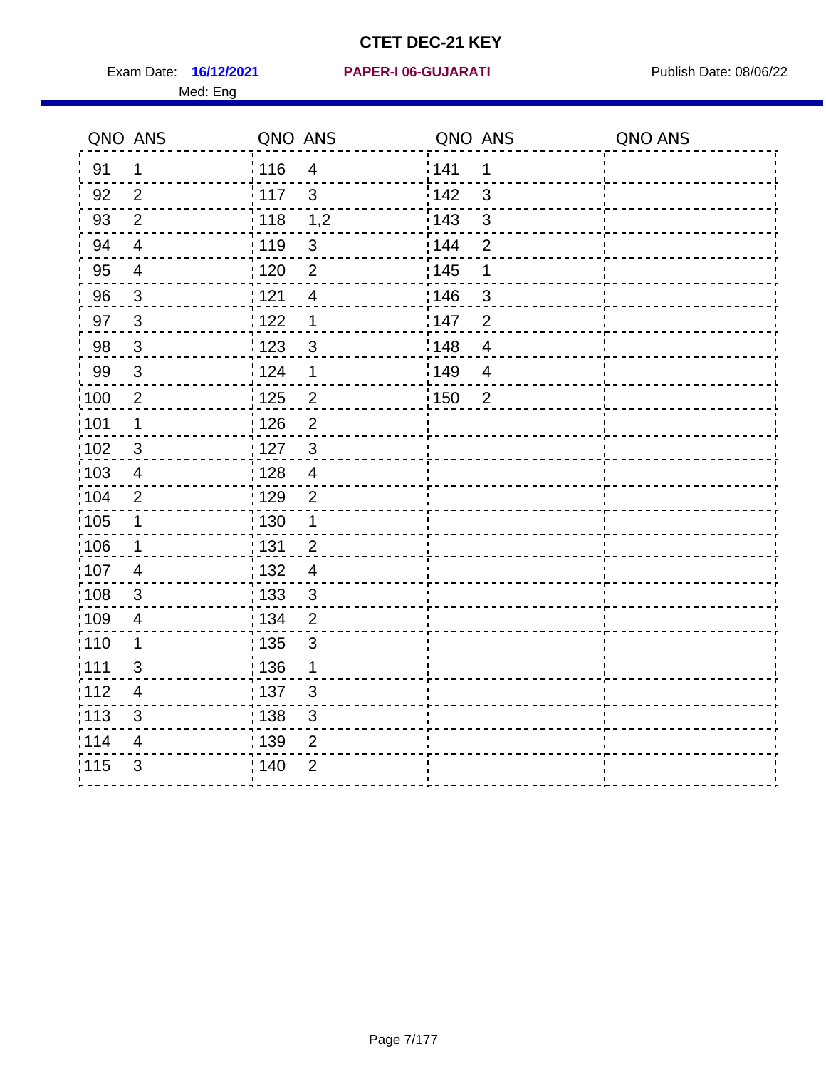Exam Date: 16/12/2021 PAPER-I 06-GUJARATI Publish Date: 08/06/22 Med: Eng

#### **16/12/2021 PAPER-I 06-GUJARATI**

|                   | QNO ANS                  | QNO ANS                 | QNO ANS           |                | QNO ANS |
|-------------------|--------------------------|-------------------------|-------------------|----------------|---------|
| 91                | $\mathbf 1$              | 116<br>$\overline{4}$   | 141               | $\mathbf 1$    |         |
| 92                | 2                        | 117<br>$\mathbf{3}$     | 142               | 3              |         |
| 93                | $\overline{2}$           | : 118<br>1,2            | : 143             | $\mathbf{3}$   |         |
| 94                | $\overline{4}$           | 119<br>$\mathfrak{S}$   | : 144             | $\overline{2}$ |         |
| 95                | $\overline{4}$           | $\overline{2}$<br>: 120 | : 145             | $\mathbf 1$    |         |
| 96                | $\mathbf{3}$             | 121<br>$\overline{4}$   | 146               | 3              |         |
| 97                | $\mathbf{3}$             | 122<br>$\mathbf 1$      | 147               | $\overline{2}$ |         |
| 98                | $\mathbf{3}$             | 123<br>3                | 148               | $\overline{4}$ |         |
| 99                | $\mathbf{3}$             | 124<br>1                | 149               | $\overline{4}$ |         |
| :100              | $\overline{2}$           | : 125<br>$\overline{2}$ | $\frac{1}{1}$ 150 | $\overline{2}$ |         |
| :101              | $\mathbf 1$              | : 126<br>$\overline{2}$ |                   |                |         |
| 102               | $\mathbf{3}$             | $\mathbf{3}$<br>127     |                   |                |         |
| 103               | $\overline{4}$           | : 128<br>$\overline{4}$ |                   |                |         |
| :104              | 2                        | : 129<br>$\overline{2}$ |                   |                |         |
| $\frac{1}{1}$ 105 | $\mathbf 1$              | : 130<br>$\mathbf{1}$   |                   |                |         |
| 106               | $\mathbf 1$              | : 131<br>$\overline{2}$ |                   |                |         |
| 107               | $\overline{4}$           | : 132<br>$\overline{4}$ |                   |                |         |
| 108               | $\mathbf{3}$             | : 133<br>$\mathbf{3}$   |                   |                |         |
| :109              | $\overline{\mathcal{A}}$ | : 134<br>$\overline{2}$ |                   |                |         |
| :110              | $\mathbf 1$              | : 135<br>3              |                   |                |         |
| :111              | 3                        | : 136<br>1              |                   |                |         |
| 112               | 4                        | : 137<br>3              |                   |                |         |
| 113               | 3                        | $\sqrt{3}$<br>: 138     |                   |                |         |
| 114               | $\overline{4}$           | 139<br>$\overline{2}$   |                   |                |         |
| 115               | $\mathfrak{B}$           | 140<br>$\overline{2}$   |                   |                |         |
|                   |                          |                         |                   |                |         |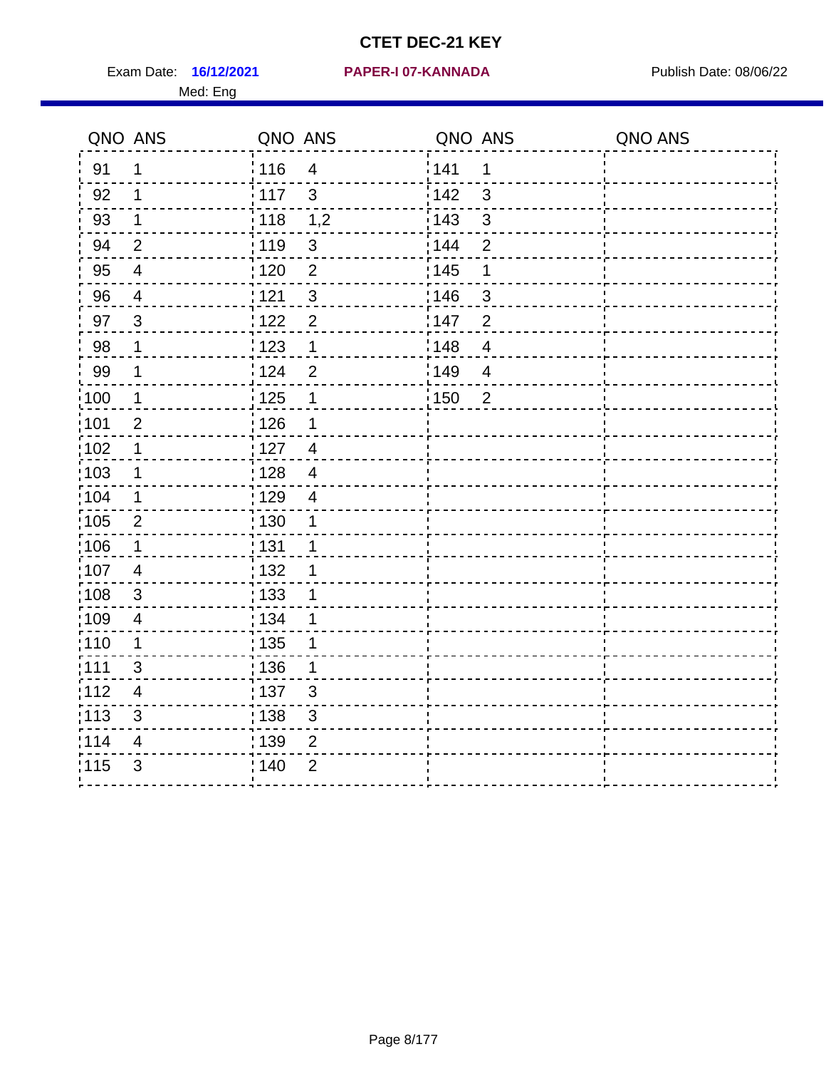Exam Date: 16/12/2021 PAPER-I 07-KANNADA Publish Date: 08/06/22 Med: Eng

#### **16/12/2021 PAPER-I 07-KANNADA**

|                   | QNO ANS                  | QNO ANS                             | QNO ANS                             | QNO ANS |
|-------------------|--------------------------|-------------------------------------|-------------------------------------|---------|
| 91                | 1                        | 116<br>$\overline{4}$               | 141<br>1                            |         |
| 92                | 1                        | 117<br>$\mathbf{3}$                 | 142<br>$\mathbf{3}$                 |         |
| 93                | $\mathbf 1$              | 118<br>1,2                          | 143<br>$\mathbf{3}$                 |         |
| 94                | $\overline{2}$           | : 119<br>$\sqrt{3}$                 | 144<br>$\overline{2}$               |         |
| 95                | $\overline{\mathcal{A}}$ | $\frac{1}{1}$ 120<br>$\overline{2}$ | : 145<br>1                          |         |
| 96                | $\overline{4}$           | $\sqrt{3}$<br>121                   | 146<br>3                            |         |
| 97                | $\mathbf{3}$             | $\overline{2}$<br>:122              | 147<br>$\overline{2}$               |         |
| 98                | $\mathbf 1$              | $\frac{1}{2}$ 123<br>1              | $\frac{1}{2}$ 148<br>$\overline{4}$ |         |
| 99                | $\mathbf 1$              | 124<br>$\overline{2}$               | 149<br>$\overline{4}$               |         |
| 100               | $\mathbf 1$              | 125<br>1                            | $\frac{1}{1}$ 150<br>$\overline{2}$ |         |
| :101              | $\overline{2}$           | 126<br>1                            |                                     |         |
| $\frac{1}{1}$ 102 | $\mathbf 1$              | : 127<br>$\overline{4}$             |                                     |         |
| $\frac{1}{1}$ 103 | 1                        | : 128<br>$\overline{4}$             |                                     |         |
| 104               | $\mathbf 1$              | : 129<br>$\overline{4}$             |                                     |         |
| $\frac{1}{1}$ 105 | $\boldsymbol{2}$         | 130<br>1                            |                                     |         |
| 106               | $\mathbf 1$              | : 131<br>$\mathbf 1$                |                                     |         |
| :107              | 4                        | :132<br>1                           |                                     |         |
| 108               | $\mathbf{3}$             | 133<br>1                            |                                     |         |
| :109              | $\overline{4}$           | : 134<br>1                          |                                     |         |
| : 110             | 1                        | : 135<br>1                          |                                     |         |
| : 111             | 3                        | : 136<br>1                          |                                     |         |
| 112               | $\overline{\mathbf{4}}$  | : 137<br>$\sqrt{3}$                 |                                     |         |
| : 113             | $\mathfrak{S}$           | 138<br>$\mathsf 3$                  |                                     |         |
| 114               | 4                        | 139<br>$\overline{2}$               |                                     |         |
| 115               | $\mathfrak{B}$           | 140<br>$\overline{2}$               |                                     |         |
|                   |                          |                                     |                                     |         |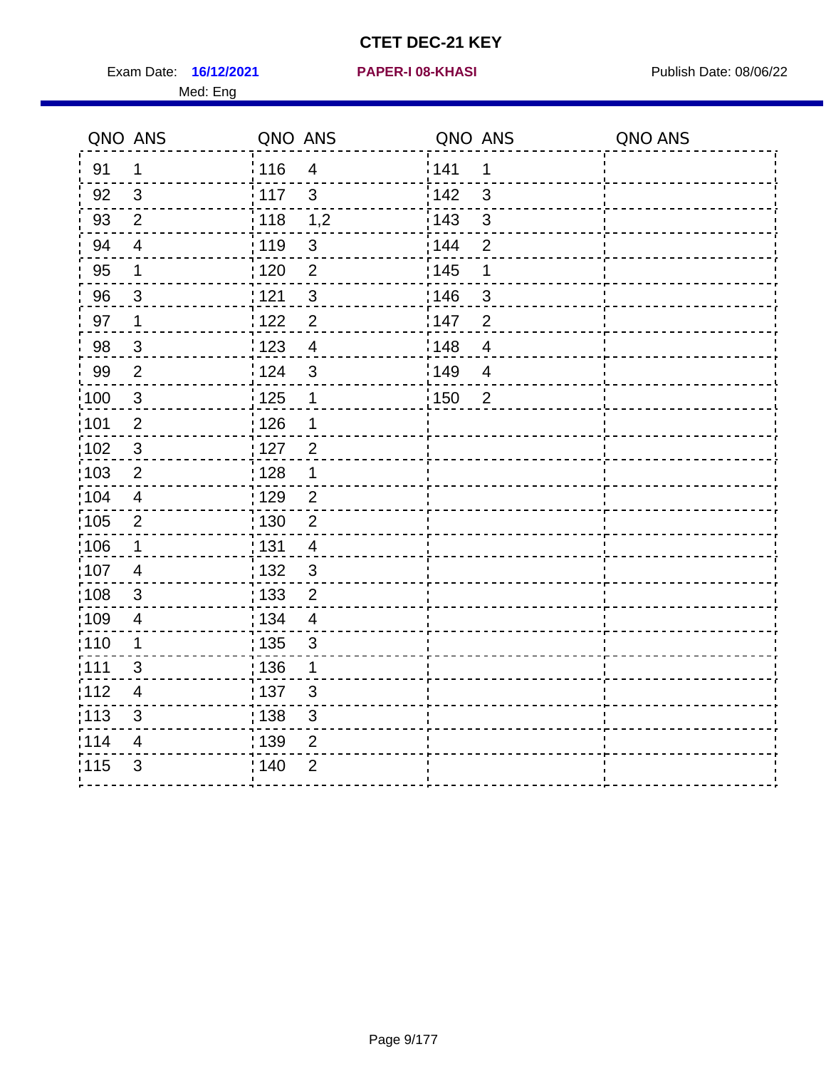Exam Date: 16/12/2021 **PAPER-I 08-KHASI** Publish Date: 08/06/22 Med: Eng

#### **16/12/2021 PAPER-I 08-KHASI**

| QNO ANS           |                         | QNO ANS                           | QNO ANS                            | QNO ANS |
|-------------------|-------------------------|-----------------------------------|------------------------------------|---------|
| 91                | 1                       | 116<br>$\overline{4}$             | 141<br>1                           |         |
| 92                | 3                       | 117<br>$\mathbf{3}$               | 142<br>3                           |         |
| 93                | $\overline{2}$          | : 118<br>1,2                      | : 143<br>$\mathfrak{S}$            |         |
| 94                | $\overline{4}$          | :119<br>$\sqrt{3}$                | 144<br>$\overline{2}$              |         |
| 95                | $\mathbf 1$             | $\overline{2}$<br>: 120           | : 145<br>1                         |         |
| 96                | $\mathbf{3}$            | 121<br>$\mathfrak{S}$             | 146<br>3                           |         |
| 97                | $\mathbf 1$             | $\overline{2}$<br>122             | 147<br>$\overline{2}$              |         |
| 98                | $\mathbf{3}$            | 1123<br>$\overline{\mathbf{4}}$   | 148<br>$\overline{\mathbf{4}}$     |         |
| 99                | $\overline{2}$          | 124<br>$\mathbf{3}$               | <sup>'</sup> 149<br>$\overline{4}$ |         |
| $\frac{1}{100}$   | $\mathbf{3}$            | 125<br>$\mathbf 1$                | 150<br>$\overline{2}$              |         |
| :101              | $\overline{2}$          | : 126<br>1                        |                                    |         |
| $\frac{1}{1}$ 102 | $\mathbf{3}$            | : 127<br>$\overline{2}$           |                                    |         |
| :103              | $\overline{2}$          | : 128<br>1                        |                                    |         |
| :104              | $\overline{4}$          | :129<br>2                         |                                    |         |
| :105              | $\overline{2}$          | $\overline{2}$<br>: 130           |                                    |         |
| 106               | 1                       | 131<br>$\overline{4}$             |                                    |         |
| 107               | $\overline{\mathbf{4}}$ | : 132<br>$\mathbf{3}$             |                                    |         |
| :108              | 3                       | : 133<br>$\overline{2}$           |                                    |         |
| :109              | $\overline{\mathbf{4}}$ | : 134<br>$\overline{\mathbf{4}}$  |                                    |         |
| :110              | $\mathbf 1$             | : 135<br>$\mathbf{3}$             |                                    |         |
| :111              | 3                       | : 136<br>$\mathbf 1$              |                                    |         |
| :112              | 4                       | :137<br>3                         |                                    |         |
| $\frac{1}{1}$ 113 | $\mathfrak{S}$          | $\frac{1}{1}$ 138<br>$\mathbf{3}$ |                                    |         |
| 114               | 4                       | : 139<br>$\overline{2}$           |                                    |         |
| 115               | 3                       | ; 140<br>$\overline{2}$           |                                    |         |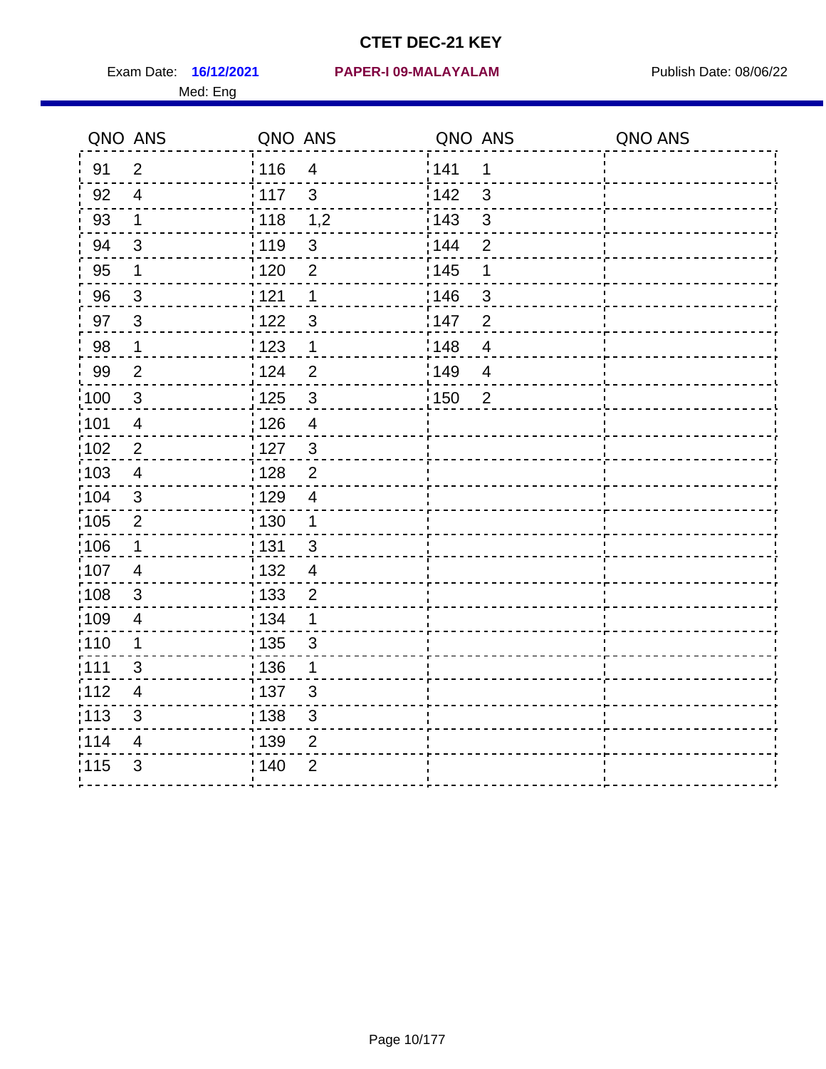Med: Eng

#### **16/12/2021 PAPER-I 09-MALAYALAM** Exam Date: Publish Date: 08/06/22

|                   | QNO ANS                 | QNO ANS           |                | QNO ANS |                | QNO ANS |
|-------------------|-------------------------|-------------------|----------------|---------|----------------|---------|
| 91                | $\overline{2}$          | : 116             | $\overline{4}$ | 141     | 1              |         |
| 92                | $\overline{4}$          | : 117             | $\mathbf{3}$   | 142     | 3              |         |
| 93                | $\mathbf 1$             | 118               | 1,2            | 143     | 3              |         |
| 94                | $\mathbf{3}$            | : 119             | $\mathfrak{S}$ | 144     | $\overline{2}$ |         |
| 95                | 1                       | : 120             | $\overline{2}$ | : 145   | 1              |         |
| 96                | $\mathbf{3}$            | 121               | 1              | 146     | 3              |         |
| 97                | $\mathbf{3}$            | 122               | $\mathfrak{S}$ | 147     | $\overline{2}$ |         |
| 98                | $\mathbf 1$             | 1123              | $\mathbf{1}$   | 148     | $\overline{4}$ |         |
| 99                | $\mathbf{2}$            | 124               | $\overline{2}$ | 149     | $\overline{4}$ |         |
| 100               | $\mathbf{3}$            | $\frac{1}{1}$ 125 | $\mathbf{3}$   | 150     | $\overline{2}$ |         |
| 101               | $\overline{\mathbf{4}}$ | 126               | $\overline{4}$ |         |                |         |
| 102               | $\overline{2}$          | : 127             | $\mathbf{3}$   |         |                |         |
| 103               | 4                       | : 128             | $\overline{2}$ |         |                |         |
| 104               | 3                       | : 129             | $\overline{4}$ |         |                |         |
| $\frac{1}{1}$ 105 | $\overline{2}$          | $\frac{1}{1}$ 130 | $\mathbf{1}$   |         |                |         |
| 106               | $\mathbf{1}$            | : 131             | 3              |         |                |         |
| :107              | $\overline{4}$          | : 132             | $\overline{4}$ |         |                |         |
| 108               | 3                       | $\frac{1}{1}$ 133 | $\overline{2}$ |         |                |         |
| :109              | $\overline{4}$          | : 134             | $\mathbf 1$    |         |                |         |
| : 110             | 1                       | : 135             | 3              |         |                |         |
| :111              | 3                       | :136              | 1              |         |                |         |
| 112               | $\overline{\mathbf{4}}$ | : 137             | $\mathbf{3}$   |         |                |         |
| : 113             | $\mathfrak{S}$          | : 138             | $\mathsf 3$    |         |                |         |
| 114               | 4                       | : 139             | $\overline{2}$ |         |                |         |
| 115               | $\mathfrak{S}$          | : 140             | $\overline{2}$ |         |                |         |
|                   |                         |                   |                |         |                |         |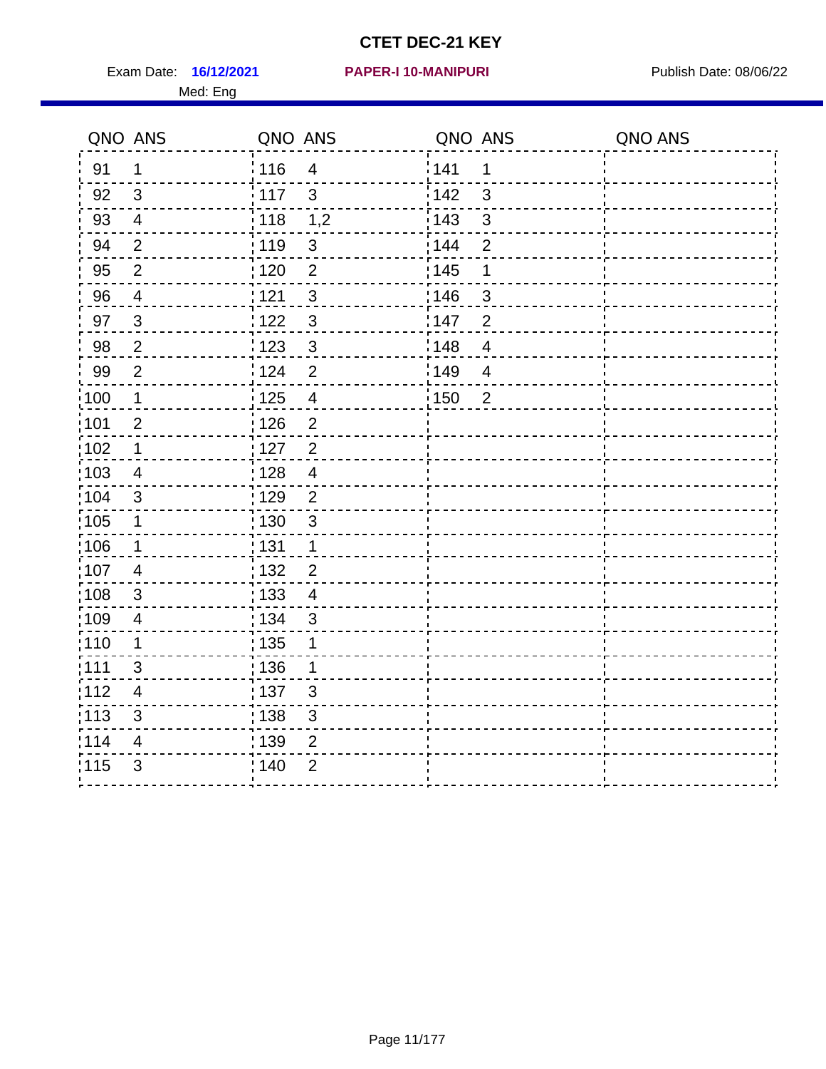Exam Date: 16/12/2021 PAPER-I 10-MANIPURI PREMICLE Publish Date: 08/06/22 Med: Eng

#### **16/12/2021 PAPER-I 10-MANIPURI**

|                   | QNO ANS                 | QNO ANS           |                          | QNO ANS           |                          | QNO ANS |
|-------------------|-------------------------|-------------------|--------------------------|-------------------|--------------------------|---------|
| 91                | $\mathbf 1$             | 116               | $\overline{4}$           | 141               | 1                        |         |
| 92                | $\mathbf{3}$            | 117               | $\mathbf{3}$             | 142               | $\mathbf{3}$             |         |
| 93                | $\overline{4}$          | $\frac{1}{2}$ 118 | 1,2                      | 143               | $\mathbf{3}$             |         |
| 94                | $\overline{2}$          | : 119             | $\sqrt{3}$               | 144               | $\overline{2}$           |         |
| 95                | $\overline{2}$          | $\frac{1}{1}$ 120 | $\overline{2}$           | 145               | 1                        |         |
| 96                | $\overline{4}$          | 121               | $\sqrt{3}$               | 146               | 3                        |         |
| 97                | 3                       | : 122             | $\mathbf{3}$             | 147               | $\overline{2}$           |         |
| 98                | $\overline{2}$          | 123               | $\mathfrak{3}$           | $\frac{1}{2}$ 148 | $\overline{4}$           |         |
| 99                | $\overline{2}$          | 124               | $\overline{2}$           | :149              | $\overline{\mathcal{A}}$ |         |
| $\frac{1}{1}$ 100 | $\mathbf 1$             | $\frac{1}{1}$ 125 | $\overline{\mathcal{A}}$ | $\frac{1}{1}$ 150 | $\overline{2}$           |         |
| :101              | $\overline{2}$          | 126               | $\overline{2}$           |                   |                          |         |
| :102              | $\mathbf 1$             | : 127             | $\overline{2}$           |                   |                          |         |
| $\frac{1}{1}$ 103 | 4                       | : 128             | $\overline{4}$           |                   |                          |         |
| 104               | 3                       | : 129             | $\overline{2}$           |                   |                          |         |
| :105              | $\mathbf 1$             | $\frac{1}{1}$ 130 | $\sqrt{3}$               |                   |                          |         |
| 106               | $\mathbf 1$             | : 131             | $\mathbf{1}$             |                   |                          |         |
| :107              | 4                       | :132              | $\overline{2}$           |                   |                          |         |
| 108               | $\mathbf{3}$            | 133               | $\overline{4}$           |                   |                          |         |
| :109              | $\overline{4}$          | : 134             | $\sqrt{3}$               |                   |                          |         |
| : 110             | 1                       | : 135             | 1                        |                   |                          |         |
| :111              | 3                       | : 136             | 1                        |                   |                          |         |
| 112               | $\overline{\mathbf{4}}$ | : 137             | $\sqrt{3}$               |                   |                          |         |
| : 113             | $\mathfrak{S}$          | : 138             | $\sqrt{3}$               |                   |                          |         |
| 114               | 4                       | 139               | $\overline{2}$           |                   |                          |         |
| 115               | $\mathfrak{S}$          | : 140             | $\overline{2}$           |                   |                          |         |
|                   |                         |                   |                          |                   |                          |         |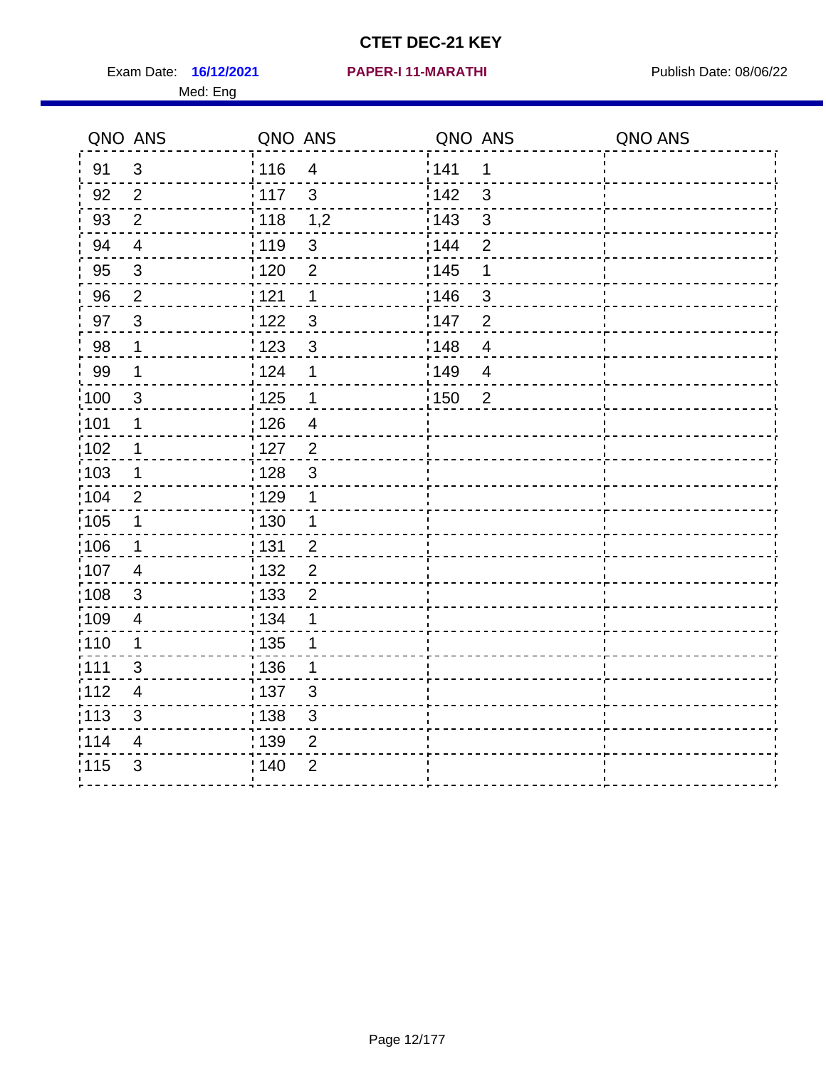Exam Date: 16/12/2021 PAPER-I 11-MARATHI PREER Publish Date: 08/06/22 Med: Eng

#### **16/12/2021 PAPER-I 11-MARATHI**

|                   | QNO ANS                 | QNO ANS |                          | QNO ANS           |                | QNO ANS |
|-------------------|-------------------------|---------|--------------------------|-------------------|----------------|---------|
| 91                | $\mathbf{3}$            | : 116   | $\overline{4}$           | 1141              | 1              |         |
| 92                | 2                       | 117     | $\mathbf{3}$             | 142               | 3              |         |
| 93                | $\overline{2}$          | 118     | 1,2                      | 143               | $\mathfrak{S}$ |         |
| 94                | $\overline{4}$          | :119    | $\mathfrak{3}$           | 144               | $\overline{2}$ |         |
| 95                | $\sqrt{3}$              | : 120   | $\overline{2}$           | : 145             | 1              |         |
| 96                | $\overline{2}$          | 121     | 1                        | 146               | $\mathfrak{S}$ |         |
| 97                | $\mathbf{3}$            | 122     | $\mathfrak{S}$           | 147               | $\overline{2}$ |         |
| 98                | $\mathbf 1$             | 123     | $\mathfrak{3}$           | 148               | $\overline{4}$ |         |
| 99                | $\mathbf 1$             | 124     | 1                        | 149               | $\overline{4}$ |         |
| 100               | $\mathbf{3}$            | 125     | 1                        | $\frac{1}{1}$ 150 | $\overline{2}$ |         |
| 101               | $\mathbf 1$             | 126     | $\overline{\mathcal{A}}$ |                   |                |         |
| 102               | $\mathbf 1$             | : 127   | $\overline{2}$           |                   |                |         |
| 103               | 1                       | : 128   | 3                        |                   |                |         |
| 104               | 2                       | : 129   | $\mathbf 1$              |                   |                |         |
| $\frac{1}{1}$ 105 | $\mathbf 1$             | : 130   | $\mathbf{1}$             |                   |                |         |
| 106               | $\mathbf 1$             | : 131   | $\overline{2}$           |                   |                |         |
| :107              | $\overline{4}$          | : 132   | $\overline{2}$           |                   |                |         |
| 108               | 3                       | 133     | $\overline{2}$           |                   |                |         |
| :109              | $\overline{4}$          | : 134   | 1                        |                   |                |         |
| : 110             | 1                       | : 135   | 1                        |                   |                |         |
| :111              | 3                       | : 136   | 1                        |                   |                |         |
| 112               | $\overline{\mathbf{4}}$ | : 137   | $\sqrt{3}$               |                   |                |         |
| : 113             | $\mathfrak{S}$          | : 138   | $\sqrt{3}$               |                   |                |         |
| 114               | 4                       | 139     | $\overline{2}$           |                   |                |         |
| 115               | 3                       | 140     | $\overline{2}$           |                   |                |         |
|                   |                         |         |                          |                   |                |         |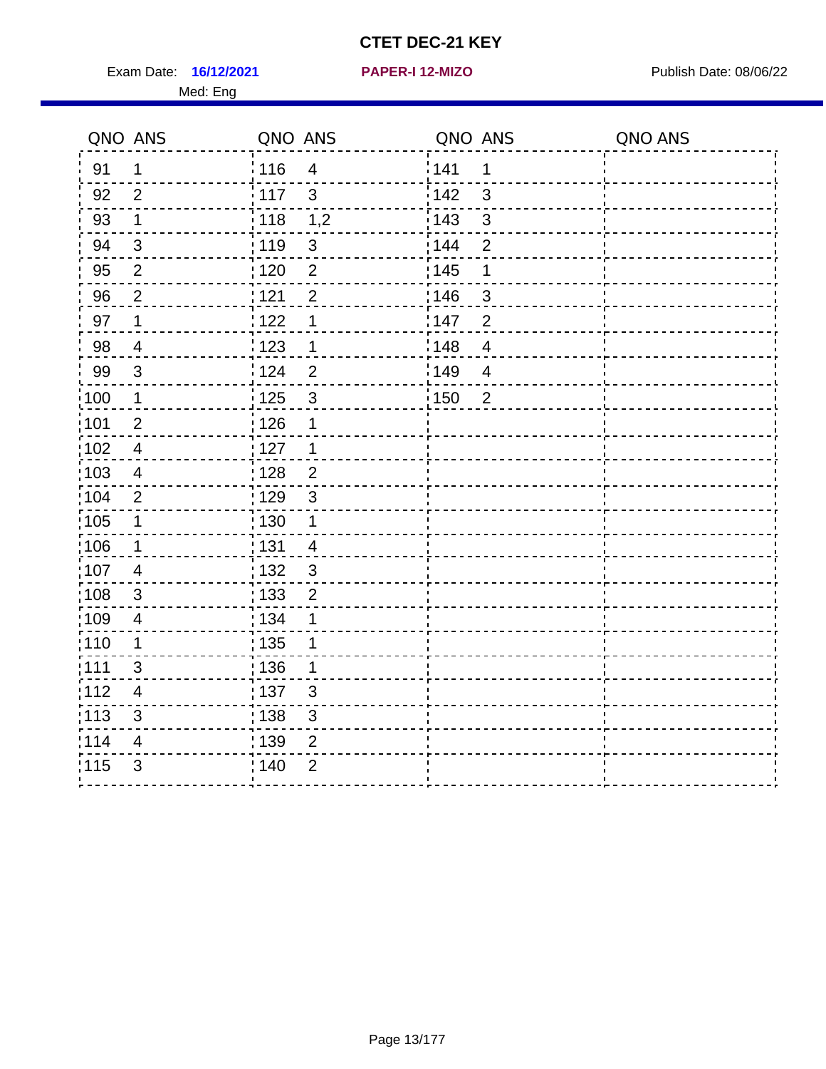Exam Date: 16/12/2021 **PAPER-I 12-MIZO** PUBLISH Date: 08/06/22 Med: Eng

**16/12/2021 PAPER-I 12-MIZO**

|                   | QNO ANS                 | QNO ANS         |                | QNO ANS           |                | QNO ANS |
|-------------------|-------------------------|-----------------|----------------|-------------------|----------------|---------|
| 91                | 1                       | 116             | $\overline{4}$ | 141               | 1              |         |
| 92                | $\overline{2}$          | $\frac{1}{117}$ | 3              | 142               | 3              |         |
| 93                | $\mathbf 1$             | : 118           | 1,2            | 143               | 3              |         |
| 94                | 3                       | : 119           | $\sqrt{3}$     | : 144             | $\overline{2}$ |         |
| 95                | $\overline{2}$          | : 120           | $\overline{2}$ | 145               | 1              |         |
| 96                | $\overline{2}$          | 121             | $\overline{2}$ | 146               | 3              |         |
| 97                | 1                       | 122             | 1              | 147               | $\overline{2}$ |         |
| 98                | $\overline{4}$          | 123             | 1              | : 148             | $\overline{4}$ |         |
| 99                | 3                       | :124            | $\overline{2}$ | 149               | $\overline{4}$ |         |
| $\frac{1}{2}100$  | $\mathbf 1$             | 125             | $\mathfrak{S}$ | $\frac{1}{1}$ 150 | $\overline{2}$ |         |
| 101               | $\overline{2}$          | : 126           | $\mathbf 1$    |                   |                |         |
| $\frac{1}{1}$ 102 | $\overline{4}$          | : 127           | $\mathbf 1$    |                   |                |         |
| :103              | 4                       | : 128           | $\overline{2}$ |                   |                |         |
| 104               | $\overline{2}$          | : 129           | $\mathbf{3}$   |                   |                |         |
| $\frac{1}{1}$ 105 | $\mathbf 1$             | : 130           | $\mathbf 1$    |                   |                |         |
| 106               | $\mathbf 1$             | : 131           | $\overline{4}$ |                   |                |         |
| 107               | $\overline{4}$          | : 132           | $\mathbf{3}$   |                   |                |         |
| 108               | 3                       | : 133           | $\overline{2}$ |                   |                |         |
| :109              | $\overline{\mathbf{4}}$ | : 134           | 1              |                   |                |         |
| : 110             | 1                       | : 135           | 1              |                   |                |         |
| : 111             | $\mathfrak{S}$          | : 136           | 1              |                   |                |         |
| 112               | 4                       | : 137           | $\mathfrak{S}$ |                   |                |         |
| : 113             | 3                       | : 138           | $\mathfrak{S}$ |                   |                |         |
| 114               | 4                       | 139             | 2              |                   |                |         |
| 115               | 3                       | 140             | $\overline{2}$ |                   |                |         |
|                   |                         |                 |                |                   |                |         |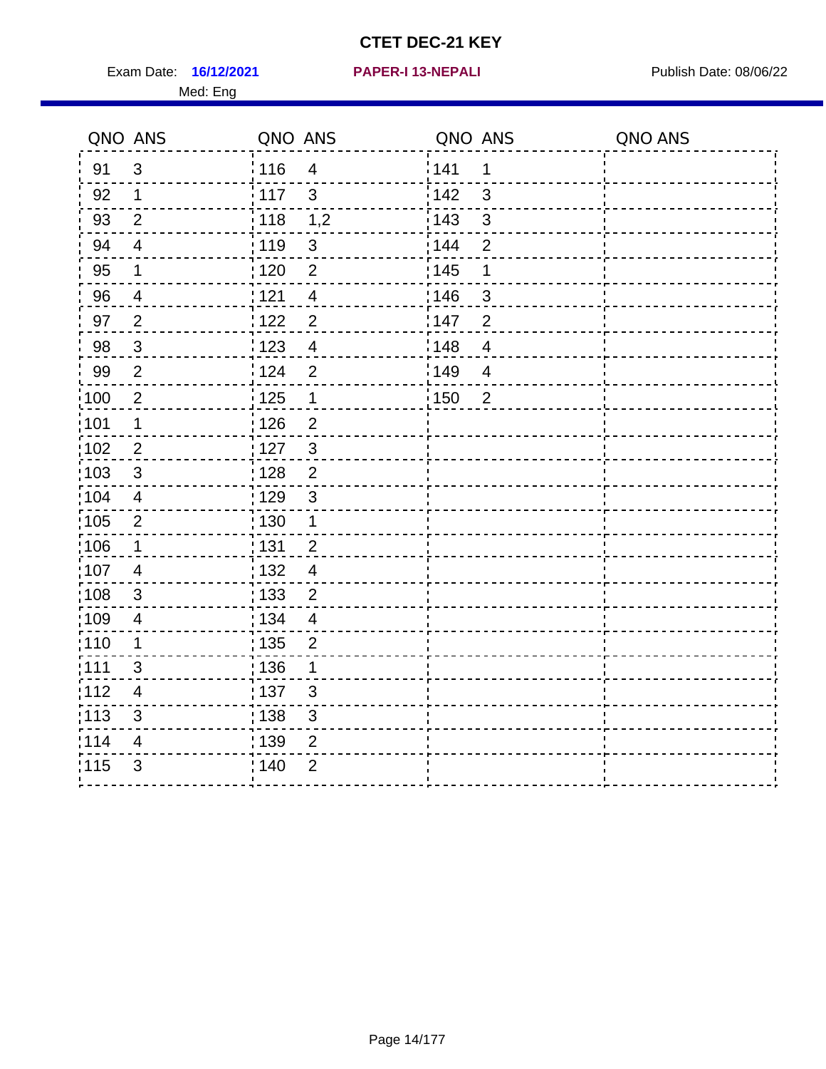Exam Date: 16/12/2021 **PAPER-I 13-NEPALI** Publish Date: 08/06/22 Med: Eng

#### **16/12/2021 PAPER-I 13-NEPALI**

|                   | QNO ANS                 | QNO ANS           |                | QNO ANS           |                          | QNO ANS |
|-------------------|-------------------------|-------------------|----------------|-------------------|--------------------------|---------|
| 91                | $\mathfrak{S}$          | :116              | $\overline{4}$ | 141               | 1                        |         |
| 92                | $\mathbf{1}$            | 117               | $\mathbf{3}$   | 142               | 3                        |         |
| 93                | $\overline{2}$          | $\frac{1}{2}$ 118 | 1,2            | 143               | $\mathbf{3}$             |         |
| 94                | $\overline{4}$          | : 119             | $\sqrt{3}$     | 144               | $\overline{2}$           |         |
| 95                | $\mathbf 1$             | $\frac{1}{1}$ 120 | $\overline{2}$ | 145               | 1                        |         |
| 96                | $\overline{4}$          | 121               | $\overline{4}$ | 146               | 3                        |         |
| 97                | $\overline{2}$          | :122              | $\overline{2}$ | 147               | $\overline{2}$           |         |
| 98                | $\mathbf{3}$            | 123               | $\overline{4}$ | $\frac{1}{2}$ 148 | $\overline{4}$           |         |
| 99                | $\overline{2}$          | 124               | $\overline{2}$ | 149               | $\overline{\mathcal{A}}$ |         |
| $\frac{1}{1}$ 100 | $\sqrt{2}$              | 125               | $\mathbf 1$    | $\frac{1}{1}$ 150 | $\overline{2}$           |         |
| :101              | $\mathbf 1$             | 126               | $\overline{2}$ |                   |                          |         |
| :102              | $\overline{2}$          | : 127             | $\mathbf{3}$   |                   |                          |         |
| $\frac{1}{1}$ 103 | 3                       | : 128             | $\overline{2}$ |                   |                          |         |
| 104               | $\overline{4}$          | : 129             | $\mathbf{3}$   |                   |                          |         |
| :105              | $\boldsymbol{2}$        | $\frac{1}{1}$ 130 | $\mathbf{1}$   |                   |                          |         |
| 106               | $\mathbf 1$             | : 131             | $\overline{2}$ |                   |                          |         |
| :107              | $\overline{4}$          | :132              | $\overline{4}$ |                   |                          |         |
| 108               | $\mathbf{3}$            | : 133             | $\overline{2}$ |                   |                          |         |
| :109              | $\overline{4}$          | : 134             | $\overline{4}$ |                   |                          |         |
| : 110             | 1                       | : 135             | $\overline{2}$ |                   |                          |         |
| :111              | 3                       | : 136             | 1              |                   |                          |         |
| 112               | $\overline{\mathbf{4}}$ | : 137             | $\sqrt{3}$     |                   |                          |         |
| : 113             | $\mathfrak{S}$          | : 138             | $\sqrt{3}$     |                   |                          |         |
| 114               | 4                       | 139               | $\overline{2}$ |                   |                          |         |
| 115               | $\mathfrak{S}$          | : 140             | $\overline{2}$ |                   |                          |         |
|                   |                         |                   |                |                   |                          |         |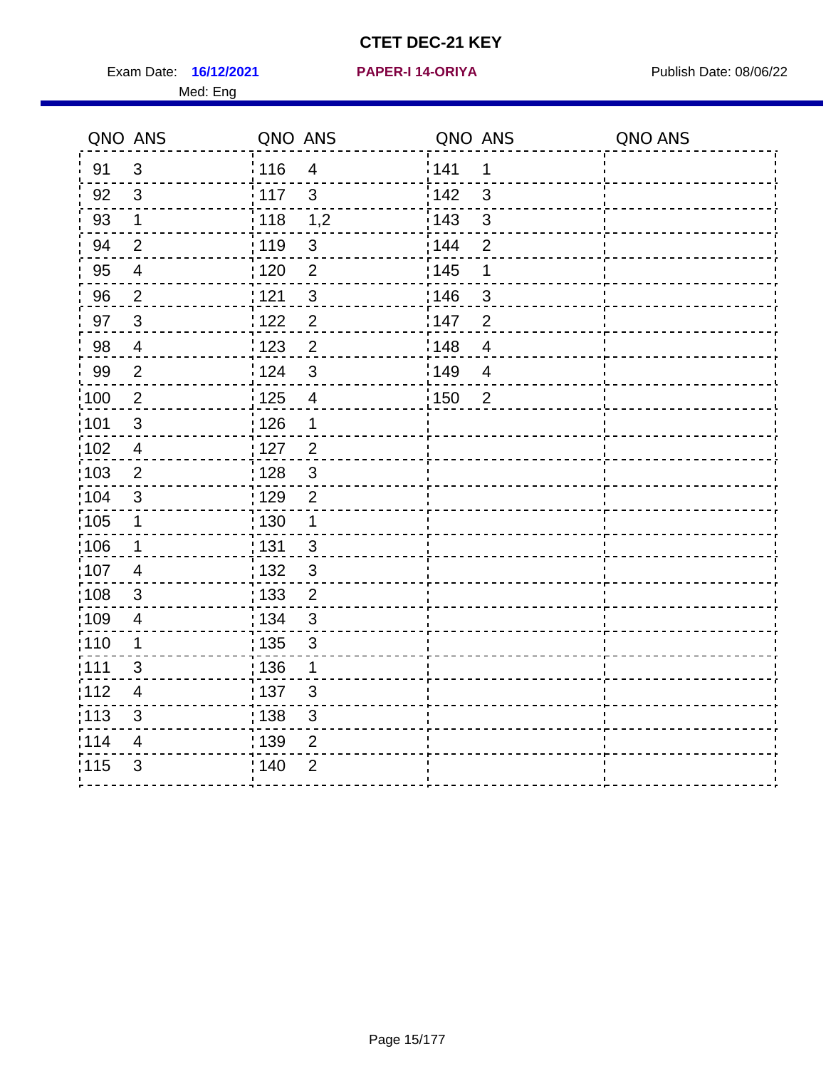Exam Date: 16/12/2021 **PAPER-I 14-ORIYA** Publish Date: 08/06/22 Med: Eng

#### **16/12/2021 PAPER-I 14-ORIYA**

|                   | QNO ANS                  | QNO ANS           |                         | QNO ANS           |                          | QNO ANS |
|-------------------|--------------------------|-------------------|-------------------------|-------------------|--------------------------|---------|
| 91                | 3                        | : 116             | $\overline{4}$          | 141               | 1                        |         |
| 92                | 3                        | 117               | $\mathbf{3}$            | 142               | 3                        |         |
| 93                | $\mathbf 1$              | $\frac{1}{2}$ 118 | 1,2                     | 143               | 3                        |         |
| 94                | $\overline{2}$           | :119              | $\mathfrak{B}$          | 144               | $\overline{2}$           |         |
| 95                | $\overline{\mathcal{A}}$ | $\frac{1}{1}$ 120 | $\overline{2}$          | 145               | 1                        |         |
| 96                | $\overline{2}$           | 121               | $\mathfrak{B}$          | 146               | 3                        |         |
| 97                | $\mathbf{3}$             | : 122             | $\overline{2}$          | 147               | $\overline{2}$           |         |
| 98                | $\overline{4}$           | 123               | $\overline{2}$          | $\frac{1}{2}$ 148 | $\overline{\mathcal{A}}$ |         |
| 99                | $\overline{2}$           | 124               | $\mathbf{3}$            | 149               | $\overline{4}$           |         |
| 100               | $\overline{2}$           | $\frac{1}{1}$ 125 | $\overline{\mathbf{4}}$ | 150               | $\overline{2}$           |         |
| 101               | $\sqrt{3}$               | : 126             | 1                       |                   |                          |         |
| 102               | $\overline{4}$           | : 127             | $\overline{2}$          |                   |                          |         |
| 103               | 2                        | : 128             | $\mathbf{3}$            |                   |                          |         |
| 104               | 3                        | :129              | $\overline{2}$          |                   |                          |         |
| 105               | $\mathbf 1$              | : 130             | $\mathbf{1}$            |                   |                          |         |
| :106              | $\mathbf 1$              | : 131             | $\mathbf{3}$            |                   |                          |         |
| :107              | $\overline{4}$           | : 132             | $\mathfrak{3}$          |                   |                          |         |
| $\frac{1}{1}$ 108 | $\sqrt{3}$               | : 133             | $\overline{2}$          |                   |                          |         |
| :109              | $\overline{4}$           | : 134             | $\mathbf{3}$            |                   |                          |         |
| :110              | 1                        | : 135             | $\mathfrak{S}$          |                   |                          |         |
| 111               | 3                        | : 136             | $\mathbf 1$             |                   |                          |         |
| 112               | $\overline{4}$           | $\frac{1}{1}$ 137 | $\mathfrak{S}$          |                   |                          |         |
| : 113             | 3                        | 138               | 3                       |                   |                          |         |
| 114               | 4                        | 139               | $\overline{2}$          |                   |                          |         |
| 115               | 3                        | 140               | $\overline{2}$          |                   |                          |         |
|                   |                          |                   |                         |                   |                          |         |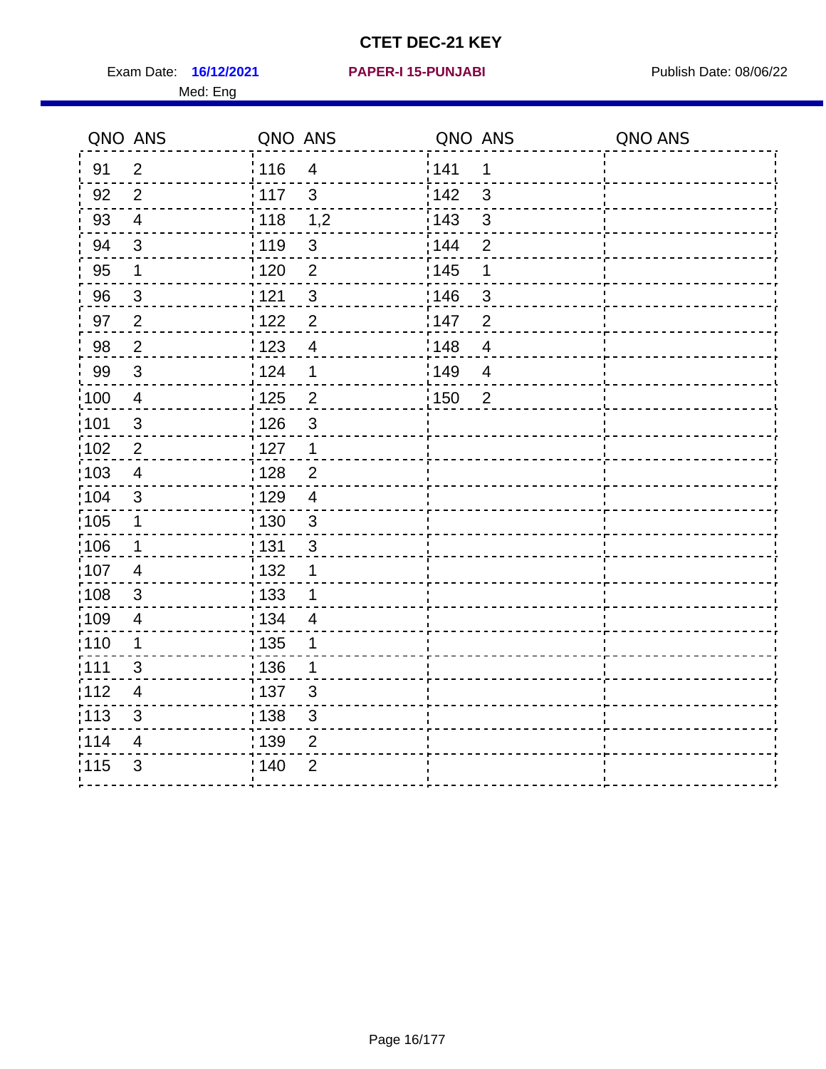Exam Date: 16/12/2021 PAPER-I 15-PUNJABI PUBLISH Date: 08/06/22 Med: Eng

#### **16/12/2021 PAPER-I 15-PUNJABI**

| QNO ANS           |                         | QNO ANS                           | QNO ANS               | QNO ANS |
|-------------------|-------------------------|-----------------------------------|-----------------------|---------|
| 91                | 2                       | 116<br>$\overline{4}$             | 141<br>1              |         |
| 92                | $\overline{2}$          | 117<br>$\mathbf{3}$               | 142<br>3              |         |
| 93                | $\overline{4}$          | : 118<br>1,2                      | 143<br>$\mathbf{3}$   |         |
| 94                | 3                       | :119<br>$\sqrt{3}$                | 144<br>$\overline{2}$ |         |
| 95                | $\mathbf 1$             | $\overline{2}$<br>: 120           | : 145<br>1            |         |
| 96                | $\mathbf{3}$            | 121<br>$\mathfrak{S}$             | 146<br>3              |         |
| 97                | 2                       | 1122<br>$\overline{2}$            | 147<br>$\overline{2}$ |         |
| 98                | $\overline{2}$          | 123<br>$\overline{4}$             | 148<br>$\overline{4}$ |         |
| 99                | 3                       | 124<br>1                          | 149<br>$\overline{4}$ |         |
| 100               | $\overline{\mathbf{4}}$ | 125<br>$\overline{2}$             | 150<br>$\overline{2}$ |         |
| 101               | $\mathfrak{S}$          | : 126<br>$\mathfrak{S}$           |                       |         |
| $\frac{1}{1}$ 102 | $\mathbf{2}$            | : 127<br>$\mathbf{1}$             |                       |         |
| 103               | $\overline{4}$          | : 128<br>$\overline{2}$           |                       |         |
| :104              | 3                       | : 129<br>4                        |                       |         |
| $\frac{1}{1}$ 105 | $\mathbf 1$             | : 130<br>$\mathbf{3}$             |                       |         |
| 106               | $\mathbf 1$             | : 131<br>$\mathbf{3}$             |                       |         |
| 107               | 4                       | : 132<br>1                        |                       |         |
| 108               | 3                       | : 133<br>1                        |                       |         |
| 109               | 4                       | : 134<br>$\overline{\mathcal{A}}$ |                       |         |
| : 110             | $\mathbf 1$             | : 135<br>1                        |                       |         |
| :111              | 3                       | : 136<br>1                        |                       |         |
| 112               | $\overline{4}$          | :137<br>$\mathbf{3}$              |                       |         |
| $\frac{1}{1}$ 113 | 3                       | : 138<br>$\sqrt{3}$               |                       |         |
| 114               | 4                       | 139<br>$\mathbf{2}$               |                       |         |
| 115               | 3                       | ; 140<br>$\overline{2}$           |                       |         |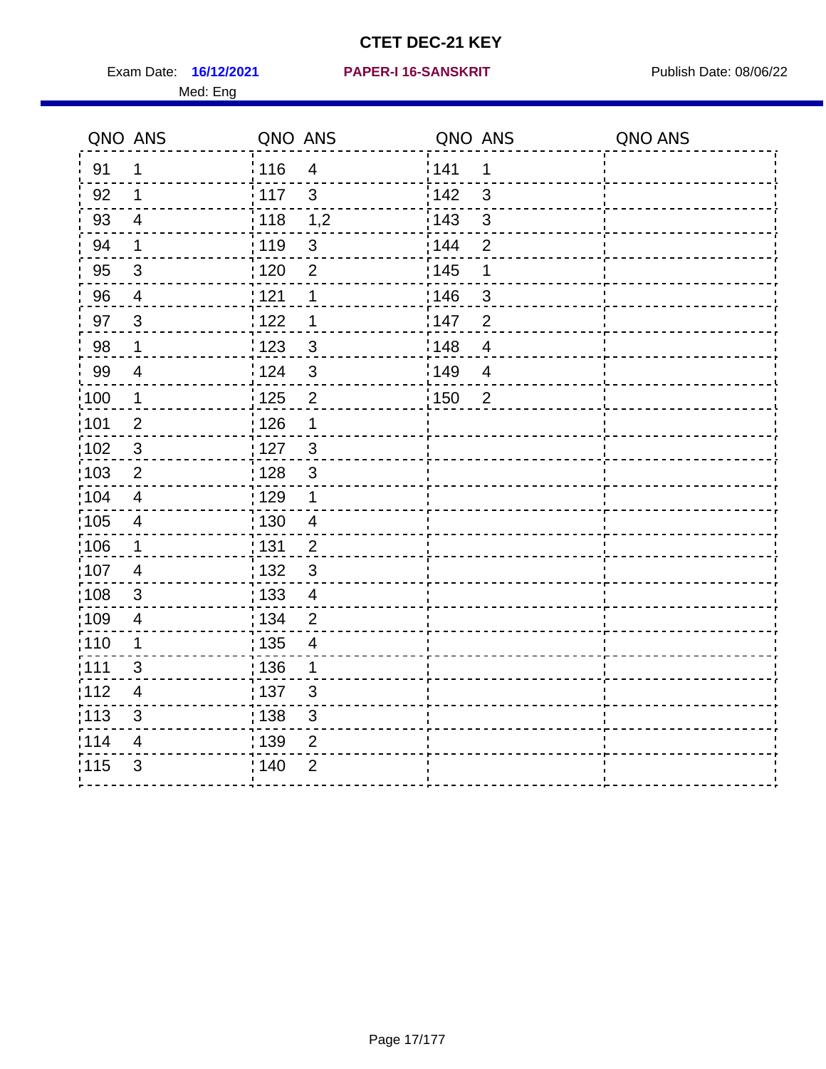Exam Date: 16/12/2021 PAPER-I 16-SANSKRIT Publish Date: 08/06/22 Med: Eng

#### **PAPER-I 16-SANSKRIT**

|                   | QNO ANS                 | QNO ANS           |                | QNO ANS           |                          | QNO ANS |
|-------------------|-------------------------|-------------------|----------------|-------------------|--------------------------|---------|
| 91                | 1                       | :116              | $\overline{4}$ | 141               | 1                        |         |
| 92                | $\mathbf{1}$            | 117               | $\mathbf{3}$   | 142               | $\mathbf{3}$             |         |
| 93                | $\overline{4}$          | 118               | 1,2            | 143               | $\mathbf{3}$             |         |
| 94                | $\mathbf 1$             | : 119             | $\sqrt{3}$     | 144               | $\overline{2}$           |         |
| 95                | $\mathfrak{S}$          | $\frac{1}{1}$ 120 | $\overline{2}$ | : 145             | 1                        |         |
| 96                | $\overline{4}$          | 121               | 1              | 146               | 3                        |         |
| 97                | $\mathbf{3}$            | 122               | $\mathbf 1$    | 147               | $\overline{2}$           |         |
| 98                | $\mathbf 1$             | $\frac{1}{2}$ 123 | $\sqrt{3}$     | $\frac{1}{2}$ 148 | $\overline{4}$           |         |
| 99                | $\overline{\mathbf{4}}$ | 124               | $\mathfrak{3}$ | 149               | $\overline{\mathcal{A}}$ |         |
| $\frac{1}{1}$ 100 | $\mathbf 1$             | 125               | $\overline{2}$ | $\frac{1}{1}$ 150 | $\overline{2}$           |         |
| :101              | $\overline{2}$          | 126               | $\mathbf 1$    |                   |                          |         |
| :102              | $\mathbf{3}$            | : 127             | $\mathbf{3}$   |                   |                          |         |
| $\frac{1}{1}$ 103 | $\overline{2}$          | : 128             | $\mathbf{3}$   |                   |                          |         |
| 104               | $\overline{4}$          | : 129             | $\mathbf 1$    |                   |                          |         |
| :105              | $\overline{4}$          | 130               | $\overline{4}$ |                   |                          |         |
| 106               | $\mathbf 1$             | : 131             | $\overline{2}$ |                   |                          |         |
| :107              | 4                       | :132              | $\mathbf{3}$   |                   |                          |         |
| 108               | 3                       | 133               | $\overline{4}$ |                   |                          |         |
| :109              | $\overline{4}$          | : 134             | $\overline{2}$ |                   |                          |         |
| : 110             | 1                       | : 135             | 4              |                   |                          |         |
| :111              | 3                       | : 136             | 1              |                   |                          |         |
| 112               | $\overline{\mathbf{4}}$ | : 137             | $\sqrt{3}$     |                   |                          |         |
| : 113             | $\mathfrak{S}$          | : 138             | $\mathsf 3$    |                   |                          |         |
| 114               | 4                       | 139               | $\overline{2}$ |                   |                          |         |
| 115               | $\mathfrak{S}$          | : 140             | $\overline{2}$ |                   |                          |         |
|                   |                         |                   |                |                   |                          |         |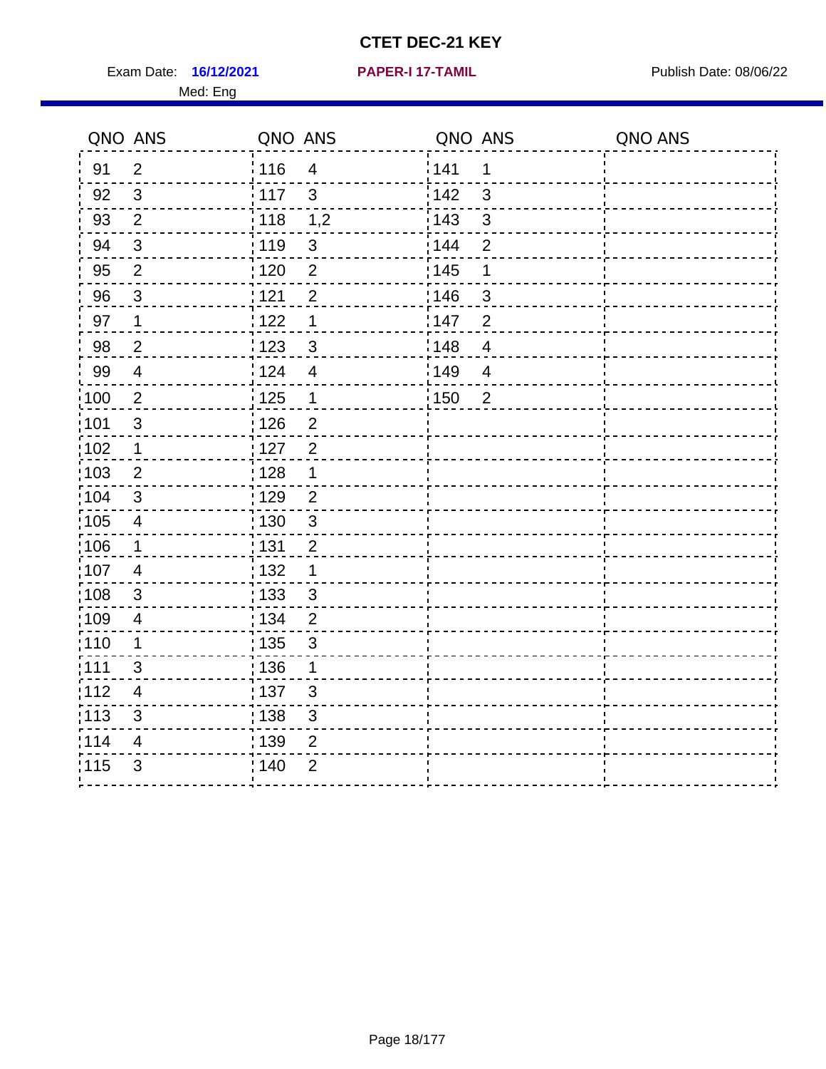Exam Date: 16/12/2021 **PAPER-I 17-TAMIL Exam Date: 08/06/22** Med: Eng

|       | QNO ANS                  | QNO ANS           |                         | QNO ANS |                | QNO ANS |
|-------|--------------------------|-------------------|-------------------------|---------|----------------|---------|
| 91    | $\overline{2}$           | 116               | $\overline{\mathbf{4}}$ | 141     | $\mathbf 1$    |         |
| 92    | $\mathfrak{S}$           | 117               | $\mathfrak{S}$          | 142     | 3              |         |
| 93    | $\overline{2}$           | $\frac{1}{2}$ 118 | 1,2                     | 143     | 3              |         |
| 94    | 3                        | : 119             | $\mathbf{3}$            | : 144   | 2              |         |
| 95    | $\overline{2}$           | 120               | 2                       | : 145   | 1              |         |
| 96    | $\overline{3}$           | : 121             | $\overline{2}$          | 146     | 3              |         |
| 97    | 1                        | :122              | $\mathbf 1$             | 147     | $\overline{2}$ |         |
| 98    | $\overline{2}$           | $\frac{1}{2}$ 123 | $\mathbf{3}$            | 148     | $\overline{4}$ |         |
| 99    | $\overline{4}$           | 124               | $\overline{4}$          | ¦149    | $\overline{4}$ |         |
| 100   | $\overline{2}$           | 125               | $\overline{1}$          | 150     | $\overline{2}$ |         |
| :101  | $\mathfrak{S}$           | : 126             | $\overline{2}$          |         |                |         |
| 102   | 1                        | : 127             | $\overline{2}$          |         |                |         |
| 103   | $\overline{2}$           | : 128             | $\mathbf 1$             |         |                |         |
| :104  | $\mathbf{3}$             | : 129             | $\overline{2}$          |         |                |         |
| 105   | $\overline{4}$           | : 130             | $\mathbf{3}$            |         |                |         |
| :106  | $\mathbf{1}$             | : 131             | $\overline{2}$          |         |                |         |
| 107   | $\overline{4}$           | : 132             | $\mathbf 1$             |         |                |         |
| :108  | $\sqrt{3}$               | 133               | $\mathbf{3}$            |         |                |         |
| :109  | $\overline{4}$           | : 134             | $\overline{2}$          |         |                |         |
| 110   | 1                        | : 135             | 3                       |         |                |         |
| 1111  | $\mathbf{3}$             | : 136             | 1                       |         |                |         |
| 112   | $\overline{\mathcal{A}}$ | : 137             | $\sqrt{3}$              |         |                |         |
| : 113 | $\sqrt{3}$               | : 138             | $\sqrt{3}$              |         |                |         |
| 114   | $\overline{4}$           | : 139             | $\overline{2}$          |         |                |         |
| 115   | 3                        | 140               | $\overline{2}$          |         |                |         |
|       |                          |                   |                         |         |                |         |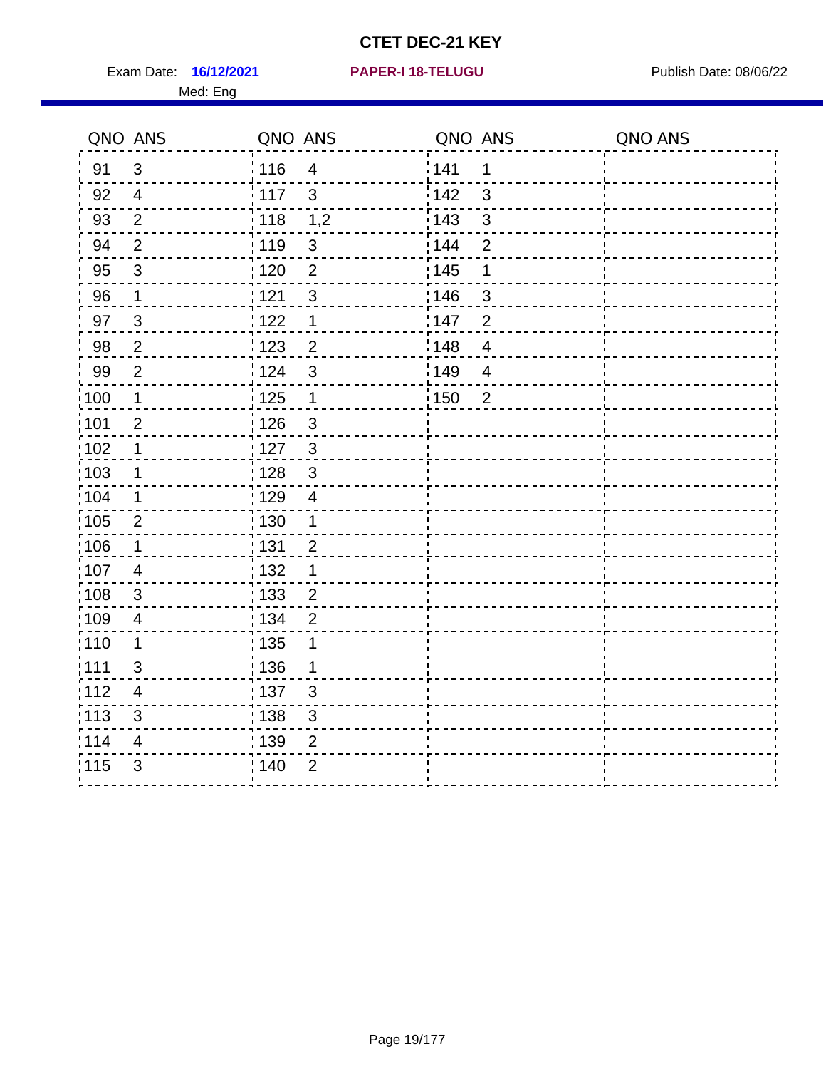**16/12/2021 PAPER-I 18-TELUGU** Exam Date: Publish Date: 08/06/22

#### Med: Eng

|  |  |  |  |  |  | <b>PAPER-I 18-TELUGU</b> |  |
|--|--|--|--|--|--|--------------------------|--|
|  |  |  |  |  |  |                          |  |

|                  | QNO ANS                  | QNO ANS                          | QNO ANS                        | QNO ANS |
|------------------|--------------------------|----------------------------------|--------------------------------|---------|
| 91               | $\mathfrak{B}$           | i 116<br>$\overline{4}$          | 141<br>$\mathbf 1$             |         |
| 92               | 4                        | : 117<br>3                       | 142<br>3                       |         |
| 93               | $\overline{2}$           | 1,2<br>$\frac{1}{2}$ 118         | : 143<br>3                     |         |
| 94               | $\overline{2}$           | : 119<br>$\mathfrak{S}$          | $\overline{2}$<br>144          |         |
| 95               | $\mathfrak{S}$           | :120<br>$\overline{2}$           | : 145<br>$\mathbf 1$           |         |
| 96               | $\mathbf 1$              | $\mathfrak{S}$<br>121            | 146<br>$\mathfrak{S}$          |         |
| 97               | $\mathbf{3}$             | 1122<br>1                        | 147<br>$\overline{2}$          |         |
| 98               | $\overline{2}$           | 123<br>$\overline{c}$            | 148<br>$\overline{4}$          |         |
| 99               | $\overline{2}$           | i 124<br>$\mathfrak{S}$          | 149<br>$\overline{\mathbf{4}}$ |         |
| $\frac{1}{2}100$ | $\mathbf 1$              | $\frac{1}{2}$ 125<br>$\mathbf 1$ | 150<br>$\overline{2}$          |         |
| 101              | $\overline{2}$           | : 126<br>3                       |                                |         |
| 102              | 1                        | :127<br>$\mathfrak{S}$           |                                |         |
| :103             | $\mathbf 1$              | $\mathfrak{S}$<br>128            |                                |         |
| 104              | 1                        | : 129<br>$\overline{\mathbf{4}}$ |                                |         |
| 105              | $\overline{2}$           | : 130<br>1                       |                                |         |
| :106             | 1                        | ;131<br>$\overline{2}$           |                                |         |
| 107              | $\overline{\mathcal{A}}$ | : 132<br>1                       |                                |         |
| :108             | $\mathsf 3$              | : 133<br>$\overline{c}$          |                                |         |
| :109             | 4                        | : 134<br>$\overline{2}$          |                                |         |
| :110             | 1                        | : 135<br>1                       |                                |         |
| :111             | $\mathfrak{S}$           | : 136<br>$\mathbf 1$             |                                |         |
| : 112            | $\overline{\mathcal{A}}$ | 137<br>$\mathfrak{S}$            |                                |         |
| : 113            | $\mathfrak{S}$           | 138<br>$\mathfrak{S}$            |                                |         |
| 114              | 4                        | 139<br>$\overline{2}$            |                                |         |
| 115              | 3                        | : 140<br>$\overline{2}$          |                                |         |
|                  |                          |                                  |                                |         |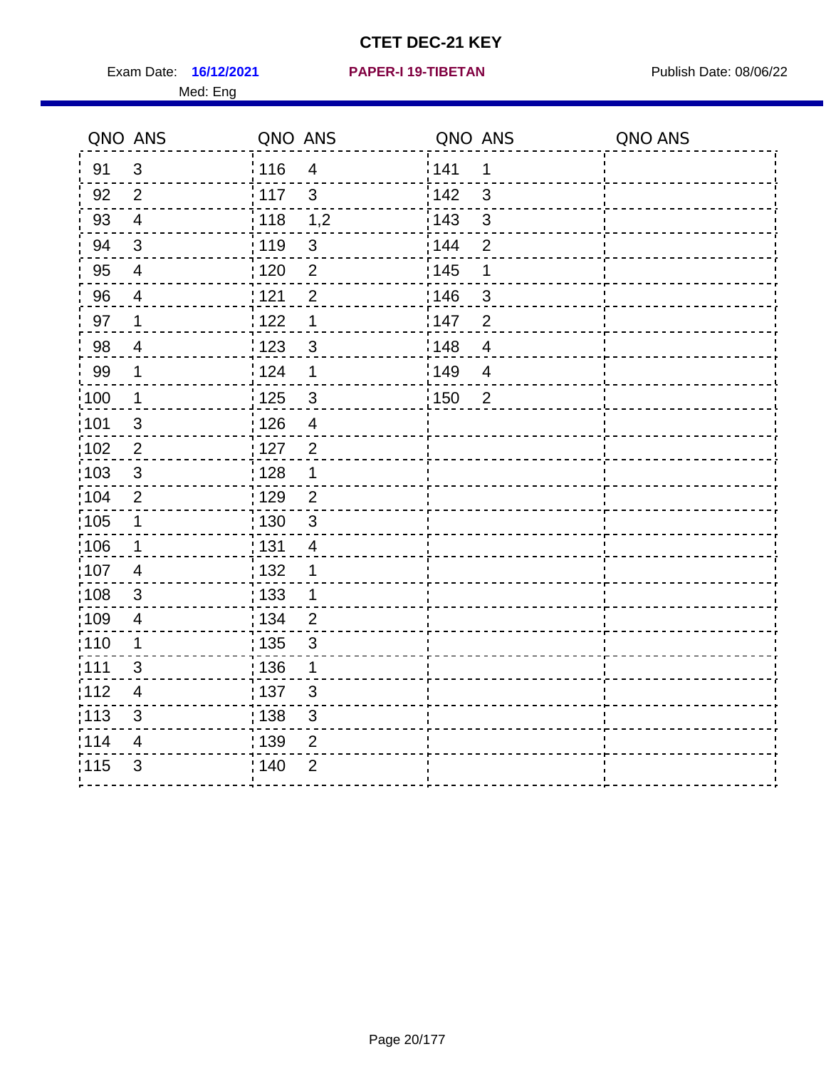Exam Date: 16/12/2021 **PAPER-I 19-TIBETAN** Publish Date: 08/06/22 Med: Eng

#### **16/12/2021 PAPER-I 19-TIBETAN**

| QNO ANS |                          | QNO ANS                             | QNO ANS                 | QNO ANS |
|---------|--------------------------|-------------------------------------|-------------------------|---------|
| 91      | 3                        | $\frac{1}{116}$<br>$\overline{4}$   | 141<br>1                |         |
| 92      | $\overline{2}$           | 117<br>$\mathbf{3}$                 | 142<br>3                |         |
| 93      | $\overline{4}$           | : 118<br>1,2                        | 143<br>$\mathbf{3}$     |         |
| 94      | $\mathfrak{B}$           | :119<br>$\sqrt{3}$                  | 144<br>$\overline{2}$   |         |
| 95      | $\overline{\mathbf{4}}$  | $\overline{2}$<br>: 120             | : 145<br>1              |         |
| 96      | $\overline{\mathcal{A}}$ | 121<br>$\overline{2}$               | 146<br>$\mathbf{3}$     |         |
| 97      | 1                        | 1122<br>$\mathbf{1}$                | 147<br>$\overline{2}$   |         |
| 98      | $\overline{4}$           | 123<br>$\sqrt{3}$                   | 148<br>$\overline{4}$   |         |
| 99      | $\mathbf 1$              | 124<br>1                            | 149<br>$\overline{4}$   |         |
| 100     | $\mathbf 1$              | 125<br>$\mathfrak{B}$               | : 150<br>$\overline{2}$ |         |
| 101     | $\sqrt{3}$               | : 126<br>$\overline{\mathbf{4}}$    |                         |         |
| 102     | $\mathbf{2}$             | : 127<br>$\overline{2}$             |                         |         |
| 103     | 3                        | : 128<br>1                          |                         |         |
| :104    | 2                        | :129<br>$\overline{2}$              |                         |         |
| 105     | $\mathbf 1$              | : 130<br>$\mathbf{3}$               |                         |         |
| 106     | $\mathbf 1$              | $\frac{1}{1}$ 131<br>$\overline{4}$ |                         |         |
| 107     | $\overline{\mathbf{4}}$  | : 132<br>1                          |                         |         |
| 108     | 3                        | : 133<br>1                          |                         |         |
| :109    | $\overline{4}$           | : 134<br>$\overline{2}$             |                         |         |
| 110     | $\mathbf 1$              | : 135<br>$\mathfrak{S}$             |                         |         |
| :111    | 3                        | : 136<br>1                          |                         |         |
| :112    | $\overline{4}$           | :137<br>$\mathbf{3}$                |                         |         |
| :113    | 3                        | : 138<br>$\sqrt{3}$                 |                         |         |
| 114     | 4                        | 139<br>$\mathbf{2}$                 |                         |         |
| 115     | 3                        | ; 140<br>$\overline{2}$             |                         |         |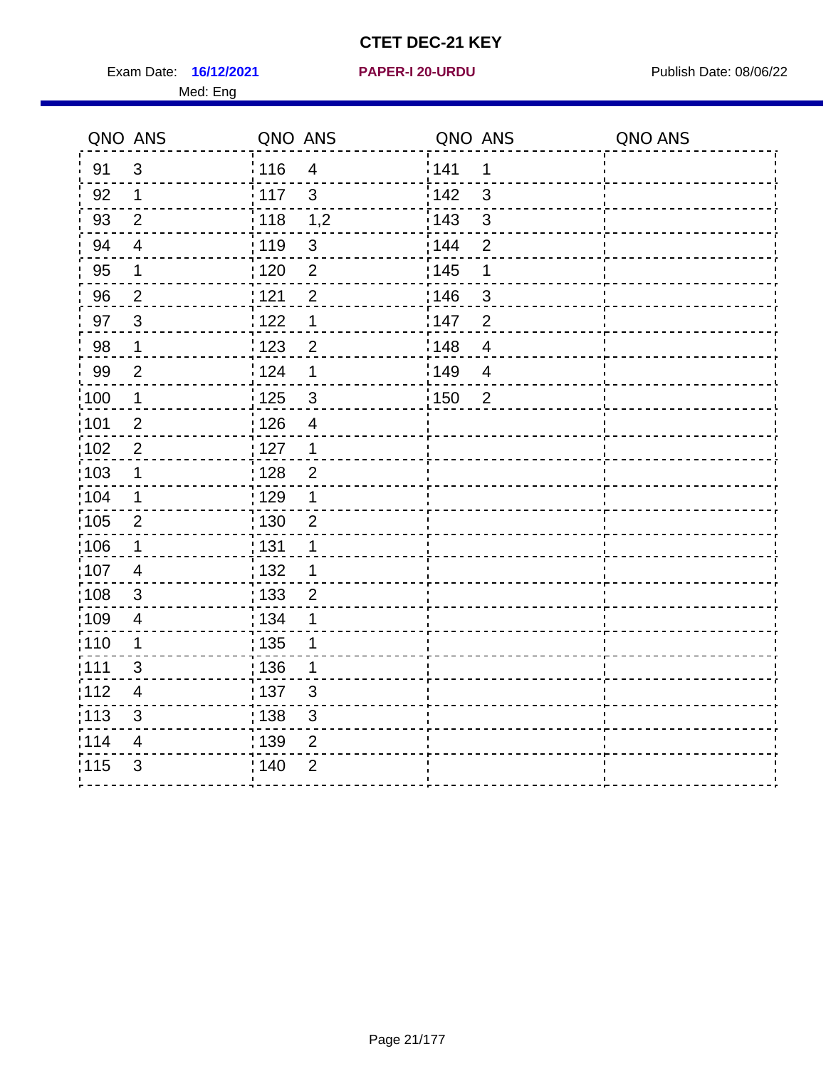Exam Date: 16/12/2021 **PAPER-I 20-URDU** PAPER 120-VIRDU Med: Eng

#### **16/12/2021 PAPER-I 20-URDU**

| QNO ANS           |                          | QNO ANS                           | QNO ANS                 | QNO ANS |
|-------------------|--------------------------|-----------------------------------|-------------------------|---------|
| 91                | 3                        | 116<br>$\overline{4}$             | 141<br>1                |         |
| 92                | $\mathbf 1$              | 117<br>$\mathbf{3}$               | 142<br>3                |         |
| 93                | $\overline{2}$           | : 118<br>1,2                      | 143<br>$\mathfrak{3}$   |         |
| 94                | $\overline{4}$           | :119<br>$\sqrt{3}$                | 144<br>$\overline{2}$   |         |
| 95                | $\mathbf 1$              | $\overline{2}$<br>: 120           | $\frac{1}{1}$ 145<br>1  |         |
| 96                | $\overline{2}$           | 121<br>$\overline{2}$             | 146<br>3                |         |
| 97                | $\mathbf{3}$             | 122<br>1                          | 147<br>$\overline{2}$   |         |
| 98                | $\mathbf 1$              | ¦ 123<br>$\overline{2}$           | 148<br>$\overline{4}$   |         |
| 99                | $\overline{2}$           | 124<br>1                          | 149<br>$\overline{4}$   |         |
| $\frac{1}{1}$ 100 | $\mathbf{1}$             | $\frac{1}{2}$ 125<br>$\mathbf{3}$ | : 150<br>$\overline{2}$ |         |
| :101              | $\overline{2}$           | : 126<br>$\overline{4}$           |                         |         |
| 102               | $\overline{2}$           | : 127<br>$\overline{1}$           |                         |         |
| 103               | $\mathbf 1$              | : 128<br>$\overline{2}$           |                         |         |
| :104              | 1                        | : 129<br>1                        |                         |         |
| 105               | $\overline{2}$           | : 130<br>$\overline{2}$           |                         |         |
| :106              | $\mathbf 1$              | : 131<br>1                        |                         |         |
| :107              | $\overline{4}$           | : 132<br>1                        |                         |         |
| :108              | $\mathbf{3}$             | : 133<br>$\overline{2}$           |                         |         |
| 109               | $\overline{\mathcal{A}}$ | : 134<br>1                        |                         |         |
| :110              | $\mathbf 1$              | $\frac{1}{1}$ 135<br>1            |                         |         |
| : 111             | 3                        | :136<br>1                         |                         |         |
| 112               | $\overline{4}$           | :137<br>3                         |                         |         |
| 113               | 3                        | : 138<br>$\sqrt{3}$               |                         |         |
| 114               | 4                        | 139<br>$\overline{2}$             |                         |         |
| 115               | 3                        | : 140<br>$\overline{2}$           |                         |         |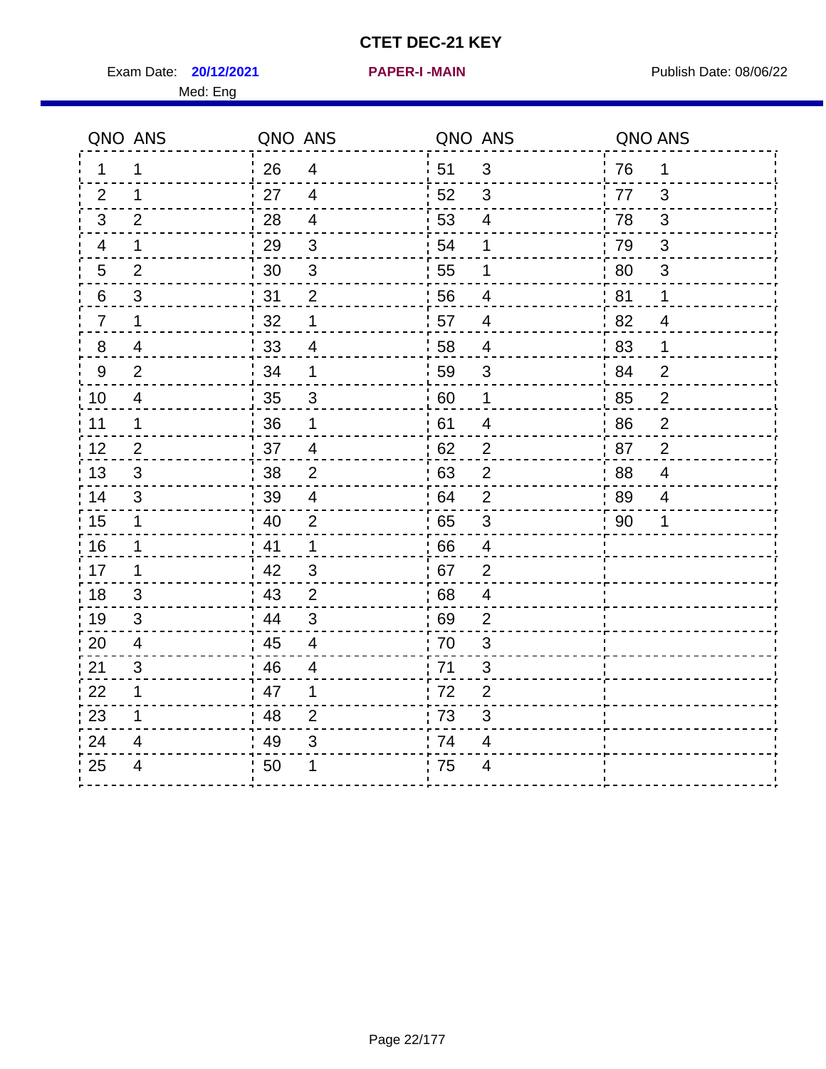Exam Date: **20/12/2021 PAPER-I-MAIN Exam Date: 08/06/22** Med: Eng

|                | QNO ANS        | QNO ANS |                          | QNO ANS |                          | QNO ANS |                         |
|----------------|----------------|---------|--------------------------|---------|--------------------------|---------|-------------------------|
| 1              | 1              | 26      | $\overline{\mathcal{A}}$ | 51      | $\mathfrak{B}$           | 76      | $\mathbf 1$             |
| 2              | 1              | 27      | $\overline{4}$           | 52      | 3                        | 77      | 3                       |
| 3              | $\overline{2}$ | 28      | $\overline{4}$           | 53      | $\overline{4}$           | 78      | 3                       |
| 4              | 1              | 29      | $\mathfrak{S}$           | 54      | 1                        | 79      | 3                       |
| 5              | $\overline{2}$ | 30      | $\sqrt{3}$               | 55      | 1                        | 80      | $\mathfrak{S}$          |
| 6              | $\mathbf{3}$   | 31      | $\overline{2}$           | 56      | $\overline{4}$           | 81      | 1                       |
| $\overline{7}$ | 1              | 32      | 1                        | 57      | 4                        | 82      | 4                       |
| $8\phantom{1}$ | 4              | 33      | $\overline{4}$           | 58      | $\overline{\mathcal{A}}$ | 83      | 1                       |
| $9\,$          | $\overline{2}$ | 34      | $\mathbf{1}$             | 59      | 3                        | 84      | $\overline{2}$          |
| 10             | $\overline{4}$ | 35      | 3                        | 60      | $\mathbf 1$              | 85      | $\overline{2}$          |
| 11             | $\mathbf 1$    | 36      | 1                        | 61      | $\overline{\mathbf{4}}$  | 86      | $\mathbf 2$             |
| 12             | $\overline{2}$ | 37      | $\overline{\mathbf{4}}$  | 62      | $\mathbf{2}$             | 87      | $\overline{2}$          |
| 13             | 3              | 38      | $\overline{2}$           | 63      | $\overline{2}$           | 88      | $\overline{\mathbf{4}}$ |
| 14             | 3              | 39      | $\overline{4}$           | 64      | $\overline{2}$           | 89      | 4                       |
| 15             | $\mathbf 1$    | 40      | $\overline{2}$           | 65      | $\sqrt{3}$               | 90      | 1                       |
| 16             | 1              | 41      | $\mathbf 1$              | 66      | $\overline{4}$           |         |                         |
| 17             | 1              | 42      | 3                        | 67      | 2                        |         |                         |
| 18             | 3              | 43      | $\overline{2}$           | 68      | 4                        |         |                         |
| 19             | 3              | 44      | 3                        | 69      | $\overline{2}$           |         |                         |
| 20             | $\overline{4}$ | 45      | $\overline{4}$           | 70      | 3                        |         |                         |
| 21             | 3              | 46      | 4                        | 71      | 3                        |         |                         |
| 22             | $\mathbf 1$    | 47      | $\mathbf 1$              | 72      | $\overline{2}$           |         |                         |
| 23             | 1              | 48      | $\overline{2}$           | 73      | 3                        |         |                         |
| 24             | 4              | 49      | 3                        | 74      | 4                        |         |                         |
| 25             | 4              | 50      | 1                        | 75      | $\overline{4}$           |         |                         |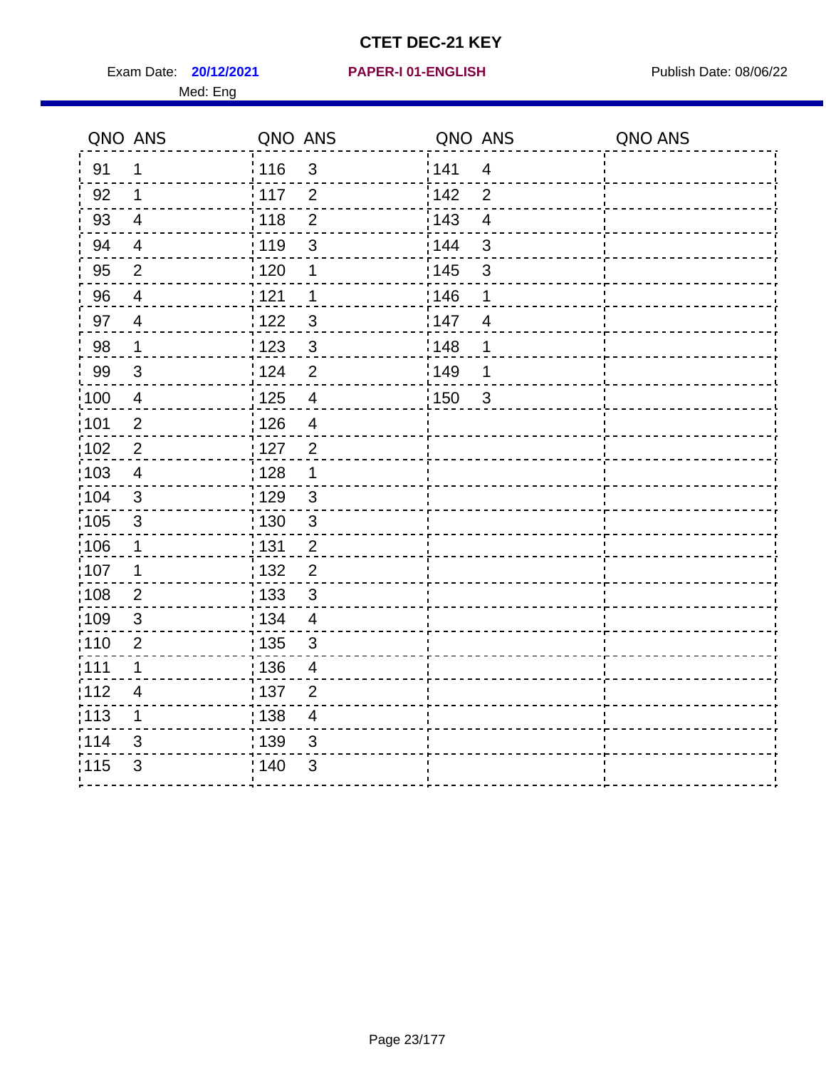Exam Date: **20/12/2021 PAPER-I 01-ENGLISH Propriet Algebra 20/06/22** 

#### **20/12/2021 PAPER-I 01-ENGLISH**

#### Med: Eng

|       | QNO ANS                  | QNO ANS                 | QNO ANS                          | QNO ANS |
|-------|--------------------------|-------------------------|----------------------------------|---------|
| 91    | 1                        | : 116<br>$\mathfrak{S}$ | 141<br>$\overline{4}$            |         |
| 92    | 1                        | 117<br>$\overline{2}$   | 142<br>$\overline{2}$            |         |
| 93    | $\overline{4}$           | : 118<br>$\overline{2}$ | : 143<br>$\overline{4}$          |         |
| 94    | $\overline{\mathcal{A}}$ | 119<br>$\mathsf 3$      | 3<br>: 144                       |         |
| 95    | $\overline{2}$           | :120<br>1               | : 145<br>3                       |         |
| 96    | $\overline{4}$           | 121<br>$\mathbf 1$      | 146<br>1                         |         |
| 97    | $\overline{4}$           | 1122<br>$\mathfrak{S}$  | :147<br>$\overline{\mathcal{A}}$ |         |
| 98    | $\mathbf 1$              | :123<br>3               | :148<br>$\mathbf 1$              |         |
| 99    | 3                        | i 124<br>$\overline{2}$ | ¦149<br>1                        |         |
| :100  | $\overline{4}$           | : 125<br>$\overline{4}$ | 150<br>$\mathbf{3}$              |         |
| 101   | $\overline{2}$           | : 126<br>$\overline{4}$ |                                  |         |
| 102   | $\overline{2}$           | : 127<br>$\overline{2}$ |                                  |         |
| 103   | $\overline{4}$           | : 128<br>1              |                                  |         |
| 104   | $\mathsf 3$              | : 129<br>$\mathbf{3}$   |                                  |         |
| 105   | $\sqrt{3}$               | : 130<br>$\mathfrak{S}$ |                                  |         |
| 106   | 1                        | 131<br>$\overline{2}$   |                                  |         |
| 107   | 1                        | 132<br>$\overline{c}$   |                                  |         |
| :108  | $\mathbf 2$              | $\mathfrak{S}$<br>: 133 |                                  |         |
| :109  | $\mathfrak{S}$           | : 134<br>$\overline{4}$ |                                  |         |
| :110  | $\overline{2}$           | : 135<br>$\mathbf{3}$   |                                  |         |
| :111  | $\mathbf 1$              | 136<br>$\overline{4}$   |                                  |         |
| 112   | $\overline{4}$           | ;137<br>$\overline{2}$  |                                  |         |
| : 113 | 1                        | 138 <br>4               |                                  |         |
| 114   | 3                        | : 139<br>3              |                                  |         |
| 115   | $\mathfrak{S}$           | 140<br>3                |                                  |         |
|       |                          |                         |                                  |         |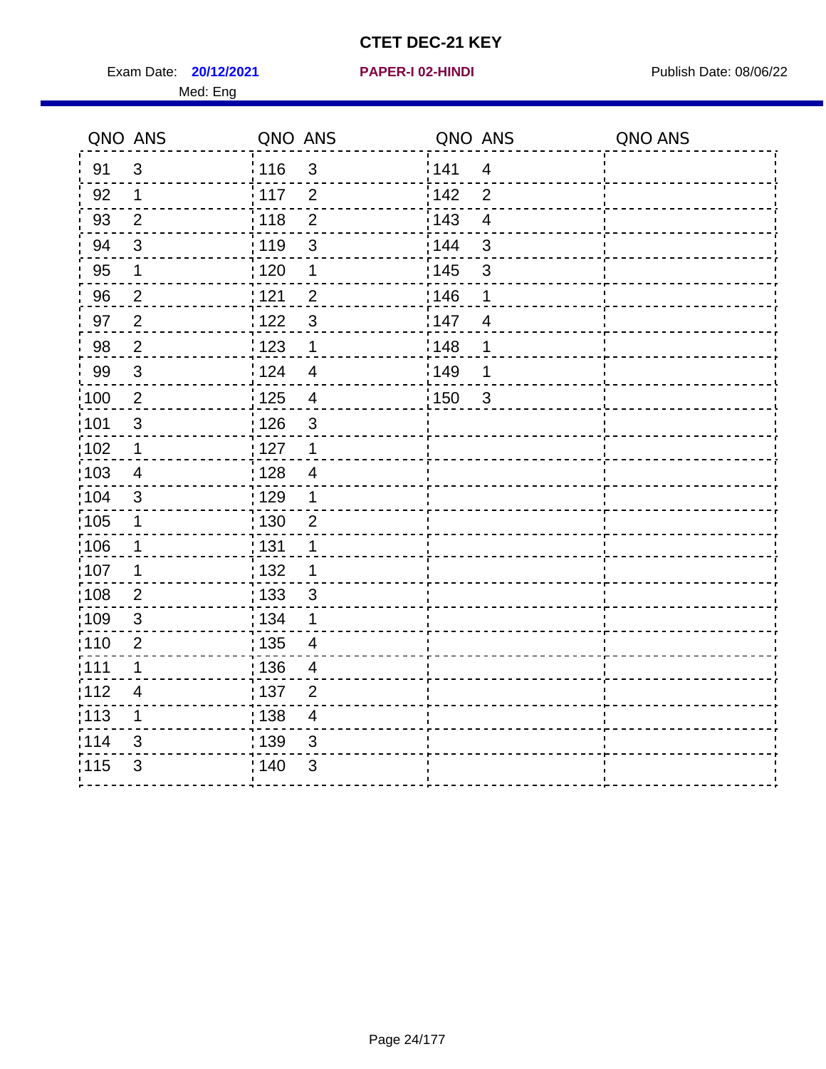Exam Date: **20/12/2021 PAPER-I 02-HINDI Exam Date: 08/06/22** Med: Eng

#### **20/12/2021 PAPER-I 02-HINDI**

|                   | QNO ANS        | QNO ANS           |                | QNO ANS           |                | QNO ANS |
|-------------------|----------------|-------------------|----------------|-------------------|----------------|---------|
| 91                | 3              | :116              | $\mathbf{3}$   | 141               | $\overline{4}$ |         |
| 92                | $\mathbf{1}$   | 117               | 2              | 142               | $\overline{2}$ |         |
| 93                | $\overline{2}$ | 118               | $\overline{2}$ | 143               | $\overline{4}$ |         |
| 94                | $\sqrt{3}$     | : 119             | 3              | 144               | $\mathfrak{S}$ |         |
| 95                | $\mathbf 1$    | : 120             | $\mathbf{1}$   | : 145             | $\mathfrak{S}$ |         |
| 96                | $\overline{2}$ | 121               | $\overline{2}$ | 146               | 1              |         |
| 97                | $\overline{2}$ | 1122              | $\mathbf{3}$   | 147               | $\overline{4}$ |         |
| 98                | $\overline{2}$ | : 123             | $\mathbf 1$    | 148               | 1              |         |
| 99                | $\mathbf{3}$   | 124               | $\overline{4}$ | 149               | 1              |         |
| $\frac{1}{1}$ 100 | $\overline{2}$ | $\frac{1}{2}$ 125 | $\overline{4}$ | $\frac{1}{1}$ 150 | $\mathbf{3}$   |         |
| :101              | $\mathfrak{S}$ | 126               | 3              |                   |                |         |
| 102               | $\mathbf 1$    | : 127             | $\overline{1}$ |                   |                |         |
| 103               | $\overline{4}$ | : 128             | $\overline{4}$ |                   |                |         |
| 104               | 3              | : 129             | $\mathbf 1$    |                   |                |         |
| $\frac{1}{1}$ 105 | $\mathbf 1$    | : 130             | $\overline{2}$ |                   |                |         |
| :106              | $\mathbf 1$    | : 131             | $\mathbf 1$    |                   |                |         |
| 107               | 1              | : 132             | 1              |                   |                |         |
| 108               | $\overline{2}$ | : 133             | 3              |                   |                |         |
| $\frac{1}{1}$ 109 | $\sqrt{3}$     | : 134             | 1              |                   |                |         |
| :110              | $\overline{2}$ | : 135             | $\overline{4}$ |                   |                |         |
| : 111             | 1              | : 136             | $\overline{4}$ |                   |                |         |
| 112               | $\overline{4}$ | : 137             | $\overline{2}$ |                   |                |         |
| : 113             | $\mathbf 1$    | : 138             | $\overline{4}$ |                   |                |         |
| 114               | 3              | : 139             | 3              |                   |                |         |
| 115               | 3              | : 140             | 3              |                   |                |         |
|                   |                |                   |                |                   |                |         |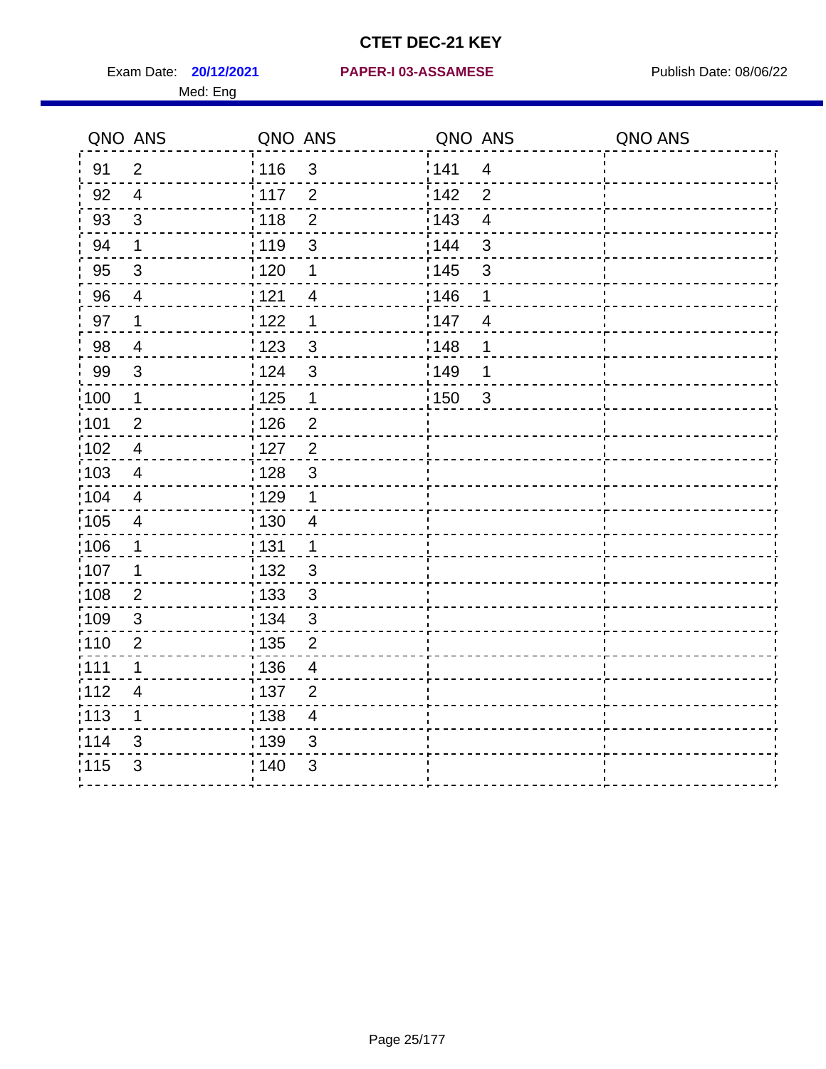Med: Eng

|                   | QNO ANS                  | QNO ANS           |                          | QNO ANS           |                | QNO ANS |
|-------------------|--------------------------|-------------------|--------------------------|-------------------|----------------|---------|
| 91                | $\overline{2}$           | : 116             | $\mathbf{3}$             | 141               | $\overline{4}$ |         |
| 92                | $\overline{4}$           | $\frac{1}{117}$   | $\overline{2}$           | 142               | $\overline{2}$ |         |
| 93                | $\mathfrak{S}$           | 118               | $\mathbf 2$              | 143               | $\overline{4}$ |         |
| 94                | $\mathbf 1$              | : 119             | $\mathbf{3}$             | : 144             | $\mathfrak{S}$ |         |
| 95                | $\mathfrak{B}$           | : 120             | 1                        | : 145             | $\mathfrak{S}$ |         |
| 96                | 4                        | 121               | 4                        | 146               | 1              |         |
| 97                | 1                        | 1122              | 1                        | 147               | 4              |         |
| 98                | $\overline{\mathcal{A}}$ | $\frac{1}{2}$ 123 | $\mathfrak{S}$           | : 148             | 1              |         |
| 99                | $\sqrt{3}$               | 124               | $\mathfrak{S}$           | :149              | 1              |         |
| 100               | $\mathbf 1$              | $\frac{1}{1}$ 125 | $\mathbf 1$              | $\frac{1}{1}$ 150 | $\mathbf{3}$   |         |
| :101              | $\mathbf 2$              | 126               | $\overline{2}$           |                   |                |         |
| 102               | $\overline{4}$           | : 127             | $\overline{2}$           |                   |                |         |
| 103               | 4                        | : 128             | $\mathfrak{3}$           |                   |                |         |
| 104               | $\overline{4}$           | 129               | $\mathbf 1$              |                   |                |         |
| 105               | $\overline{\mathbf{4}}$  | 130               | $\overline{4}$           |                   |                |         |
| 106               | 1                        | : 131             | $\mathbf 1$              |                   |                |         |
| :107              | 1                        | : 132             | 3                        |                   |                |         |
| $\frac{1}{1}$ 108 | $\overline{2}$           | : 133             | $\mathbf{3}$             |                   |                |         |
| 109               | $\mathfrak{S}$           | : 134             | $\mathfrak{3}$           |                   |                |         |
| :110              | $\overline{2}$           | : 135             | $\overline{2}$           |                   |                |         |
| 111               | 1                        | : 136             | $\overline{\mathcal{A}}$ |                   |                |         |
| 112               | 4                        | : 137             | $\mathbf{2}$             |                   |                |         |
| $\frac{1}{1}$ 113 | 1                        | : 138             | $\overline{4}$           |                   |                |         |
| 114               | 3                        | 139               | 3                        |                   |                |         |
| 115               | 3                        | : 140             | 3                        |                   |                |         |
|                   |                          |                   |                          |                   |                |         |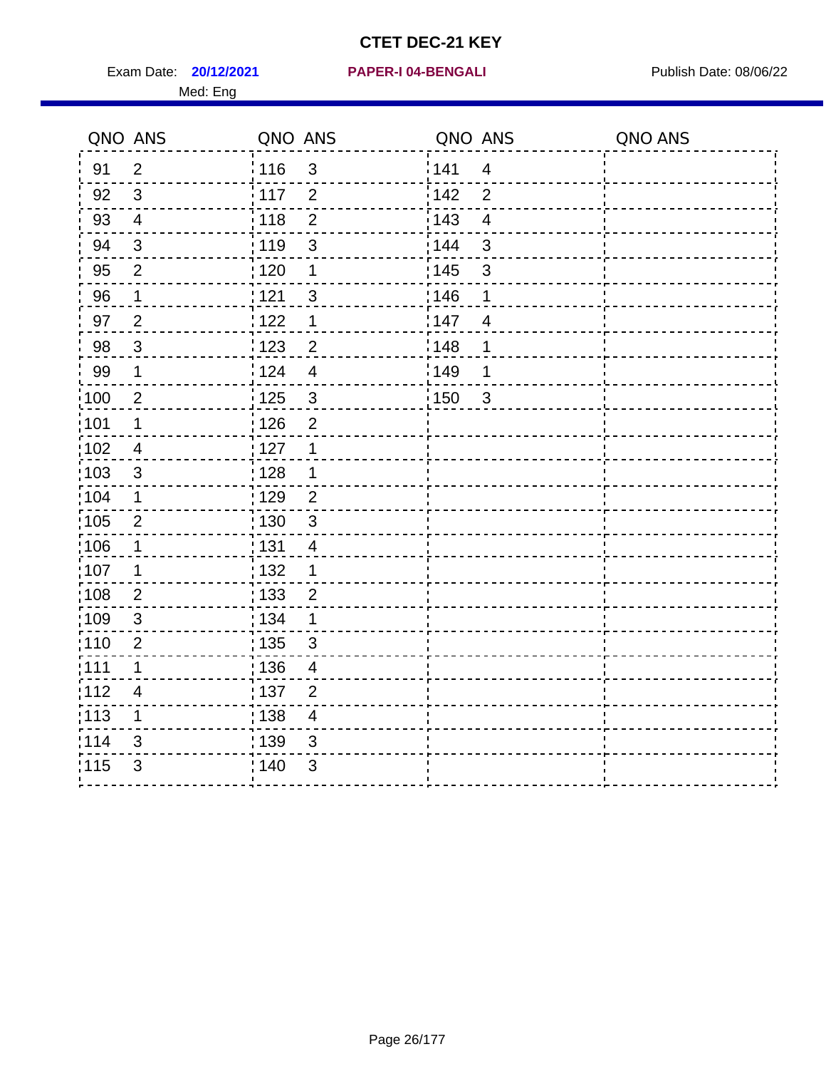Exam Date: **20/12/2021 PAPER-I 04-BENGALI Exam Date: 08/06/22** 

## **20/12/2021 PAPER-I 04-BENGALI**

#### Med: Eng

|                   | QNO ANS          | QNO ANS |                          | QNO ANS |                         | QNO ANS |
|-------------------|------------------|---------|--------------------------|---------|-------------------------|---------|
| 91                | $\overline{2}$   | 116     | $\mathfrak{S}$           | 141     | $\overline{4}$          |         |
| 92                | $\mathbf{3}$     | $-117$  | $\overline{2}$           | 142     | $\overline{2}$          |         |
| 93                | $\overline{4}$   | 118     | $\overline{2}$           | 143     | $\overline{4}$          |         |
| 94                | $\sqrt{3}$       | 119     | $\mathfrak{S}$           | 144     | $\mathsf 3$             |         |
| 95                | $\overline{2}$   | : 120   | 1                        | : 145   | 3                       |         |
| 96                | $\mathbf 1$      | 121     | $\mathbf{3}$             | 146     | 1                       |         |
| 97                | $\overline{2}$   | 1122    | 1                        | 147     | $\overline{4}$          |         |
| 98                | $\mathbf{3}$     | : 123   | $\overline{2}$           | :148    | 1                       |         |
| 99                | 1                | 124     | $\overline{4}$           | 149¦    | 1                       |         |
| :100              | $\overline{2}$   | : 125   | $\mathbf{3}$             | :150    | $\overline{\mathbf{3}}$ |         |
| :101              | 1                | 126     | $\overline{2}$           |         |                         |         |
| 102               | 4                | 127     | $\mathbf 1$              |         |                         |         |
| :103              | $\mathfrak{S}$   | 128     | 1                        |         |                         |         |
| 104               | 1                | : 129   | $\overline{2}$           |         |                         |         |
| 105               | $\overline{2}$   | : 130   | 3                        |         |                         |         |
| 106               | 1                | : 131   | 4                        |         |                         |         |
| 107               | 1                | : 132   | 1                        |         |                         |         |
| :108              | $\boldsymbol{2}$ | 133     | $\overline{c}$           |         |                         |         |
| 109               | $\mathfrak{B}$   | : 134   | 1                        |         |                         |         |
| 110               | $\overline{2}$   | : 135   | 3                        |         |                         |         |
| 111               | 1                | : 136   | $\overline{4}$           |         |                         |         |
| 112               | 4                | : 137   | $\overline{2}$           |         |                         |         |
| $\frac{1}{1}$ 113 | 1                | : 138   | $\overline{\mathcal{A}}$ |         |                         |         |
| 114               | 3                | : 139   | 3                        |         |                         |         |
| 115               | 3                | 140     | $\mathfrak{B}$           |         |                         |         |
|                   |                  |         |                          |         |                         |         |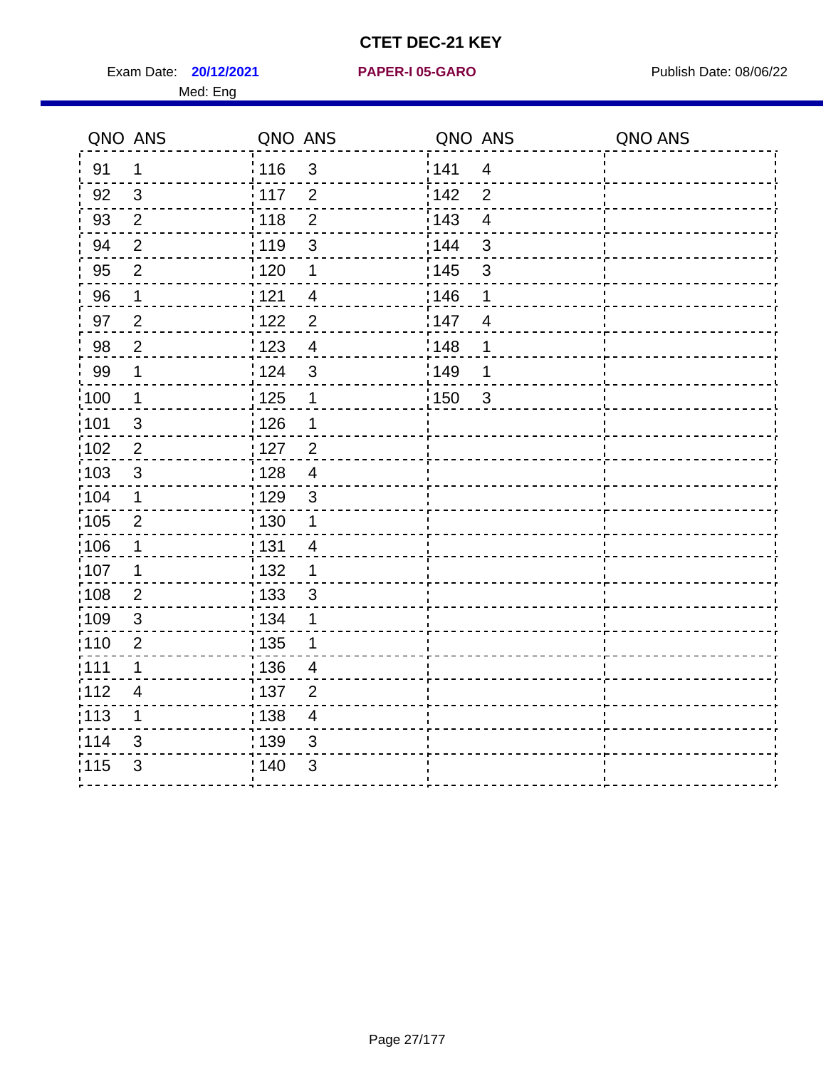Exam Date: **20/12/2021 PAPER-I 05-GARO** Publish Date: 08/06/22 Med: Eng

#### **20/12/2021 PAPER-I 05-GARO**

| 141<br>: 116<br>$\mathfrak{3}$<br>91<br>$\mathbf 1$<br>$\overline{4}$<br>3<br>117<br>142<br>92<br>$\overline{2}$<br>$\overline{2}$<br>$\overline{2}$<br>143<br>93<br>118<br>$\overline{2}$<br>$\overline{\mathbf{4}}$<br>144<br>119<br>$\mathbf{3}$<br>94<br>$\overline{2}$<br>3 |  |
|----------------------------------------------------------------------------------------------------------------------------------------------------------------------------------------------------------------------------------------------------------------------------------|--|
|                                                                                                                                                                                                                                                                                  |  |
|                                                                                                                                                                                                                                                                                  |  |
|                                                                                                                                                                                                                                                                                  |  |
|                                                                                                                                                                                                                                                                                  |  |
| 145<br>95<br>$\overline{2}$<br>$\frac{1}{1}$ 120<br>$\mathfrak{S}$<br>1                                                                                                                                                                                                          |  |
| 146<br>96<br>121<br>$\mathbf 1$<br>$\overline{4}$<br>1                                                                                                                                                                                                                           |  |
| 97<br>$\overline{2}$<br>$\overline{2}$<br>147<br>:122<br>$\overline{4}$                                                                                                                                                                                                          |  |
| $\sqrt{2}$<br>1148<br>98<br>: 123<br>$\overline{4}$<br>1                                                                                                                                                                                                                         |  |
| 99<br>$\mathbf 1$<br><sup>'</sup> 124<br>$\mathbf{3}$<br>:149<br>1                                                                                                                                                                                                               |  |
| $\mathbf 1$<br>125<br>100<br>150<br>$\mathbf{3}$<br>1                                                                                                                                                                                                                            |  |
| 126<br>:101<br>$\mathfrak{S}$<br>1                                                                                                                                                                                                                                               |  |
| 102<br>$\overline{2}$<br>$127$<br>$\overline{2}$                                                                                                                                                                                                                                 |  |
| 103<br>3<br>:128<br>$\overline{4}$                                                                                                                                                                                                                                               |  |
| 129<br>:104<br>$\mathbf 1$<br>$\mathbf{3}$                                                                                                                                                                                                                                       |  |
| 105<br>$\overline{2}$<br>$\frac{1}{1}$ 130<br>1                                                                                                                                                                                                                                  |  |
| 106<br>: 131<br>$\mathbf 1$<br>$\overline{4}$                                                                                                                                                                                                                                    |  |
| 107<br>1<br>: 132<br>1                                                                                                                                                                                                                                                           |  |
| 108<br>$\frac{1}{1}$ 133<br>$\overline{2}$<br>$\sqrt{3}$                                                                                                                                                                                                                         |  |
| 109<br>3<br>: 134<br>1                                                                                                                                                                                                                                                           |  |
| :110<br>: 135<br>$\overline{2}$                                                                                                                                                                                                                                                  |  |
| : 111<br>136<br>$\mathbf 1$<br>$\overline{4}$                                                                                                                                                                                                                                    |  |
| 112<br>: 137<br>$\overline{4}$<br>$\overline{2}$                                                                                                                                                                                                                                 |  |
| : 113<br>$\frac{1}{1}$ 138<br>1<br>$\overline{4}$                                                                                                                                                                                                                                |  |
| 1114<br>139<br>3<br>3                                                                                                                                                                                                                                                            |  |
| 115<br>3<br>: 140<br>3                                                                                                                                                                                                                                                           |  |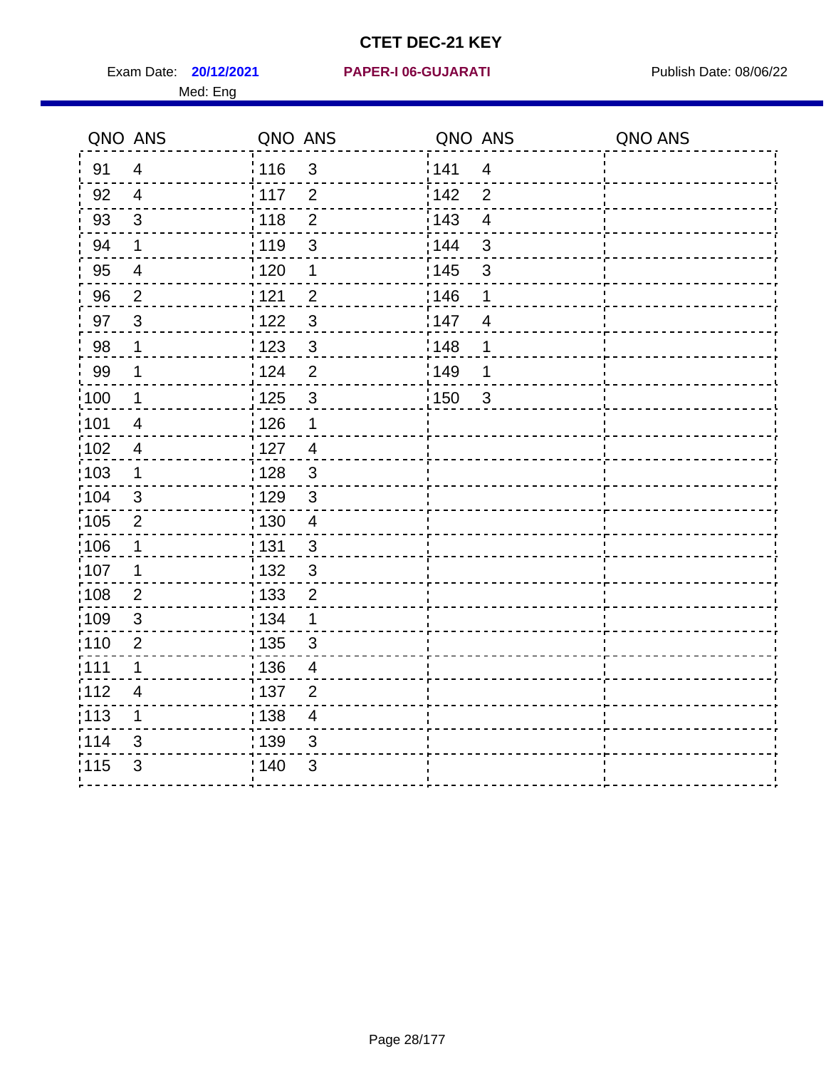**20/12/2021 PAPER-I 06-GUJARATI** Exam Date: Publish Date: 08/06/22

# Med: Eng

|      | QNO ANS                  | QNO ANS           |                          | QNO ANS |                          | QNO ANS |
|------|--------------------------|-------------------|--------------------------|---------|--------------------------|---------|
| 91   | $\overline{4}$           | i 116             | 3                        | 1141    | $\overline{\mathcal{A}}$ |         |
| 92   | $\overline{4}$           | $\frac{1}{2}$ 117 | $\overline{2}$           | 142     | 2                        |         |
| 93   | $\overline{3}$           | : 118             | $\overline{2}$           | : 143   | $\overline{4}$           |         |
| 94   | $\mathbf 1$              | : 119             | $\mathbf{3}$             | : 144   | $\sqrt{3}$               |         |
| 95   | $\overline{\mathcal{A}}$ | : 120             | 1                        | : 145   | $\mathfrak{B}$           |         |
| 96   | $\overline{c}$           | 121               | $\overline{c}$           | 146     | 1                        |         |
| 97   | 3                        | 122               | $\mathfrak{3}$           | 147     | $\overline{4}$           |         |
| 98   | 1                        | $\frac{1}{2}$ 123 | $\overline{3}$           | 148     | 1                        |         |
| 99   | 1                        | 124               | $\overline{2}$           | 149     | 1                        |         |
| 100  | 1                        | : 125             | $\mathbf{3}$             | 150     | $\overline{\mathbf{3}}$  |         |
| 101  | $\overline{4}$           | $\frac{1}{2}$ 126 | 1                        |         |                          |         |
| 102  | $\overline{4}$           | 127               | $\overline{4}$           |         |                          |         |
| 103  | $\mathbf 1$              | $\frac{1}{1}$ 128 | $\mathfrak{S}$           |         |                          |         |
| 104  | $\mathbf{3}$             | : 129             | $\mathbf{3}$             |         |                          |         |
| 105  | $\overline{2}$           | : 130             | $\overline{\mathcal{A}}$ |         |                          |         |
| ;106 | 1                        | : 131             | $\mathfrak{S}$           |         |                          |         |
| :107 | 1                        | : 132             | $\mathsf 3$              |         |                          |         |
| :108 | $\overline{2}$           | : 133             | $\mathbf 2$              |         |                          |         |
| :109 | $\mathfrak{B}$           | : 134             | $\mathbf 1$              |         |                          |         |
| :110 | 2                        | : 135             | $\mathbf{3}$             |         |                          |         |
| :111 | 1                        | : 136             | $\overline{4}$           |         |                          |         |
| 112  | $\overline{4}$           | : 137             | $\overline{2}$           |         |                          |         |
| 113  | 1                        | : 138             | $\overline{\mathcal{A}}$ |         |                          |         |
| 114  | 3                        | : 139             | 3                        |         |                          |         |
| 115  | 3                        | :140              | 3                        |         |                          |         |
|      |                          |                   |                          |         |                          |         |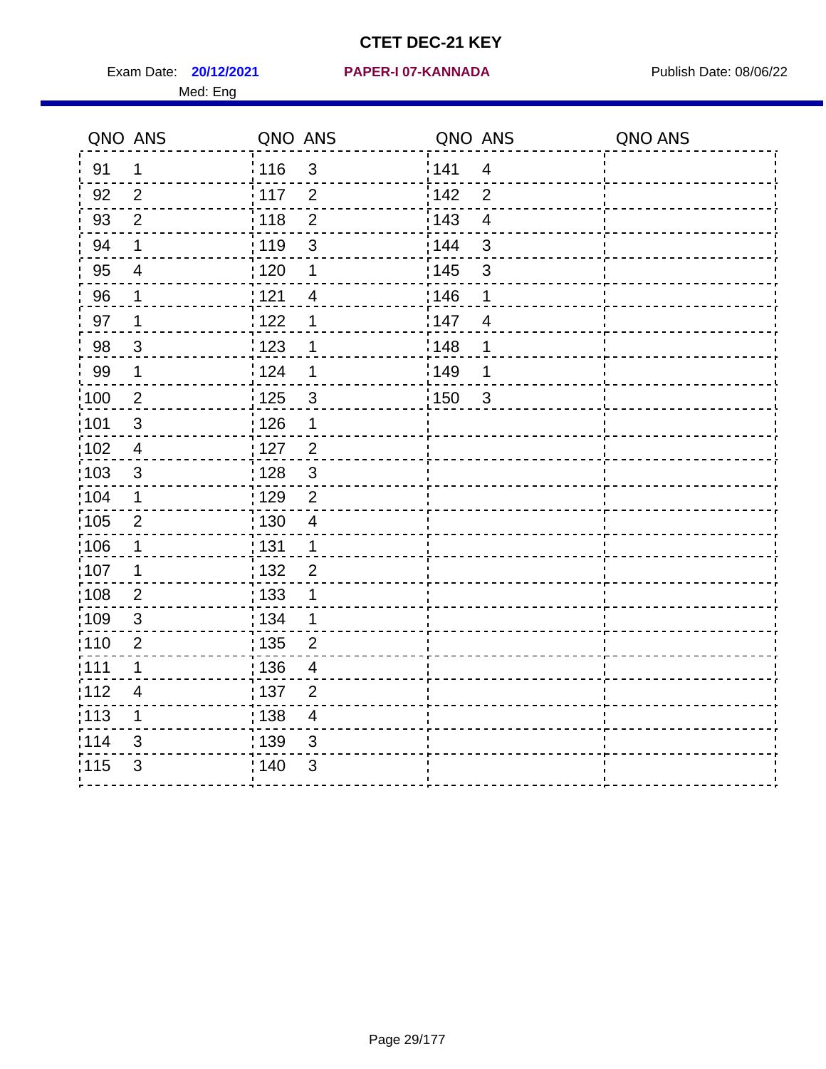Exam Date: **20/12/2021 PAPER-I 07-KANNADA** Publish Date: 08/06/22 Med: Eng

#### **20/12/2021 PAPER-I 07-KANNADA**

| QNO ANS           |                         | QNO ANS           |                          | QNO ANS |                         | QNO ANS |
|-------------------|-------------------------|-------------------|--------------------------|---------|-------------------------|---------|
| 91                | $\mathbf{1}$            | 116               | $\mathfrak{3}$           | 141     | $\overline{4}$          |         |
| 92                | 2                       | 117               | 2                        | 142     | $\overline{2}$          |         |
| 93                | $\overline{2}$          | 118               | $\overline{2}$           | 143     | $\overline{\mathbf{4}}$ |         |
| 94                | $\mathbf 1$             | : 119             | 3                        | 144     | $\mathbf{3}$            |         |
| 95                | $\overline{\mathbf{4}}$ | 120               | 1                        | : 145   | $\mathfrak{S}$          |         |
| 96                | 1                       | 121               | $\overline{\mathbf{4}}$  | 146     | 1                       |         |
| 97                | $\mathbf 1$             | 122               | 1                        | 147     | $\overline{4}$          |         |
| 98                | $\mathbf{3}$            | 123               | $\mathbf 1$              | 148     | 1                       |         |
| 99                | $\mathbf 1$             | 124               | $\mathbf 1$              | 149     | 1                       |         |
| 100               | $\overline{2}$          | 125               | 3                        | 150     | $\mathbf{3}$            |         |
| 101               | $\sqrt{3}$              | : 126             | $\mathbf 1$              |         |                         |         |
| 102               | $\overline{4}$          | : 127             | $\overline{2}$           |         |                         |         |
| :103              | 3                       | : 128             | 3                        |         |                         |         |
| 104               | $\mathbf 1$             | : 129             | $\overline{2}$           |         |                         |         |
| :105              | $\overline{2}$          | : 130             | $\overline{4}$           |         |                         |         |
| :106              | $\mathbf 1$             | : 131             | $\mathbf 1$              |         |                         |         |
| 107               | $\mathbf 1$             | : 132             | $\overline{2}$           |         |                         |         |
| 108               | $\overline{2}$          | $\frac{1}{1}$ 133 | 1                        |         |                         |         |
| :109              | $\mathfrak{S}$          | : 134             | $\mathbf 1$              |         |                         |         |
| 110               | $\overline{2}$          | : 135             | $\overline{2}$           |         |                         |         |
| : 111             | $\mathbf 1$             | : 136             | 4                        |         |                         |         |
| 112               | $\overline{4}$          | : 137             | $\overline{2}$           |         |                         |         |
| $\frac{1}{1}$ 113 | $\mathbf 1$             | : 138             | $\overline{\mathcal{A}}$ |         |                         |         |
| 114               | 3                       | 139               | 3                        |         |                         |         |
| 115               | 3                       | 140               | 3                        |         |                         |         |
|                   |                         |                   |                          |         |                         |         |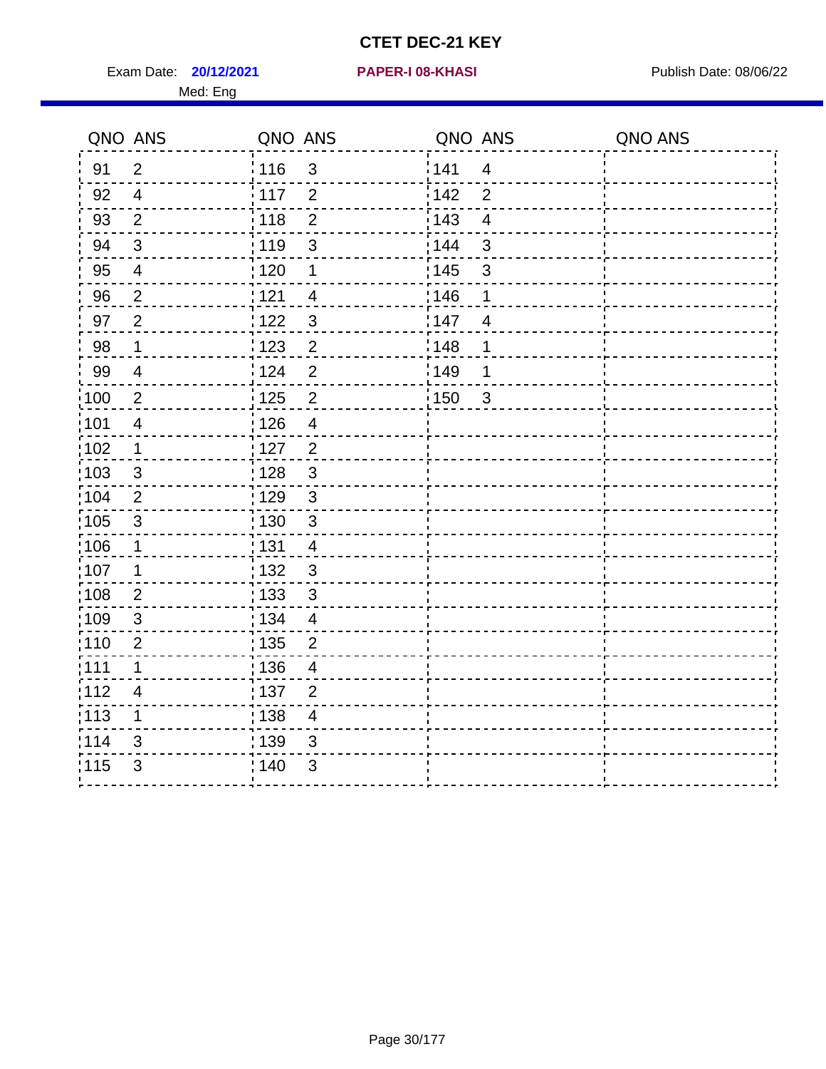Exam Date: **20/12/2021 PAPER-I 08-KHASI PREXALL RESPONSE PUblish Date: 08/06/22** Med: Eng

#### **20/12/2021 PAPER-I 08-KHASI**

| QNO ANS           |                         | QNO ANS           |                         | QNO ANS |                | QNO ANS |
|-------------------|-------------------------|-------------------|-------------------------|---------|----------------|---------|
| 91                | $\overline{2}$          | : 116             | $\mathfrak{S}$          | 141     | $\overline{4}$ |         |
| 92                | $\overline{4}$          | 117               | $\overline{2}$          | 142     | $\overline{2}$ |         |
| 93                | $\overline{2}$          | 118               | $\overline{2}$          | 143     | $\overline{4}$ |         |
| 94                | $\sqrt{3}$              | 119               | $\sqrt{3}$              | 144     | $\mathbf{3}$   |         |
| 95                | $\overline{4}$          | :120              | $\mathbf 1$             | : 145   | $\sqrt{3}$     |         |
| 96                | $\overline{2}$          | 121               | $\overline{4}$          | 146     | 1              |         |
| 97                | $\overline{2}$          | 122               | $\mathbf{3}$            | 147     | $\overline{4}$ |         |
| 98                | $\mathbf 1$             | 123               | $\overline{2}$          | 148     | 1              |         |
| 99                | $\overline{4}$          | 124               | $\overline{2}$          | 149     | 1              |         |
| 100               | $\overline{2}$          | 125               | $\mathbf 2$             | 150     | $\mathbf{3}$   |         |
| 101               | $\overline{\mathbf{4}}$ | : 126             | $\overline{4}$          |         |                |         |
| 102               | $\mathbf 1$             | : 127             | $\overline{2}$          |         |                |         |
| 103               | 3                       | : 128             | $\mathfrak{S}$          |         |                |         |
| 104               | 2                       | : 129             | 3                       |         |                |         |
| 105               | $\mathbf{3}$            | : 130             | $\mathbf{3}$            |         |                |         |
| $\frac{1}{1}$ 106 | $\mathbf 1$             | : 131             | $\overline{4}$          |         |                |         |
| 107               | 1                       | : 132             | $\mathbf{3}$            |         |                |         |
| :108              | $\overline{2}$          | : 133             | 3                       |         |                |         |
| :109              | $\mathfrak{S}$          | : 134             | $\overline{\mathbf{4}}$ |         |                |         |
| 110               | $\overline{2}$          | $\frac{1}{1}$ 135 | $\overline{2}$          |         |                |         |
| :111              | 1                       | : 136             | $\overline{4}$          |         |                |         |
| :112              | $\overline{4}$          | :137              | $\overline{2}$          |         |                |         |
| 113               | 1                       | 138               | $\overline{4}$          |         |                |         |
| 114               | 3                       | 139               | $\sqrt{3}$              |         |                |         |
| 115               | 3                       | ; 140             | 3                       |         |                |         |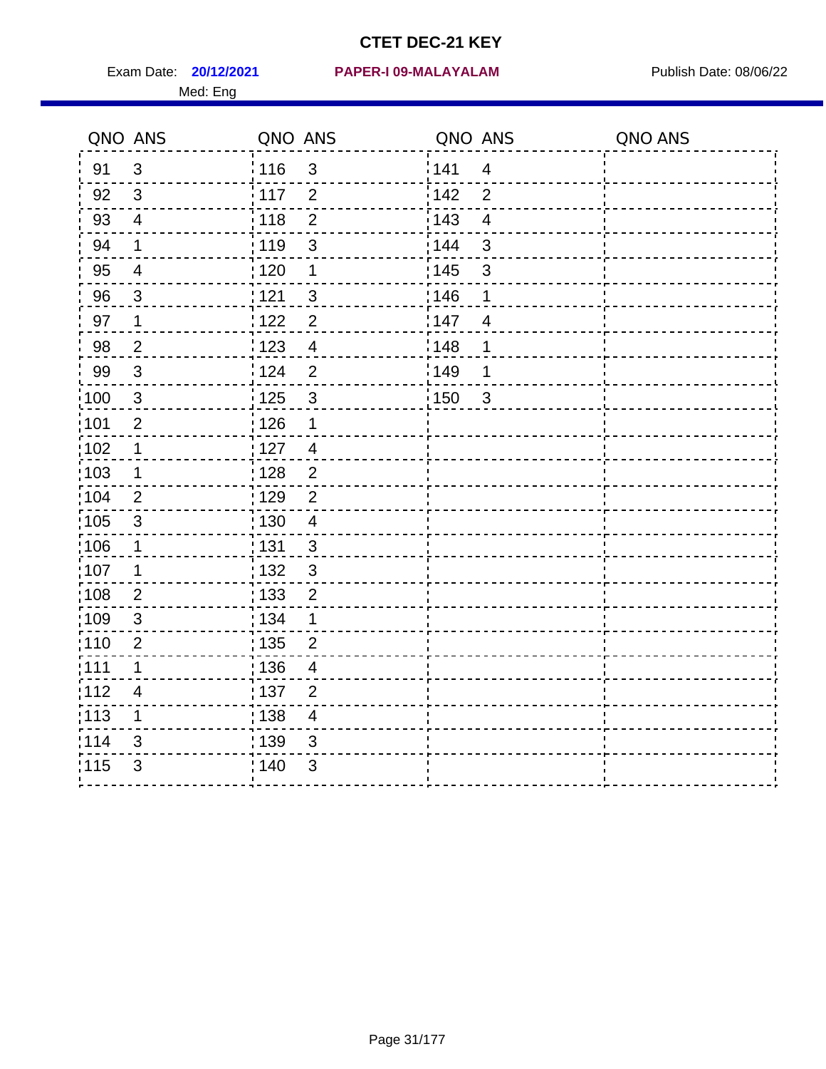Med: Eng

|                   | QNO ANS        | QNO ANS |                  | QNO ANS |                | QNO ANS |
|-------------------|----------------|---------|------------------|---------|----------------|---------|
| 91                | $\mathbf{3}$   | : 116   | $\mathfrak{S}$   | 1141    | $\overline{4}$ |         |
| 92                | 3              | : 117   | $\overline{2}$   | 142     | $\overline{2}$ |         |
| 93                | $\overline{4}$ | 118     | $\overline{2}$   | 143     | $\overline{4}$ |         |
| 94                | 1              | : 119   | 3                | : 144   | 3              |         |
| 95                | $\overline{4}$ | : 120   | 1                | : 145   | $\mathfrak{S}$ |         |
| 96                | 3              | : 121   | 3                | 146     | 1              |         |
| 97                | $\mathbf 1$    | 1122    | $\overline{c}$   | 147     | $\overline{4}$ |         |
| 98                | $\overline{2}$ | 1123    | $\overline{4}$   | 148     | 1              |         |
| 99                | $\sqrt{3}$     | 124     | $\overline{2}$   | :149    | 1              |         |
| :100              | $\mathbf{3}$   | 125     | $\mathbf{3}$     | 150     | $\mathbf{3}$   |         |
| :101              | $\overline{2}$ | : 126   | 1                |         |                |         |
| :102              | $\mathbf 1$    | : 127   | $\overline{4}$   |         |                |         |
| :103              | $\mathbf 1$    | :128    | $\overline{2}$   |         |                |         |
| 104               | $\overline{2}$ | : 129   | $\overline{2}$   |         |                |         |
| 105               | $\sqrt{3}$     | : 130   | $\overline{4}$   |         |                |         |
| 106               | 1              | : 131   | 3                |         |                |         |
| 107               | 1              | :132    | 3                |         |                |         |
| :108              | $\overline{2}$ | : 133   | $\boldsymbol{2}$ |         |                |         |
| :109              | $\sqrt{3}$     | : 134   | $\mathbf 1$      |         |                |         |
| :110              | $\overline{2}$ | : 135   | $\overline{2}$   |         |                |         |
| 111               | 1              | : 136   | $\overline{4}$   |         |                |         |
| 112               | $\overline{4}$ | : 137   | $\mathbf{2}$     |         |                |         |
| $\frac{1}{1}$ 113 | 1              | : 138   | $\overline{4}$   |         |                |         |
| 114               | 3              | 139     | 3                |         |                |         |
| 115               | 3              | : 140   | $\mathfrak{B}$   |         |                |         |
|                   |                |         |                  |         |                |         |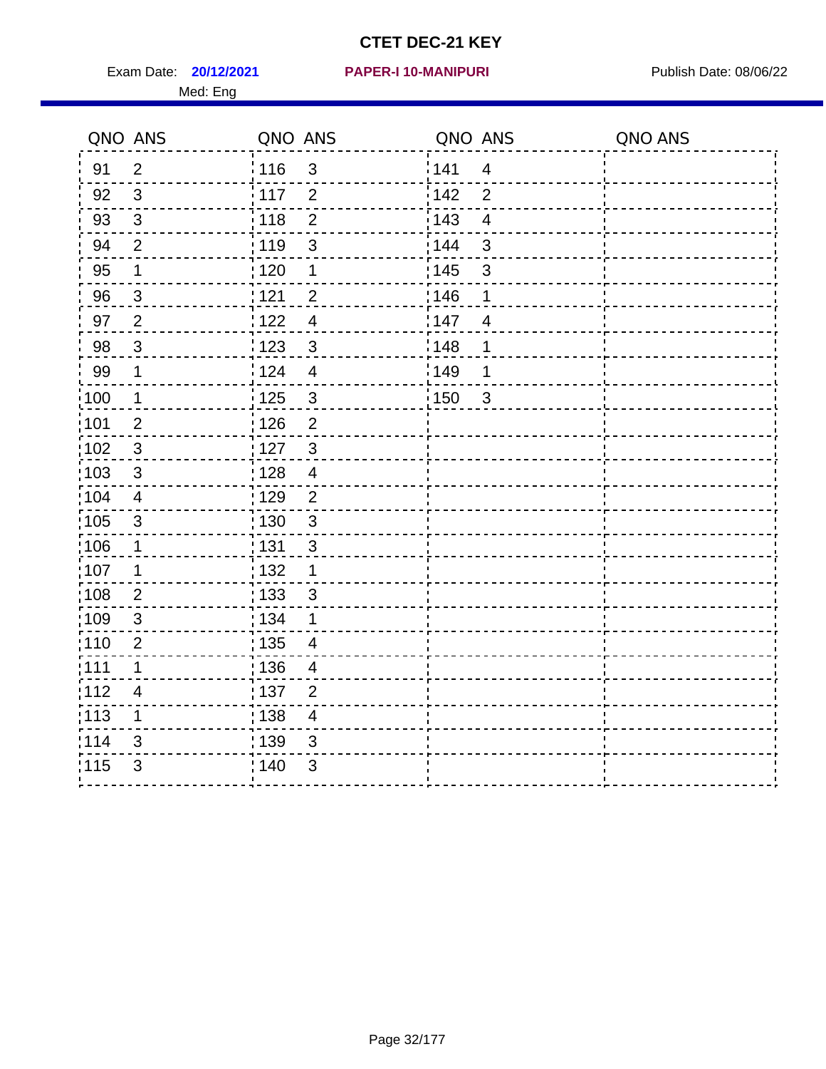Exam Date: **20/12/2021 PAPER-I 10-MANIPURI Proposed Bublish Date: 08/06/22** Med: Eng

#### **20/12/2021 PAPER-I 10-MANIPURI**

|                   | QNO ANS                 | QNO ANS           |                          | QNO ANS |                | QNO ANS |
|-------------------|-------------------------|-------------------|--------------------------|---------|----------------|---------|
| 91                | $\overline{2}$          | : 116             | $\mathfrak{3}$           | 141     | $\overline{4}$ |         |
| 92                | $\mathfrak{S}$          | 117               | $\overline{2}$           | 142     | $\overline{2}$ |         |
| 93                | $\mathfrak{S}$          | 118               | $\overline{2}$           | 143     | $\overline{4}$ |         |
| 94                | $\overline{2}$          | : 119             | $\mathfrak{S}$           | 144     | $\mathbf{3}$   |         |
| 95                | $\mathbf 1$             | : 120             | 1                        | : 145   | $\sqrt{3}$     |         |
| 96                | $\mathbf{3}$            | 121               | $\overline{2}$           | 146     | 1              |         |
| 97                | $\overline{2}$          | 122               | $\overline{\mathbf{4}}$  | 147     | $\overline{4}$ |         |
| 98                | $\mathbf{3}$            | $\frac{1}{2}$ 123 | $\sqrt{3}$               | 148     | 1              |         |
| 99                | $\mathbf 1$             | 124               | $\overline{\mathbf{4}}$  | 149     | 1              |         |
| 100               | $\mathbf 1$             | $\frac{1}{1}$ 125 | $\mathbf{3}$             | 150     | $\mathbf{3}$   |         |
| 101               | $\mathbf{2}$            | 126               | $\overline{2}$           |         |                |         |
| $\frac{1}{1}$ 102 | $\mathbf{3}$            | : 127             | $\mathbf{3}$             |         |                |         |
| 103               | 3                       | : 128             | $\overline{4}$           |         |                |         |
| $\frac{1}{1}$ 104 | $\overline{4}$          | : 129             | $\overline{2}$           |         |                |         |
| $\frac{1}{1}$ 105 | $\mathfrak{S}$          | : 130             | $\mathbf{3}$             |         |                |         |
| :106              | $\mathbf 1$             | : 131             | $\mathbf{3}$             |         |                |         |
| 107               | 1                       | : 132             | $\mathbf 1$              |         |                |         |
| $\frac{1}{1}$ 108 | $\overline{2}$          | 133               | $\mathfrak{3}$           |         |                |         |
| :109              | $\sqrt{3}$              | : 134             | $\mathbf 1$              |         |                |         |
| : 110             | $\overline{2}$          | : 135             | $\overline{\mathcal{A}}$ |         |                |         |
| : 111             | 1                       | : 136             | 4                        |         |                |         |
| 112               | $\overline{\mathbf{4}}$ | : 137             | $\overline{2}$           |         |                |         |
| 113               | $\mathbf 1$             | : 138             | $\overline{4}$           |         |                |         |
| 114               | 3                       | : 139             | 3                        |         |                |         |
| 115               | 3                       | 140               | 3                        |         |                |         |
|                   |                         |                   |                          |         |                |         |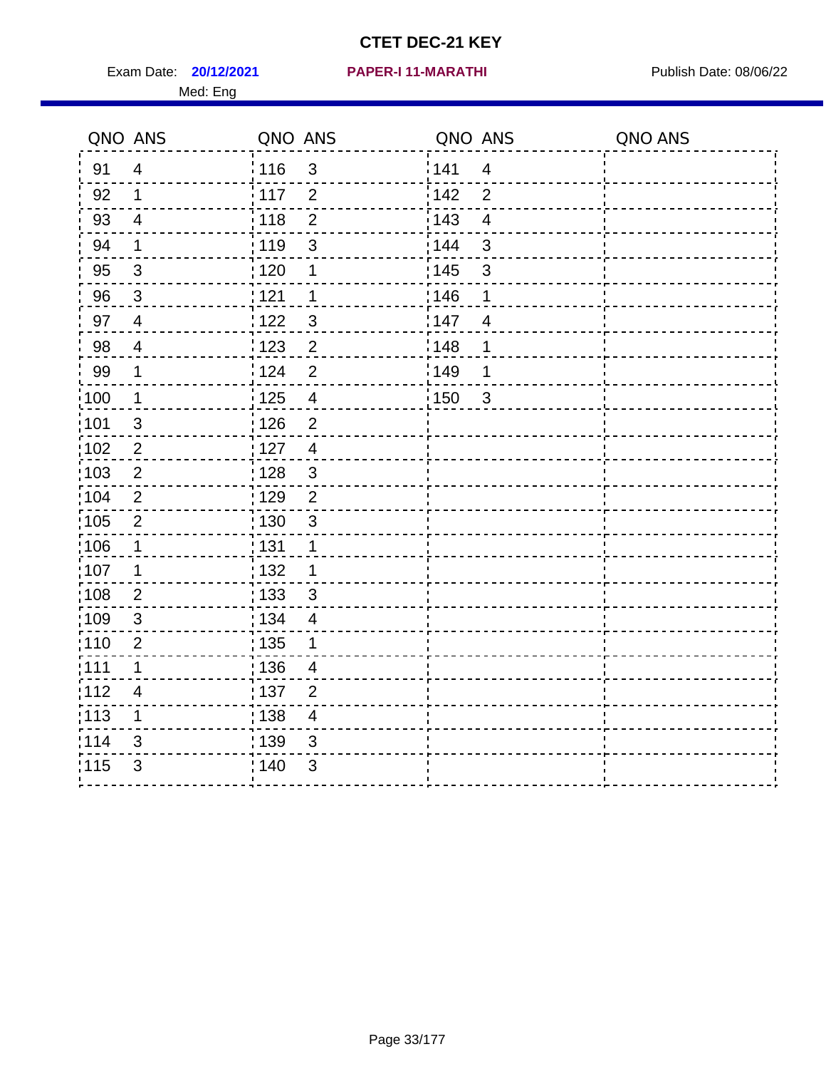Exam Date: **20/12/2021 PAPER-I 11-MARATHI Exam Date: 08/06/22** Med: Eng

#### **20/12/2021 PAPER-I 11-MARATHI**

| QNO ANS           |                         | QNO ANS           |                          | QNO ANS |                         | QNO ANS |
|-------------------|-------------------------|-------------------|--------------------------|---------|-------------------------|---------|
| 91                | $\overline{4}$          | 116               | $\mathbf{3}$             | 141     | $\overline{4}$          |         |
| 92                | $\mathbf{1}$            | 117               | 2                        | 142     | $\overline{2}$          |         |
| 93                | $\overline{\mathbf{4}}$ | 118               | $\overline{2}$           | 143     | $\overline{\mathbf{4}}$ |         |
| 94                | $\mathbf 1$             | 119               | 3                        | 144     | $\mathfrak{3}$          |         |
| 95                | $\mathfrak{3}$          | : 120             | 1                        | : 145   | $\mathfrak{S}$          |         |
| 96                | 3                       | 1121              | 1                        | 146     | 1                       |         |
| 97                | $\overline{4}$          | 122               | 3                        | 147     | $\overline{4}$          |         |
| 98                | $\overline{4}$          | 123               | $\overline{2}$           | 148     | 1                       |         |
| 99                | $\mathbf 1$             | 124               | $\overline{2}$           | 149     | 1                       |         |
| 100               | $\mathbf 1$             | 125               | $\overline{4}$           | 150     | $\mathbf{3}$            |         |
| 101               | $\sqrt{3}$              | : 126             | $\overline{2}$           |         |                         |         |
| 102               | $\sqrt{2}$              | :127              | $\overline{4}$           |         |                         |         |
| :103              | 2                       | : 128             | $\mathbf{3}$             |         |                         |         |
| 104               | $\overline{2}$          | : 129             | $\overline{2}$           |         |                         |         |
| 105               | $\overline{2}$          | $\frac{1}{1}$ 130 | $\mathbf{3}$             |         |                         |         |
| 106               | $\mathbf 1$             | : 131             | $\mathbf 1$              |         |                         |         |
| 107               | 1                       | : 132             | $\mathbf 1$              |         |                         |         |
| 108               | $\overline{2}$          | : 133             | $\mathbf{3}$             |         |                         |         |
| :109              | $\sqrt{3}$              | : 134             | $\overline{4}$           |         |                         |         |
| : 110             | $\overline{2}$          | : 135             | 1                        |         |                         |         |
| :111              | 1                       | : 136             | 4                        |         |                         |         |
| 112               | $\overline{\mathbf{4}}$ | : 137             | $\overline{2}$           |         |                         |         |
| $\frac{1}{1}$ 113 | $\mathbf 1$             | : 138             | $\overline{\mathcal{A}}$ |         |                         |         |
| 114               | 3                       | 139               | 3                        |         |                         |         |
| 115               | $\mathfrak{B}$          | 140               | 3                        |         |                         |         |
|                   |                         |                   |                          |         |                         |         |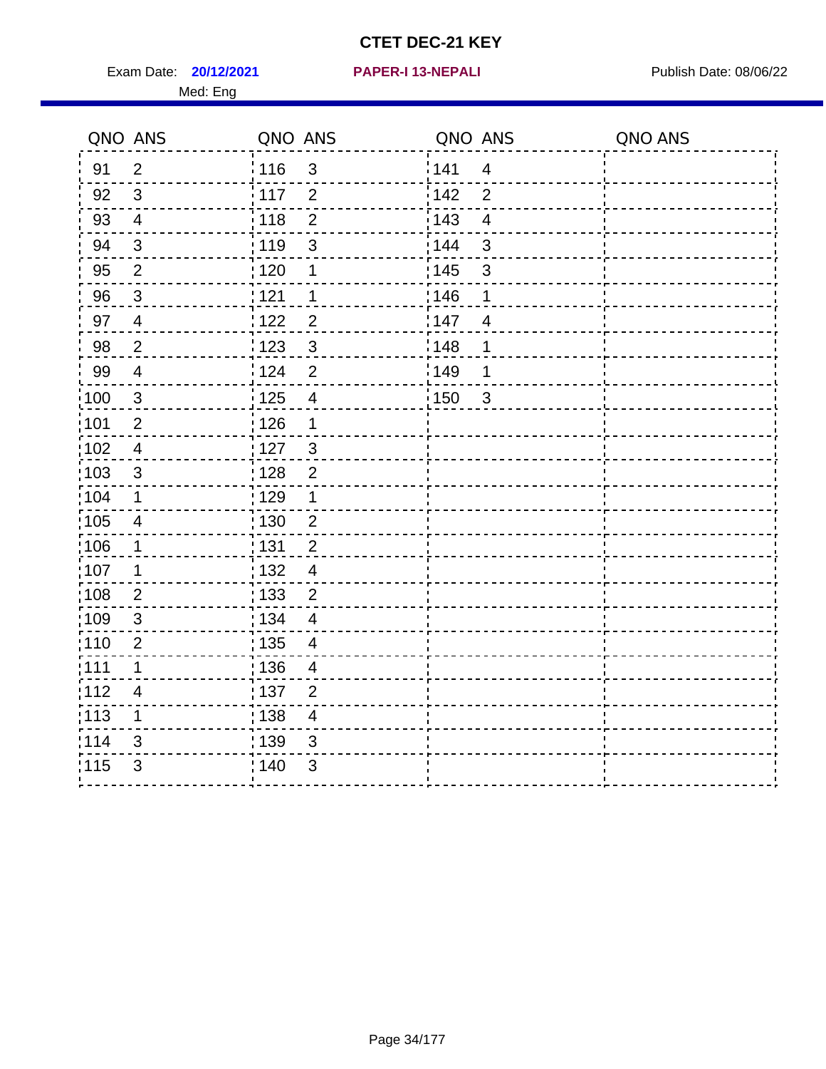Exam Date: **20/12/2021 PAPER-I 13-NEPALI Exam Date: 08/06/22** Med: Eng

#### **20/12/2021 PAPER-I 13-NEPALI**

| QNO ANS           |                          | QNO ANS |                         | QNO ANS |                         | QNO ANS |
|-------------------|--------------------------|---------|-------------------------|---------|-------------------------|---------|
| 91                | $\overline{2}$           | 116     | 3                       | 141     | $\overline{4}$          |         |
| 92                | $\mathbf{3}$             | 117     | $\overline{2}$          | 142     | $\overline{2}$          |         |
| 93                | $\overline{4}$           | 118     | $\overline{2}$          | 143     | $\overline{\mathbf{4}}$ |         |
| 94                | $\sqrt{3}$               | : 119   | 3                       | 144     | 3                       |         |
| 95                | $\overline{2}$           | :120    | 1                       | : 145   | $\mathbf{3}$            |         |
| 96                | 3                        | 121     | 1                       | 146     | 1                       |         |
| 97                | $\overline{4}$           | 122     | $\overline{2}$          | 147     | $\overline{4}$          |         |
| 98                | $\overline{2}$           | ¦ 123   | $\mathfrak{S}$          | 148     | 1                       |         |
| 99                | $\overline{\mathbf{4}}$  | 124     | $\overline{2}$          | 149     | 1                       |         |
| 100               | $\sqrt{3}$               | 125     | $\overline{\mathbf{4}}$ | 150     | $\mathbf{3}$            |         |
| 101               | $\overline{2}$           | : 126   | $\mathbf 1$             |         |                         |         |
| :102              | $\overline{\mathcal{A}}$ | : 127   | $\mathbf{3}$            |         |                         |         |
| 103               | 3                        | 128     | $\overline{2}$          |         |                         |         |
| 104               | 1                        | : 129   | 1                       |         |                         |         |
| $\frac{1}{1}$ 105 | $\overline{\mathbf{4}}$  | : 130   | $\overline{2}$          |         |                         |         |
| :106              | $\mathbf 1$              | : 131   | $\overline{2}$          |         |                         |         |
| 107               | 1                        | : 132   | $\overline{4}$          |         |                         |         |
| 108               | $\overline{2}$           | : 133   | $\overline{2}$          |         |                         |         |
| :109              | $\sqrt{3}$               | : 134   | $\overline{4}$          |         |                         |         |
| :110              | $\overline{2}$           | : 135   | $\overline{4}$          |         |                         |         |
| : 111             | 1                        | : 136   | 4                       |         |                         |         |
| 112               | $\overline{\mathbf{4}}$  | : 137   | $\overline{2}$          |         |                         |         |
| : 113             | $\mathbf 1$              | : 138   | $\overline{4}$          |         |                         |         |
| 114               | 3                        | 139     | 3                       |         |                         |         |
| 115               | 3                        | : 140   | $\mathfrak{S}$          |         |                         |         |
|                   |                          |         |                         |         |                         |         |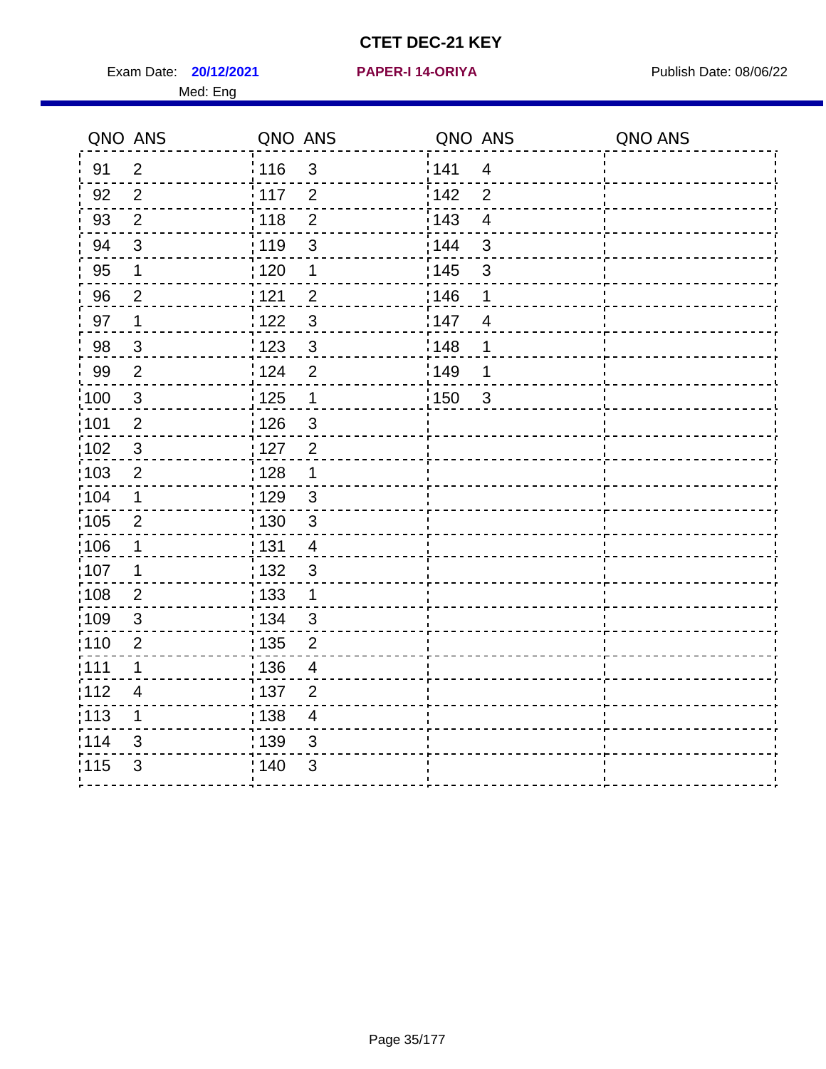Exam Date: **20/12/2021 PAPER-I 14-ORIYA** Publish Date: 08/06/22 Med: Eng

#### **20/12/2021 PAPER-I 14-ORIYA**

| QNO ANS           |                | QNO ANS           |                          | QNO ANS |                         | QNO ANS |
|-------------------|----------------|-------------------|--------------------------|---------|-------------------------|---------|
| 91                | 2              | : 116             | $\mathfrak{S}$           | 141     | $\overline{4}$          |         |
| 92                | 2              | : 117             | $\overline{2}$           | 142     | $\overline{2}$          |         |
| 93                | $\overline{2}$ | 118               | $\overline{2}$           | 143     | $\overline{\mathbf{4}}$ |         |
| 94                | $\mathfrak{S}$ | : 119             | $\mathbf{3}$             | 144     | $\mathbf{3}$            |         |
| 95                | $\mathbf 1$    | : 120             | 1                        | : 145   | $\sqrt{3}$              |         |
| 96                | $\overline{2}$ | 121               | $\overline{2}$           | 146     | 1                       |         |
| 97                | $\mathbf 1$    | 122               | $\mathfrak{S}$           | 147     | $\overline{4}$          |         |
| 98                | $\mathfrak{S}$ | $\frac{1}{2}$ 123 | $\mathbf{3}$             | 148     | 1                       |         |
| 99                | $\overline{2}$ | 124               | $\overline{2}$           | 149     | 1                       |         |
| $\frac{1}{1}$ 100 | $\sqrt{3}$     | $\frac{1}{1}$ 125 | $\mathbf 1$              | : 150   | $\sqrt{3}$              |         |
| :101              | $\overline{2}$ | : 126             | $\mathfrak{S}$           |         |                         |         |
| $\frac{1}{1}$ 102 | 3              | : 127             | $\overline{2}$           |         |                         |         |
| 103               | $\overline{2}$ | : 128             | $\mathbf 1$              |         |                         |         |
| 104               | $\mathbf 1$    | : 129             | $\mathbf{3}$             |         |                         |         |
| :105              | $\mathbf{2}$   | : 130             | $\mathfrak{S}$           |         |                         |         |
| 106               | $\mathbf 1$    | : 131             | $\overline{4}$           |         |                         |         |
| 107               | 1              | : 132             | $\sqrt{3}$               |         |                         |         |
| $\frac{1}{1}$ 108 | $\overline{2}$ | : 133             | $\mathbf{1}$             |         |                         |         |
| :109              | $\sqrt{3}$     | : 134             | 3                        |         |                         |         |
| :110              | $\overline{2}$ | : 135             | $\overline{2}$           |         |                         |         |
| :111              | $\mathbf 1$    | : 136             | $\overline{4}$           |         |                         |         |
| 112               | 4              | $\frac{1}{1}$ 137 | $\mathbf 2$              |         |                         |         |
| 113               | 1              | : 138             | $\overline{\mathcal{A}}$ |         |                         |         |
| 114               | 3              | 139               | 3                        |         |                         |         |
| 115               | 3              | 140               | 3                        |         |                         |         |
|                   |                |                   |                          |         |                         |         |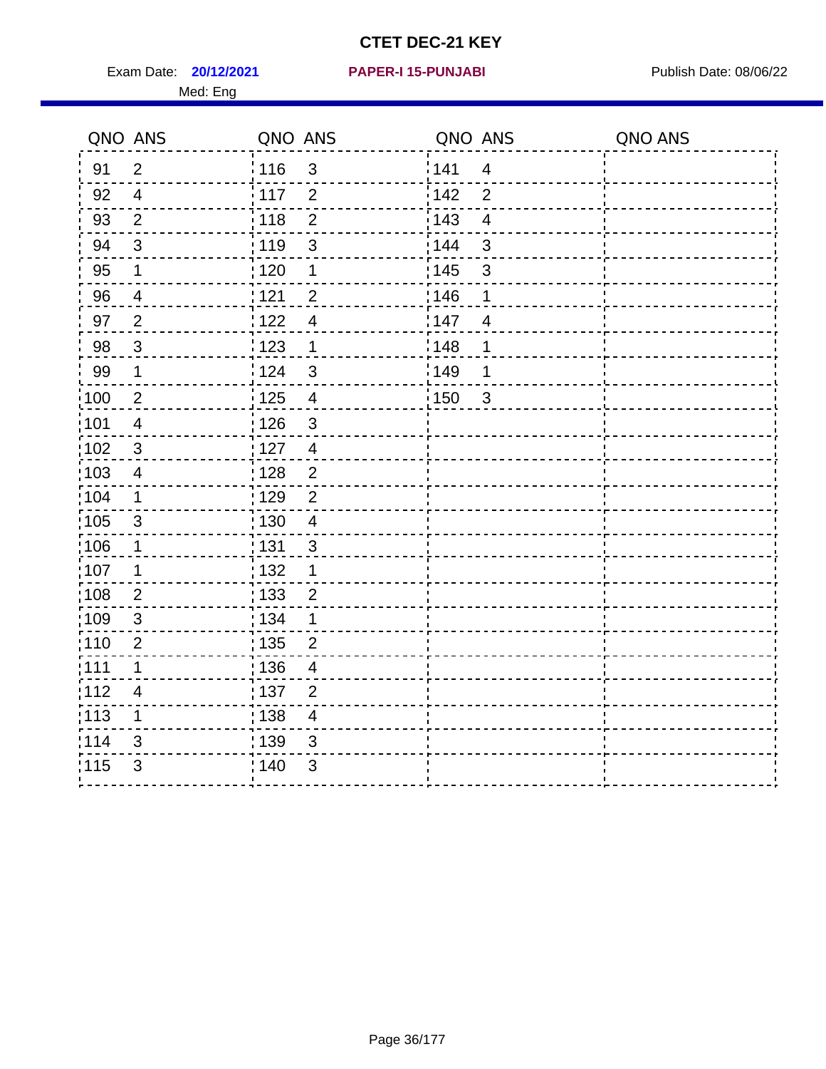Exam Date: **20/12/2021 PAPER-I 15-PUNJABI PRACEL PROPER PUBLISH Date: 08/06/22** Med: Eng

#### **20/12/2021 PAPER-I 15-PUNJABI**

| QNO ANS           |                         | QNO ANS           |                         | QNO ANS |                | QNO ANS |
|-------------------|-------------------------|-------------------|-------------------------|---------|----------------|---------|
| 91                | $\overline{2}$          | : 116             | $\mathfrak{S}$          | ¦141    | $\overline{4}$ |         |
| 92                | $\overline{4}$          | : 117             | $\overline{2}$          | 142     | $\overline{2}$ |         |
| 93                | $\overline{2}$          | 118               | $\overline{2}$          | 143     | $\overline{4}$ |         |
| 94                | $\sqrt{3}$              | : 119             | $\mathsf 3$             | 144     | $\mathfrak{S}$ |         |
| 95                | $\mathbf 1$             | :120              | $\mathbf 1$             | : 145   | $\mathsf 3$    |         |
| 96                | $\overline{4}$          | 1121              | $\overline{2}$          | 146     | 1              |         |
| 97                | $\overline{2}$          | 122               | $\overline{4}$          | 147     | $\overline{4}$ |         |
| 98                | $\mathbf{3}$            | 1123              | 1                       | 148     | 1              |         |
| 99                | $\mathbf 1$             | :124              | $\mathbf{3}$            | :149    | 1              |         |
| $\frac{1}{100}$   | $\overline{2}$          | 125               | $\overline{4}$          | : 150   | $\mathbf{3}$   |         |
| :101              | $\overline{\mathbf{4}}$ | : 126             | $\mathbf{3}$            |         |                |         |
| $\frac{1}{1}$ 102 | $\sqrt{3}$              | : 127             | $\overline{4}$          |         |                |         |
| 103               | $\overline{4}$          | ; 128             | $\overline{2}$          |         |                |         |
| :104              | 1                       | : 129             | 2                       |         |                |         |
| 105               | 3                       | : 130             | $\overline{4}$          |         |                |         |
| 106               | $\mathbf 1$             | : 131             | $\mathbf{3}$            |         |                |         |
| 107               | 1                       | : 132             | 1                       |         |                |         |
| 108               | $\overline{2}$          | : 133             | $\overline{2}$          |         |                |         |
| :109              | $\sqrt{3}$              | : 134             | 1                       |         |                |         |
| :110              | $\overline{2}$          | 135               | $\overline{2}$          |         |                |         |
| :111              | 1                       | : 136             | 4                       |         |                |         |
| :112              | $\overline{4}$          | :137              | $\overline{2}$          |         |                |         |
| :113              | $\mathbf 1$             | $\frac{1}{1}$ 138 | $\overline{\mathbf{4}}$ |         |                |         |
| 114               | 3                       | 139               | $\sqrt{3}$              |         |                |         |
| 115               | 3                       | ; 140             | $\mathfrak{B}$          |         |                |         |
|                   |                         |                   |                         |         |                |         |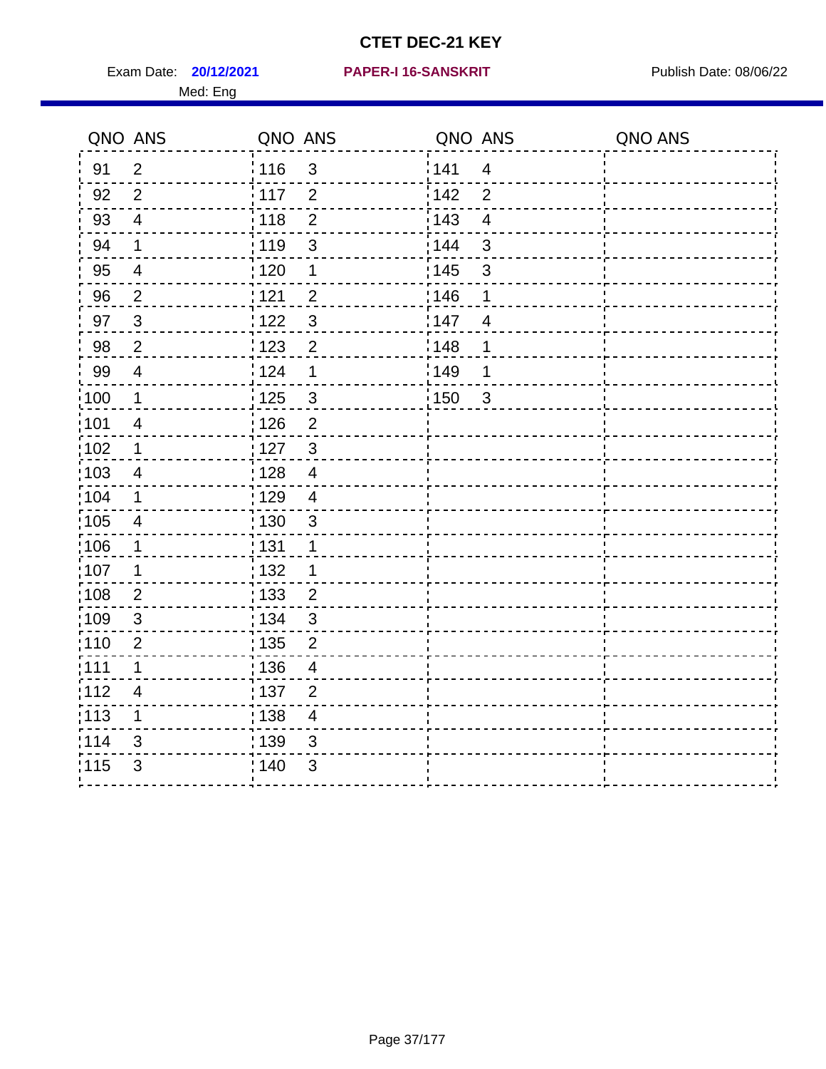Exam Date: **20/12/2021 PAPER-I 16-SANSKRIT** Publish Date: 08/06/22 Med: Eng

#### **20/12/2021 PAPER-I 16-SANSKRIT**

| QNO ANS           |                         | QNO ANS           |                         | QNO ANS |                         | QNO ANS |
|-------------------|-------------------------|-------------------|-------------------------|---------|-------------------------|---------|
| 91                | 2                       | 116               | 3                       | 141     | $\overline{4}$          |         |
| 92                | $\overline{2}$          | 117               | 2                       | 142     | 2                       |         |
| 93                | $\overline{4}$          | 118               | $\overline{2}$          | 143     | $\overline{\mathbf{4}}$ |         |
| 94                | 1                       | : 119             | 3                       | : 144   | 3                       |         |
| 95                | $\overline{4}$          | : 120             | 1                       | : 145   | $\mathfrak{S}$          |         |
| 96                | $\overline{2}$          | 121               | $\overline{2}$          | 146     | 1                       |         |
| 97                | $\mathbf{3}$            | :122              | $\mathbf{3}$            | 147     | $\overline{4}$          |         |
| 98                | $\overline{c}$          | $\frac{1}{2}$ 123 | $\overline{2}$          | 148     | $\mathbf 1$             |         |
| 99                | $\overline{4}$          | 124               | $\mathbf 1$             | ¦ 149   | 1                       |         |
| $\frac{1}{1}$ 100 | $\mathbf 1$             | 125               | $\mathsf 3$             | :150    | $\mathbf{3}$            |         |
| :101              | $\overline{4}$          | 126               | $\overline{2}$          |         |                         |         |
| $\frac{1}{1}$ 102 | $\mathbf 1$             | : 127             | $\mathbf{3}$            |         |                         |         |
| :103              | 4                       | : 128             | $\overline{4}$          |         |                         |         |
| :104              | 1                       | : 129             | $\overline{4}$          |         |                         |         |
| $\frac{1}{1}$ 105 | $\overline{\mathbf{4}}$ | $\frac{1}{1}$ 130 | $\sqrt{3}$              |         |                         |         |
| 106               | $\mathbf 1$             | : 131             | $\mathbf{1}$            |         |                         |         |
| :107              | 1                       | : 132             | 1                       |         |                         |         |
| 108               | $\overline{2}$          | : 133             | $\overline{2}$          |         |                         |         |
| $\frac{1}{1}$ 109 | $\sqrt{3}$              | : 134             | $\mathfrak{S}$          |         |                         |         |
| :110              | $\overline{2}$          | : 135             | $\overline{2}$          |         |                         |         |
| :111              | 1                       | : 136             | 4                       |         |                         |         |
| 112               | $\overline{\mathbf{4}}$ | :137              | $\overline{2}$          |         |                         |         |
| : 113             | $\mathbf 1$             | : 138             | $\overline{\mathbf{4}}$ |         |                         |         |
| 114               | 3                       | : 139             | $\mathfrak{B}$          |         |                         |         |
| 115               | 3                       | : 140             | 3                       |         |                         |         |
|                   |                         |                   |                         |         |                         |         |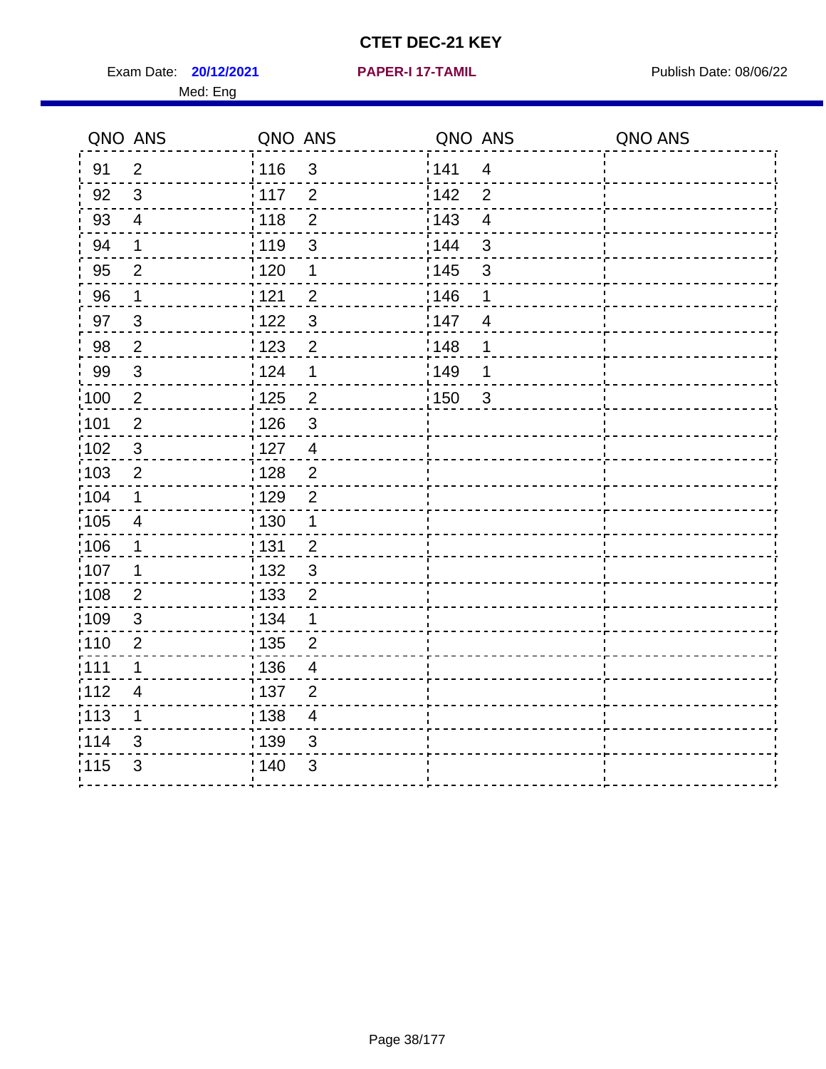Exam Date: **20/12/2021 PAPER-I 17-TAMIL Exam Date: 08/06/22** Med: Eng

**20/12/2021 PAPER-I 17-TAMIL**

|                   | QNO ANS                   | QNO ANS           |                | QNO ANS |                         | QNO ANS |
|-------------------|---------------------------|-------------------|----------------|---------|-------------------------|---------|
| 91                | $\overline{2}$            | : 116             | 3              | 1141    | $\overline{4}$          |         |
| 92                | 3                         | : 117             | $\overline{2}$ | 142     | $\overline{2}$          |         |
| 93                | $\overline{4}$            | : 118             | $\overline{2}$ | 143     | $\overline{\mathbf{4}}$ |         |
| 94                | 1                         | : 119             | 3              | 144     | 3                       |         |
| 95                | 2                         | : 120             | 1              | 145     | 3                       |         |
| 96                | 1                         | : 121             | $\overline{2}$ | :146    | 1                       |         |
| 97                | $\mathfrak{S}$            | 122               | $\mathbf{3}$   | 147     | $\overline{4}$          |         |
| 98                | $\overline{2}$            | 1123              | $\overline{2}$ | 148     | 1                       |         |
| 99                | $\ensuremath{\mathsf{3}}$ | 1124              | 1              | ¦ 149   | 1                       |         |
| $\frac{1}{1}$ 100 | $\sqrt{2}$                | 125               | $\overline{2}$ | 150     | $\mathbf{3}$            |         |
| :101              | $\mathbf 2$               | : 126             | 3              |         |                         |         |
| 102               | 3                         | : 127             | $\overline{4}$ |         |                         |         |
| :103              | $\overline{2}$            | :128              | $\overline{2}$ |         |                         |         |
| :104              | 1                         | : 129             | $\overline{2}$ |         |                         |         |
| 105               | $\overline{\mathcal{A}}$  | $\frac{1}{1}$ 130 | $\mathbf 1$    |         |                         |         |
| 106               | 1                         | : 131             | $\overline{2}$ |         |                         |         |
| 107               | 1                         | :132              | $\mathfrak{3}$ |         |                         |         |
| :108              | $\mathbf{2}$              | 133               | $\overline{2}$ |         |                         |         |
| :109              | $\sqrt{3}$                | : 134             | $\mathbf 1$    |         |                         |         |
| :110              | $\overline{2}$            | : 135             | $\overline{2}$ |         |                         |         |
| 111               | 1                         | 136               | $\overline{4}$ |         |                         |         |
| 112               | $\overline{4}$            | 137               | $\overline{2}$ |         |                         |         |
| $\frac{1}{1}$ 113 | 1                         | : 138             | $\overline{4}$ |         |                         |         |
| 114               | 3                         | 139               | 3              |         |                         |         |
| 115               | 3                         | 140               | $\mathfrak{S}$ |         |                         |         |
|                   |                           |                   |                |         |                         |         |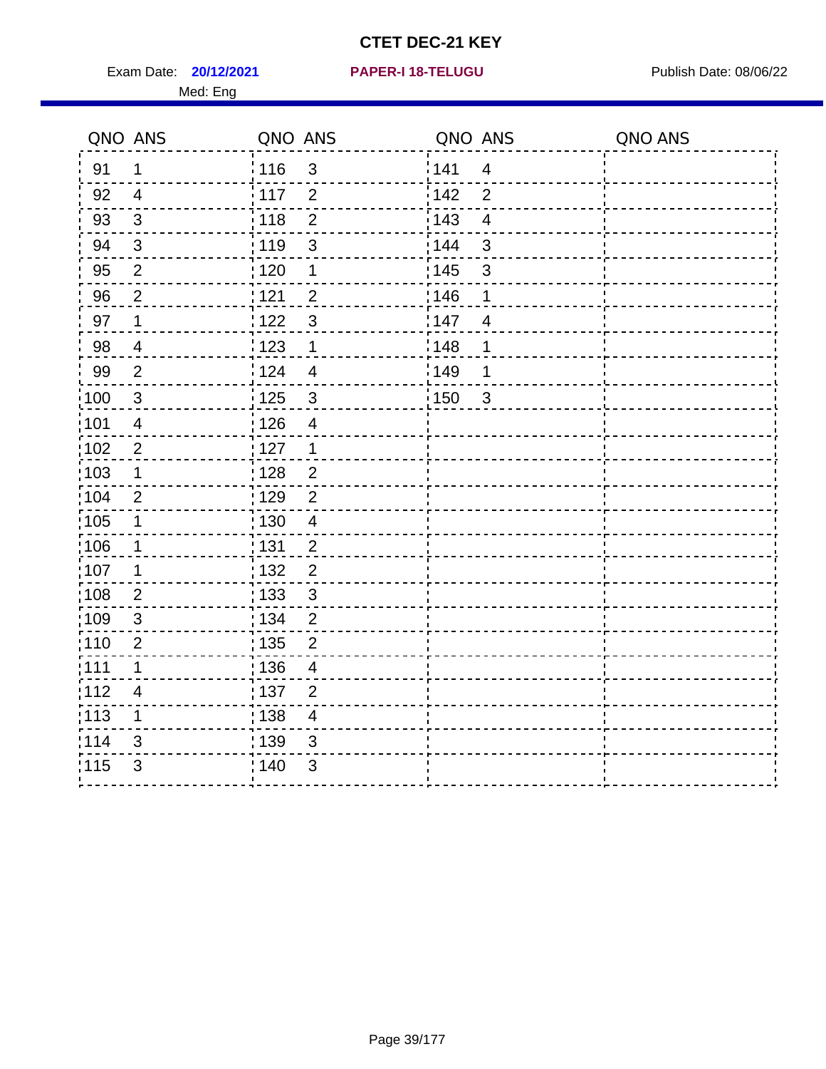**20/12/2021 PAPER-I 18-TELUGU** Exam Date: Publish Date: 08/06/22

|  |  |  | <b>PAPER-I 18-TELUGU</b> |  |
|--|--|--|--------------------------|--|
|  |  |  |                          |  |

|                   | QNO ANS                  | QNO ANS                             | QNO ANS                        | QNO ANS |
|-------------------|--------------------------|-------------------------------------|--------------------------------|---------|
| 91                | 1                        | i 116<br>$\mathfrak{S}$             | 141<br>$\overline{\mathbf{4}}$ |         |
| 92                | 4                        | $\frac{1}{2}$ 117<br>$\overline{2}$ | 142<br>$\overline{2}$          |         |
| 93                | 3                        | : 118<br>$\overline{2}$             | 143<br>$\overline{4}$          |         |
| 94                | $\mathfrak{3}$           | 3<br>: 119                          | 3<br>144                       |         |
| 95                | $\overline{2}$           | 120<br>1                            | : 145<br>3                     |         |
| 96                | $\overline{c}$           | $\overline{c}$<br>: 121             | 146<br>1                       |         |
| 97                | 1                        | 1122<br>3                           | 147<br>4                       |         |
| 98                | $\overline{\mathbf{4}}$  | 1123<br>$\mathbf 1$                 | : 148<br>1                     |         |
| 99                | $\overline{2}$           | i 124<br>$\overline{4}$             | ¦149<br>1                      |         |
| $\frac{1}{1}$ 100 | 3                        | : 125<br>$\mathfrak{S}$             | 150<br>$\overline{3}$          |         |
| 101               | $\overline{4}$           | : 126<br>$\overline{4}$             |                                |         |
| 102               | $\overline{c}$           | : 127<br>$\mathbf 1$                |                                |         |
| 103               | $\mathbf 1$              | : 128<br>$\overline{c}$             |                                |         |
| 104               | $\overline{2}$           | $\frac{1}{1}$ 129<br>$\overline{c}$ |                                |         |
| 105               | 1                        | : 130<br>$\overline{4}$             |                                |         |
| ,106              | $\mathbf 1$              | <u>¦</u> 131<br>$\overline{c}$      |                                |         |
| $\frac{1}{1}$ 107 | 1                        | : 132<br>$\overline{\mathbf{c}}$    |                                |         |
| :108              | $\mathbf 2$              | : 133<br>$\mathbf{3}$               |                                |         |
| :109              | 3                        | : 134<br>$\overline{2}$             |                                |         |
| :110              | $\overline{2}$           | : 135<br>$\overline{2}$             |                                |         |
| :111              | $\mathbf 1$              | :136<br>$\overline{\mathcal{A}}$    |                                |         |
| 112               | $\overline{\mathcal{A}}$ | : 137<br>$\overline{2}$             |                                |         |
| : 113             | 1                        | : 138<br>$\overline{4}$             |                                |         |
| 114               | 3                        | : 139<br>$\mathfrak{S}$             |                                |         |
| 115               | $\mathsf 3$              | 140<br>$\sqrt{3}$                   |                                |         |
|                   |                          |                                     |                                |         |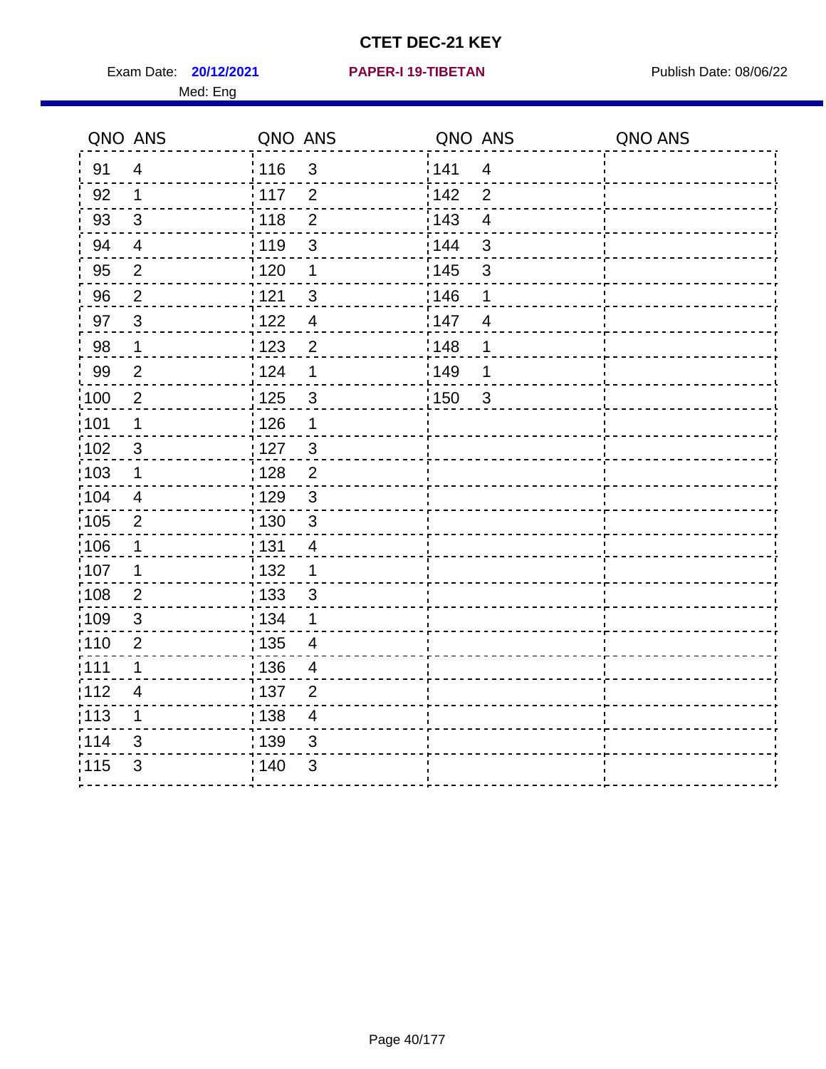Exam Date: **20/12/2021 PAPER-I 19-TIBETAN** Publish Date: 08/06/22 Med: Eng

#### **20/12/2021 PAPER-I 19-TIBETAN**

| QNO ANS           |                | QNO ANS           |                         | QNO ANS          |                | QNO ANS |
|-------------------|----------------|-------------------|-------------------------|------------------|----------------|---------|
| 91                | $\overline{4}$ | : 116             | $\mathfrak{S}$          | ¦141             | $\overline{4}$ |         |
| 92                | 1              | : 117             | $\overline{2}$          | 142              | $\overline{2}$ |         |
| 93                | $\mathfrak{S}$ | 118               | $\overline{2}$          | 143              | $\overline{4}$ |         |
| 94                | 4              | : 119             | $\mathsf 3$             | 144              | $\mathfrak{S}$ |         |
| 95                | $\overline{2}$ | :120              | $\mathbf 1$             | : 145            | $\mathsf 3$    |         |
| 96                | $\overline{2}$ | 1121              | 3                       | 146              | 1              |         |
| 97                | 3              | 122               | $\overline{4}$          | 147              | $\overline{4}$ |         |
| 98                | $\mathbf 1$    | 1123              | $\overline{2}$          | ¦148             | 1              |         |
| 99                | $\overline{2}$ | 124               | 1                       | <sup>'</sup> 149 | 1              |         |
| $\frac{1}{100}$   | $\overline{2}$ | 125               | $\sqrt{3}$              | : 150            | $\mathbf{3}$   |         |
| :101              | $\mathbf 1$    | : 126             | 1                       |                  |                |         |
| 102               | $\mathbf{3}$   | : 127             | $\mathbf{3}$            |                  |                |         |
| 103               | 1              | : 128             | $\overline{2}$          |                  |                |         |
| :104              | $\overline{4}$ | : 129             | 3                       |                  |                |         |
| $\frac{1}{1}$ 105 | $\overline{2}$ | : 130             | $\mathfrak{3}$          |                  |                |         |
| 106               | $\mathbf 1$    | : 131             | $\overline{4}$          |                  |                |         |
| 107               | 1              | : 132             | 1                       |                  |                |         |
| 108               | $\overline{2}$ | : 133             | $\mathbf{3}$            |                  |                |         |
| $\frac{1}{1}$ 109 | $\sqrt{3}$     | : 134             | 1                       |                  |                |         |
| :110              | $\overline{2}$ | 135               | $\overline{4}$          |                  |                |         |
| :111              | 1              | : 136             | 4                       |                  |                |         |
| :112              | $\overline{4}$ | :137              | $\overline{2}$          |                  |                |         |
| :113              | $\mathbf 1$    | $\frac{1}{1}$ 138 | $\overline{\mathbf{4}}$ |                  |                |         |
| 114               | 3              | 139               | $\sqrt{3}$              |                  |                |         |
| 115               | 3              | ; 140             | $\mathfrak{S}$          |                  |                |         |
|                   |                |                   |                         |                  |                |         |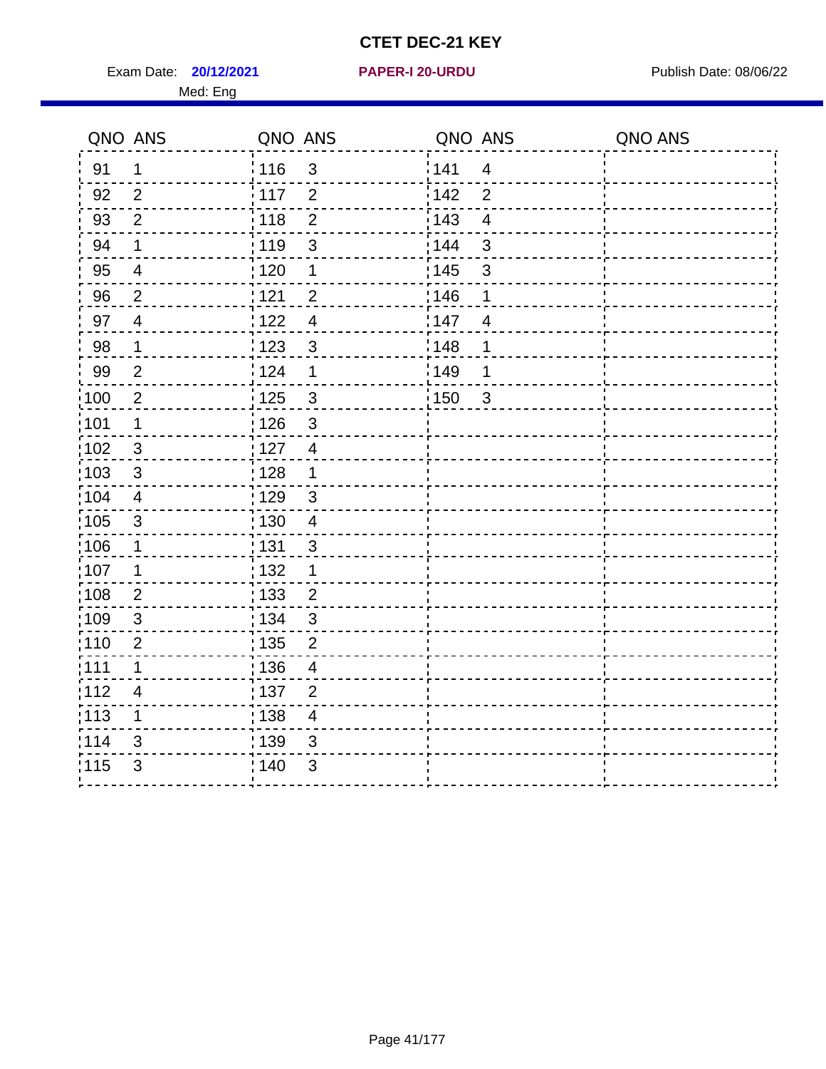Exam Date: **20/12/2021 PAPER-I 20-URDU Product by Publish Date: 08/06/22** Med: Eng

 $- - - -$ 

#### **20/12/2021 PAPER-I 20-URDU**

 $\sim$ 

 $\sim$ 

|       | QNO ANS                 | QNO ANS |                           |                   | QNO ANS                 | QNO ANS |
|-------|-------------------------|---------|---------------------------|-------------------|-------------------------|---------|
| 91    | 1                       | 116     | 3                         | 141               | $\overline{\mathbf{4}}$ |         |
| 92    | $\overline{2}$          | 117     | $\overline{2}$            | 142               | $\overline{2}$          |         |
| 93    | $\overline{2}$          | 118     | $\overline{2}$            | $\frac{1}{2}$ 143 | $\overline{\mathbf{4}}$ |         |
| 94    | $\mathbf 1$             | 119     | $\ensuremath{\mathsf{3}}$ | : 144             | $\mathsf 3$             |         |
| 95    | $\overline{4}$          | 120     | $\mathbf 1$               | 145               | $\mathsf 3$             |         |
| 96    | $\overline{c}$          | 121     | $\overline{c}$            | 146               | 1                       |         |
| 97    | $\overline{4}$          | : 122   | $\overline{4}$            | 147               | $\overline{4}$          |         |
| 98    | 1                       | 123     | 3                         | : 148             | $\mathbf 1$             |         |
| 99    | $\overline{2}$          | 124     | 1                         | 149               | 1                       |         |
| 100   | $\overline{2}$          | : 125   | 3                         | 150               | $\mathbf{3}$            |         |
| :101  | 1                       | : 126   | $\mathbf{3}$              |                   |                         |         |
| 102   | 3                       | : 127   | $\overline{4}$            |                   |                         |         |
| 103   | $\sqrt{3}$              | : 128   | $\mathbf 1$               |                   |                         |         |
| 104   | $\overline{\mathbf{4}}$ | : 129   | $\sqrt{3}$                |                   |                         |         |
| 105   | $\mathfrak{S}$          | : 130   | $\overline{4}$            |                   |                         |         |
| 106   | $\mathbf 1$             | 131     | $\mathsf 3$               |                   |                         |         |
| 107   | 1                       | : 132   | 1                         |                   |                         |         |
| :108  | $\overline{2}$          | : 133   | $\overline{2}$            |                   |                         |         |
| :109  | $\mathbf{3}$            | : 134   | $\mathsf 3$               |                   |                         |         |
| 110   | $\mathbf{2}$            | 135     | $\mathbf{2}$              |                   |                         |         |
| :111  | 1                       | 136     | $\overline{\mathcal{A}}$  |                   |                         |         |
| 112   | 4                       | : 137   | $\overline{2}$            |                   |                         |         |
| : 113 | 1                       | 138     | 4                         |                   |                         |         |
| 114   | 3                       | 139     | $\mathfrak{S}$            |                   |                         |         |
| 115   | 3                       | 140     | 3                         |                   |                         |         |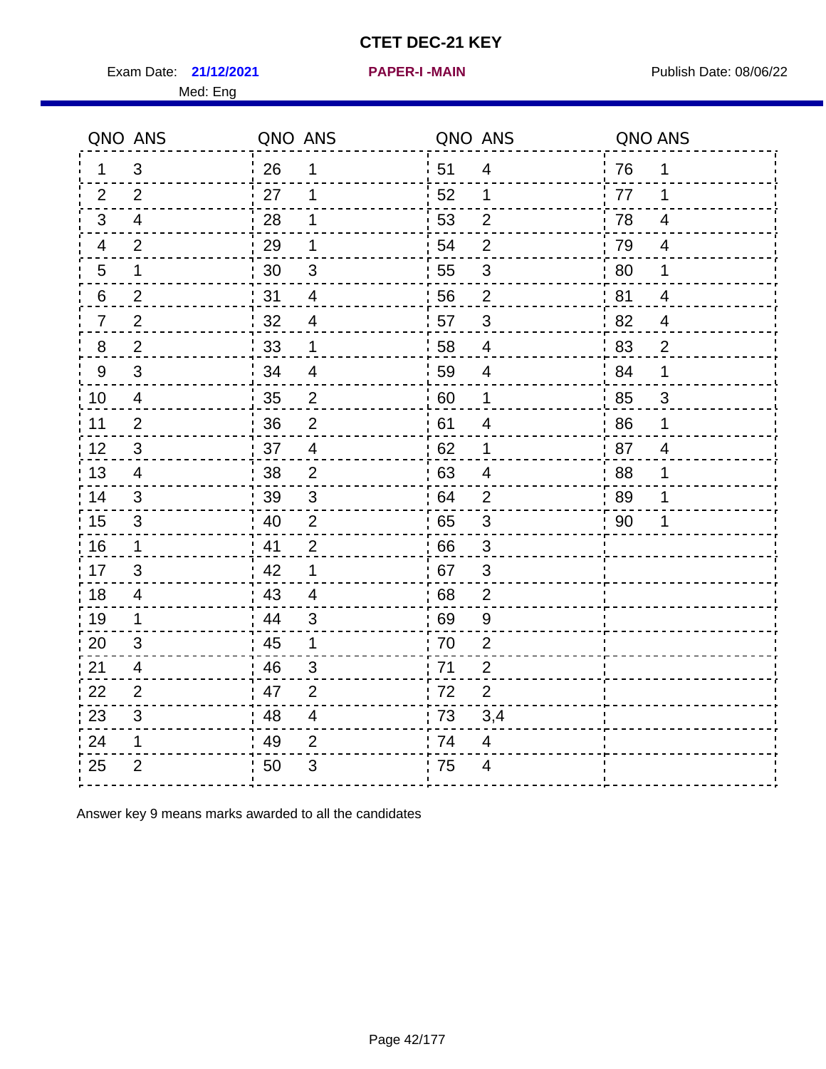Exam Date: 21/12/2021 **PAPER-I-MAIN Exam Date: 08/06/22** 

**21/12/2021 PAPER-I -MAIN**

|    | QNO ANS        | QNO ANS |                | QNO ANS |                           | QNO ANS |                |
|----|----------------|---------|----------------|---------|---------------------------|---------|----------------|
| 1. | 3              | 26      | 1              | 51      | $\overline{4}$            | 76      | 1              |
| 2  | 2              | 27      | 1              | 52      | 1                         | 77      | 1              |
| 3  | $\overline{4}$ | 28      | 1              | 53      | $\overline{2}$            | 78      | $\overline{4}$ |
| 4  | 2              | 29      | 1              | 54      | $\overline{2}$            | 79      | 4              |
| 5  | 1              | 30      | $\mathsf 3$    | 55      | $\ensuremath{\mathsf{3}}$ | 80      | 1              |
| 6  | $\overline{2}$ | 31      | $\overline{4}$ | 56      | $\overline{2}$            | 81      | 4              |
| 7  | $\overline{2}$ | 32      | $\overline{4}$ | 57      | $\mathfrak{S}$            | 82      | $\overline{4}$ |
| 8  | $\overline{2}$ | 33      | 1              | 58      | $\overline{\mathbf{4}}$   | 83      | $\overline{2}$ |
| 9  | 3              | 34      | $\overline{4}$ | 59      | 4                         | 84      | 1              |
| 10 | $\overline{4}$ | 35      | $\overline{c}$ | 60      | $\mathbf 1$               | 85      | $\mathbf{3}$   |
| 11 | $\overline{2}$ | 36      | $\overline{2}$ | 61      | 4                         | 86      | 1              |
| 12 | $\sqrt{3}$     | 37      | $\overline{4}$ | 62      | $\mathbf 1$               | 87      | $\overline{4}$ |
| 13 | 4              | 38      | 2              | 63      | 4                         | .88     | 1              |
| 14 | 3              | 39      | 3              | 64      | $\overline{2}$            | 89      | 1              |
| 15 | $\mathfrak{S}$ | 40      | $\overline{2}$ | 65      | $\sqrt{3}$                | 90      | 1              |
| 16 | $\mathbf 1$    | 41      | $\overline{2}$ | 66      | 3                         |         |                |
| 17 | 3              | 42      | 1              | 67      | 3                         |         |                |
| 18 | 4              | 43      | 4              | 68      | $\overline{2}$            |         |                |
| 19 | 1              | 44      | 3              | 69      | $9\,$                     |         |                |
| 20 | 3              | 45      | 1              | 70      | $\overline{2}$            |         |                |
| 21 | 4              | 46      | 3              | 71      | $\overline{2}$            |         |                |
| 22 | 2              | 47      | $\overline{2}$ | 72      | $\overline{2}$            |         |                |
| 23 | 3              | 48      | $\overline{4}$ | 73      | 3,4                       |         |                |
| 24 | 1              | 49      | $\overline{2}$ | 74      | 4                         |         |                |
| 25 | $\overline{2}$ | 50      | 3              | 75      | 4                         |         |                |

Answer key 9 means marks awarded to all the candidates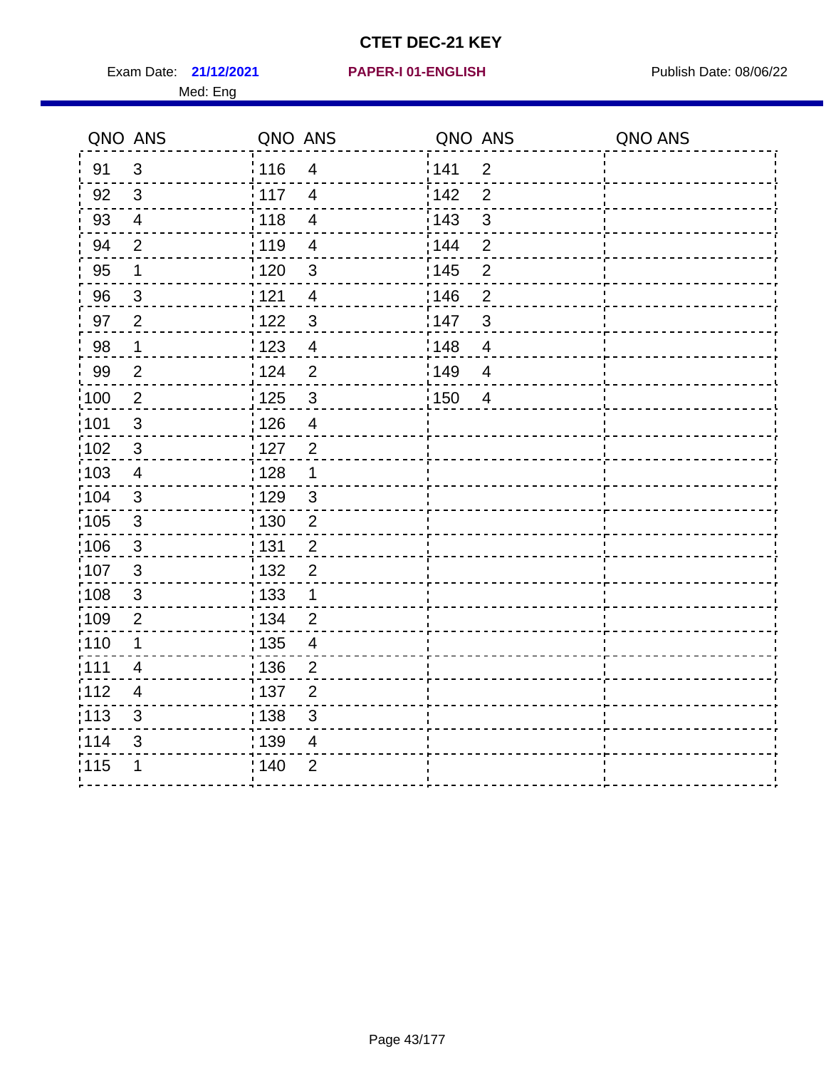Exam Date: 21/12/2021 **PAPER-I 01-ENGLISH Exam Date: 08/06/22** 

#### **21/12/2021 PAPER-I 01-ENGLISH**

|      | QNO ANS                  | QNO ANS                                     | QNO ANS                 | QNO ANS |
|------|--------------------------|---------------------------------------------|-------------------------|---------|
| 91   | $\mathfrak{S}$           | <sup>'</sup> 116<br>$\overline{\mathbf{4}}$ | 141<br>$\overline{2}$   |         |
| 92   | $\mathfrak{3}$           | $-117$<br>$\overline{4}$                    | 142<br>$\overline{2}$   |         |
| 93   | $\overline{4}$           | : 118<br>$\overline{\mathbf{4}}$            | 3<br>: 143              |         |
| 94   | $\overline{2}$           | : 119<br>$\overline{\mathcal{A}}$           | $\mathbf{2}$<br>: 144   |         |
| 95   | 1                        | : 120<br>$\mathfrak{S}$                     | : 145<br>$\overline{c}$ |         |
| 96   | $\mathbf{3}$             | 121<br>$\overline{\mathbf{4}}$              | 146<br>$\overline{c}$   |         |
| 97   | $\overline{2}$           | :122<br>$\mathfrak{S}$                      | 147<br>$\mathbf{3}$     |         |
| 98   | $\mathbf 1$              | : 123<br>$\overline{4}$                     | :148<br>$\overline{4}$  |         |
| 99   | $\overline{2}$           | i 124<br>$\overline{2}$                     | 149<br>$\overline{4}$   |         |
| :100 | $\overline{2}$           | : 125<br>$\mathbf{3}$                       | 150<br>$\overline{4}$   |         |
| :101 | $\mathfrak{3}$           | : 126<br>$\overline{4}$                     |                         |         |
| 102  | $\sqrt{3}$               | : 127<br>$\overline{2}$                     |                         |         |
| 103  | $\overline{\mathcal{A}}$ | $\frac{1}{1}$ 128<br>1                      |                         |         |
| :104 | $\mathfrak{S}$           | : 129<br>$\mathbf{3}$                       |                         |         |
| 105  | 3                        | :130<br>$\overline{2}$                      |                         |         |
| :106 | $\mathfrak{S}$           | 131<br>$\overline{2}$                       |                         |         |
| 107  | $\mathbf{3}$             | : 132<br>$\overline{c}$                     |                         |         |
| :108 | $\mathsf 3$              | : 133<br>$\mathbf 1$                        |                         |         |
| :109 | $\overline{2}$           | : 134<br>$\overline{2}$                     |                         |         |
| :110 | 1                        | : 135<br>4                                  |                         |         |
| 111  | $\overline{4}$           | : 136<br>$\overline{c}$                     |                         |         |
| 112  | $\overline{4}$           | : 137<br>$\overline{2}$                     |                         |         |
| 113  | $\mathfrak{S}$           | 138<br>3                                    |                         |         |
| 114  | 3                        | : 139<br>4                                  |                         |         |
| 115  | 1                        | 140<br>$\overline{2}$                       |                         |         |
|      |                          |                                             |                         |         |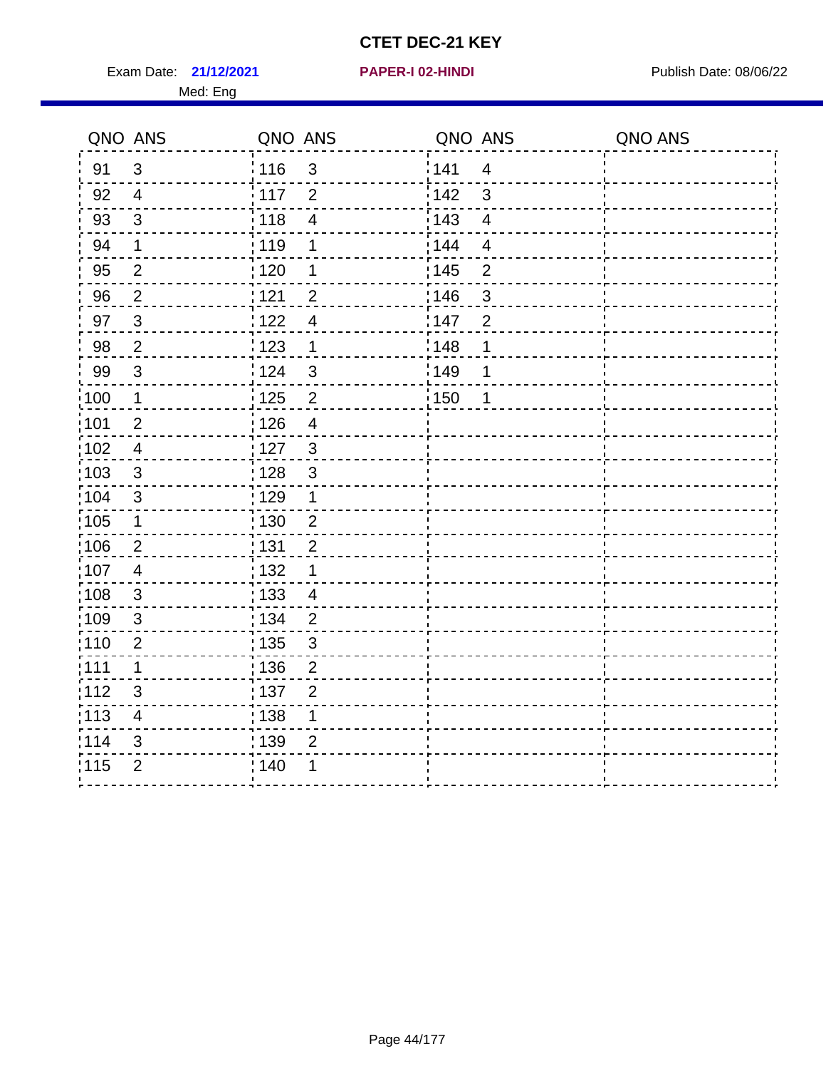Exam Date: 21/12/2021 **PAPER-I 02-HINDI Exam Date: 08/06/22** Med: Eng

**21/12/2021 PAPER-I 02-HINDI**

|        | QNO ANS                 | QNO ANS |                         | QNO ANS           |                | QNO ANS |
|--------|-------------------------|---------|-------------------------|-------------------|----------------|---------|
| 91     | $\mathfrak{3}$          | 116     | $\mathbf{3}$            | 141               | $\overline{4}$ |         |
| 92     | $\overline{4}$          | 117     | $\overline{2}$          | 142               | 3              |         |
| 93     | $\mathbf{3}$            | 118     | $\overline{4}$          | 143               | $\overline{4}$ |         |
| 94     | 1                       | : 119   | 1                       | 144               | 4              |         |
| 95     | $\overline{2}$          | :120    | 1                       | : 145             | $\overline{2}$ |         |
| 96     | $\overline{2}$          | 121     | $\overline{2}$          | 146               | 3              |         |
| 97     | $\mathbf{3}$            | 122     | $\overline{4}$          | 147               | $\overline{2}$ |         |
| $98\,$ | $\overline{2}$          | 123     | $\mathbf{1}$            | $\frac{1}{2}$ 148 | 1              |         |
| 99     | $\mathfrak{S}$          | 124     | $\mathfrak{S}$          | ¦149              | 1              |         |
| 100    | $\overline{1}$          | 125     | $\overline{2}$          | 150               | $\mathbf 1$    |         |
| :101   | $\overline{2}$          | 126     | $\overline{\mathbf{4}}$ |                   |                |         |
| 102    | $\overline{4}$          | : 127   | $\mathbf{3}$            |                   |                |         |
| 103    | $\mathbf{3}$            | 128     | $\mathfrak{3}$          |                   |                |         |
| :104   | $\mathsf 3$             | : 129   | 1                       |                   |                |         |
| 105    | $\mathbf{1}$            | : 130   | $\overline{2}$          |                   |                |         |
| ;106   | $\overline{2}$          | : 131   | $\overline{2}$          |                   |                |         |
| :107   | $\overline{4}$          | : 132   | 1                       |                   |                |         |
| 108    | $\mathbf{3}$            | : 133   | $\overline{4}$          |                   |                |         |
| :109   | $\mathfrak{S}$          | : 134   | $\overline{2}$          |                   |                |         |
| :110   | $\overline{2}$          | : 135   | 3                       |                   |                |         |
| 111    | $\mathbf 1$             | : 136   | $\mathbf{2}$            |                   |                |         |
| 112    | $\mathfrak{S}$          | 137     | $\overline{2}$          |                   |                |         |
| 113    | $\overline{\mathbf{4}}$ | : 138   | 1                       |                   |                |         |
| 114    | 3                       | : 139   | $\overline{2}$          |                   |                |         |
| 115    | $\overline{2}$          | 140     | 1                       |                   |                |         |
|        |                         |         |                         |                   |                |         |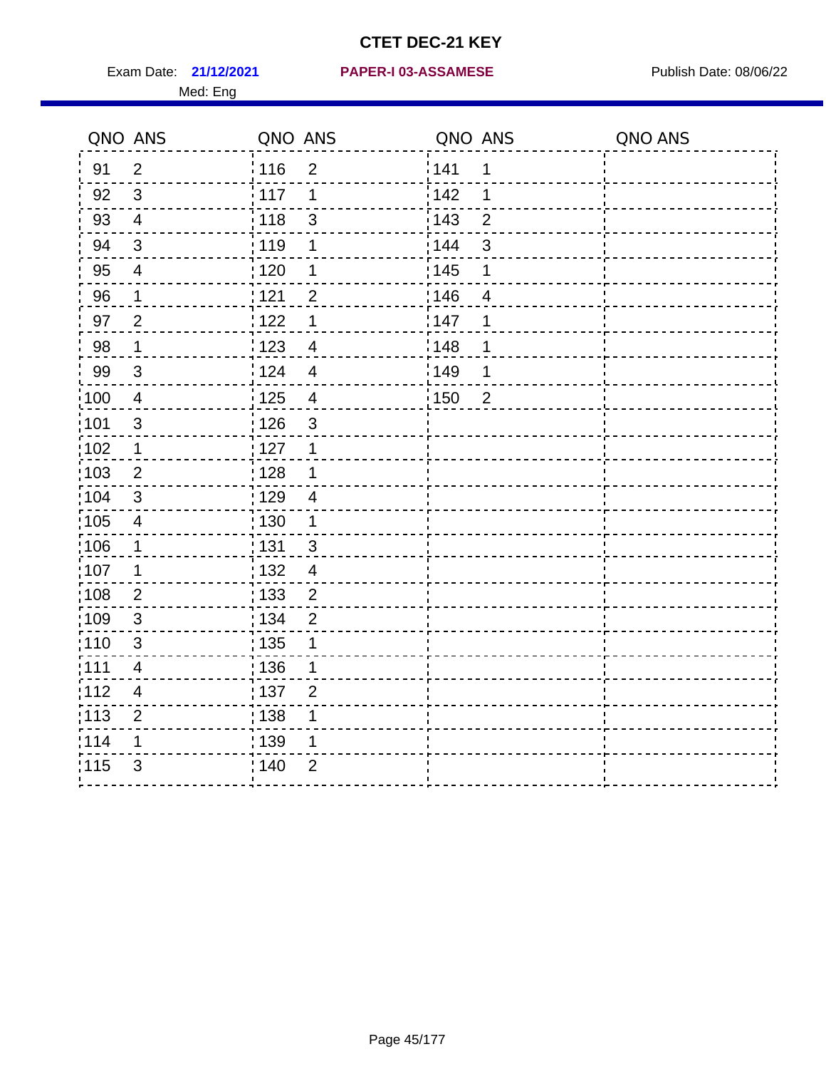|                   | QNO ANS                  | QNO ANS           |                          | QNO ANS           |                | QNO ANS |
|-------------------|--------------------------|-------------------|--------------------------|-------------------|----------------|---------|
| 91                | $\overline{2}$           | : 116             | $\overline{2}$           | 141               | 1              |         |
| 92                | $\mathfrak{S}$           | 117               | 1                        | 142               | 1              |         |
| 93                | $\overline{4}$           | 118               | $\mathfrak{S}$           | 143               | $\overline{2}$ |         |
| 94                | $\mathbf{3}$             | : 119             | 1                        | : 144             | 3              |         |
| 95                | $\overline{4}$           | 120               | 1                        | : 145             | 1              |         |
| 96                | 1                        | 121               | $\overline{2}$           | 146               | 4              |         |
| 97                | $\overline{2}$           | 122               | 1                        | 147               | 1              |         |
| 98                | $\mathbf{1}$             | 123               | $\overline{4}$           | 148               | 1              |         |
| 99                | $\sqrt{3}$               | 124               | $\overline{4}$           | $\frac{1}{2}$ 149 | 1              |         |
| $\frac{1}{1}$ 100 | $\overline{4}$           | $\frac{1}{1}$ 125 | $\overline{\mathcal{A}}$ | $\frac{1}{1}$ 150 | $\overline{2}$ |         |
| :101              | $\sqrt{3}$               | 126               | 3                        |                   |                |         |
| 102               | $\mathbf 1$              | : 127             | $\mathbf 1$              |                   |                |         |
| 103               | $\overline{2}$           | 128               | $\mathbf 1$              |                   |                |         |
| :104              | $\mathbf{3}$             | : 129             | $\overline{4}$           |                   |                |         |
| 105               | $\overline{\mathbf{4}}$  | 130               | $\mathbf{1}$             |                   |                |         |
| :106              | $\mathbf 1$              | 131               | $\mathbf{3}$             |                   |                |         |
| ;107              | 1                        | : 132             | $\overline{4}$           |                   |                |         |
| 108               | $\overline{2}$           | : 133             | $\overline{2}$           |                   |                |         |
| :109              | $\sqrt{3}$               | : 134             | $\overline{2}$           |                   |                |         |
| :110              | $\mathfrak{S}$           | 135               | 1                        |                   |                |         |
| :111              | $\overline{\mathcal{A}}$ | 136               | 1                        |                   |                |         |
| 112               | $\overline{\mathbf{4}}$  | 137               | $\overline{2}$           |                   |                |         |
| 113               | $\overline{2}$           | 138               | 1                        |                   |                |         |
| 114               | 1                        | 139               | 1                        |                   |                |         |
| 115               | 3                        | 140               | $\overline{2}$           |                   |                |         |
|                   |                          |                   |                          |                   |                |         |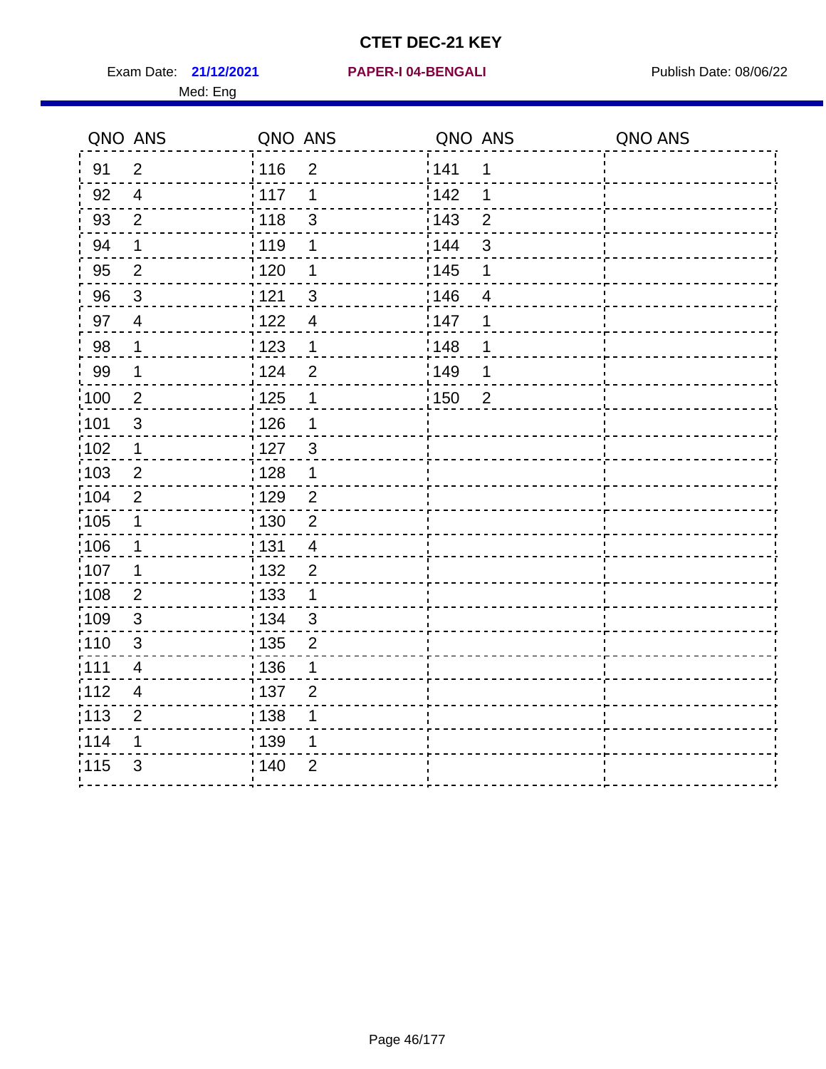Exam Date: 21/12/2021 PAPER-I 04-BENGALI PRER Publish Date: 08/06/22

#### **21/12/2021 PAPER-I 04-BENGALI**

|                 | QNO ANS                  | QNO ANS           |                | QNO ANS           |                | QNO ANS |
|-----------------|--------------------------|-------------------|----------------|-------------------|----------------|---------|
| 91              | $\overline{2}$           | 116               | $\overline{2}$ | <sup>'</sup> 141  | 1              |         |
| 92              | $\overline{4}$           | $\frac{1}{2}$ 117 | $\mathbf 1$    | 142               | 1              |         |
| 93              | $\overline{2}$           | : 118             | 3              | 143               | $\overline{2}$ |         |
| 94              | 1                        | 119               | 1              | 144               | $\mathsf 3$    |         |
| 95              | $\overline{2}$           | : 120             | 1              | : 145             | 1              |         |
| 96              | $\mathbf{3}$             | 121               | $\overline{3}$ | 146               | $\overline{4}$ |         |
| 97              | $\overline{4}$           | 122               | $\overline{4}$ | 147               | 1              |         |
| 98              | $\mathbf 1$              | : 123             | $\mathbf 1$    | :148              | 1              |         |
| 99              | $\mathbf 1$              | : 124             | $\overline{2}$ | ¦149              | 1              |         |
| $\frac{1}{100}$ | $\overline{2}$           | : 125             | 1              | $\frac{1}{2}$ 150 | $\overline{2}$ |         |
| :101            | $\mathsf 3$              | 126               | 1              |                   |                |         |
| 102             | $\mathbf 1$              | : 127             | $\mathbf{3}$   |                   |                |         |
| :103            | $\mathbf{2}$             | $\frac{1}{1}$ 128 | $\mathbf 1$    |                   |                |         |
| 104             | $\boldsymbol{2}$         | : 129             | $\overline{2}$ |                   |                |         |
| 105             | 1                        | : 130             | $\overline{2}$ |                   |                |         |
| ;106            | 1                        | : 131             | $\overline{4}$ |                   |                |         |
| :107            | 1                        | : 132             | $\overline{c}$ |                   |                |         |
| 108             | $\mathbf 2$              | $\frac{1}{1}$ 133 | $\mathbf{1}$   |                   |                |         |
| :109            | $\mathfrak{S}$           | : 134             | 3              |                   |                |         |
| : 110           | 3                        | : 135             | $\overline{2}$ |                   |                |         |
| 111             | $\overline{4}$           | : 136             | 1              |                   |                |         |
| 112             | $\overline{\mathcal{A}}$ | : 137             | $\overline{2}$ |                   |                |         |
| : 113           | $\mathbf{2}$             | ; 138             | 1              |                   |                |         |
| 114             | 1                        | : 139             | 1              |                   |                |         |
| 115             | 3                        | 140               | $\overline{2}$ |                   |                |         |
|                 |                          |                   |                |                   |                |         |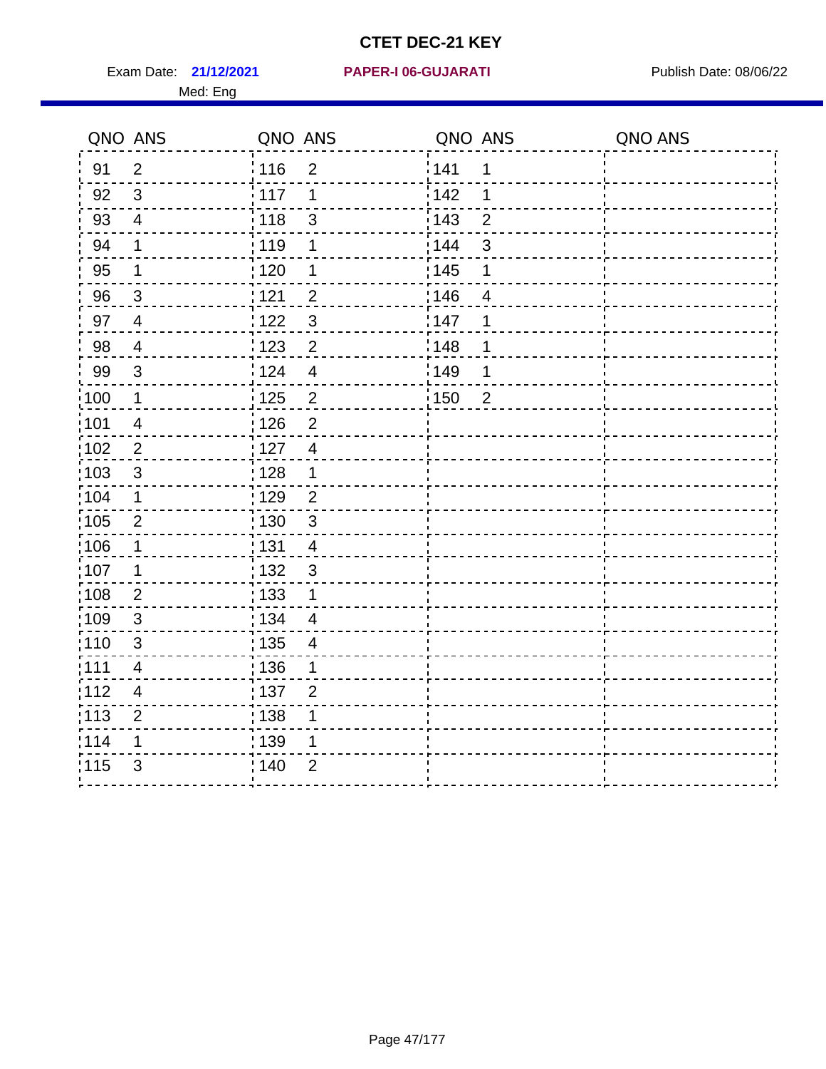Exam Date: 21/12/2021 PAPER-I 06-GUJARATI Publish Date: 08/06/22

#### **21/12/2021 PAPER-I 06-GUJARATI**

|                   | QNO ANS                 | QNO ANS                             | QNO ANS               | QNO ANS |
|-------------------|-------------------------|-------------------------------------|-----------------------|---------|
| 91                | $\overline{2}$          | 116<br>$\overline{2}$               | 141<br>1              |         |
| 92                | $\sqrt{3}$              | 117<br>1                            | 142<br>1              |         |
| 93                | $\overline{4}$          | 118<br>$\mathfrak{S}$               | 143<br>$\overline{2}$ |         |
| 94                | 1                       | : 119<br>1                          | : 144<br>3            |         |
| 95                | 1                       | :120<br>1                           | : 145<br>1            |         |
| 96                | $\mathbf{3}$            | 121<br>$\overline{2}$               | 146<br>$\overline{4}$ |         |
| 97                | $\overline{4}$          | $\mathfrak{S}$<br>122               | 147<br>1              |         |
| 98                | $\overline{4}$          | $\overline{2}$<br>123               | 148<br>1              |         |
| 99                | $\sqrt{3}$              | :124<br>$\overline{4}$              | 149<br>1              |         |
| :100              | $\mathbf 1$             | $\overline{c}$<br>125               | 150<br>$\overline{2}$ |         |
| :101              | $\overline{4}$          | 126<br>$\overline{2}$               |                       |         |
| 102               | $\overline{2}$          | : 127<br>$\overline{4}$             |                       |         |
| 103               | $\mathbf{3}$            | : 128<br>$\mathbf 1$                |                       |         |
| 104               | $\mathbf 1$             | : 129<br>$\overline{2}$             |                       |         |
| 105               | $\sqrt{2}$              | 130<br>$\mathfrak{S}$               |                       |         |
| 106               | 1                       | $\frac{1}{1}$ 131<br>$\overline{4}$ |                       |         |
| :107              | 1                       | : 132<br>$\mathbf{3}$               |                       |         |
| $\frac{1}{1}$ 108 | $\overline{2}$          | : 133<br>$\mathbf 1$                |                       |         |
| :109              | $\sqrt{3}$              | : 134<br>$\overline{4}$             |                       |         |
| 110               | 3                       | : 135<br>4                          |                       |         |
| :111              | 4                       | : 136<br>1                          |                       |         |
| 112               | $\overline{\mathbf{4}}$ | : 137<br>$\overline{2}$             |                       |         |
| : 113             | $\overline{2}$          | : 138<br>1                          |                       |         |
| 114               | 1                       | : 139<br>1                          |                       |         |
| 115               | 3                       | : 140<br>$\overline{2}$             |                       |         |
|                   |                         |                                     |                       |         |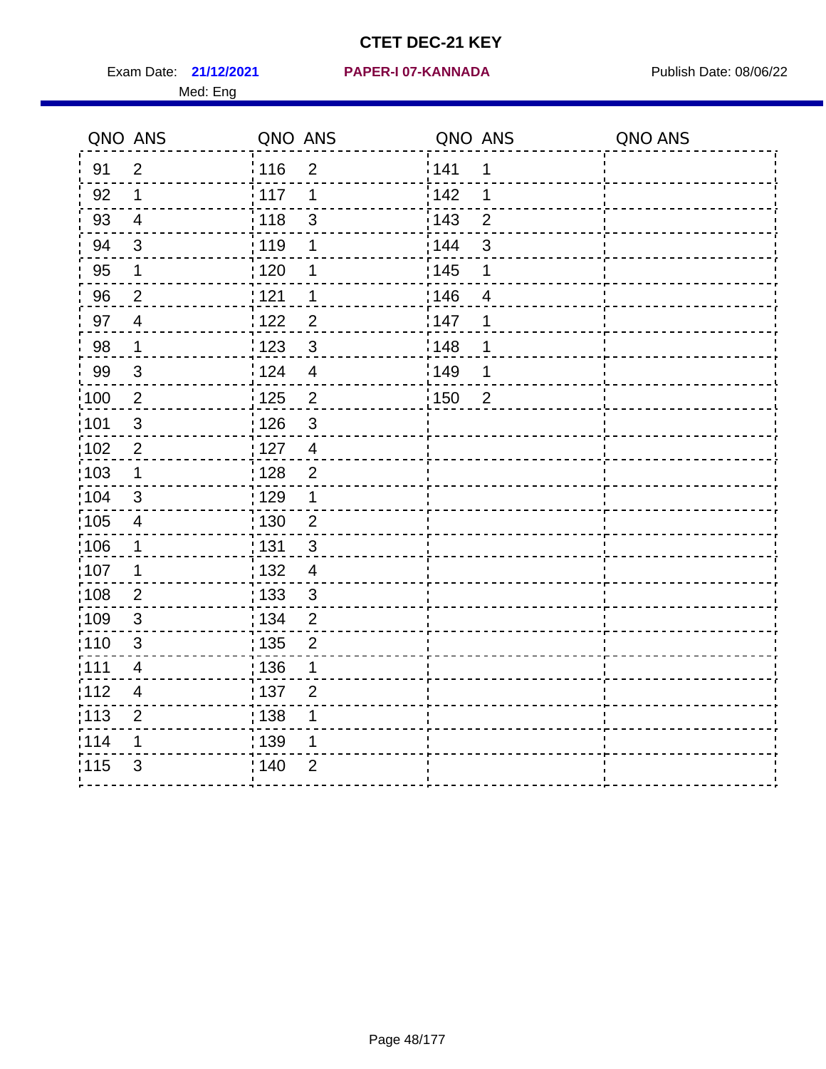Exam Date: **21/12/2021 PAPER-I 07-KANNADA** Publish Date: 08/06/22

#### **21/12/2021 PAPER-I 07-KANNADA**

|      | QNO ANS                 | QNO ANS           |                         | QNO ANS |                | QNO ANS |
|------|-------------------------|-------------------|-------------------------|---------|----------------|---------|
| 91   | $\overline{2}$          | 116               | $\overline{2}$          | ¦ 141   | 1              |         |
| 92   | 1                       | 117               | 1                       | 142     | 1              |         |
| 93   | $\overline{4}$          | 118               | 3                       | : 143   | $\overline{2}$ |         |
| 94   | $\sqrt{3}$              | 119               | 1                       | : 144   | 3              |         |
| 95   | 1                       | : 120             | 1                       | : 145   | 1              |         |
| 96   | $\sqrt{2}$              | 121               | 1                       | 146     | $\overline{4}$ |         |
| 97   | $\overline{4}$          | 122               | $\overline{2}$          | :147    | 1              |         |
| 98   | $\mathbf 1$             | 123               | $\mathbf{3}$            | 148     | 1              |         |
| 99   | $\mathfrak{B}$          | 124               | $\overline{\mathbf{4}}$ | 1149    | 1              |         |
| :100 | $\overline{2}$          | 125               | $\overline{2}$          | 150     | $\overline{2}$ |         |
| :101 | $\mathfrak{S}$          | 126               | 3                       |         |                |         |
| 102  | $\mathbf{2}$            | 127               | $\overline{4}$          |         |                |         |
| 103  | $\mathbf 1$             | $\frac{1}{1}$ 128 | $\overline{c}$          |         |                |         |
| 104  | $\mathfrak{S}$          | : 129             | 1                       |         |                |         |
| 105  | 4                       | : 130             | $\overline{2}$          |         |                |         |
| ,106 | 1                       | <u>¦131</u>       | 3                       |         |                |         |
| 107  | 1                       | : 132             | $\overline{\mathbf{4}}$ |         |                |         |
| :108 | $\overline{2}$          | : 133             | $\mathfrak{S}$          |         |                |         |
| :109 | 3                       | : 134             | $\overline{2}$          |         |                |         |
| :110 | 3                       | : 135             | $\overline{2}$          |         |                |         |
| :111 | $\overline{\mathbf{4}}$ | : 136             | 1                       |         |                |         |
| 112  | 4                       | : 137             | $\overline{2}$          |         |                |         |
| 113  | $\overline{2}$          | : 138             |                         |         |                |         |
| 114  | 1                       | : 139             | 1                       |         |                |         |
| 115  | $\mathfrak{B}$          | 140               | $\overline{2}$          |         |                |         |
|      |                         |                   |                         |         |                |         |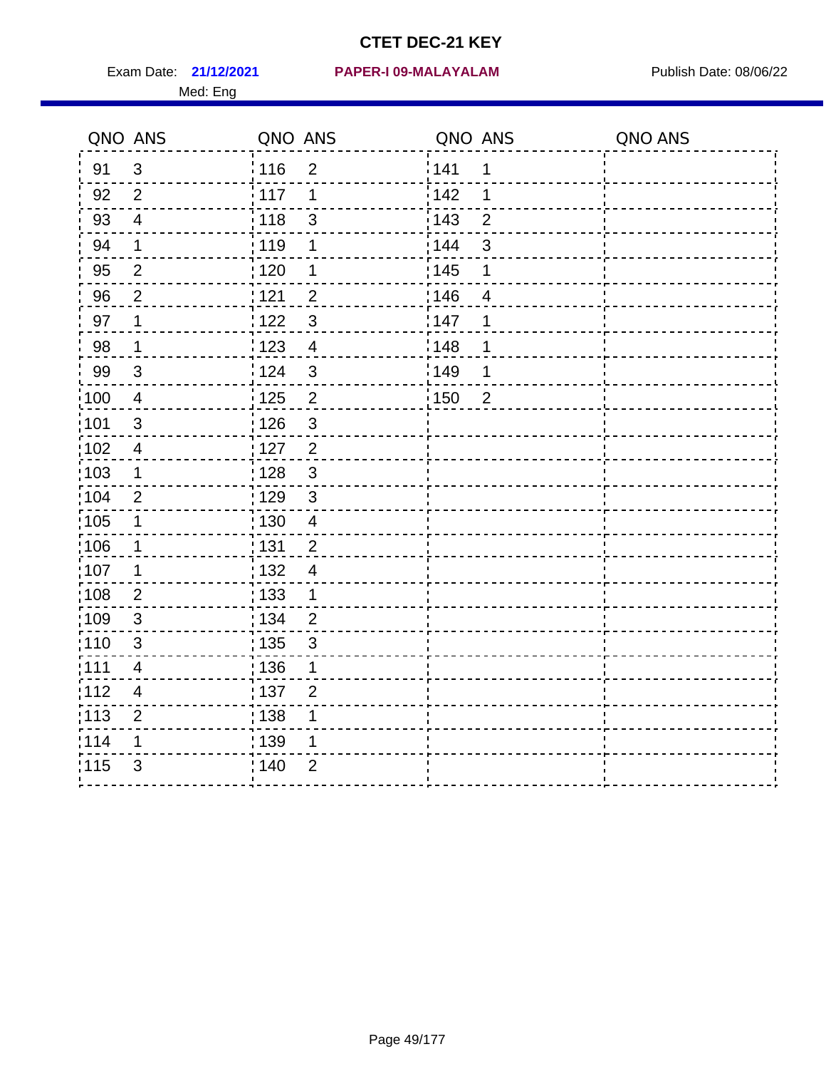#### **21/12/2021 PAPER-I 09-MALAYALAM** Exam Date: Publish Date: 08/06/22

|       | QNO ANS                  | QNO ANS                          | QNO ANS                         | QNO ANS |
|-------|--------------------------|----------------------------------|---------------------------------|---------|
| 91    | $\mathfrak{S}$           | 116<br>$\overline{2}$            | 141<br>1                        |         |
| 92    | 2                        | $\frac{1}{2}$ 117<br>1           | i 142<br>1                      |         |
| 93    | $\overline{4}$           | : 118<br>3                       | : 143<br>$\overline{2}$         |         |
| 94    | $\mathbf 1$              | 119<br>1                         | : 144<br>3                      |         |
| 95    | $\overline{2}$           | : 120<br>1                       | : 145<br>1                      |         |
| 96    | $\sqrt{2}$               | : 121<br>$\overline{\mathbf{c}}$ | 146<br>$\overline{\mathcal{A}}$ |         |
| 97    | 1                        | 1122<br>$\mathfrak{S}$           | 147<br>1                        |         |
| 98    | $\mathbf 1$              | 123<br>$\overline{4}$            | 148<br>1                        |         |
| 99    | $\mathfrak{S}$           | i 124<br>$\mathfrak{S}$          | ¦149<br>1                       |         |
| :100  | $\overline{4}$           | : 125<br>$\overline{2}$          | 150<br>$\overline{2}$           |         |
| :101  | $\mathbf{3}$             | 3<br>: 126                       |                                 |         |
| 102   | $\overline{\mathcal{A}}$ | : 127<br>$\overline{2}$          |                                 |         |
| 103   | $\mathbf 1$              | : 128<br>$\mathbf{3}$            |                                 |         |
| 104   | $\overline{2}$           | : 129<br>$\mathfrak{S}$          |                                 |         |
| 105   | 1                        | : 130<br>$\overline{4}$          |                                 |         |
| 106   | 1                        | 131<br>$\overline{c}$            |                                 |         |
| 107   | 1                        | 132<br>$\overline{4}$            |                                 |         |
| :108  | $\mathbf 2$              | : 133<br>1                       |                                 |         |
| :109  | $\sqrt{3}$               | : 134<br>$\overline{2}$          |                                 |         |
| :110  | 3                        | : 135<br>$\mathfrak{S}$          |                                 |         |
| : 111 | $\overline{\mathcal{A}}$ | : 136<br>1                       |                                 |         |
| 112   | $\overline{4}$           | : 137<br>$\overline{2}$          |                                 |         |
| : 113 | $\sqrt{2}$               | 138                              |                                 |         |
| 114   | 1                        | : 139                            |                                 |         |
| 115   | $\mathfrak{S}$           | : 140<br>$\overline{2}$          |                                 |         |
|       |                          |                                  |                                 |         |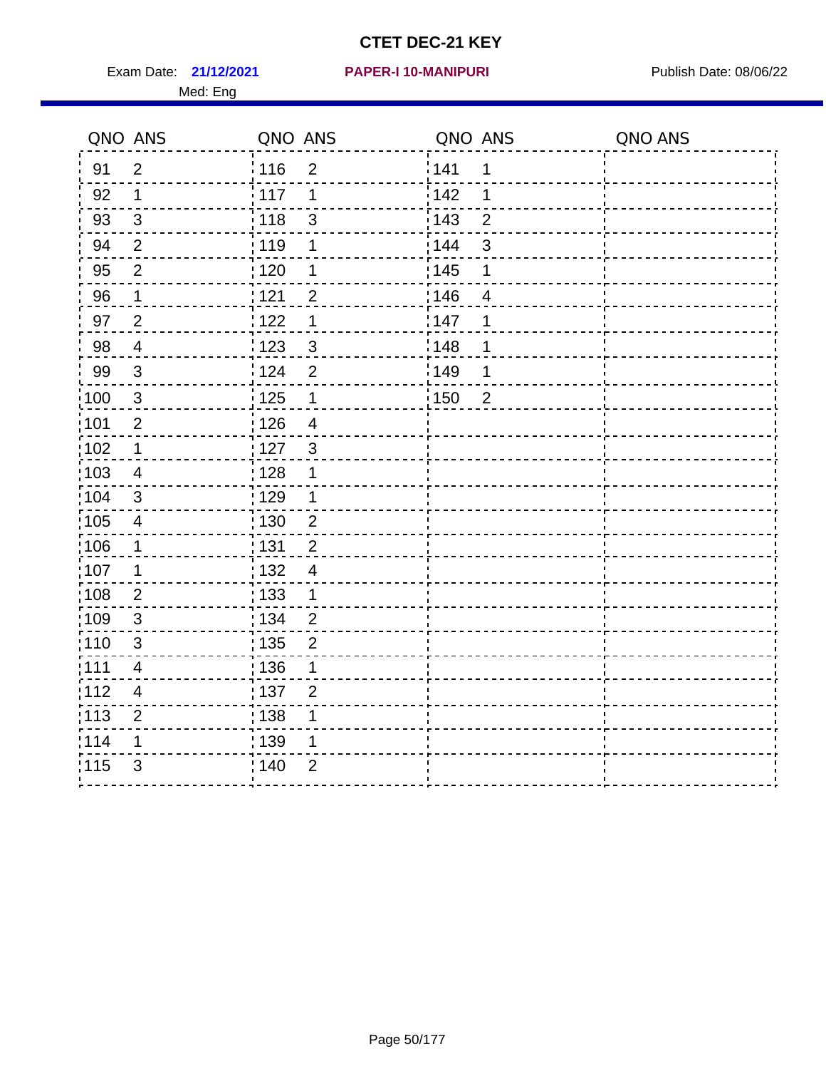Exam Date: **21/12/2021 PAPER-I 10-MANIPURI Proposed Bublish Date: 08/06/22** Med: Eng

#### **21/12/2021 PAPER-I 10-MANIPURI**

|                   | QNO ANS                 | QNO ANS           |                | QNO ANS |                | QNO ANS |
|-------------------|-------------------------|-------------------|----------------|---------|----------------|---------|
| 91                | $\overline{2}$          | :116              | $\overline{2}$ | 141     | 1              |         |
| 92                | $\mathbf 1$             | $\frac{1}{2}$ 117 | 1              | 142     | 1              |         |
| 93                | $\mathfrak{S}$          | 118               | $\mathfrak{S}$ | 143     | $\overline{2}$ |         |
| 94                | $\overline{2}$          | : 119             | $\mathbf 1$    | 144     | $\mathfrak{S}$ |         |
| 95                | $\overline{2}$          | $\frac{1}{1}$ 120 | 1              | : 145   | 1              |         |
| 96                | $\mathbf 1$             | 121               | $\overline{2}$ | 146     | $\overline{4}$ |         |
| 97                | $\overline{2}$          | 122               | 1              | 147     | 1              |         |
| 98                | $\overline{4}$          | 123               | $\sqrt{3}$     | 148     | 1              |         |
| 99                | $\sqrt{3}$              | 124               | $\overline{2}$ | 149     | 1              |         |
| $\frac{1}{1}$ 100 | $\mathbf{3}$            | 125               | $\mathbf 1$    | 150     | $\overline{2}$ |         |
| :101              | $\overline{2}$          | : 126             | $\overline{4}$ |         |                |         |
| $\frac{1}{1}$ 102 | $\mathbf 1$             | : 127             | $\mathbf{3}$   |         |                |         |
| $\frac{1}{1}$ 103 | 4                       | : 128             | 1              |         |                |         |
| :104              | 3                       | : 129             | 1              |         |                |         |
| :105              | $\overline{\mathbf{4}}$ | 130               | $\sqrt{2}$     |         |                |         |
| :106              | $\mathbf 1$             | : 131             | $\overline{2}$ |         |                |         |
| :107              | 1                       | :132              | $\overline{4}$ |         |                |         |
| 108               | $\overline{2}$          | 133               | $\mathbf{1}$   |         |                |         |
| :109              | $\sqrt{3}$              | : 134             | $\overline{2}$ |         |                |         |
| : 110             | $\mathfrak{S}$          | : 135             | $\overline{2}$ |         |                |         |
| : 111             | 4                       | : 136             | 1              |         |                |         |
| 112               | $\overline{4}$          | : 137             | $\overline{2}$ |         |                |         |
| : 113             | $\overline{2}$          | : 138             | 1              |         |                |         |
| 114               | 1                       | 139               | 1              |         |                |         |
| 115               | 3                       | 140               | $\overline{2}$ |         |                |         |
|                   |                         |                   |                |         |                |         |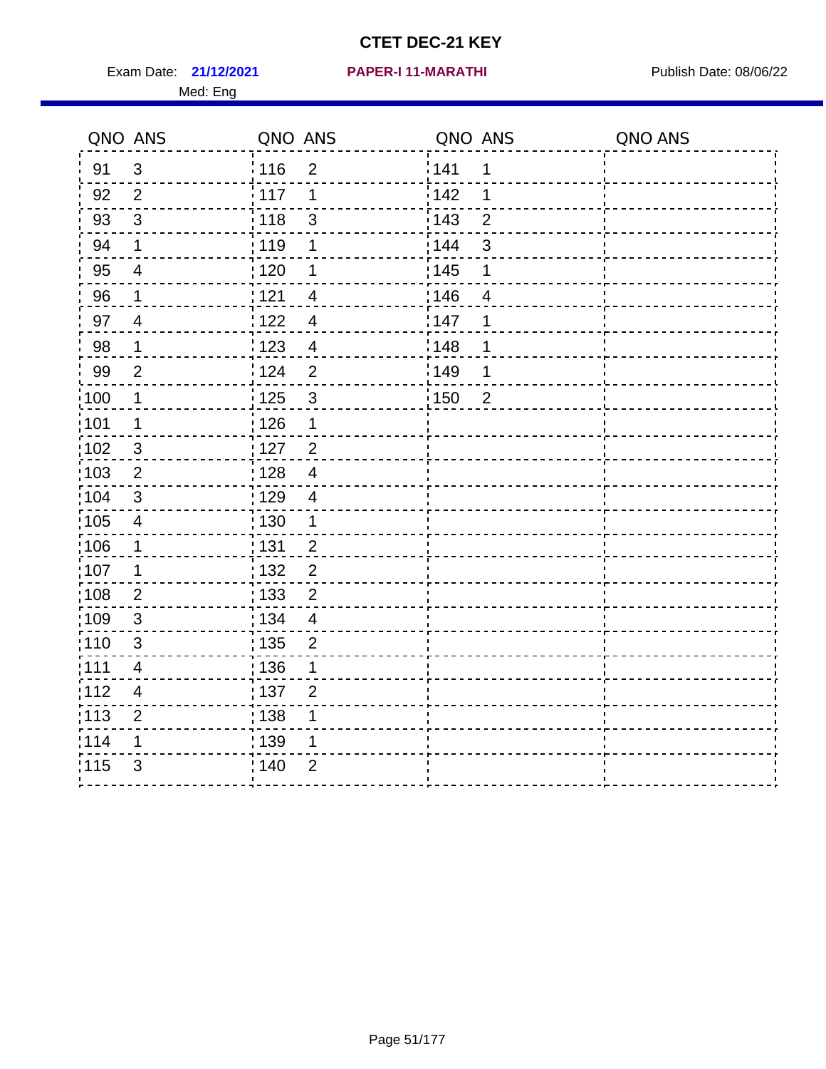Exam Date: 21/12/2021 PAPER-I 11-MARATHI PUBlish Date: 08/06/22 Med: Eng

#### **21/12/2021 PAPER-I 11-MARATHI**

|                   | QNO ANS        | QNO ANS |                | QNO ANS           |                | QNO ANS |
|-------------------|----------------|---------|----------------|-------------------|----------------|---------|
| 91                | $\mathbf{3}$   | : 116   | $\overline{2}$ | 141               | 1              |         |
| 92                | $\overline{2}$ | 117     | 1              | 142               | 1              |         |
| 93                | $\sqrt{3}$     | 118     | $\mathsf 3$    | 143               | $\overline{2}$ |         |
| 94                | $\mathbf 1$    | 119     | $\mathbf 1$    | 144               | $\mathfrak{S}$ |         |
| 95                | $\overline{4}$ | : 120   | 1              | : 145             | 1              |         |
| 96                | 1              | 121     | 4              | 146               | 4              |         |
| 97                | $\overline{4}$ | 122     | $\overline{4}$ | 147               | 1              |         |
| 98                | $\mathbf 1$    | 123     | $\overline{4}$ | 148               | 1              |         |
| 99                | $\overline{2}$ | 1124    | $\mathbf 2$    | 149               | 1              |         |
| 100               | $\mathbf 1$    | 125     | $\mathfrak{S}$ | $\frac{1}{1}$ 150 | $\overline{2}$ |         |
| 101               | 1              | 126     | $\mathbf 1$    |                   |                |         |
| 102               | $\mathbf{3}$   | 127     | $\overline{2}$ |                   |                |         |
| 103               | 2              | 128     | $\overline{4}$ |                   |                |         |
| $\frac{1}{1}$ 104 | $\mathbf{3}$   | : 129   | $\overline{4}$ |                   |                |         |
| $\frac{1}{1}$ 105 | $\overline{4}$ | : 130   | $\mathbf{1}$   |                   |                |         |
| :106              | $\mathbf 1$    | : 131   | $\overline{2}$ |                   |                |         |
| 107               | 1              | : 132   | $\overline{2}$ |                   |                |         |
| 108               | $\sqrt{2}$     | : 133   | $\overline{2}$ |                   |                |         |
| :109              | $\sqrt{3}$     | : 134   | $\overline{4}$ |                   |                |         |
| :110              | 3              | : 135   | $\overline{2}$ |                   |                |         |
| : 111             | 4              | 136     | 1              |                   |                |         |
| 112               | 4              | : 137   | $\overline{2}$ |                   |                |         |
| : 113             | $\overline{2}$ | : 138   | 1              |                   |                |         |
| 114               | 1              | : 139   | 1              |                   |                |         |
| 115               | 3              | 140     | $\overline{2}$ |                   |                |         |
|                   |                |         |                |                   |                |         |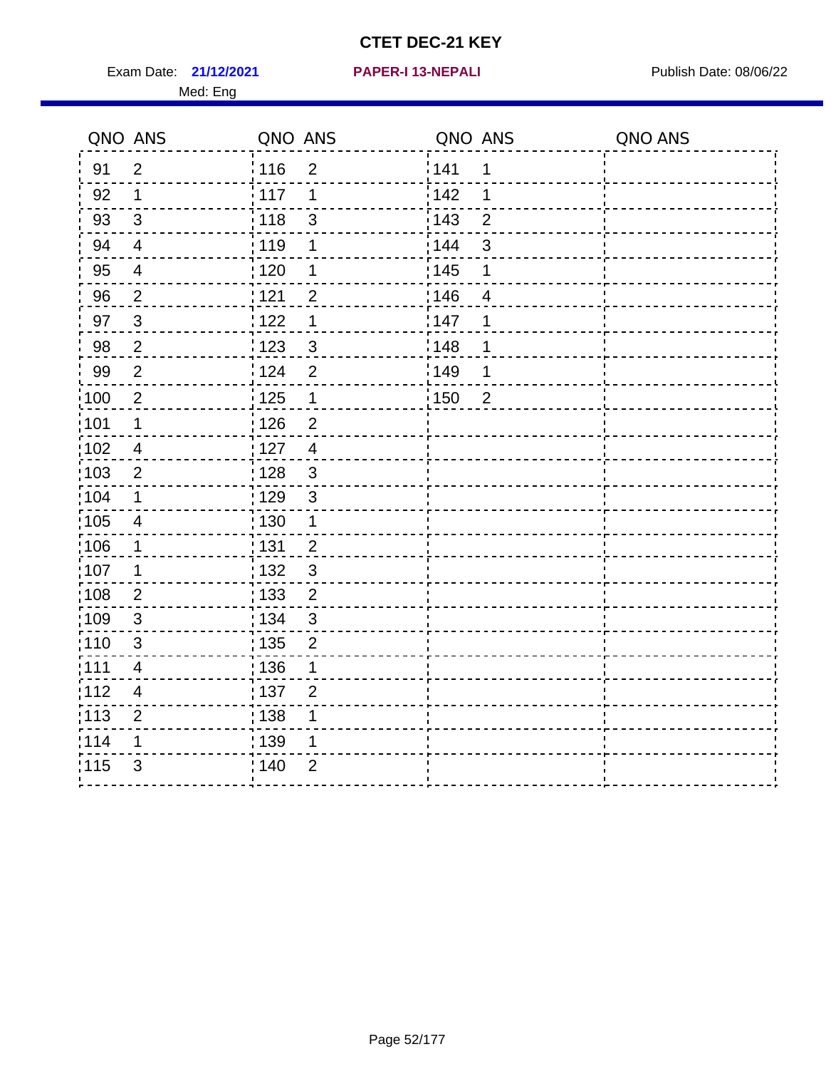**21/12/2021 PAPER-I 13-NEPALI** Exam Date: Publish Date: 08/06/22

|  |  |  |  |  |  | PAPER-I 13-NEPALI |  |
|--|--|--|--|--|--|-------------------|--|
|  |  |  |  |  |  |                   |  |

|                   | QNO ANS                  | QNO ANS                             | QNO ANS                         | QNO ANS |
|-------------------|--------------------------|-------------------------------------|---------------------------------|---------|
| 91                | $\overline{2}$           | 116<br>$\overline{2}$               | 141<br>1                        |         |
| 92                | 1                        | 117<br>1                            | 142<br>1                        |         |
| 93                | 3                        | : 118<br>3                          | : 143<br>$\overline{2}$         |         |
| 94                | $\overline{4}$           | : 119<br>1                          | : 144<br>3                      |         |
| 95                | $\overline{4}$           | 120<br>1                            | : 145<br>1                      |         |
| 96                | $\frac{2}{1}$            | $\overline{c}$<br>121               | 146<br>$\overline{\mathcal{A}}$ |         |
| 97                | $\mathbf{3}$             | 122<br>1                            | 147<br>1                        |         |
| 98                | $\overline{2}$           | 1123<br>$\mathbf{3}$                | 148<br>1                        |         |
| 99                | $\overline{2}$           | i 124<br>$\overline{2}$             | 149<br>1                        |         |
| $\frac{1}{1}$ 100 | $\overline{2}$           | : 125<br>$\mathbf 1$                | 150<br>$\overline{2}$           |         |
| :101              | 1                        | : 126<br>$\overline{2}$             |                                 |         |
| 102               | $\overline{4}$           | :127<br>$\overline{4}$              |                                 |         |
| :103              | $\overline{2}$           | $\mathfrak{S}$<br>128               |                                 |         |
| :104              | 1                        | 129<br>$\mathbf{3}$                 |                                 |         |
| 105               | $\overline{4}$           | 130<br>1                            |                                 |         |
| 106               | 1                        | : 131<br>$\overline{2}$             |                                 |         |
| 107               | 1                        | : 132<br>$\mathbf{3}$               |                                 |         |
| 108               | $\sqrt{2}$               | $\frac{1}{1}$ 133<br>$\overline{c}$ |                                 |         |
| 109               | $\mathbf{3}$             | : 134<br>3                          |                                 |         |
| :110              | $\mathfrak{B}$           | : 135<br>$\overline{2}$             |                                 |         |
| 111               | $\overline{\mathcal{A}}$ | : 136<br>1                          |                                 |         |
| 112               | $\overline{4}$           | : 137<br>$\overline{2}$             |                                 |         |
| :113              | $\overline{2}$           | $\frac{1}{1}$ 138                   |                                 |         |
| 114               | 1                        | : 139<br>1                          |                                 |         |
| 115               | 3                        | 140<br>$\overline{2}$               |                                 |         |
|                   |                          |                                     |                                 |         |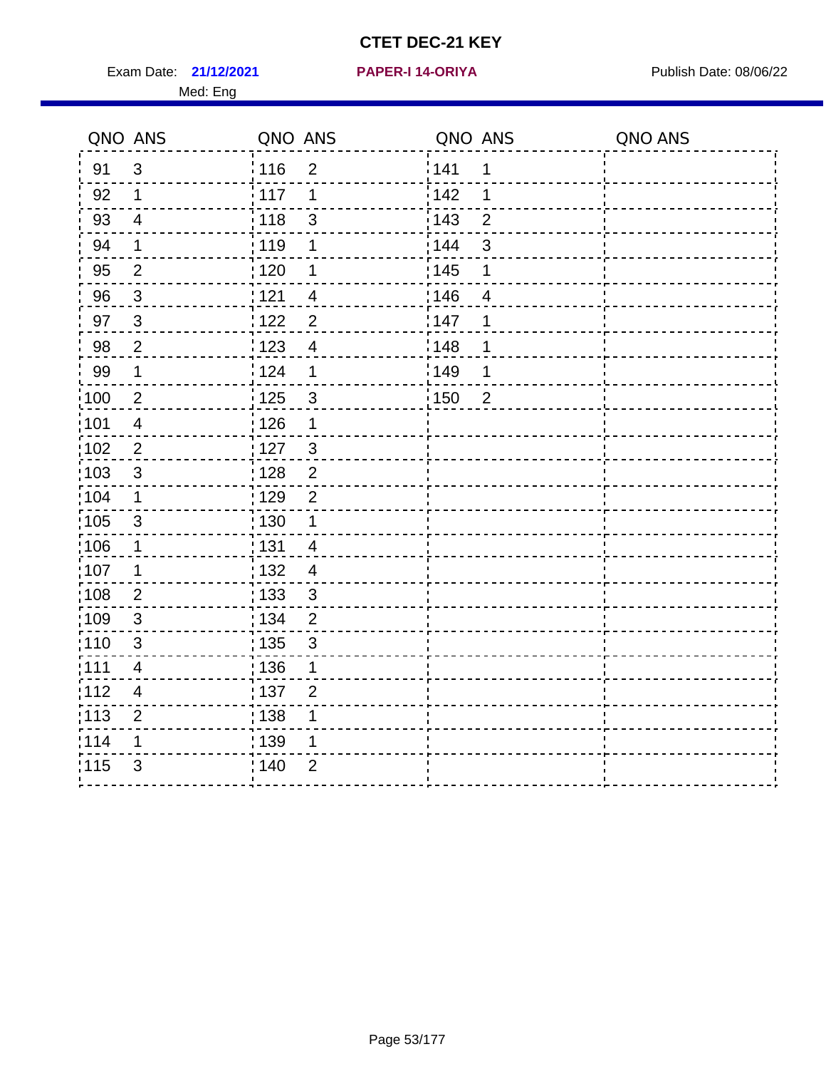Exam Date: 21/12/2021 PAPER-I 14-ORIYA Publish Date: 08/06/22 Med: Eng

#### **21/12/2021 PAPER-I 14-ORIYA**

| QNO ANS           |                | QNO ANS |                | QNO ANS           |                | QNO ANS |
|-------------------|----------------|---------|----------------|-------------------|----------------|---------|
| 91                | 3              | 116     | $\overline{2}$ | <sup>'</sup> 141  | 1              |         |
| 92                | 1              | ¦ 117   | 1              | 142               | 1              |         |
| 93                | $\overline{4}$ | 118     | 3              | 143               | $\overline{2}$ |         |
| 94                | 1              | 119     | $\mathbf 1$    | 144               | 3              |         |
| 95                | $\overline{2}$ | 120     | 1              | $\frac{1}{1}$ 145 | 1              |         |
| 96                | $\mathbf{3}$   | 1121    | 4              | 146               | 4              |         |
| 97                | $\mathbf{3}$   | 122     | $\overline{2}$ | 147               | 1              |         |
| 98                | $\overline{2}$ | 123     | $\overline{4}$ | 148               | 1              |         |
| 99                | $\mathbf{1}$   | 124     | $\mathbf 1$    | 149               | 1              |         |
| 100               | $\overline{2}$ | 125     | 3              | $\frac{1}{1}$ 150 | $\overline{2}$ |         |
| :101              | $\overline{4}$ | 126     | $\mathbf 1$    |                   |                |         |
| :102              | $\overline{2}$ | :127    | $\mathbf{3}$   |                   |                |         |
| 103               | 3              | : 128   | $\overline{2}$ |                   |                |         |
| :104              | $\mathbf 1$    | : 129   | $\overline{2}$ |                   |                |         |
| $\frac{1}{1}$ 105 | $\sqrt{3}$     | : 130   | $\mathbf 1$    |                   |                |         |
| :106              | $\mathbf{1}$   | : 131   | $\overline{4}$ |                   |                |         |
| ;107              | $\mathbf 1$    | : 132   | $\overline{4}$ |                   |                |         |
| :108              | $\overline{2}$ | : 133   | $\mathbf{3}$   |                   |                |         |
| :109              | $\mathfrak{S}$ | : 134   | $\overline{2}$ |                   |                |         |
| : 110             | 3              | : 135   | 3              |                   |                |         |
| 111               | 4              | 136     | 1              |                   |                |         |
| 112               | $\overline{4}$ | : 137   | $\overline{2}$ |                   |                |         |
| $\frac{1}{1}$ 113 | $\overline{2}$ | : 138   | 1              |                   |                |         |
| 1114              | 1              | 139     | 1              |                   |                |         |
| 115               | 3              | 140     | $\overline{2}$ |                   |                |         |
|                   |                |         |                |                   |                |         |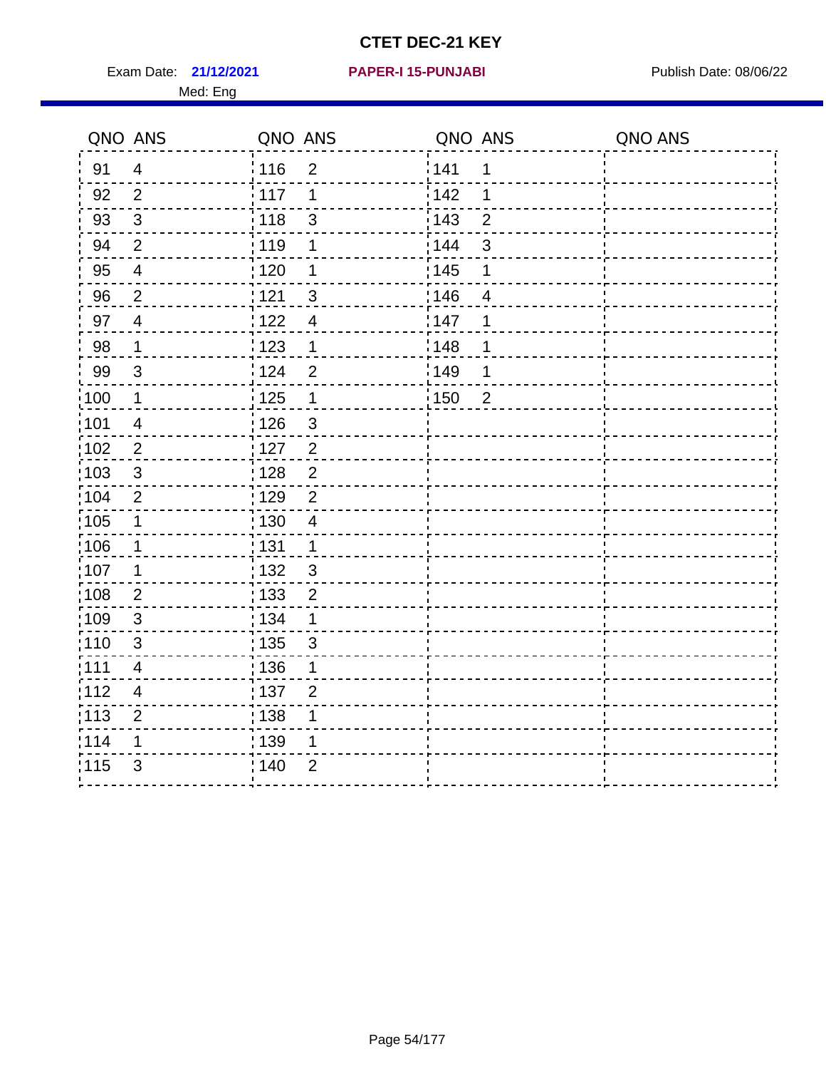Exam Date: 21/12/2021 PAPER-I 15-PUNJABI PUBLISH Date: 08/06/22 Med: Eng

#### **21/12/2021 PAPER-I 15-PUNJABI**

|                   | QNO ANS                 | QNO ANS           |                | QNO ANS           |                | QNO ANS |
|-------------------|-------------------------|-------------------|----------------|-------------------|----------------|---------|
| 91                | $\overline{4}$          | 116               | $\overline{2}$ | 141               | 1              |         |
| 92                | $\overline{2}$          | 117               | 1              | 142               | 1              |         |
| 93                | $\mathbf{3}$            | 118               | 3              | 143               | $\overline{2}$ |         |
| 94                | $\overline{2}$          | : 119             | 1              | 144               | 3              |         |
| 95                | $\overline{\mathbf{4}}$ | $\frac{1}{1}$ 120 | 1              | 145               | 1              |         |
| 96                | $\overline{2}$          | 121               | $\mathfrak{S}$ | 146               | 4              |         |
| 97                | $\overline{4}$          | 122               | $\overline{4}$ | 147               | 1              |         |
| 98                | $\mathbf 1$             | 123               | $\mathbf 1$    | 148               | 1              |         |
| 99                | $\mathbf{3}$            | 124               | $\overline{2}$ | 149               | 1              |         |
| 100               | $\mathbf 1$             | $125$             | $\mathbf 1$    | $\frac{1}{1}$ 150 | $\overline{2}$ |         |
| 101               | $\overline{4}$          | 126               | $\mathbf{3}$   |                   |                |         |
| 102               | $\overline{2}$          | : 127             | $\overline{2}$ |                   |                |         |
| 103               | 3                       | : 128             | $\overline{2}$ |                   |                |         |
| 104               | $\overline{2}$          | : 129             | $\overline{2}$ |                   |                |         |
| :105              | $\mathbf 1$             | : 130             | $\overline{4}$ |                   |                |         |
| 106               | $\mathbf{1}$            | : 131             | $\mathbf{1}$   |                   |                |         |
| 107               | $\mathbf 1$             | : 132             | $\mathbf{3}$   |                   |                |         |
| $\frac{1}{1}$ 108 | $\overline{2}$          | : 133             | $\overline{2}$ |                   |                |         |
| 109               | $\sqrt{3}$              | : 134             | $\mathbf 1$    |                   |                |         |
| :110              | 3                       | : 135             | 3              |                   |                |         |
| 111               | 4                       | : 136             | 1              |                   |                |         |
| 112               | 4                       | $\frac{1}{1}$ 137 | $\overline{2}$ |                   |                |         |
| : 113             | $\overline{2}$          | 138               | 1              |                   |                |         |
| 114               | 1                       | 139               | 1              |                   |                |         |
| 115               | 3                       | 140               | $\overline{2}$ |                   |                |         |
|                   |                         |                   |                |                   |                |         |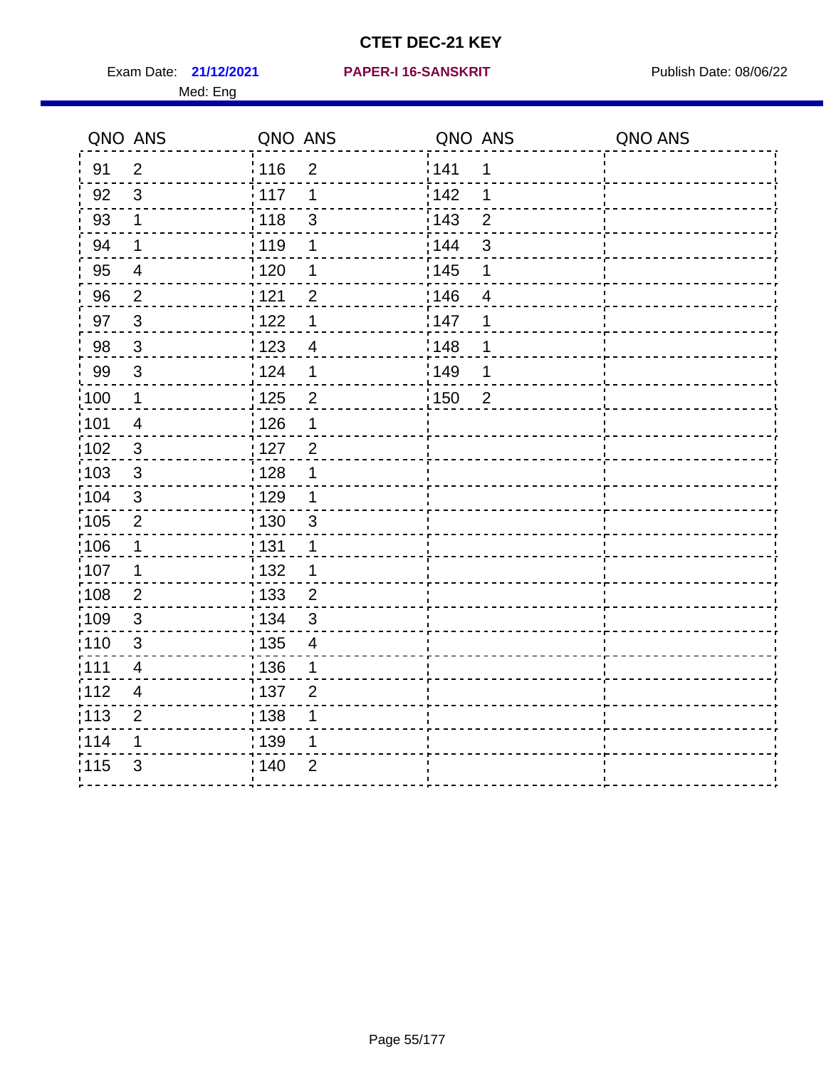Med: Eng

#### **21/12/2021 PAPER-I 16-SANSKRIT** Exam Date: Publish Date: 08/06/22

Tī

| QNO ANS |                           | QNO ANS                           | QNO ANS                          | QNO ANS |
|---------|---------------------------|-----------------------------------|----------------------------------|---------|
| 91      | $\overline{2}$            | $\frac{1}{116}$<br>$\overline{2}$ | 141<br>$\mathbf 1$               |         |
| 92      | 3                         | 117<br>1                          | 142<br>1                         |         |
| 93      | $\mathbf 1$               | $\mathfrak{S}$<br>118             | $\frac{1}{2}$ 143<br>$\mathbf 2$ |         |
| 94      | 1                         | 119<br>1                          | 144<br>3                         |         |
| 95      | $\overline{\mathbf{4}}$   | : 120<br>1                        | : 145<br>1                       |         |
| 96      | $\overline{2}$            | 121<br>$\overline{2}$             | 146<br>4                         |         |
| 97      | $\ensuremath{\mathsf{3}}$ | 122<br>1                          | 147<br>$\mathbf 1$               |         |
| 98      | $\mathbf{3}$              | 123<br>$\overline{\mathbf{4}}$    | : 148<br>1                       |         |
| 99      | 3                         | 124<br>1                          | 149<br>1                         |         |
| 100     | $\mathbf 1$               | 125<br>$\overline{c}$             | $\frac{1}{1}$ 150<br>$\sqrt{2}$  |         |
| 101     | $\overline{\mathbf{4}}$   | 126<br>1                          |                                  |         |
| 102     | $\ensuremath{\mathsf{3}}$ | 127<br>$\overline{2}$             |                                  |         |
| 103     | 3                         | : 128<br>1                        |                                  |         |
| 104     | $\ensuremath{\mathsf{3}}$ | 129<br>1                          |                                  |         |
| 105     | $\mathbf{2}$              | $\mathfrak{S}$<br>130             |                                  |         |
| 106     | 1                         | 131<br>1                          |                                  |         |
| 107     | 1                         | :132<br>1                         |                                  |         |
| 108     | $\overline{2}$            | 133<br>$\overline{2}$             |                                  |         |
| 109     | 3                         | 134<br>$\mathfrak{S}$             |                                  |         |
| 110     | 3                         | 135<br>$\overline{\mathcal{A}}$   |                                  |         |
| 111     | 4                         | :136<br>1                         |                                  |         |
| 112     | $\overline{4}$            | 137<br>$\overline{2}$             |                                  |         |
| 113     | $\overline{c}$            | 138<br>1                          |                                  |         |
| 114     | 1                         | : 139<br>1                        |                                  |         |
| 115     | 3                         | 140<br>$\overline{2}$             |                                  |         |
|         |                           |                                   |                                  |         |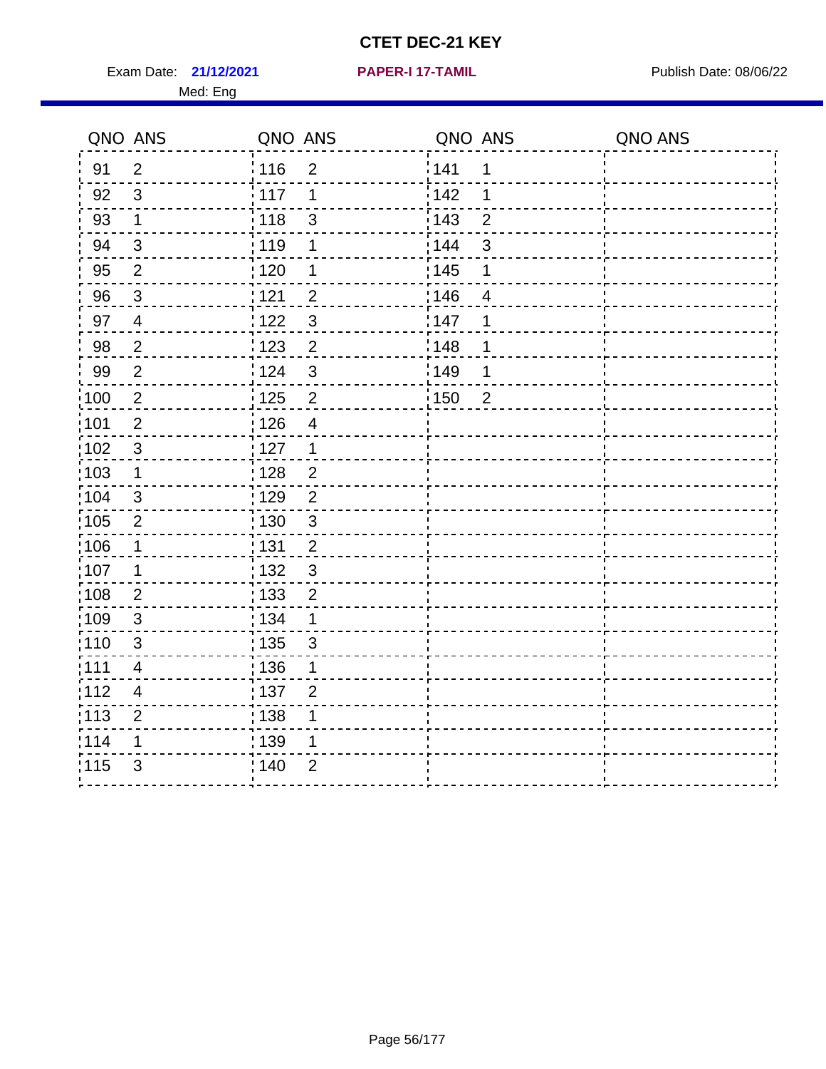Exam Date: 21/12/2021 **PAPER-I 17-TAMIL Exam Date: 08/06/22** 

Med: Eng

**21/12/2021 PAPER-I 17-TAMIL**

|       | QNO ANS        | QNO ANS           |                          | QNO ANS |                         | QNO ANS |
|-------|----------------|-------------------|--------------------------|---------|-------------------------|---------|
| 91    | $\overline{2}$ | : 116             | $\overline{2}$           | 141     | 1                       |         |
| 92    | $\mathfrak{S}$ | 117               | 1                        | 142     | 1                       |         |
| 93    | $\mathbf 1$    | 118               | $\mathsf 3$              | 143     | $\overline{2}$          |         |
| 94    | $\sqrt{3}$     | : 119             | 1                        | 144     | $\mathfrak{S}$          |         |
| 95    | $\overline{2}$ | : 120             | 1                        | : 145   | 1                       |         |
| 96    | $\sqrt{3}$     | 1121              | $\overline{2}$           | 146     | $\overline{\mathbf{4}}$ |         |
| 97    | $\overline{4}$ | 122               | $\mathfrak{3}$           | 147     | 1                       |         |
| 98    | $\overline{c}$ | $\frac{1}{2}$ 123 | $\overline{2}$           | 148     | 1                       |         |
| 99    | $\overline{2}$ | 124               | $\mathfrak{3}$           | 149     | 1                       |         |
| :100  | $\mathbf 2$    | $\frac{1}{1}$ 125 | $\overline{2}$           | 150     | $\overline{2}$          |         |
| :101  | $\overline{2}$ | 126               | $\overline{\mathcal{A}}$ |         |                         |         |
| :102  | $\mathfrak{S}$ | 127               | $\mathbf{1}$             |         |                         |         |
| 103   | $\mathbf 1$    | : 128             | $\overline{2}$           |         |                         |         |
| :104  | 3              | 129               | $\overline{2}$           |         |                         |         |
| 105   | $\sqrt{2}$     | $\frac{1}{1}$ 130 | $\mathbf{3}$             |         |                         |         |
| :106  | $\mathbf 1$    | : 131             | 2                        |         |                         |         |
| 107   | 1              | :132              | $\mathbf{3}$             |         |                         |         |
| 108   | $\overline{2}$ | : 133             | $\overline{2}$           |         |                         |         |
| :109  | $\sqrt{3}$     | : 134             | $\mathbf{1}$             |         |                         |         |
| :110  | $\mathfrak{S}$ | : 135             | $\mathfrak{S}$           |         |                         |         |
| ;111  | 4              | : 136             | 1                        |         |                         |         |
| 112   | $\overline{4}$ | 137               | $\overline{2}$           |         |                         |         |
| : 113 | $\overline{2}$ | : 138             | 1                        |         |                         |         |
| 114   | 1              | : 139             | 1                        |         |                         |         |
| 115   | 3              | 140               | $\overline{2}$           |         |                         |         |
|       |                |                   |                          |         |                         |         |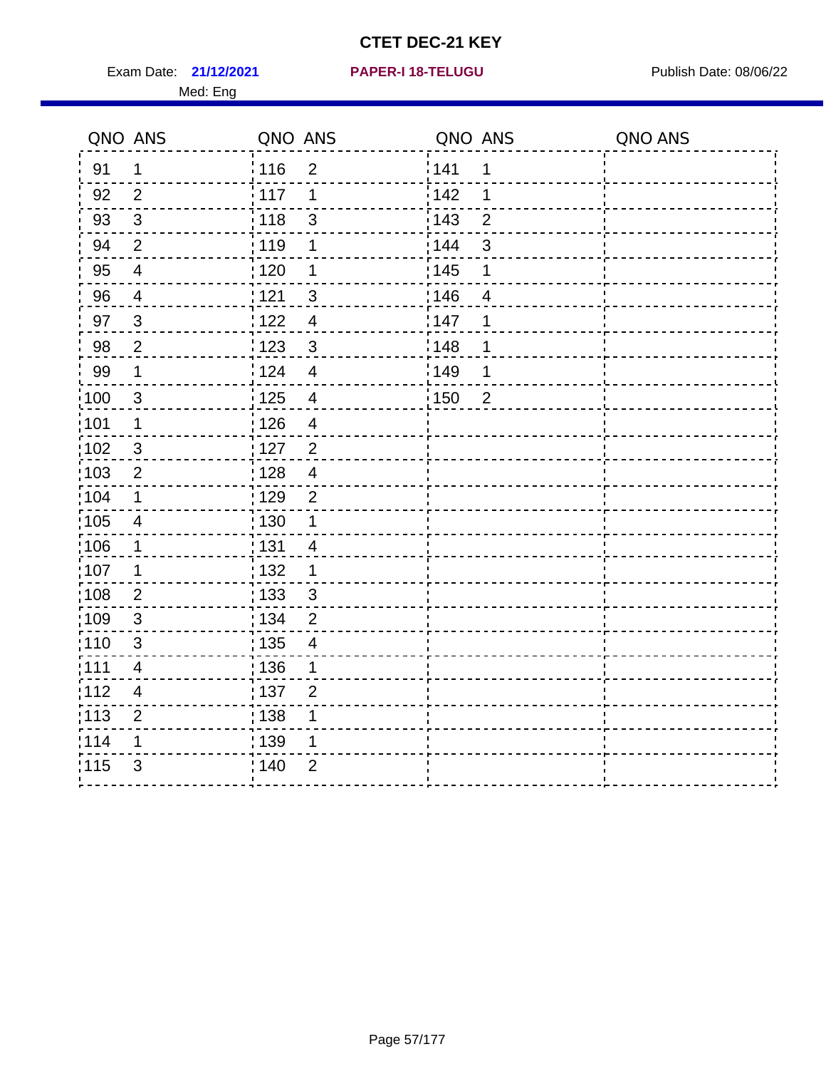**21/12/2021 PAPER-I 18-TELUGU** Exam Date: Publish Date: 08/06/22

|  |  |  |  |  |  | <b>PAPER-I 18-TELUGU</b> |  |
|--|--|--|--|--|--|--------------------------|--|
|  |  |  |  |  |  |                          |  |

| QNO ANS           |                          | QNO ANS                           | QNO ANS               | QNO ANS |
|-------------------|--------------------------|-----------------------------------|-----------------------|---------|
| 91                | 1                        | 116<br>$\overline{2}$             | <sup>'</sup> 141<br>1 |         |
| 92                | 2                        | 117<br>1                          | 142<br>1              |         |
| 93                | 3                        | : 118<br>3                        | 143<br>$\overline{2}$ |         |
| 94                | $\overline{2}$           | : 119<br>1                        | : 144<br>3            |         |
| 95                | $\overline{4}$           | :120<br>1                         | 145<br>1              |         |
| 96                | $\overline{a}$           | $\mathsf 3$<br>121                | 146<br>$\overline{4}$ |         |
| 97                | $\sqrt{3}$               | 1122<br>$\overline{\mathbf{4}}$   | 147<br>1              |         |
| 98                | $\overline{2}$           | 1123<br>$\mathbf{3}$              | 148<br>1              |         |
| 99                | 1                        | i 124<br>$\overline{\mathcal{A}}$ | 149<br>1              |         |
| $\frac{1}{1}$ 100 | 3                        | : 125<br>$\overline{4}$           | 150<br>$\overline{2}$ |         |
| 101               | 1                        | : 126<br>$\overline{\mathcal{A}}$ |                       |         |
| 102               | $\mathfrak{S}$           | :127<br>$\overline{2}$            |                       |         |
| :103              | $\overline{c}$           | 128<br>$\overline{\mathbf{4}}$    |                       |         |
| 104               | 1                        | 129<br>$\mathbf{2}$               |                       |         |
| 105               | $\overline{\mathcal{A}}$ | : 130                             |                       |         |
| :106              | 1                        | ;131<br>4                         |                       |         |
| 107               | 1                        | : 132<br>1                        |                       |         |
| :108              | $\mathbf 2$              | 133<br>$\mathsf 3$                |                       |         |
| :109              | $\mathfrak{S}$           | : 134<br>$\overline{2}$           |                       |         |
| :110              | 3                        | : 135<br>4                        |                       |         |
| :111              | $\overline{\mathbf{4}}$  | : 136<br>1                        |                       |         |
| : 112             | $\overline{4}$           | : 137<br>$\overline{2}$           |                       |         |
| 113               | $\overline{2}$           | : 138                             |                       |         |
| 114               | 1                        | 139                               |                       |         |
| 115               | 3                        | : 140<br>$\overline{2}$           |                       |         |
|                   |                          |                                   |                       |         |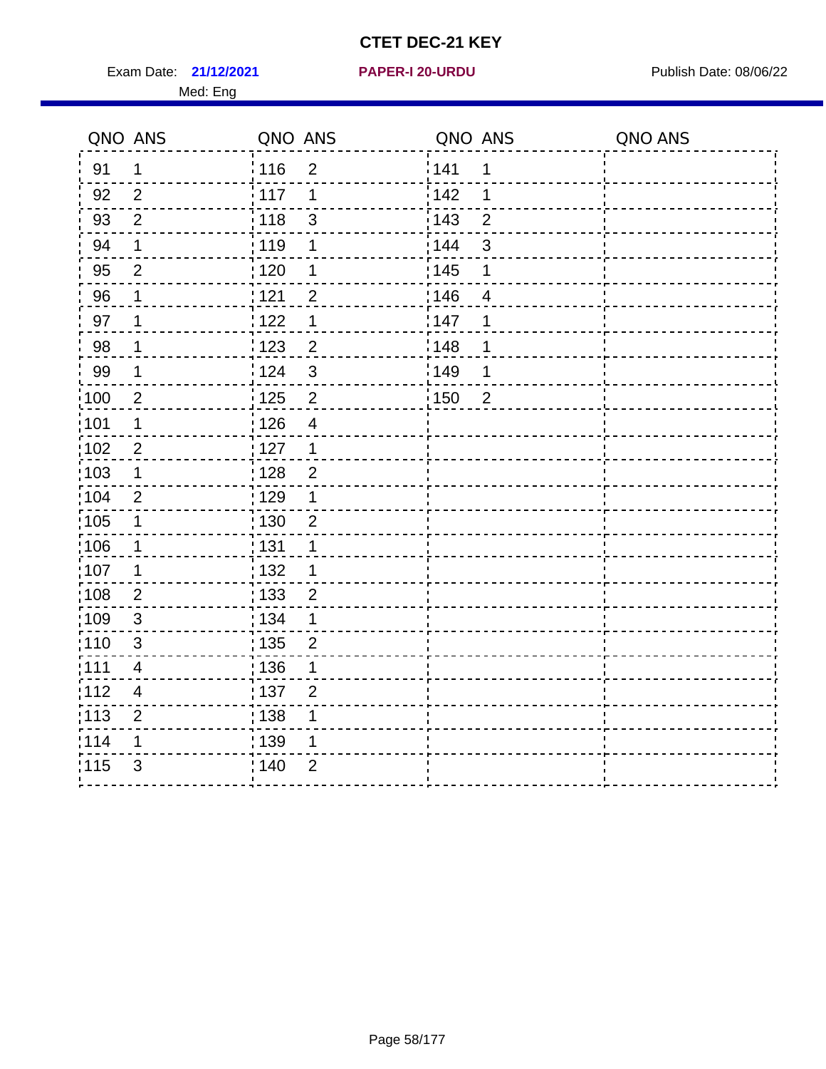Exam Date: **21/12/2021 PAPER-I 20-URDU Product by Publish Date: 08/06/22** Med: Eng

#### **21/12/2021 PAPER-I 20-URDU**

| QNO ANS           |                | QNO ANS                            | QNO ANS           |                | QNO ANS |
|-------------------|----------------|------------------------------------|-------------------|----------------|---------|
| 91                | $\mathbf 1$    | <sup>'</sup> 116<br>$\overline{2}$ | 141               | 1              |         |
| 92                | 2              | 117<br>1                           | 142               | 1              |         |
| 93                | 2              | 118<br>$\mathfrak{S}$              | $\frac{1}{2}$ 143 | $\overline{2}$ |         |
| 94                | $\mathbf 1$    | : 119<br>1                         | : 144             | $\mathfrak{S}$ |         |
| 95                | $\mathbf{2}$   | : 120<br>1                         | : 145             | 1              |         |
| 96                | $\mathbf 1$    | 121<br>$\overline{2}$              | 146               | $\overline{4}$ |         |
| 97                | 1              | 1122<br>1                          | 147               | 1              |         |
| 98                | 1              | 123<br>$\overline{2}$              | 148               | 1              |         |
| 99                | $\mathbf 1$    | i 124<br>$\mathfrak{S}$            | 149               | 1              |         |
| $\frac{1}{1}$ 100 | $\overline{2}$ | $\sqrt{2}$<br>125                  | $\frac{1}{1}$ 150 | $\overline{2}$ |         |
| 101               | $\mathbf 1$    | : 126<br>$\overline{\mathcal{A}}$  |                   |                |         |
| 102               | $\mathbf{2}$   | : 127<br>$\mathbf 1$               |                   |                |         |
| 103               | 1              | : 128<br>$\overline{2}$            |                   |                |         |
| 104               | $\overline{2}$ | : 129<br>1                         |                   |                |         |
| 105               | $\mathbf 1$    | : 130<br>$\overline{2}$            |                   |                |         |
| 106               | $\mathbf 1$    | : 131<br>$\mathbf 1$               |                   |                |         |
| 107               | $\mathbf 1$    | : 132<br>1                         |                   |                |         |
| 108               | 2              | : 133<br>$\overline{2}$            |                   |                |         |
| 109               | $\mathbf{3}$   | : 134<br>1                         |                   |                |         |
| 110               | $\mathbf{3}$   | : 135<br>$\overline{2}$            |                   |                |         |
| :111              | $\overline{4}$ | :136<br>1                          |                   |                |         |
| :112              | $\overline{4}$ | :137<br>$\overline{2}$             |                   |                |         |
| : 113             | $\overline{2}$ | 138<br>1                           |                   |                |         |
| 114               | 1              | 139<br>1                           |                   |                |         |
| 115               | 3              | : 140<br>$\overline{2}$            |                   |                |         |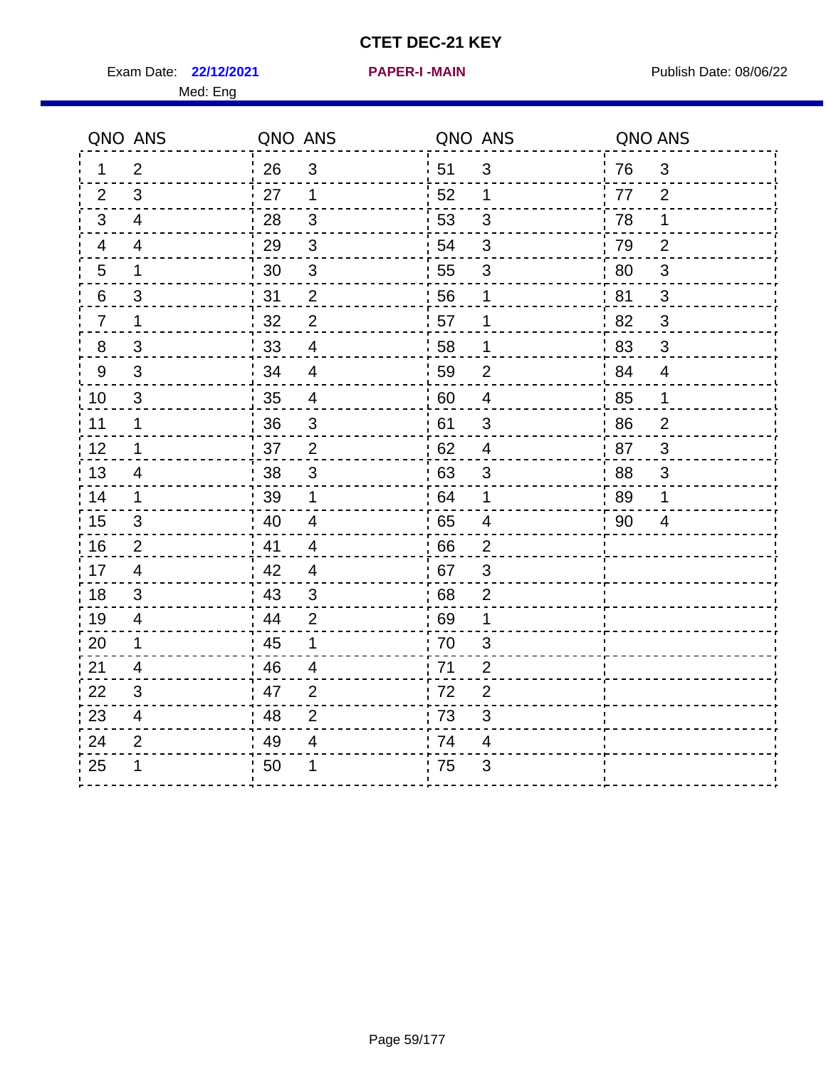Exam Date: 22/12/2021 **PAPER-I-MAIN Exam Date: 08/06/22** 

ċ

| QNO ANS          |                         | QNO ANS |                           | QNO ANS          |                           | QNO ANS |                           |
|------------------|-------------------------|---------|---------------------------|------------------|---------------------------|---------|---------------------------|
| 1                | $\overline{2}$          | 26      | $\mathfrak{S}$            | 51               | $\mathfrak{S}$            | 76      | $\sqrt{3}$                |
| 2                | 3                       | 27      | $\mathbf 1$               | 52               | 1                         | 77      | 2                         |
| 3                | 4                       | 28      | 3                         | 53               | 3                         | 78      | 1                         |
| $\overline{4}$   | $\overline{4}$          | 29      | $\mathbf{3}$              | 54               | $\mathfrak{S}$            | 79      | 2                         |
| 5                | 1                       | 30      | 3                         | 55               | $\mathfrak{S}$            | 80      | $\sqrt{3}$                |
| $6 \overline{6}$ | 3                       | 31      | $\mathbf{2}$              | 56               | $\mathbf 1$               | 81      | $\mathsf 3$               |
| $\overline{7}$   | 1                       | 32      | $\overline{2}$            | 57               | $\mathbf 1$               | 82      | $\mathfrak{S}$            |
| $8\phantom{1}$   | 3                       | 33      | $\overline{\mathcal{A}}$  | 58               | $\mathbf{1}$              | 83      | $\mathfrak{S}$            |
| $\boldsymbol{9}$ | $\mathsf 3$             | 34      | $\overline{\mathcal{A}}$  | 59               | $\boldsymbol{2}$          | 84      | $\overline{4}$            |
| 10               | 3                       | 35      | $\overline{\mathcal{A}}$  | 60               | $\overline{\mathbf{4}}$   | 85      | $\mathbf{1}$              |
| 11               | 1                       | 36      | $\ensuremath{\mathsf{3}}$ | 61               | $\ensuremath{\mathsf{3}}$ | 86      | $\overline{\mathbf{c}}$   |
| 12               | 1                       | 37      | $\mathbf 2$               | 62               | $\overline{\mathcal{A}}$  | 87      | $\ensuremath{\mathsf{3}}$ |
| 13               | 4                       | 38      | $\ensuremath{\mathsf{3}}$ | 63               | $\ensuremath{\mathsf{3}}$ | 88      | 3                         |
| 14               | 1                       | 39      | $\mathbf 1$               | 64               | $\mathbf 1$               | 89      | 1                         |
| 15               | 3                       | 40      | 4                         | 65               | 4                         | 90      | 4                         |
| 16               | $\overline{2}$          | 41      | 4                         | 66               | 2                         |         |                           |
| 17               | $\overline{\mathbf{4}}$ | 42      | 4                         | 67               | $\mathsf 3$               |         |                           |
| 18               | $\mathfrak{S}$          | 43      | $\mathfrak{S}$            | '68              | $\overline{c}$            |         |                           |
| 19               | $\overline{\mathbf{4}}$ | 44      | $\mathbf{2}$              | 69               | $\mathbf 1$               |         |                           |
| 20               | 1                       | 45      | $\mathbf 1$               | 70               | $\ensuremath{\mathsf{3}}$ |         |                           |
| 21               | 4                       | 46      | 4                         | 71               | $\overline{2}$            |         |                           |
| 22               | 3                       | 47      | $\overline{2}$            | 72               | $\overline{2}$            |         |                           |
| 23               | 4                       | 48      | $\overline{2}$            | 73               | $\mathfrak{S}$            |         |                           |
| 24               | $\overline{c}$          | 49      | $\overline{4}$            | 74               | $\overline{\mathcal{A}}$  |         |                           |
| 25               | 1                       | 50      | 1                         | $\frac{1}{1}$ 75 | 3                         |         |                           |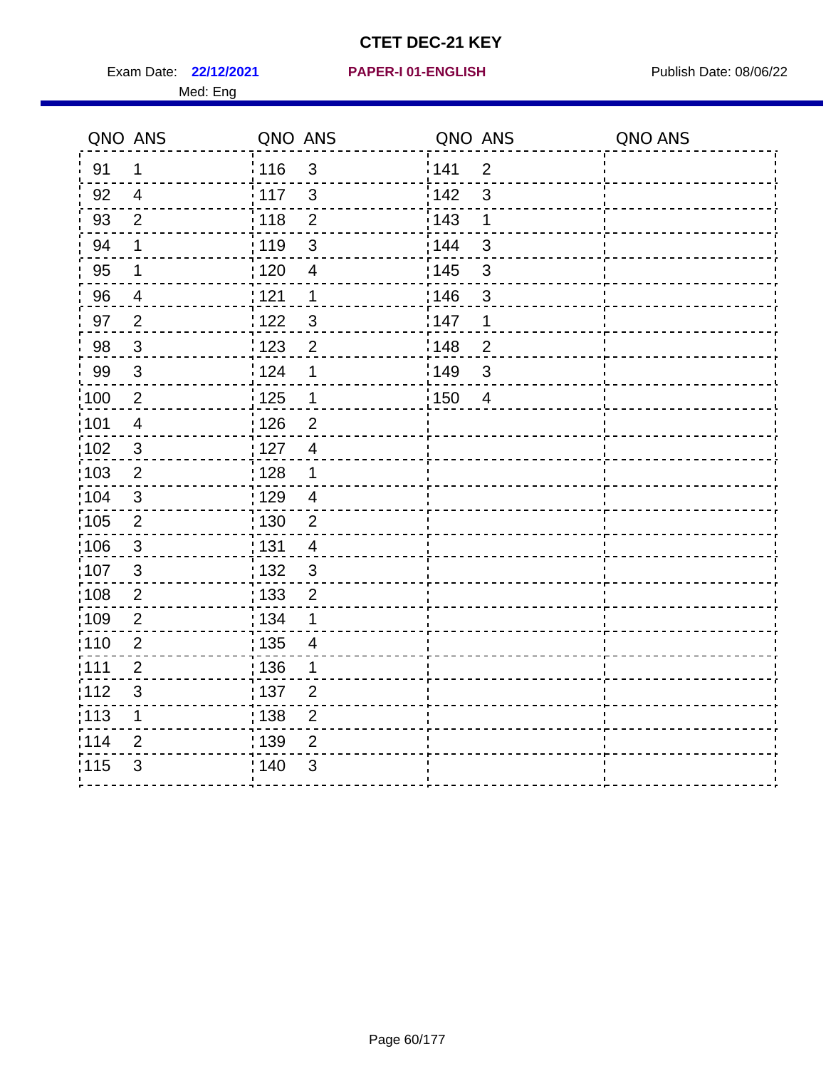Exam Date: 22/12/2021 PAPER-I 01-ENGLISH PREER Publish Date: 08/06/22

#### **22/12/2021 PAPER-I 01-ENGLISH**

|       | QNO ANS                   | QNO ANS                                      | QNO ANS                 | QNO ANS |
|-------|---------------------------|----------------------------------------------|-------------------------|---------|
| 91    | 1                         | 116<br>3                                     | 141<br>$\overline{2}$   |         |
| 92    | $\overline{4}$            | 3<br>117                                     | 3<br>142                |         |
| 93    | $\overline{2}$            | 118<br>$\overline{2}$                        | 143<br>1                |         |
| 94    | $\mathbf 1$               | $\ensuremath{\mathsf{3}}$<br>119             | $\mathfrak{S}$<br>144   |         |
| 95    | 1                         | 120<br>$\overline{\mathcal{A}}$              | : 145<br>3              |         |
| 96    | $\overline{4}$            | 121<br>1                                     | 146<br>$\mathbf{3}$     |         |
| 97    | $\overline{2}$            | 122<br>3                                     | 147<br>1                |         |
| 98    | $\mathfrak{S}$            | 123<br>$\overline{2}$                        | 148<br>$\overline{2}$   |         |
| 99    | $\mathfrak{S}$            | 124<br>1                                     | 149<br>$\mathfrak{S}$   |         |
| :100  | $\overline{2}$            | 125<br>$\mathbf 1$                           | : 150<br>$\overline{4}$ |         |
| :101  | $\overline{4}$            | 126<br>$\overline{2}$                        |                         |         |
| 102   | $\sqrt{3}$                | 127<br>$\overline{4}$                        |                         |         |
| :103  | $\sqrt{2}$                | 128<br>1                                     |                         |         |
| :104  | $\sqrt{3}$                | $\frac{1}{1}$ 129<br>$\overline{\mathbf{4}}$ |                         |         |
| :105  | $\overline{2}$            | : 130<br>$\overline{2}$                      |                         |         |
| :106  | $\mathfrak{S}$            | 131<br>4                                     |                         |         |
| 107   | $\sqrt{3}$                | 132<br>3                                     |                         |         |
| :108  | $\sqrt{2}$                | $\overline{2}$<br>$\frac{1}{1}$ 133          |                         |         |
| :109  | $\overline{2}$            | : 134<br>1                                   |                         |         |
| :110  | $\overline{2}$            | : 135<br>4                                   |                         |         |
| :111  | $\boldsymbol{2}$          | 136<br>1                                     |                         |         |
| ;112  | $\ensuremath{\mathsf{3}}$ | 137<br>$\overline{\mathbf{c}}$               |                         |         |
| : 113 | 1                         | $\frac{1}{1}$ 138<br>$\mathbf 2$             |                         |         |
| 1114  | $\overline{2}$            | : 139<br>$\overline{2}$                      |                         |         |
| 115   | 3                         | 140<br>3                                     |                         |         |
|       |                           |                                              |                         |         |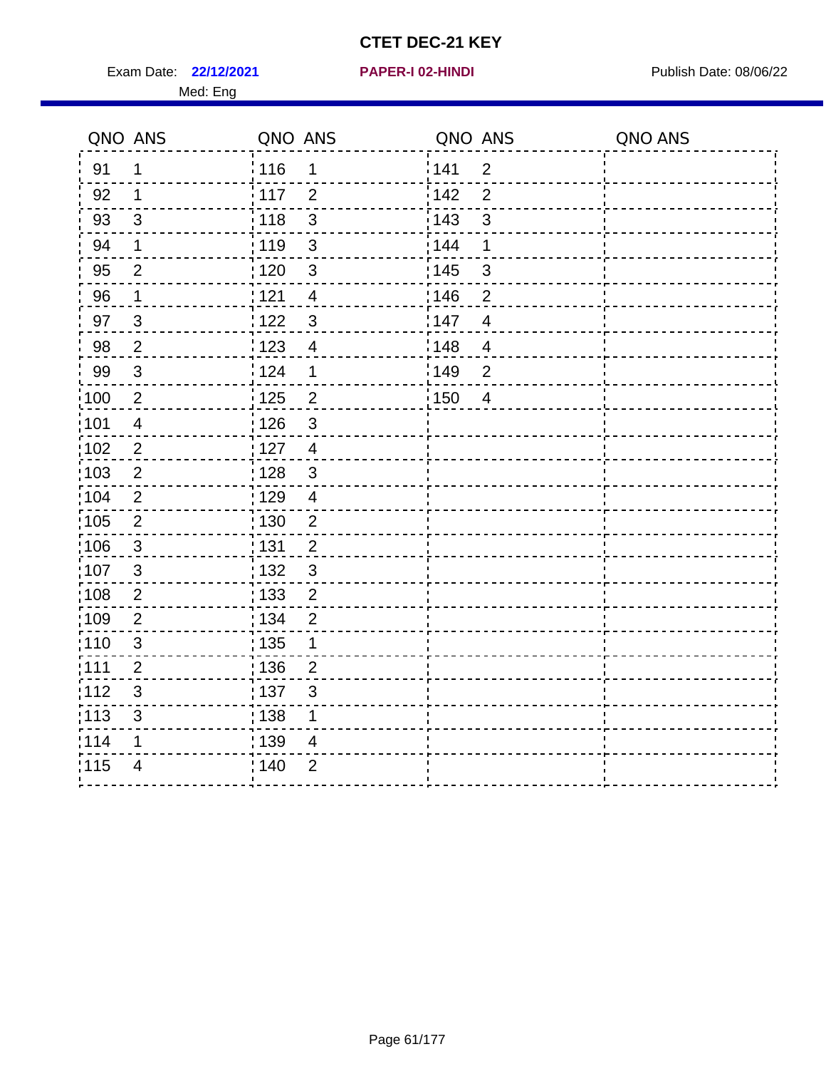Exam Date: 22/12/2021 **PAPER-I 02-HINDI Exam Date: 08/06/22** 

#### Med: Eng

**22/12/2021 PAPER-I 02-HINDI**

|                   | QNO ANS                 | QNO ANS                             | QNO ANS                | QNO ANS |
|-------------------|-------------------------|-------------------------------------|------------------------|---------|
| 91                | $\mathbf 1$             | 116<br>$\mathbf 1$                  | 141<br>$\overline{2}$  |         |
| 92                | $\mathbf 1$             | 117<br>$\overline{2}$               | 142<br>$\overline{2}$  |         |
| 93                | $\mathsf 3$             | : 118<br>$\mathfrak{3}$             | 143<br>$\mathfrak{S}$  |         |
| 94                | 1                       | : 119<br>3                          | : 144<br>1             |         |
| 95                | 2                       | :120<br>$\mathbf{3}$                | : 145<br>3             |         |
| 96                | $\mathbf{1}$            | 121<br>$\overline{4}$               | :146<br>$\overline{2}$ |         |
| 97                | $\mathbf{3}$            | 122<br>$\mathbf{3}$                 | 147<br>$\overline{4}$  |         |
| 98                | $\boldsymbol{2}$        | 123<br>$\overline{4}$               | 148<br>$\overline{4}$  |         |
| 99                | $\sqrt{3}$              | 124<br>$\mathbf 1$                  | 149<br>$\overline{2}$  |         |
| $\frac{1}{1}$ 100 | $\overline{2}$          | 125<br>$\overline{2}$               | :150<br>$\overline{4}$ |         |
| :101              | $\overline{\mathbf{4}}$ | $\frac{1}{1}$ 126<br>$\mathfrak{S}$ |                        |         |
| 102               | $\overline{2}$          | : 127<br>$\overline{4}$             |                        |         |
| 103               | $\overline{2}$          | $\mathbf{3}$<br>128                 |                        |         |
| 104               | $\overline{2}$          | : 129<br>$\overline{4}$             |                        |         |
| 105               | $\sqrt{2}$              | : 130<br>$\overline{c}$             |                        |         |
| 106               | $\mathfrak{S}$          | : 131<br>$\overline{2}$             |                        |         |
| :107              | $\mathbf{3}$            | $\mathfrak{3}$<br>: 132             |                        |         |
| 108               | $\overline{2}$          | $\frac{1}{1}$ 133<br>$\overline{2}$ |                        |         |
| :109              | $\overline{2}$          | : 134<br>$\overline{2}$             |                        |         |
| :110              | 3                       | : 135<br>1                          |                        |         |
| :111              | $\overline{2}$          | : 136<br>$\overline{2}$             |                        |         |
| 112               | $\mathsf 3$             | 137<br>$\sqrt{3}$                   |                        |         |
| 113               | $\mathfrak{S}$          | 138<br>1                            |                        |         |
| 1114              | 1                       | 139<br>4                            |                        |         |
| 115               | $\overline{4}$          | 140<br>$\overline{2}$               |                        |         |
|                   |                         |                                     |                        |         |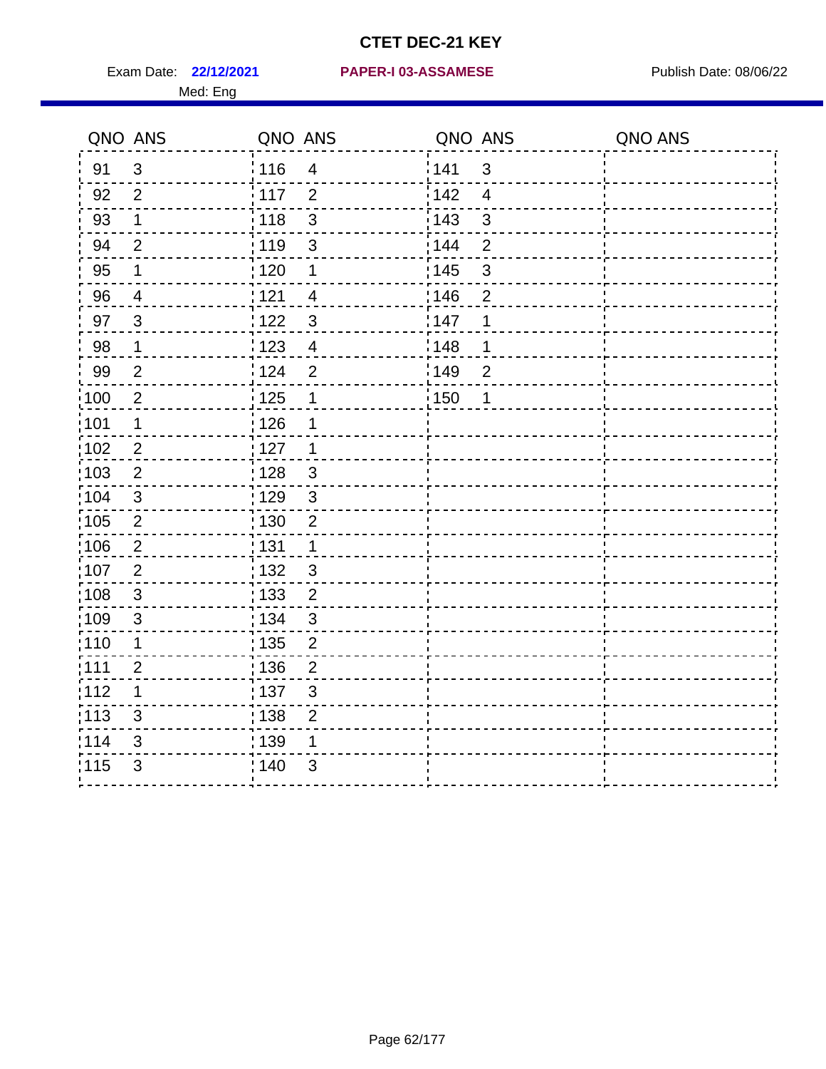Med: Eng

#### **22/12/2021 PAPER-I 03-ASSAMESE** Exam Date: Publish Date: 08/06/22

|                   | QNO ANS        | QNO ANS           |                          | QNO ANS |                | QNO ANS |
|-------------------|----------------|-------------------|--------------------------|---------|----------------|---------|
| 91                | $\mathfrak{S}$ | : 116             | $\overline{4}$           | 141     | $\mathbf{3}$   |         |
| 92                | $\overline{2}$ | 117               | 2                        | 142     | $\overline{4}$ |         |
| 93                | $\mathbf 1$    | 118               | $\mathfrak{S}$           | 143     | $\mathfrak{S}$ |         |
| 94                | $\overline{2}$ | :119              | $\mathbf{3}$             | 144     | $\overline{2}$ |         |
| 95                | $\mathbf 1$    | : 120             | $\mathbf 1$              | : 145   | $\sqrt{3}$     |         |
| 96                | 4              | 121               | $\overline{\mathcal{A}}$ | 146     | $\overline{2}$ |         |
| 97                | 3              | 122               | 3                        | 147     | 1              |         |
| 98                | $\mathbf 1$    | $\frac{1}{2}$ 123 | $\overline{4}$           | 148     | 1              |         |
| 99                | $\overline{2}$ | 124               | $\overline{2}$           | 149     | $\overline{2}$ |         |
| 100               | $\sqrt{2}$     | 125               | $\mathbf 1$              | 150     | 1              |         |
| :101              | $\mathbf 1$    | : 126             | 1                        |         |                |         |
| $\frac{1}{1}$ 102 | $\overline{2}$ | : 127             | $\overline{1}$           |         |                |         |
| 103               | $\overline{2}$ | 128               | $\mathbf{3}$             |         |                |         |
| 104               | $\mathbf{3}$   | :129              | $\mathbf{3}$             |         |                |         |
| :105              | $\mathbf{2}$   | 130               | $\mathbf 2$              |         |                |         |
| 106               | $\overline{2}$ | : 131             | $\mathbf{1}$             |         |                |         |
| 107               | $\overline{2}$ | : 132             | $\mathbf{3}$             |         |                |         |
| 108               | $\mathbf{3}$   | : 133             | $\overline{2}$           |         |                |         |
| $\frac{1}{1}$ 109 | $\mathfrak{S}$ | : 134             | $\sqrt{3}$               |         |                |         |
| 110               | 1              | : 135             | $\overline{2}$           |         |                |         |
| : 111             | $\overline{2}$ | : 136             | $\overline{2}$           |         |                |         |
| 112               | 1              | : 137             | $\mathfrak{S}$           |         |                |         |
| $\frac{1}{1}$ 113 | $\mathfrak{S}$ | : 138             | $\overline{2}$           |         |                |         |
| 114               | 3              | : 139             | 1                        |         |                |         |
| 115               | $\mathfrak{S}$ | : 140             | $\mathfrak{S}$           |         |                |         |
|                   |                |                   |                          |         |                |         |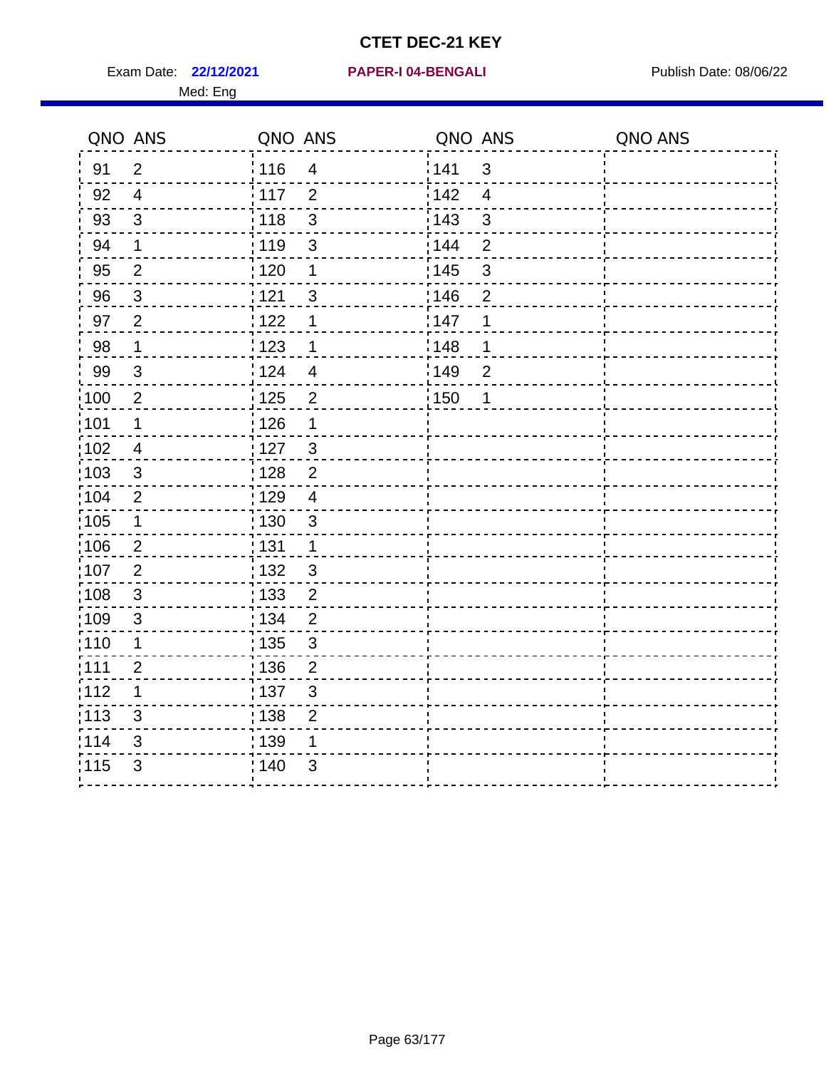Exam Date: 22/12/2021 PAPER-I 04-BENGALI PREREMENT Publish Date: 08/06/22

# **22/12/2021 PAPER-I 04-BENGALI**

| QNO ANS           |                           | QNO ANS |                          | QNO ANS |                | QNO ANS |
|-------------------|---------------------------|---------|--------------------------|---------|----------------|---------|
| 91                | $\overline{2}$            | 116     | $\overline{4}$           | 141     | $\mathfrak{S}$ |         |
| 92                | $\overline{4}$            | $-117$  | $\overline{2}$           | 142     | $\overline{4}$ |         |
| 93                | $\mathbf{3}$              | 118     | $\mathfrak{S}$           | 143     | $\mathfrak{S}$ |         |
| 94                | $\mathbf 1$               | 119     | $\mathfrak{S}$           | 144     | $\overline{2}$ |         |
| 95                | $\overline{2}$            | : 120   | 1                        | : 145   | $\mathfrak{S}$ |         |
| 96                | $\mathbf{3}$              | 121     | $\mathfrak{S}$           | 146     | $\overline{2}$ |         |
| 97                | $\overline{2}$            | 122     | 1                        | 147     | 1              |         |
| 98                | $\mathbf 1$               | 123     | $\mathbf 1$              | :148    | 1              |         |
| 99                | $\mathbf{3}$              | 124     | $\overline{\mathcal{A}}$ | ¦ 149   | $\overline{2}$ |         |
| $\frac{1}{2}100$  | $\overline{2}$            | : 125   | $\overline{2}$           | 150     | 1              |         |
| :101              | 1                         | 126     | 1                        |         |                |         |
| 102               | $\overline{4}$            | 127     | $\mathbf{3}$             |         |                |         |
| :103              | $\sqrt{3}$                | 128     | $\overline{2}$           |         |                |         |
| 104               | $\overline{2}$            | : 129   | $\overline{4}$           |         |                |         |
| 105               | 1                         | 130     | $\mathbf{3}$             |         |                |         |
| 106               | $\overline{2}$            | : 131   | 1                        |         |                |         |
| :107              | $\overline{2}$            | : 132   | $\mathbf{3}$             |         |                |         |
| :108              | $\ensuremath{\mathsf{3}}$ | 133     | $\overline{2}$           |         |                |         |
| 109               | $\sqrt{3}$                | : 134   | $\overline{2}$           |         |                |         |
| :110              | 1                         | : 135   | 3                        |         |                |         |
| :111              | $\overline{2}$            | : 136   | $\overline{2}$           |         |                |         |
| 112               | 1                         | 137     | $\mathbf{3}$             |         |                |         |
| $\frac{1}{1}$ 113 | $\ensuremath{\mathsf{3}}$ | 138     | $\mathbf 2$              |         |                |         |
| 114               | $\mathfrak{S}$            | : 139   | 1                        |         |                |         |
| 115               | 3                         | 140     | 3                        |         |                |         |
|                   |                           |         |                          |         |                |         |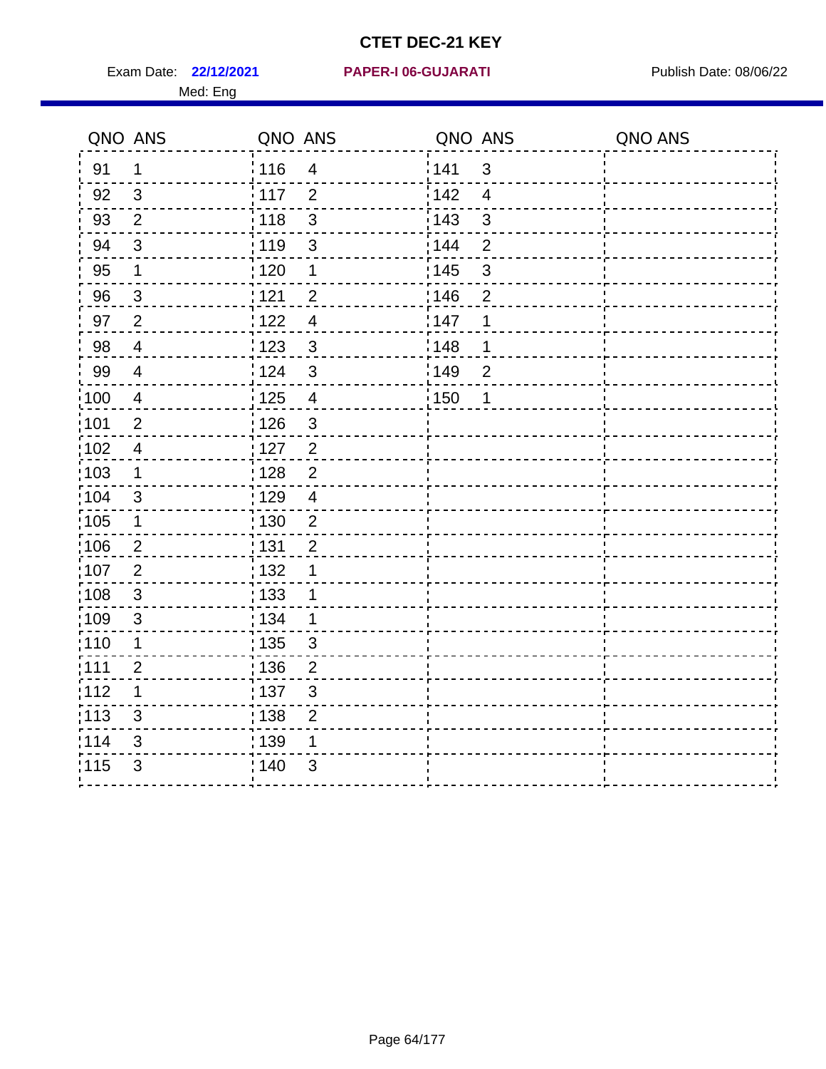Exam Date: 22/12/2021 PAPER-I 06-GUJARATI Publish Date: 08/06/22

#### **22/12/2021 PAPER-I 06-GUJARATI**

|       | QNO ANS                 | QNO ANS           |                           | QNO ANS |                | QNO ANS |
|-------|-------------------------|-------------------|---------------------------|---------|----------------|---------|
| 91    | $\mathbf 1$             | : 116             | $\overline{4}$            | 141     | $\mathfrak{S}$ |         |
| 92    | $\overline{\mathbf{3}}$ | $\frac{1}{2}$ 117 | $\overline{2}$            | 142     | $\overline{4}$ |         |
| 93    | $\overline{2}$          | 118               | $\mathbf{3}$              | 143     | 3              |         |
| 94    | $\mathfrak{3}$          | 119               | $\sqrt{3}$                | 144     | $\overline{2}$ |         |
| 95    | $\mathbf 1$             | : 120             | $\mathbf 1$               | : 145   | $\mathfrak{B}$ |         |
| 96    | $\mathbf{3}$            | 121               | $\overline{2}$            | :146    | $\overline{2}$ |         |
| 97    | $\overline{2}$          | 1122              | $\overline{4}$            | 147     | 1              |         |
| 98    | $\overline{4}$          | : 123             | $\mathbf{3}$              | 148     | 1              |         |
| 99    | 4                       | 124               | $\mathbf{3}$              | 149     | $\overline{2}$ |         |
| 100   | 4                       | : 125             | $\overline{4}$            | : 150   | 1              |         |
| 101   | $\overline{2}$          | : 126             | $\mathbf{3}$              |         |                |         |
| 102   | $\overline{4}$          | 127               | $\overline{2}$            |         |                |         |
| 103   | $\mathbf{1}$            | 128               | $\mathbf 2$               |         |                |         |
| 104   | 3                       | : 129             | $\overline{4}$            |         |                |         |
| 105   | 1                       | :130              | $\overline{2}$            |         |                |         |
| ;106  | $\overline{2}$          | : 131             | $\overline{2}$            |         |                |         |
| :107  | $\overline{2}$          | : 132             | 1                         |         |                |         |
| :108  | $\sqrt{3}$              | : 133             | $\mathbf{1}$              |         |                |         |
| :109  | $\mathfrak{3}$          | : 134             | $\mathbf 1$               |         |                |         |
| :110  | 1                       | 135               | 3                         |         |                |         |
| :111  | $\overline{2}$          | : 136             | $\overline{2}$            |         |                |         |
| 112   | 1                       | : 137             | $\ensuremath{\mathsf{3}}$ |         |                |         |
| : 113 | $\mathfrak{S}$          | 138               | $\overline{c}$            |         |                |         |
| 114   | 3                       | : 139             | 1                         |         |                |         |
| 115   | 3                       | 140               | 3                         |         |                |         |
|       |                         |                   |                           |         |                |         |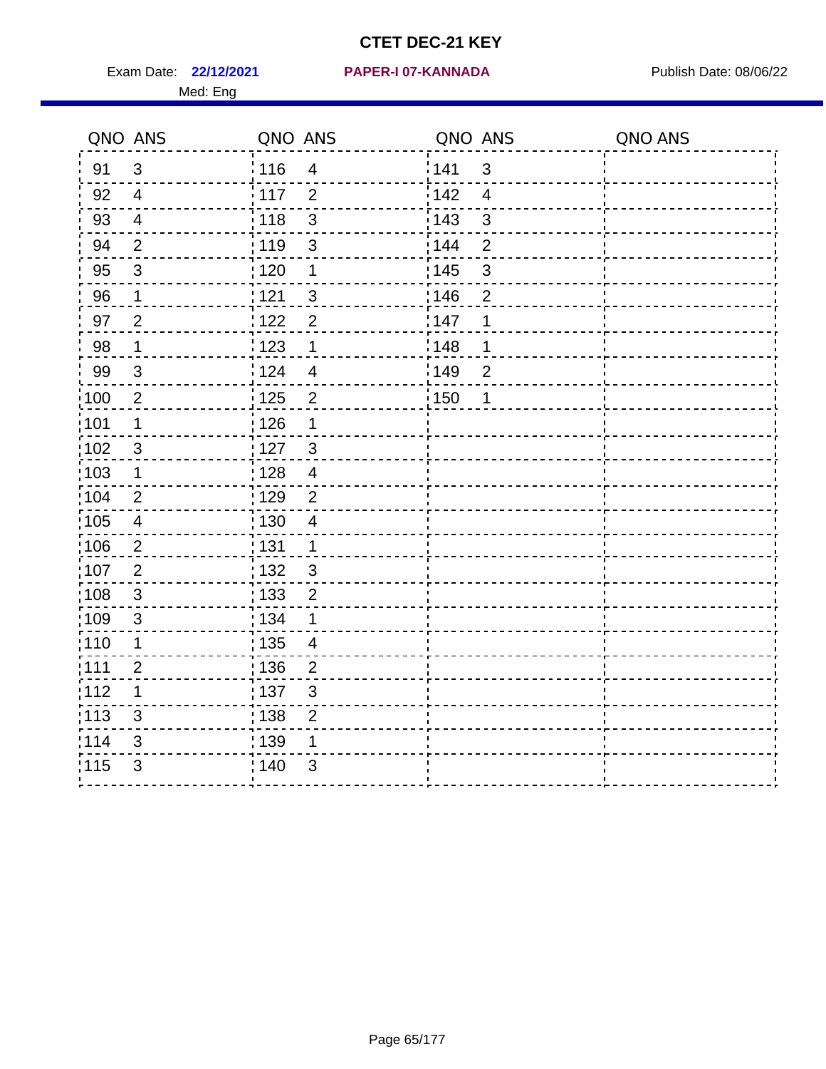Exam Date: 22/12/2021 **PAPER-I 07-KANNADA** Publish Date: 08/06/22 Med: Eng

#### **22/12/2021 PAPER-I 07-KANNADA**

| QNO ANS |                | QNO ANS           |                  | QNO ANS |                | QNO ANS |
|---------|----------------|-------------------|------------------|---------|----------------|---------|
| 91      | 3              | <sup>'</sup> 116  | $\overline{4}$   | 141     | 3              |         |
| 92      | $\overline{4}$ | 117               | 2                | 142     | $\overline{4}$ |         |
| 93      | $\overline{4}$ | : 118             | $\mathfrak{S}$   | 143     | $\mathfrak{S}$ |         |
| 94      | $\overline{2}$ | : 119             | $\mathfrak{S}$   | 144     | $\overline{2}$ |         |
| 95      | $\mathbf{3}$   | : 120             | $\mathbf 1$      | : 145   | $\mathfrak{S}$ |         |
| 96      | $\mathbf 1$    | : 121             | 3                | 146     | $\overline{2}$ |         |
| 97      | $\overline{2}$ | 122               | $\overline{2}$   | 147     | $\mathbf 1$    |         |
| 98      | $\mathbf 1$    | 123               | 1                | :148    | 1              |         |
| 99      | 3              | :124              | $\overline{4}$   | 149     | $\overline{2}$ |         |
| 100     | $\overline{2}$ | $\frac{1}{2}$ 125 | $\boldsymbol{2}$ | 150     | 1              |         |
| :101    | $\mathbf 1$    | : 126             | 1                |         |                |         |
| 102     | $\mathbf{3}$   | : 127             | $\mathbf{3}$     |         |                |         |
| :103    | $\mathbf 1$    | : 128             | $\overline{4}$   |         |                |         |
| :104    | 2              | : 129             | $\overline{2}$   |         |                |         |
| 105     | $\overline{4}$ | : 130             | $\overline{4}$   |         |                |         |
| 106     | $\overline{2}$ | : 131             | $\mathbf 1$      |         |                |         |
| :107    | $\overline{2}$ | : 132             | $\mathbf{3}$     |         |                |         |
| :108    | 3              | : 133             | $\overline{2}$   |         |                |         |
| :109    | 3              | : 134             | 1                |         |                |         |
| 110     | $\mathbf 1$    | : 135             | $\overline{4}$   |         |                |         |
| :111    | $\overline{2}$ | : 136             | 2                |         |                |         |
| 112     | $\mathbf 1$    | : 137             | 3                |         |                |         |
| : 113   | 3              | $\frac{1}{1}$ 138 | $\overline{2}$   |         |                |         |
| 114     | $\mathfrak{S}$ | : 139             | 1                |         |                |         |
| 115     | 3              | : 140             | 3                |         |                |         |
|         |                |                   |                  |         |                |         |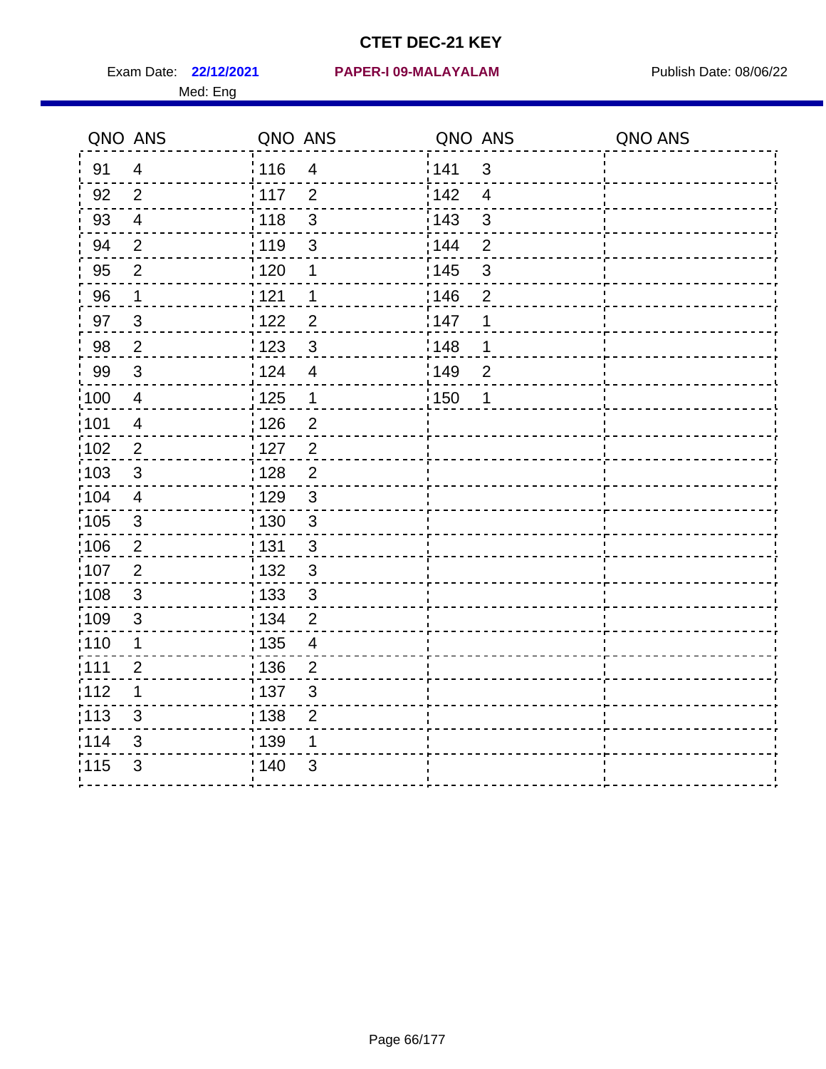Med: Eng

#### **22/12/2021 PAPER-I 09-MALAYALAM** Exam Date: Publish Date: 08/06/22

| QNO ANS |                           | QNO ANS           |                | QNO ANS           |                         | QNO ANS |
|---------|---------------------------|-------------------|----------------|-------------------|-------------------------|---------|
| 91      | $\overline{\mathbf{4}}$   | 116               | $\overline{4}$ | 141               | 3                       |         |
| 92      | $\overline{2}$            | $\frac{1}{2}$ 117 | 2              | 142               | $\overline{\mathbf{4}}$ |         |
| 93      | $\overline{\mathbf{4}}$   | 118               | $\sqrt{3}$     | $\frac{1}{2}$ 143 | 3                       |         |
| 94      | $\overline{2}$            | : 119             | 3              | : 144             | $\overline{2}$          |         |
| 95      | $\overline{2}$            | : 120             | 1              | : 145             | $\mathfrak{S}$          |         |
| 96      | 1                         | 121               | 1              | 146               | $\overline{2}$          |         |
| 97      | $\mathsf 3$               | 122               | $\overline{2}$ | 147               | 1                       |         |
| 98      | $\mathbf{2}$              | $\frac{1}{2}$ 123 | $\mathfrak{S}$ | : 148             | 1                       |         |
| 99      | $\mathfrak{S}$            | 124               | $\overline{4}$ | 149               | $\overline{2}$          |         |
| 100     | $\overline{\mathbf{4}}$   | $\frac{1}{2}$ 125 | $\mathbf{1}$   | 150               | 1                       |         |
| 101     | $\overline{\mathbf{4}}$   | : 126             | $\mathbf 2$    |                   |                         |         |
| 102     | $\overline{2}$            | $\frac{1}{1}$ 127 | $\sqrt{2}$     |                   |                         |         |
| 103     | 3                         | : 128             | $\overline{2}$ |                   |                         |         |
| 104     | $\overline{4}$            | : 129             | 3              |                   |                         |         |
| 105     | $\mathsf 3$               | : 130             | $\mathbf{3}$   |                   |                         |         |
| 106     | $\overline{2}$            | : 131             | $\mathfrak{S}$ |                   |                         |         |
| 107     | $\overline{2}$            | : 132             | $\mathbf{3}$   |                   |                         |         |
| 108     | 3                         | : 133             | 3              |                   |                         |         |
| 109     | $\sqrt{3}$                | : 134             | $\overline{2}$ |                   |                         |         |
| 110     | 1                         | : 135             | $\overline{4}$ |                   |                         |         |
| 111     | $\overline{2}$            | : 136             | $\overline{2}$ |                   |                         |         |
| 112     | 1                         | : 137             | 3              |                   |                         |         |
| 113     | 3                         | : 138             | $\overline{2}$ |                   |                         |         |
| 114     | $\ensuremath{\mathsf{3}}$ | : 139             | $\mathbf 1$    |                   |                         |         |
| 115     | 3                         | , 140             | $\mathfrak{S}$ |                   |                         |         |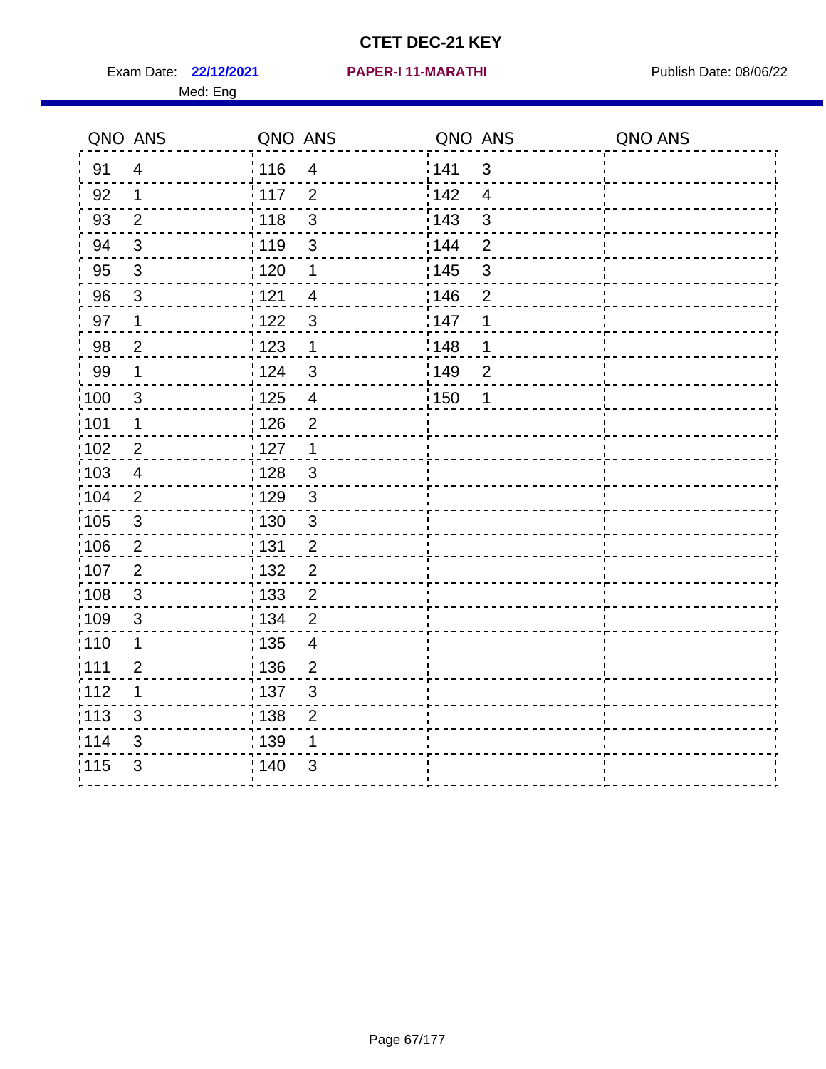Exam Date: 22/12/2021 PAPER-I 11-MARATHI PREERENDENSING Publish Date: 08/06/22 Med: Eng

#### **22/12/2021 PAPER-I 11-MARATHI**

|                   | QNO ANS        | QNO ANS |                           | QNO ANS           |                | QNO ANS |
|-------------------|----------------|---------|---------------------------|-------------------|----------------|---------|
| 91                | $\overline{4}$ | 116     | $\overline{4}$            | 141               | $\mathbf{3}$   |         |
| 92                | $\mathbf{1}$   | 117     | 2                         | 142               | $\overline{4}$ |         |
| 93                | $\overline{2}$ | 118     | $\mathsf 3$               | 143               | $\mathbf{3}$   |         |
| 94                | $\sqrt{3}$     | : 119   | 3                         | 144               | $\overline{2}$ |         |
| 95                | $\mathfrak{S}$ | : 120   | 1                         | : 145             | $\mathsf 3$    |         |
| 96                | 3              | 121     | $\overline{4}$            | 146               | $\overline{2}$ |         |
| 97                | $\mathbf 1$    | 122     | $\mathfrak{S}$            | 147               | 1              |         |
| 98                | $\overline{2}$ | 123     | $\mathbf 1$               | 148               | 1              |         |
| 99                | $\mathbf 1$    | 124     | $\mathfrak{3}$            | :149              | $\overline{2}$ |         |
| 100               | $\mathbf{3}$   | 125     | $\overline{\mathbf{4}}$   | $\frac{1}{1}$ 150 | 1              |         |
| 101               | 1              | 126     | $\overline{2}$            |                   |                |         |
| 102               | 2              | 127     | $\mathbf{1}$              |                   |                |         |
| 103               | 4              | : 128   | $\mathbf{3}$              |                   |                |         |
| $\frac{1}{104}$   | 2              | 129     | $\mathbf{3}$              |                   |                |         |
| $\frac{1}{1}$ 105 | $\sqrt{3}$     | : 130   | $\mathsf 3$               |                   |                |         |
| 106               | 2              | : 131   | $\overline{2}$            |                   |                |         |
| 107               | $\overline{2}$ | : 132   | $\overline{2}$            |                   |                |         |
| :108              | $\sqrt{3}$     | : 133   | $\overline{2}$            |                   |                |         |
| :109              | $\sqrt{3}$     | : 134   | $\overline{2}$            |                   |                |         |
| : 110             | 1              | : 135   | 4                         |                   |                |         |
| : 111             | $\overline{2}$ | : 136   | $\overline{2}$            |                   |                |         |
| 112               | 1              | : 137   | $\ensuremath{\mathsf{3}}$ |                   |                |         |
| 113               | 3              | 138     | $\overline{2}$            |                   |                |         |
| 114               | 3              | : 139   | 1                         |                   |                |         |
| 115               | 3              | 140     | 3                         |                   |                |         |
|                   |                |         |                           |                   |                |         |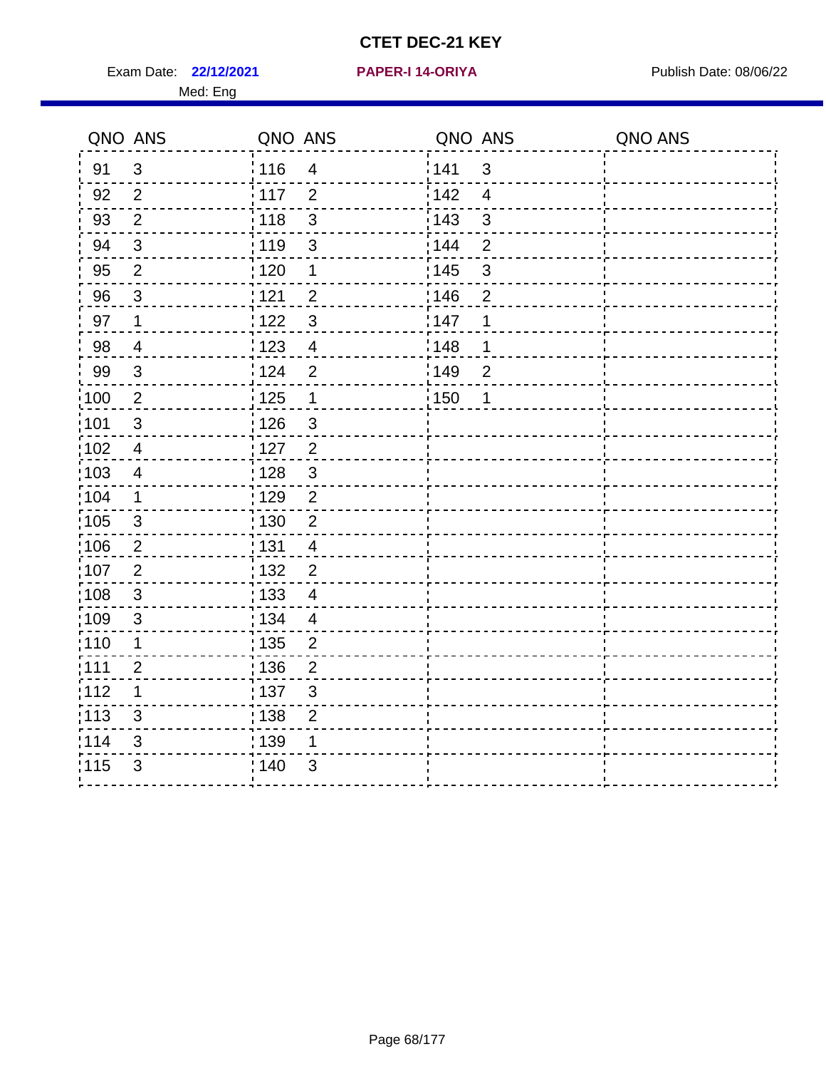Exam Date: 22/12/2021 **PAPER-I 14-ORIYA** Publish Date: 08/06/22 Med: Eng

#### **22/12/2021 PAPER-I 14-ORIYA**

| : 116<br>141<br>$\mathbf{3}$<br>91<br>$\mathfrak{S}$<br>$\overline{4}$<br>142<br>117<br>$\overline{4}$<br>92<br>$\overline{2}$<br>$\overline{2}$<br>3<br>$\overline{2}$<br>143<br>3<br>93<br>118<br>: 119<br>144<br>94<br>$\mathfrak{S}$<br>$\overline{2}$<br>$\mathfrak{S}$<br>: 145<br>$\overline{2}$<br>$\mathsf 3$<br>95<br>: 120<br>$\mathbf 1$<br>146<br>96<br>1121<br>$\mathbf{3}$<br>$\overline{2}$<br>$\overline{2}$ |  |
|-------------------------------------------------------------------------------------------------------------------------------------------------------------------------------------------------------------------------------------------------------------------------------------------------------------------------------------------------------------------------------------------------------------------------------|--|
|                                                                                                                                                                                                                                                                                                                                                                                                                               |  |
|                                                                                                                                                                                                                                                                                                                                                                                                                               |  |
|                                                                                                                                                                                                                                                                                                                                                                                                                               |  |
|                                                                                                                                                                                                                                                                                                                                                                                                                               |  |
|                                                                                                                                                                                                                                                                                                                                                                                                                               |  |
|                                                                                                                                                                                                                                                                                                                                                                                                                               |  |
| 1122<br>$\mathfrak{S}$<br>147<br>1<br>97<br>$\mathbf 1$                                                                                                                                                                                                                                                                                                                                                                       |  |
| 98<br>1123<br>148<br>$\overline{4}$<br>1<br>$\overline{4}$                                                                                                                                                                                                                                                                                                                                                                    |  |
| 99<br>124<br>$\overline{2}$<br>149<br>3<br>$\overline{2}$                                                                                                                                                                                                                                                                                                                                                                     |  |
| $\frac{1}{2}100$<br>$\overline{2}$<br>$\frac{1}{1}$ 125<br>$\mathbf 1$<br>150<br>$\mathbf 1$                                                                                                                                                                                                                                                                                                                                  |  |
| 101<br>: 126<br>$\mathfrak{S}$<br>$\mathfrak{S}$                                                                                                                                                                                                                                                                                                                                                                              |  |
| $\overline{2}$<br>$\frac{1}{1}$ 102<br>: 127<br>$\overline{4}$                                                                                                                                                                                                                                                                                                                                                                |  |
| 103<br>: 128<br>$\mathbf{3}$<br>$\overline{4}$                                                                                                                                                                                                                                                                                                                                                                                |  |
| :104<br>: 129<br>$\overline{2}$<br>$\mathbf 1$                                                                                                                                                                                                                                                                                                                                                                                |  |
| 105<br>: 130<br>$\overline{2}$<br>$\mathbf{3}$                                                                                                                                                                                                                                                                                                                                                                                |  |
| : 131<br>106<br>$\overline{c}$<br>$\overline{4}$                                                                                                                                                                                                                                                                                                                                                                              |  |
| 107<br>$\overline{2}$<br>132<br>$\overline{2}$                                                                                                                                                                                                                                                                                                                                                                                |  |
| :108<br>: 133<br>3<br>$\overline{4}$                                                                                                                                                                                                                                                                                                                                                                                          |  |
| :109<br>3<br>: 134<br>$\overline{4}$                                                                                                                                                                                                                                                                                                                                                                                          |  |
| 110<br>$\frac{1}{1}$ 135<br>$\overline{2}$<br>$\mathbf 1$                                                                                                                                                                                                                                                                                                                                                                     |  |
| :111<br>: 136<br>$\overline{2}$<br>2                                                                                                                                                                                                                                                                                                                                                                                          |  |
| :112<br>$\mathbf 1$<br>:137<br>3                                                                                                                                                                                                                                                                                                                                                                                              |  |
| :113<br>: 138<br>3<br>$\overline{2}$                                                                                                                                                                                                                                                                                                                                                                                          |  |
| 114<br>139<br>3<br>1                                                                                                                                                                                                                                                                                                                                                                                                          |  |
| 115<br>3<br>: 140<br>3                                                                                                                                                                                                                                                                                                                                                                                                        |  |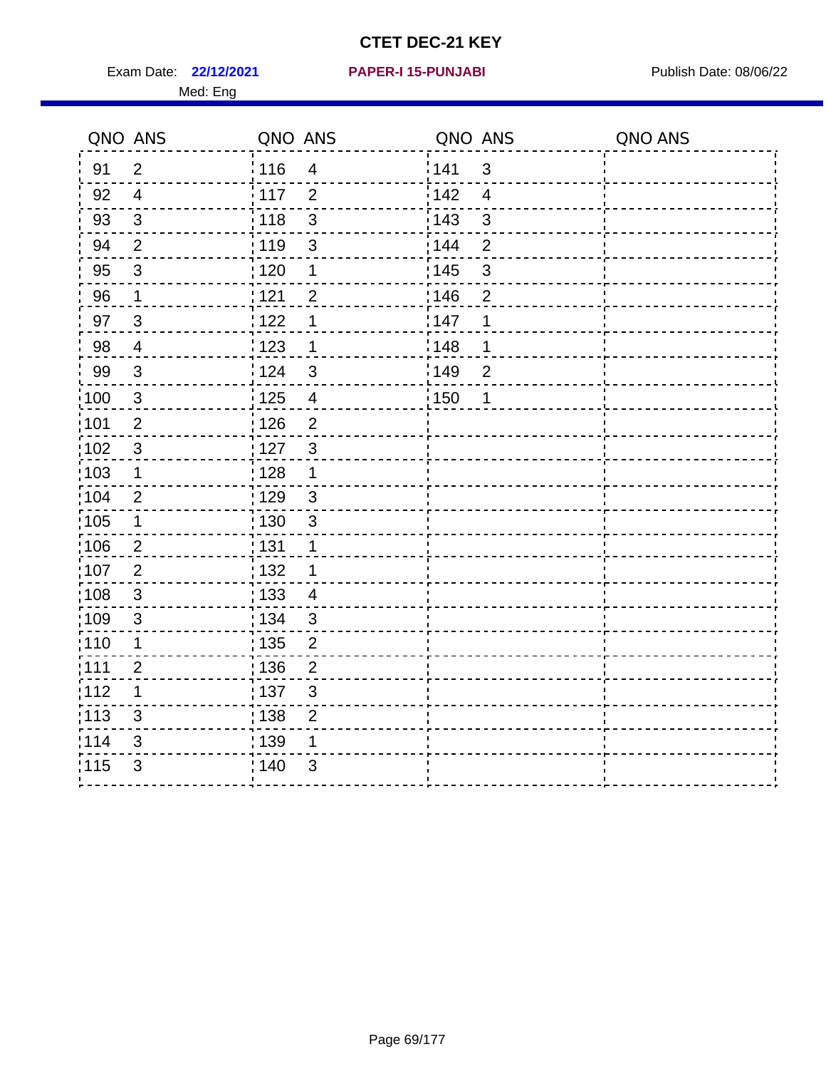Exam Date: 22/12/2021 **PAPER-I 15-PUNJABI** PUBLISH Date: 08/06/22 Med: Eng

#### **22/12/2021 PAPER-I 15-PUNJABI**

|                   | QNO ANS                   | QNO ANS                             | QNO ANS                            | QNO ANS |
|-------------------|---------------------------|-------------------------------------|------------------------------------|---------|
| 91                | $\overline{2}$            | : 116<br>$\overline{4}$             | 141<br>$\mathfrak{S}$              |         |
| 92                | $\overline{4}$            | 117<br>$\overline{2}$               | 142<br>$\overline{4}$              |         |
| 93                | $\sqrt{3}$                | $\mathbf{3}$<br>118                 | $\mathbf{3}$<br>143                |         |
| 94                | $\overline{2}$            | : 119<br>$\mathfrak{S}$             | 144<br>$\overline{2}$              |         |
| 95                | $\sqrt{3}$                | : 120<br>$\mathbf 1$                | : 145<br>$\ensuremath{\mathsf{3}}$ |         |
| 96                | $\mathbf{1}$              | 121<br>$\overline{2}$               | 146<br>$\overline{2}$              |         |
| 97                | 3                         | 122<br>1                            | 147<br>1                           |         |
| 98                | $\overline{4}$            | 123<br>1                            | 148<br>1                           |         |
| 99                | $\mathbf{3}$              | : 124<br>3                          | 149<br>$\overline{2}$              |         |
| $\frac{1}{1}$ 100 | $\mathbf{3}$              | 125<br>$\overline{\mathbf{4}}$      | $\frac{1}{2}$ 150<br>1             |         |
| :101              | $\overline{2}$            | 126<br>$\overline{2}$               |                                    |         |
| 102               | $\sqrt{3}$                | $\mathfrak{3}$<br>: 127             |                                    |         |
| 103               | 1                         | : 128<br>1                          |                                    |         |
| :104              | $\overline{2}$            | : 129<br>3                          |                                    |         |
| $\frac{1}{1}$ 105 | $\mathbf 1$               | : 130<br>$\mathfrak{3}$             |                                    |         |
| 106               | $\overline{2}$            | : 131<br>1                          |                                    |         |
| 107               | 2                         | : 132<br>1                          |                                    |         |
| 108               | $\mathbf{3}$              | : 133<br>$\overline{4}$             |                                    |         |
| $\frac{1}{1}$ 109 | 3                         | : 134<br>$\sqrt{3}$                 |                                    |         |
| : 110             | $\mathbf 1$               | $\frac{1}{1}$ 135<br>$\overline{2}$ |                                    |         |
| :111              | $\overline{2}$            | : 136<br>$\overline{2}$             |                                    |         |
| 112               | $\mathbf 1$               | :137<br>$\mathfrak{B}$              |                                    |         |
| :113              | 3                         | , 138<br>$\overline{2}$             |                                    |         |
| 114               | $\ensuremath{\mathsf{3}}$ | : 139<br>1                          |                                    |         |
| 115               | 3                         | ; 140<br>3                          |                                    |         |
|                   |                           |                                     |                                    |         |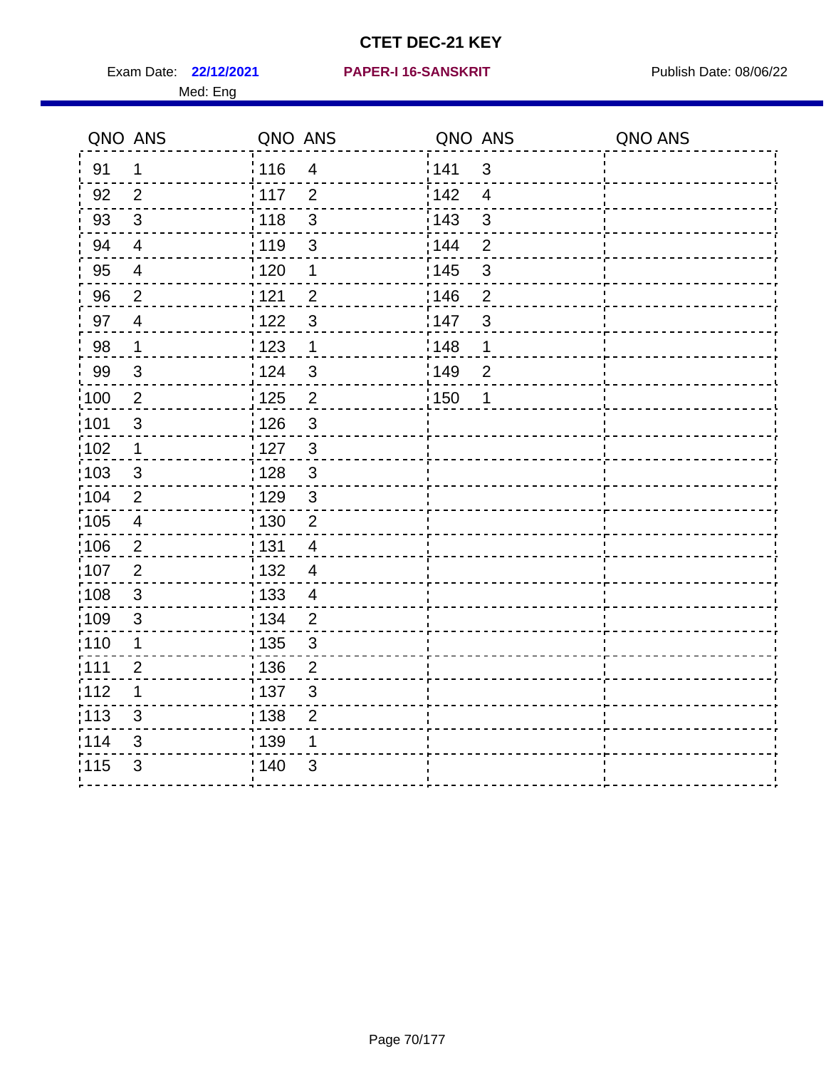Exam Date: 22/12/2021 PAPER-I 16-SANSKRIT Publish Date: 08/06/22 Med: Eng

#### **22/12/2021 PAPER-I 16-SANSKRIT**

| QNO ANS           |                          | QNO ANS           |                          | QNO ANS |                | QNO ANS |
|-------------------|--------------------------|-------------------|--------------------------|---------|----------------|---------|
| 91                | $\mathbf 1$              | : 116             | $\overline{\mathcal{A}}$ | 141     | 3              |         |
| 92                | $\overline{2}$           | $\frac{1}{117}$   | $\overline{2}$           | 142     | $\overline{4}$ |         |
| 93                | $\mathfrak{S}$           | 118               | $\mathsf 3$              | 143     | 3              |         |
| 94                | $\overline{4}$           | : 119             | 3                        | 144     | $\overline{2}$ |         |
| 95                | $\overline{\mathcal{A}}$ | : 120             | 1                        | : 145   | $\mathbf{3}$   |         |
| 96                | $\overline{2}$           | 1121              | $\overline{2}$           | 146     | $\overline{2}$ |         |
| 97                | $\overline{4}$           | 122               | $\mathfrak{S}$           | 147     | 3              |         |
| 98                | $\mathbf{1}$             | 123               | $\mathbf{1}$             | 148     | 1              |         |
| 99                | $\sqrt{3}$               | 124               | $\mathbf{3}$             | 149     | $\overline{2}$ |         |
| 100               | $\overline{2}$           | 125               | $\overline{2}$           | : 150   | 1              |         |
| 101               | $\sqrt{3}$               | $\frac{1}{2}$ 126 | $\mathbf{3}$             |         |                |         |
| 102               | $\mathbf 1$              | :127              | $\mathbf{3}$             |         |                |         |
| 103               | 3                        | : 128             | 3                        |         |                |         |
| 104               | $\overline{2}$           | : 129             | $\mathfrak{3}$           |         |                |         |
| 105               | $\overline{4}$           | 130               | $\overline{2}$           |         |                |         |
| 106               | $\overline{2}$           | : 131             | $\overline{4}$           |         |                |         |
| :107              | $\overline{2}$           | : 132             | $\overline{4}$           |         |                |         |
| 108               | $\mathbf{3}$             | : 133             | $\overline{4}$           |         |                |         |
| :109              | $\sqrt{3}$               | : 134             | $\overline{2}$           |         |                |         |
| : 110             | 1                        | 135               | 3                        |         |                |         |
| :111              | $\overline{2}$           | : 136             | $\overline{2}$           |         |                |         |
| 112               | $\mathbf 1$              | : 137             | $\mathfrak{S}$           |         |                |         |
| $\frac{1}{1}$ 113 | 3                        | : 138             | $\overline{2}$           |         |                |         |
| 114               | 3                        | 139               | 1                        |         |                |         |
| 115               | 3                        | : 140             | $\mathfrak{S}$           |         |                |         |
|                   |                          |                   |                          |         |                |         |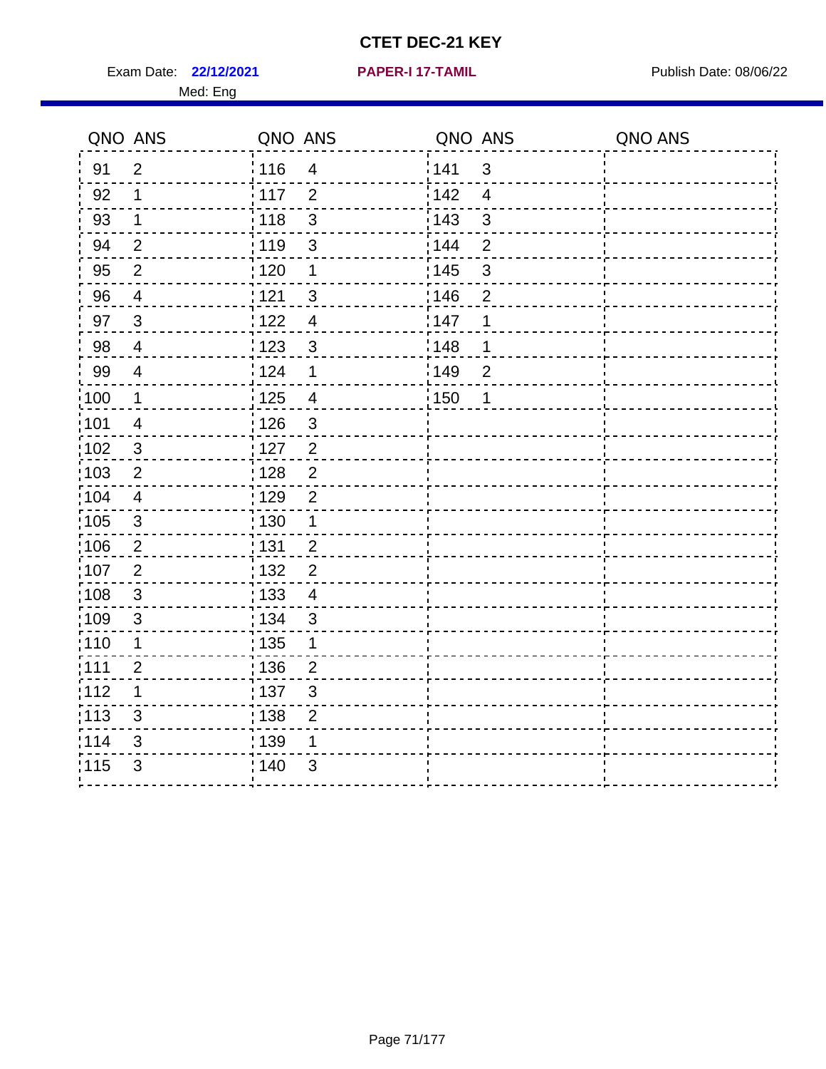Exam Date: 22/12/2021 **PAPER-I 17-TAMIL** Publish Date: 08/06/22 Med: Eng

|       | QNO ANS                 | QNO ANS |                           | QNO ANS |                | QNO ANS |
|-------|-------------------------|---------|---------------------------|---------|----------------|---------|
| 91    | $\overline{2}$          | 116     | $\overline{\mathbf{4}}$   | 141     | $\mathfrak{B}$ |         |
| 92    | 1                       | 117     | $\overline{2}$            | 142     | $\overline{4}$ |         |
| 93    | $\mathbf 1$             | 118     | $\mathbf{3}$              | 143     | $\mathbf{3}$   |         |
| 94    | $\overline{2}$          | : 119   | $\mathfrak{S}$            | 144     | $\overline{2}$ |         |
| 95    | $\overline{2}$          | :120    | 1                         | : 145   | $\mathfrak{S}$ |         |
| 96    | $\overline{4}$          | 121     | $\sqrt{3}$                | 146     | $\overline{2}$ |         |
| 97    | $\mathbf{3}$            | 122     | $\overline{4}$            | :147    | 1              |         |
| 98    | $\overline{4}$          | 123     | $\mathbf{3}$              | 148     | 1              |         |
| 99    | $\overline{4}$          | 124     | $\mathbf 1$               | 149     | $\overline{c}$ |         |
| :100  | $\mathbf{1}$            | 125     | $\overline{4}$            | 150     | 1              |         |
| :101  | $\overline{\mathbf{4}}$ | : 126   | $\ensuremath{\mathsf{3}}$ |         |                |         |
| 102   | $\mathfrak{3}$          | : 127   | 2                         |         |                |         |
| 103   | 2                       | :128    | $\overline{2}$            |         |                |         |
| 104   | $\overline{4}$          | : 129   | $\overline{2}$            |         |                |         |
| 105   | $\sqrt{3}$              | 130     | $\mathbf 1$               |         |                |         |
| :106  | $\overline{2}$          | : 131   | $\overline{2}$            |         |                |         |
| ;107  | $\overline{2}$          | : 132   | $\overline{2}$            |         |                |         |
| 108   | $\sqrt{3}$              | : 133   | $\overline{4}$            |         |                |         |
| :109  | $\sqrt{3}$              | : 134   | $\mathbf{3}$              |         |                |         |
| :110  | 1                       | : 135   | 1                         |         |                |         |
| : 111 | $\overline{2}$          | : 136   | $\overline{2}$            |         |                |         |
| 112   | 1                       | : 137   | $\ensuremath{\mathsf{3}}$ |         |                |         |
| 113   | 3                       | : 138   | $\overline{2}$            |         |                |         |
| 114   | 3                       | : 139   | 1                         |         |                |         |
| 115   | 3                       | 140     | 3                         |         |                |         |
|       |                         |         |                           |         |                |         |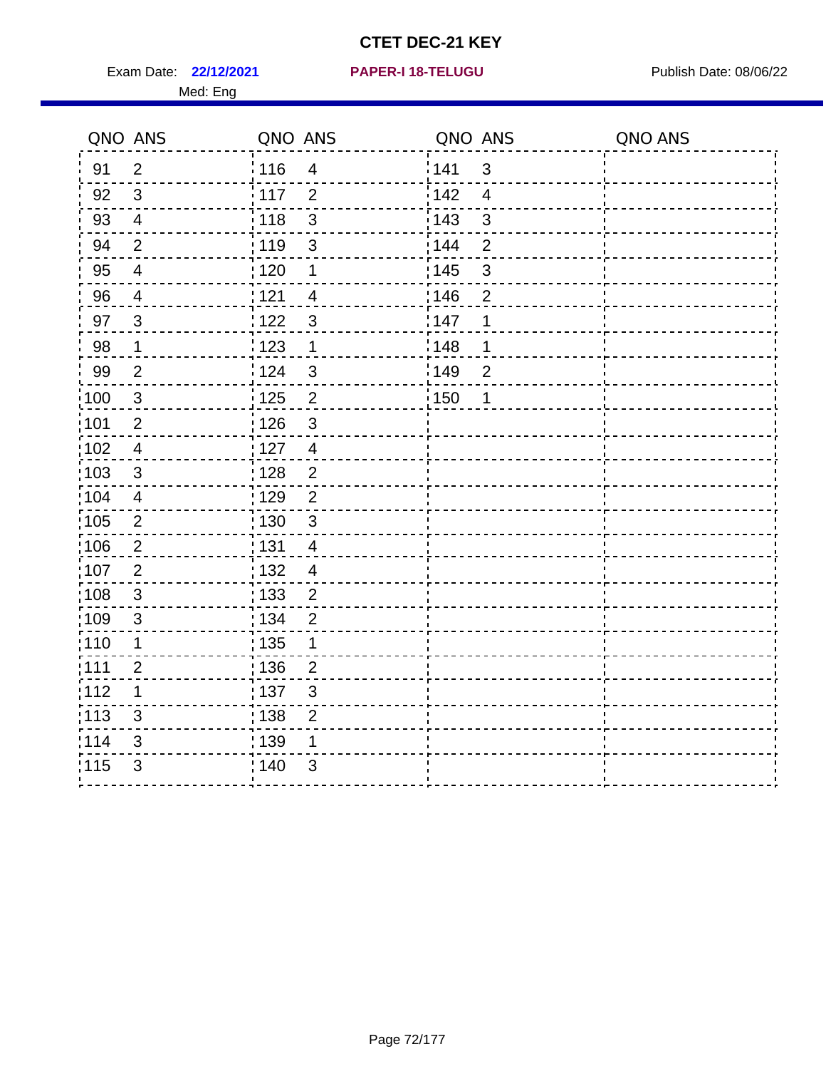**22/12/2021 PAPER-I 18-TELUGU** Exam Date: Publish Date: 08/06/22

| <b>PAPER-I 18-TELUGU</b> |  |  |  |  |  |  |  |
|--------------------------|--|--|--|--|--|--|--|
|                          |  |  |  |  |  |  |  |

|       | QNO ANS                  | QNO ANS           |                           | QNO ANS          |                           | QNO ANS |
|-------|--------------------------|-------------------|---------------------------|------------------|---------------------------|---------|
| 91    | $\overline{2}$           | 116               | $\overline{4}$            | <sup>'</sup> 141 | 3                         |         |
| 92    | 3                        | : 117             | $\overline{2}$            | $\frac{1}{142}$  | $\overline{4}$            |         |
| 93    | $\overline{4}$           | 118               | $\mathfrak{S}$            | : 143            | $\mathbf{3}$              |         |
| 94    | $\overline{2}$           | 119               | $\ensuremath{\mathsf{3}}$ | : 144            | $\mathbf{2}$              |         |
| 95    | $\overline{4}$           | :120              | 1                         | : 145            | $\ensuremath{\mathsf{3}}$ |         |
| 96    | $\overline{4}$           | 121               | $\overline{4}$            | 146              | $\overline{2}$            |         |
| 97    | $\mathbf{3}$             | 122               | $\mathfrak{S}$            | :147             | 1                         |         |
| 98    | $\mathbf 1$              | 123               | 1                         | 148              | 1                         |         |
| 99    | $\overline{2}$           | i 124             | $\mathfrak{B}$            | 149              | $\overline{2}$            |         |
| :100  | $\mathbf{3}$             | : 125             | $\overline{2}$            | :150             | $\mathbf 1$               |         |
| :101  | $\overline{2}$           | 126               | $\mathfrak{S}$            |                  |                           |         |
| 102   | $\overline{\mathcal{A}}$ | : 127             | $\overline{4}$            |                  |                           |         |
| 103   | $\mathsf 3$              | 128               | $\overline{\mathbf{c}}$   |                  |                           |         |
| 104   | $\overline{4}$           | : 129             | $\overline{c}$            |                  |                           |         |
| 105   | $\overline{2}$           | 130               | $\mathfrak{S}$            |                  |                           |         |
| 106   | $\overline{\mathbf{c}}$  | <u>¦131</u>       | $\overline{\mathcal{A}}$  |                  |                           |         |
| 107   | $\overline{2}$           | 132               | $\overline{4}$            |                  |                           |         |
| 108   | $\sqrt{3}$               | $\frac{1}{1}$ 133 | $\overline{c}$            |                  |                           |         |
| :109  | $\mathfrak{B}$           | : 134             | $\overline{2}$            |                  |                           |         |
| :110  | 1                        | : 135             | 1                         |                  |                           |         |
| :111  | $\overline{c}$           | : 136             | $\overline{c}$            |                  |                           |         |
| 112   | 1                        | 137               | $\mathsf 3$               |                  |                           |         |
| : 113 | $\sqrt{3}$               | : 138             | $\overline{c}$            |                  |                           |         |
| 114   | 3                        | : 139             |                           |                  |                           |         |
| 115   | $\mathfrak{S}$           | : 140             | 3                         |                  |                           |         |
|       |                          |                   |                           |                  |                           |         |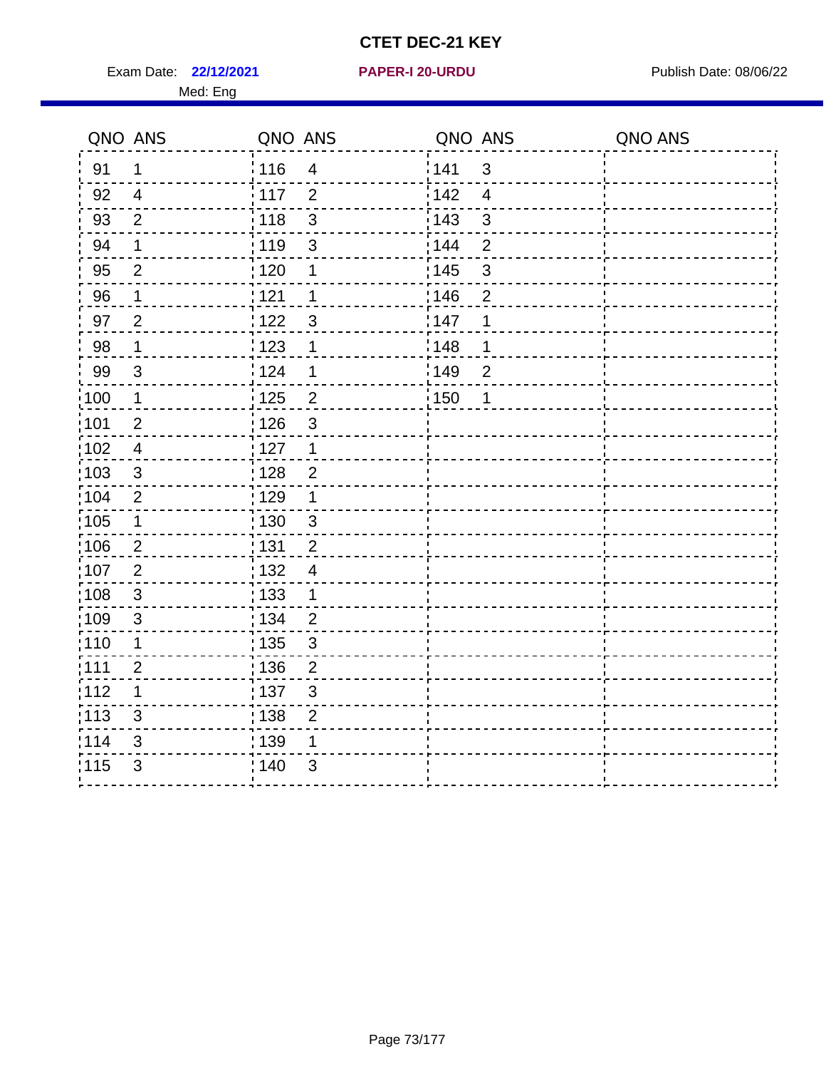Exam Date: 22/12/2021 **PAPER-I 20-URDU** PAPER 120-VIRDU Med: Eng

**22/12/2021 PAPER-I 20-URDU**

| QNO ANS           |                | QNO ANS           |                         | QNO ANS |                | QNO ANS |
|-------------------|----------------|-------------------|-------------------------|---------|----------------|---------|
| 91                | 1              | : 116             | $\overline{4}$          | 141     | $\mathfrak{S}$ |         |
| 92                | $\overline{4}$ | : 117             | 2                       | 142     | $\overline{4}$ |         |
| 93                | $\overline{2}$ | $\frac{1}{2}$ 118 | 3                       | 143     | 3              |         |
| 94                | 1              | 119               | $\mathsf 3$             | 144     | $\overline{2}$ |         |
| 95                | $\overline{2}$ | $\frac{1}{1}$ 120 | 1                       | : 145   | $\mathfrak{S}$ |         |
| 96                | $\mathbf 1$    | 121               | 1                       | 146     | $\overline{2}$ |         |
| 97                | $\overline{2}$ | 122               | 3                       | 147     | 1              |         |
| 98                | $\mathbf 1$    | : 123             | 1                       | 148     | 1              |         |
| 99                | $\mathfrak{S}$ | 124               | 1                       | 149     | $\overline{2}$ |         |
| :100              | $\mathbf 1$    | $\frac{1}{1}$ 125 | $\overline{\mathbf{c}}$ | : 150   | 1              |         |
| :101              | $\overline{2}$ | : 126             | $\mathfrak{S}$          |         |                |         |
| 102               | $\overline{4}$ | : 127             | $\mathbf 1$             |         |                |         |
| 103               | 3              | : 128             | $\overline{2}$          |         |                |         |
| 104               | $\overline{2}$ | $\frac{1}{1}$ 129 | 1                       |         |                |         |
| $\frac{1}{1}$ 105 | $\mathbf 1$    | $\frac{1}{1}$ 130 | $\mathbf{3}$            |         |                |         |
| 106               | $\overline{2}$ | : 131             | $\overline{2}$          |         |                |         |
| :107              | $\overline{2}$ | : 132             | $\overline{4}$          |         |                |         |
| 108               | 3              | : 133             | 1                       |         |                |         |
| :109              | 3              | : 134             | $\overline{2}$          |         |                |         |
| :110              | 1              | : 135             | $\mathfrak{S}$          |         |                |         |
| : 111             | $\overline{2}$ | : 136             | $\overline{2}$          |         |                |         |
| 112               | $\mathbf 1$    | 137               | $\mathfrak{S}$          |         |                |         |
| : 113             | 3              | : 138             | $\overline{2}$          |         |                |         |
| 114               | 3              | 139               | 1                       |         |                |         |
| 115               | 3              | 140               | 3                       |         |                |         |
|                   |                |                   |                         |         |                |         |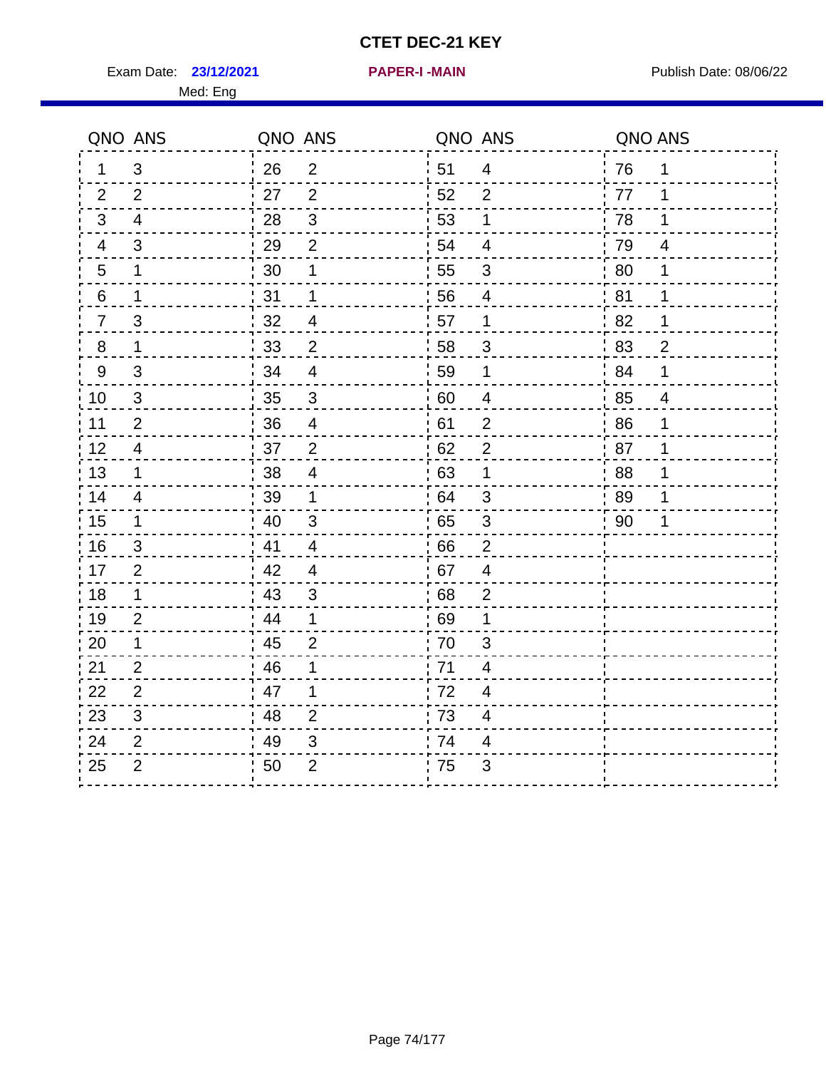Exam Date: 23/12/2021 **PAPER-I-MAIN Exam Date: 08/06/22** 

Med: Eng

|                  | QNO ANS                   | QNO ANS        |                         | QNO ANS |                           | QNO ANS |                |
|------------------|---------------------------|----------------|-------------------------|---------|---------------------------|---------|----------------|
| 1                | 3                         | $^{\prime}$ 26 | $\overline{2}$          | 51      | $\overline{4}$            | 76      | $\overline{1}$ |
| 2                | $\overline{2}$            | 27             | $\overline{2}$          | 52      | $\overline{2}$            | 77      | 1              |
| 3                | $\overline{4}$            | 28             | $\sqrt{3}$              | 53      | 1                         | 78      | 1              |
| 4                | 3                         | 29             | $\overline{2}$          | 54      | 4                         | 79      | 4              |
| 5                | $\mathbf 1$               | 30             | 1                       | 55      | 3                         | 80      | 1              |
| 6                | $\mathbf 1$               | 31             | 1                       | 56      | $\overline{4}$            | 81      | 1              |
| $\frac{7}{2}$    | $\ensuremath{\mathsf{3}}$ | 32             | $\overline{4}$          | 57      | $\mathbf 1$               | 82      | $\mathbf 1$    |
| $\bf 8$          | $\mathbf{1}$              | 33             | $\overline{2}$          | 58      | $\mathfrak{S}$            | 83      | $\overline{2}$ |
| $\boldsymbol{9}$ | $\mathfrak{B}$            | 34             | 4                       | 59      | 1                         | 84      | 1              |
| 10               | $\mathfrak{S}$            | 35             | $\mathsf 3$             | 60      | $\overline{4}$            | 85      | $\overline{4}$ |
| 11               | $\overline{2}$            | 36             | $\overline{\mathbf{4}}$ | 61      | $\overline{2}$            | 86      | 1              |
| 12               | 4                         | 37             | $\overline{2}$          | 62      | 2                         | 87      | 1              |
| 13               | $\mathbf 1$               | 38             | $\overline{4}$          | 63      | $\mathbf 1$               | 88      | 1              |
| 14               | $\overline{4}$            | 39             | 1                       | 64      | 3                         | 89      | 1              |
| 15               | $\mathbf 1$               | 40             | $\mathbf{3}$            | 65      | $\ensuremath{\mathsf{3}}$ | 90      | 1              |
| 16               | 3                         | .41            | 4                       | 66      | $\overline{2}$            |         |                |
| 17               | $\overline{2}$            | 42             | 4                       | 67      | $\overline{4}$            |         |                |
| $18$             | $\mathbf 1$               | 43             | $\mathbf{3}$            | 68      | $\overline{c}$            |         |                |
| 19               | $\overline{2}$            | 44             | 1                       | 69      | 1                         |         |                |
| 20               | $\mathbf 1$               | 45             | 2                       | 70      | 3                         |         |                |
| 21               | $\overline{2}$            | 46             | 1                       | 71      | 4                         |         |                |
| 22               | $\overline{2}$            | 47             | 1                       | 72      | 4                         |         |                |
| 23               | $\sqrt{3}$                | 48             | $\overline{2}$          | 73      | $\overline{\mathcal{A}}$  |         |                |
| 24               | $\overline{2}$            | 49             | 3                       | 74      | 4                         |         |                |
| 25               | $\overline{2}$            | 50             | $\overline{2}$          | 75      | 3                         |         |                |
|                  |                           |                |                         |         |                           |         |                |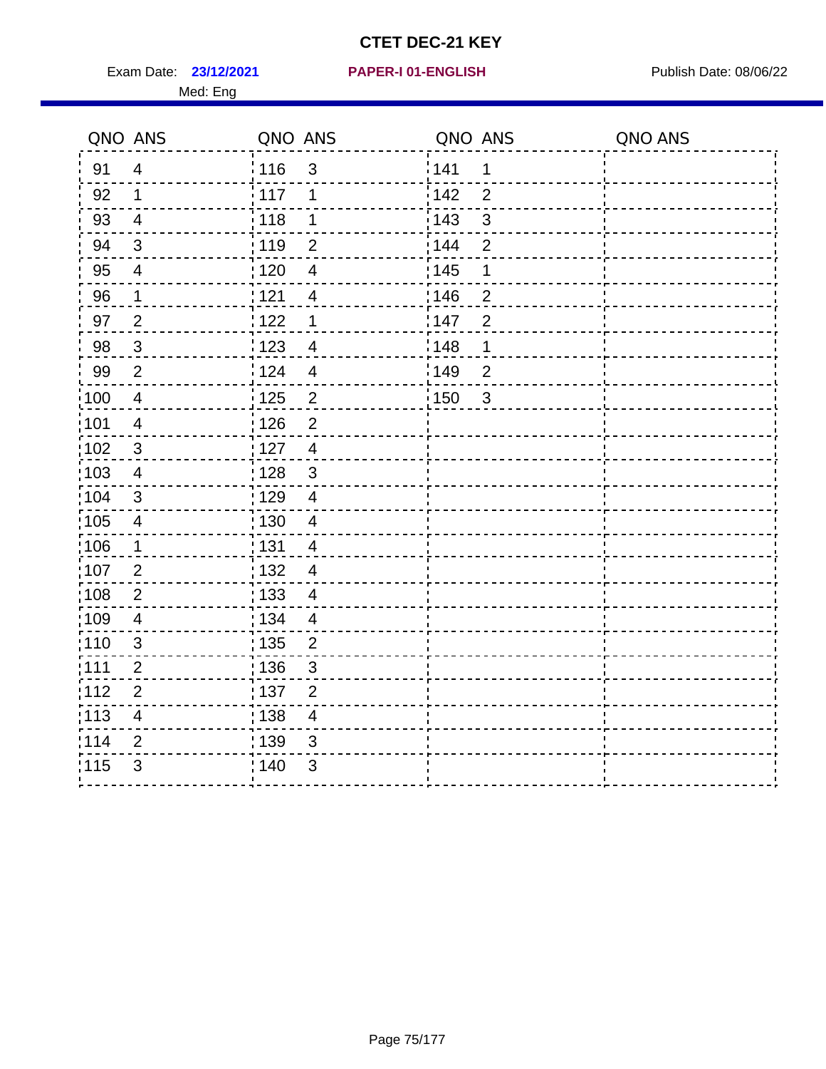Exam Date: 23/12/2021 PAPER-I 01-ENGLISH PREER Publish Date: 08/06/22 Med: Eng

#### **23/12/2021 PAPER-I 01-ENGLISH**

| QNO ANS           |                         | QNO ANS           |                           | QNO ANS           |                | QNO ANS |
|-------------------|-------------------------|-------------------|---------------------------|-------------------|----------------|---------|
| 91                | $\overline{4}$          | <sup>'</sup> 116  | $\mathbf{3}$              | 141               | $\mathbf 1$    |         |
| 92                | 1                       | 117               | 1                         | 142               | $\overline{2}$ |         |
| 93                | $\overline{4}$          | 118               | 1                         | : 143             | $\mathfrak{S}$ |         |
| 94                | $\mathbf{3}$            | : 119             | $\overline{2}$            | : 144             | $\overline{2}$ |         |
| 95                | $\overline{\mathbf{4}}$ | : 120             | $\overline{\mathbf{4}}$   | : 145             | 1              |         |
| 96                | $\mathbf{1}$            | 121               | $\overline{4}$            | 146               | $\overline{2}$ |         |
| 97                | $\overline{2}$          | 122               | $\mathbf 1$               | 147               | $\overline{2}$ |         |
| 98                | $\mathfrak{S}$          | 123               | $\overline{4}$            | 148               | 1              |         |
| 99                | $\overline{2}$          | 124               | $\overline{4}$            | 149               | $\overline{2}$ |         |
| $\frac{1}{1}$ 100 | $\overline{4}$          | : 125             | $\overline{2}$            | $\frac{1}{1}$ 150 | $\overline{3}$ |         |
| :101              | $\overline{4}$          | : 126             | $\overline{2}$            |                   |                |         |
| 102               | $\sqrt{3}$              | : 127             | $\overline{4}$            |                   |                |         |
| :103              | $\overline{4}$          | : 128             | $\mathbf{3}$              |                   |                |         |
| 104               | 3                       | : 129             | $\overline{4}$            |                   |                |         |
| $\frac{1}{1}$ 105 | $\overline{\mathbf{4}}$ | $\frac{1}{1}$ 130 | $\overline{\mathbf{4}}$   |                   |                |         |
| 106               | $\mathbf 1$             | : 131             | $\overline{4}$            |                   |                |         |
| :107              | $\overline{2}$          | : 132             | $\overline{4}$            |                   |                |         |
| 108               | $\overline{2}$          | : 133             | $\overline{4}$            |                   |                |         |
| :109              | $\overline{4}$          | : 134             | $\overline{4}$            |                   |                |         |
| :110              | 3                       | ; 135             | $\overline{2}$            |                   |                |         |
| 1111              | $\overline{2}$          | : 136             | $\sqrt{3}$                |                   |                |         |
| 112               | $\overline{2}$          | : 137             | $\overline{2}$            |                   |                |         |
| : 113             | $\overline{\mathbf{4}}$ | : 138             | $\overline{\mathbf{4}}$   |                   |                |         |
| 114               | $\overline{2}$          | 139               | 3                         |                   |                |         |
| 115               | 3                       | 140               | $\ensuremath{\mathsf{3}}$ |                   |                |         |
|                   |                         |                   |                           |                   |                |         |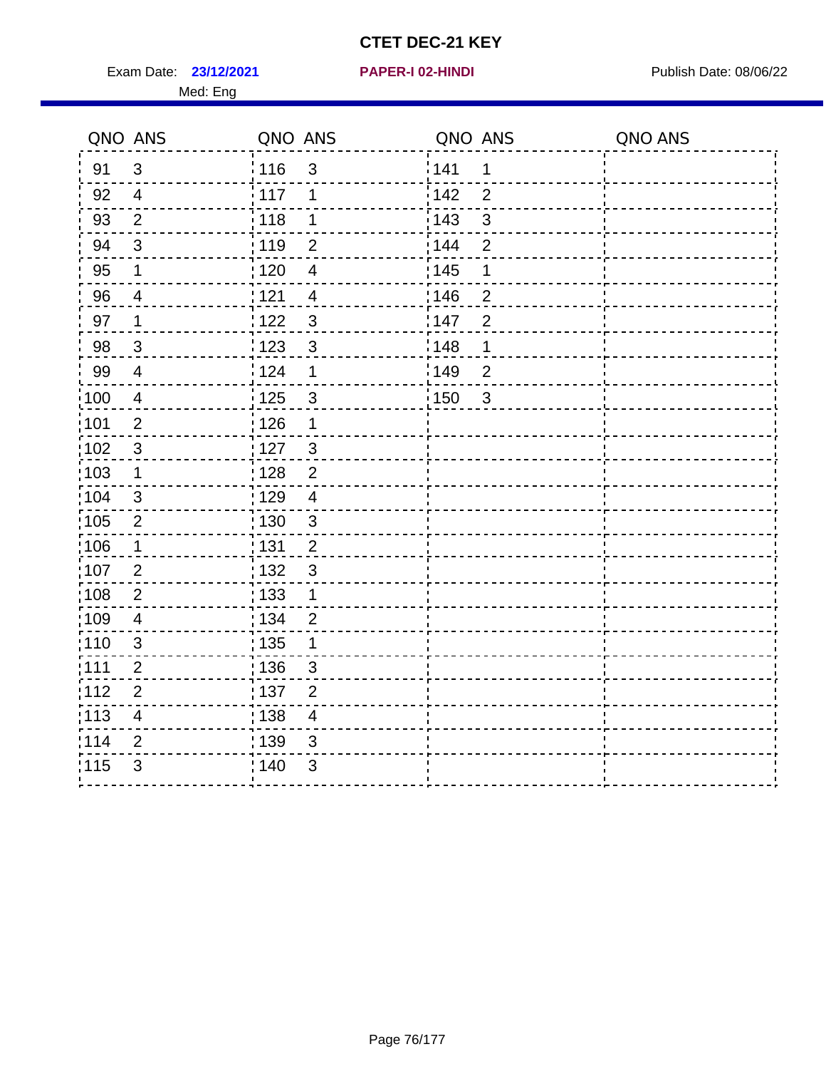**23/12/2021 PAPER-I 02-HINDI**

Exam Date: 23/12/2021 **PAPER-I 02-HINDI Exam Date: 08/06/22** Med: Eng

| QNO ANS |                | QNO ANS |                | QNO ANS |                         | QNO ANS |
|---------|----------------|---------|----------------|---------|-------------------------|---------|
| 91      | 3              | 116     | $\mathfrak{S}$ | 141     | 1                       |         |
| 92      | $\overline{4}$ | : 117   | 1              | 142     | $\overline{2}$          |         |
| 93      | $\overline{2}$ | 118     | 1              | 143     | 3                       |         |
| 94      | $\mathfrak{3}$ | : 119   | $\overline{2}$ | : 144   | $\overline{2}$          |         |
| 95      | 1              | : 120   | $\overline{4}$ | : 145   | $\mathbf 1$             |         |
| 96      | $\overline{4}$ | 121     | $\overline{4}$ | 146     | $\overline{2}$          |         |
| 97      | 1              | 1122    | $\mathbf{3}$   | 147     | $\overline{2}$          |         |
| 98      | $\mathbf{3}$   | 123     | $\mathfrak{3}$ | :148    | $\mathbf 1$             |         |
| 99      | $\overline{4}$ | 124     | $\mathbf 1$    | 149¦    | $\overline{2}$          |         |
| :100    | $\overline{4}$ | 125     | $\mathbf{3}$   | 150     | $\overline{\mathbf{3}}$ |         |
| :101    | $\overline{2}$ | : 126   | $\mathbf 1$    |         |                         |         |
| 102     | $\sqrt{3}$     | : 127   | $\mathbf{3}$   |         |                         |         |
| 103     | 1              | : 128   | $\overline{2}$ |         |                         |         |
| :104    | 3              | :129    | $\overline{4}$ |         |                         |         |
| 105     | $\overline{2}$ | : 130   | $\mathbf{3}$   |         |                         |         |
| 106     | $\mathbf 1$    | : 131   | $\overline{2}$ |         |                         |         |
| 107     | 2              | : 132   | $\mathbf{3}$   |         |                         |         |
| :108    | $\overline{2}$ | : 133   | $\mathbf 1$    |         |                         |         |
| :109    | 4              | : 134   | $\overline{2}$ |         |                         |         |
| :110    | $\mathfrak{3}$ | : 135   | $\mathbf 1$    |         |                         |         |
| :111    | $\overline{2}$ | : 136   | 3              |         |                         |         |
| 112     | $\overline{2}$ | :137    | $\overline{2}$ |         |                         |         |
| : 113   | $\overline{4}$ | : 138   | $\overline{4}$ |         |                         |         |
| 1114    | 2              | 139     | 3              |         |                         |         |
| 115     | $\mathfrak{B}$ | : 140   | 3              |         |                         |         |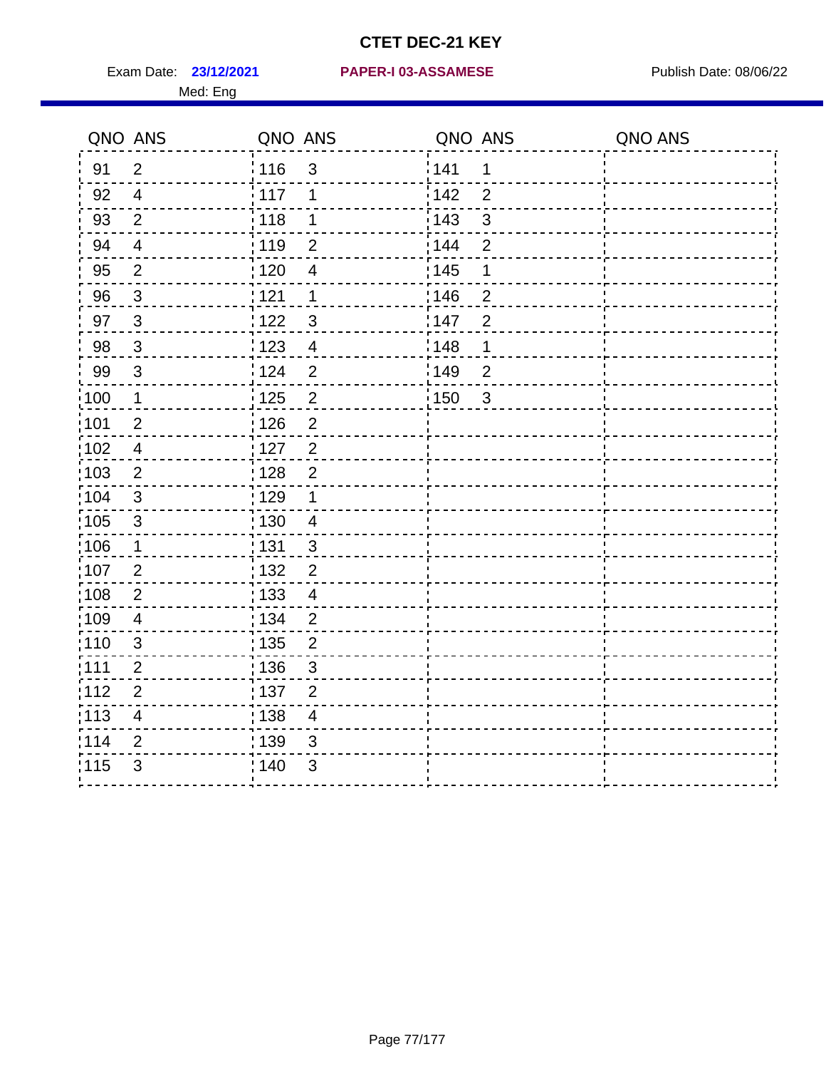Med: Eng

#### **23/12/2021 PAPER-I 03-ASSAMESE** Exam Date: Publish Date: 08/06/22

|      | QNO ANS                 | QNO ANS |                | QNO ANS |                | QNO ANS |
|------|-------------------------|---------|----------------|---------|----------------|---------|
| 91   | $\overline{2}$          | 116     | $\mathfrak{3}$ | 141     | 1              |         |
| 92   | $\overline{4}$          | 117     | 1              | 142     | $\overline{2}$ |         |
| 93   | $\overline{2}$          | 118     | $\mathbf 1$    | 143     | $\sqrt{3}$     |         |
| 94   | $\overline{\mathbf{4}}$ | : 119   | $\overline{2}$ | 144     | $\overline{2}$ |         |
| 95   | $\overline{2}$          | :120    | $\overline{4}$ | : 145   | 1              |         |
| 96   | $\mathfrak{S}$          | 121     | $\mathbf 1$    | 146     | $\overline{2}$ |         |
| 97   | $\mathbf{3}$            | 122     | $\mathfrak{B}$ | 147     | $\overline{2}$ |         |
| 98   | $\mathbf{3}$            | 123     | $\overline{4}$ | 148     | 1              |         |
| 99   | $\mathfrak{S}$          | 124     | $\overline{2}$ | 149     | $\overline{2}$ |         |
| 100  | $\mathbf 1$             | 125     | $\overline{2}$ | 150     | $\overline{3}$ |         |
| 101  | $\overline{2}$          | : 126   | $\overline{2}$ |         |                |         |
| 102  | $\overline{4}$          | : 127   | $\overline{2}$ |         |                |         |
| :103 | 2                       | : 128   | $\overline{2}$ |         |                |         |
| 104  | $\mathbf{3}$            | : 129   | $\mathbf 1$    |         |                |         |
| :105 | $\sqrt{3}$              | : 130   | $\overline{4}$ |         |                |         |
| 106  | $\mathbf 1$             | : 131   | $\mathbf{3}$   |         |                |         |
| :107 | $\overline{2}$          | : 132   | $\overline{2}$ |         |                |         |
| :108 | $\overline{2}$          | : 133   | $\overline{4}$ |         |                |         |
| 109  | $\overline{4}$          | : 134   | $\overline{2}$ |         |                |         |
| :110 | 3                       | 135     | $\overline{2}$ |         |                |         |
| 111  | $\overline{2}$          | : 136   | $\sqrt{3}$     |         |                |         |
| 112  | $\overline{2}$          | : 137   | $\overline{2}$ |         |                |         |
| :113 | $\overline{\mathbf{4}}$ | : 138   | $\overline{4}$ |         |                |         |
| 114  | $\overline{2}$          | 139     | 3              |         |                |         |
| 115  | 3                       | : 140   | 3              |         |                |         |
|      |                         |         |                |         |                |         |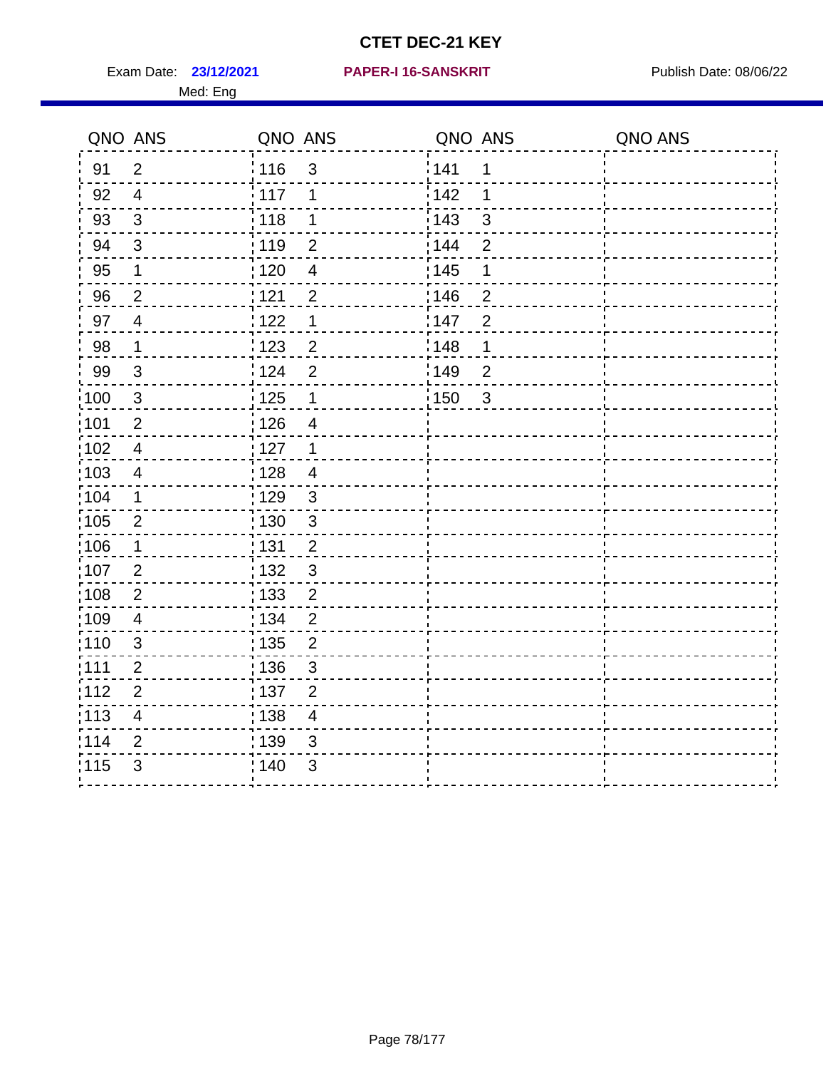Med: Eng

#### **23/12/2021 PAPER-I 16-SANSKRIT** Exam Date: Publish Date: 08/06/22

| QNO ANS |                          | QNO ANS           |                         | QNO ANS |                | QNO ANS |
|---------|--------------------------|-------------------|-------------------------|---------|----------------|---------|
| 91      | $\overline{2}$           | 116               | $\mathfrak{S}$          | 141     | 1              |         |
| 92      | $\overline{\mathbf{4}}$  | 117               | 1                       | 142     | 1              |         |
| 93      | 3                        | 118               | $\mathbf 1$             | 143     | $\mathbf{3}$   |         |
| 94      | $\sqrt{3}$               | 119               | $\overline{2}$          | 144     | $\overline{2}$ |         |
| 95      | 1                        | :120              | $\overline{4}$          | 145     | 1              |         |
| 96      | $\overline{2}$           | 121               | $\overline{2}$          | 146     | $\overline{2}$ |         |
| 97      | $\overline{\mathbf{4}}$  | 122               | $\mathbf 1$             | :147    | $\overline{2}$ |         |
| 98      | 1                        | 123               | $\overline{2}$          | 148     | 1              |         |
| 99      | $\sqrt{3}$               | 124               | $\overline{2}$          | 149     | $\overline{2}$ |         |
| 100     | $\sqrt{3}$               | 125               | $\mathbf 1$             | 150     | $\mathbf{3}$   |         |
| 101     | $\overline{2}$           | 126               | $\overline{\mathbf{4}}$ |         |                |         |
| 102     | $\overline{4}$           | 127               | $\overline{1}$          |         |                |         |
| 103     | $\overline{\mathbf{4}}$  | : 128             | $\overline{4}$          |         |                |         |
| 104     | 1                        | 129               | 3                       |         |                |         |
| 105     | $\mathbf{2}$             | $\frac{1}{1}$ 130 | $\mathbf 3$             |         |                |         |
| 106     | $\mathbf{1}$             | : 131             | $\overline{2}$          |         |                |         |
| 107     | $\overline{2}$           | : 132             | $\mathfrak{S}$          |         |                |         |
| 108     | $\boldsymbol{2}$         | $\frac{1}{1}$ 133 | $\overline{c}$          |         |                |         |
| 109     | $\overline{\mathcal{A}}$ | : 134             | $\boldsymbol{2}$        |         |                |         |
| 110     | $\mathfrak{S}$           | : 135             | $\overline{2}$          |         |                |         |
| 111     | $\overline{2}$           | 136               | $\mathfrak{S}$          |         |                |         |
| 112     | $\overline{2}$           | : 137             | $\overline{2}$          |         |                |         |
| 113     | 4                        | : 138             | $\overline{\mathbf{4}}$ |         |                |         |
| 114     | $\overline{2}$           | 139               | $\mathfrak{B}$          |         |                |         |
| 115     | 3                        | : 140             | $\sqrt{3}$              |         |                |         |
|         |                          |                   |                         |         |                |         |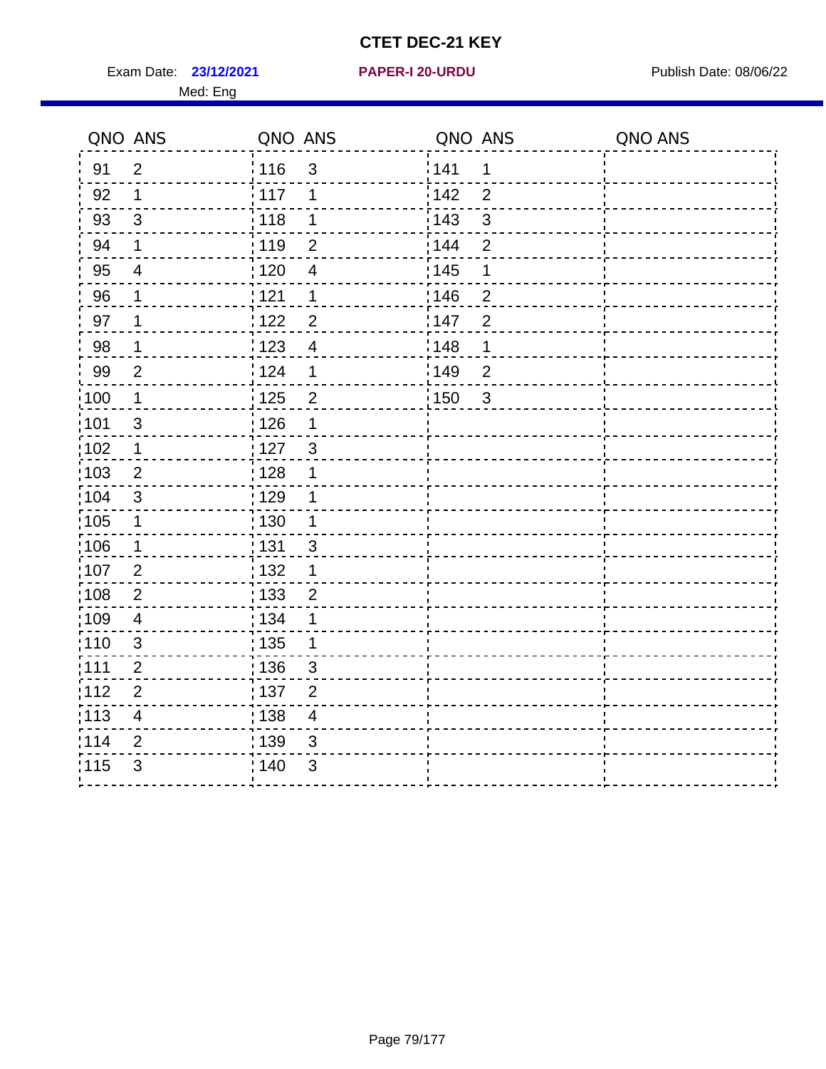Exam Date: 23/12/2021 **PAPER-I 20-URDU** PAPER 120-VIRDU Med: Eng

**23/12/2021 PAPER-I 20-URDU**

| QNO ANS |                          | QNO ANS |                          | QNO ANS           |                | QNO ANS |
|---------|--------------------------|---------|--------------------------|-------------------|----------------|---------|
| 91      | $\overline{2}$           | 116     | 3                        | 141               | 1              |         |
| 92      | $\mathbf 1$              | $-117$  | 1                        | 142               | $\overline{2}$ |         |
| 93      | 3                        | : 118   | 1                        | 143               | 3              |         |
| 94      | $\mathbf 1$              | 119     | $\overline{2}$           | 144               | $\overline{2}$ |         |
| 95      | $\overline{4}$           | : 120   | $\overline{4}$           | $\frac{1}{1}$ 145 | 1              |         |
| 96      | $\mathbf 1$              | 121     | $\mathbf 1$              | 146               | $\overline{2}$ |         |
| 97      | $\mathbf 1$              | 1122    | $\overline{2}$           | 147               | $\overline{2}$ |         |
| 98      | 1                        | : 123   | $\overline{4}$           | 148               | 1              |         |
| 99      | $\overline{2}$           | : 124   | 1                        | 149               | $\overline{2}$ |         |
| 100     | $\mathbf 1$              | 125     | $\overline{2}$           | :150              | 3              |         |
| :101    | 3                        | 126     | $\mathbf 1$              |                   |                |         |
| 102     | $\mathbf 1$              | 127     | $\mathbf{3}$             |                   |                |         |
| :103    | $\overline{2}$           | : 128   | 1                        |                   |                |         |
| :104    | 3                        | :129    | 1                        |                   |                |         |
| :105    | $\mathbf 1$              | : 130   | $\mathbf 1$              |                   |                |         |
| :106    | 1                        | : 131   | 3                        |                   |                |         |
| 107     | 2                        | : 132   | 1                        |                   |                |         |
| ;108    | 2                        | : 133   | $\overline{2}$           |                   |                |         |
| 109     | $\overline{\mathcal{A}}$ | : 134   | 1                        |                   |                |         |
| :110    | 3                        | : 135   | $\mathbf 1$              |                   |                |         |
| :111    | $\overline{2}$           | :136    | 3                        |                   |                |         |
| 112     | $\overline{2}$           | : 137   | $\overline{2}$           |                   |                |         |
| : 113   | $\overline{4}$           | : 138   | $\overline{\mathcal{A}}$ |                   |                |         |
| 114     | $\overline{2}$           | : 139   | 3                        |                   |                |         |
| 115     | 3                        | 140     | 3                        |                   |                |         |
|         |                          |         |                          |                   |                |         |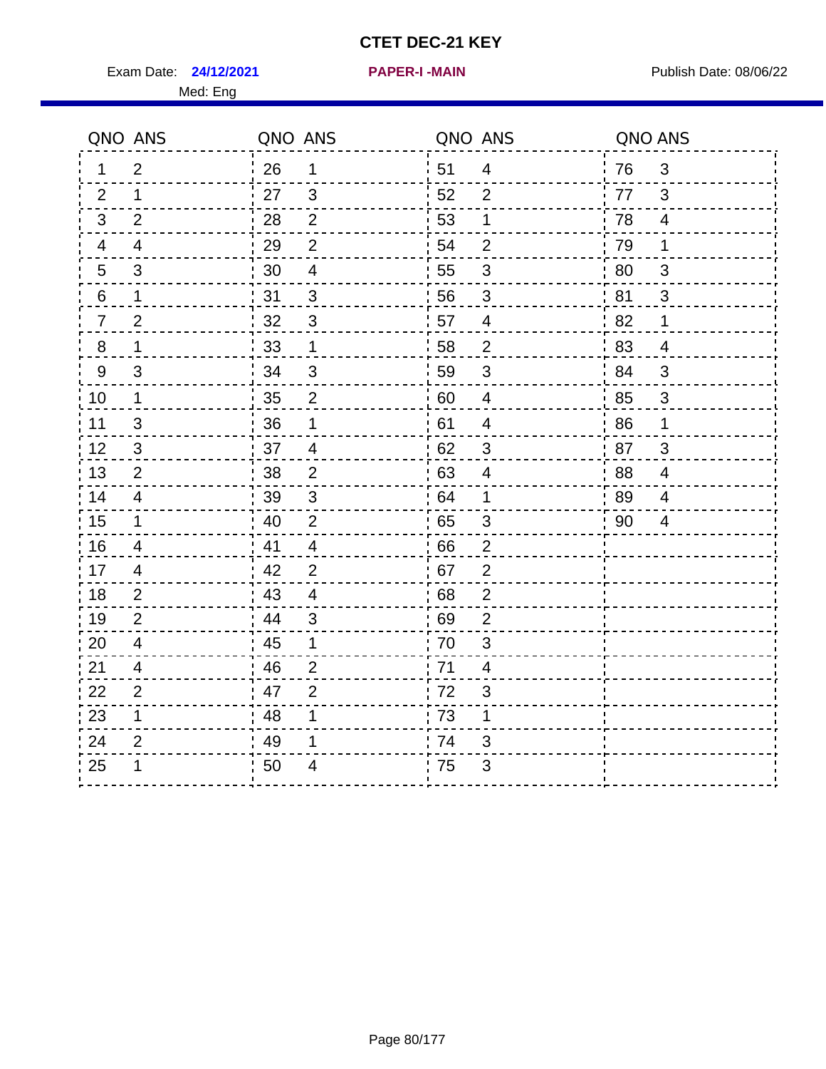Exam Date: 24/12/2021 **PAPER-I-MAIN Exam Date: 08/06/22** Med: Eng

|                  | QNO ANS                  | QNO ANS |                |    | QNO ANS                  | QNO ANS |                |
|------------------|--------------------------|---------|----------------|----|--------------------------|---------|----------------|
| 1                | $\overline{2}$           | 26      | $\mathbf 1$    | 51 | $\overline{4}$           | 76      | 3              |
| 2                | 1                        | 27      | 3              | 52 | $\overline{2}$           | 77      | 3              |
| 3                | $\overline{2}$           | 28      | $\overline{2}$ | 53 | 1                        | 78      | $\overline{4}$ |
| 4                | $\overline{\mathcal{A}}$ | 29      | $\overline{2}$ | 54 | $\mathbf 2$              | 79      | 1              |
| 5                | 3                        | 30      | 4              | 55 | $\mathfrak{S}$           | 80      | 3              |
| 6                | 1                        | 31      | 3              | 56 | 3                        | 81      | 3              |
| $\overline{7}$   | $\overline{2}$           | 32      | $\mathbf{3}$   | 57 | $\overline{4}$           | 82      | $\mathbf 1$    |
| $\bf 8$          | 1                        | 33      | $\mathbf 1$    | 58 | $\overline{c}$           | 83      | $\overline{4}$ |
| $\boldsymbol{9}$ | $\mathbf{3}$             | 34      | $\mathsf 3$    | 59 | $\mathsf 3$              | 84      | 3              |
| 10               | $\mathbf 1$              | 35      | $\mathbf{2}$   | 60 | $\overline{4}$           | 85      | $\mathbf{3}$   |
| 11               | $\mathfrak{S}$           | 36      | 1              | 61 | $\overline{\mathcal{A}}$ | 86      | 1              |
| 12               | 3                        | 37      | $\overline{4}$ | 62 | $\mathfrak{B}$           | 87      | 3              |
| 13               | 2                        | 38      | $\overline{2}$ | 63 | 4                        | 88      | 4              |
| 14               | $\overline{4}$           | 39      | $\mathfrak{B}$ | 64 | 1                        | 89      | 4              |
| 15               | 1                        | 40      | $\overline{2}$ | 65 | $\sqrt{3}$               | 90      | $\overline{4}$ |
| 16               | $\overline{4}$           | 41      | $\overline{4}$ | 66 | $\overline{2}$           |         |                |
| 17               | 4                        | 42      | $\overline{2}$ | 67 | $\overline{2}$           |         |                |
| 18               | 2                        | 43      | $\overline{4}$ | 68 | $\boldsymbol{2}$         |         |                |
| 19               | $\overline{2}$           | 44      | $\mathfrak{S}$ | 69 | $\mathbf{2}$             |         |                |
| 20               | 4                        | 45      | 1              | 70 | 3                        |         |                |
| 21               | 4                        | 46      | $\overline{2}$ | 71 | 4                        |         |                |
| 22               | $\overline{2}$           | 47      | $\overline{2}$ | 72 | $\mathfrak{S}$           |         |                |
| 23               | 1                        | 48      | 1              | 73 | 1                        |         |                |
| 24               | $\overline{2}$           | 49      | 1              | 74 | 3                        |         |                |
| 25               | 1                        | 50      | 4              | 75 | 3                        |         |                |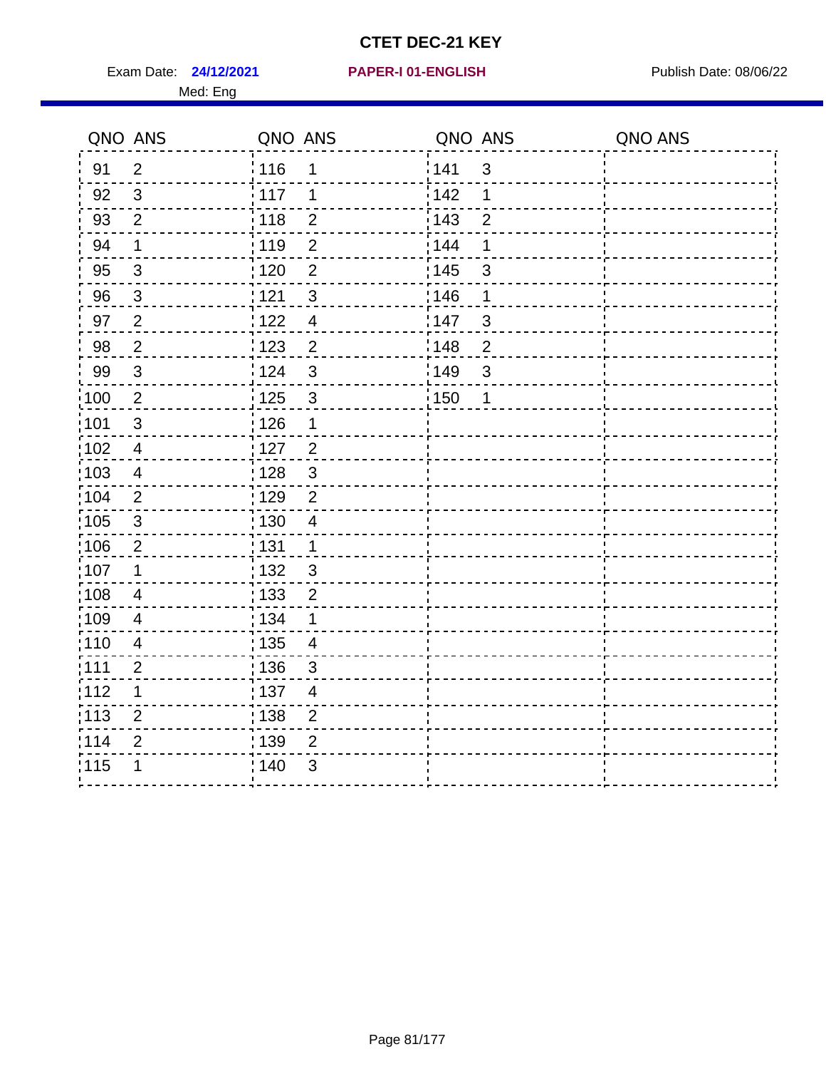Exam Date: **24/12/2021 PAPER-I 01-ENGLISH Exam Date: 08/06/22** Med: Eng

#### **24/12/2021 PAPER-I 01-ENGLISH**

| QNO ANS           |                         | QNO ANS                                       | QNO ANS               | QNO ANS |
|-------------------|-------------------------|-----------------------------------------------|-----------------------|---------|
| 91                | 2                       | 116<br>1                                      | 141<br>$\mathbf{3}$   |         |
| 92                | 3                       | 117<br>1                                      | 142<br>1              |         |
| 93                | $\overline{2}$          | $\frac{1}{2}$ 118<br>$\mathbf 2$              | 143<br>$\overline{2}$ |         |
| 94                | 1                       | : 119<br>$\overline{2}$                       | 144<br>1              |         |
| 95                | $\sqrt{3}$              | $\overline{2}$<br>: 120                       | : 145<br>$\mathsf 3$  |         |
| 96                | $\mathbf{3}$            | : 121<br>$\mathfrak{S}$                       | 146<br>1              |         |
| 97                | $\overline{2}$          | 1122<br>$\overline{\mathcal{A}}$              | 147<br>3              |         |
| 98                | $\overline{2}$          | 1123<br>$\overline{2}$                        | 148<br>$\overline{2}$ |         |
| 99                | $\mathfrak{3}$          | 124<br>3                                      | ¦149<br>3             |         |
| $\frac{1}{1}$ 100 | $\overline{2}$          | $\mathsf 3$<br>$\frac{1}{1}$ 125              | : 150<br>1            |         |
| 101               | $\mathsf 3$             | : 126<br>1                                    |                       |         |
| $\frac{1}{1}$ 102 | $\overline{4}$          | $\overline{2}$<br>: 127                       |                       |         |
| 103               | $\overline{4}$          | : 128<br>$\sqrt{3}$                           |                       |         |
| :104              | $\overline{2}$          | : 129<br>$\overline{2}$                       |                       |         |
| 105               | $\sqrt{3}$              | : 130<br>$\overline{4}$                       |                       |         |
| 106               | $\overline{c}$          | : 131<br>$\mathbf 1$                          |                       |         |
| 107               | 1                       | : 132<br>$\mathbf{3}$                         |                       |         |
| 108               | 4                       | : 133<br>$\overline{2}$                       |                       |         |
| :109              | 4                       | : 134<br>1                                    |                       |         |
| :110              | $\overline{\mathbf{4}}$ | $\frac{1}{1}$ 135<br>$\overline{\mathcal{A}}$ |                       |         |
| : 111             | $\overline{2}$          | : 136<br>3                                    |                       |         |
| :112              | $\mathbf 1$             | :137<br>$\overline{4}$                        |                       |         |
| $\frac{1}{1}$ 113 | $\overline{2}$          | : 138<br>$\overline{2}$                       |                       |         |
| 114               | $\overline{2}$          | 139<br>$\overline{2}$                         |                       |         |
| 115               | 1                       | ; 140<br>$\mathfrak{B}$                       |                       |         |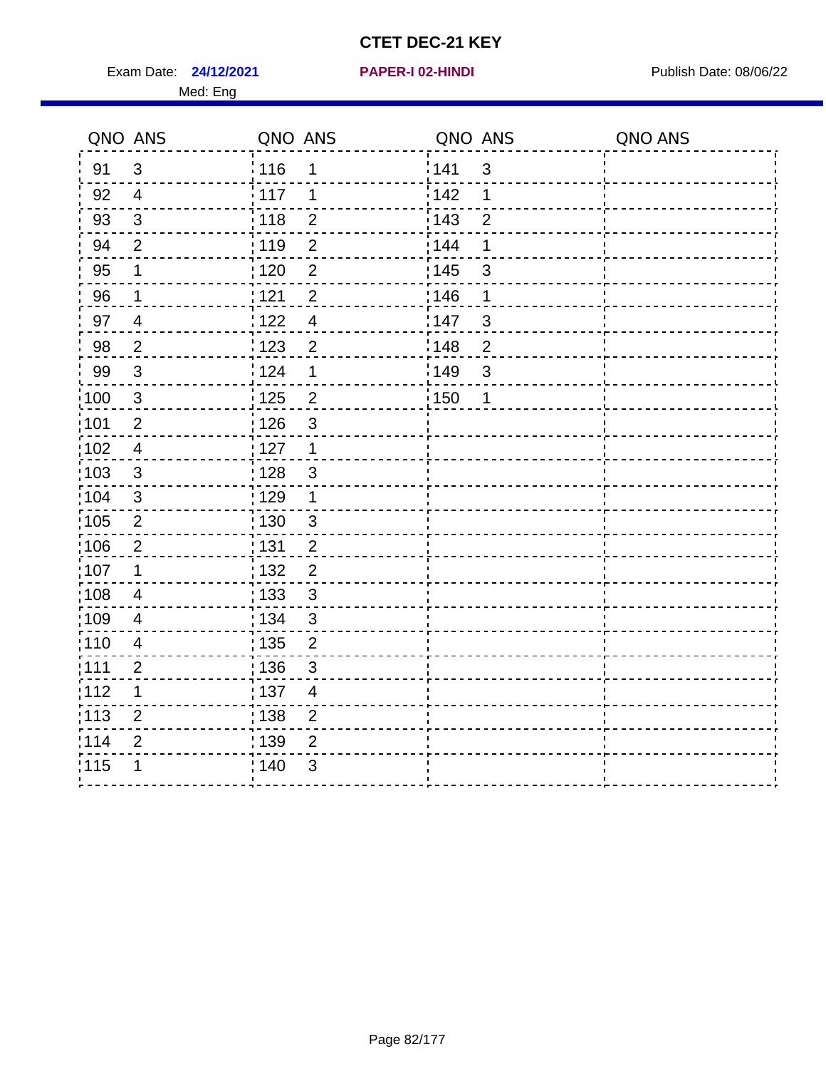Exam Date: **24/12/2021 PAPER-I 02-HINDI Exam Date: 08/06/22** 

Med: Eng

**24/12/2021 PAPER-I 02-HINDI**

|      | QNO ANS        | QNO ANS           |                | QNO ANS |                | QNO ANS |
|------|----------------|-------------------|----------------|---------|----------------|---------|
| 91   | 3              | 116               | 1              | 141     | $\mathbf{3}$   |         |
| 92   | $\overline{4}$ | 117               | 1              | 142     | 1              |         |
| 93   | $\mathfrak{Z}$ | 118               | $\mathbf 2$    | 143     | $\overline{2}$ |         |
| 94   | 2              | : 119             | $\overline{2}$ | : 144   | 1              |         |
| 95   | 1              | $\frac{1}{1}$ 120 | $\overline{2}$ | : 145   | $\mathfrak{S}$ |         |
| 96   | 1              | : 121             | $\overline{2}$ | :146    | 1              |         |
| 97   | $\overline{4}$ | 122               | $\overline{4}$ | 147     | $\sqrt{3}$     |         |
| 98   | $\overline{2}$ | $\frac{1}{2}$ 123 | $\overline{2}$ | 148     | $\overline{2}$ |         |
| 99   | $\sqrt{3}$     | 124               | $\mathbf 1$    | :149    | $\sqrt{3}$     |         |
| 100  | $\sqrt{3}$     | $\frac{1}{1}$ 125 | $\overline{2}$ | : 150   | 1              |         |
| :101 | $\mathbf 2$    | : 126             | $\mathfrak{S}$ |         |                |         |
| 102  | $\overline{4}$ | : 127             | $\mathbf{1}$   |         |                |         |
| :103 | 3              | : 128             | $\mathbf{3}$   |         |                |         |
| 104  | $\mathbf{3}$   | $\frac{1}{1}$ 129 | $\mathbf 1$    |         |                |         |
| 105  | $\overline{2}$ | : 130             | $\mathbf{3}$   |         |                |         |
| :106 | $\overline{2}$ | 131               | $\overline{2}$ |         |                |         |
| ;107 | 1              | 132               | $\overline{2}$ |         |                |         |
| 108  | $\overline{4}$ | : 133             | $\mathbf{3}$   |         |                |         |
| :109 | $\overline{4}$ | : 134             | $\mathfrak{3}$ |         |                |         |
| :110 | $\overline{4}$ | : 135             | $\overline{2}$ |         |                |         |
| :111 | $\overline{2}$ | : 136             | $\sqrt{3}$     |         |                |         |
| 112  | 1              | : 137             | $\overline{4}$ |         |                |         |
| 113  | $\overline{2}$ | : 138             | $\overline{2}$ |         |                |         |
| 114  | 2              | : 139             | 2              |         |                |         |
| 115  | 1              | 140               | $\mathfrak{B}$ |         |                |         |
|      |                |                   |                |         |                |         |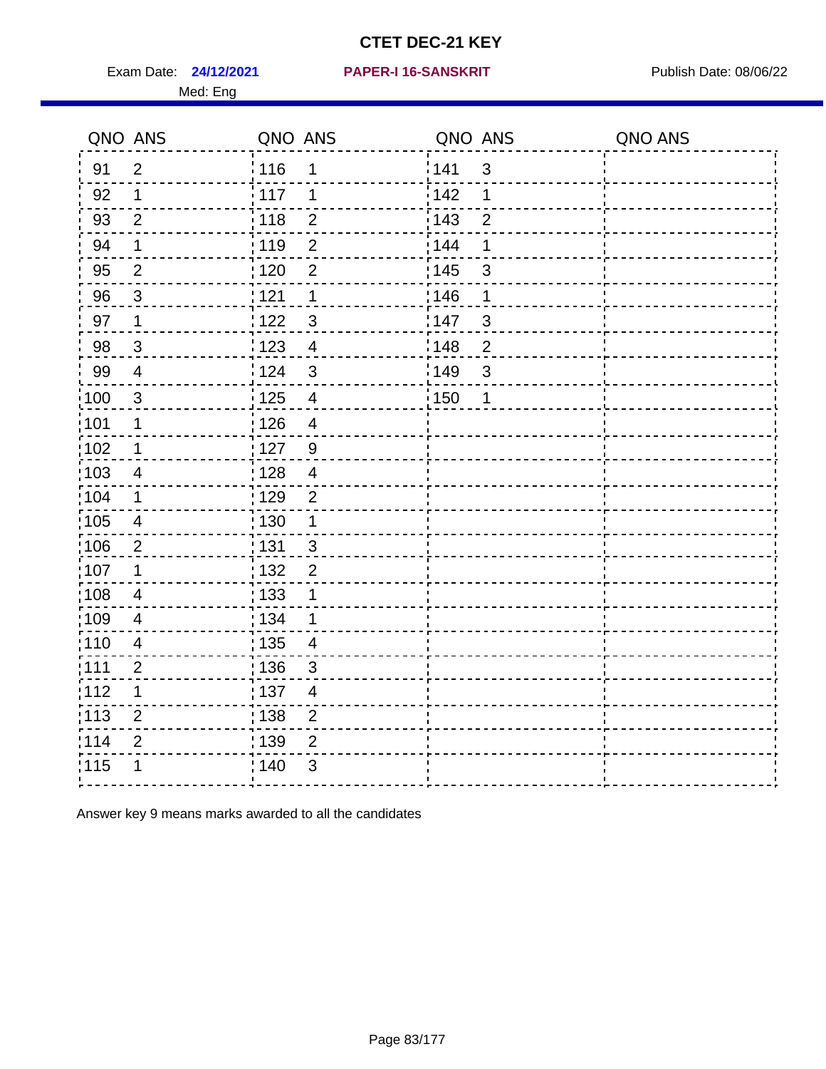Exam Date: 24/12/2021 PAPER-I 16-SANSKRIT Publish Date: 08/06/22 Med: Eng

#### **24/12/2021 PAPER-I 16-SANSKRIT**

|                   | QNO ANS                  | QNO ANS           |                | QNO ANS |                | QNO ANS |
|-------------------|--------------------------|-------------------|----------------|---------|----------------|---------|
| 91                | $\overline{2}$           | : 116             | 1              | 141     | $\mathfrak{3}$ |         |
| 92                | 1                        | : 117             | 1              | 142     | 1              |         |
| 93                | $\overline{2}$           | : 118             | $\overline{2}$ | 143     | $\overline{2}$ |         |
| 94                | 1                        | 119               | $\overline{2}$ | 144     | 1              |         |
| 95                | $\overline{2}$           | : 120             | $\overline{2}$ | : 145   | 3              |         |
| 96                | 3                        | 121               | 1              | 146     | 1              |         |
| 97                | 1                        | 122               | $\mathfrak{S}$ | 147     | $\mathfrak{S}$ |         |
| 98                | $\mathbf{3}$             | : 123             | $\overline{4}$ | 148     | $\overline{2}$ |         |
| 99                | $\overline{4}$           | 124               | $\mathfrak{S}$ | 149     | $\mathfrak{S}$ |         |
| $\frac{1}{1}$ 100 | $\mathfrak{S}$           | $\frac{1}{1}$ 125 | $\overline{4}$ | : 150   | 1              |         |
| :101              | $\mathbf 1$              | : 126             | $\overline{4}$ |         |                |         |
| 102               | $\mathbf 1$              | : 127             | 9              |         |                |         |
| 103               | $\overline{4}$           | : 128             | $\overline{4}$ |         |                |         |
| :104              | 1                        | : 129             | $\overline{2}$ |         |                |         |
| 105               | $\overline{\mathcal{A}}$ | $\frac{1}{1}$ 130 | 1              |         |                |         |
| 106               | $\overline{2}$           | : 131             | $\mathbf{3}$   |         |                |         |
| :107              | 1                        | : 132             | $\overline{2}$ |         |                |         |
| 108               | $\overline{4}$           | : 133             | 1              |         |                |         |
| :109              | $\overline{4}$           | : 134             | 1              |         |                |         |
| :110              | $\overline{\mathbf{4}}$  | : 135             | $\overline{4}$ |         |                |         |
| : 111             | $\overline{2}$           | : 136             | $\mathfrak{S}$ |         |                |         |
| 112               | $\mathbf 1$              | 137               | $\overline{4}$ |         |                |         |
| $\frac{1}{1}$ 113 | $\overline{2}$           | : 138             | $\overline{2}$ |         |                |         |
| 114               | $\overline{2}$           | 139               | $\overline{2}$ |         |                |         |
| 115               | 1                        | 140               | 3              |         |                |         |
|                   |                          |                   |                |         |                |         |

Answer key 9 means marks awarded to all the candidates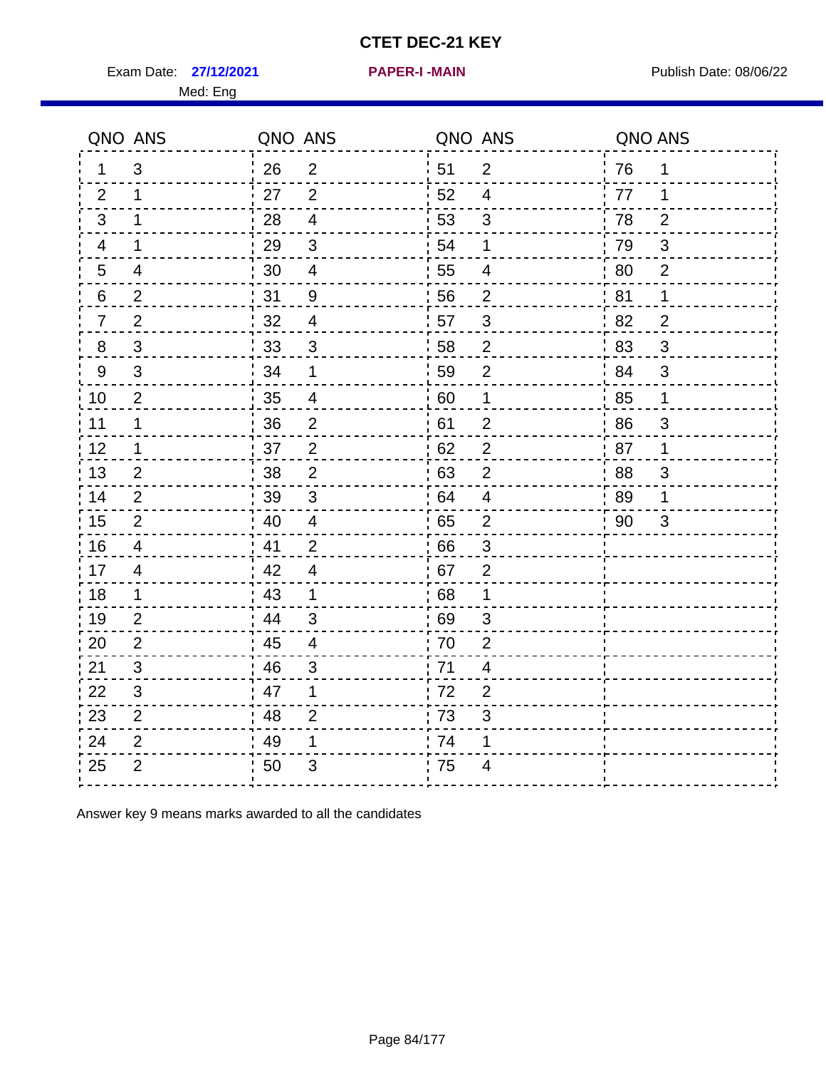Exam Date: 27/12/2021 **PAPER-I-MAIN PROVIDED:** Publish Date: 08/06/22

|                | QNO ANS                  | QNO ANS |                          | QNO ANS |                | QNO ANS |                |
|----------------|--------------------------|---------|--------------------------|---------|----------------|---------|----------------|
| 1.             | 3                        | 26      | $\overline{2}$           | 51      | $\overline{2}$ | 76      | 1              |
| 2              | 1                        | 27      | 2                        | 52      | 4              | 77      | 1              |
| 3              | 1                        | 28      | $\overline{4}$           | 53      | 3              | 78      | $\overline{2}$ |
| 4              | 1                        | 29      | $\mathbf{3}$             | 54      | 1              | 79      | 3              |
| 5              | 4                        | 30      | $\overline{\mathcal{A}}$ | 55      | 4              | 80      | $\overline{2}$ |
| 6              | $\overline{2}$           | 31      | $9\,$                    | 56      | $\overline{2}$ | 81      | 1              |
| $\overline{7}$ | 2                        | 32      | $\overline{4}$           | 57      | 3              | 82      | $\overline{2}$ |
| 8              | $\mathfrak{S}$           | 33      | $\mathbf{3}$             | 58      | $\mathbf 2$    | 83      | 3              |
| 9              | 3                        | 34      | 1                        | 59      | $\overline{2}$ | 84      | 3              |
| 10             | $\overline{2}$           | 35      | 4                        | 60      | 1              | 85      | $\mathbf 1$    |
| 11             | 1                        | 36      | $\overline{2}$           | 61      | $\overline{2}$ | 86      | 3              |
| 12             | 1                        | 37      | $\overline{2}$           | 62      | $\mathbf{2}$   | 87      | 1              |
| 13             | 2                        | 38      | $\overline{2}$           | 63      | $\overline{2}$ | 88      | 3              |
| 14             | 2                        | 39      | 3                        | 64      | $\overline{4}$ | 89      | 1              |
| 15             | 2                        | 40      | $\overline{\mathbf{4}}$  | 65      | $\overline{2}$ | 90      | 3              |
| 16             | $\overline{\mathcal{A}}$ | 41      | $\overline{2}$           | 66      | $\mathfrak{S}$ |         |                |
| 17             | $\overline{4}$           | 42      | 4                        | 67      | $\overline{2}$ |         |                |
| 18             | 1                        | 43      | 1                        | 68      | 1              |         |                |
| 19             | 2                        | 44      | 3                        | 69      | 3              |         |                |
| 20             | $\overline{2}$           | 45      | $\overline{4}$           | 70      | $\overline{2}$ |         |                |
| 21             | 3                        | 46      | 3                        | 71      | $\overline{4}$ |         |                |
| 22             | 3                        | 47      | 1                        | 72      | $\overline{2}$ |         |                |
| 23             | 2                        | 48      | $\overline{2}$           | 73      | 3              |         |                |
| 24             | $\overline{2}$           | 49      | 1                        | 74      | 1              |         |                |
| 25             | $\overline{2}$           | 50      | 3                        | 75      | 4              |         |                |

Answer key 9 means marks awarded to all the candidates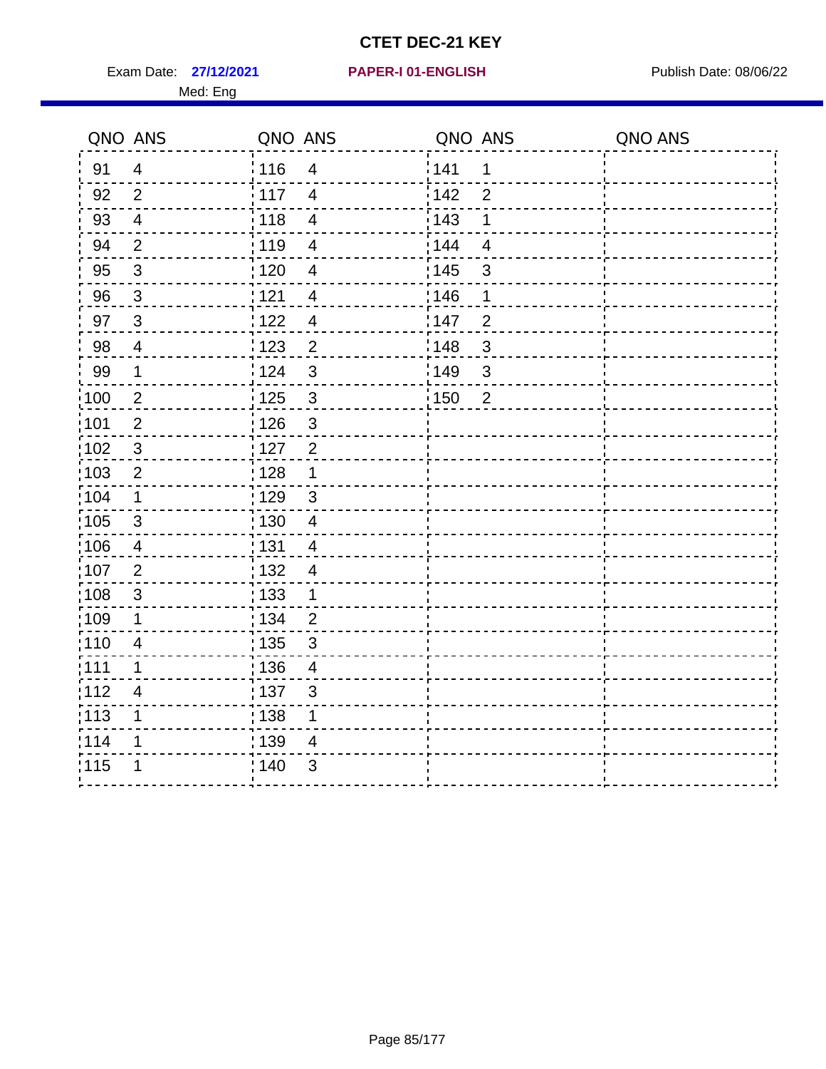Exam Date: 27/12/2021 PAPER-I 01-ENGLISH PARER Publish Date: 08/06/22 Med: Eng

#### **27/12/2021 PAPER-I 01-ENGLISH**

| QNO ANS           |                | QNO ANS           |                          | QNO ANS |                | QNO ANS |
|-------------------|----------------|-------------------|--------------------------|---------|----------------|---------|
| 91                | $\overline{4}$ | 116               | $\overline{4}$           | 141     | $\mathbf 1$    |         |
| 92                | 2              | $\frac{1}{2}$ 117 | $\overline{4}$           | 142     | $\overline{2}$ |         |
| 93                | $\overline{4}$ | : 118             | $\overline{4}$           | : 143   | $\mathbf 1$    |         |
| 94                | $\overline{2}$ | : 119             | $\overline{\mathcal{A}}$ | 144     | $\overline{4}$ |         |
| 95                | $\mathbf{3}$   | : 120             | $\overline{4}$           | : 145   | $\mathfrak{S}$ |         |
| 96                | $\mathbf{3}$   | : 121             | $\overline{4}$           | 146     | 1              |         |
| 97                | $\overline{3}$ | 122               | $\overline{4}$           | 147     | $\overline{2}$ |         |
| 98                | 4              | 123               | $\overline{2}$           | : 148   | $\sqrt{3}$     |         |
| 99                | $\mathbf 1$    | 124               | $\mathfrak{S}$           | 149     | $\mathfrak{S}$ |         |
| $\frac{1}{1}$ 100 | $\overline{2}$ | 125               | $\mathfrak{S}$           | : 150   | $\overline{2}$ |         |
| 101               | $\overline{2}$ | : 126             | $\mathfrak{S}$           |         |                |         |
| 102               | $\sqrt{3}$     | $\frac{1}{2}$ 127 | $\overline{2}$           |         |                |         |
| 103               | $\overline{2}$ | : 128             | $\mathbf{1}$             |         |                |         |
| 104               | 1              | : 129             | $\mathbf{3}$             |         |                |         |
| $\frac{1}{1}$ 105 | $\mathbf{3}$   | : 130             | $\overline{4}$           |         |                |         |
| 106               | $\overline{4}$ | : 131             | $\overline{4}$           |         |                |         |
| 107               | $\overline{2}$ | : 132             | 4                        |         |                |         |
| $\frac{1}{1}$ 108 | $\mathbf{3}$   | : 133             | 1                        |         |                |         |
| 109               | $\mathbf 1$    | : 134             | $\overline{2}$           |         |                |         |
| 110               | $\overline{4}$ | $\frac{1}{1}$ 135 | $\mathbf{3}$             |         |                |         |
| :111              | 1              | : 136             | 4                        |         |                |         |
| 112               | $\overline{4}$ | : 137             | $\mathfrak{B}$           |         |                |         |
| $\frac{1}{1}$ 113 | 1              | $\frac{1}{1}$ 138 | $\mathbf 1$              |         |                |         |
| 114               | 1              | 139               | $\overline{\mathcal{A}}$ |         |                |         |
| 115               | 1              | 140               | $\mathfrak{B}$           |         |                |         |
|                   |                |                   |                          |         |                |         |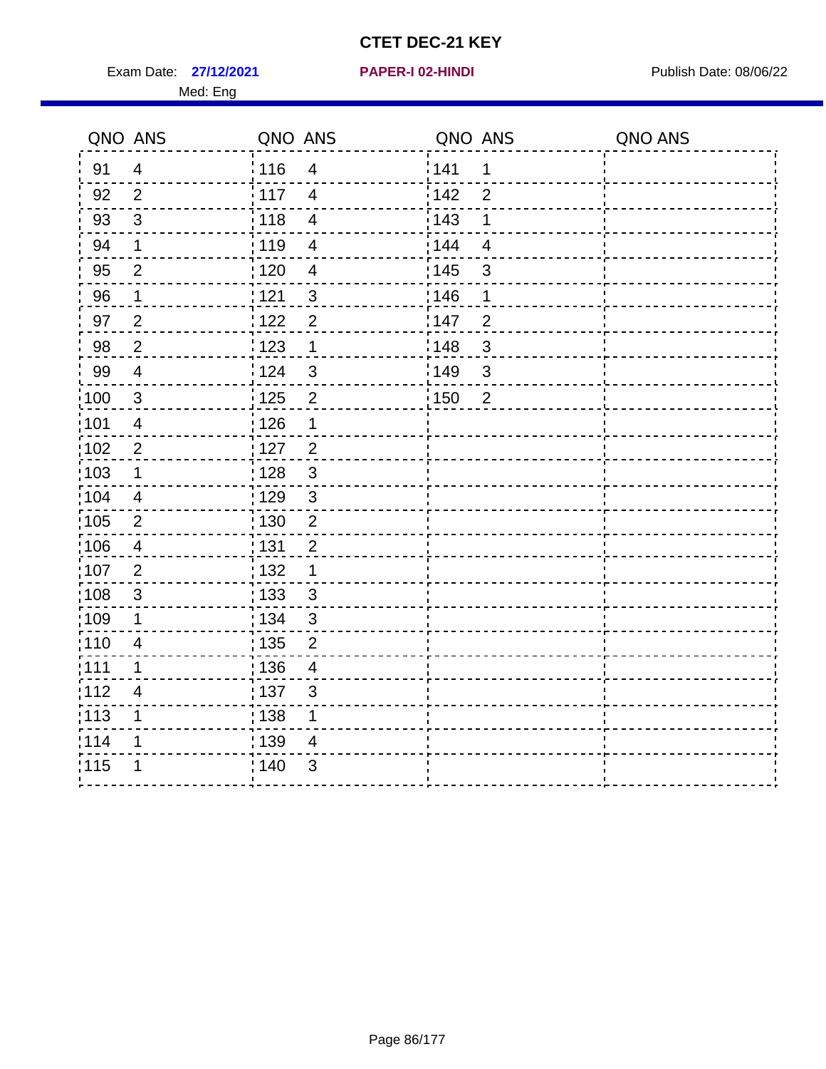Exam Date: 27/12/2021 **PAPER-I 02-HINDI Exam Date: 08/06/22** Med: Eng

#### **27/12/2021 PAPER-I 02-HINDI**

|                   | QNO ANS                 | QNO ANS                             | QNO ANS               | QNO ANS |
|-------------------|-------------------------|-------------------------------------|-----------------------|---------|
| 91                | $\overline{4}$          | :116<br>$\overline{4}$              | 141<br>$\mathbf 1$    |         |
| 92                | $\overline{2}$          | : 117<br>$\overline{4}$             | 142<br>$\overline{2}$ |         |
| 93                | $\mathfrak{S}$          | : 118<br>$\overline{\mathbf{4}}$    | 143<br>$\mathbf 1$    |         |
| 94                | $\mathbf 1$             | 119<br>$\overline{\mathbf{4}}$      | 144<br>$\overline{4}$ |         |
| 95                | $\overline{2}$          | : 120<br>$\overline{4}$             | : 145<br>$\sqrt{3}$   |         |
| 96                | $\mathbf 1$             | 121<br>3                            | 146<br>1              |         |
| 97                | $\overline{2}$          | $\overline{2}$<br>122               | 147<br>$\overline{2}$ |         |
| 98                | $\sqrt{2}$              | 1123<br>1                           | $\mathfrak{S}$<br>148 |         |
| 99                | $\overline{\mathbf{4}}$ | 124<br>3                            | 149<br>3              |         |
| 100               | $\mathbf{3}$            | $\overline{2}$<br>$\frac{1}{1}$ 125 | 150<br>$\overline{2}$ |         |
| :101              | $\overline{\mathbf{4}}$ | : 126<br>1                          |                       |         |
| $\frac{1}{1}$ 102 | $\overline{2}$          | $\overline{2}$<br>$\frac{1}{1}$ 127 |                       |         |
| :103              | 1                       | : 128<br>3                          |                       |         |
| :104              | $\overline{4}$          | :129<br>3                           |                       |         |
| 105               | $\overline{2}$          | 130<br>$\overline{c}$               |                       |         |
| :106              | $\overline{4}$          | : 131<br>$\overline{2}$             |                       |         |
| :107              | $\overline{2}$          | : 132<br>1                          |                       |         |
| 108               | $\sqrt{3}$              | : 133<br>$\mathbf{3}$               |                       |         |
| :109              | $\mathbf 1$             | : 134<br>$\mathsf 3$                |                       |         |
| :110              | $\overline{4}$          | : 135<br>$\overline{2}$             |                       |         |
| :111              | $\mathbf 1$             | : 136<br>$\overline{4}$             |                       |         |
| 112               | $\overline{4}$          | : 137<br>$\mathfrak{B}$             |                       |         |
| : 113             | 1                       | : 138<br>1                          |                       |         |
| 1114              | 1                       | 139<br>$\overline{4}$               |                       |         |
| 115               | 1                       | 140<br>3                            |                       |         |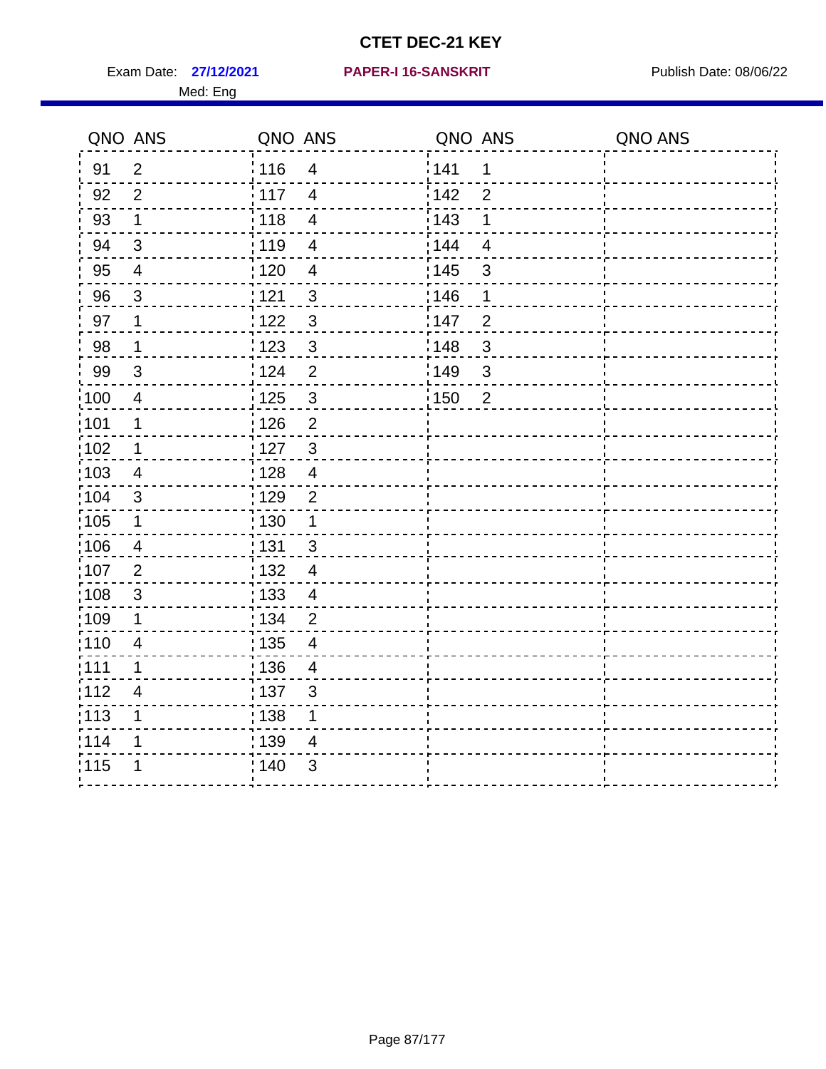Exam Date: 27/12/2021 PAPER-I 16-SANSKRIT Publish Date: 08/06/22 Med: Eng

#### **27/12/2021 PAPER-I 16-SANSKRIT**

|                   | QNO ANS                 | QNO ANS           |                          | QNO ANS           |                | QNO ANS |
|-------------------|-------------------------|-------------------|--------------------------|-------------------|----------------|---------|
| 91                | $\overline{2}$          | : 116             | $\overline{\mathcal{A}}$ | 141               | 1              |         |
| 92                | 2                       | $\frac{1}{117}$   | $\overline{4}$           | 142               | $\overline{2}$ |         |
| 93                | $\mathbf 1$             | 118               | $\overline{\mathbf{4}}$  | 143               | $\mathbf 1$    |         |
| 94                | 3                       | : 119             | $\overline{4}$           | 144               | $\overline{4}$ |         |
| 95                | $\overline{4}$          | : 120             | $\overline{4}$           | : 145             | $\mathbf{3}$   |         |
| 96                | 3                       | 1121              | $\mathfrak{S}$           | 146               | 1              |         |
| 97                | 1                       | 122               | $\mathfrak{S}$           | 147               | $\overline{2}$ |         |
| 98                | $\mathbf{1}$            | 123               | $\mathbf{3}$             | 148               | $\mathbf{3}$   |         |
| 99                | $\sqrt{3}$              | 124               | $\overline{2}$           | 149               | $\mathbf{3}$   |         |
| 100               | $\overline{4}$          | $\frac{1}{1}$ 125 | $\mathfrak{3}$           | $\frac{1}{1}$ 150 | $\overline{2}$ |         |
| 101               | $\mathbf 1$             | $\frac{1}{2}$ 126 | $\overline{2}$           |                   |                |         |
| 102               | $\mathbf{1}$            | :127              | $\mathbf{3}$             |                   |                |         |
| 103               | 4                       | : 128             | $\overline{4}$           |                   |                |         |
| 104               | 3                       | : 129             | $\overline{2}$           |                   |                |         |
| 105               | $\mathbf 1$             | $\frac{1}{1}$ 130 | $\mathbf{1}$             |                   |                |         |
| :106              | 4                       | : 131             | $\mathbf{3}$             |                   |                |         |
| 107               | $\overline{2}$          | : 132             | $\overline{4}$           |                   |                |         |
| 108               | $\sqrt{3}$              | 133               | $\overline{4}$           |                   |                |         |
| :109              | 1                       | : 134             | $\overline{2}$           |                   |                |         |
| : 110             | $\overline{4}$          | 135               | $\overline{4}$           |                   |                |         |
| :111              | 1                       | : 136             | $\overline{4}$           |                   |                |         |
| 112               | $\overline{\mathbf{4}}$ | : 137             | $\mathbf{3}$             |                   |                |         |
| $\frac{1}{1}$ 113 | 1                       | : 138             | 1                        |                   |                |         |
| 114               | 1                       | : 139             | 4                        |                   |                |         |
| 115               | 1                       | 140               | $\mathfrak{S}$           |                   |                |         |
|                   |                         |                   |                          |                   |                |         |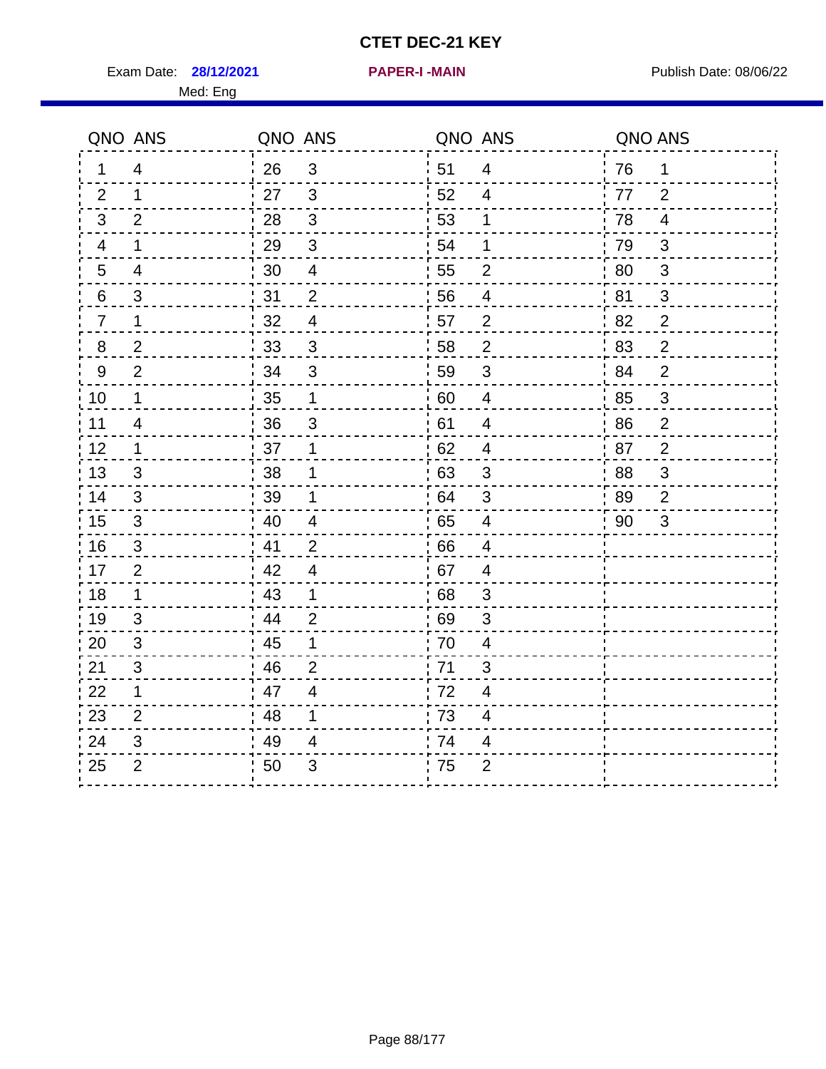Exam Date: **28/12/2021 PAPER-I-MAIN Exam Date: 08/06/22** 

**28/12/2021 PAPER-I -MAIN**

Med: Eng

|                | QNO ANS        | QNO ANS          |                          | QNO ANS          |                          | QNO ANS |                |
|----------------|----------------|------------------|--------------------------|------------------|--------------------------|---------|----------------|
| $\mathbf 1$    | 4              | 26               | $\mathbf{3}$             | 51               | $\overline{4}$           | 76      | $\mathbf 1$    |
| 2              | $\mathbf 1$    | 27               | $\mathbf{3}$             | 52               | 4                        | 77      | 2              |
| 3              | 2              | 28               | $\mathbf{3}$             | 53               | 1                        | 78      | 4              |
| 4              | $\mathbf 1$    | 29               | $\mathbf{3}$             | 54               | 1                        | 79      | $\sqrt{3}$     |
| 5              | 4              | 30               | $\overline{4}$           | 55               | $\overline{2}$           | 80      | 3              |
| 6              | $\mathfrak{S}$ | 31               | $\overline{2}$           | 56               | $\overline{\mathcal{A}}$ | 81      | 3              |
| $\overline{7}$ | $\mathbf 1$    | 32               | $\overline{\mathcal{A}}$ | 57               | $\overline{2}$           | 82      | $\overline{2}$ |
| 8              | $\overline{2}$ | 33               | $\mathbf{3}$             | 58               | $\overline{2}$           | 83      | $\overline{2}$ |
| 9              | $\overline{2}$ | 34               | 3                        | 59               | 3                        | 84      | $\overline{2}$ |
| 10             | 1              | $\frac{1}{2}$ 35 | $\mathbf{1}$             | $\frac{1}{2}$ 60 | $\overline{4}$           | 85      | 3              |
| 11             | 4              | 36               | $\mathbf{3}$             | 61               | $\overline{4}$           | 86      | $\overline{2}$ |
| 12             | $\mathbf 1$    | 37               | $\mathbf 1$              | 62               | 4                        | 87      | $\overline{2}$ |
| 13             | 3              | 38               | 1                        | 63               | $\mathfrak{S}$           | 88      | $\mathfrak{S}$ |
| 14             | 3              | 39               | 1                        | .64              | $\sqrt{3}$               | 89      | $\overline{2}$ |
| 15             | 3              | 40               | $\overline{4}$           | 65               | $\overline{\mathcal{A}}$ | 90      | 3              |
| 16             | 3              | $\frac{1}{2}$ 41 | $\overline{2}$           | 66               | 4                        |         |                |
| 17             | $\overline{2}$ | 42               | $\overline{4}$           | 67               | $\overline{4}$           |         |                |
| 18             | $\mathbf{1}$   | 43               | $\mathbf 1$              | 68               | $\mathfrak{S}$           |         |                |
| 19             | 3              | 44               | $\overline{2}$           | 69               | $\mathfrak{S}$           |         |                |
| 20             | 3              | $\frac{1}{1}$ 45 | $\mathbf 1$              | 70               | 4                        |         |                |
| 21             | 3              | 46               | 2                        | 71               | 3                        |         |                |
| 22             | $\mathbf 1$    | 47               | 4                        | 72               | 4                        |         |                |
| 23             | $\overline{2}$ | 48               | $\mathbf 1$              | 73               | 4                        |         |                |
| 24             | 3              | 49               | 4                        | 74               | 4                        |         |                |
| 25             | $\overline{c}$ | 50               | 3                        | 75               | $\overline{2}$           |         |                |
|                |                |                  |                          |                  |                          |         |                |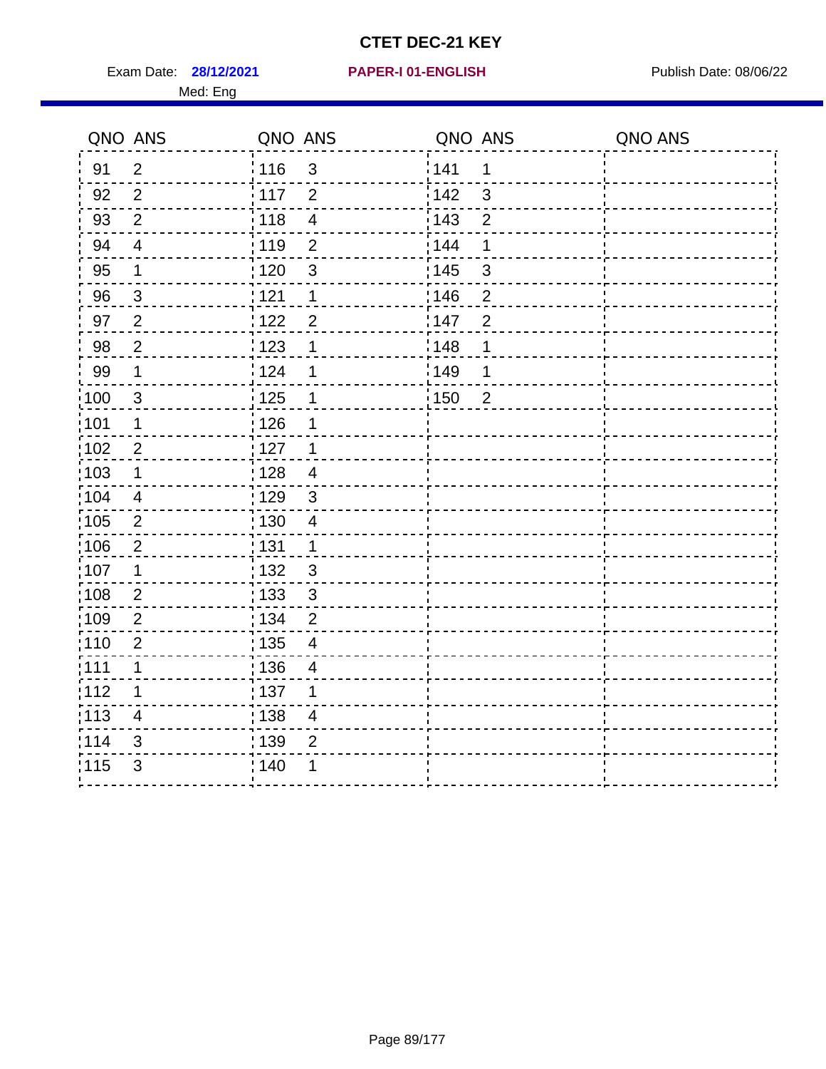Exam Date: **28/12/2021 PAPER-I 01-ENGLISH Propriet Algebra 28/06/22** 

#### **28/12/2021 PAPER-I 01-ENGLISH**

#### Med: Eng

|       | QNO ANS                  | QNO ANS                             | QNO ANS                 | QNO ANS |
|-------|--------------------------|-------------------------------------|-------------------------|---------|
| 91    | $\overline{2}$           | 116<br>$\mathfrak{S}$               | 141<br>1                |         |
| 92    | 2                        | $\frac{1}{2}$ 117<br>$\overline{2}$ | i 142<br>$\mathbf{3}$   |         |
| 93    | $\overline{2}$           | 118<br>$\overline{\mathbf{4}}$      | : 143<br>$\overline{2}$ |         |
| 94    | $\overline{\mathcal{A}}$ | 119<br>$\overline{c}$               | : 144<br>1              |         |
| 95    | 1                        | : 120<br>$\mathfrak{S}$             | : 145<br>3              |         |
| 96    | $\mathfrak{S}$           | 121<br>1                            | 146<br>$\overline{c}$   |         |
| 97    | $\overline{2}$           | 1122<br>$\overline{2}$              | 147<br>$\overline{2}$   |         |
| 98    | 2                        | 123<br>1                            | : 148<br>$\mathbf 1$    |         |
| 99    | 1                        | i 124<br>1                          | 1149<br>1               |         |
| :100  | $\mathbf{3}$             | : 125<br>1                          | 150<br>$\overline{2}$   |         |
| :101  | $\mathbf 1$              | : 126                               |                         |         |
| 102   | $\mathbf{2}$             | $\frac{1}{1}$ 127<br>1              |                         |         |
| 103   | $\mathbf 1$              | : 128<br>$\overline{4}$             |                         |         |
| 104   | $\overline{4}$           | : 129<br>$\mathfrak{S}$             |                         |         |
| 105   | $\overline{2}$           | : 130<br>4                          |                         |         |
| 106   | $\overline{c}$           | : 131<br>1                          |                         |         |
| 107   | $\mathbf 1$              | : 132<br>$\mathfrak{S}$             |                         |         |
| :108  | $\sqrt{2}$               | : 133<br>$\mathfrak{S}$             |                         |         |
| :109  | $\overline{2}$           | : 134<br>$\overline{2}$             |                         |         |
| :110  | $\overline{2}$           | : 135<br>4                          |                         |         |
| : 111 | $\mathbf 1$              | : 136<br>$\overline{\mathcal{A}}$   |                         |         |
| 112   | 1                        | $\frac{1}{1}$ 137<br>1              |                         |         |
| : 113 | $\overline{4}$           | 138 <br>4                           |                         |         |
| 114   | 3                        | : 139<br>$\overline{2}$             |                         |         |
| 115   | $\mathfrak{S}$           | : 140                               |                         |         |
|       |                          |                                     |                         |         |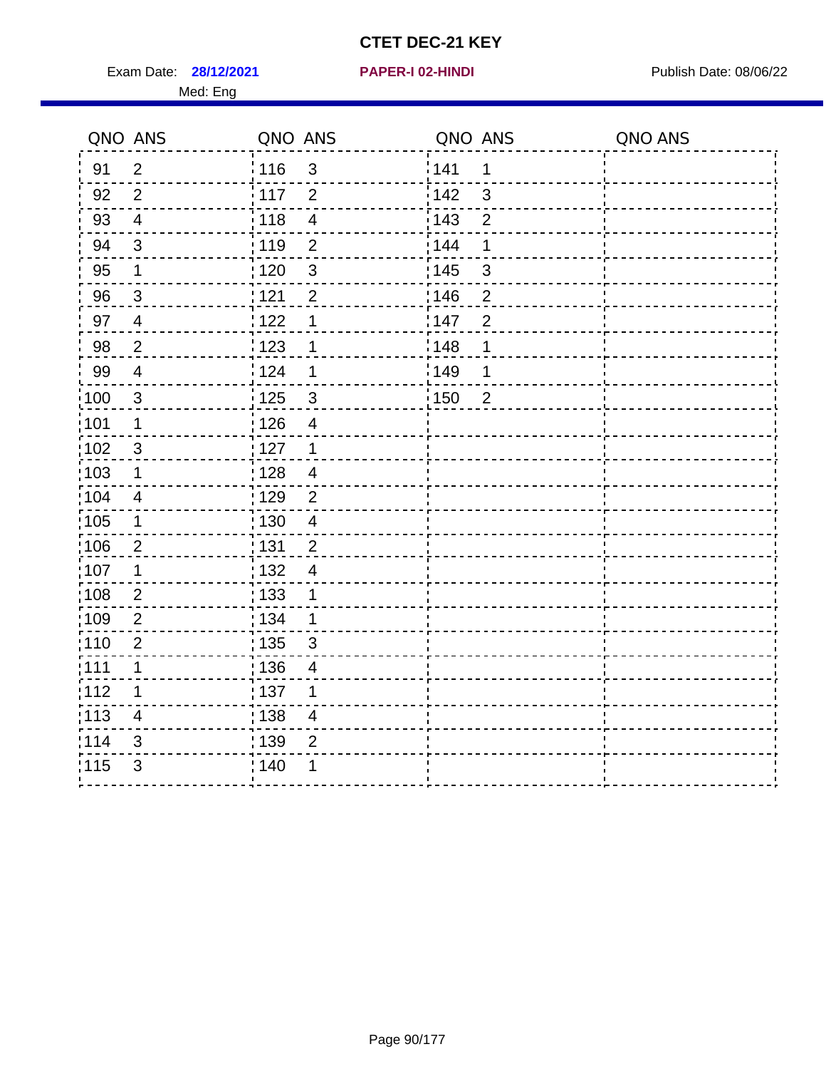Exam Date: **28/12/2021 PAPER-I 02-HINDI Exam Date: 08/06/22** Med: Eng

#### **28/12/2021 PAPER-I 02-HINDI**

|                   | QNO ANS        | QNO ANS           |                          | QNO ANS           |                | QNO ANS |
|-------------------|----------------|-------------------|--------------------------|-------------------|----------------|---------|
| 91                | $\overline{2}$ | 116               | $\mathbf{3}$             | 141               | 1              |         |
| 92                | 2              | 117               | 2                        | 142               | 3              |         |
| 93                | $\overline{4}$ | 118               | $\overline{\mathbf{4}}$  | 143               | $\overline{2}$ |         |
| 94                | $\mathbf{3}$   | :119              | $\overline{2}$           | 144               | 1              |         |
| 95                | $\mathbf 1$    | 120               | $\mathbf{3}$             | 145               | $\mathfrak{S}$ |         |
| 96                | 3              | 121               | $\overline{2}$           | :146              | $\overline{2}$ |         |
| 97                | $\overline{4}$ | 122               | $\mathbf 1$              | 147               | $\overline{2}$ |         |
| 98                | $\sqrt{2}$     | 123               | 1                        | 148               | 1              |         |
| 99                | $\overline{4}$ | 124               | 1                        | 149               | 1              |         |
| $\frac{1}{1}$ 100 | $\mathbf{3}$   | 125               | $\mathbf{3}$             | $\frac{1}{1}$ 150 | $\overline{2}$ |         |
| :101              | $\mathbf 1$    | : 126             | $\overline{4}$           |                   |                |         |
| $\frac{1}{1}$ 102 | $\mathfrak{3}$ | 127               | $\mathbf{1}$             |                   |                |         |
| 103               | 1              | : 128             | $\overline{4}$           |                   |                |         |
| :104              | 4              | :129              | $\overline{2}$           |                   |                |         |
| $\frac{1}{1}$ 105 | $\mathbf 1$    | 130               | $\overline{\mathcal{A}}$ |                   |                |         |
| 106               | $\overline{2}$ | : 131             | $\overline{2}$           |                   |                |         |
| 107               | $\mathbf 1$    | : 132             | $\overline{4}$           |                   |                |         |
| 108               | $\overline{2}$ | : 133             | 1                        |                   |                |         |
| 109               | $\overline{2}$ | : 134             | $\mathbf 1$              |                   |                |         |
| :110              | $\overline{2}$ | $\frac{1}{1}$ 135 | 3                        |                   |                |         |
| : 111             | 1              | : 136             | 4                        |                   |                |         |
| 112               | $\mathbf 1$    | :137              | 1                        |                   |                |         |
| : 113             | 4              | : 138             | $\overline{4}$           |                   |                |         |
| 114               | $\mathfrak{B}$ | : 139             | $\overline{2}$           |                   |                |         |
| 115               | 3              | : 140             | 1                        |                   |                |         |
|                   |                |                   |                          |                   |                |         |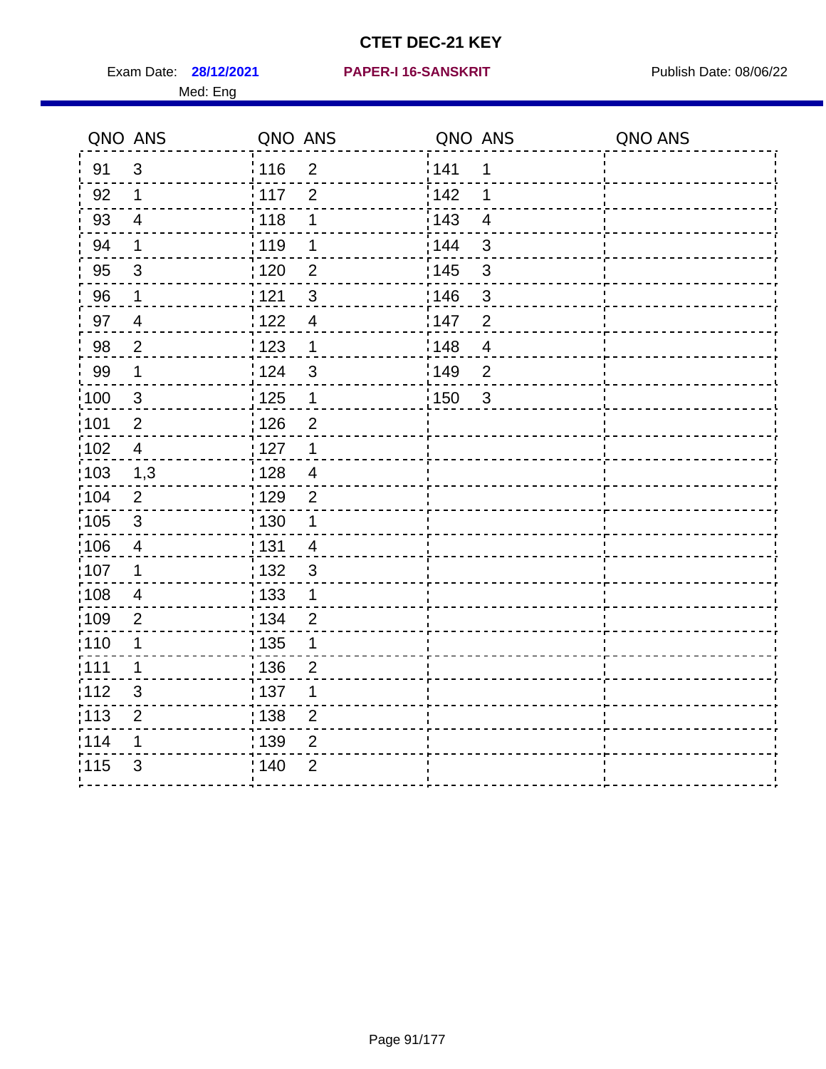Exam Date: **28/12/2021 PAPER-I 16-SANSKRIT** Publish Date: 08/06/22 Med: Eng

#### **28/12/2021 PAPER-I 16-SANSKRIT**

| QNO ANS           |                | QNO ANS                           | QNO ANS |                | QNO ANS |
|-------------------|----------------|-----------------------------------|---------|----------------|---------|
| 91                | $\mathbf{3}$   | 116<br>2                          | 141     | 1              |         |
| 92                | 1              | $\frac{1}{117}$<br>$\overline{2}$ | i 142   | 1              |         |
| 93                | $\overline{4}$ | 118<br>1                          | 143     | $\overline{4}$ |         |
| 94                | $\mathbf 1$    | 119<br>1                          | 144     | 3              |         |
| 95                | $\mathbf{3}$   | : 120<br>$\overline{2}$           | : 145   | $\mathsf 3$    |         |
| 96                | $\mathbf 1$    | 121<br>$\mathfrak{3}$             | 146     | 3              |         |
| 97                | $\overline{4}$ | 122<br>$\overline{\mathcal{A}}$   | 147     | $\overline{2}$ |         |
| 98                | $\overline{2}$ | 123<br>$\mathbf 1$                | 148     | $\overline{4}$ |         |
| 99                | $\mathbf 1$    | ່ 124<br>$\mathfrak{B}$           | ¦149    | $\overline{2}$ |         |
| $\frac{1}{1}$ 100 | $\mathbf{3}$   | 125<br>$\mathbf 1$                | 150     | $\mathfrak{S}$ |         |
| :101              | $\overline{2}$ | : 126<br>$\overline{2}$           |         |                |         |
| 102               | $\overline{4}$ | : 127<br>$\mathbf 1$              |         |                |         |
| 103               | 1,3            | : 128<br>$\overline{4}$           |         |                |         |
| :104              | $\overline{2}$ | : 129<br>$\overline{2}$           |         |                |         |
| 105               | $\mathbf{3}$   | : 130<br>$\mathbf{1}$             |         |                |         |
| :106              | $\overline{4}$ | : 131<br>$\overline{4}$           |         |                |         |
| 107               | 1              | : 132<br>$\mathfrak{B}$           |         |                |         |
| 108               | 4              | : 133<br>1                        |         |                |         |
| :109              | $\overline{2}$ | : 134<br>$\overline{2}$           |         |                |         |
| :110              | 1              | : 135<br>1                        |         |                |         |
| :111              | 1              | :136<br>$\overline{2}$            |         |                |         |
| 112               | 3              | :137<br>1                         |         |                |         |
| : 113             | $\overline{2}$ | 138<br>$\overline{2}$             |         |                |         |
| 114               | 1              | : 139<br>$\overline{2}$           |         |                |         |
| 115               | 3              | ; 140<br>$\overline{2}$           |         |                |         |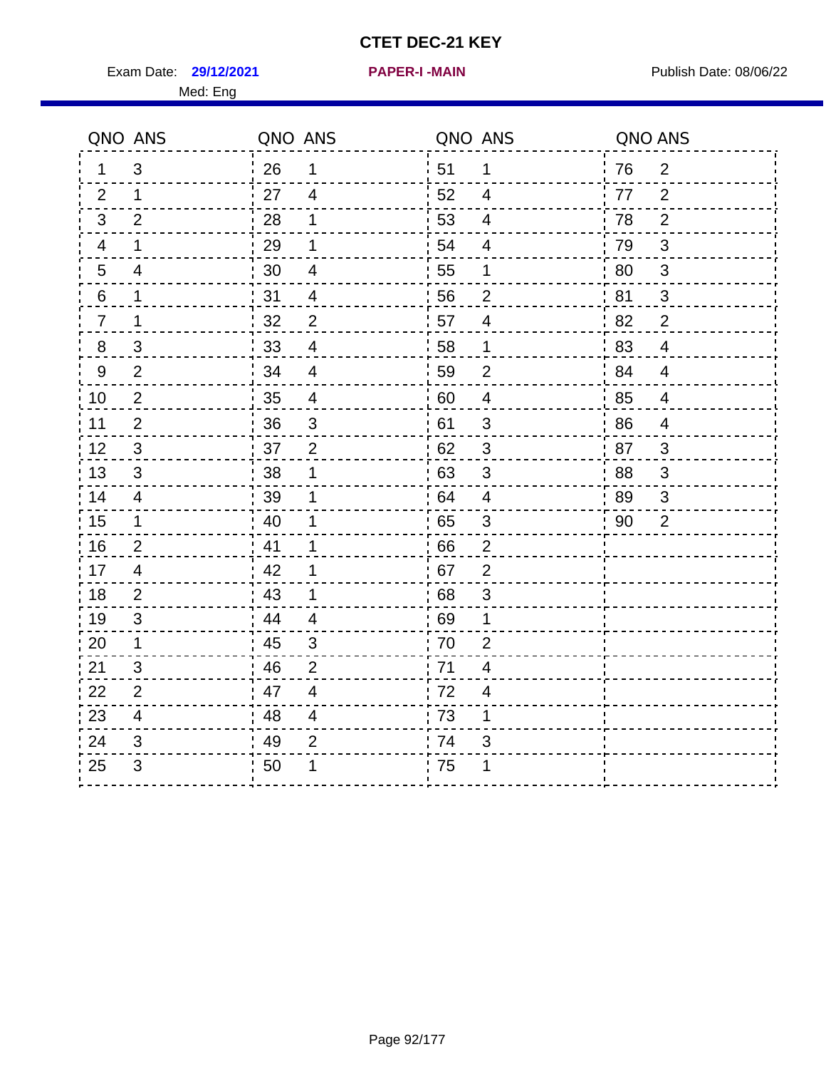**29/12/2021 PAPER-I -MAIN**

Exam Date: 29/12/2021 **PAPER-I-MAIN Exam Date: 08/06/22** Med: Eng

|                  | QNO ANS        | QNO ANS |                          | QNO ANS |                          | QNO ANS |                |
|------------------|----------------|---------|--------------------------|---------|--------------------------|---------|----------------|
| 1                | 3              | 26      | $\mathbf 1$              | 51      | $\mathbf 1$              | 76      | $\overline{2}$ |
| 2                | $\mathbf{1}$   | 27      | $\overline{4}$           | 52      | $\overline{4}$           | 77      | 2              |
| 3                | $\overline{2}$ | 28      | 1                        | 53      | $\overline{\mathcal{A}}$ | 78      | $\overline{2}$ |
| 4                | 1              | 29      | 1                        | 54      | $\overline{4}$           | 79      | $\mathfrak{S}$ |
| $\overline{5}$   | 4              | 30      | $\overline{\mathbf{4}}$  | 55      | 1                        | 80      | $\mathbf{3}$   |
| 6                | 1              | 31      | 4                        | 56      | $\overline{2}$           | 81      | 3              |
| $\overline{7}$   | 1              | 32      | $\overline{2}$           | 57      | $\overline{\mathbf{4}}$  | 82      | $\overline{2}$ |
| $\boldsymbol{8}$ | $\mathsf 3$    | 33      | 4                        | 58      | $\mathbf 1$              | 83      | $\overline{4}$ |
| $\boldsymbol{9}$ | $\overline{2}$ | 34      | $\overline{\mathbf{4}}$  | 59      | $\overline{2}$           | 84      | $\overline{4}$ |
| 10               | $\overline{2}$ | 35      | $\overline{4}$           | 60      | $\overline{4}$           | 85      | $\overline{4}$ |
| 11               | $\overline{2}$ | 36      | $\sqrt{3}$               | 61      | $\sqrt{3}$               | 86      | $\overline{4}$ |
| 12               | $\sqrt{3}$     | 37      | $\overline{2}$           | 62      | $\sqrt{3}$               | 87      | 3              |
| 13               | 3              | 38      | 1                        | 63      | 3                        | .88     | 3              |
| 14               | $\overline{4}$ | 39      | 1                        | 64      | $\overline{4}$           | 89      | 3              |
| 15               | $\mathbf{1}$   | 40      | 1                        | 65      | $\sqrt{3}$               | 90      | $\overline{2}$ |
| 16               | 2              | 41      | $\mathbf 1$              | 66      | $\overline{2}$           |         |                |
| 17               | $\overline{4}$ | 42      | 1                        | 67      | $\overline{2}$           |         |                |
| 18               | 2              | 43      | 1                        | 68      | $\sqrt{3}$               |         |                |
| 19               | 3              | 44      | $\overline{\mathcal{A}}$ | : 69    | 1                        |         |                |
| 20               | 1              | 45      | 3                        | 70      | $\overline{2}$           |         |                |
| 21               | 3              | 46      | $\overline{2}$           | 71      | $\overline{4}$           |         |                |
| 22               | $\overline{2}$ | 47      | $\overline{4}$           | 72      | $\overline{\mathcal{A}}$ |         |                |
| 23               | 4              | 48      | $\overline{\mathbf{4}}$  | 73      | 1                        |         |                |
| 24               | 3              | 49      | $\overline{2}$           | 74      | 3                        |         |                |
| 25               | $\mathfrak{S}$ | 50      | 1                        | 75      | 1                        |         |                |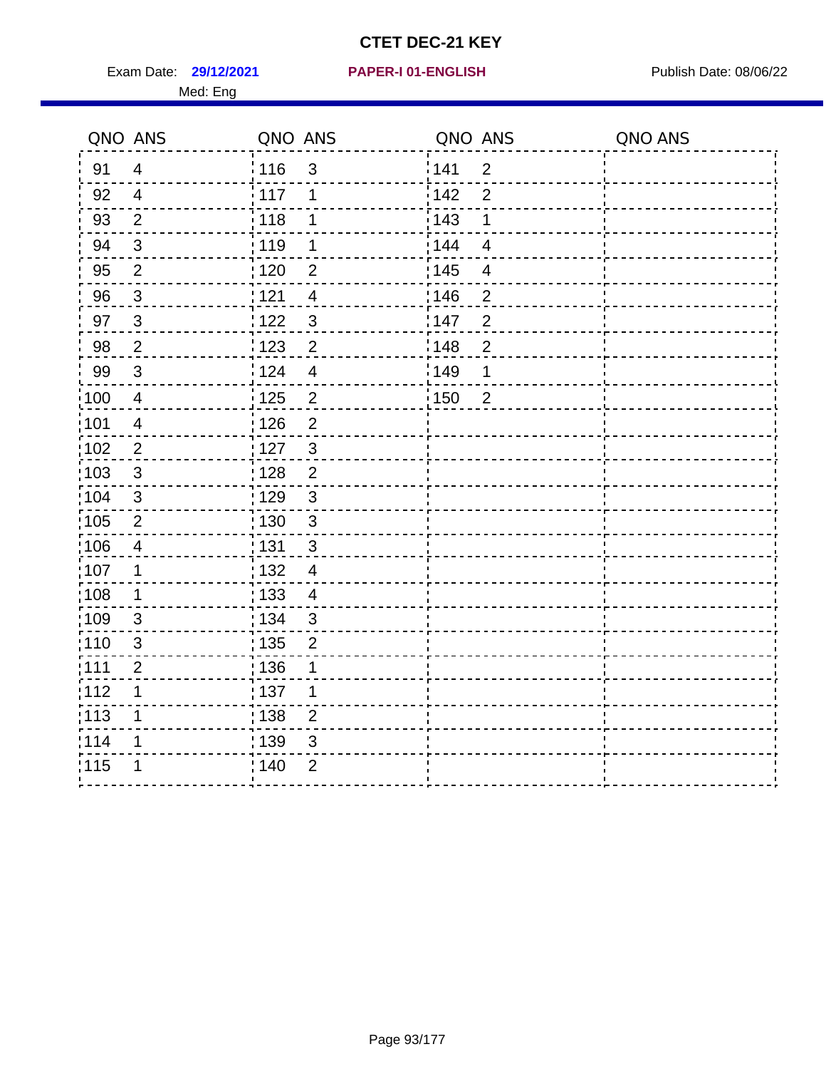Exam Date: 29/12/2021 **PAPER-I 01-ENGLISH Exam Date: 08/06/22** 

#### **29/12/2021 PAPER-I 01-ENGLISH**

#### Med: Eng

| Med: Eng |         |         |                |
|----------|---------|---------|----------------|
| QNO ANS  | QNO ANS | QNO ANS | <b>QNO ANS</b> |
|          |         |         |                |

| 91    | 4                         | 116   | $\mathfrak{S}$ | 141   | $\mathbf 2$             |  |
|-------|---------------------------|-------|----------------|-------|-------------------------|--|
| 92    | $\overline{4}$            | 117   | 1              | 142   | $\overline{2}$          |  |
| 93    | $\overline{2}$            | 118   | 1              | 143   | 1                       |  |
| 94    | $\mathfrak{S}$            | : 119 | 1              | : 144 | $\overline{\mathbf{4}}$ |  |
| 95    | $\overline{2}$            | : 120 | $\overline{2}$ | : 145 | $\overline{\mathbf{4}}$ |  |
| 96    | $\mathbf{3}$              | 121   | 4              | 146   | $\overline{2}$          |  |
| 97    | $\mathbf{3}$              | 1122  | $\mathbf{3}$   | 147   | $\overline{2}$          |  |
| 98    | $\overline{2}$            | 1123  | $\overline{2}$ | 148   | $\overline{2}$          |  |
| '99   | $\mathfrak{3}$            | 124   | $\overline{4}$ | 149   | 1                       |  |
| :100  | $\overline{4}$            | : 125 | $\overline{2}$ | : 150 | $\mathbf 2$             |  |
| :101  | $\overline{4}$            | : 126 | $\overline{2}$ |       |                         |  |
| 102   | $\overline{2}$            | : 127 | 3              |       |                         |  |
| 103   | $\mathfrak{3}$            | : 128 | $\overline{2}$ |       |                         |  |
| 104   | $\sqrt{3}$                | : 129 | $\mathbf{3}$   |       |                         |  |
| 105   | $\overline{2}$            | : 130 | $\mathbf{3}$   |       |                         |  |
| 106   | $\overline{4}$            | : 131 | $\mathbf{3}$   |       |                         |  |
| 107   | $\mathbf 1$               | : 132 | $\overline{4}$ |       |                         |  |
| 108   | $\mathbf 1$               | : 133 | $\overline{4}$ |       |                         |  |
| 109   | $\ensuremath{\mathsf{3}}$ | : 134 | $\mathbf{3}$   |       |                         |  |
| 110   | $\sqrt{3}$                | 135   | $\overline{c}$ |       |                         |  |
| ;111  | $\overline{2}$            | :136  | 1              |       |                         |  |
| 112   | 1                         | : 137 | 1              |       |                         |  |
| : 113 | 1                         | : 138 | $\overline{2}$ |       |                         |  |
| 114   | 1                         | 139   | 3              |       |                         |  |
| 115   | 1                         | : 140 | $\overline{2}$ |       |                         |  |
|       |                           |       |                |       |                         |  |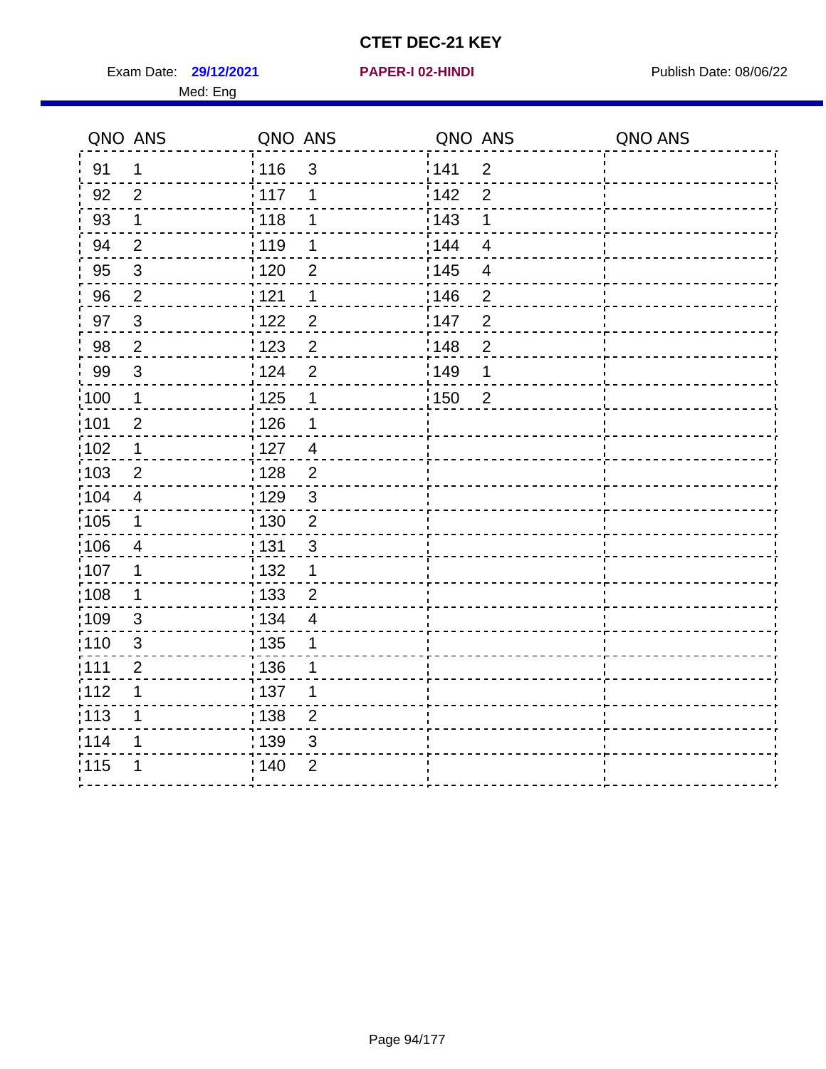Exam Date: 29/12/2021 **PAPER-I 02-HINDI Exam Date: 08/06/22** Med: Eng

# **29/12/2021 PAPER-I 02-HINDI**

|                   | QNO ANS                 | QNO ANS           |                | QNO ANS |                         | QNO ANS |
|-------------------|-------------------------|-------------------|----------------|---------|-------------------------|---------|
| 91                | $\mathbf 1$             | :116              | $\mathbf{3}$   | 141     | $\overline{2}$          |         |
| 92                | $\overline{2}$          | 117               | 1              | 142     | $\overline{2}$          |         |
| 93                | $\mathbf 1$             | 118               | 1              | 143     | 1                       |         |
| 94                | $\overline{2}$          | : 119             | 1              | 144     | $\overline{\mathbf{4}}$ |         |
| 95                | $\sqrt{3}$              | : 120             | $\overline{2}$ | : 145   | $\overline{4}$          |         |
| 96                | $\overline{2}$          | 121               | 1              | 146     | $\overline{2}$          |         |
| 97                | 3                       | 122               | $\overline{2}$ | 147     | $\overline{2}$          |         |
| 98                | $\overline{2}$          | 123               | $\overline{2}$ | 148     | $\overline{c}$          |         |
| 99                | 3                       | 124               | $\overline{2}$ | 149     | 1                       |         |
| $\frac{1}{1}$ 100 | $\mathbf{1}$            | $\frac{1}{2}$ 125 | 1              | 150     | $\overline{2}$          |         |
| :101              | $\mathbf 2$             | 126               | $\mathbf 1$    |         |                         |         |
| 102               | $\mathbf 1$             | : 127             | $\overline{4}$ |         |                         |         |
| 103               | $\overline{2}$          | : 128             | $\overline{2}$ |         |                         |         |
| 104               | $\overline{4}$          | : 129             | $\mathbf{3}$   |         |                         |         |
| $\frac{1}{1}$ 105 | $\mathbf{1}$            | : 130             | $\overline{2}$ |         |                         |         |
| 106               | $\overline{\mathbf{4}}$ | : 131             | 3              |         |                         |         |
| 107               | 1                       | : 132             | $\mathbf 1$    |         |                         |         |
| :108              | $\mathbf 1$             | : 133             | $\overline{2}$ |         |                         |         |
| :109              | $\mathfrak{S}$          | : 134             | $\overline{4}$ |         |                         |         |
| 110               | $\mathfrak{S}$          | : 135             | 1              |         |                         |         |
| 1111              | $\overline{2}$          | :136              | 1              |         |                         |         |
| 112               | 1                       | : 137             | 1              |         |                         |         |
| : 113             | 1                       | : 138             | $\overline{2}$ |         |                         |         |
| 114               | 1                       | : 139             | 3              |         |                         |         |
| 115               | 1                       | : 140             | $\overline{2}$ |         |                         |         |
|                   |                         |                   |                |         |                         |         |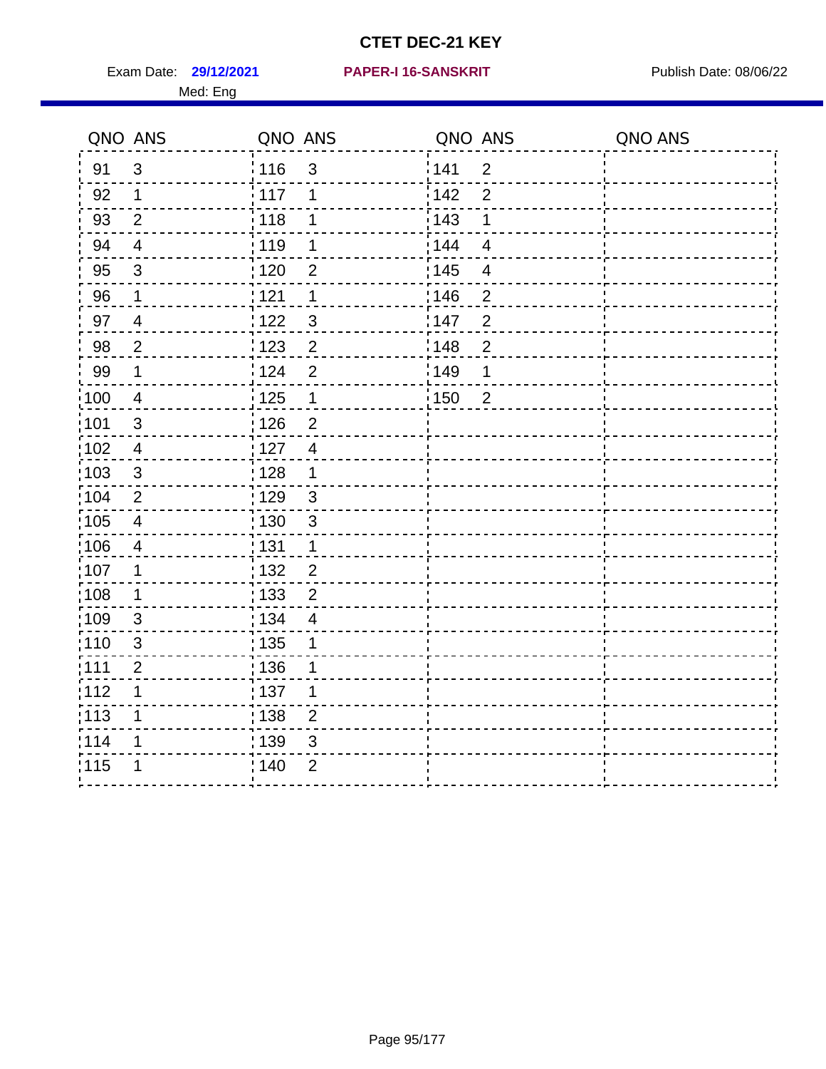Exam Date: 29/12/2021 PAPER-I 16-SANSKRIT Publish Date: 08/06/22

#### **29/12/2021 PAPER-I 16-SANSKRIT**

#### Med: Eng

|                 | QNO ANS                  | QNO ANS           |                | QNO ANS |                | QNO ANS |
|-----------------|--------------------------|-------------------|----------------|---------|----------------|---------|
| 91              | $\mathfrak{S}$           | : 116             | $\mathbf{3}$   | 141     | $\overline{2}$ |         |
| 92              | 1                        | 117               | 1              | 142     | $\overline{2}$ |         |
| 93              | $\overline{2}$           | 118               | 1              | : 143   | 1              |         |
| 94              | $\overline{\mathcal{A}}$ | : 119             | 1              | : 144   | $\overline{4}$ |         |
| 95              | 3                        | :120              | 2              | : 145   | 4              |         |
| 96              | $\mathbf 1$              | 121               | 1              | :146    | $\overline{2}$ |         |
| 97              | $\overline{4}$           | 122               | $\mathfrak{S}$ | 147     | $\overline{c}$ |         |
| 98              | $\overline{2}$           | 123               | $\overline{c}$ | 148     | $\overline{2}$ |         |
| 99              | $\mathbf 1$              | : 124             | $\overline{2}$ | :149    | 1              |         |
| $\frac{1}{100}$ | $\overline{4}$           | 125               | $\mathbf 1$    | 150     | $\overline{2}$ |         |
| :101            | 3                        | 126               | $\overline{c}$ |         |                |         |
| 102             | $\overline{\mathbf{4}}$  | : 127             | $\overline{4}$ |         |                |         |
| 103             | $\mathbf{3}$             | :128              | 1              |         |                |         |
| 104             | $\overline{2}$           | : 129             | 3              |         |                |         |
| 105             | $\overline{\mathbf{4}}$  | : 130             | 3              |         |                |         |
| 106             | $\overline{4}$           | : 131             | 1              |         |                |         |
| 107             | $\mathbf 1$              | : 132             | $\overline{2}$ |         |                |         |
| :108            | $\mathbf 1$              | $\frac{1}{1}$ 133 | $\overline{2}$ |         |                |         |
| 109             | 3                        | : 134             | $\overline{4}$ |         |                |         |
| :110            | 3                        | : 135             | 1              |         |                |         |
| :111            | $\overline{c}$           | : 136             | 1              |         |                |         |
| 112             | 1                        | : 137             | 1              |         |                |         |
| : 113           | 1                        | $\frac{1}{1}$ 138 | $\overline{2}$ |         |                |         |
| 114             | 1                        | : 139             | 3              |         |                |         |
| 115             | 1                        | : 140             | $\overline{2}$ |         |                |         |
|                 |                          |                   |                |         |                |         |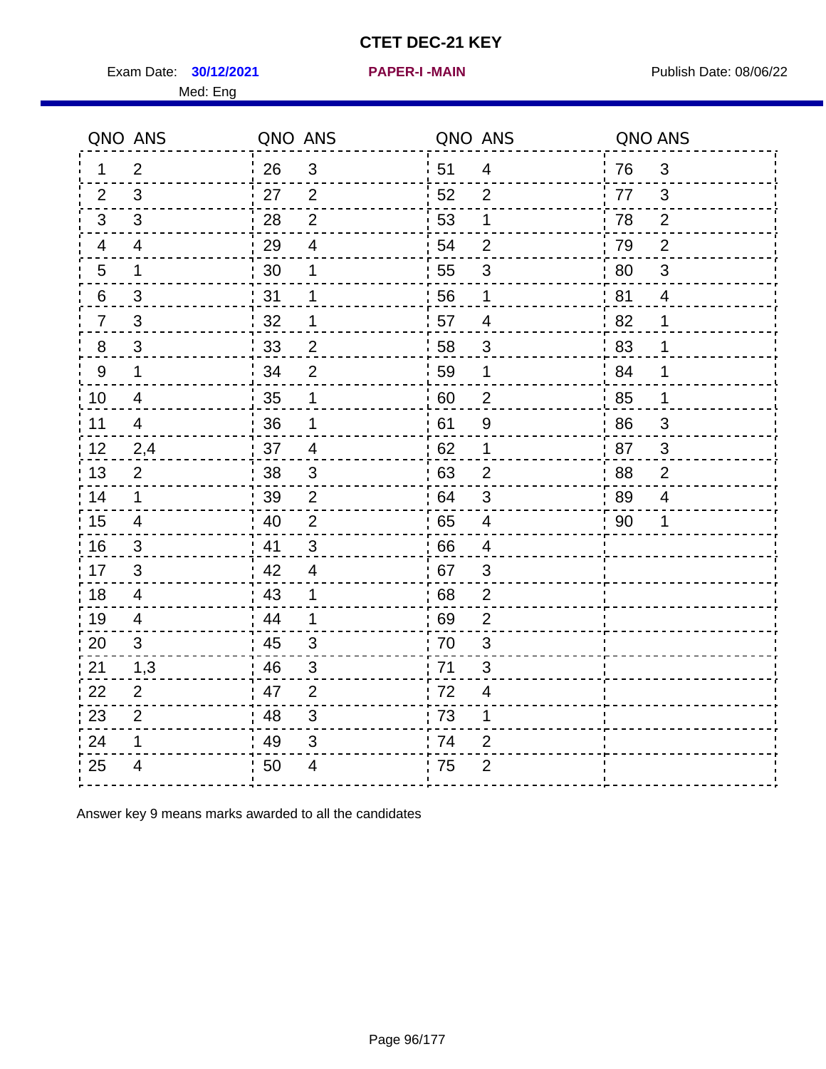Exam Date: **30/12/2021 PAPER-I-MAIN Exam Date: 08/06/22** 

|                | QNO ANS                 | QNO ANS |                | QNO ANS |                          | QNO ANS |                |
|----------------|-------------------------|---------|----------------|---------|--------------------------|---------|----------------|
| 1.             | $\overline{2}$          | 26      | $\mathfrak{3}$ | 51      | $\overline{\mathcal{A}}$ | 76      | $\mathfrak{B}$ |
| 2              | 3                       | 27      | $\overline{2}$ | 52      | 2                        | 77      | 3              |
| 3              | 3                       | 28      | $\overline{2}$ | 53      | 1                        | 78      | $\overline{2}$ |
| 4              | 4                       | 29      | $\overline{4}$ | 54      | $\overline{2}$           | 79      | 2              |
| 5              | $\mathbf 1$             | 30      | 1              | 55      | 3                        | 80      | $\mathfrak{S}$ |
| 6              | 3                       | 31      | 1              | 56      | 1                        | 81      | $\overline{4}$ |
| $\overline{7}$ | 3                       | 32      | 1              | 57      | 4                        | 82      | 1              |
| 8              | $\mathfrak{S}$          | 33      | $\overline{2}$ | 58      | $\sqrt{3}$               | 83      | 1              |
| 9              | $\mathbf{1}$            | 34      | $\overline{2}$ | 59      | 1                        | 84      | 1              |
| 10             | 4                       | 35      | 1              | 60      | $\overline{2}$           | 85      | $\mathbf{1}$   |
| 11             | $\overline{\mathbf{4}}$ | 36      | 1              | 61      | $\boldsymbol{9}$         | 86      | $\mathfrak{S}$ |
| 12             | 2,4                     | 37      | $\overline{4}$ | 62      | 1                        | 87      | 3              |
| 13             | $\overline{2}$          | 38      | 3              | 63      | $\overline{2}$           | 88      | $\overline{2}$ |
| 14             | 1                       | 39      | $\overline{2}$ | 64      | 3                        | 89      | 4              |
| 15             | 4                       | 40      | $\overline{2}$ | 65      | $\overline{4}$           | 90      | 1              |
| 16             | 3                       | 41      | 3              | 66      | $\overline{4}$           |         |                |
| 17             | 3                       | 42      | $\overline{4}$ | 67      | 3                        |         |                |
| 18             | 4                       | 43      | 1              | 68      | $\overline{2}$           |         |                |
| 19             | 4                       | 44      | 1              | 69      | $\overline{2}$           |         |                |
| 20             | 3                       | 45      | 3              | 70      | 3                        |         |                |
| 21             | 1,3                     | 46      | $\mathfrak{S}$ | 71      | 3                        |         |                |
| 22             | $\overline{2}$          | 47      | $\overline{2}$ | 72      | $\overline{4}$           |         |                |
| 23             | $\overline{2}$          | 48      | $\mathfrak{S}$ | 73      | 1                        |         |                |
| 24             | 1                       | 49      | 3              | 74      | $\overline{2}$           |         |                |
| 25             | 4                       | 50      | 4              | 75      | $\overline{2}$           |         |                |

Answer key 9 means marks awarded to all the candidates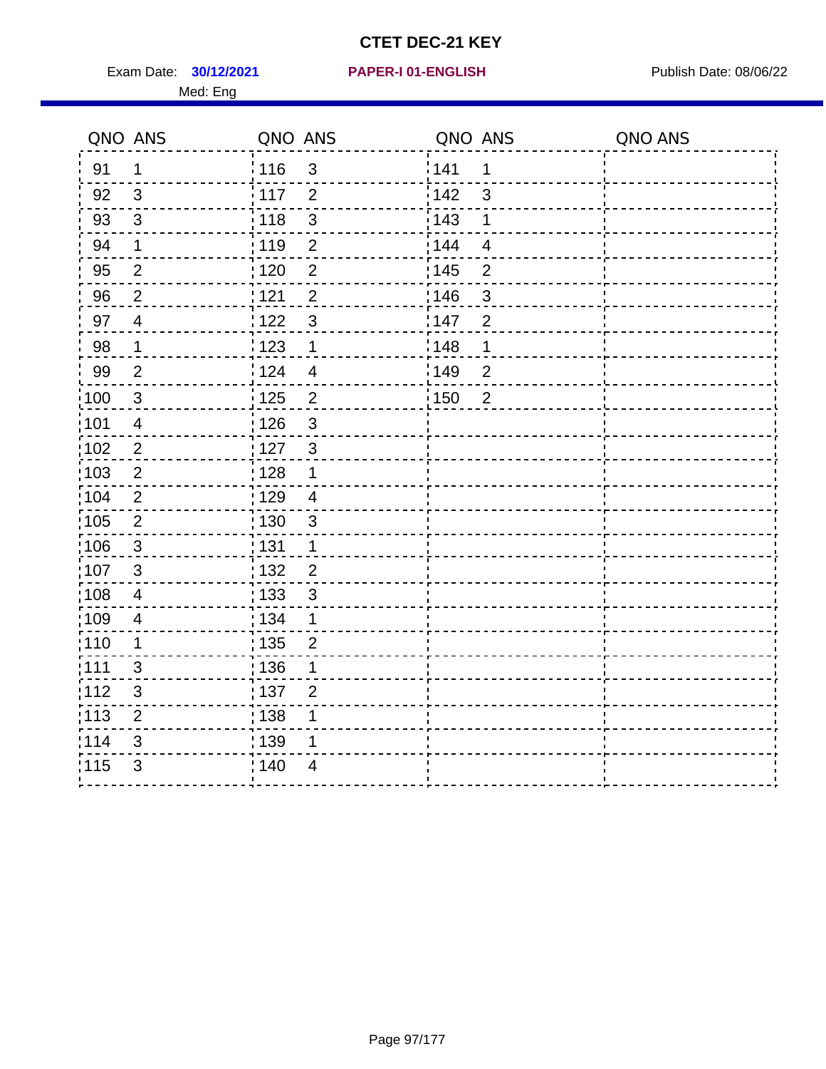Exam Date: **30/12/2021 PAPER-I 01-ENGLISH Propriet Algebra 2014** Publish Date: 08/06/22 Med: Eng

#### **30/12/2021 PAPER-I 01-ENGLISH**

|                   | QNO ANS        | QNO ANS           |                         | QNO ANS |                | QNO ANS |
|-------------------|----------------|-------------------|-------------------------|---------|----------------|---------|
| 91                | $\mathbf 1$    | : 116             | $\mathfrak{3}$          | 141     | 1              |         |
| 92                | $\mathbf{3}$   | 117               | $\overline{2}$          | 142     | $\mathbf{3}$   |         |
| 93                | $\mathfrak{S}$ | 118               | $\sqrt{3}$              | 143     | $\mathbf 1$    |         |
| 94                | $\mathbf 1$    | : 119             | $\overline{2}$          | 144     | $\overline{4}$ |         |
| 95                | $\overline{2}$ | : 120             | $\overline{c}$          | : 145   | $\mathbf 2$    |         |
| 96                | $\overline{2}$ | 121               | $\overline{2}$          | 146     | $\mathfrak{S}$ |         |
| 97                | $\overline{4}$ | 122               | $\mathbf{3}$            | 147     | $\overline{2}$ |         |
| 98                | $\mathbf 1$    | 1123              | $\mathbf 1$             | 148     | $\mathbf 1$    |         |
| 99                | $\overline{2}$ | 124               | $\overline{\mathbf{4}}$ | :149    | $\overline{2}$ |         |
| 100               | $\sqrt{3}$     | $\frac{1}{1}$ 125 | $\overline{2}$          | 150     | $\overline{2}$ |         |
| 101               | $\overline{4}$ | 126               | $\mathbf{3}$            |         |                |         |
| 102               | $\overline{2}$ | : 127             | $\mathbf{3}$            |         |                |         |
| 103               | 2              | : 128             | $\mathbf 1$             |         |                |         |
| 104               | $\overline{2}$ | : 129             | $\overline{4}$          |         |                |         |
| $\frac{1}{1}$ 105 | $\sqrt{2}$     | : 130             | $\sqrt{3}$              |         |                |         |
| 106               | $\mathbf{3}$   | : 131             | $\mathbf{1}$            |         |                |         |
| 107               | 3              | : 132             | $\overline{2}$          |         |                |         |
| $\frac{1}{1}$ 108 | $\overline{4}$ | 133               | $\mathbf{3}$            |         |                |         |
| 109               | $\overline{4}$ | : 134             | $\mathbf 1$             |         |                |         |
| :110              | $\mathbf 1$    | : 135             | $\overline{2}$          |         |                |         |
| : 111             | 3              | : 136             | 1                       |         |                |         |
| 112               | 3              | : 137             | $\overline{2}$          |         |                |         |
| $\frac{1}{1}$ 113 | $\overline{2}$ | : 138             | 1                       |         |                |         |
| 114               | 3              | 139               | 1                       |         |                |         |
| 115               | 3              | 140               | $\overline{4}$          |         |                |         |
|                   |                |                   |                         |         |                |         |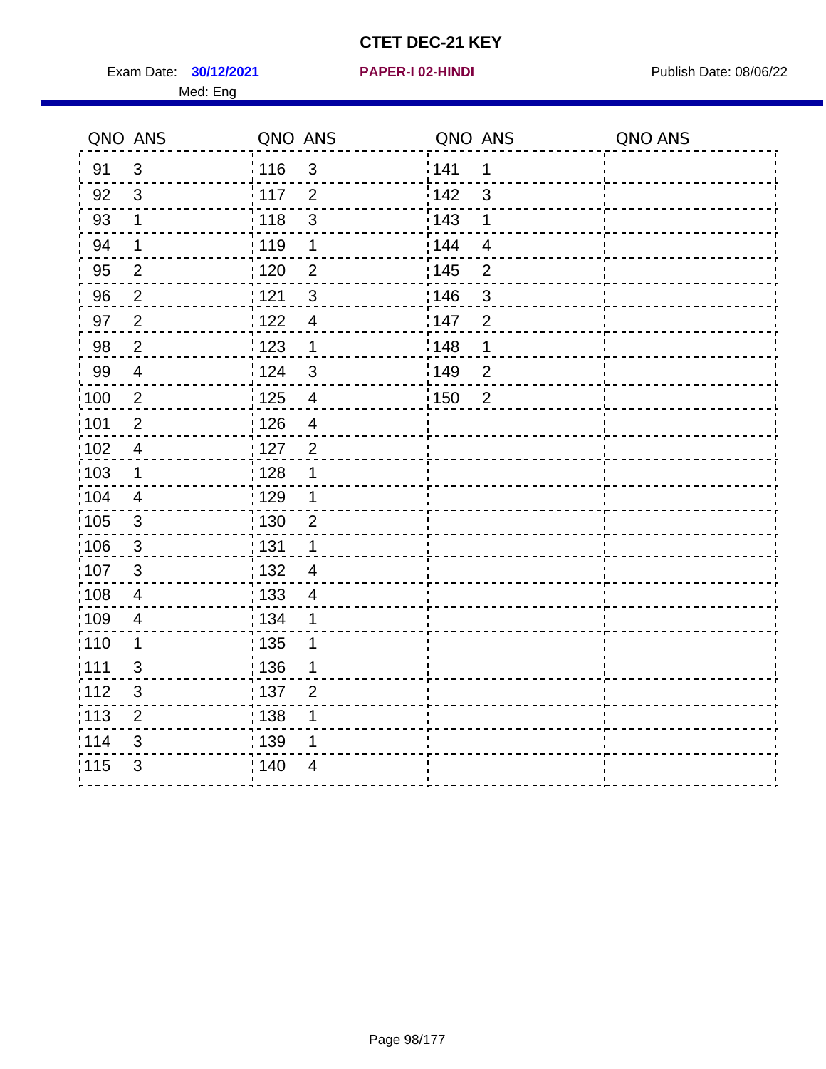Exam Date: **30/12/2021 PAPER-I 02-HINDI Exam Date: 08/06/22** Med: Eng

#### **30/12/2021 PAPER-I 02-HINDI**

|                   | QNO ANS        | QNO ANS                           | QNO ANS                 | QNO ANS |
|-------------------|----------------|-----------------------------------|-------------------------|---------|
| 91                | 3              | : 116<br>$\mathfrak{B}$           | 141<br>1                |         |
| 92                | 3              | $\frac{1}{117}$<br>$\overline{2}$ | 142<br>3                |         |
| 93                | $\mathbf 1$    | $\mathbf{3}$<br>118               | 143<br>1                |         |
| 94                | 1              | 119<br>$\mathbf 1$                | 144<br>$\overline{4}$   |         |
| 95                | $\overline{2}$ | $\overline{2}$<br>:120            | : 145<br>$\overline{2}$ |         |
| 96                | $\overline{2}$ | 121<br>3                          | 146<br>3                |         |
| 97                | $\overline{2}$ | :122<br>$\overline{\mathcal{A}}$  | 147<br>$\overline{2}$   |         |
| 98                | $\overline{2}$ | 123<br>$\mathbf 1$                | 148<br>1                |         |
| 99                | $\overline{4}$ | : 124<br>$\mathbf{3}$             | 149<br>$\overline{2}$   |         |
| $\frac{1}{100}$   | $\overline{2}$ | : 125<br>$\overline{\mathcal{A}}$ | : 150<br>$\overline{2}$ |         |
| 101               | $\overline{2}$ | : 126<br>$\overline{4}$           |                         |         |
| 102               | $\overline{4}$ | $\overline{2}$<br>: 127           |                         |         |
| 103               | 1              | : 128<br>1                        |                         |         |
| :104              | $\overline{4}$ | :129<br>1                         |                         |         |
| $\frac{1}{1}$ 105 | $\mathbf{3}$   | 130<br>$\overline{2}$             |                         |         |
| 106               | $\mathbf{3}$   | : 131<br>1                        |                         |         |
| 107               | 3              | : 132<br>$\overline{4}$           |                         |         |
| 108               | $\overline{4}$ | : 133<br>$\overline{\mathcal{A}}$ |                         |         |
| $\frac{1}{1}$ 109 | 4              | : 134<br>1                        |                         |         |
| : 110             | $\mathbf 1$    | : 135<br>1                        |                         |         |
| :111              | 3              | : 136<br>1                        |                         |         |
| :112              | 3              | :137<br>$\overline{2}$            |                         |         |
| :113              | $\overline{2}$ | : 138<br>1                        |                         |         |
| 114               | $\mathfrak{S}$ | : 139<br>1                        |                         |         |
| 115               | $\mathfrak{S}$ | : 140<br>4                        |                         |         |
|                   |                |                                   |                         |         |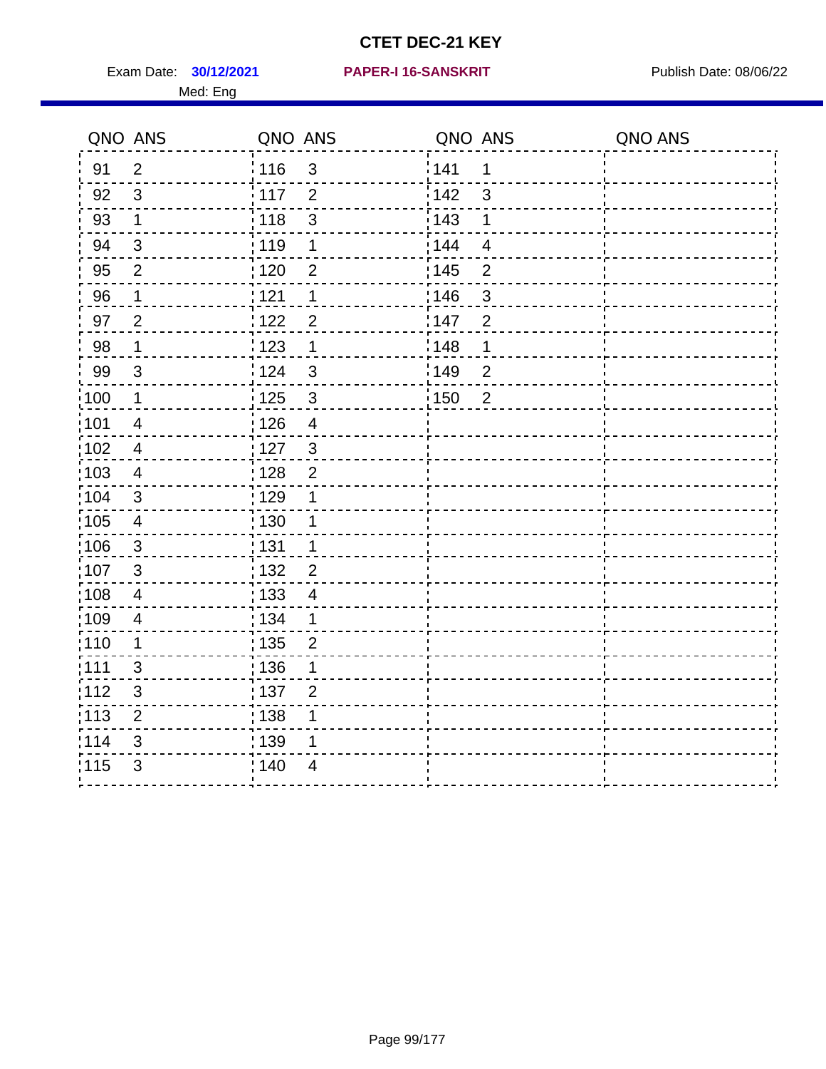Exam Date: **30/12/2021 PAPER-I 16-SANSKRIT** Publish Date: 08/06/22 Med: Eng

#### **30/12/2021 PAPER-I 16-SANSKRIT**

| QNO ANS           |                | QNO ANS |                | QNO ANS           |                | QNO ANS |
|-------------------|----------------|---------|----------------|-------------------|----------------|---------|
| 91                | $\overline{2}$ | : 116   | $\mathbf{3}$   | 141               | $\mathbf 1$    |         |
| 92                | 3              | 117     | $\overline{2}$ | i 142             | 3              |         |
| 93                | $\mathbf 1$    | 118     | $\mathfrak{S}$ | : 143             | 1              |         |
| 94                | $\mathbf{3}$   | : 119   | $\mathbf 1$    | : 144             | $\overline{4}$ |         |
| 95                | $\overline{2}$ | : 120   | $\overline{2}$ | : 145             | $\overline{2}$ |         |
| 96                | 1              | 1121    | 1              | 146               | $\mathfrak{S}$ |         |
| 97                | $\overline{2}$ | 122     | $\overline{2}$ | 147               | $\overline{2}$ |         |
| 98                | $\mathbf{1}$   | 123     | $\mathbf 1$    | 148               | 1              |         |
| 99                | $\mathfrak{S}$ | 124     | 3              | :149              | $\overline{2}$ |         |
| $\frac{1}{1}$ 100 | $\mathbf 1$    | 125     | $\mathfrak{S}$ | $\frac{1}{1}$ 150 | $\overline{2}$ |         |
| :101              | $\overline{4}$ | 126     | $\overline{4}$ |                   |                |         |
| $\frac{1}{1}$ 102 | $\overline{4}$ | 127     | $\mathbf{3}$   |                   |                |         |
| :103              | $\overline{4}$ | ;128    | $\overline{2}$ |                   |                |         |
| 104               | 3              | : 129   | 1              |                   |                |         |
| $\frac{1}{1}$ 105 | $\overline{4}$ | 130     | 1              |                   |                |         |
| $\frac{1}{1}$ 106 | 3              | : 131   | $\mathbf 1$    |                   |                |         |
| 107               | 3              | : 132   | $\overline{2}$ |                   |                |         |
| 108               | $\overline{4}$ | : 133   | $\overline{4}$ |                   |                |         |
| :109              | $\overline{4}$ | : 134   | $\mathbf{1}$   |                   |                |         |
| :110              | 1              | : 135   | $\overline{2}$ |                   |                |         |
| :111              | 3              | : 136   | 1              |                   |                |         |
| 112               | 3              | :137    | $\overline{2}$ |                   |                |         |
| :113              | $\overline{2}$ | : 138   | 1              |                   |                |         |
| 114               | 3              | : 139   | 1              |                   |                |         |
| 115               | 3              | : 140   | 4              |                   |                |         |
|                   |                |         |                |                   |                |         |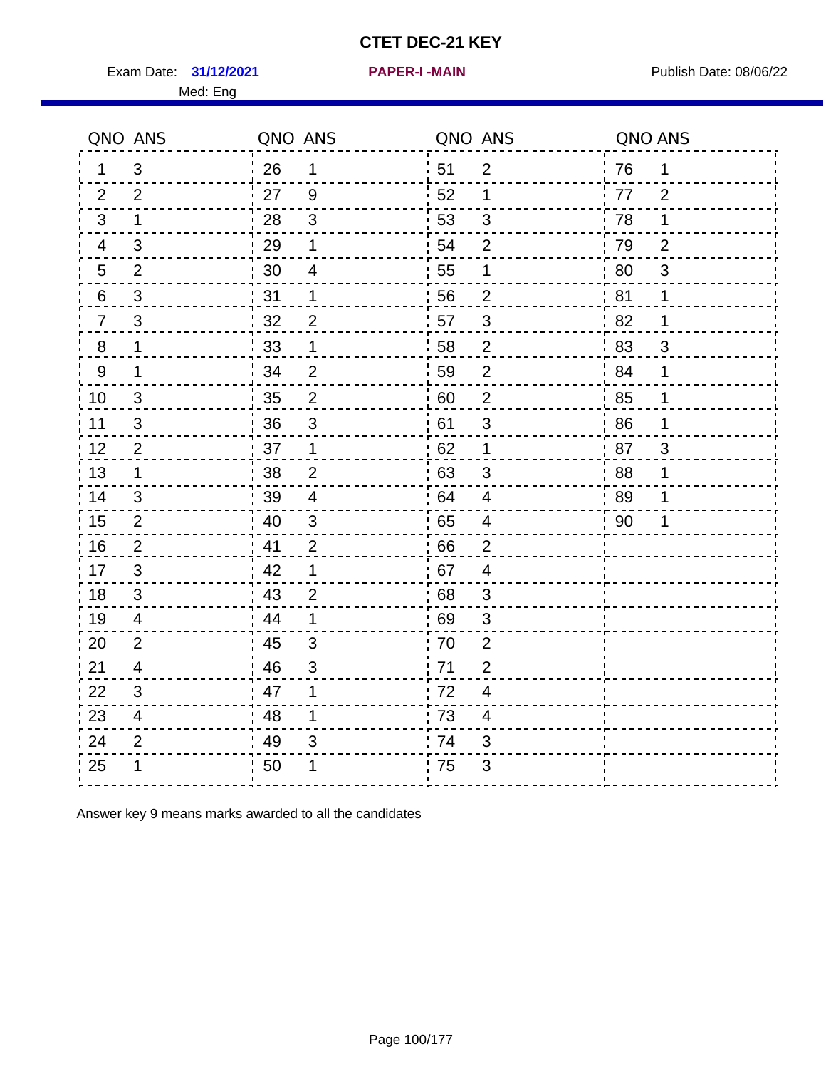Exam Date: 31/12/2021 **PAPER-I-MAIN Exam Date: 08/06/22** 

|                | QNO ANS        | QNO ANS |                          | QNO ANS |                  | QNO ANS |                |
|----------------|----------------|---------|--------------------------|---------|------------------|---------|----------------|
| 1.             | 3              | 26      | 1                        | 51      | $\overline{2}$   | 76      | $\mathbf 1$    |
| 2              | 2              | 27      | 9                        | 52      | 1                | 77      | 2              |
| 3              | 1              | 28      | $\mathfrak{S}$           | 53      | 3                | 78      | 1              |
| 4              | 3              | 29      | 1                        | 54      | $\overline{2}$   | 79      | $\overline{2}$ |
| 5              | $\overline{2}$ | 30      | $\overline{\mathcal{A}}$ | 55      | 1                | 80      | $\mathfrak{S}$ |
| 6              | $\mathfrak{S}$ | 31      | 1                        | 56      | $\overline{2}$   | 81      | 1              |
| $\overline{7}$ | 3              | 32      | $\overline{2}$           | 57      | 3                | 82      | 1              |
| 8              | 1              | 33      | 1                        | 58      | $\overline{2}$   | 83      | $\mathfrak{B}$ |
| 9              | 1              | 34      | $\overline{2}$           | 59      | $\overline{2}$   | 84      | 1              |
| 10             | 3              | 35      | $\mathbf{2}$             | 60      | $\boldsymbol{2}$ | 85      | $\mathbf 1$    |
| 11             | $\mathfrak{B}$ | 36      | $\sqrt{3}$               | 61      | $\mathsf 3$      | 86      | 1              |
| 12             | $\overline{2}$ | 37      | 1                        | 62      | 1                | 87      | 3              |
| 13             | 1              | 38      | $\overline{2}$           | 63      | 3                | 88      | 1              |
| 14             | 3              | 39      | 4                        | 64      | 4                | 89      | 1              |
| 15             | 2              | 40      | $\mathfrak{S}$           | 65      | $\overline{4}$   | 90      | 1              |
| 16             | $\overline{2}$ | 41      | $\overline{2}$           | 66      | $\overline{2}$   |         |                |
| 17             | 3              | 42      | 1                        | 67      | $\overline{4}$   |         |                |
| 18             | 3              | 43      | $\overline{2}$           | 68      | 3                |         |                |
| 19             | 4              | 44      | 1                        | 69      | 3                |         |                |
| 20             | $\overline{2}$ | 45      | 3                        | 70      | $\overline{2}$   |         |                |
| 21             | 4              | 46      | 3                        | 71      | $\overline{2}$   |         |                |
| 22             | 3              | 47      | 1                        | 72      | $\overline{4}$   |         |                |
| 23             | 4              | 48      | 1                        | 73      | 4                |         |                |
| 24             | $\overline{2}$ | 49      | 3                        | 74      | 3                |         |                |
| 25             |                | 50      |                          | 75      | 3                |         |                |

Answer key 9 means marks awarded to all the candidates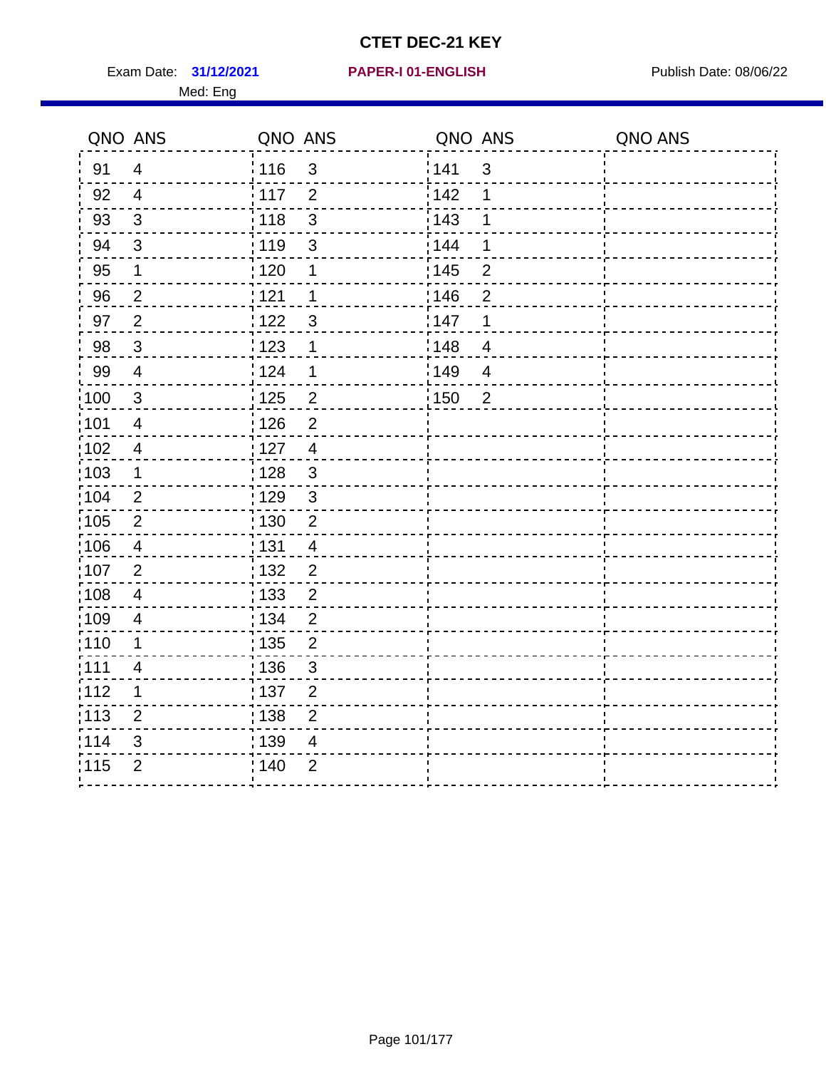Exam Date: 31/12/2021 PAPER-I 01-ENGLISH PREER Publish Date: 08/06/22 Med: Eng

#### **31/12/2021 PAPER-I 01-ENGLISH**

| QNO ANS        |                      |                                                                                                                                                                                                |                                                                                    |                                                                 | QNO ANS |
|----------------|----------------------|------------------------------------------------------------------------------------------------------------------------------------------------------------------------------------------------|------------------------------------------------------------------------------------|-----------------------------------------------------------------|---------|
| $\overline{4}$ |                      |                                                                                                                                                                                                |                                                                                    | $\mathfrak{S}$                                                  |         |
| $\overline{4}$ | $\overline{2}$       |                                                                                                                                                                                                | 142                                                                                | 1                                                               |         |
| $\mathfrak{S}$ | $\mathbf{3}$<br>118  |                                                                                                                                                                                                | 143                                                                                | 1                                                               |         |
| $\sqrt{3}$     | : 119<br>$\mathsf 3$ |                                                                                                                                                                                                | 144                                                                                | 1                                                               |         |
| 1              | 1                    |                                                                                                                                                                                                |                                                                                    | $\mathbf 2$                                                     |         |
| $\overline{2}$ | 1                    |                                                                                                                                                                                                |                                                                                    | $\overline{2}$                                                  |         |
| $\overline{2}$ | $\mathbf{3}$         |                                                                                                                                                                                                |                                                                                    | 1                                                               |         |
| $\mathbf{3}$   | 1                    |                                                                                                                                                                                                |                                                                                    | $\overline{4}$                                                  |         |
| $\overline{4}$ | 1                    |                                                                                                                                                                                                |                                                                                    | $\overline{4}$                                                  |         |
| $\mathbf{3}$   |                      |                                                                                                                                                                                                |                                                                                    | $\overline{2}$                                                  |         |
| $\overline{4}$ | $\overline{2}$       |                                                                                                                                                                                                |                                                                                    |                                                                 |         |
| $\overline{4}$ | $\overline{4}$       |                                                                                                                                                                                                |                                                                                    |                                                                 |         |
| 1              | $\mathfrak{3}$       |                                                                                                                                                                                                |                                                                                    |                                                                 |         |
| $\overline{2}$ |                      |                                                                                                                                                                                                |                                                                                    |                                                                 |         |
| $\overline{2}$ | $\overline{2}$       |                                                                                                                                                                                                |                                                                                    |                                                                 |         |
| $\overline{4}$ | $\overline{4}$       |                                                                                                                                                                                                |                                                                                    |                                                                 |         |
| $\overline{2}$ | $\overline{2}$       |                                                                                                                                                                                                |                                                                                    |                                                                 |         |
| 4              | $\overline{2}$       |                                                                                                                                                                                                |                                                                                    |                                                                 |         |
| 4              | $\overline{2}$       |                                                                                                                                                                                                |                                                                                    |                                                                 |         |
| 1              | $\overline{2}$       |                                                                                                                                                                                                |                                                                                    |                                                                 |         |
| 4              |                      |                                                                                                                                                                                                |                                                                                    |                                                                 |         |
| $\mathbf 1$    | $\overline{2}$       |                                                                                                                                                                                                |                                                                                    |                                                                 |         |
| $\overline{2}$ |                      |                                                                                                                                                                                                |                                                                                    |                                                                 |         |
| 3              | $\overline{4}$       |                                                                                                                                                                                                |                                                                                    |                                                                 |         |
| $\overline{2}$ | $\overline{2}$       |                                                                                                                                                                                                |                                                                                    |                                                                 |         |
|                |                      | : 116<br>: 117<br>:120<br>: 121<br>122<br>1123<br>124<br>125<br>: 126<br>: 127<br>: 128<br>: 129<br>: 130<br>: 131<br>: 132<br>: 133<br>: 134<br>135<br>: 136<br>:137<br>: 138<br>139<br>; 140 | QNO ANS<br>$\mathfrak{B}$<br>$\overline{2}$<br>$\mathbf{3}$<br>3<br>$\overline{2}$ | 141<br>: 145<br>146<br>147<br>¦148<br>:149<br>$\frac{1}{1}$ 150 | QNO ANS |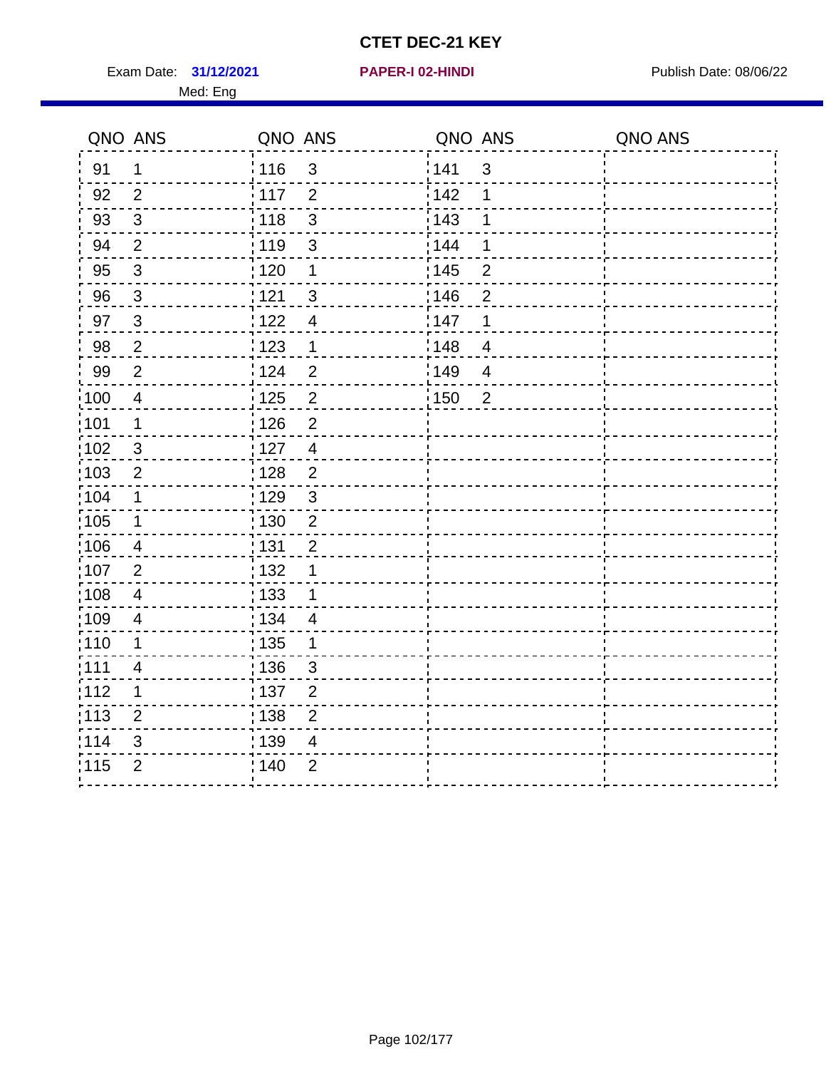Exam Date: 31/12/2021 **PAPER-I 02-HINDI Exam Date: 08/06/22** Med: Eng

# **31/12/2021 PAPER-I 02-HINDI**

|                   | QNO ANS                 | QNO ANS           |                | QNO ANS |                | QNO ANS |
|-------------------|-------------------------|-------------------|----------------|---------|----------------|---------|
| 91                | 1                       | 116               | $\mathfrak{S}$ | 141     | 3              |         |
| 92                | $\overline{2}$          | 117               | $\overline{2}$ | 142     | 1              |         |
| 93                | $\mathbf{3}$            | 118               | $\mathbf{3}$   | 143     | 1              |         |
| 94                | 2                       | 119               | $\mathfrak{3}$ | 144     | 1              |         |
| 95                | $\mathbf{3}$            | : 120             | 1              | 145     | $\overline{2}$ |         |
| 96                | $\mathbf{3}$            | 121               | $\mathfrak{S}$ | 146     | $\overline{2}$ |         |
| 97                | 3                       | 122               | $\overline{4}$ | 147     | 1              |         |
| 98                | $\overline{2}$          | 123               | $\mathbf 1$    | 148     | $\overline{4}$ |         |
| 99                | $\overline{2}$          | 124               | $\overline{2}$ | :149    | $\overline{4}$ |         |
| $\frac{1}{1}$ 100 | $\overline{\mathbf{4}}$ | 125               | $\mathbf 2$    | 150     | $\overline{2}$ |         |
| :101              | $\mathbf 1$             | 126               | $\overline{2}$ |         |                |         |
| $\frac{1}{1}$ 102 | $\mathbf{3}$            | 127               | $\overline{4}$ |         |                |         |
| 103               | 2                       | : 128             | $\overline{2}$ |         |                |         |
| 104               | $\mathbf 1$             | : 129             | $\mathbf{3}$   |         |                |         |
| 105               | $\mathbf 1$             | : 130             | $\overline{2}$ |         |                |         |
| :106              | $\overline{4}$          | : 131             | $\overline{2}$ |         |                |         |
| 107               | $\overline{2}$          | : 132             | 1              |         |                |         |
| 108               | $\overline{4}$          | $\frac{1}{1}$ 133 | $\mathbf 1$    |         |                |         |
| :109              | $\overline{4}$          | : 134             | $\overline{4}$ |         |                |         |
| :110              | 1                       | : 135             | 1              |         |                |         |
| ;111              | 4                       | : 136             | 3              |         |                |         |
| 112               | 1                       | : 137             | $\overline{2}$ |         |                |         |
| 113               | $\overline{2}$          | : 138             | $\overline{2}$ |         |                |         |
| 114               | 3                       | : 139             | 4              |         |                |         |
| 115               | $\overline{2}$          | 140               | $\overline{2}$ |         |                |         |
|                   |                         |                   |                |         |                |         |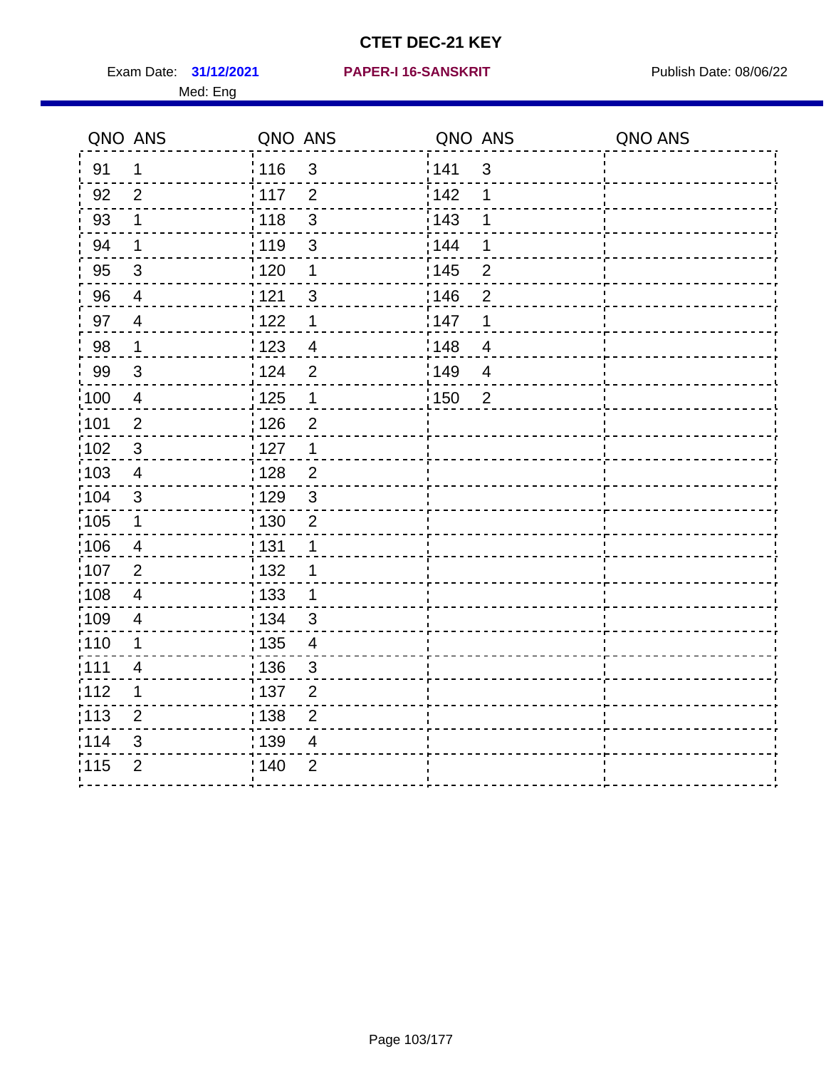Exam Date: 31/12/2021 PAPER-I 16-SANSKRIT Publish Date: 08/06/22 Med: Eng

#### **31/12/2021 PAPER-I 16-SANSKRIT**

| QNO ANS           |                | QNO ANS           |                          | QNO ANS |                         | QNO ANS |
|-------------------|----------------|-------------------|--------------------------|---------|-------------------------|---------|
| 91                | $\mathbf 1$    | 116               | 3                        | 141     | $\sqrt{3}$              |         |
| 92                | $\overline{2}$ | 117               | $\overline{2}$           | 142     | 1                       |         |
| 93                | $\mathbf 1$    | 118               | $\mathfrak{S}$           | 143     | $\mathbf 1$             |         |
| 94                | 1              | :119              | 3                        | : 144   | 1                       |         |
| 95                | 3              | : 120             | 1                        | : 145   | $\overline{2}$          |         |
| 96                | 4              | 121               | 3                        | 146     | $\overline{2}$          |         |
| 97                | $\overline{4}$ | 122               | $\mathbf 1$              | 147     | $\mathbf 1$             |         |
| 98                | $\mathbf 1$    | $\frac{1}{2}$ 123 | $\overline{4}$           | 148     | $\overline{\mathbf{4}}$ |         |
| 99                | $\mathbf{3}$   | 124               | $\overline{2}$           | :149    | $\overline{4}$          |         |
| $\frac{1}{1}$ 100 | $\overline{4}$ | 125               | $\mathbf 1$              | : 150   | $\overline{2}$          |         |
| :101              | $\mathbf 2$    | : 126             | $\overline{2}$           |         |                         |         |
| :102              | $\mathfrak{3}$ | : 127             | $\mathbf{1}$             |         |                         |         |
| 103               | $\overline{4}$ | : 128             | 2                        |         |                         |         |
| 104               | 3              | : 129             | $\mathbf{3}$             |         |                         |         |
| $\frac{1}{1}$ 105 | $\mathbf 1$    | 130               | $\overline{2}$           |         |                         |         |
| 106               | $\overline{4}$ | : 131             | $\mathbf{1}$             |         |                         |         |
| :107              | $\overline{2}$ | : 132             | $\mathbf 1$              |         |                         |         |
| 108               | $\overline{4}$ | 133               | $\mathbf 1$              |         |                         |         |
| :109              | $\overline{4}$ | : 134             | $\mathbf{3}$             |         |                         |         |
| :110              | 1              | : 135             | $\overline{\mathbf{4}}$  |         |                         |         |
| :111              | 4              | : 136             | $\sqrt{3}$               |         |                         |         |
| 112               | 1              | : 137             | $\overline{2}$           |         |                         |         |
| : 113             | $\overline{2}$ | : 138             | $\overline{2}$           |         |                         |         |
| 114               | 3              | 139               | $\overline{\mathcal{A}}$ |         |                         |         |
| 115               | $\overline{2}$ | : 140             | $\overline{2}$           |         |                         |         |
|                   |                |                   |                          |         |                         |         |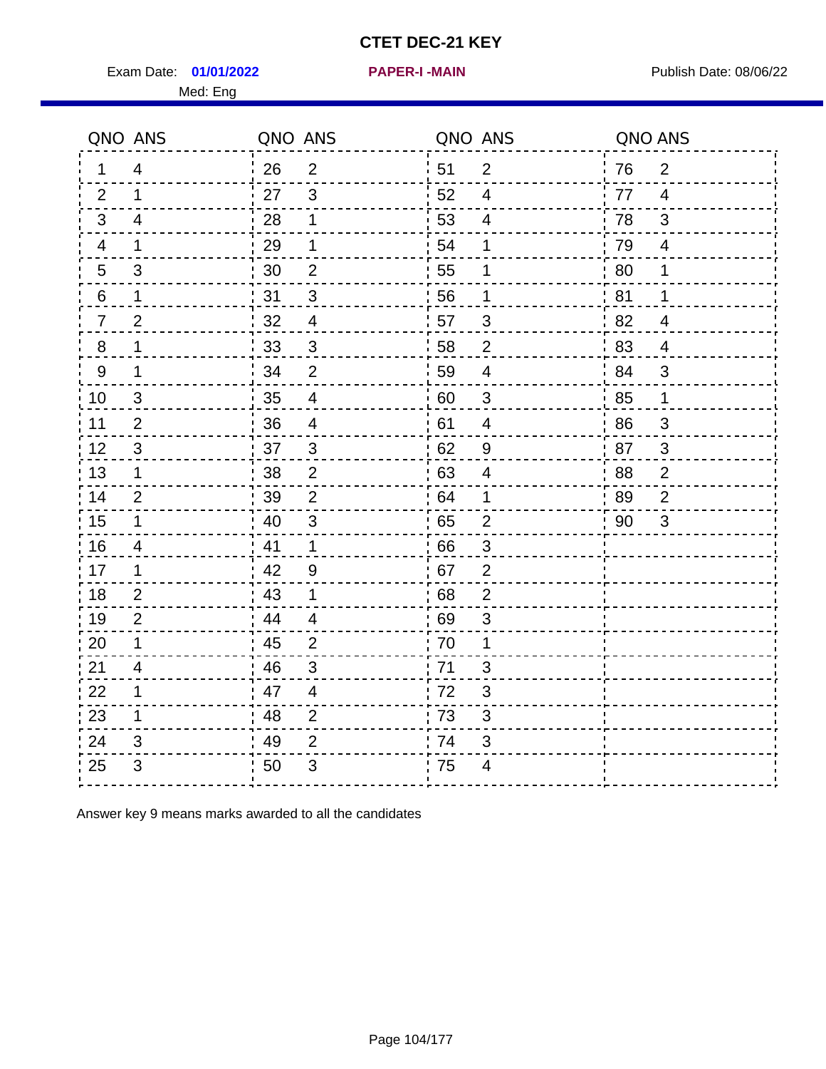Exam Date: 01/01/2022 **PAPER-I-MAIN Exam Date: 08/06/22** 

 $\blacksquare$ 

 $\overline{\phantom{0}}$ 

 $\frac{22}{23}$  1 23 1

24 3

 $- - -$ 

Med: Eng

| QNO ANS        |                           | QNO ANS |                | QNO ANS |                | QNO ANS |                |
|----------------|---------------------------|---------|----------------|---------|----------------|---------|----------------|
| 1              | 4                         | 26      | $\overline{2}$ | 51      | $\overline{2}$ | 76      | $\overline{2}$ |
| 2              | 1                         | 27      | 3              | 52      | 4              | 77      | 4              |
| $\mathbf{3}$   | 4                         | 28      | 1              | 53      | 4              | 78      | 3              |
| 4              | 1                         | 29      | 1              | 54      | 1              | 79      | 4              |
| 5              | $\mathfrak{B}$            | 30      | 2              | 55      | 1              | 80      | 1              |
| 6              | 1                         | 31      | 3              | :56     | 1              | 81      | 1              |
| $\overline{7}$ | $\overline{2}$            | 32      | 4              | ¦ 57    | 3              | 82      | 4              |
| $8\phantom{1}$ | 1                         | 33      | $\mathfrak{B}$ | ' 58    | $\overline{2}$ | 83      | 4              |
| 9              | 1                         | 34      | 2              | 59      | 4              | 84      | 3              |
| 10             | $\ensuremath{\mathsf{3}}$ | 35      | 4              | 60      | 3              | 85      | $\mathbf 1$    |
| 11             | $\overline{2}$            | 36      | 4              | 61      | 4              | 86      | $\sqrt{3}$     |
| 12             | 3                         | 37      | 3              | 62      | 9              | 87      | $\sqrt{3}$     |
| 13             | 1                         | 38      | 2              | 63      | 4              | 88      | $\overline{2}$ |
| 14             | $\overline{2}$            | 39      | $\overline{2}$ | ' 64    | 1              | 89      | $\overline{2}$ |
| 15             | 1                         | 40      | $\mathfrak{S}$ | 65      | $\overline{2}$ | 90      | $\sqrt{3}$     |
| 16             | 4                         | 41      | $\mathbf 1$    | 66      | 3              |         |                |
| 17             | 1                         | 42      | 9              | 67      | $\overline{2}$ |         |                |
| 18             | $\overline{2}$            | 43      | 1              | 68      | $\overline{2}$ |         |                |

Answer key 9 means marks awarded to all the candidates

 $49$  2

25 3 50 3 75 4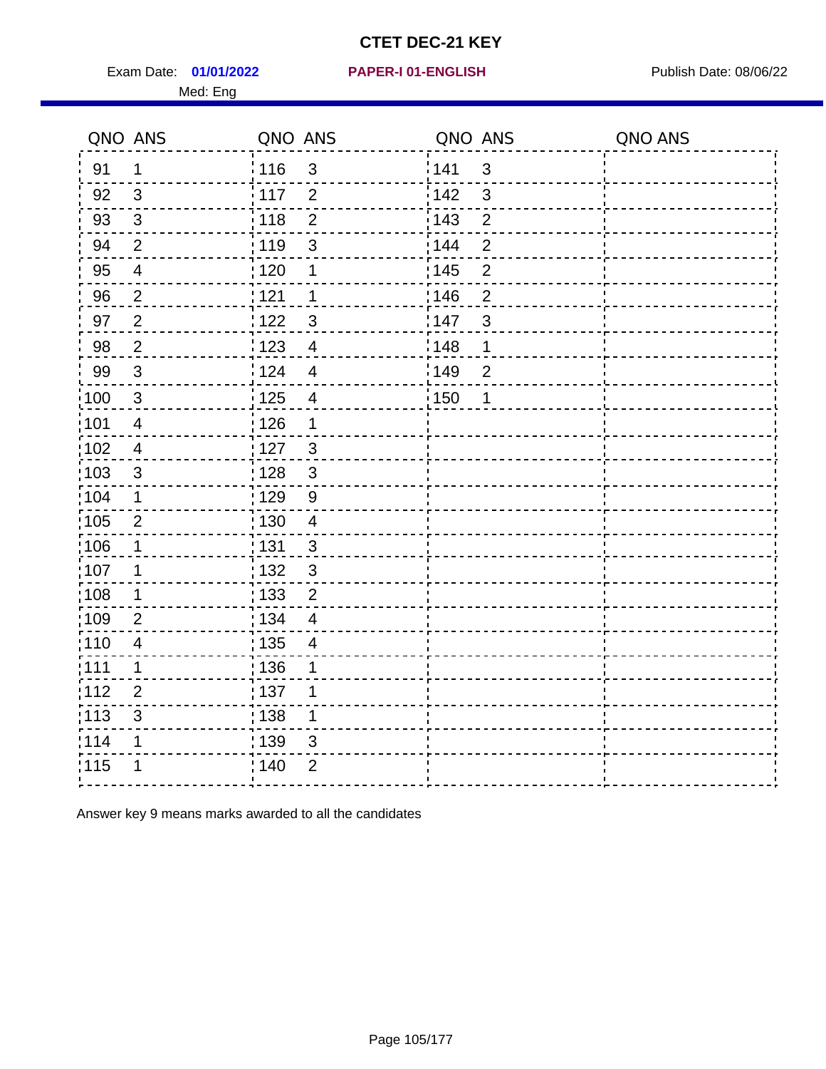Exam Date: 01/01/2022 PAPER-I 01-ENGLISH PREERENT Publish Date: 08/06/22 Med: Eng

#### **01/01/2022 PAPER-I 01-ENGLISH**

|                   | QNO ANS                  | QNO ANS           |                          | QNO ANS |                | QNO ANS |
|-------------------|--------------------------|-------------------|--------------------------|---------|----------------|---------|
| 91                | $\mathbf 1$              | : 116             | 3                        | 141     | $\mathfrak{3}$ |         |
| 92                | $\mathbf{3}$             | 117               | $\overline{2}$           | 142     | $\mathbf{3}$   |         |
| 93                | $\sqrt{3}$               | 118               | $\overline{2}$           | 143     | $\overline{2}$ |         |
| 94                | $\overline{2}$           | : 119             | 3                        | 144     | $\overline{2}$ |         |
| 95                | $\overline{\mathcal{A}}$ | :120              | 1                        | : 145   | $\overline{2}$ |         |
| 96                | $\overline{2}$           | 121               | 1                        | 146     | $\overline{2}$ |         |
| 97                | $\overline{2}$           | 1122              | $\mathfrak{S}$           | 147     | $\mathfrak{S}$ |         |
| 98                | $\overline{2}$           | 1123              | $\overline{4}$           | 148     | 1              |         |
| 99                | $\sqrt{3}$               | 124               | $\overline{4}$           | 149     | $\overline{2}$ |         |
| 100               | $\sqrt{3}$               | $\frac{1}{1}$ 125 | $\overline{\mathbf{4}}$  | 150     | 1              |         |
| 101               | $\overline{\mathbf{4}}$  | : 126             | 1                        |         |                |         |
| :102              | $\overline{\mathbf{4}}$  | : 127             | $\mathbf{3}$             |         |                |         |
| $\frac{1}{1}$ 103 | $\mathfrak{B}$           | 128               | $\mathbf{3}$             |         |                |         |
| 104               | $\mathbf 1$              | : 129             | 9                        |         |                |         |
| :105              | $\mathbf{2}$             | : 130             | $\overline{4}$           |         |                |         |
| 106               | $\mathbf 1$              | : 131             | 3                        |         |                |         |
| 107               | 1                        | : 132             | $\mathbf{3}$             |         |                |         |
| :108              | $\mathbf 1$              | : 133             | $\overline{2}$           |         |                |         |
| :109              | $\overline{2}$           | : 134             | $\overline{\mathcal{A}}$ |         |                |         |
| :110              | $\overline{\mathbf{4}}$  | $\frac{1}{1}$ 135 | $\overline{4}$           |         |                |         |
| :111              | 1                        | : 136             | 1                        |         |                |         |
| 112               | $\overline{2}$           | : 137             | 1                        |         |                |         |
| $\frac{1}{1}$ 113 | 3                        | : 138             | $\mathbf 1$              |         |                |         |
| 114               | 1                        | : 139             | 3                        |         |                |         |
| 115               | 1                        | : 140             | $\overline{2}$           |         |                |         |
|                   |                          |                   |                          |         |                |         |

Answer key 9 means marks awarded to all the candidates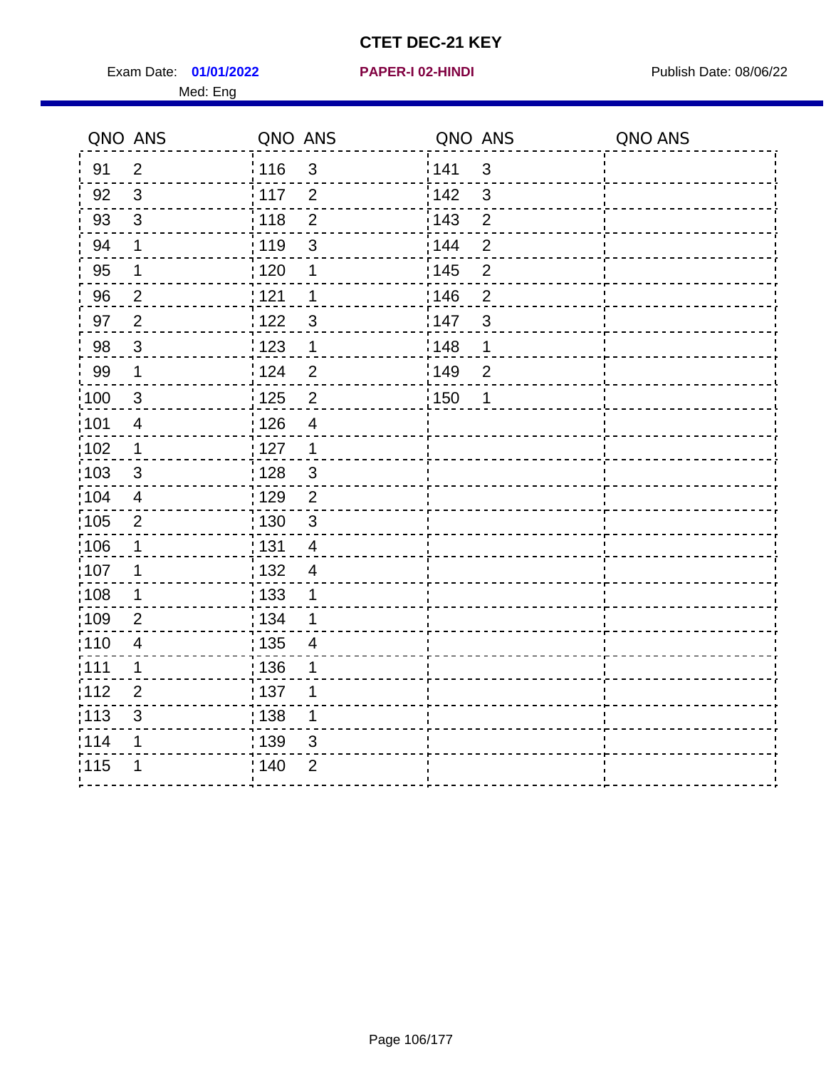Exam Date: 01/01/2022 **PAPER-I 02-HINDI Exam Date: 08/06/22** Med: Eng

#### **01/01/2022 PAPER-I 02-HINDI**

| QNO ANS           |                           | QNO ANS                             | QNO ANS                 | QNO ANS |
|-------------------|---------------------------|-------------------------------------|-------------------------|---------|
| 91                | $\overline{2}$            | : 116<br>$\mathbf{3}$               | 141<br>$\mathbf{3}$     |         |
| 92                | 3                         | 117<br>$\overline{2}$               | 142<br>3                |         |
| 93                | 3                         | $\overline{2}$<br>118               | $\overline{2}$<br>143   |         |
| 94                | $\mathbf 1$               | : 119<br>$\mathfrak{S}$             | 144<br>$\overline{2}$   |         |
| 95                | 1                         | : 120<br>1                          | : 145<br>$\overline{2}$ |         |
| 96                | $\overline{2}$            | 1121<br>1                           | 146<br>$\overline{2}$   |         |
| 97                | $\overline{2}$            | 1122<br>$\mathfrak{S}$              | 147<br>$\mathfrak{S}$   |         |
| 98                | $\mathbf{3}$              | 1123<br>1                           | 148<br>$\mathbf 1$      |         |
| 99                | $\mathbf 1$               | 124<br>$\overline{2}$               | 149<br>$\overline{2}$   |         |
| $\frac{1}{2}100$  | $\mathbf{3}$              | $\overline{2}$<br>$\frac{1}{2}$ 125 | 150<br>$\mathbf 1$      |         |
| :101              | $\overline{\mathbf{4}}$   | : 126<br>$\overline{4}$             |                         |         |
| $\frac{1}{1}$ 102 | $\mathbf 1$               | : 127<br>$\mathbf{1}$               |                         |         |
| 103               | 3                         | : 128<br>3                          |                         |         |
| :104              | $\overline{4}$            | : 129<br>2                          |                         |         |
| 105               | $\overline{2}$            | : 130<br>$\mathbf{3}$               |                         |         |
| $\frac{1}{1}$ 106 | $\mathbf 1$               | : 131<br>$\overline{4}$             |                         |         |
| 107               | 1                         | 132<br>4                            |                         |         |
| 108               | $\mathbf 1$               | : 133<br>1                          |                         |         |
| :109              | 2                         | : 134<br>1                          |                         |         |
| :110              | $\overline{\mathbf{4}}$   | : 135<br>$\overline{4}$             |                         |         |
| :111              | 1                         | : 136<br>1                          |                         |         |
| 112               | $\overline{2}$            | :137<br>1                           |                         |         |
| :113              | $\ensuremath{\mathsf{3}}$ | : 138<br>1                          |                         |         |
| 114               | 1                         | 139<br>3                            |                         |         |
| 115               | 1                         | : 140<br>$\overline{2}$             |                         |         |
|                   |                           |                                     |                         |         |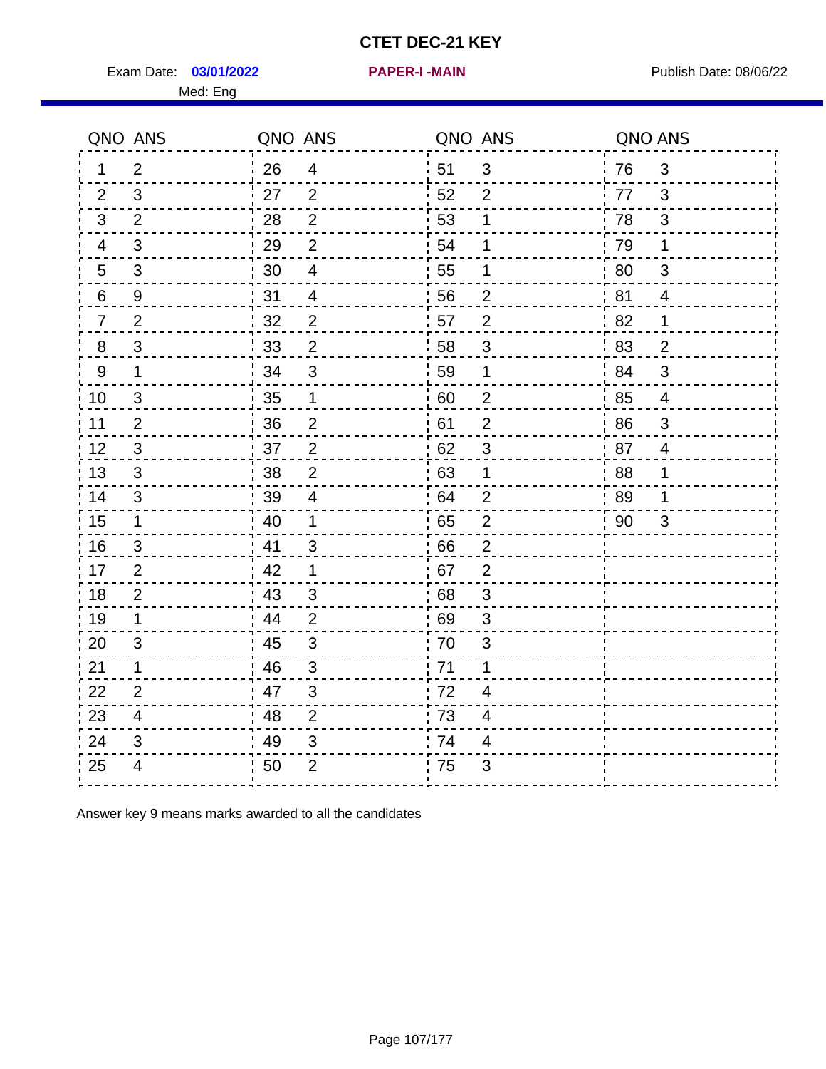Exam Date: 03/01/2022 **PAPER-I-MAIN Exam Date: 08/06/22** Med: Eng

|                | QNO ANS                 | QNO ANS |                         |    | QNO ANS                   | QNO ANS |                |
|----------------|-------------------------|---------|-------------------------|----|---------------------------|---------|----------------|
| 1              | 2                       | 26      | $\overline{4}$          | 51 | 3                         | 76      | 3              |
| 2              | 3                       | 27      | 2                       | 52 | $\overline{2}$            | 77      | 3              |
| 3              | 2                       | 28      | $\overline{2}$          | 53 | 1                         | 78      | $\mathfrak{B}$ |
| 4              | 3                       | 29      | $\overline{2}$          | 54 | 1                         | 79      | 1              |
| $\overline{5}$ | $\sqrt{3}$              | 30      | $\overline{\mathbf{4}}$ | 55 | 1                         | 80      | $\sqrt{3}$     |
| 6              | 9                       | 31      | $\overline{4}$          | 56 | $\overline{2}$            | 81      | $\overline{4}$ |
| $\overline{7}$ | $\overline{2}$          | 32      | $\overline{2}$          | 57 | $\overline{2}$            | 82      | 1              |
| 8              | $\mathfrak{S}$          | 33      | $\overline{2}$          | 58 | 3                         | 83      | $\overline{2}$ |
| $9\,$          | $\mathbf 1$             | 34      | $\mathfrak{3}$          | 59 | 1                         | 84      | 3              |
| 10             | $\mathfrak{S}$          | 35      | $\mathbf 1$             | 60 | $\overline{c}$            | 85      | $\overline{4}$ |
| 11             | $\overline{2}$          | 36      | $\mathbf 2$             | 61 | $\overline{2}$            | 86      | $\mathfrak{S}$ |
| 12             | $\sqrt{3}$              | 37      | $\overline{2}$          | 62 | $\ensuremath{\mathsf{3}}$ | 87      | $\overline{4}$ |
| 13             | 3                       | 38      | 2                       | 63 | 1                         | 88      | 1              |
| 14             | 3                       | 39      | $\overline{4}$          | 64 | $\overline{2}$            | 89      | 1              |
| 15             | $\mathbf{1}$            | 40      | $\mathbf 1$             | 65 | $\mathbf 2$               | 90      | 3              |
| 16             | 3                       | 41      | 3                       | 66 | $\overline{2}$            |         |                |
| 17             | 2                       | 42      | $\mathbf 1$             | 67 | $\overline{2}$            |         |                |
| 18             | 2                       | 43      | 3                       | 68 | 3                         |         |                |
| 19             | $\mathbf 1$             | 44      | $\overline{2}$          | 69 | 3                         |         |                |
| 20             | 3                       | 45      | $\mathfrak{S}$          | 70 | 3                         |         |                |
| 21             | 1                       | 46      | 3                       | 71 | 1                         |         |                |
| 22             | $\overline{2}$          | 47      | 3                       | 72 | $\overline{\mathbf{4}}$   |         |                |
| 23             | $\overline{\mathbf{4}}$ | 48      | $\overline{2}$          | 73 | 4                         |         |                |
| 24             | 3                       | 49      | 3                       | 74 | 4                         |         |                |
| 25             | 4                       | 50      | $\overline{2}$          | 75 | 3                         |         |                |

Answer key 9 means marks awarded to all the candidates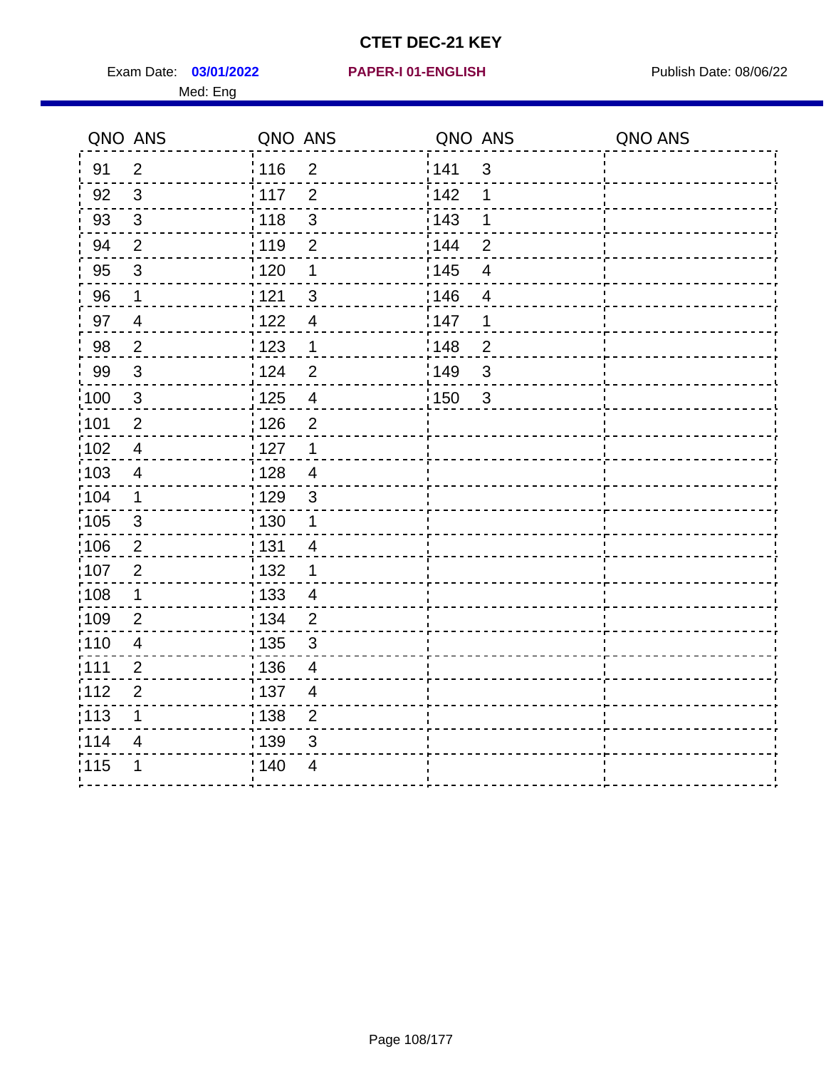Exam Date: 03/01/2022 PAPER-I 01-ENGLISH PREER FOR Publish Date: 08/06/22 Med: Eng

#### **03/01/2022 PAPER-I 01-ENGLISH**

|      | QNO ANS                  | QNO ANS           |                         | QNO ANS |                          | QNO ANS |
|------|--------------------------|-------------------|-------------------------|---------|--------------------------|---------|
| 91   | $\overline{2}$           | 116               | $\overline{2}$          | 141     | $\mathbf{3}$             |         |
| 92   | $\mathfrak{S}$           | 117               | $\overline{2}$          | 142     | 1                        |         |
| 93   | $\mathbf{3}$             | 118               | $\sqrt{3}$              | 143     | 1                        |         |
| 94   | $\overline{2}$           | 119               | $\overline{2}$          | : 144   | $\overline{2}$           |         |
| 95   | $\mathfrak{S}$           | :120              | 1                       | : 145   | $\overline{4}$           |         |
| 96   | $\mathbf 1$              | 121               | $\sqrt{3}$              | 146     | $\overline{\mathcal{A}}$ |         |
| 97   | $\overline{\mathcal{A}}$ | 122               | 4                       | 147     | 1                        |         |
| 98   | $\overline{2}$           | 123               | $\mathbf{1}$            | 148     | $\overline{2}$           |         |
| 99   | $\sqrt{3}$               | 124               | $\overline{2}$          | 149     | $\mathsf 3$              |         |
| 100  | $\sqrt{3}$               | 125               | $\overline{\mathbf{4}}$ | 150     | $\mathbf{3}$             |         |
| :101 | $\mathbf 2$              | : 126             | $\overline{2}$          |         |                          |         |
| 102  | $\overline{4}$           | : 127             | $\mathbf 1$             |         |                          |         |
| 103  | $\overline{4}$           | : 128             | $\overline{4}$          |         |                          |         |
| 104  | $\mathbf 1$              | : 129             | $\mathbf{3}$            |         |                          |         |
| 105  | $\sqrt{3}$               | : 130             | $\mathbf 1$             |         |                          |         |
| ;106 | $\overline{2}$           | : 131             | 4                       |         |                          |         |
| :107 | $\overline{2}$           | : 132             | $\mathbf 1$             |         |                          |         |
| 108  | $\mathbf 1$              | $\frac{1}{1}$ 133 | $\overline{4}$          |         |                          |         |
| :109 | $\overline{2}$           | : 134             | $\overline{2}$          |         |                          |         |
| :110 | $\overline{4}$           | : 135             | $\mathfrak{S}$          |         |                          |         |
| 111  | $\mathbf 2$              | : 136             | $\overline{4}$          |         |                          |         |
| 112  | $\mathbf{2}$             | : 137             | $\overline{4}$          |         |                          |         |
| 113  | 1                        | : 138             | $\overline{2}$          |         |                          |         |
| 1114 | 4                        | : 139             | 3                       |         |                          |         |
| 115  | 1                        | 140               | $\overline{4}$          |         |                          |         |
|      |                          |                   |                         |         |                          |         |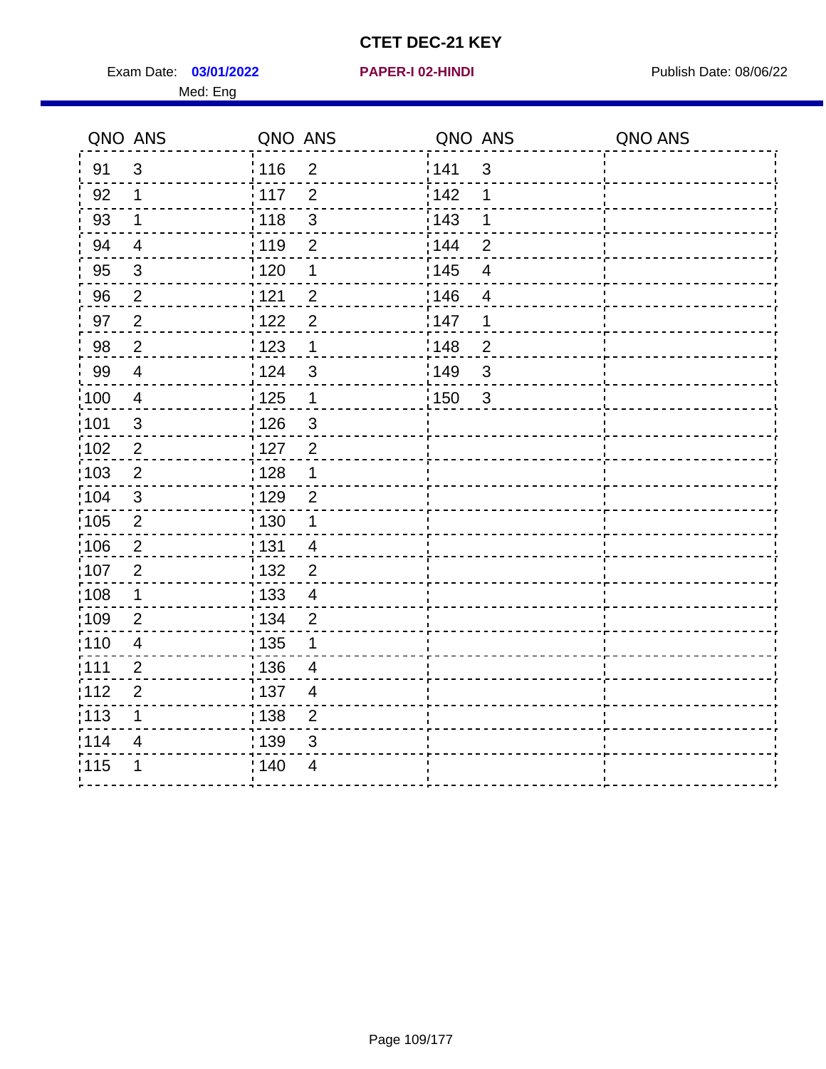Exam Date: 03/01/2022 **PAPER-I 02-HINDI Exam Date: 08/06/22** Publish Date: 08/06/22 Med: Eng

|                   | QNO ANS        | QNO ANS           |                         | QNO ANS           |                          | QNO ANS |
|-------------------|----------------|-------------------|-------------------------|-------------------|--------------------------|---------|
| 91                | $\mathbf{3}$   | : 116             | $\overline{2}$          | 141               | $\mathbf{3}$             |         |
| 92                | $\mathbf{1}$   | 117               | $\overline{2}$          | 142               | 1                        |         |
| 93                | $\mathbf 1$    | 118               | $\mathfrak{S}$          | 143               | 1                        |         |
| 94                | $\overline{4}$ | : 119             | $\overline{2}$          | 144               | $\overline{2}$           |         |
| 95                | $\mathfrak{B}$ | :120              | 1                       | : 145             | $\overline{\mathcal{A}}$ |         |
| 96                | $\overline{2}$ | 121               | $\overline{2}$          | 146               | $\overline{4}$           |         |
| 97                | $\overline{2}$ | 122               | $\overline{2}$          | 147               | 1                        |         |
| 98                | $\overline{2}$ | 123               | $\mathbf 1$             | 148               | $\overline{2}$           |         |
| 99                | $\overline{4}$ | 124               | 3                       | 149               | $\mathsf 3$              |         |
| $\frac{1}{1}$ 100 | $\overline{4}$ | $\frac{1}{1}$ 125 | $\mathbf 1$             | $\frac{1}{2}$ 150 | $\mathbf{3}$             |         |
| :101              | $\sqrt{3}$     | : 126             | $\mathbf{3}$            |                   |                          |         |
| 102               | $\overline{2}$ | 127               | $\overline{2}$          |                   |                          |         |
| 103               | $\overline{2}$ | : 128             | $\mathbf 1$             |                   |                          |         |
| 104               | $\mathbf{3}$   | : 129             | $\overline{2}$          |                   |                          |         |
| 105               | $\overline{2}$ | : 130             | $\mathbf 1$             |                   |                          |         |
| :106              | 2              | : 131             | $\overline{4}$          |                   |                          |         |
| ;107              | $\overline{2}$ | 132               | $\overline{2}$          |                   |                          |         |
| 108               | $\mathbf 1$    | 133               | $\overline{\mathbf{4}}$ |                   |                          |         |
| :109              | $\overline{2}$ | : 134             | $\overline{2}$          |                   |                          |         |
| :110              | $\overline{4}$ | : 135             | 1                       |                   |                          |         |
| 111               | $\overline{2}$ | : 136             | $\overline{4}$          |                   |                          |         |
| 112               | $\overline{2}$ | : 137             | $\overline{4}$          |                   |                          |         |
| 113               | 1              | : 138             | $\overline{c}$          |                   |                          |         |
| 1114              | 4              | 139               | 3                       |                   |                          |         |
| 115               | 1              | 140               | $\overline{4}$          |                   |                          |         |
|                   |                |                   |                         |                   |                          |         |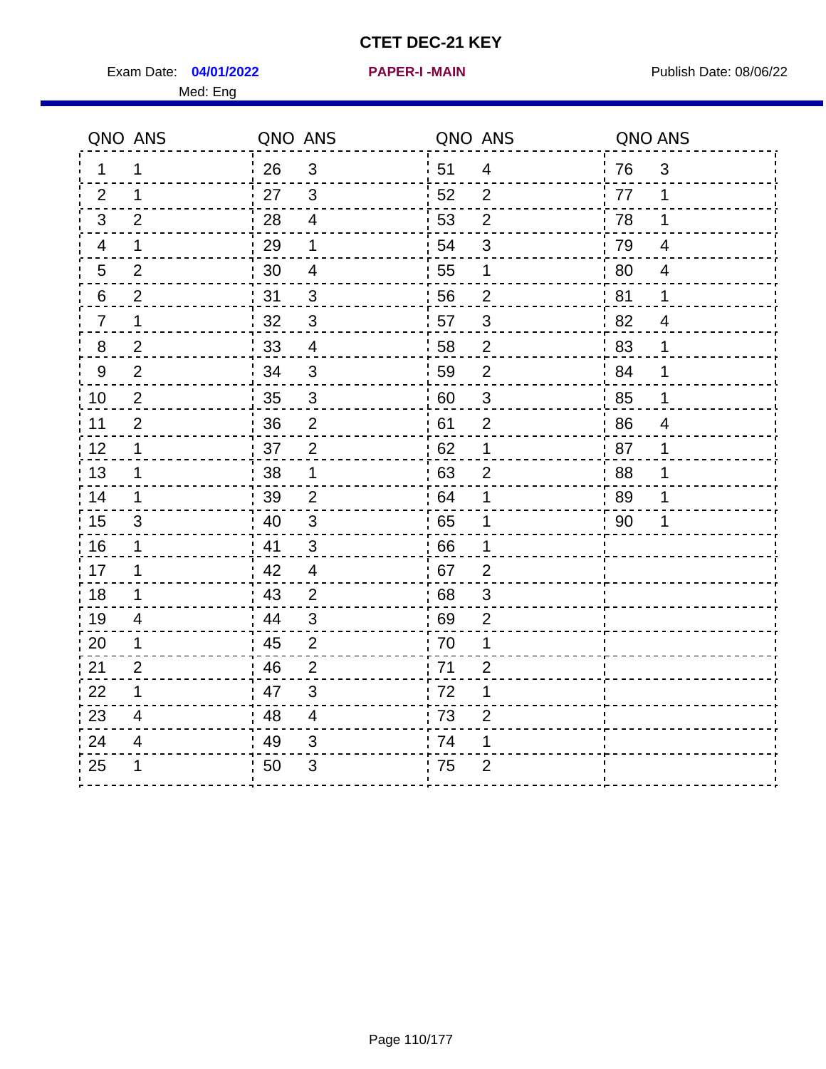Exam Date: 04/01/2022 **PAPER-I-MAIN Exam Date: 08/06/22** 

**04/01/2022 PAPER-I -MAIN**

Med: Eng

|                | QNO ANS                  | QNO ANS |                          | QNO ANS |                | QNO ANS |                          |
|----------------|--------------------------|---------|--------------------------|---------|----------------|---------|--------------------------|
| 1              | 1                        | 26      | 3                        | 51      | $\overline{4}$ | 76      | 3                        |
| 2              | $\mathbf 1$              | 27      | $\mathbf{3}$             | 52      | $\overline{2}$ | 77      | $\mathbf 1$              |
| 3 <sup>1</sup> | 2                        | 28      | $\overline{4}$           | 53      | $\overline{2}$ | 78      | $\mathbf 1$              |
| 4              | $\mathbf 1$              | 29      | 1                        | 54      | $\sqrt{3}$     | 79      | $\overline{4}$           |
| 5              | $\overline{2}$           | 30      | $\overline{4}$           | 55      | 1              | 80      | $\overline{\mathcal{A}}$ |
| 6              | $\overline{c}$           | 31      | $\frac{3}{5}$            | 56      | $\overline{c}$ | 81      | $\mathbf 1$              |
| $\overline{7}$ | $\mathbf 1$              | 32      | $\mathbf{3}$             | 57      | $\sqrt{3}$     | 82      | $\overline{4}$           |
| 8              | $\overline{2}$           | 33      | $\overline{4}$           | 58      | $\overline{2}$ | 83      | 1                        |
| 9              | 2                        | 34      | $\mathbf{3}$             | 59      | $\overline{2}$ | 84      | 1                        |
| 10             | $\overline{2}$           | 35      | $\mathbf{3}$             | 60      | $\mathfrak{S}$ | 85      | 1                        |
| 11             | $\overline{2}$           | 36      | $\overline{2}$           | 61      | $\overline{2}$ | 86      | $\overline{4}$           |
| 12             | $\mathbf 1$              | 37      | $\overline{2}$           | 62      | 1              | 87      | 1                        |
| 13             | $\mathbf 1$              | $38\,$  | $\mathbf 1$              | 63      | $\overline{2}$ | 88      | 1                        |
| 14             | 1                        | 39      | $\overline{2}$           | 64      | 1              | 89      | 1                        |
| 15             | 3                        | 40      | 3                        | 65      | 1              | 90      | 1                        |
| 16             | 1                        | 41      | $\mathfrak{S}$           | 66      | 1              |         |                          |
| 17             | 1                        | 42      | $\overline{\mathcal{A}}$ | 67      | $\overline{2}$ |         |                          |
| 18             | $\mathbf 1$              | 43      | $\overline{2}$           | 68      | $\sqrt{3}$     |         |                          |
| 19             | 4                        | 44      | 3                        | 69      | $\overline{2}$ |         |                          |
| 20             | 1                        | 45      | 2                        | 70      | 1              |         |                          |
| 21             | $\overline{2}$           | 46      | $\overline{2}$           | 71      | $\overline{c}$ |         |                          |
| 22             | 1                        | 47      | $\sqrt{3}$               | 72      | 1              |         |                          |
| 23             | $\overline{\mathcal{A}}$ | 48      | $\overline{4}$           | 73      | $\overline{2}$ |         |                          |
| 24             | 4                        | 49      | 3                        | 74      | 1              |         |                          |
| 25             | 1                        | 50      | 3                        | 75      | $\overline{2}$ |         |                          |
|                |                          |         |                          |         |                |         |                          |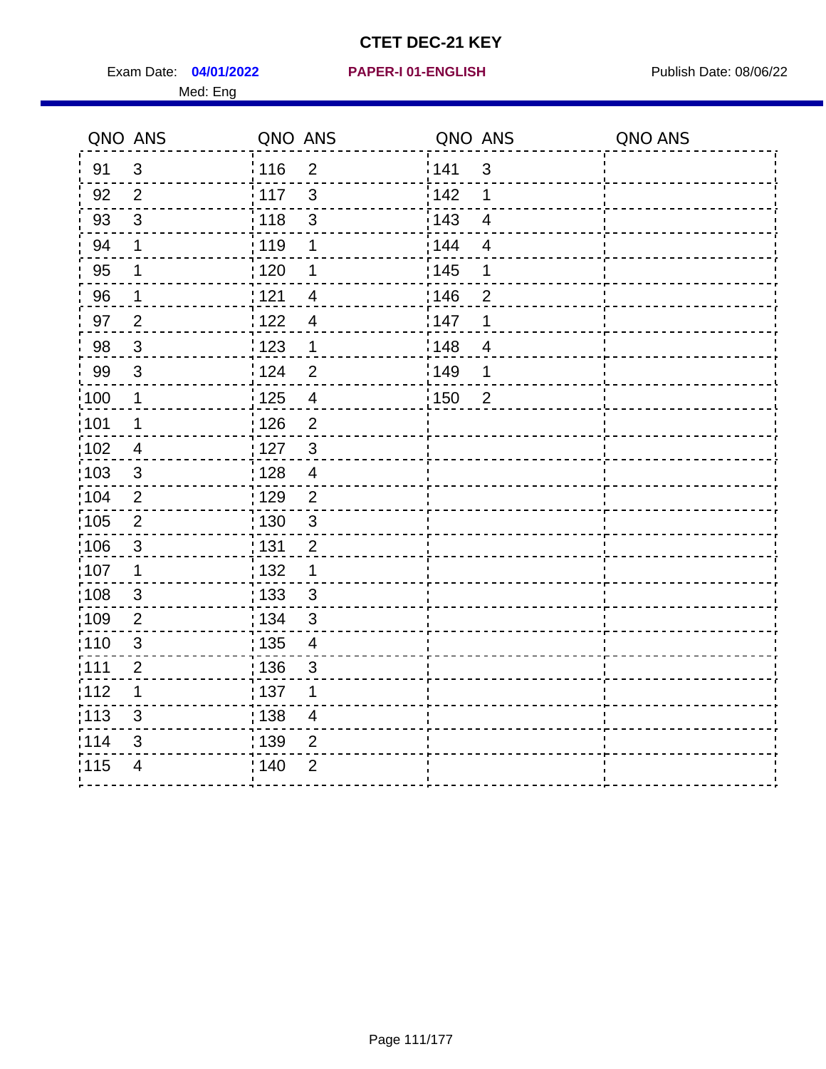Exam Date: 04/01/2022 PAPER-I 01-ENGLISH PREER FOR Publish Date: 08/06/22 Med: Eng

## **04/01/2022 PAPER-I 01-ENGLISH**

|                   | QNO ANS        | QNO ANS           |                          | QNO ANS |                          | QNO ANS |
|-------------------|----------------|-------------------|--------------------------|---------|--------------------------|---------|
| 91                | 3              | 116               | $\overline{2}$           | 141     | $\mathbf{3}$             |         |
| 92                | $\overline{2}$ | 117               | $\mathfrak{S}$           | 142     | 1                        |         |
| 93                | $\mathfrak{S}$ | 118               | $\sqrt{3}$               | 143     | $\overline{4}$           |         |
| 94                | 1              | : 119             | 1                        | : 144   | $\overline{4}$           |         |
| 95                | 1              | $\frac{1}{1}$ 120 | 1                        | : 145   | 1                        |         |
| 96                | 1              | 121               | 4                        | 146     | 2                        |         |
| 97                | $\overline{2}$ | 122               | 4                        | 147     | 1                        |         |
| 98                | $\mathbf{3}$   | $\frac{1}{2}$ 123 | $\mathbf 1$              | : 148   | $\overline{\mathcal{A}}$ |         |
| 99                | $\sqrt{3}$     | 124               | $\overline{2}$           | :149    | 1                        |         |
| $\frac{1}{1}$ 100 | $\mathbf{1}$   | $\frac{1}{1}$ 125 | $\overline{4}$           | 150     | $\overline{2}$           |         |
| :101              | 1              | : 126             | $\overline{2}$           |         |                          |         |
| 102               | $\overline{4}$ | : 127             | $\mathbf{3}$             |         |                          |         |
| :103              | 3              | : 128             | $\overline{4}$           |         |                          |         |
| 104               | $\overline{2}$ | 129               | $\overline{2}$           |         |                          |         |
| 105               | $\overline{2}$ | : 130             | $\mathfrak{S}$           |         |                          |         |
| :106              | $\mathfrak{S}$ | : 131             | $\overline{2}$           |         |                          |         |
| ;107              | $\mathbf{1}$   | 132               | $\mathbf 1$              |         |                          |         |
| 108               | $\sqrt{3}$     | : 133             | $\mathbf{3}$             |         |                          |         |
| :109              | $\overline{2}$ | : 134             | $\mathfrak{3}$           |         |                          |         |
| :110              | $\mathfrak{S}$ | : 135             | $\overline{\mathcal{A}}$ |         |                          |         |
| :111              | $\overline{2}$ | : 136             | $\sqrt{3}$               |         |                          |         |
| 112               | 1              | : 137             | 1                        |         |                          |         |
| 113               | 3              | : 138             | $\overline{\mathcal{A}}$ |         |                          |         |
| 114               | 3              | : 139             | 2                        |         |                          |         |
| 115               | $\overline{4}$ | 140               | $\overline{2}$           |         |                          |         |
|                   |                |                   |                          |         |                          |         |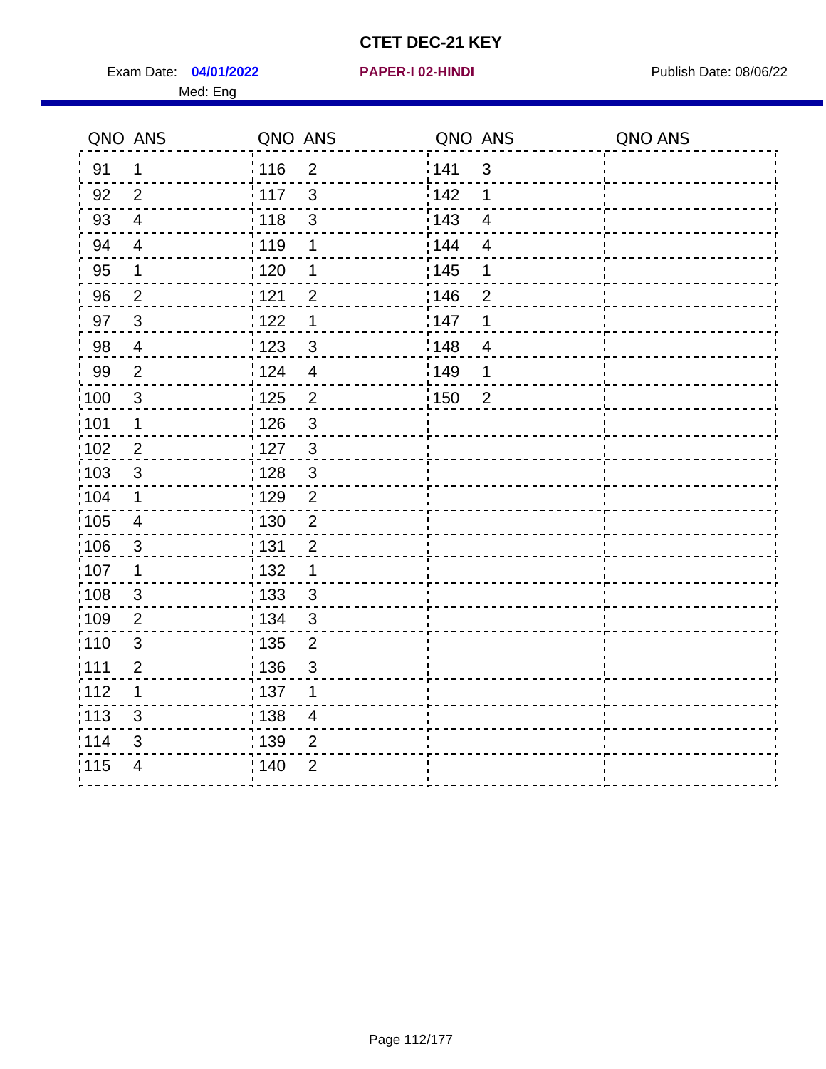Exam Date: 04/01/2022 **PAPER-I 02-HINDI Exam Date: 08/06/22** Med: Eng

| QNO ANS                 |       |                                                                                                                                                                                                          |                           |                                                 | QNO ANS |
|-------------------------|-------|----------------------------------------------------------------------------------------------------------------------------------------------------------------------------------------------------------|---------------------------|-------------------------------------------------|---------|
| $\mathbf 1$             |       | $\overline{2}$                                                                                                                                                                                           |                           | $\mathbf{3}$                                    |         |
| $\overline{2}$          |       | 3                                                                                                                                                                                                        | 142                       | 1                                               |         |
| $\overline{4}$          | 118   | 3                                                                                                                                                                                                        | 143                       | $\overline{4}$                                  |         |
| $\overline{4}$          | : 119 | 1                                                                                                                                                                                                        | 144                       | $\overline{4}$                                  |         |
| $\mathbf 1$             |       | 1                                                                                                                                                                                                        |                           | 1                                               |         |
| $\overline{2}$          |       | $\overline{2}$                                                                                                                                                                                           |                           | $\overline{2}$                                  |         |
| $\mathbf{3}$            |       | 1                                                                                                                                                                                                        |                           | 1                                               |         |
| $\overline{4}$          |       | 3                                                                                                                                                                                                        |                           | $\overline{4}$                                  |         |
| $\overline{2}$          |       | $\overline{4}$                                                                                                                                                                                           |                           | 1                                               |         |
| $\mathbf{3}$            |       | $\overline{2}$                                                                                                                                                                                           |                           | $\overline{2}$                                  |         |
| $\mathbf 1$             |       | $\mathfrak{S}$                                                                                                                                                                                           |                           |                                                 |         |
| $\boldsymbol{2}$        |       | $\mathbf{3}$                                                                                                                                                                                             |                           |                                                 |         |
| 3                       |       | 3                                                                                                                                                                                                        |                           |                                                 |         |
| 1                       |       | $\overline{2}$                                                                                                                                                                                           |                           |                                                 |         |
| $\overline{\mathbf{4}}$ |       | $\overline{2}$                                                                                                                                                                                           |                           |                                                 |         |
| $\sqrt{3}$              |       | $\overline{2}$                                                                                                                                                                                           |                           |                                                 |         |
| 1                       |       | 1                                                                                                                                                                                                        |                           |                                                 |         |
| $\mathfrak{S}$          |       | $\mathbf{3}$                                                                                                                                                                                             |                           |                                                 |         |
| $\overline{2}$          |       | $\mathfrak{S}$                                                                                                                                                                                           |                           |                                                 |         |
| $\sqrt{3}$              |       | $\overline{2}$                                                                                                                                                                                           |                           |                                                 |         |
| 2                       |       | 3                                                                                                                                                                                                        |                           |                                                 |         |
| 1                       |       | 1                                                                                                                                                                                                        |                           |                                                 |         |
| 3                       |       | $\overline{4}$                                                                                                                                                                                           |                           |                                                 |         |
| 3                       |       | $\overline{2}$                                                                                                                                                                                           |                           |                                                 |         |
| $\overline{4}$          |       |                                                                                                                                                                                                          |                           |                                                 |         |
|                         |       | : 116<br>$\frac{1}{117}$<br>: 120<br>121<br>122<br>1123<br>124<br>: 125<br>: 126<br>: 127<br>: 128<br>:129<br>: 130<br>: 131<br>: 132<br>: 133<br>: 134<br>135<br>: 136<br>:137<br>: 138<br>139<br>; 140 | QNO ANS<br>$\overline{2}$ | 141<br>: 145<br>146<br>147<br>148<br>149<br>150 | QNO ANS |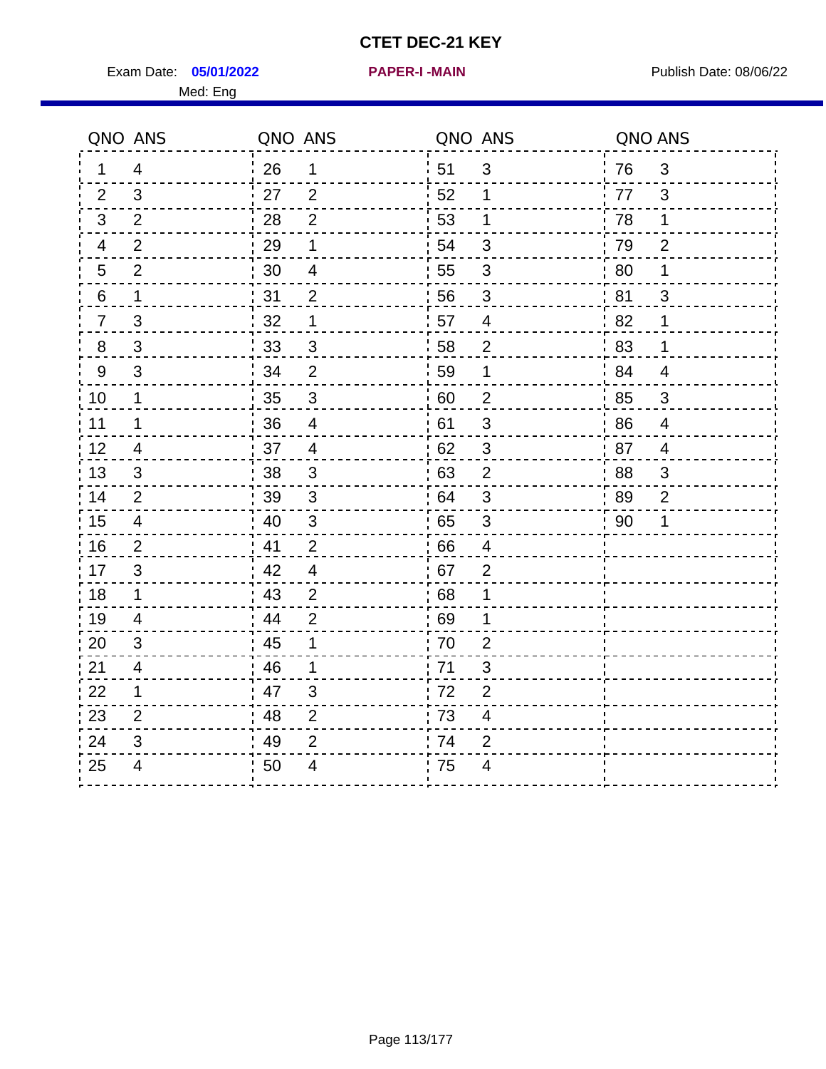Exam Date: 05/01/2022 **PAPER-I-MAIN Proposed Bublish Date: 08/06/22** Med: Eng

**05/01/2022 PAPER-I -MAIN**

|                          | QNO ANS                   | QNO ANS          |                | QNO ANS |                          | QNO ANS |                |
|--------------------------|---------------------------|------------------|----------------|---------|--------------------------|---------|----------------|
| 1                        | $\overline{4}$            | 26               | 1              | 51      | $\mathfrak{S}$           | 76      | $\mathfrak{3}$ |
| 2                        | 3                         | 27               | 2              | 52      | 1                        | 77      | 3              |
| 3                        | $\overline{2}$            | 28               | $\overline{2}$ | 53      | $\mathbf 1$              | 78      | $\mathbf 1$    |
| $\overline{\mathcal{A}}$ | $\overline{2}$            | 29               | 1              | 54      | $\mathfrak{S}$           | 79      | $\overline{2}$ |
| $\overline{5}$           | $\overline{2}$            | 30               | $\overline{4}$ | 55      | $\sqrt{3}$               | 80      | 1              |
| 6                        | $\mathbf 1$               | 31               | $\overline{2}$ | 56      | 3                        | 81      | 3              |
| $\overline{7}$           | $\mathfrak{B}$            | 32               | 1              | 57      | $\overline{\mathcal{A}}$ | 82      | 1              |
| $\bf 8$                  | $\ensuremath{\mathsf{3}}$ | 33               | $\sqrt{3}$     | 58      | $\overline{2}$           | 83      | 1              |
| $\boldsymbol{9}$         | 3                         | 34               | $\overline{2}$ | 59      | 1                        | 84      | $\overline{4}$ |
| 10                       | $\mathbf 1$               | 35               | $\overline{3}$ | 60      | $\mathbf 2$              | 85      | $\sqrt{3}$     |
| 11                       | $\mathbf 1$               | 36               | $\overline{4}$ | 61      | $\sqrt{3}$               | 86      | $\overline{4}$ |
| 12                       | $\overline{4}$            | 37               | $\overline{4}$ | 62      | $\mathfrak{S}$           | 87      | $\overline{4}$ |
| 13                       | 3                         | 38               | 3              | 63      | $\overline{2}$           | 88      | 3              |
| 14                       | $\overline{2}$            | 39               | 3              | 64      | 3                        | 89      | $\overline{2}$ |
| 15                       | $\overline{4}$            | 40               | $\sqrt{3}$     | 65      | $\sqrt{3}$               | 90      | 1              |
| 16                       | $\overline{2}$            | 41               | $\overline{2}$ | 66      | $\overline{4}$           |         |                |
| 17                       | 3                         | 42               | $\overline{4}$ | 67      | $\overline{2}$           |         |                |
| 18                       | $\mathbf 1$               | 43               | $\overline{2}$ | 68      | 1                        |         |                |
| 19                       | $\overline{4}$            | $\frac{1}{2}$ 44 | $\overline{2}$ | 69      | 1                        |         |                |
| 20                       | 3                         | 45               | 1              | 70      | $\overline{2}$           |         |                |
| 21                       | 4                         | 46               | 1              | 71      | 3                        |         |                |
| 22                       | $\mathbf 1$               | 47               | $\mathfrak{S}$ | 72      | $\overline{2}$           |         |                |
| 23                       | $\overline{2}$            | 48               | $\overline{2}$ | 73      | $\overline{\mathcal{A}}$ |         |                |
| 24                       | 3                         | 49               | $\overline{2}$ | 74      | $\overline{2}$           |         |                |
| 25                       | 4                         | 50               | 4              | 75      | 4                        |         |                |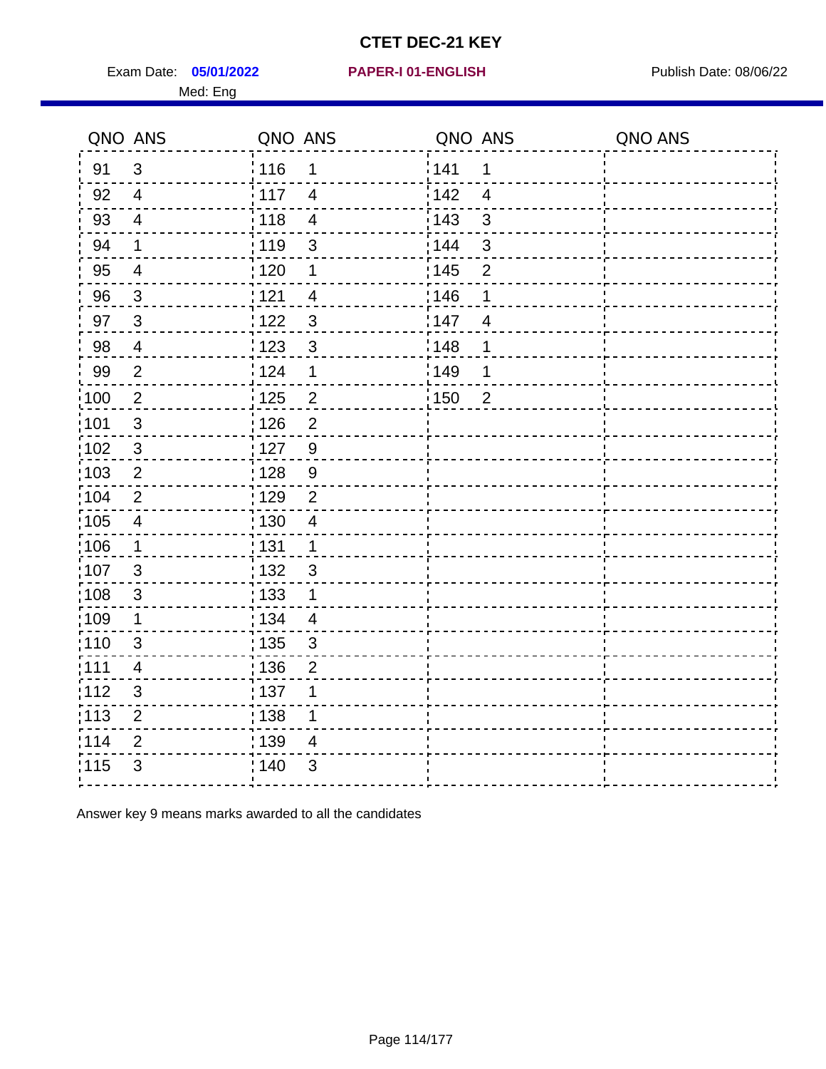Exam Date: 05/01/2022 PAPER-I 01-ENGLISH PREER FOR Publish Date: 08/06/22 Med: Eng

### **05/01/2022 PAPER-I 01-ENGLISH**

|                   | QNO ANS                 | QNO ANS           |                          | QNO ANS |                | QNO ANS |
|-------------------|-------------------------|-------------------|--------------------------|---------|----------------|---------|
| 91                | $\mathfrak{S}$          | : 116             | 1                        | 141     | 1              |         |
| 92                | $\overline{4}$          | : 117             | $\overline{4}$           | 142     | $\overline{4}$ |         |
| 93                | $\overline{4}$          | 118               | $\overline{\mathbf{4}}$  | 143     | 3              |         |
| 94                | $\mathbf 1$             | : 119             | 3                        | 144     | 3              |         |
| 95                | $\overline{\mathbf{4}}$ | $\frac{1}{1}$ 120 | $\mathbf 1$              | : 145   | $\overline{2}$ |         |
| 96                | $\mathbf{3}$            | 121               | $\overline{4}$           | 146     | 1              |         |
| 97                | $\mathbf{3}$            | 1122              | $\mathfrak{S}$           | 147     | $\overline{4}$ |         |
| 98                | $\overline{4}$          | 123               | $\mathfrak{B}$           | 148     | 1              |         |
| 99                | $\overline{2}$          | 124               | $\mathbf 1$              | 149     | 1              |         |
| $\frac{1}{1}$ 100 | $\sqrt{2}$              | $\frac{1}{1}$ 125 | $\overline{\mathbf{c}}$  | 150     | $\overline{2}$ |         |
| 101               | $\sqrt{3}$              | 126               | $\overline{2}$           |         |                |         |
| :102              | $\mathbf{3}$            | : 127             | 9                        |         |                |         |
| 103               | 2                       | : 128             | 9                        |         |                |         |
| 104               | 2                       | : 129             | $\overline{2}$           |         |                |         |
| :105              | $\overline{\mathbf{4}}$ | : 130             | $\overline{\mathcal{A}}$ |         |                |         |
| :106              | $\mathbf{1}$            | : 131             | $\mathbf{1}$             |         |                |         |
| 107               | 3                       | : 132             | $\mathbf{3}$             |         |                |         |
| 108               | $\mathbf{3}$            | $\frac{1}{1}$ 133 | $\mathbf 1$              |         |                |         |
| :109              | 1                       | : 134             | $\overline{4}$           |         |                |         |
| 110               | 3                       | : 135             | 3                        |         |                |         |
| :111              | $\overline{4}$          | : 136             | $\overline{2}$           |         |                |         |
| 112               | $\mathfrak{B}$          | : 137             | 1                        |         |                |         |
| $\frac{1}{1}$ 113 | $\overline{2}$          | $\frac{1}{1}$ 138 | 1                        |         |                |         |
| 114               | $\overline{2}$          | 139               | $\overline{4}$           |         |                |         |
| 115               | $\mathfrak{S}$          | : 140             | 3                        |         |                |         |
|                   |                         |                   |                          |         |                |         |

Answer key 9 means marks awarded to all the candidates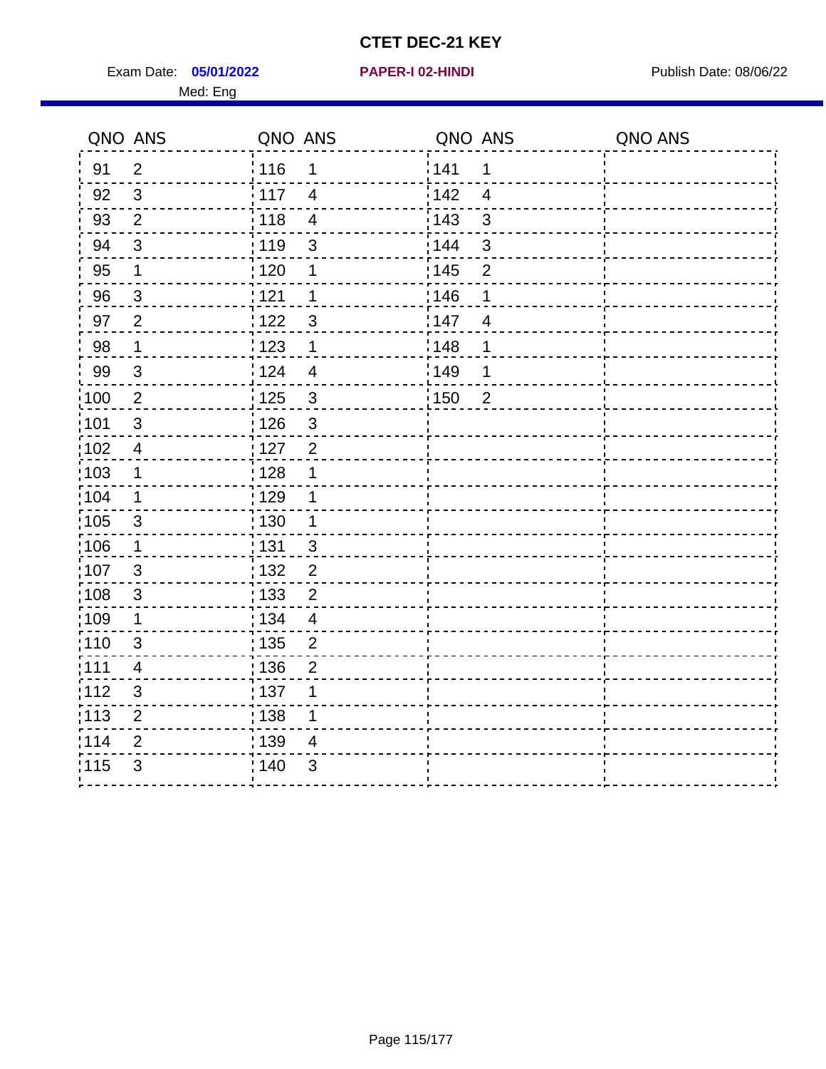Exam Date: 05/01/2022 **PAPER-I 02-HINDI Exam Date: 08/06/22** Med: Eng

|                   | QNO ANS                 | QNO ANS           |                         | QNO ANS |                | QNO ANS |
|-------------------|-------------------------|-------------------|-------------------------|---------|----------------|---------|
| 91                | $\overline{2}$          | <sup>'</sup> 116  | 1                       | 141     | $\mathbf 1$    |         |
| 92                | $\mathbf{3}$            | 117               | $\overline{4}$          | 142     | $\overline{4}$ |         |
| 93                | $\overline{2}$          | 118               | $\overline{\mathbf{4}}$ | 143     | $\mathbf{3}$   |         |
| 94                | $\sqrt{3}$              | : 119             | $\mathfrak{S}$          | 144     | $\mathbf{3}$   |         |
| 95                | 1                       | : 120             | 1                       | : 145   | $\overline{2}$ |         |
| 96                | $\sqrt{3}$              | 121               | 1                       | 146     | 1              |         |
| 97                | $\overline{2}$          | 122               | $\mathbf{3}$            | 147     | $\overline{4}$ |         |
| 98                | $\mathbf 1$             | 123               | $\mathbf 1$             | 148     | 1              |         |
| 99                | $\sqrt{3}$              | 124               | $\overline{4}$          | 149     | 1              |         |
| $\frac{1}{1}$ 100 | $\overline{2}$          | $\frac{1}{1}$ 125 | $\mathfrak{3}$          | 150     | $\overline{2}$ |         |
| :101              | $\sqrt{3}$              | : 126             | $\mathfrak{3}$          |         |                |         |
| $\frac{1}{1}$ 102 | $\overline{4}$          | 127               | $\overline{2}$          |         |                |         |
| 103               | $\mathbf 1$             | : 128             | $\mathbf 1$             |         |                |         |
| 104               | $\mathbf{1}$            | : 129             | 1                       |         |                |         |
| 105               | $\mathbf{3}$            | : 130             | $\mathbf{1}$            |         |                |         |
| :106              | $\mathbf 1$             | : 131             | $\mathbf{3}$            |         |                |         |
| 107               | 3                       | 132               | $\overline{2}$          |         |                |         |
| 108               | $\sqrt{3}$              | 133               | $\overline{2}$          |         |                |         |
| :109              | 1                       | : 134             | $\overline{4}$          |         |                |         |
| :110              | 3                       | : 135             | $\overline{2}$          |         |                |         |
| 111               | $\overline{\mathbf{4}}$ | : 136             | $\overline{c}$          |         |                |         |
| 112               | $\mathfrak{S}$          | : 137             | 1                       |         |                |         |
| 113               | $\mathbf 2$             | : 138             | 1                       |         |                |         |
| 114               | 2                       | :139              | 4                       |         |                |         |
| 115               | 3                       | 140               | $\mathfrak{B}$          |         |                |         |
|                   |                         |                   |                         |         |                |         |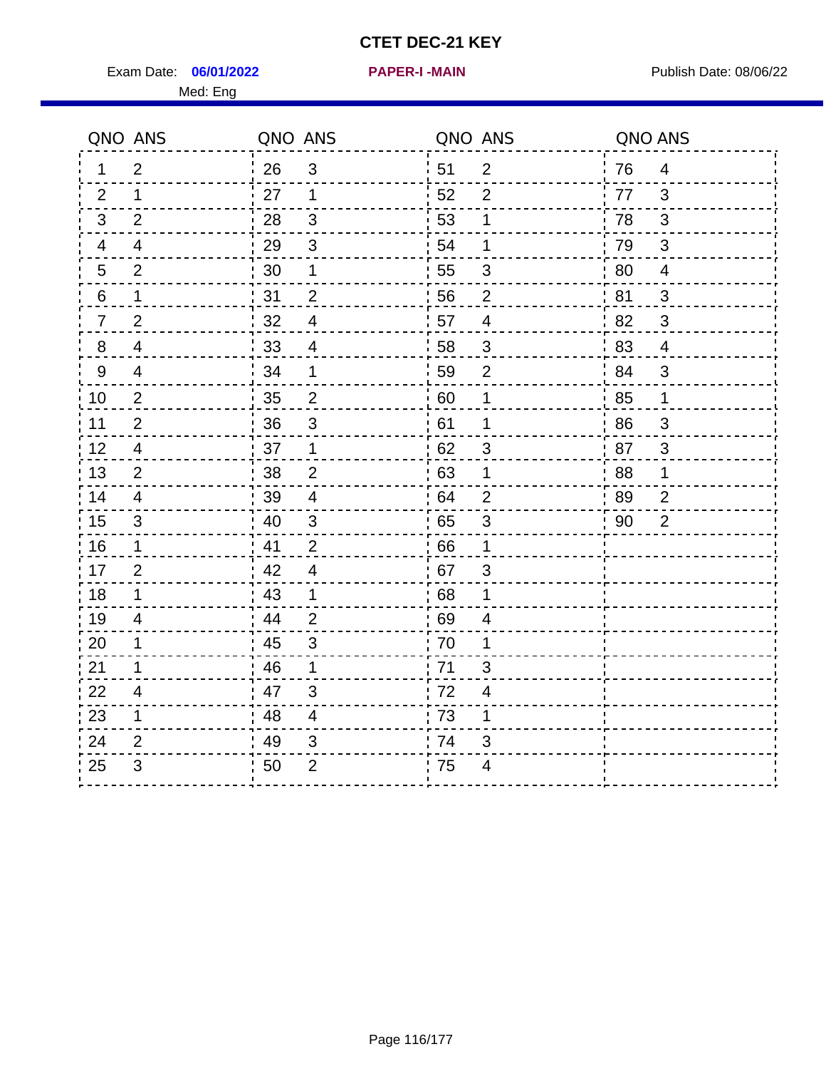Exam Date: 06/01/2022 **PAPER-I-MAIN Proposed Bublish Date: 08/06/22** 

**06/01/2022 PAPER-I -MAIN**

Med: Eng

|                | QNO ANS        | QNO ANS |                          | QNO ANS |                          | QNO ANS |                          |
|----------------|----------------|---------|--------------------------|---------|--------------------------|---------|--------------------------|
| 1.             | $\overline{2}$ | 26      | $\mathbf{3}$             | 51      | $\overline{2}$           | 76      | $\overline{4}$           |
| $\overline{2}$ | $\mathbf 1$    | 27      | $\mathbf{1}$             | 52      | 2                        | 77      | 3                        |
| 3              | $\overline{2}$ | 28      | 3                        | 53      | 1                        | 78      | 3                        |
| 4              | $\overline{4}$ | 29      | $\mathsf 3$              | 54      | 1                        | 79      | $\sqrt{3}$               |
| 5              | 2              | 30      | 1                        | 55      | $\mathfrak{S}$           | 80      | $\overline{\mathcal{A}}$ |
| 6              | $\mathbf{1}$   | 31      | $\overline{2}$           | 56      | $\overline{2}$           | 81      | $\mathbf{3}$             |
| $\overline{7}$ | $\overline{2}$ | 32      | 4                        | 57      | $\overline{4}$           | 82      | 3                        |
| 8              | 4              | 33      | 4                        | 58      | $\mathbf{3}$             | 83      | 4                        |
| 9              | 4              | 34      | $\mathbf 1$              | 59      | $\overline{2}$           | 84      | $\mathfrak{S}$           |
| 10             | $\overline{2}$ | 35      | $\overline{2}$           | 60      | 1                        | 85      | $\mathbf 1$              |
| 11             | $\overline{2}$ | 36      | 3                        | 61      | 1                        | 86      | 3                        |
| 12             | 4              | 37      | $\mathbf{1}$             | 62      | $\mathbf{3}$             | 87      | $\sqrt{3}$               |
| 13             | 2              | 38      | $\overline{2}$           | 63      | 1                        | 88      | $\mathbf 1$              |
| 14             | 4              | 39      | 4                        | 64      | $\overline{2}$           | 89      | $\overline{2}$           |
| 15             | 3              | 40      | 3                        | 65      | $\mathbf{3}$             | 90      | $\overline{2}$           |
| 16             | $\mathbf 1$    | 41      | $\overline{2}$           | 66      | 1                        |         |                          |
| 17             | $\overline{2}$ | 42      | $\overline{4}$           | .67     | $\mathfrak{S}$           |         |                          |
| 18             | $\mathbf{1}$   | 43      | $\mathbf{1}$             | 68      | 1                        |         |                          |
| 19             | 4              | 44      | $\overline{2}$           | 69      | 4                        |         |                          |
| 20             | 1              | 45      | 3                        | 70      | 1                        |         |                          |
| 21             | $\mathbf 1$    | 46      | $\mathbf{1}$             | 71      | 3                        |         |                          |
| 22             | $\overline{4}$ | 47      | $\mathfrak{S}$           | 72      | $\overline{\mathcal{A}}$ |         |                          |
| 23             | $\mathbf 1$    | 48      | $\overline{\mathcal{A}}$ | 73      | 1                        |         |                          |
| 24             | 2              | 49      | 3                        | 74      | 3                        |         |                          |
| 25             | 3              | 50      | 2                        | 75      | 4                        |         |                          |
|                |                |         |                          |         |                          |         |                          |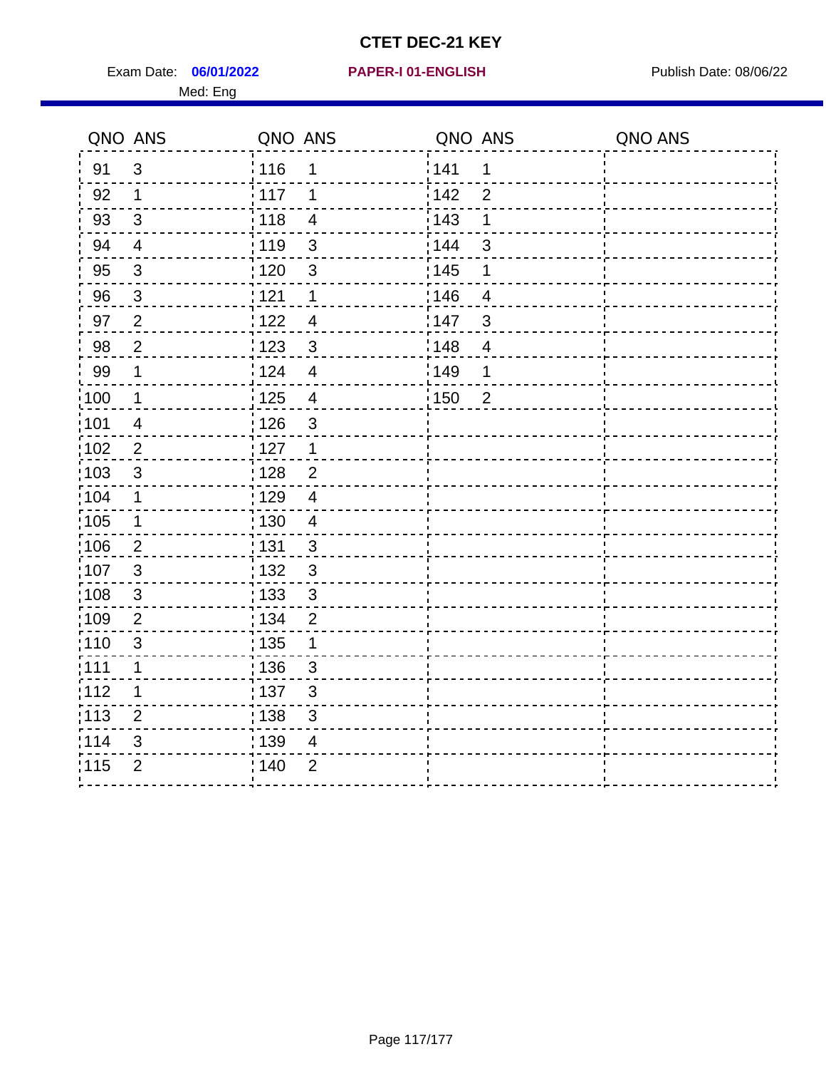Exam Date: 06/01/2022 PAPER-I 01-ENGLISH PREERENT Publish Date: 08/06/22 Med: Eng

## **06/01/2022 PAPER-I 01-ENGLISH**

|       | QNO ANS                  | QNO ANS           |                           | QNO ANS |                          | QNO ANS |
|-------|--------------------------|-------------------|---------------------------|---------|--------------------------|---------|
| 91    | $\mathfrak{S}$           | 116               | 1                         | 1141    | 1                        |         |
| 92    | $\mathbf 1$              | $\frac{1}{2}$ 117 | 1                         | 142     | $\overline{2}$           |         |
| 93    | $\mathbf{3}$             | 118               | $\overline{\mathcal{A}}$  | 143     | 1                        |         |
| 94    | $\overline{\mathbf{4}}$  | : 119             | $\mathbf{3}$              | : 144   | 3                        |         |
| 95    | $\mathfrak{S}$           | : 120             | 3                         | : 145   | 1                        |         |
| 96    | $\mathbf{3}$             | 121               | 1                         | :146    | $\overline{4}$           |         |
| 97    | $\overline{2}$           | 122               | $\overline{4}$            | 147     | $\mathfrak{B}$           |         |
| 98    | $\overline{2}$           | 1123              | $\mathfrak{S}$            | 148     | $\overline{\mathcal{A}}$ |         |
| 99    | $\mathbf 1$              | 124               | $\overline{4}$            | 149     | 1                        |         |
| :100  | $\overline{1}$           | 125               | $\overline{\mathbf{4}}$   | 150     | $\overline{2}$           |         |
| :101  | $\overline{\mathcal{A}}$ | : 126             | $\mathsf 3$               |         |                          |         |
| 102   | $\overline{2}$           | : 127             | $\mathbf 1$               |         |                          |         |
| 103   | 3                        | :128              | $\overline{2}$            |         |                          |         |
| :104  | $\mathbf 1$              | : 129             | $\overline{4}$            |         |                          |         |
| :105  | $\mathbf 1$              | 130               | $\overline{\mathcal{A}}$  |         |                          |         |
| :106  | $\overline{2}$           | : 131             | 3                         |         |                          |         |
| 107   | 3                        | :132              | 3                         |         |                          |         |
| 108   | $\mathbf 3$              | : 133             | $\mathbf{3}$              |         |                          |         |
| :109  | $\overline{2}$           | : 134             | $\overline{2}$            |         |                          |         |
| : 110 | 3                        | : 135             | 1                         |         |                          |         |
| : 111 | $\mathbf 1$              | : 136             | $\mathfrak{S}$            |         |                          |         |
| 112   | 1                        | 137               | $\ensuremath{\mathsf{3}}$ |         |                          |         |
| 113   | $\overline{2}$           | : 138             | 3                         |         |                          |         |
| 114   | 3                        | :139              | 4                         |         |                          |         |
| 115   | $\overline{2}$           | 140               | $\overline{2}$            |         |                          |         |
|       |                          |                   |                           |         |                          |         |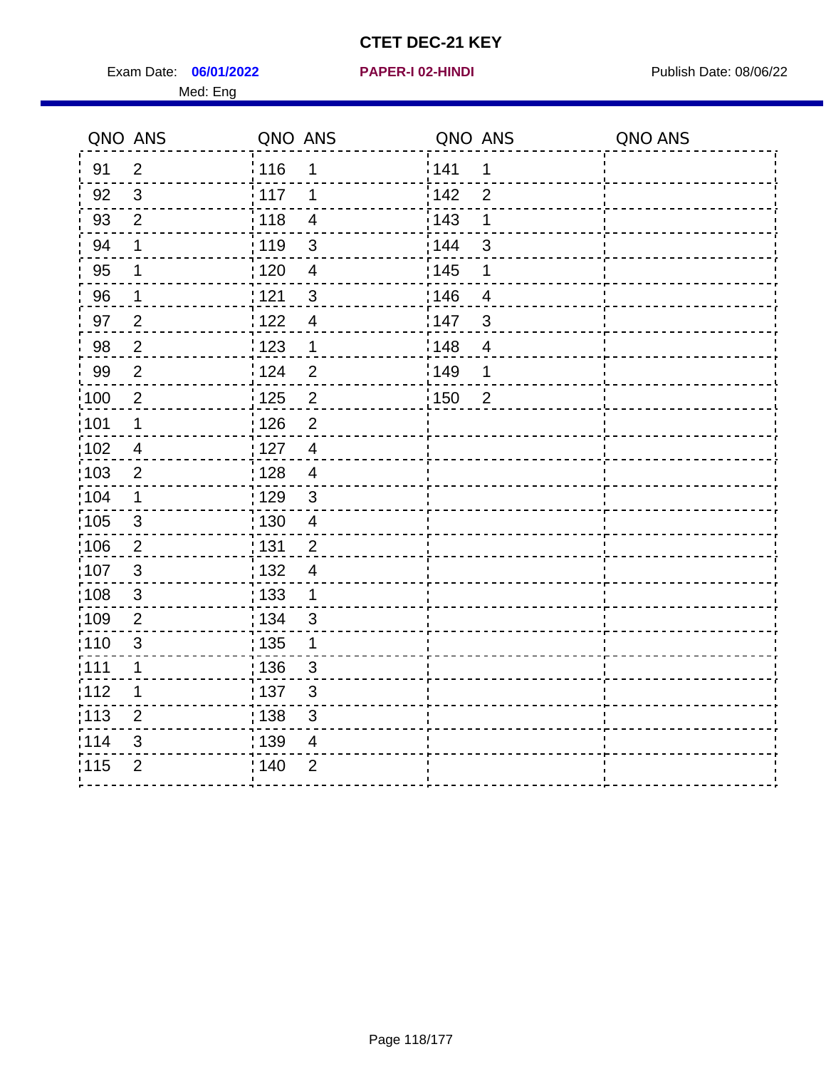Exam Date: 06/01/2022 **PAPER-I 02-HINDI Exam Date: 08/06/22** Publish Date: 08/06/22 Med: Eng

|                   | QNO ANS        | QNO ANS           |                         | QNO ANS |                          | QNO ANS |
|-------------------|----------------|-------------------|-------------------------|---------|--------------------------|---------|
| 91                | $\overline{2}$ | <sup>'</sup> 116  | 1                       | 141     | 1                        |         |
| 92                | $\mathbf{3}$   | 117               | 1                       | 142     | $\overline{2}$           |         |
| 93                | $\overline{2}$ | 118               | $\overline{\mathbf{4}}$ | 143     | 1                        |         |
| 94                | 1              | : 119             | $\mathfrak{S}$          | 144     | $\mathbf{3}$             |         |
| 95                | 1              | 120               | $\overline{4}$          | : 145   | 1                        |         |
| 96                | $\mathbf 1$    | 121               | $\sqrt{3}$              | 146     | $\overline{\mathcal{A}}$ |         |
| 97                | $\overline{2}$ | 122               | $\overline{4}$          | 147     | $\mathfrak{B}$           |         |
| 98                | $\overline{2}$ | 123               | $\mathbf 1$             | 148     | $\overline{4}$           |         |
| 99                | $\overline{2}$ | 124               | $\overline{2}$          | 149     | 1                        |         |
| $\frac{1}{1}$ 100 | $\overline{2}$ | $\frac{1}{1}$ 125 | $\overline{2}$          | 150     | $\overline{2}$           |         |
| :101              | $\mathbf 1$    | : 126             | $\overline{2}$          |         |                          |         |
| 102               | $\overline{4}$ | 127               | $\overline{4}$          |         |                          |         |
| 103               | $\overline{2}$ | : 128             | $\overline{4}$          |         |                          |         |
| 104               | $\mathbf 1$    | : 129             | $\mathbf{3}$            |         |                          |         |
| 105               | $\sqrt{3}$     | : 130             | $\overline{\mathbf{4}}$ |         |                          |         |
| :106              | $\overline{2}$ | : 131             | $\overline{2}$          |         |                          |         |
| 107               | $\mathbf{3}$   | 132               | $\overline{4}$          |         |                          |         |
| 108               | $\sqrt{3}$     | 133               | $\mathbf{1}$            |         |                          |         |
| :109              | $\overline{2}$ | : 134             | $\mathbf{3}$            |         |                          |         |
| :110              | $\mathfrak{S}$ | : 135             | 1                       |         |                          |         |
| 111               | $\mathbf 1$    | : 136             | $\mathbf{3}$            |         |                          |         |
| 112               | 1              | : 137             | $\mathfrak{B}$          |         |                          |         |
| 113               | $\overline{2}$ | : 138             | 3                       |         |                          |         |
| 114               | 3              | :139              | 4                       |         |                          |         |
| 115               | $\overline{2}$ | 140               | $\overline{2}$          |         |                          |         |
|                   |                |                   |                         |         |                          |         |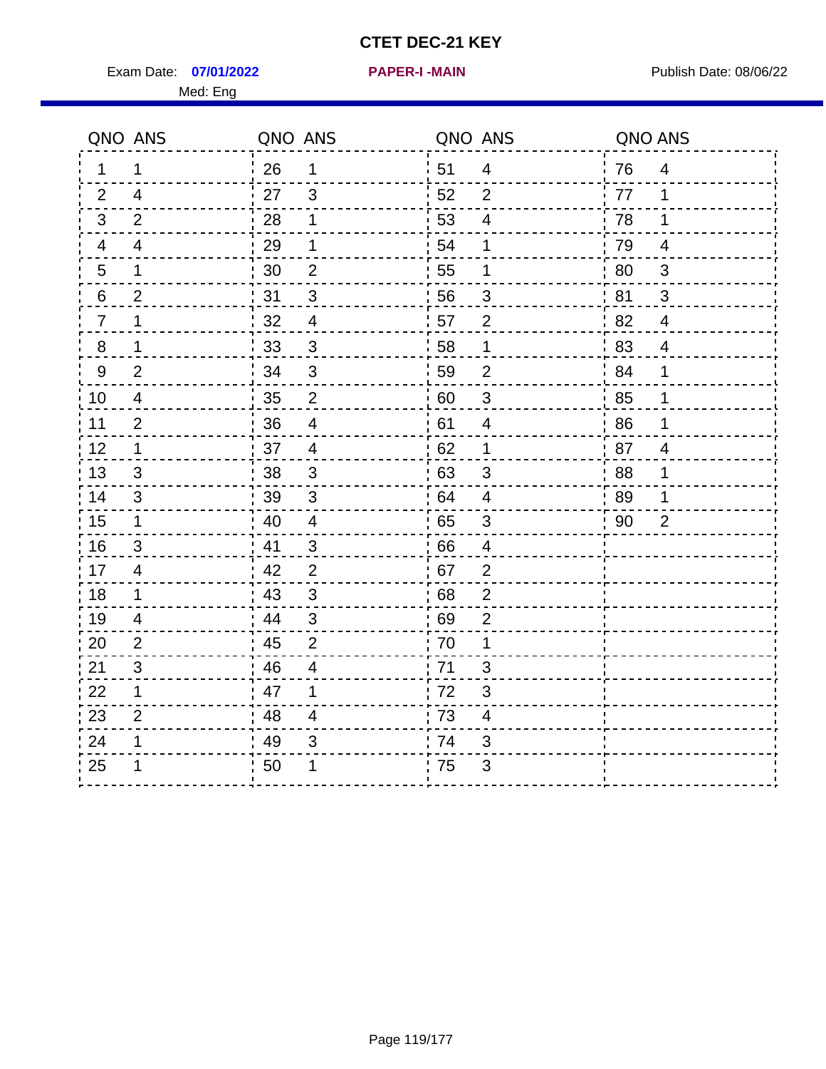Exam Date: 07/01/2022 PAPER-I-MAIN PUblish Date: 08/06/22 Med: Eng

**07/01/2022 PAPER-I -MAIN**

|                | QNO ANS        | QNO ANS |                         | QNO ANS |                         | QNO ANS |                         |
|----------------|----------------|---------|-------------------------|---------|-------------------------|---------|-------------------------|
| 1.             | 1              | 26      | $\mathbf{1}$            | ¦ 51    | $\overline{4}$          | 76      | $\overline{4}$          |
| 2              | $\overline{4}$ | 27      | 3                       | 52      | 2                       | 77      | 1                       |
| 3              | $\overline{2}$ | 28      | 1                       | 53      | $\overline{4}$          | 78      | 1                       |
| 4              | 4              | 29      | 1                       | 54      | 1                       | 79      | $\overline{\mathbf{4}}$ |
| $\overline{5}$ | 1              | 30      | $\mathbf 2$             | 55      | 1                       | 80      | $\mathbf{3}$            |
| 6              | $\overline{2}$ | 31      | 3                       | 56      | 3                       | 81      | 3                       |
| $\overline{7}$ | 1              | 32      | $\overline{4}$          | 57      | $\overline{2}$          | 82      | 4                       |
| $8\phantom{1}$ | 1              | 33      | $\mathbf{3}$            | 58      | 1                       | 83      | $\overline{4}$          |
| $9\,$          | 2              | 34      | $\mathfrak{S}$          | 59      | $\overline{2}$          | 84      | 1                       |
| 10             | $\overline{4}$ | 35      | $\overline{2}$          | 60      | $\sqrt{3}$              | 85      | 1                       |
| 11             | $\overline{2}$ | 36      | $\overline{\mathbf{4}}$ | 61      | $\overline{4}$          | 86      | 1                       |
| 12             | 1              | 37      | $\overline{4}$          | 62      | $\mathbf 1$             | 87      | $\overline{4}$          |
| 13             | 3              | 38      | 3                       | 63      | 3                       | .88     | 1                       |
| 14             | 3              | 39      | 3                       | 64      | 4                       | 89      | 1                       |
| 15             | $\mathbf{1}$   | 40      | $\overline{4}$          | 65      | $\sqrt{3}$              | 90      | $\overline{2}$          |
| 16             | 3              | 41      | 3                       | 66      | $\overline{4}$          |         |                         |
| 17             | $\overline{4}$ | 42      | $\overline{2}$          | 67      | $\overline{2}$          |         |                         |
| 18             | 1              | 43      | $\mathfrak{S}$          | 68      | $\overline{2}$          |         |                         |
| 19             | 4              | 44      | $\mathfrak{S}$          | 69      | $\overline{2}$          |         |                         |
| 20             | $\overline{2}$ | 45      | $\overline{2}$          | 70      | 1                       |         |                         |
| 21             | 3              | 46      | 4                       | 71      | 3                       |         |                         |
| 22             | 1              | 47      | 1                       | 72      | 3                       |         |                         |
| 23             | $\overline{2}$ | 48      | $\overline{4}$          | 73      | $\overline{\mathbf{4}}$ |         |                         |
| 24             | 1              | 49      | 3                       | 74      | 3                       |         |                         |
| 25             |                | 50      | 1                       | 75      | 3                       |         |                         |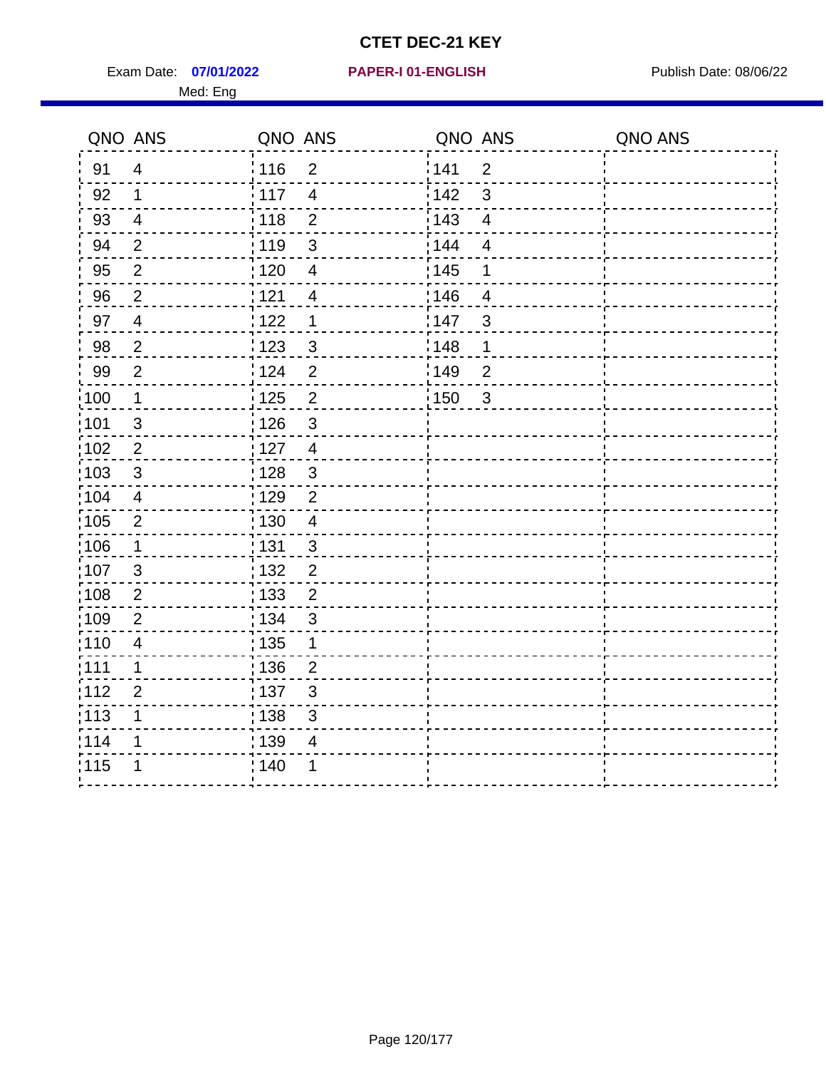Exam Date: 07/01/2022 PAPER-I 01-ENGLISH PREERENT Publish Date: 08/06/22 Med: Eng

## **07/01/2022 PAPER-I 01-ENGLISH**

|                   | QNO ANS                  | QNO ANS           |                          | QNO ANS |                          | QNO ANS |
|-------------------|--------------------------|-------------------|--------------------------|---------|--------------------------|---------|
| 91                | $\overline{4}$           | : 116             | $\overline{2}$           | 141     | $\overline{2}$           |         |
| 92                | $\mathbf{1}$             | 117               | $\overline{4}$           | 142     | $\mathbf{3}$             |         |
| 93                | $\overline{4}$           | 118               | $\overline{2}$           | 143     | $\overline{\mathbf{4}}$  |         |
| 94                | $\overline{2}$           | : 119             | 3                        | : 144   | $\overline{4}$           |         |
| 95                | $\overline{2}$           | : 120             | $\overline{\mathbf{4}}$  | : 145   | 1                        |         |
| 96                | $\overline{2}$           | 121               | $\overline{\mathcal{A}}$ | :146    | $\overline{\mathcal{A}}$ |         |
| 97                | $\overline{\mathcal{A}}$ | 122               | $\mathbf 1$              | 147     | 3                        |         |
| 98                | $\overline{2}$           | : 123             | $\mathfrak{S}$           | 148     | $\mathbf 1$              |         |
| 99                | $\overline{2}$           | 124               | $\overline{2}$           | :149    | $\overline{2}$           |         |
| $\frac{1}{1}$ 100 | $\mathbf 1$              | $\frac{1}{1}$ 125 | $\overline{2}$           | : 150   | $\mathfrak{S}$           |         |
| :101              | $\sqrt{3}$               | : 126             | $\mathfrak{S}$           |         |                          |         |
| 102               | $\overline{2}$           | 127               | $\overline{4}$           |         |                          |         |
| 103               | 3                        | : 128             | $\mathbf{3}$             |         |                          |         |
| 104               | $\overline{4}$           | : 129             | $\overline{2}$           |         |                          |         |
| 105               | $\sqrt{2}$               | : 130             | $\overline{4}$           |         |                          |         |
| :106              | $\mathbf 1$              | : 131             | 3                        |         |                          |         |
| 107               | $\mathfrak{B}$           | 132               | $\overline{2}$           |         |                          |         |
| 108               | $\overline{2}$           | 133               | $\overline{2}$           |         |                          |         |
| :109              | $\overline{2}$           | : 134             | $\mathfrak{S}$           |         |                          |         |
| :110              | $\overline{\mathcal{A}}$ | 135               | 1                        |         |                          |         |
| :111              | 1                        | : 136             | $\overline{2}$           |         |                          |         |
| 112               | $\overline{2}$           | 137               | $\mathfrak{S}$           |         |                          |         |
| 113               | 1                        | : 138             | 3                        |         |                          |         |
| 114               | 1                        | 139               | 4                        |         |                          |         |
| 115               | 1                        | 140               | 1                        |         |                          |         |
|                   |                          |                   |                          |         |                          |         |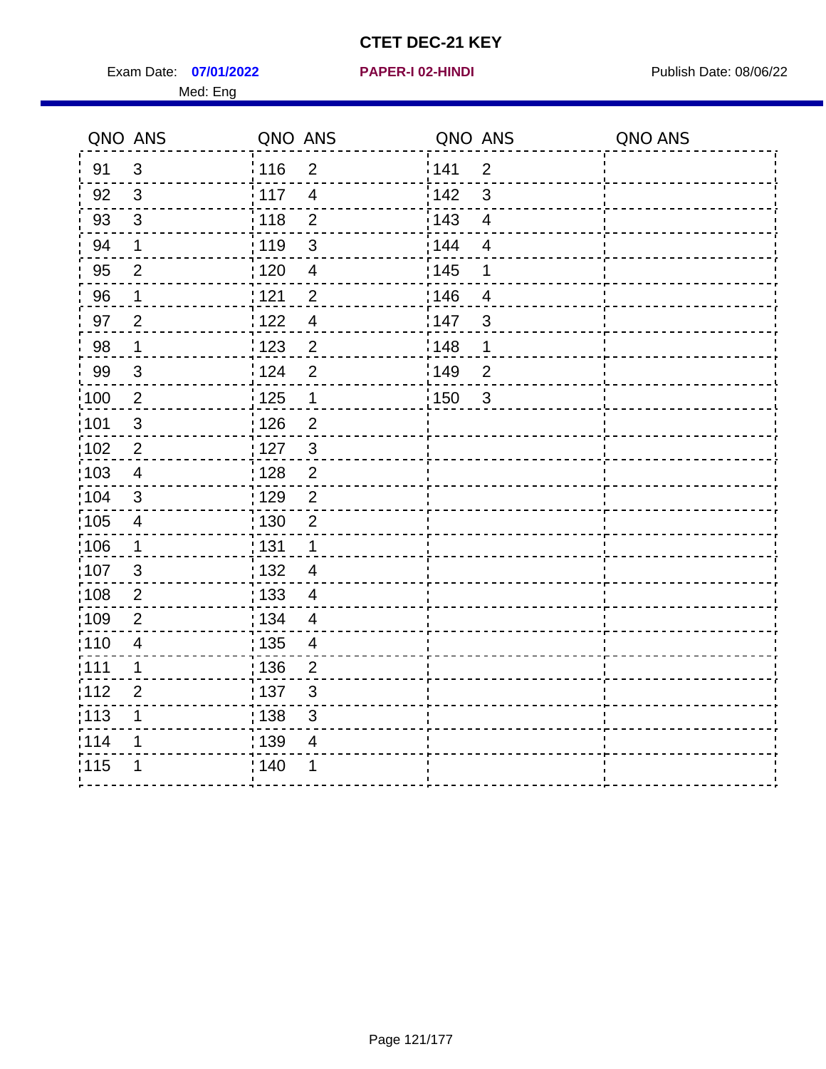Exam Date: 07/01/2022 **PAPER-I 02-HINDI Exam Date: 08/06/22** Med: Eng

|                   | QNO ANS                 | QNO ANS           |                          | QNO ANS |                | QNO ANS |
|-------------------|-------------------------|-------------------|--------------------------|---------|----------------|---------|
| 91                | $\mathbf{3}$            | 116               | $\overline{2}$           | 141     | $\overline{2}$ |         |
| 92                | $\mathfrak{S}$          | 117               | $\overline{4}$           | 142     | 3              |         |
| 93                | $\mathfrak{Z}$          | 118               | $\mathbf{2}$             | 143     | $\overline{4}$ |         |
| 94                | $\mathbf 1$             | : 119             | $\mathfrak{3}$           | : 144   | $\overline{4}$ |         |
| 95                | $\overline{2}$          | : 120             | $\overline{\mathbf{4}}$  | : 145   | 1              |         |
| 96                | 1                       | 121               | $\overline{2}$           | :146    | 4              |         |
| 97                | $\overline{2}$          | 122               | $\overline{4}$           | 147     | $\sqrt{3}$     |         |
| 98                | $\mathbf{1}$            | $\frac{1}{2}$ 123 | $\overline{c}$           | : 148   | 1              |         |
| 99                | $\sqrt{3}$              | 124               | $\overline{2}$           | 149     | $\overline{2}$ |         |
| $\frac{1}{1}$ 100 | $\sqrt{2}$              | $\frac{1}{1}$ 125 | $\mathbf 1$              | 150     | $\mathbf{3}$   |         |
| :101              | $\sqrt{3}$              | : 126             | $\overline{2}$           |         |                |         |
| 102               | $\overline{2}$          | : 127             | $\mathbf{3}$             |         |                |         |
| 103               | $\overline{4}$          | : 128             | $\overline{2}$           |         |                |         |
| :104              | 3                       | 129               | $\overline{2}$           |         |                |         |
| 105               | $\overline{\mathbf{4}}$ | : 130             | $\overline{2}$           |         |                |         |
| :106              | $\mathbf{1}$            | : 131             | $\mathbf 1$              |         |                |         |
| ;107              | $\mathfrak{B}$          | 132               | $\overline{4}$           |         |                |         |
| 108               | $\overline{2}$          | : 133             | $\overline{4}$           |         |                |         |
| :109              | $\overline{2}$          | : 134             | $\overline{4}$           |         |                |         |
| :110              | $\overline{4}$          | : 135             | $\overline{\mathcal{A}}$ |         |                |         |
| :111              | 1                       | 136               | $\overline{2}$           |         |                |         |
| 112               | $\overline{2}$          | : 137             | $\sqrt{3}$               |         |                |         |
| 113               | 1                       | : 138             | 3                        |         |                |         |
| 114               | 1                       | :139              | 4                        |         |                |         |
| 115               | 1                       | 140               | 1                        |         |                |         |
|                   |                         |                   |                          |         |                |         |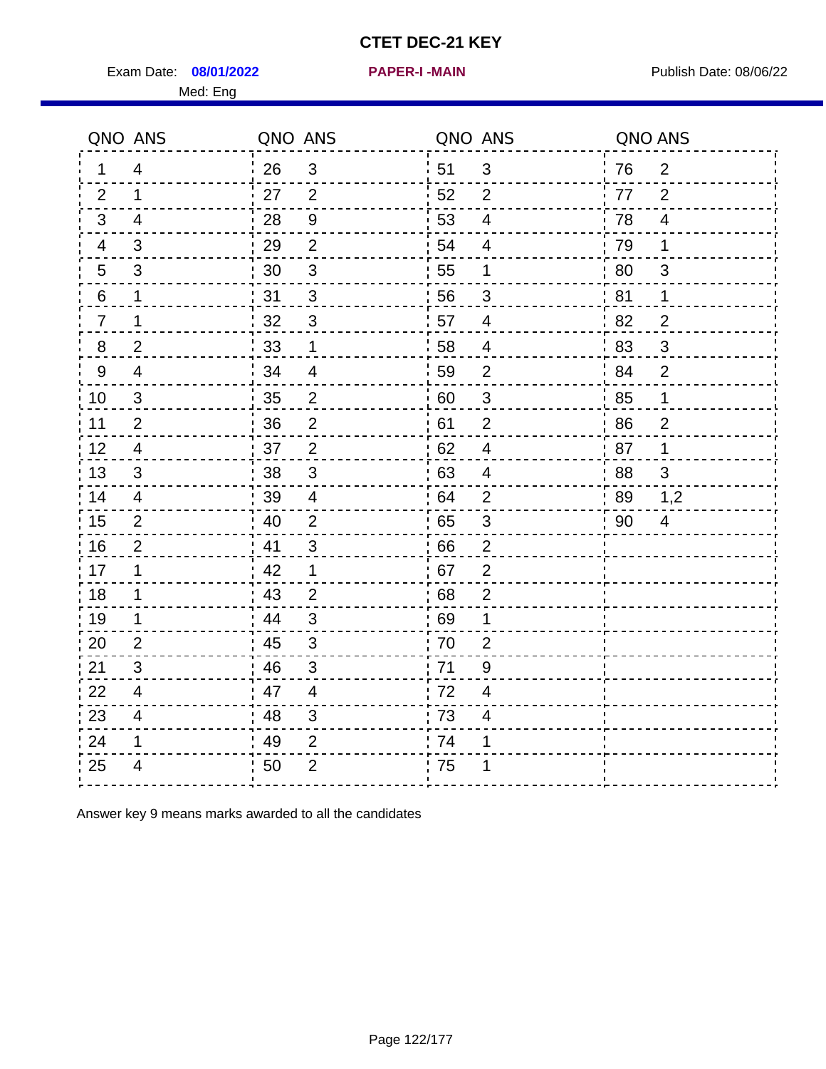Exam Date: 08/01/2022 **PAPER-I-MAIN Exam Date: 08/06/22** Med: Eng

|                 | QNO ANS                  | QNO ANS |                  | QNO ANS |                | QNO ANS |                |
|-----------------|--------------------------|---------|------------------|---------|----------------|---------|----------------|
| 1               | $\overline{4}$           | 26      | $\mathfrak{S}$   | 51      | $\mathfrak{S}$ | 76      | $\overline{2}$ |
| 2               | 1                        | 27      | 2                | 52      | $\overline{2}$ | 77      | $\overline{2}$ |
| 3               | 4                        | 28      | $\boldsymbol{9}$ | 53      | $\overline{4}$ | 78      | $\overline{4}$ |
| 4               | 3                        | 29      | $\overline{2}$   | 54      | $\overline{4}$ | 79      | 1              |
| $5\phantom{.0}$ | $\mathfrak{S}$           | 30      | $\sqrt{3}$       | 55      | $\mathbf 1$    | 80      | 3              |
| 6               | 1                        | 31      | 3                | 56      | 3              | 81      | 1              |
| $\overline{7}$  | 1                        | 32      | 3                | 57      | 4              | 82      | $\overline{2}$ |
| 8               | $\overline{2}$           | 33      | $\mathbf{1}$     | 58      | $\overline{4}$ | 83      | 3              |
| 9               | $\overline{4}$           | 34      | $\overline{4}$   | 59      | $\overline{2}$ | 84      | $\overline{2}$ |
| 10              | $\mathfrak{S}$           | 35      | $\overline{c}$   | 60      | $\mathsf 3$    | 85      | $\mathbf 1$    |
| 11              | $\overline{2}$           | 36      | $\mathbf 2$      | 61      | $\overline{2}$ | 86      | $\overline{2}$ |
| 12              | $\overline{4}$           | 37      | $\overline{2}$   | 62      | $\overline{4}$ | 87      | $\mathbf 1$    |
| 13              | 3                        | 38      | 3                | 63      | 4              | 88      | 3              |
| 14              | $\overline{4}$           | 39      | $\overline{4}$   | 64      | $\overline{2}$ | 89      | 1,2            |
| 15              | 2                        | 40      | $\overline{2}$   | 65      | $\sqrt{3}$     | 90      | 4              |
| 16              | $\overline{2}$           | 41      | 3                | 66      | $\overline{2}$ |         |                |
| 17              | 1                        | 42      | $\mathbf 1$      | 67      | $\overline{2}$ |         |                |
| 18              | 1                        | 43      | $\overline{2}$   | 68      | $\overline{2}$ |         |                |
| 19              | 1                        | 44      | 3                | 69      | 1              |         |                |
| 20              | 2                        | 45      | $\mathfrak{S}$   | 70      | $\overline{2}$ |         |                |
| 21              | 3                        | 46      | 3                | 71      | 9              |         |                |
| 22              | $\overline{4}$           | 47      | $\overline{4}$   | 72      | $\overline{4}$ |         |                |
| 23              | $\overline{\mathcal{A}}$ | 48      | 3                | 73      | 4              |         |                |
| 24              | 1                        | 49      | $\overline{2}$   | 74      | 1              |         |                |
| 25              | 4                        | 50      | $\overline{2}$   | 75      |                |         |                |

Answer key 9 means marks awarded to all the candidates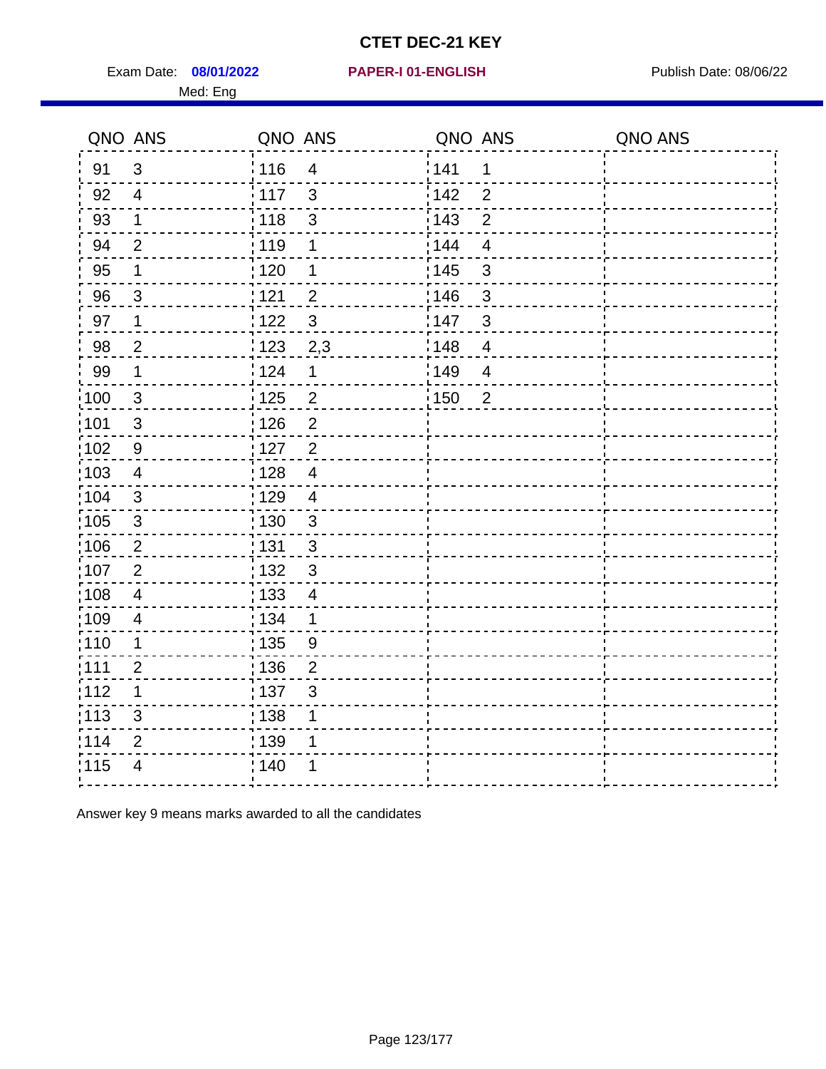Exam Date: 08/01/2022 PAPER-I 01-ENGLISH PREERENT Publish Date: 08/06/22 Med: Eng

|                   | QNO ANS                 | QNO ANS           |                         | QNO ANS |                | QNO ANS |
|-------------------|-------------------------|-------------------|-------------------------|---------|----------------|---------|
| 91                | 3                       | : 116             | $\overline{4}$          | 141     | 1              |         |
| 92                | $\overline{4}$          | 117               | $\mathfrak{S}$          | 142     | $\overline{2}$ |         |
| 93                | $\mathbf 1$             | 118               | 3                       | 143     | $\overline{2}$ |         |
| 94                | $\overline{2}$          | : 119             | 1                       | 144     | $\overline{4}$ |         |
| 95                | 1                       | :120              | 1                       | : 145   | 3              |         |
| 96                | 3                       | 121               | $\overline{2}$          | 146     | 3              |         |
| 97                | $\mathbf 1$             | 122               | 3                       | 147     | $\mathfrak{S}$ |         |
| 98                | $\overline{2}$          | $\frac{1}{2}$ 123 | 2,3                     | 148     | $\overline{4}$ |         |
| 99                | $\mathbf 1$             | 124               | $\mathbf 1$             | 149     | $\overline{4}$ |         |
| 100               | $\mathbf{3}$            | $\frac{1}{1}$ 125 | $\overline{\mathbf{c}}$ | 150     | $\overline{2}$ |         |
| 101               | $\sqrt{3}$              | : 126             | $\overline{2}$          |         |                |         |
| $\frac{1}{1}$ 102 | 9                       | $\frac{1}{1}$ 127 | $\overline{2}$          |         |                |         |
| $\frac{1}{1}$ 103 | $\overline{4}$          | 128               | $\overline{4}$          |         |                |         |
| 104               | $\mathbf{3}$            | : 129             | $\overline{4}$          |         |                |         |
| :105              | $\sqrt{3}$              | : 130             | $\mathfrak{S}$          |         |                |         |
| 106               | $\overline{2}$          | : 131             | $\mathbf{3}$            |         |                |         |
| 107               | $\overline{2}$          | : 132             | $\mathbf{3}$            |         |                |         |
| :108              | $\overline{\mathbf{4}}$ | : 133             | $\overline{4}$          |         |                |         |
| :109              | $\overline{\mathbf{4}}$ | : 134             | $\mathbf 1$             |         |                |         |
| 110               | 1                       | : 135             | 9                       |         |                |         |
| :111              | $\overline{2}$          | : 136             | $\overline{2}$          |         |                |         |
| 112               | 1                       | :137              | 3                       |         |                |         |
| $\frac{1}{1}$ 113 | $\mathsf 3$             | : 138             | 1                       |         |                |         |
| 114               | $\mathbf{2}$            | 139               | 1                       |         |                |         |
| 115               | 4                       | : 140             |                         |         |                |         |
|                   |                         |                   |                         |         |                |         |

Answer key 9 means marks awarded to all the candidates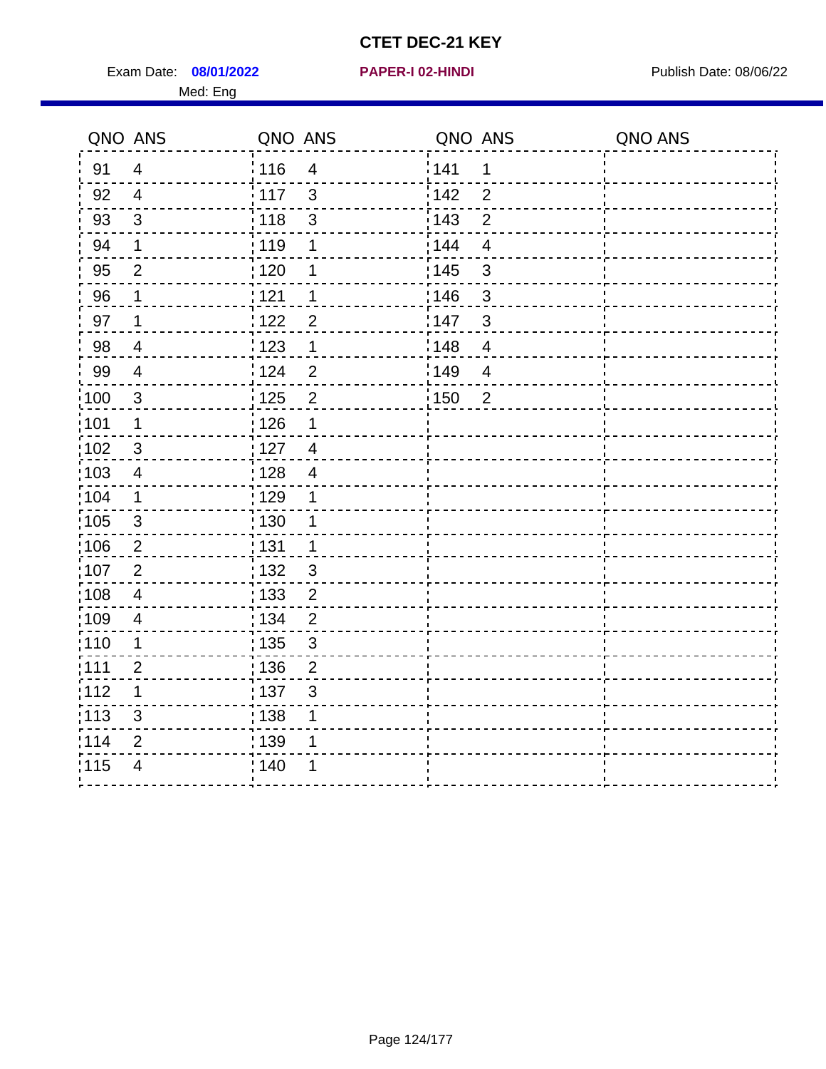Exam Date: 08/01/2022 **PAPER-I 02-HINDI Exam Date: 08/06/22** Publish Date: 08/06/22 Med: Eng

|                   | QNO ANS                 | QNO ANS                             | QNO ANS                             | QNO ANS |
|-------------------|-------------------------|-------------------------------------|-------------------------------------|---------|
| 91                | $\overline{4}$          | 116<br>$\overline{\mathbf{4}}$      | 141<br>$\mathbf 1$                  |         |
| 92                | $\overline{4}$          | 117<br>3                            | 142<br>$\overline{2}$               |         |
| 93                | $\mathbf{3}$            | 118<br>$\mathfrak{S}$               | 143<br>$\overline{2}$               |         |
| 94                | 1                       | : 119<br>1                          | 144<br>$\overline{4}$               |         |
| 95                | $\overline{2}$          | : 120<br>1                          | : 145<br>3                          |         |
| 96                | 1                       | 121<br>1                            | 146<br>3                            |         |
| 97                | 1                       | :122<br>$\overline{2}$              | 147<br>3                            |         |
| 98                | $\overline{\mathbf{4}}$ | 123<br>$\mathbf{1}$                 | $\frac{1}{2}$ 148<br>$\overline{4}$ |         |
| 99                | $\overline{\mathbf{4}}$ | 124<br>$\overline{2}$               | ¦149<br>$\overline{4}$              |         |
| $\frac{1}{1}$ 100 | $\mathbf{3}$            | 125<br>$\overline{2}$               | 150<br>$\overline{2}$               |         |
| :101              | 1                       | 126<br>1                            |                                     |         |
| 102               | $\mathbf{3}$            | : 127<br>$\overline{4}$             |                                     |         |
| 103               | $\overline{4}$          | $\overline{4}$<br>128               |                                     |         |
| :104              | $\mathbf 1$             | : 129<br>1                          |                                     |         |
| 105               | $\mathbf{3}$            | : 130<br>1                          |                                     |         |
| ;106              | $\overline{2}$          | : 131<br>$\mathbf 1$                |                                     |         |
| :107              | $\overline{2}$          | : 132<br>$\mathfrak{B}$             |                                     |         |
| 108               | $\overline{4}$          | : 133<br>$\overline{2}$             |                                     |         |
| :109              | $\overline{4}$          | : 134<br>$\overline{2}$             |                                     |         |
| :110              | 1                       | : 135<br>$\mathfrak{S}$             |                                     |         |
| :111              | $\overline{2}$          | : 136<br>$\mathbf{2}$               |                                     |         |
| 112               | 1                       | $\frac{1}{1}$ 137<br>$\mathfrak{S}$ |                                     |         |
| : 113             | 3                       | 138<br>1                            |                                     |         |
| 114               | 2                       | 139<br>1                            |                                     |         |
| 115               | $\overline{4}$          | 140<br>1                            |                                     |         |
|                   |                         |                                     |                                     |         |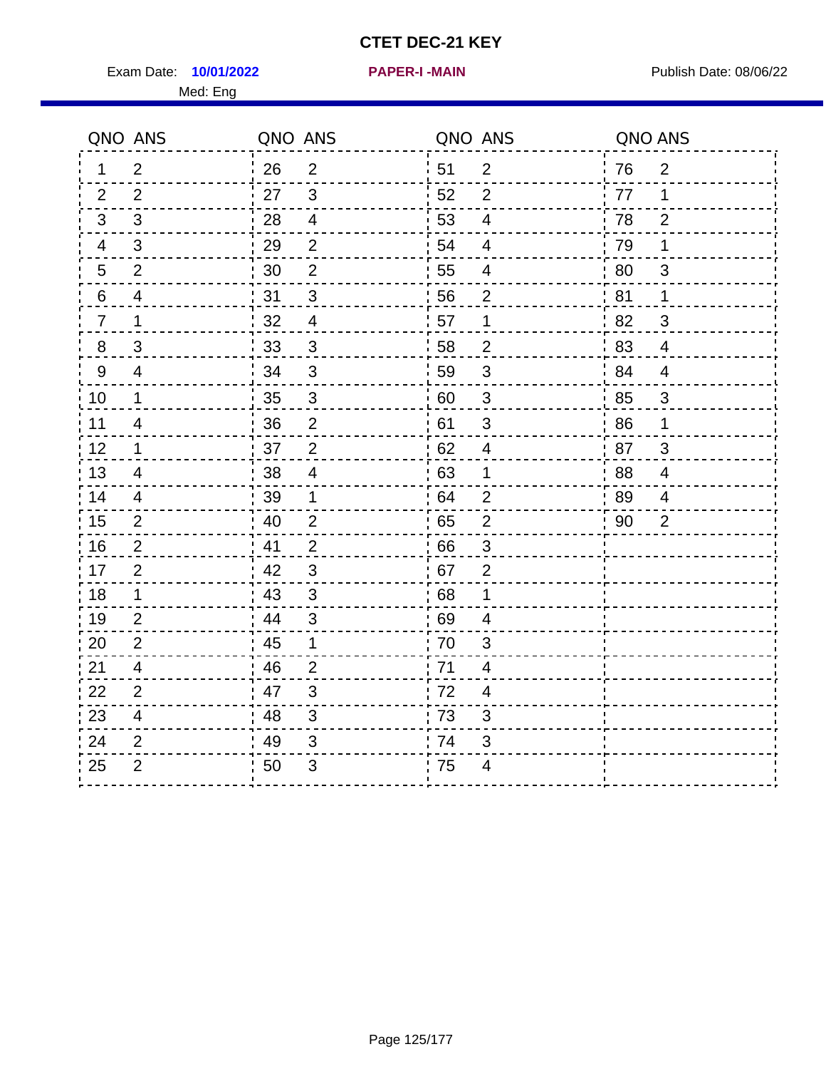Exam Date: 10/01/2022 **PAPER-I-MAIN Exam Date: 08/06/22** Med: Eng

ŕ.

----

**10/01/2022 PAPER-I -MAIN**

| QNO ANS          |                          | QNO ANS |                           | QNO ANS          |                           | QNO ANS |                          |
|------------------|--------------------------|---------|---------------------------|------------------|---------------------------|---------|--------------------------|
| 1                | $\overline{2}$           | 26      | $\overline{2}$            | $\frac{1}{2}$ 51 | $\overline{2}$            | 76      | $\overline{2}$           |
| 2                | 2                        | 27      | 3                         | 52               | $\overline{2}$            | 77      | $\mathbf 1$              |
| 3                | 3                        | 28      | 4                         | 53               | $\overline{4}$            | 78      | $\overline{2}$           |
| $\overline{4}$   | 3                        | 29      | 2                         | 54               | $\overline{4}$            | 79      | 1                        |
| $\overline{5}$   | $\overline{2}$           | 30      | $\overline{2}$            | 55               | $\overline{4}$            | 80      | $\mathfrak{S}$           |
| 6                | $\overline{\mathcal{A}}$ | 31      | $\mathfrak{S}$            | 56               | $\overline{2}$            | 81      | $\mathbf 1$              |
| $\overline{7}$   | 1                        | 32      | $\overline{4}$            | 57               | $\mathbf 1$               | 82      | 3                        |
| $\boldsymbol{8}$ | $\sqrt{3}$               | 33      | $\mathfrak{S}$            | 58               | $\overline{2}$            | 83      | $\overline{\mathcal{A}}$ |
| $9\,$            | $\overline{4}$           | 34      | 3                         | 59               | $\mathfrak{3}$            | 84      | $\overline{\mathcal{A}}$ |
| 10               | $\mathbf 1$              | 35      | 3                         | $\frac{1}{2}$ 60 | $\mathbf{3}$              | 85      | $\mathfrak{S}$           |
| 11               | $\overline{4}$           | 36      | $\overline{2}$            | 61               | 3                         | 86      | 1                        |
| 12               | $\mathbf 1$              | 37      | $\overline{2}$            | 62               | $\overline{\mathcal{A}}$  | 87      | 3                        |
| 13               | $\overline{4}$           | 38      | $\overline{4}$            | 63               | $\mathbf 1$               | 88      | $\overline{\mathbf{4}}$  |
| 14               | 4                        | 39      | 1                         | 64               | $\overline{2}$            | .89     | 4                        |
| 15               | $\overline{c}$           | 40      | $\overline{2}$            | 65               | $\mathbf 2$               | 90      | $\overline{2}$           |
| 16               | $\overline{c}$           | 41      | $\overline{\mathbf{c}}$   | 66               | $\ensuremath{\mathsf{3}}$ |         |                          |
| 17               | $\overline{2}$           | 42      | $\mathfrak{S}$            | 67               | $\boldsymbol{2}$          |         |                          |
| 18               | 1                        | 43      | 3                         | .68              | 1                         |         |                          |
| 19               | $\overline{2}$           | 44      | 3                         | .69              | 4                         |         |                          |
| 20               | 2                        | 45      | 1                         | : 70             | 3                         |         |                          |
| 21               | 4                        | 46      | 2                         | 71               | 4                         |         |                          |
| 22               | $\overline{2}$           | 47      | $\mathfrak{B}$            | 72               | 4                         |         |                          |
| 23               | 4                        | 48      | $\mathbf{3}$              | $\frac{1}{1}$ 73 | $\sqrt{3}$                |         |                          |
| 24               | $\overline{2}$           | 49      | $\ensuremath{\mathsf{3}}$ | 74               | $\sqrt{3}$                |         |                          |

 $\frac{1}{1}$ 

25 2 50 3 75 4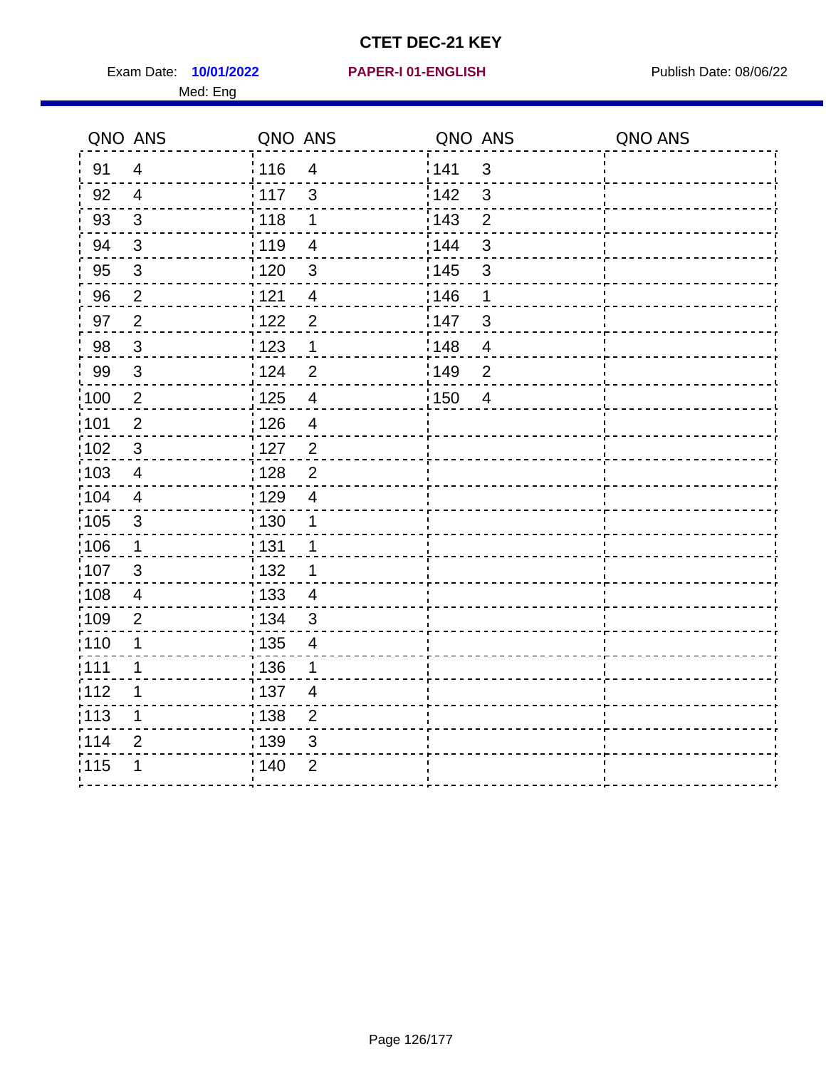Exam Date: 10/01/2022 **PAPER-I 01-ENGLISH Exam Date: 08/06/22** Med: Eng

## **10/01/2022 PAPER-I 01-ENGLISH**

|                   | QNO ANS        | QNO ANS           |                          | QNO ANS |                | QNO ANS |
|-------------------|----------------|-------------------|--------------------------|---------|----------------|---------|
| 91                | $\overline{4}$ | 116               | $\overline{4}$           | 141     | $\mathbf{3}$   |         |
| 92                | $\overline{4}$ | 117               | $\mathfrak{S}$           | 142     | 3              |         |
| 93                | $\mathfrak{Z}$ | 118               | 1                        | 143     | $\overline{2}$ |         |
| 94                | 3              | : 119             | $\overline{4}$           | : 144   | $\mathfrak{S}$ |         |
| 95                | $\mathfrak{S}$ | : 120             | 3                        | : 145   | $\mathfrak{S}$ |         |
| 96                | $\overline{2}$ | 121               | 4                        | :146    | 1              |         |
| 97                | $\mathbf 2$    | 122               | $\overline{2}$           | 147     | $\sqrt{3}$     |         |
| 98                | $\mathbf{3}$   | $\frac{1}{2}$ 123 | $\mathbf 1$              | 148     | $\overline{4}$ |         |
| 99                | $\sqrt{3}$     | 124               | $\overline{2}$           | 149     | $\overline{2}$ |         |
| $\frac{1}{1}$ 100 | $\sqrt{2}$     | $\frac{1}{1}$ 125 | $\overline{4}$           | 150     | $\overline{4}$ |         |
| :101              | $\mathbf 2$    | : 126             | $\overline{4}$           |         |                |         |
| 102               | $\mathbf{3}$   | : 127             | $\overline{2}$           |         |                |         |
| :103              | $\overline{4}$ | : 128             | $\overline{2}$           |         |                |         |
| $\frac{1}{104}$   | $\overline{4}$ | 129               | $\overline{4}$           |         |                |         |
| 105               | $\sqrt{3}$     | : 130             | $\mathbf 1$              |         |                |         |
| :106              | $\mathbf{1}$   | : 131             | 1                        |         |                |         |
| 107               | $\mathfrak{B}$ | : 132             | 1                        |         |                |         |
| 108               | $\overline{4}$ | : 133             | $\overline{4}$           |         |                |         |
| :109              | $\overline{2}$ | : 134             | $\mathbf{3}$             |         |                |         |
| :110              | 1              | : 135             | $\overline{\mathcal{A}}$ |         |                |         |
| : 111             | 1              | : 136             | 1                        |         |                |         |
| 112               | 1              | : 137             | $\overline{4}$           |         |                |         |
| 113               | 1              | : 138             | $\overline{c}$           |         |                |         |
| 114               | 2              | 139               | 3                        |         |                |         |
| 115               | 1              | 140               | $\overline{2}$           |         |                |         |
|                   |                |                   |                          |         |                |         |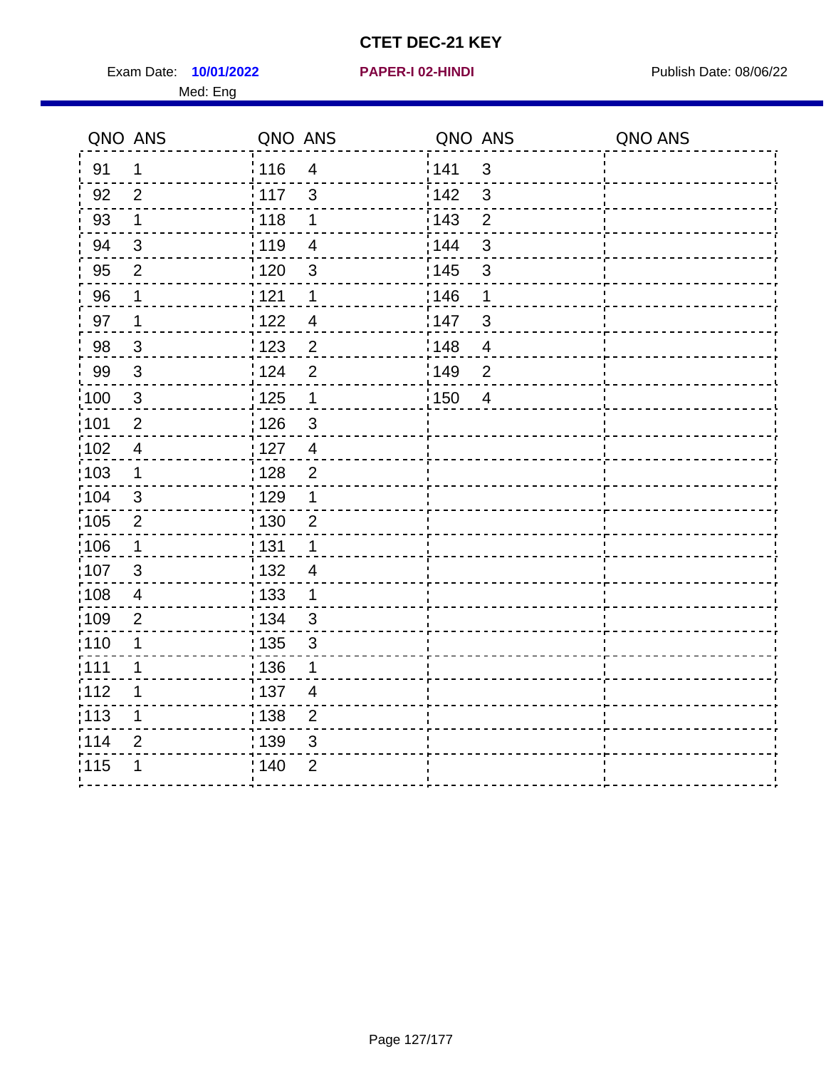Exam Date: 10/01/2022 **PAPER-I 02-HINDI Exam Date: 08/06/22** Med: Eng

|       | QNO ANS        | QNO ANS           |                | QNO ANS           |                | QNO ANS |
|-------|----------------|-------------------|----------------|-------------------|----------------|---------|
| 91    | 1              | : 116             | $\overline{4}$ | 141               | $\mathbf{3}$   |         |
| 92    | $\overline{2}$ | 117               | 3              | 142               | $\mathbf{3}$   |         |
| 93    | $\mathbf 1$    | 118               | 1              | 143               | $\overline{2}$ |         |
| 94    | $\mathfrak{S}$ | : 119             | $\overline{4}$ | 144               | $\mathbf{3}$   |         |
| 95    | $\overline{2}$ | : 120             | $\mathbf{3}$   | : 145             | $\sqrt{3}$     |         |
| 96    | 1              | 121               | 1              | 146               | 1              |         |
| 97    | $\mathbf 1$    | 1122              | $\overline{4}$ | 147               | $\sqrt{3}$     |         |
| 98    | $\mathbf{3}$   | : 123             | $\overline{2}$ | 148               | $\overline{4}$ |         |
| 99    | $\sqrt{3}$     | 124               | $\overline{2}$ | :149              | $\mathbf 2$    |         |
| 100   | $\sqrt{3}$     | $\frac{1}{1}$ 125 | $\mathbf 1$    | $\frac{1}{1}$ 150 | $\overline{4}$ |         |
| 101   | $\mathbf 2$    | 126               | $\mathfrak{S}$ |                   |                |         |
| 102   | $\overline{4}$ | : 127             | $\overline{4}$ |                   |                |         |
| 103   | $\mathbf 1$    | : 128             | $\overline{2}$ |                   |                |         |
| :104  | $\mathfrak{B}$ | : 129             | 1              |                   |                |         |
| 105   | $\sqrt{2}$     | $\frac{1}{1}$ 130 | $\overline{2}$ |                   |                |         |
| 106   | 1              | : 131             | 1              |                   |                |         |
| 107   | 3              | :132              | $\overline{4}$ |                   |                |         |
| :108  | $\overline{4}$ | $\frac{1}{1}$ 133 | $\mathbf{1}$   |                   |                |         |
| :109  | $\overline{2}$ | : 134             | $\mathbf{3}$   |                   |                |         |
| :110  | 1              | : 135             | 3              |                   |                |         |
| 111   | $\mathbf 1$    | : 136             | $\mathbf 1$    |                   |                |         |
| 112   | 1              | $\frac{1}{1}$ 137 | $\overline{4}$ |                   |                |         |
| : 113 | 1              | : 138             | $\overline{2}$ |                   |                |         |
| 114   | $\overline{2}$ | : 139             | 3              |                   |                |         |
| 115   | 1              | 140               | $\overline{2}$ |                   |                |         |
|       |                |                   |                |                   |                |         |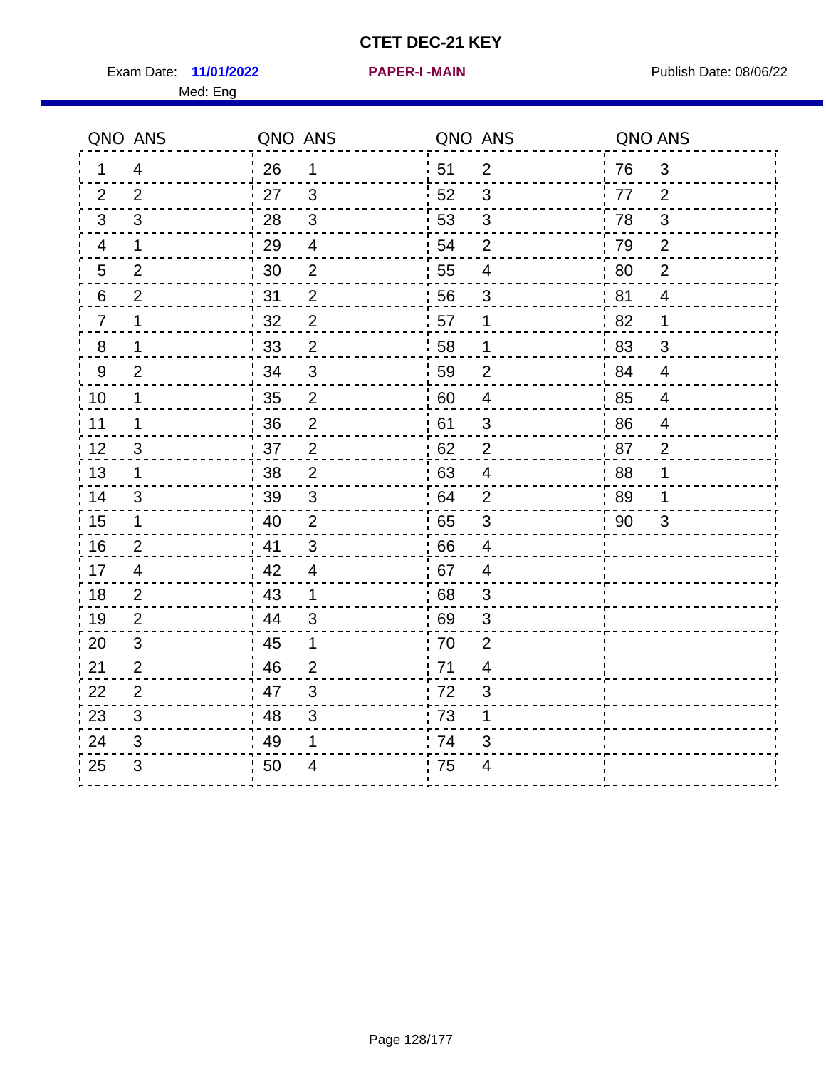Exam Date: 11/01/2022 **PAPER-I-MAIN Exam Date: 08/06/22** Med: Eng

**11/01/2022 PAPER-I -MAIN**

QNO ANS QNO ANS QNO ANS QNO ANS QNO ANS 1 4 2 2 3 3 4 1 5 2 6 2  $7 - 1$  8 1 9 2  $10 - 1$  11 1  $12 - 3$  13 1 14 3  $15 - 1$  16 2 26 1 27 3  $28 - 3$  29 4 30 2  $31 \t 2$  $32 - 2$  33 2 34 3  $35 - 2$  36 2  $37 - 2$  38 2 39 3  $40$  2  $41 \t3$  51 2 52 3 53 3 54 2  $55 - 4$  56 3  $57 - 1$  58 1 59 2 60 4 61 3  $62 - 2$  63 4 64 2 65 3 66 4 76 3 77 2 78 3 79 2 80 2 81 4  $82 - 1$  83 3  $84 \n-- 4$  85 4 86 4  $87 - 2$  88 1 89 1 90 3

25 3 50 4 75 4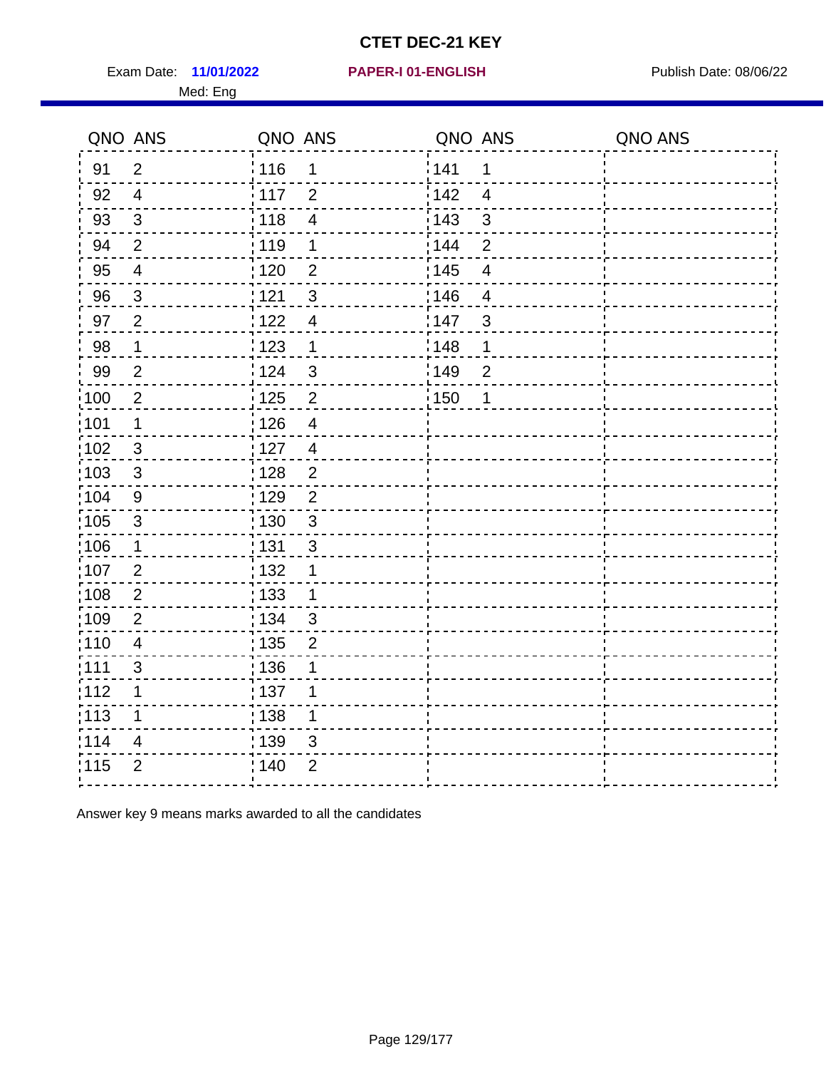Exam Date: 11/01/2022 **PAPER-I 01-ENGLISH Exam Date: 08/06/22** Med: Eng

### **11/01/2022 PAPER-I 01-ENGLISH**

|                   | QNO ANS                  | QNO ANS           |                | QNO ANS |                         | QNO ANS |
|-------------------|--------------------------|-------------------|----------------|---------|-------------------------|---------|
| 91                | $\overline{2}$           | : 116             | 1              | 141     | 1                       |         |
| 92                | $\overline{4}$           | : 117             | $\overline{2}$ | 142     | $\overline{4}$          |         |
| 93                | $\mathfrak{S}$           | : 118             | $\overline{4}$ | 143     | 3                       |         |
| 94                | $\overline{2}$           | : 119             | 1              | 144     | $\overline{2}$          |         |
| 95                | $\overline{\mathbf{4}}$  | : 120             | $\overline{2}$ | : 145   | $\overline{\mathbf{4}}$ |         |
| 96                | $\mathbf{3}$             | 121               | 3              | :146    | $\overline{4}$          |         |
| 97                | $\overline{2}$           | 122               | $\overline{4}$ | 147     | $\mathfrak{B}$          |         |
| 98                | $\mathbf 1$              | 1123              | 1              | 148     | 1                       |         |
| 99                | 2                        | 124               | 3              | 149     | $\overline{2}$          |         |
| $\frac{1}{1}$ 100 | $\overline{2}$           | $\frac{1}{1}$ 125 | $\overline{2}$ | 150     | 1                       |         |
| :101              | $\mathbf 1$              | : 126             | $\overline{4}$ |         |                         |         |
| $\frac{1}{1}$ 102 | $\mathbf{3}$             | : 127             | $\overline{4}$ |         |                         |         |
| 103               | 3                        | 128               | $\overline{2}$ |         |                         |         |
| :104              | 9                        | :129              | $\overline{2}$ |         |                         |         |
| $\frac{1}{1}$ 105 | $\mathbf{3}$             | : 130             | $\mathfrak{3}$ |         |                         |         |
| 106               | $\mathbf 1$              | : 131             | 3              |         |                         |         |
| 107               | $\overline{2}$           | : 132             | 1              |         |                         |         |
| :108              | $\overline{2}$           | : 133             | 1              |         |                         |         |
| :109              | $\overline{2}$           | : 134             | $\mathfrak{S}$ |         |                         |         |
| : 110             | $\overline{4}$           | : 135             | $\overline{2}$ |         |                         |         |
| :111              | 3                        | : 136             | 1              |         |                         |         |
| 112               | 1                        | :137              | 1              |         |                         |         |
| $\frac{1}{1}$ 113 | 1                        | : 138             | $\mathbf 1$    |         |                         |         |
| 114               | $\overline{\mathcal{A}}$ | : 139             | 3              |         |                         |         |
| 115               | $\overline{2}$           | : 140             | $\overline{2}$ |         |                         |         |
|                   |                          |                   |                |         |                         |         |

Answer key 9 means marks awarded to all the candidates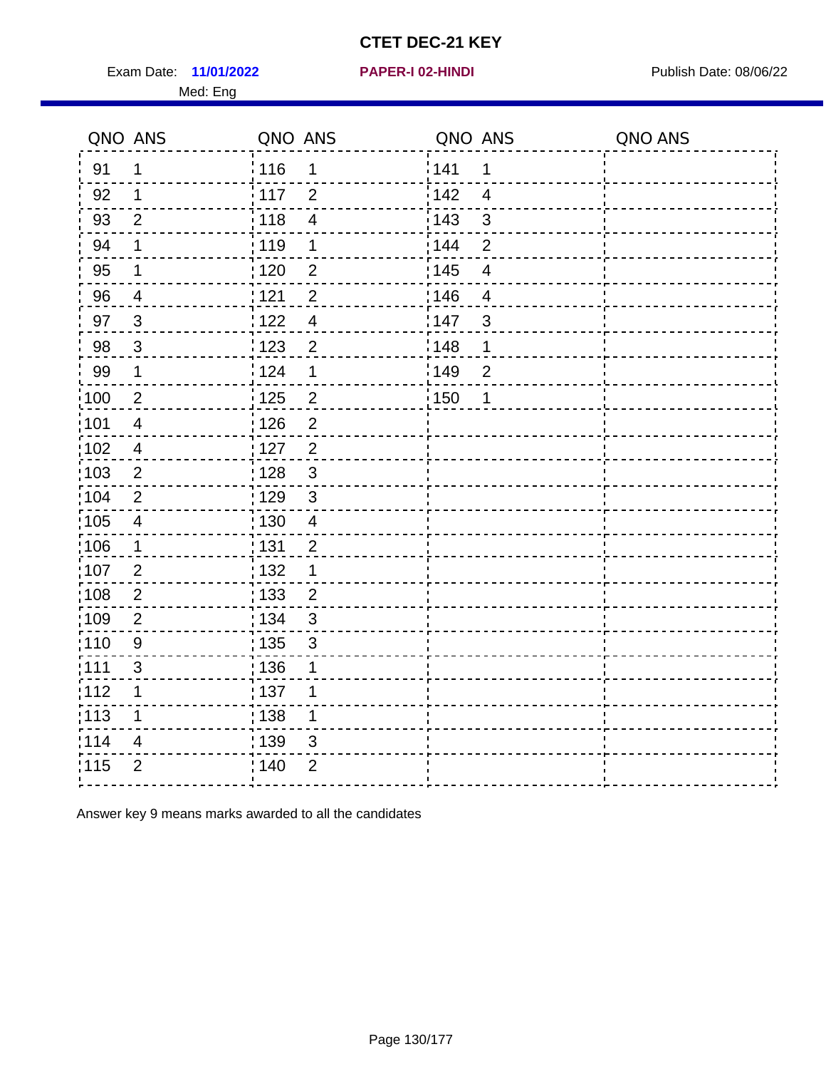Exam Date: 11/01/2022 **PAPER-I 02-HINDI Exam Date: 08/06/22** Med: Eng

#### **11/01/2022 PAPER-I 02-HINDI**

| QNO ANS           |                         | QNO ANS           |                         | QNO ANS |                         | QNO ANS |
|-------------------|-------------------------|-------------------|-------------------------|---------|-------------------------|---------|
| 91                | $\mathbf 1$             | : 116             | 1                       | 141     | 1                       |         |
| 92                | $\mathbf 1$             | 117               | $\overline{2}$          | 142     | $\overline{4}$          |         |
| 93                | $\overline{2}$          | 118               | $\overline{\mathbf{4}}$ | 143     | $\mathbf{3}$            |         |
| 94                | $\mathbf 1$             | : 119             | $\mathbf 1$             | 144     | $\overline{2}$          |         |
| 95                | $\mathbf 1$             | : 120             | $\overline{2}$          | : 145   | $\overline{\mathbf{4}}$ |         |
| 96                | $\overline{4}$          | 121               | $\overline{2}$          | 146     | $\overline{4}$          |         |
| 97                | $\mathbf{3}$            | 1122              | $\overline{4}$          | 147     | $\mathfrak{S}$          |         |
| 98                | $\mathbf{3}$            | 123               | $\overline{2}$          | : 148   | 1                       |         |
| 99                | $\mathbf 1$             | 124               | $\mathbf 1$             | 149     | $\overline{2}$          |         |
| $\frac{1}{2}100$  | $\overline{2}$          | 125               | $\overline{c}$          | 150     | 1                       |         |
| :101              | $\overline{4}$          | : 126             | $\overline{2}$          |         |                         |         |
| 102               | $\overline{4}$          | : 127             | $\overline{2}$          |         |                         |         |
| 103               | 2                       | : 128             | 3                       |         |                         |         |
| :104              | $\overline{2}$          | : 129             | $\mathbf{3}$            |         |                         |         |
| $\frac{1}{1}$ 105 | $\overline{\mathbf{4}}$ | : 130             | $\overline{4}$          |         |                         |         |
| $\frac{1}{1}$ 106 | $\mathbf 1$             | : 131             | $\overline{2}$          |         |                         |         |
| 107               | $\overline{2}$          | : 132             | 1                       |         |                         |         |
| 108               | $\overline{2}$          | 133               | $\overline{2}$          |         |                         |         |
| 109               | $\overline{2}$          | : 134             | $\mathfrak{S}$          |         |                         |         |
| :110              | $\boldsymbol{9}$        | $\frac{1}{1}$ 135 | 3                       |         |                         |         |
| :111              | 3                       | : 136             | 1                       |         |                         |         |
| 112               | $\mathbf 1$             | : 137             | 1                       |         |                         |         |
| :113              | $\mathbf 1$             | , 138             | $\mathbf 1$             |         |                         |         |
| 114               | 4                       | : 139             | 3                       |         |                         |         |
| 115               | $\overline{2}$          | 140               | $\overline{2}$          |         |                         |         |
|                   |                         |                   |                         |         |                         |         |

Answer key 9 means marks awarded to all the candidates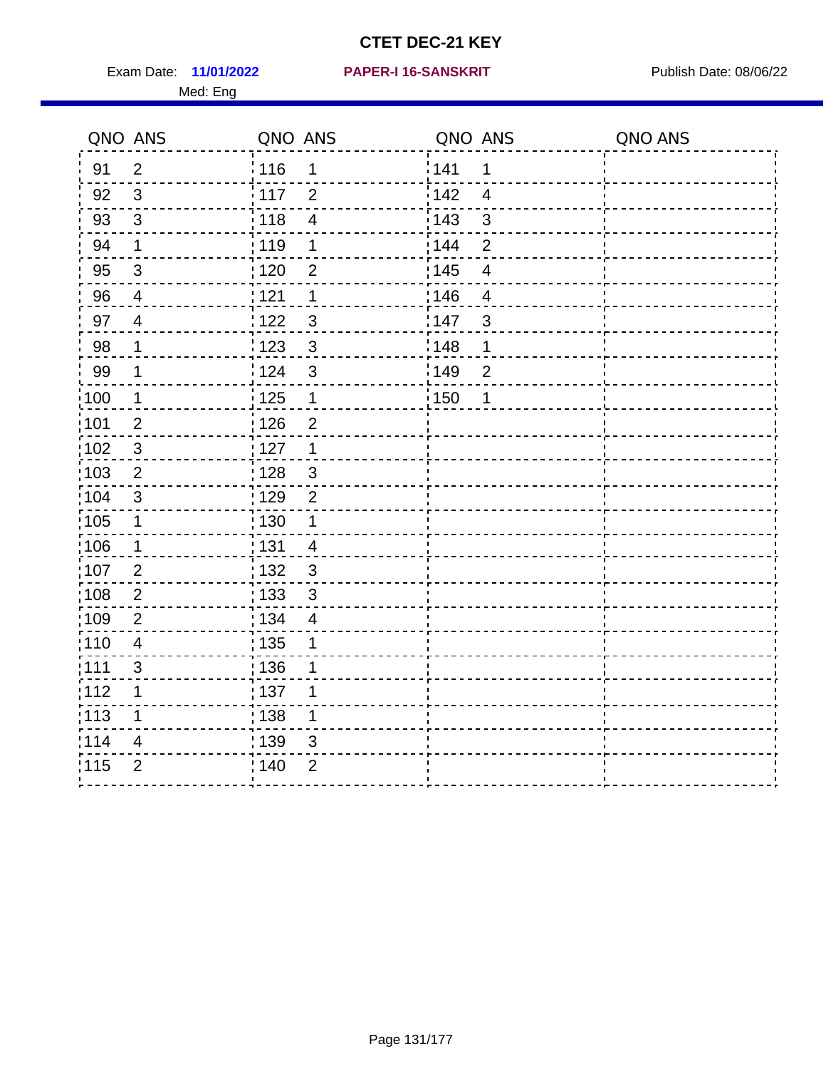Exam Date: 11/01/2022 PAPER-I 16-SANSKRIT Publish Date: 08/06/22 Med: Eng

### **11/01/2022 PAPER-I 16-SANSKRIT**

|                   | QNO ANS                 | QNO ANS |                          | QNO ANS           |                         | QNO ANS |
|-------------------|-------------------------|---------|--------------------------|-------------------|-------------------------|---------|
| 91                | $\overline{2}$          | : 116   | 1                        | 141               | 1                       |         |
| 92                | 3                       | 117     | $\overline{2}$           | 142               | $\overline{4}$          |         |
| 93                | $\mathsf 3$             | 118     | $\overline{\mathcal{A}}$ | 143               | 3                       |         |
| 94                | $\mathbf 1$             | : 119   | 1                        | 144               | $\overline{2}$          |         |
| 95                | $\sqrt{3}$              | : 120   | $\overline{2}$           | : 145             | $\overline{\mathbf{4}}$ |         |
| 96                | 4                       | 1121    | 1                        | 146               | $\overline{4}$          |         |
| 97                | $\overline{4}$          | 122     | $\mathfrak{S}$           | 147               | $\mathfrak{S}$          |         |
| 98                | $\mathbf 1$             | 123     | $\mathbf{3}$             | 148               | 1                       |         |
| 99                | $\mathbf 1$             | 124     | $\mathbf{3}$             | 149               | $\overline{2}$          |         |
| 100               | $\mathbf 1$             | 125     | $\mathbf{1}$             | $\frac{1}{1}$ 150 | 1                       |         |
| 101               | $\overline{2}$          | : 126   | $\overline{2}$           |                   |                         |         |
| :102              | $\sqrt{3}$              | : 127   | $\mathbf{1}$             |                   |                         |         |
| 103               | 2                       | : 128   | $\mathbf{3}$             |                   |                         |         |
| 104               | 3                       | : 129   | $\overline{2}$           |                   |                         |         |
| 105               | $\mathbf 1$             | 130     | $\mathbf{1}$             |                   |                         |         |
| :106              | $\mathbf 1$             | : 131   | $\overline{4}$           |                   |                         |         |
| 107               | $\overline{2}$          | : 132   | 3                        |                   |                         |         |
| 108               | $\overline{c}$          | : 133   | $\mathbf{3}$             |                   |                         |         |
| :109              | $\overline{2}$          | : 134   | $\overline{4}$           |                   |                         |         |
| : 110             | $\overline{\mathbf{4}}$ | 135     | 1                        |                   |                         |         |
| 1111              | $\mathfrak{S}$          | : 136   | 1                        |                   |                         |         |
| 112               | 1                       | : 137   | 1                        |                   |                         |         |
| $\frac{1}{1}$ 113 | $\mathbf 1$             | : 138   | 1                        |                   |                         |         |
| 114               | 4                       | 139     | 3                        |                   |                         |         |
| 115               | $\overline{2}$          | 140     | $\overline{2}$           |                   |                         |         |
|                   |                         |         |                          |                   |                         |         |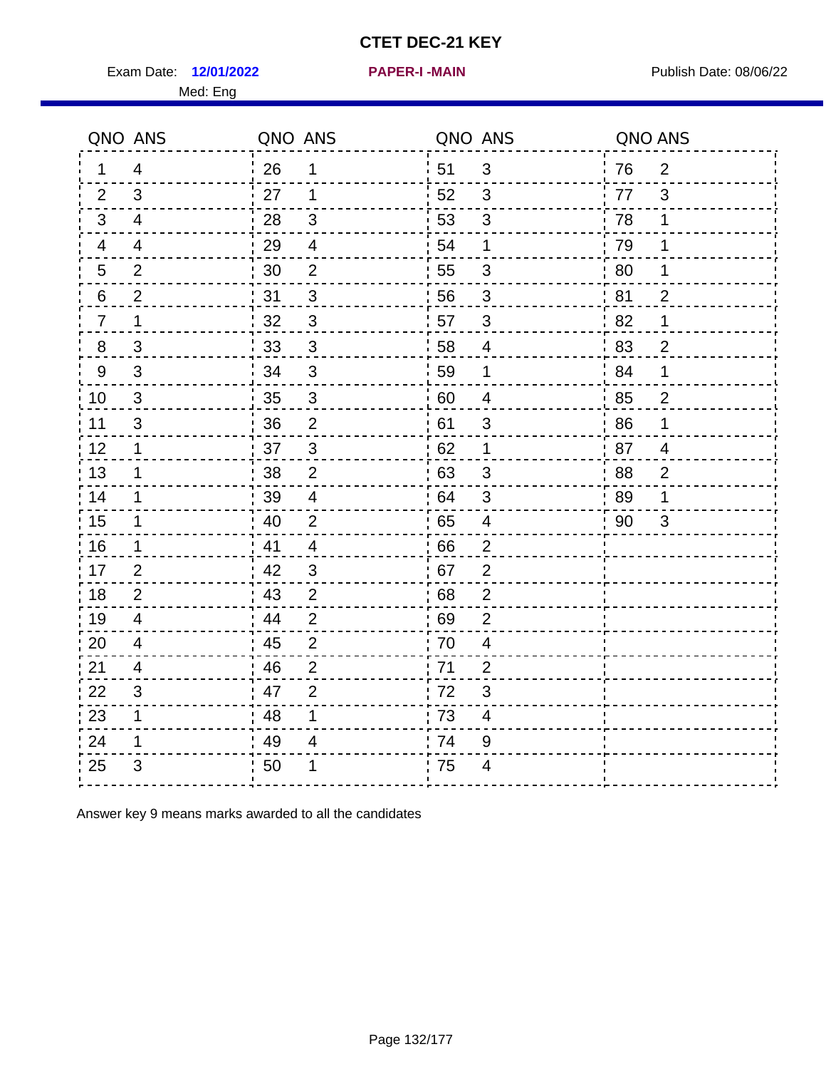Exam Date: 12/01/2022 **PAPER-I-MAIN Exam Date: 08/06/22** Med: Eng

|                | QNO ANS        | QNO ANS |                |    | QNO ANS                   | QNO ANS |                |
|----------------|----------------|---------|----------------|----|---------------------------|---------|----------------|
| 1              | $\overline{4}$ | 26      | 1              | 51 | 3                         | 76      | $\overline{2}$ |
| 2              | 3              | 27      | $\mathbf 1$    | 52 | 3                         | 77      | 3              |
| $\mathbf{3}$   | $\overline{4}$ | 28      | $\mathfrak{B}$ | 53 | $\mathfrak{3}$            | 78      | 1              |
| 4              | 4              | 29      | $\overline{4}$ | 54 | 1                         | 79      | 1              |
| $\overline{5}$ | $\overline{2}$ | 30      | $\mathbf{2}$   | 55 | $\ensuremath{\mathsf{3}}$ | 80      | 1              |
| 6              | $\overline{2}$ | 31      | 3              | 56 | 3                         | 81      | $\overline{2}$ |
| $\overline{7}$ | 1              | 32      | 3              | 57 | $\mathfrak{S}$            | 82      | 1              |
| 8              | $\mathfrak{S}$ | 33      | $\sqrt{3}$     | 58 | $\overline{4}$            | 83      | $\overline{2}$ |
| $9\,$          | 3              | 34      | $\mathfrak{S}$ | 59 | $\mathbf 1$               | 84      | 1              |
| 10             | 3              | 35      | $\mathfrak{S}$ | 60 | $\overline{\mathcal{A}}$  | 85      | $\frac{2}{5}$  |
| 11             | $\mathfrak{S}$ | 36      | $\overline{2}$ | 61 | $\ensuremath{\mathsf{3}}$ | 86      | 1              |
| 12             | 1              | 37      | $\sqrt{3}$     | 62 | 1                         | 87      | $\overline{4}$ |
| 13             | 1              | 38      | $\overline{2}$ | 63 | 3                         | 88      | $\overline{2}$ |
| 14             | 1              | 39      | 4              | 64 | 3                         | 89      | 1              |
| 15             | $\mathbf 1$    | 40      | $\overline{2}$ | 65 | $\overline{\mathbf{4}}$   | 90      | 3              |
| 16             | $\mathbf 1$    | 41      | $\overline{4}$ | 66 | $\overline{2}$            |         |                |
| 17             | $\overline{2}$ | 42      | 3              | 67 | $\overline{2}$            |         |                |
| 18             | $\overline{2}$ | 43      | $\overline{2}$ | 68 | $\mathbf 2$               |         |                |
| 19             | $\overline{4}$ | 44      | $\overline{2}$ | 69 | $\overline{2}$            |         |                |
| 20             | $\overline{4}$ | 45      | $\overline{2}$ | 70 | $\overline{\mathbf{4}}$   |         |                |
| 21             | 4              | 46      | $\overline{2}$ | 71 | $\overline{2}$            |         |                |
| 22             | 3              | 47      | 2              | 72 | $\mathfrak{B}$            |         |                |
| 23             | 1              | 48      | 1              | 73 | $\overline{\mathbf{4}}$   |         |                |
| 24             | 1              | 49      | 4              | 74 | $9\,$                     |         |                |
| 25             | 3              | 50      | 1              | 75 | 4                         |         |                |

Answer key 9 means marks awarded to all the candidates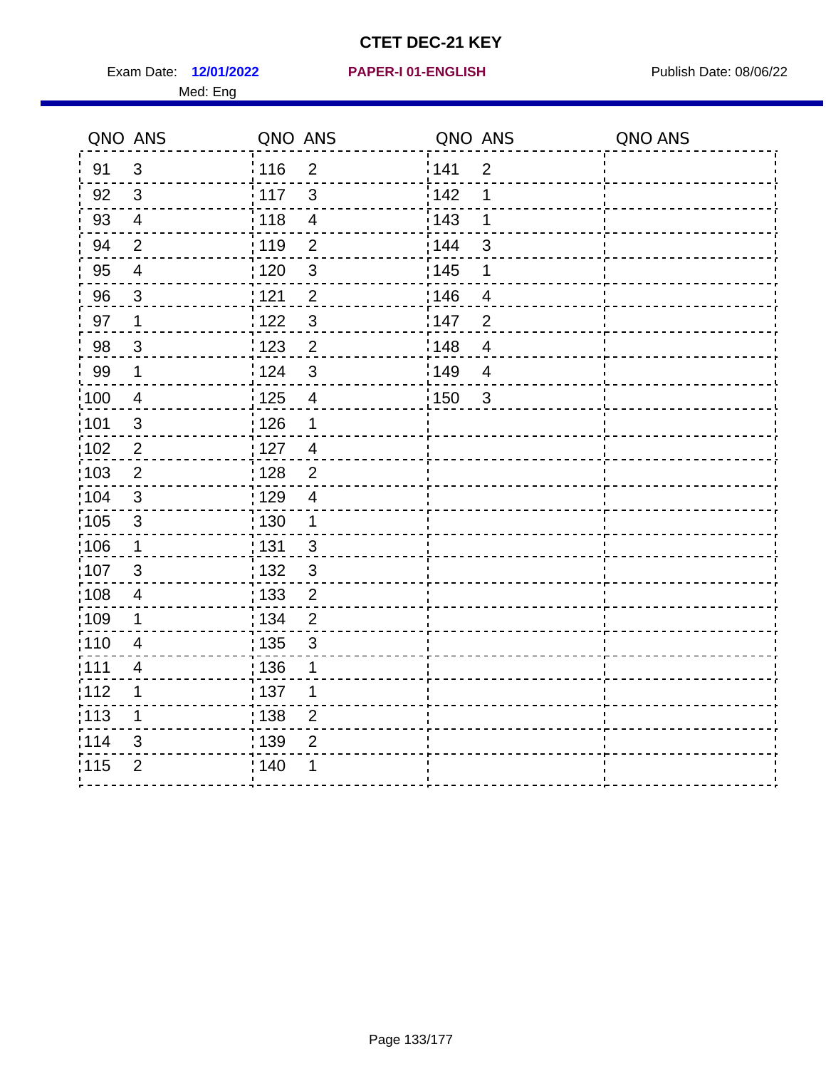Exam Date: 12/01/2022 **PAPER-I 01-ENGLISH Exam Date: 08/06/22** Med: Eng

## **12/01/2022 PAPER-I 01-ENGLISH**

|      | QNO ANS                 | QNO ANS           |                         | QNO ANS |                         | QNO ANS |
|------|-------------------------|-------------------|-------------------------|---------|-------------------------|---------|
| 91   | $\mathbf{3}$            | 116               | $\overline{2}$          | 141     | $\overline{2}$          |         |
| 92   | $\mathbf{3}$            | 117               | $\mathfrak{S}$          | 142     | 1                       |         |
| 93   | $\overline{4}$          | 118               | $\overline{\mathbf{4}}$ | 143     | 1                       |         |
| 94   | $\overline{2}$          | : 119             | $\overline{2}$          | : 144   | 3                       |         |
| 95   | $\overline{\mathbf{4}}$ | : 120             | $\sqrt{3}$              | : 145   | 1                       |         |
| 96   | 3                       | 121               | $\overline{2}$          | 146     | 4                       |         |
| 97   | $\mathbf 1$             | 122               | $\mathbf{3}$            | 147     | $\overline{2}$          |         |
| 98   | $\mathbf{3}$            | $\frac{1}{2}$ 123 | $\overline{2}$          | 148     | $\overline{\mathbf{4}}$ |         |
| 99   | $\mathbf 1$             | 124               | $\mathfrak{S}$          | :149    | $\overline{4}$          |         |
| 100  | $\overline{4}$          | $\frac{1}{1}$ 125 | $\overline{4}$          | 150     | $\mathbf{3}$            |         |
| :101 | $\sqrt{3}$              | : 126             | 1                       |         |                         |         |
| 102  | $\overline{2}$          | : 127             | $\overline{4}$          |         |                         |         |
| 103  | $\overline{2}$          | : 128             | 2                       |         |                         |         |
| :104 | $\mathbf{3}$            | $\frac{1}{1}$ 129 | $\overline{4}$          |         |                         |         |
| 105  | $\sqrt{3}$              | 130               | $\mathbf{1}$            |         |                         |         |
| :106 | $\mathbf{1}$            | : 131             | $\mathbf{3}$            |         |                         |         |
| 107  | $\mathfrak{B}$          | 132               | $\mathbf{3}$            |         |                         |         |
| 108  | $\overline{4}$          | : 133             | $\overline{2}$          |         |                         |         |
| :109 | 1                       | : 134             | $\overline{2}$          |         |                         |         |
| :110 | $\overline{4}$          | : 135             | 3                       |         |                         |         |
| :111 | 4                       | : 136             | 1                       |         |                         |         |
| 112  | 1                       | : 137             | 1                       |         |                         |         |
| 113  | 1                       | : 138             | $\overline{c}$          |         |                         |         |
| 114  | 3                       | 139               | $\overline{2}$          |         |                         |         |
| 115  | $\overline{2}$          | 140               | 1                       |         |                         |         |
|      |                         |                   |                         |         |                         |         |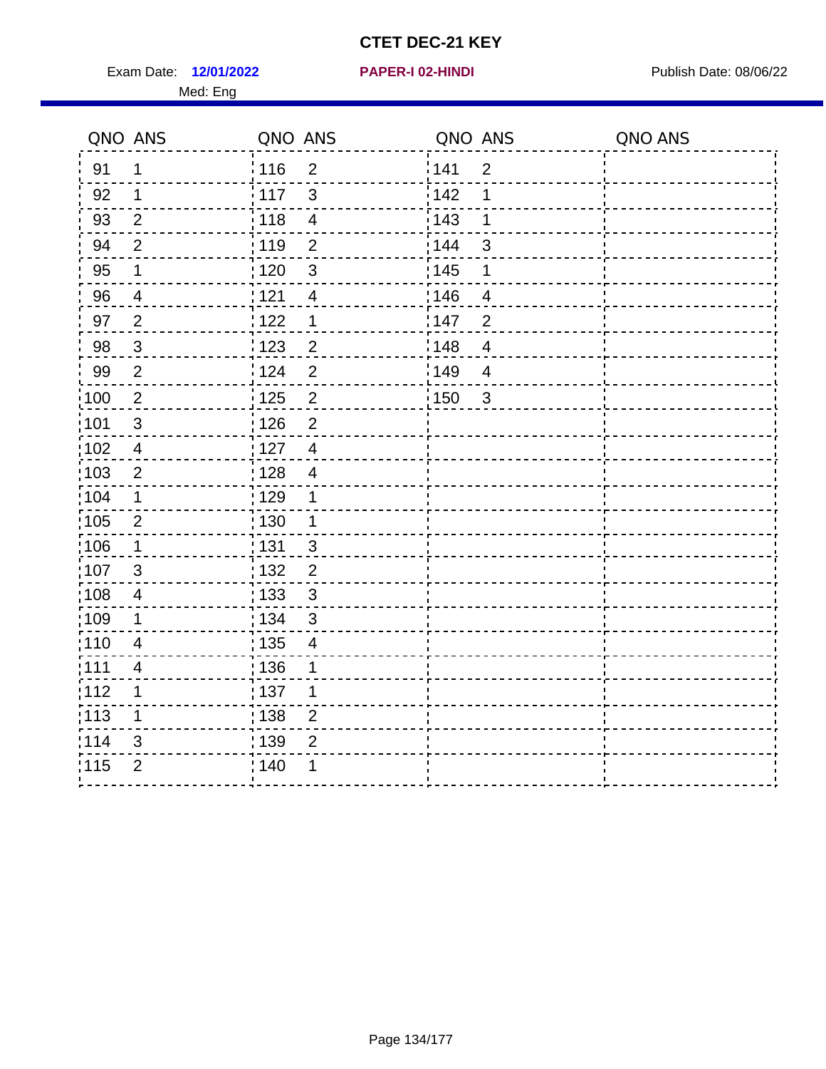Exam Date: 12/01/2022 **PAPER-I 02-HINDI Exam Date: 08/06/22** Med: Eng

| QNO ANS           |                | QNO ANS                             | QNO ANS               | QNO ANS |
|-------------------|----------------|-------------------------------------|-----------------------|---------|
| 91                | 1              | : 116<br>$\overline{2}$             | 141<br>$\overline{2}$ |         |
| 92                | 1              | 117<br>3                            | 142<br>1              |         |
| 93                | $\overline{2}$ | 118<br>$\overline{\mathbf{4}}$      | 143<br>1              |         |
| 94                | $\overline{2}$ | 119<br>$\overline{2}$               | 144<br>$\mathfrak{S}$ |         |
| 95                | $\mathbf 1$    | :120<br>$\mathbf{3}$                | : 145<br>1            |         |
| 96                | $\overline{4}$ | 121<br>$\overline{4}$               | 146<br>4              |         |
| 97                | $\overline{2}$ | 122<br>$\mathbf 1$                  | 147<br>$\overline{2}$ |         |
| 98                | $\mathbf{3}$   | 123<br>$\overline{2}$               | 148<br>$\overline{4}$ |         |
| 99                | $\overline{2}$ | 124<br>$\overline{2}$               | 149<br>$\overline{4}$ |         |
| $\frac{1}{2}100$  | $\overline{2}$ | $\mathbf 2$<br>125                  | 150<br>$\mathbf{3}$   |         |
| 101               | $\sqrt{3}$     | : 126<br>$\overline{2}$             |                       |         |
| 102               | $\overline{4}$ | : 127<br>$\overline{4}$             |                       |         |
| 103               | $\overline{2}$ | : 128<br>$\overline{4}$             |                       |         |
| 104               | 1              | : 129<br>1                          |                       |         |
| 105               | $\overline{2}$ | : 130<br>$\mathbf 1$                |                       |         |
| $\frac{1}{1}$ 106 | $\mathbf 1$    | $\frac{1}{1}$ 131<br>$\mathfrak{S}$ |                       |         |
| 107               | $\mathfrak{S}$ | : 132<br>$\overline{2}$             |                       |         |
| 108               | 4              | : 133<br>3                          |                       |         |
| :109              | $\mathbf 1$    | : 134<br>3                          |                       |         |
| 110               | $\overline{4}$ | : 135<br>$\overline{4}$             |                       |         |
| :111              | $\overline{4}$ | : 136<br>1                          |                       |         |
| :112              | 1              | :137<br>1                           |                       |         |
| :113              | 1              | : 138<br>$\overline{2}$             |                       |         |
| 114               | 3              | : 139<br>$\overline{2}$             |                       |         |
| 115               | $\overline{2}$ | ; 140<br>1                          |                       |         |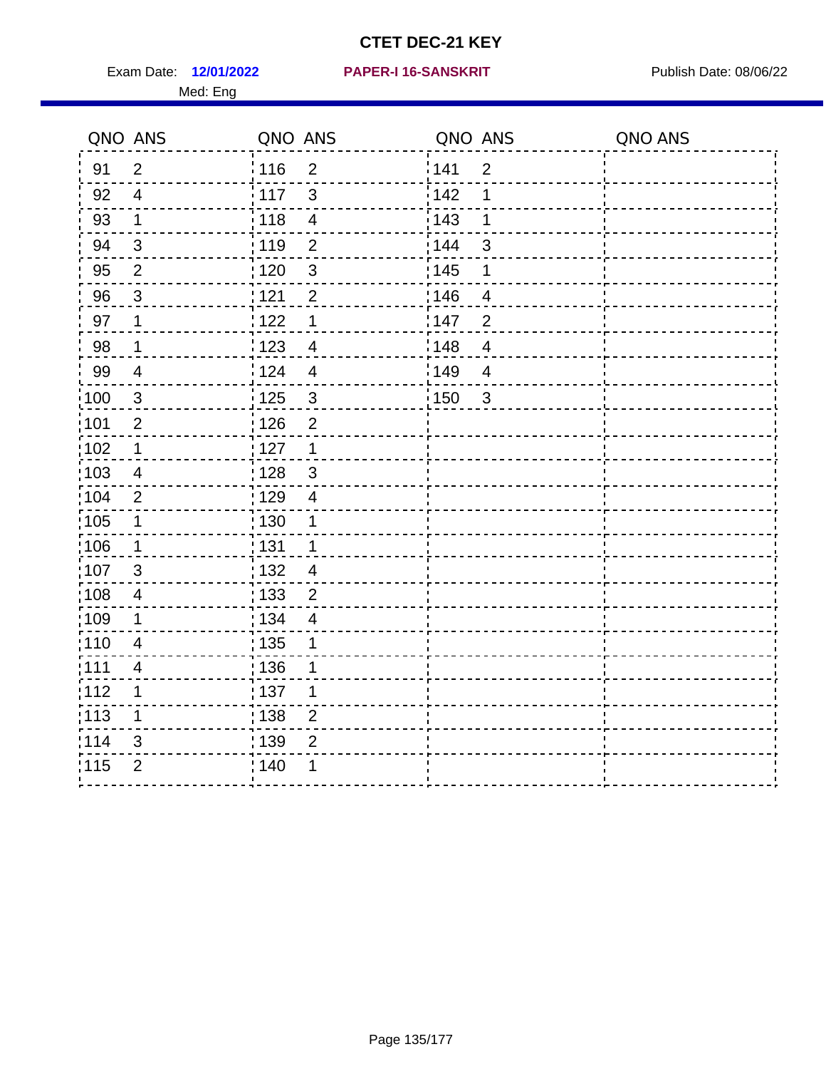Exam Date: 12/01/2022 PAPER-I 16-SANSKRIT Publish Date: 08/06/22 Med: Eng

### **12/01/2022 PAPER-I 16-SANSKRIT**

| QNO ANS           |                | QNO ANS                             | QNO ANS           |                | QNO ANS |
|-------------------|----------------|-------------------------------------|-------------------|----------------|---------|
| 91                | 2              | $\frac{1}{116}$<br>$\overline{2}$   | 141               | $\overline{2}$ |         |
| 92                | $\overline{4}$ | $\mathbf{3}$<br>117                 | 142               | 1              |         |
| 93                | $\mathbf 1$    | 118<br>$\overline{\mathbf{4}}$      | 143               | 1              |         |
| 94                | $\mathbf{3}$   | : 119<br>$\overline{2}$             | : 144             | 3              |         |
| 95                | $\overline{2}$ | : 120<br>$\mathbf{3}$               | : 145             | 1              |         |
| 96                | $\mathfrak{S}$ | 1121<br>$\overline{2}$              | 146               | $\overline{4}$ |         |
| 97                | $\mathbf 1$    | 122<br>$\mathbf 1$                  | 147               | $\overline{2}$ |         |
| 98                | $\mathbf{1}$   | $\frac{1}{2}$ 123<br>$\overline{4}$ | 148               | $\overline{4}$ |         |
| 99                | $\overline{4}$ | 124<br>$\overline{4}$               | 149               | $\overline{4}$ |         |
| $\frac{1}{1}$ 100 | $\sqrt{3}$     | $\frac{1}{1}$ 125<br>$\sqrt{3}$     | $\frac{1}{1}$ 150 | $\mathbf{3}$   |         |
| :101              | $\overline{2}$ | 126<br>$\overline{2}$               |                   |                |         |
| :102              | $\mathbf 1$    | 127<br>$\mathbf{1}$                 |                   |                |         |
| 103               | 4              | $\mathbf{3}$<br>: 128               |                   |                |         |
| 104               | $\overline{2}$ | 129<br>$\overline{4}$               |                   |                |         |
| :105              | $\mathbf{1}$   | $\frac{1}{1}$ 130<br>1              |                   |                |         |
| :106              | $\mathbf{1}$   | : 131<br>$\mathbf 1$                |                   |                |         |
| 107               | $\mathbf{3}$   | :132<br>$\overline{4}$              |                   |                |         |
| 108               | $\overline{4}$ | $\overline{2}$<br>: 133             |                   |                |         |
| :109              | $\mathbf 1$    | : 134<br>$\overline{4}$             |                   |                |         |
| :110              | $\overline{4}$ | 135<br>1                            |                   |                |         |
| 1111              | 4              | 136<br>1                            |                   |                |         |
| 112               | 1              | $\frac{1}{1}$ 137<br>1              |                   |                |         |
| 113               | 1              | $\frac{1}{1}$ 138<br>$\overline{2}$ |                   |                |         |
| 114               | 3              | : 139<br>$\overline{2}$             |                   |                |         |
| 115               | $\overline{2}$ | 140<br>1                            |                   |                |         |
|                   |                |                                     |                   |                |         |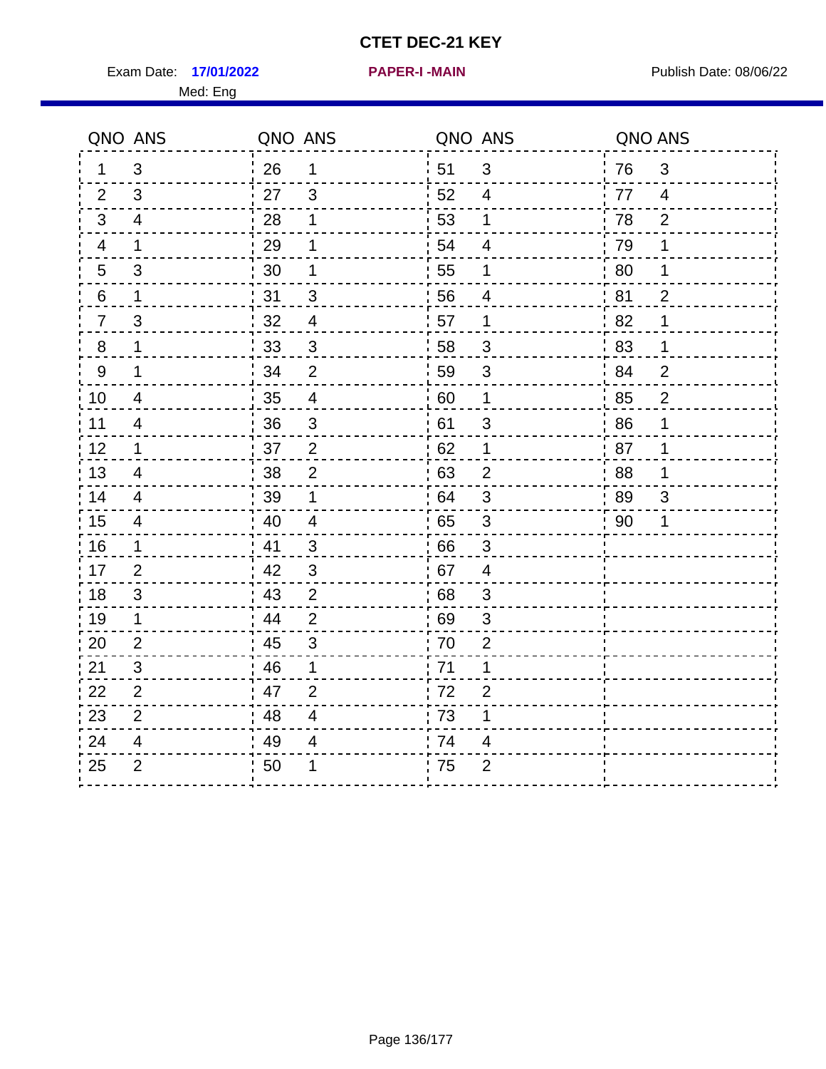Exam Date: 17/01/2022 **PAPER-I-MAIN Exam Date: 08/06/22** Med: Eng

**17/01/2022 PAPER-I -MAIN**

| QNO ANS                           |     | QNO ANS        | QNO ANS |                | QNO ANS |                |
|-----------------------------------|-----|----------------|---------|----------------|---------|----------------|
| 3<br>1                            | 26  | 1              | 51      | $\mathfrak{S}$ | 76      | 3              |
| 3<br>2                            | 27  | 3              | 52      | 4              | 77      | $\overline{4}$ |
| 3<br>$\overline{4}$               | 28  | 1              | 53      | $\mathbf 1$    | 78      | $\overline{2}$ |
| $\mathbf{1}$<br>4                 | 29  | 1              | 54      | 4              | 79      | 1              |
| $\mathfrak{S}$<br>$5\phantom{.0}$ | 30  | 1              | 55      | 1              | 80      | 1              |
| 6<br>$\mathbf 1$                  | 31  | 3              | 56      | 4              | 81      | $\overline{2}$ |
| $\mathfrak{S}$<br>$\overline{7}$  | 32  | $\overline{4}$ | 57      | $\mathbf 1$    | 82      | 1              |
| $\,8\,$<br>$\mathbf 1$            | 33  | $\mathbf{3}$   | 58      | $\mathfrak{S}$ | 83      | 1              |
| $\boldsymbol{9}$<br>1             | 34  | $\overline{2}$ | 59      | 3              | 84      | $\overline{2}$ |
| 10<br>$\overline{\mathcal{A}}$    | 35  | $\overline{4}$ | 60      | $\mathbf 1$    | 85      | $\overline{2}$ |
| 11<br>$\overline{\mathbf{4}}$     | 36  | $\sqrt{3}$     | 61      | $\sqrt{3}$     | 86      | 1              |
| 12<br>$\mathbf 1$                 | 37  | $\overline{2}$ | 62      | 1              | 87      | 1              |
| 13<br>$\overline{4}$              | 38  | $\overline{2}$ | 63      | 2              | 88      | 1              |
| 14<br>4                           | 39  | 1              | 64      | 3              | 89      | 3              |
| 15<br>$\overline{4}$              | 40  | $\overline{4}$ | 65      | $\mathfrak{S}$ | 90      | 1              |
| 16<br>$\mathbf{1}$                | 41  | 3              | 66      | 3              |         |                |
| 17<br>$\overline{2}$              | .42 | $\mathfrak{3}$ | 67      | 4              |         |                |
| 18<br>$\mathfrak{S}$              | 43  | $\overline{2}$ | 68      | 3              |         |                |
| 19<br>$\mathbf 1$                 | 44  | $\overline{2}$ | 69      | $\mathfrak{S}$ |         |                |
| 20<br>$\overline{2}$              | 45  | 3              | 70      | $\overline{2}$ |         |                |
| 3<br>21                           | 46  | 1              | 71      | 1              |         |                |
| $\overline{2}$<br>22              | 47  | $\overline{2}$ | 72      | $\overline{2}$ |         |                |
| 23<br>$\overline{2}$              | 48  | 4              | 73      | 1              |         |                |
| 24<br>$\overline{\mathbf{4}}$     | 49  | 4              | 74      | 4              |         |                |
| $\overline{2}$<br>25              | 50  |                | 75      | $\overline{2}$ |         |                |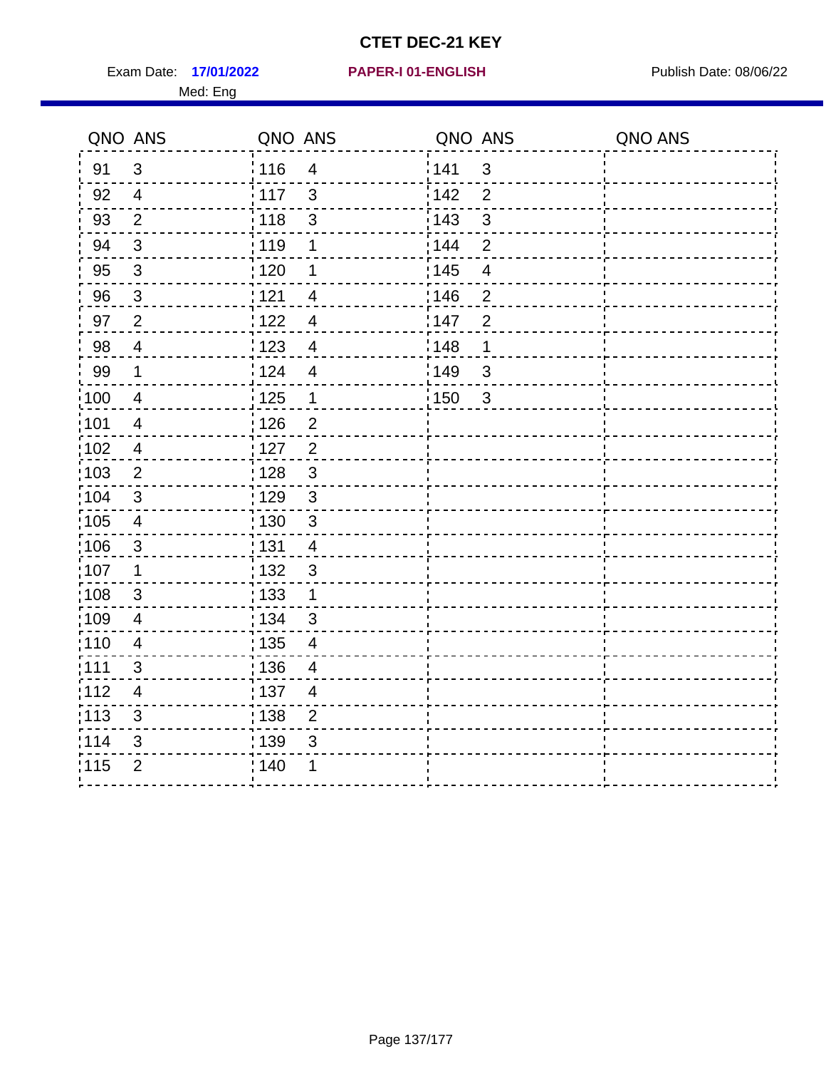Exam Date: 17/01/2022 **PAPER-I 01-ENGLISH Exam Date: 08/06/22** Med: Eng

## **17/01/2022 PAPER-I 01-ENGLISH**

|                   | QNO ANS                  | QNO ANS           |                | QNO ANS |                         | QNO ANS |
|-------------------|--------------------------|-------------------|----------------|---------|-------------------------|---------|
| 91                | $\mathfrak{S}$           | 116               | $\overline{4}$ | 141     | $\mathbf{3}$            |         |
| 92                | $\overline{4}$           | 117               | 3              | 142     | $\overline{2}$          |         |
| 93                | $\overline{2}$           | 118               | $\mathsf 3$    | 143     | 3                       |         |
| 94                | $\mathbf{3}$             | 119               | $\mathbf 1$    | 144     | $\overline{2}$          |         |
| 95                | $\sqrt{3}$               | $\frac{1}{1}$ 120 | 1              | : 145   | $\overline{\mathbf{4}}$ |         |
| 96                | $\mathbf{3}$             | 121               | $\overline{4}$ | : 146   | $\overline{2}$          |         |
| 97                | $\overline{2}$           | 122               | $\overline{4}$ | 147     | $\overline{2}$          |         |
| 98                | $\overline{4}$           | 1123              | $\overline{4}$ | 148     | $\mathbf 1$             |         |
| 99                | $\mathbf 1$              | 124               | $\overline{4}$ | ¦149    | $\mathfrak{S}$          |         |
| $\frac{1}{1}$ 100 | $\overline{4}$           | $\frac{1}{1}$ 125 | $\mathbf 1$    | : 150   | $\mathbf{3}$            |         |
| :101              | $\overline{\mathcal{A}}$ | 126               | $\overline{2}$ |         |                         |         |
| :102              | $\overline{4}$           | 127               | $\overline{2}$ |         |                         |         |
| 103               | $\overline{2}$           | : 128             | $\mathbf{3}$   |         |                         |         |
| 104               | $\mathbf{3}$             | : 129             | $\mathbf{3}$   |         |                         |         |
| :105              | $\overline{4}$           | $\frac{1}{1}$ 130 | $\mathbf{3}$   |         |                         |         |
| 106               | $\mathbf{3}$             | : 131             | $\overline{4}$ |         |                         |         |
| :107              | $\mathbf 1$              | : 132             | $\mathbf{3}$   |         |                         |         |
| 108               | 3                        | $\frac{1}{1}$ 133 | $\mathbf{1}$   |         |                         |         |
| $\frac{1}{1}$ 109 | $\overline{\mathbf{4}}$  | : 134             | $\mathbf{3}$   |         |                         |         |
| : 110             | $\overline{4}$           | : 135             | $\overline{4}$ |         |                         |         |
| :111              | 3                        | : 136             | 4              |         |                         |         |
| 112               | $\overline{4}$           | : 137             | $\overline{4}$ |         |                         |         |
| : 113             | $\mathfrak{S}$           | 138               | $\overline{2}$ |         |                         |         |
| 114               | 3                        | 139               | 3              |         |                         |         |
| 115               | $\overline{2}$           | 140               | 1              |         |                         |         |
|                   |                          |                   |                |         |                         |         |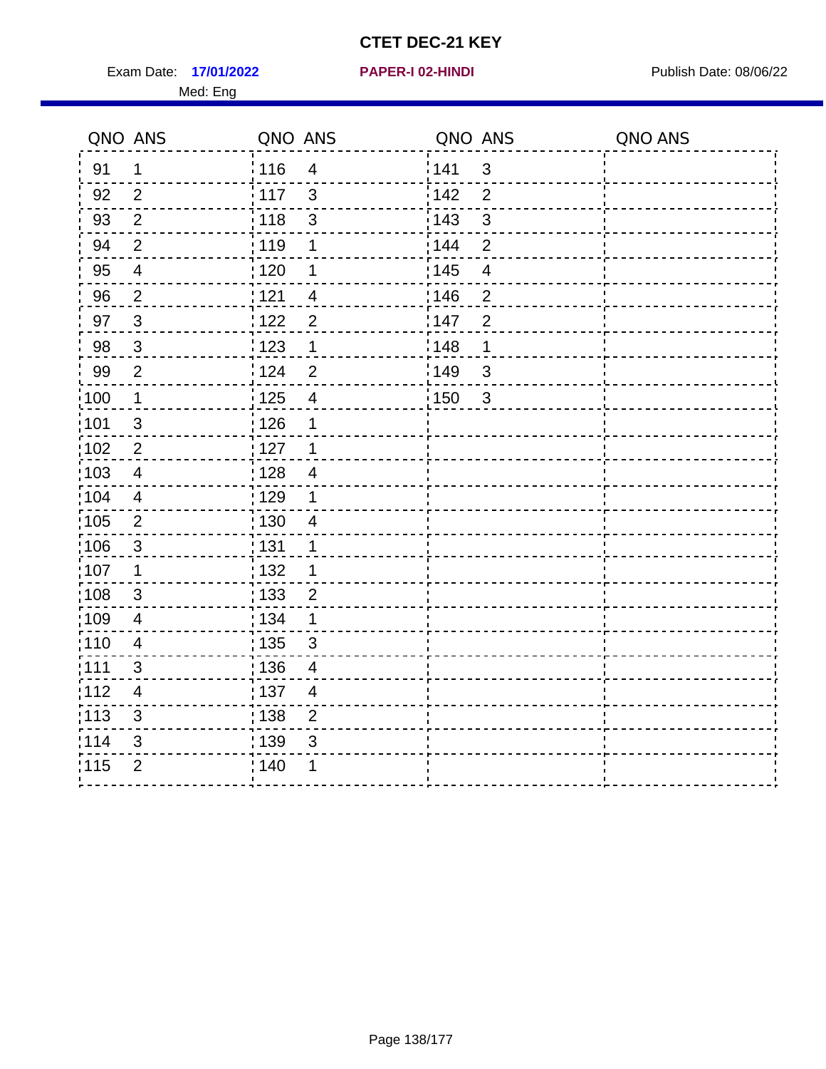Exam Date: 17/01/2022 **PAPER-I 02-HINDI Exam Date: 08/06/22** Med: Eng

|                   | QNO ANS                 | QNO ANS |                         | QNO ANS |                | QNO ANS |
|-------------------|-------------------------|---------|-------------------------|---------|----------------|---------|
| 91                | $\mathbf 1$             | : 116   | $\overline{4}$          | 141     | 3              |         |
| 92                | 2                       | : 117   | $\mathbf{3}$            | 142     | $\overline{2}$ |         |
| 93                | 2                       | 118     | $\mathfrak{S}$          | 143     | $\mathbf{3}$   |         |
| 94                | $\overline{2}$          | 119     | $\mathbf 1$             | 144     | $\overline{2}$ |         |
| 95                | $\overline{\mathbf{4}}$ | :120    | 1                       | : 145   | $\overline{4}$ |         |
| 96                | $\overline{2}$          | 121     | $\overline{4}$          | 146     | $\overline{2}$ |         |
| 97                | $\mathbf{3}$            | 122     | $\overline{2}$          | 147     | $\overline{2}$ |         |
| 98                | $\mathbf{3}$            | 123     | 1                       | 148     | 1              |         |
| 99                | $\overline{2}$          | :124    | $\overline{2}$          | 149     | $\mathbf{3}$   |         |
| $\frac{1}{1}$ 100 | $\mathbf{1}$            | : 125   | $\overline{\mathbf{4}}$ | : 150   | 3              |         |
| :101              | $\mathfrak{S}$          | : 126   | 1                       |         |                |         |
| 102               | $\overline{2}$          | : 127   | $\overline{1}$          |         |                |         |
| 103               | $\overline{4}$          | : 128   | $\overline{4}$          |         |                |         |
| :104              | 4                       | : 129   | 1                       |         |                |         |
| $\frac{1}{1}$ 105 | 2                       | 130     | $\overline{4}$          |         |                |         |
| 106               | $\mathbf{3}$            | : 131   | 1                       |         |                |         |
| 107               | $\mathbf 1$             | : 132   | 1                       |         |                |         |
| 108               | 3                       | : 133   | $\overline{2}$          |         |                |         |
| $\frac{1}{1}$ 109 | 4                       | : 134   | 1                       |         |                |         |
| : 110             | $\overline{\mathbf{4}}$ | : 135   | $\mathfrak{S}$          |         |                |         |
| :111              | 3                       | : 136   | 4                       |         |                |         |
| :112              | $\overline{4}$          | :137    | $\overline{4}$          |         |                |         |
| :113              | 3                       | 138     | $\mathbf 2$             |         |                |         |
| 114               | $\mathfrak{S}$          | : 139   | $\mathsf 3$             |         |                |         |
| 115               | $\overline{2}$          | : 140   |                         |         |                |         |
|                   |                         |         |                         |         |                |         |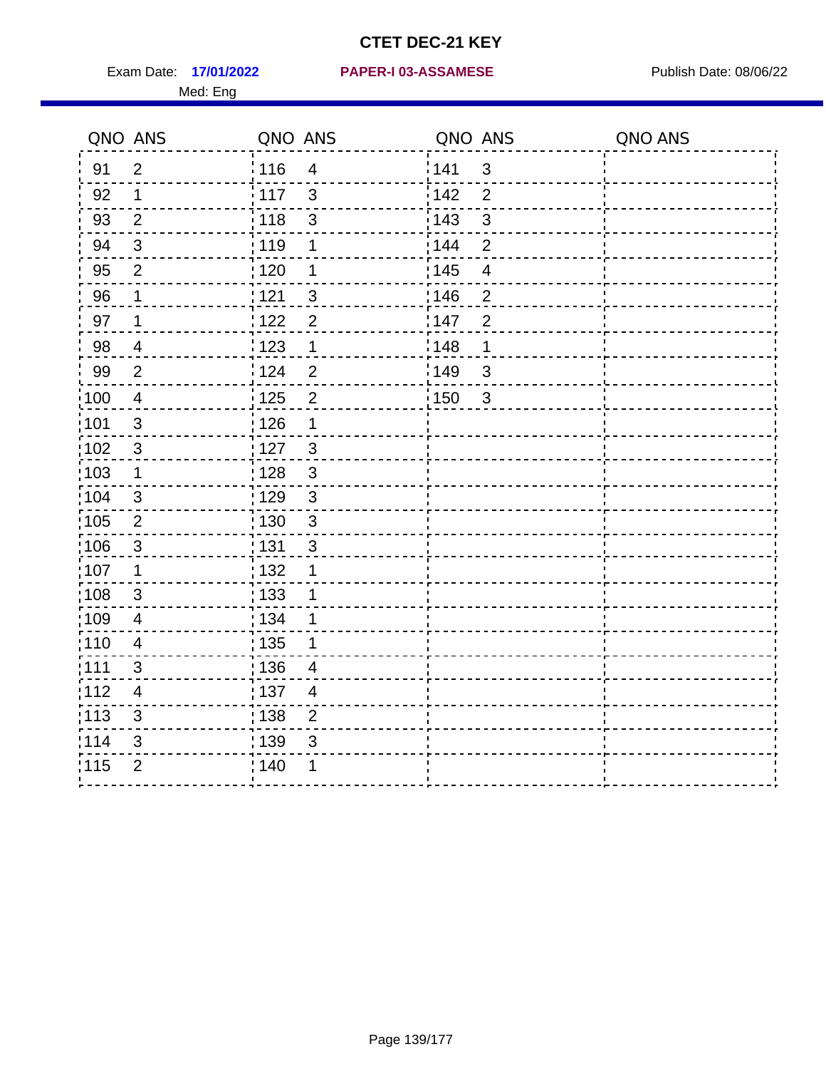Med: Eng

|                   | QNO ANS                  | QNO ANS           |                          | QNO ANS           |                          | QNO ANS |
|-------------------|--------------------------|-------------------|--------------------------|-------------------|--------------------------|---------|
| 91                | $\overline{2}$           | : 116             | $\overline{\mathbf{4}}$  | 141               | $\mathfrak{S}$           |         |
| 92                | $\mathbf 1$              | 117               | $\mathfrak{S}$           | 142               | 2                        |         |
| 93                | $\overline{2}$           | 118               | $\sqrt{3}$               | 143               | $\mathbf{3}$             |         |
| 94                | $\mathbf{3}$             | : 119             | 1                        | 144               | $\overline{2}$           |         |
| 95                | 2                        | : 120             | 1                        | : 145             | $\overline{\mathcal{A}}$ |         |
| 96                | $\mathbf 1$              | : 121             | 3                        | :146              | $\overline{2}$           |         |
| 97                | $\mathbf 1$              | 122               | $\overline{2}$           | 147               | $\overline{2}$           |         |
| 98                | $\overline{\mathcal{A}}$ | $\frac{1}{2}$ 123 | 1                        | 148               | $\mathbf 1$              |         |
| 99                | $\overline{2}$           | 124               | $\overline{2}$           | 149               | $\mathfrak{S}$           |         |
| $\frac{1}{1}$ 100 | $\overline{4}$           | $\frac{1}{1}$ 125 | $\overline{2}$           | $\frac{1}{1}$ 150 | $\mathbf{3}$             |         |
| :101              | $\mathsf 3$              | 126               | 1                        |                   |                          |         |
| 102               | 3                        | $\frac{1}{2}$ 127 | $\mathbf{3}$             |                   |                          |         |
| :103              | $\mathbf 1$              | : 128             | $\mathbf{3}$             |                   |                          |         |
| :104              | $\mathbf{3}$             | : 129             | $\mathfrak{3}$           |                   |                          |         |
| 105               | $\overline{2}$           | $\frac{1}{1}$ 130 | $\mathsf 3$              |                   |                          |         |
| :106              | $\mathbf{3}$             | : 131             | $\mathbf{3}$             |                   |                          |         |
| 107               | $\mathbf 1$              | : 132             | $\mathbf 1$              |                   |                          |         |
| 108               | $\mathbf{3}$             | : 133             | 1                        |                   |                          |         |
| :109              | $\overline{4}$           | : 134             | 1                        |                   |                          |         |
| :110              | $\overline{4}$           | 135               | 1                        |                   |                          |         |
| ;111              | $\mathfrak{S}$           | : 136             | $\overline{4}$           |                   |                          |         |
| 112               | $\overline{\mathcal{A}}$ | : 137             | $\overline{\mathcal{A}}$ |                   |                          |         |
| 113               | $\sqrt{3}$               | : 138             | $\overline{c}$           |                   |                          |         |
| 114               | 3                        | : 139             | 3                        |                   |                          |         |
| 115               | $\overline{2}$           | 140               | 1                        |                   |                          |         |
|                   |                          |                   |                          |                   |                          |         |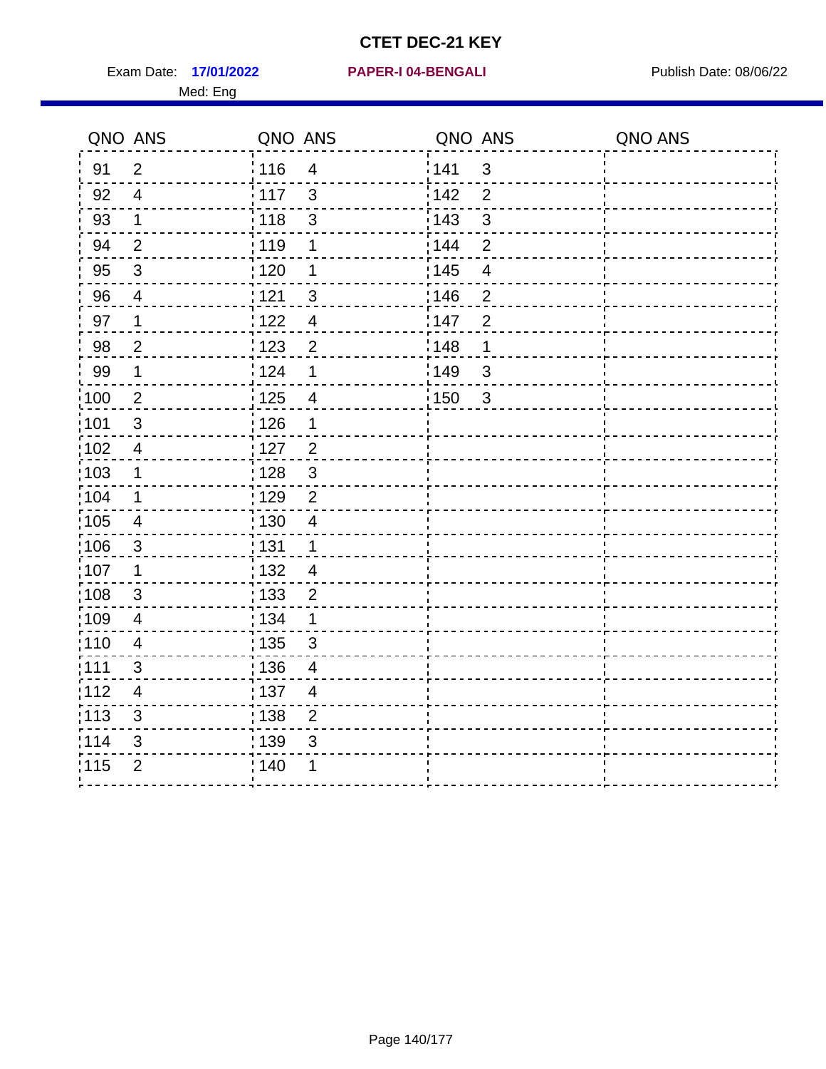Exam Date: 17/01/2022 PAPER-I 04-BENGALI PREREMENTED Publish Date: 08/06/22 Med: Eng

**17/01/2022 PAPER-I 04-BENGALI**

|                   | QNO ANS                  | QNO ANS           |                          | QNO ANS |                          | QNO ANS |
|-------------------|--------------------------|-------------------|--------------------------|---------|--------------------------|---------|
| 91                | $\overline{2}$           | 116               | $\overline{4}$           | 1141    | $\mathbf{3}$             |         |
| 92                | $\overline{4}$           | $\frac{1}{2}$ 117 | $\mathbf{3}$             | 142     | $\overline{2}$           |         |
| 93                | $\mathbf{1}$             | 118               | $\sqrt{3}$               | 143     | $\mathfrak{S}$           |         |
| 94                | $\overline{2}$           | : 119             | 1                        | : 144   | $\overline{2}$           |         |
| 95                | $\mathfrak{B}$           | : 120             | 1                        | : 145   | $\overline{\mathcal{A}}$ |         |
| 96                | 4                        | 121               | 3                        | :146    | $\overline{2}$           |         |
| 97                | 1                        | 122               | $\overline{\mathcal{A}}$ | 147     | $\overline{2}$           |         |
| 98                | $\overline{c}$           | 123               | $\overline{2}$           | 148     | 1                        |         |
| 99                | $\mathbf 1$              | 124               | $\mathbf 1$              | 149     | $\mathfrak{B}$           |         |
| :100              | $\overline{2}$           | $\frac{1}{1}$ 125 | $\overline{4}$           | 150     | $\mathbf{3}$             |         |
| :101              | $\sqrt{3}$               | : 126             | 1                        |         |                          |         |
| 102               | $\overline{4}$           | : 127             | $\overline{2}$           |         |                          |         |
| 103               | $\mathbf{1}$             | : 128             | $\mathbf{3}$             |         |                          |         |
| :104              | $\mathbf 1$              | : 129             | $\overline{2}$           |         |                          |         |
| $\frac{1}{1}$ 105 | $\overline{4}$           | : 130             | $\overline{4}$           |         |                          |         |
| :106              | $\mathbf{3}$             | : 131             | $\mathbf 1$              |         |                          |         |
| ;107              | $\mathbf 1$              | 132               | $\overline{4}$           |         |                          |         |
| 108               | $\mathbf{3}$             | : 133             | $\overline{2}$           |         |                          |         |
| :109              | $\overline{\mathbf{4}}$  | : 134             | $\mathbf 1$              |         |                          |         |
| :110              | $\overline{4}$           | : 135             | 3                        |         |                          |         |
| 1111              | 3                        | : 136             | $\overline{\mathcal{A}}$ |         |                          |         |
| 112               | $\overline{\mathcal{A}}$ | : 137             | $\overline{4}$           |         |                          |         |
| 113               | $\mathfrak{S}$           | $\frac{1}{1}$ 138 | $\overline{2}$           |         |                          |         |
| 114               | 3                        | : 139             | 3                        |         |                          |         |
| 115               | $\overline{2}$           | 140               | 1                        |         |                          |         |
|                   |                          |                   |                          |         |                          |         |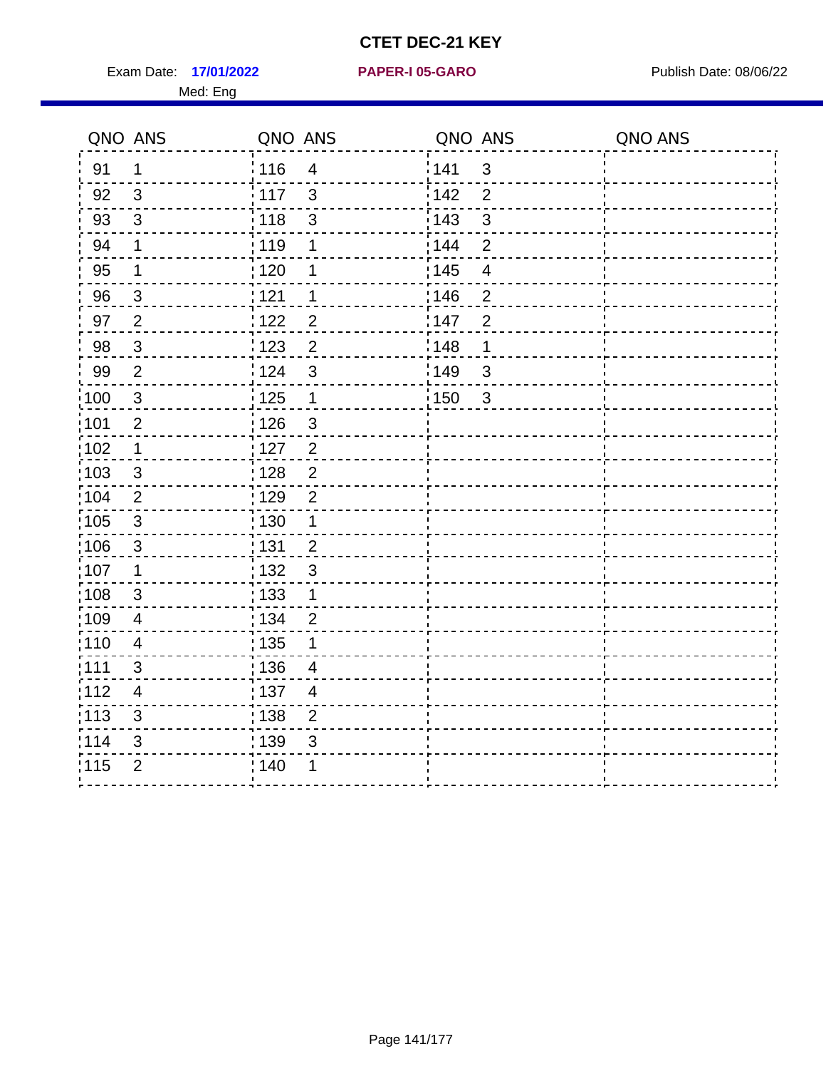Exam Date: 17/01/2022 **PAPER-I 05-GARO** Publish Date: 08/06/22 Med: Eng

#### **17/01/2022 PAPER-I 05-GARO**

|       | QNO ANS                  | QNO ANS           |                | QNO ANS           |                         | QNO ANS |
|-------|--------------------------|-------------------|----------------|-------------------|-------------------------|---------|
| 91    | $\mathbf 1$              | 116               | $\overline{4}$ | <sup>'</sup> 141  | 3                       |         |
| 92    | $\mathbf{3}$             | 117               | $\mathbf{3}$   | 142               | $\overline{2}$          |         |
| 93    | $\mathbf{3}$             | 118               | $\mathfrak{S}$ | 143               | $\mathbf{3}$            |         |
| 94    | $\mathbf 1$              | 119               | 1              | 144               | $\overline{2}$          |         |
| 95    | $\mathbf 1$              | 120               | 1              | $\frac{1}{1}$ 145 | $\overline{\mathbf{4}}$ |         |
| 96    | $\mathbf{3}$             | 1121              | 1              | 146               | $\overline{2}$          |         |
| 97    | $\overline{2}$           | 122               | $\overline{2}$ | 147               | $\overline{2}$          |         |
| 98    | $\mathbf{3}$             | 123               | $\overline{2}$ | 148               | $\mathbf 1$             |         |
| 99    | $\overline{2}$           | 124               | $\mathbf{3}$   | :149              | 3                       |         |
| 100   | $\mathbf 3$              | $125$             | $\mathbf{1}$   | : 150             | $\mathbf{3}$            |         |
| 101   | $\mathbf{2}$             | $\frac{1}{2}$ 126 | $\mathbf{3}$   |                   |                         |         |
| 102   | $\mathbf 1$              | 127               | $\sqrt{2}$     |                   |                         |         |
| 103   | 3                        | : 128             | $\overline{2}$ |                   |                         |         |
| 104   | 2                        | :129              | $\overline{2}$ |                   |                         |         |
| 105   | $\sqrt{3}$               | : 130             | $\mathbf 1$    |                   |                         |         |
| 106   | $\mathbf{3}$             | : 131             | $\overline{2}$ |                   |                         |         |
| :107  | $\mathbf 1$              | 132               | $\mathbf{3}$   |                   |                         |         |
| :108  | $\sqrt{3}$               | 133               | $\mathbf{1}$   |                   |                         |         |
| :109  | $\overline{4}$           | : 134             | $\overline{2}$ |                   |                         |         |
| :110  | 4                        | : 135             | 1              |                   |                         |         |
| 111   | 3                        | : 136             | $\overline{4}$ |                   |                         |         |
| 112   | $\overline{\mathcal{A}}$ | $\frac{1}{1}$ 137 | $\overline{4}$ |                   |                         |         |
| : 113 | 3                        | : 138             | $\overline{2}$ |                   |                         |         |
| 114   | 3                        | : 139             | $\mathfrak{S}$ |                   |                         |         |
| 115   | $\overline{2}$           | 140               | 1              |                   |                         |         |
|       |                          |                   |                |                   |                         |         |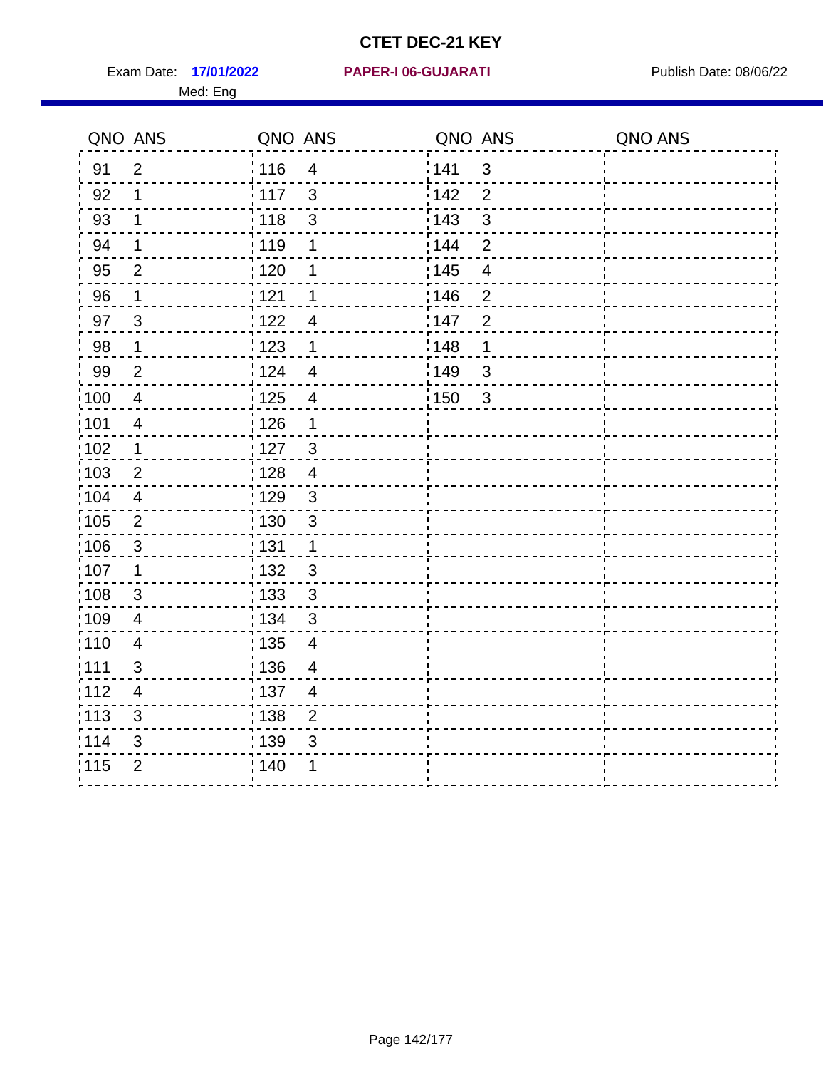Exam Date: 17/01/2022 PAPER-I 06-GUJARATI Publish Date: 08/06/22 Med: Eng

**17/01/2022 PAPER-I 06-GUJARATI**

|                   | QNO ANS                   | QNO ANS           |                          | QNO ANS           |                          | QNO ANS |
|-------------------|---------------------------|-------------------|--------------------------|-------------------|--------------------------|---------|
| 91                | $\overline{2}$            | 116               | $\overline{4}$           | 141               | $\mathfrak{S}$           |         |
| 92                | 1                         | 117               | 3                        | 142               | $\overline{2}$           |         |
| 93                | $\mathbf 1$               | 118               | $\mathsf 3$              | 143               | $\mathfrak{S}$           |         |
| 94                | 1                         | : 119             | 1                        | : 144             | $\overline{2}$           |         |
| 95                | 2                         | : 120             | 1                        | : 145             | $\overline{\mathcal{A}}$ |         |
| 96                | $\mathbf 1$               | 121               | 1                        | 146               | $\overline{2}$           |         |
| 97                | $\mathfrak{B}$            | : 122             | $\overline{\mathcal{A}}$ | 147               | $\overline{2}$           |         |
| 98                | $\mathbf{1}$              | 123               | $\mathbf 1$              | 148               | 1                        |         |
| 99                | $\overline{2}$            | 124               | $\overline{\mathbf{4}}$  | $\frac{1}{2}$ 149 | $\mathfrak{S}$           |         |
| $\frac{1}{1}$ 100 | $\overline{4}$            | 125               | $\overline{\mathbf{4}}$  | 150               | $\mathfrak{S}$           |         |
| :101              | $\overline{\mathbf{4}}$   | $\frac{1}{1}$ 126 | 1                        |                   |                          |         |
| 102               | $\mathbf{1}$              | : 127             | 3                        |                   |                          |         |
| 103               | 2                         | :128              | $\overline{4}$           |                   |                          |         |
| 104               | $\overline{4}$            | : 129             | $\mathfrak{3}$           |                   |                          |         |
| 105               | $\mathbf 2$               | $\frac{1}{1}$ 130 | $\mathbf{3}$             |                   |                          |         |
| :106              | $\mathfrak{S}$            | : 131             | $\mathbf 1$              |                   |                          |         |
| 107               | 1                         | :132              | $\mathfrak{B}$           |                   |                          |         |
| 108               | $\ensuremath{\mathsf{3}}$ | 133               | $\mathbf{3}$             |                   |                          |         |
| :109              | $\overline{\mathbf{4}}$   | : 134             | $\mathfrak{S}$           |                   |                          |         |
| :110              | 4                         | : 135             | $\overline{4}$           |                   |                          |         |
| :111              | 3                         | : 136             | $\overline{4}$           |                   |                          |         |
| 112               | $\overline{4}$            | 137               | $\overline{4}$           |                   |                          |         |
| 113               | $\mathbf{3}$              | : 138             | $\overline{2}$           |                   |                          |         |
| 114               | 3                         | 139               | 3                        |                   |                          |         |
| 115               | $\overline{2}$            | 140               | 1                        |                   |                          |         |
|                   |                           |                   |                          |                   |                          |         |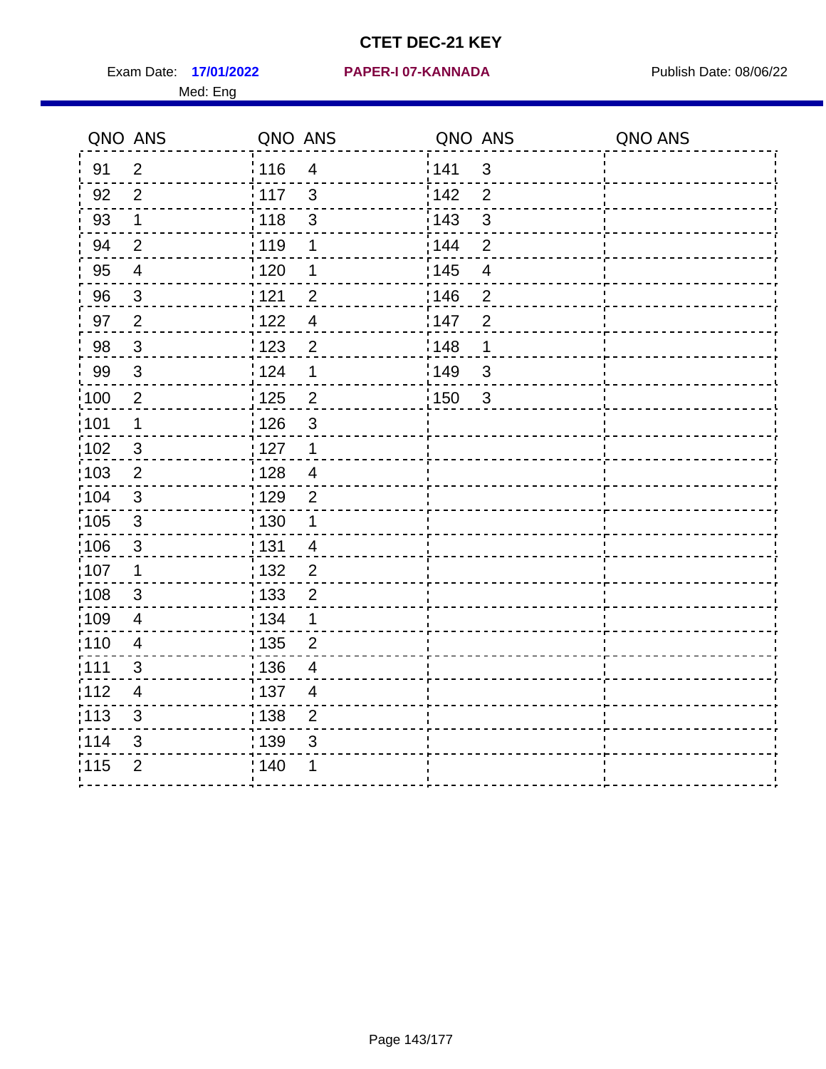Exam Date: 17/01/2022 PAPER-I 07-KANNADA Publish Date: 08/06/22 Med: Eng

|                   | QNO ANS                 | QNO ANS           |                          | QNO ANS           |                | QNO ANS |
|-------------------|-------------------------|-------------------|--------------------------|-------------------|----------------|---------|
| 91                | $\overline{2}$          | : 116             | $\overline{4}$           | 141               | $\mathbf{3}$   |         |
| 92                | $\overline{2}$          | $\frac{1}{117}$   | $\mathfrak{S}$           | 142               | $\overline{2}$ |         |
| 93                | $\mathbf 1$             | 118               | $\sqrt{3}$               | 143               | $\mathfrak{S}$ |         |
| 94                | $\overline{2}$          | : 119             | $\mathbf 1$              | : 144             | $\overline{2}$ |         |
| 95                | $\overline{\mathbf{4}}$ | : 120             | 1                        | : 145             | $\overline{4}$ |         |
| 96                | 3                       | 121               | $\overline{2}$           | 146               | $\overline{2}$ |         |
| 97                | $\overline{2}$          | 122               | $\overline{4}$           | 147               | $\overline{2}$ |         |
| 98                | $\mathbf{3}$            | 1123              | $\overline{2}$           | : 148             | 1              |         |
| 99                | $\sqrt{3}$              | 124               | 1                        | :149              | $\mathsf 3$    |         |
| $\frac{1}{1}$ 100 | $\sqrt{2}$              | $\frac{1}{1}$ 125 | $\overline{2}$           | $\frac{1}{1}$ 150 | $\mathbf{3}$   |         |
| :101              | 1                       | : 126             | $\mathfrak{S}$           |                   |                |         |
| 102               | 3                       | : 127             | $\mathbf 1$              |                   |                |         |
| 103               | $\overline{2}$          | :128              | $\overline{4}$           |                   |                |         |
| 104               | $\mathbf{3}$            | : 129             | 2                        |                   |                |         |
| 105               | $\sqrt{3}$              | 130               | $\mathbf 1$              |                   |                |         |
| 106               | 3                       | : 131             | $\overline{4}$           |                   |                |         |
| :107              | $\mathbf 1$             | : 132             | $\overline{2}$           |                   |                |         |
| $\frac{1}{1}$ 108 | $\sqrt{3}$              | : 133             | $\overline{2}$           |                   |                |         |
| :109              | $\overline{4}$          | : 134             | $\mathbf 1$              |                   |                |         |
| :110              | $\overline{4}$          | : 135             | $\overline{2}$           |                   |                |         |
| 111               | 3                       | : 136             | $\overline{4}$           |                   |                |         |
| 112               | $\overline{4}$          | : 137             | $\overline{\mathcal{A}}$ |                   |                |         |
| $\frac{1}{1}$ 113 | $\mathfrak{S}$          | : 138             | $\overline{2}$           |                   |                |         |
| 114               | 3                       | 139               | 3                        |                   |                |         |
| 115               | $\overline{2}$          | : 140             | 1                        |                   |                |         |
|                   |                         |                   |                          |                   |                |         |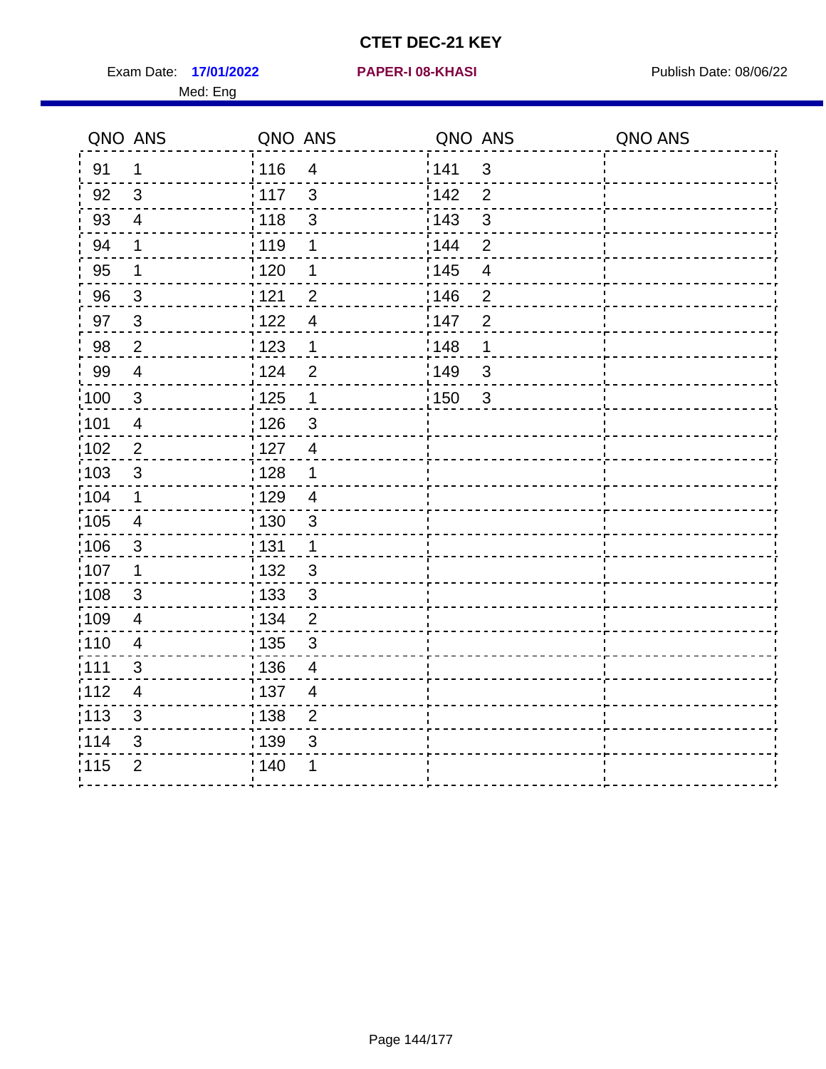Exam Date: 17/01/2022 **PAPER-I 08-KHASI** Publish Date: 08/06/22 Med: Eng

#### **17/01/2022 PAPER-I 08-KHASI**

| QNO ANS           |                          | QNO ANS           |                         | QNO ANS |                          | QNO ANS |
|-------------------|--------------------------|-------------------|-------------------------|---------|--------------------------|---------|
| 91                | 1                        | ່ 116             | $\overline{4}$          | 141     | $\mathbf{3}$             |         |
| 92                | 3                        | : 117             | $\mathbf{3}$            | 142     | $\overline{2}$           |         |
| 93                | $\overline{4}$           | 118               | $\sqrt{3}$              | 143     | $\sqrt{3}$               |         |
| 94                | 1                        | : 119             | 1                       | 144     | $\overline{2}$           |         |
| 95                | $\mathbf 1$              | : 120             | 1                       | : 145   | $\overline{\mathcal{A}}$ |         |
| 96                | $\mathbf{3}$             | 121               | $\overline{2}$          | 146     | $\overline{2}$           |         |
| 97                | 3                        | 122               | $\overline{4}$          | 147     | $\overline{2}$           |         |
| 98                | $\overline{2}$           | 123               | 1                       | 148     | $\mathbf 1$              |         |
| 99                | $\overline{4}$           | 124               | $\overline{2}$          | 149     | $\mathfrak{S}$           |         |
| $\frac{1}{1}$ 100 | $\sqrt{3}$               | $\frac{1}{1}$ 125 | $\mathbf 1$             | : 150   | $\sqrt{3}$               |         |
| :101              | $\overline{\mathcal{A}}$ | : 126             | $\mathsf 3$             |         |                          |         |
| 102               | 2                        | : 127             | $\overline{4}$          |         |                          |         |
| 103               | 3                        | : 128             | $\mathbf 1$             |         |                          |         |
| 104               | $\mathbf 1$              | : 129             | $\overline{4}$          |         |                          |         |
| 105               | $\overline{4}$           | : 130             | $\sqrt{3}$              |         |                          |         |
| 106               | 3                        | : 131             | $\mathbf 1$             |         |                          |         |
| 107               | $\mathbf 1$              | : 132             | $\mathfrak{S}$          |         |                          |         |
| $\frac{1}{1}$ 108 | $\sqrt{3}$               | 133               | $\sqrt{3}$              |         |                          |         |
| :109              | $\overline{\mathbf{4}}$  | : 134             | $\overline{2}$          |         |                          |         |
| :110              | 4                        | : 135             | 3                       |         |                          |         |
| :111              | 3                        | : 136             | $\overline{\mathbf{4}}$ |         |                          |         |
| 112               | 4                        | : 137             | $\overline{4}$          |         |                          |         |
| 113               | 3                        | 138               | $\overline{2}$          |         |                          |         |
| 114               | 3                        | 139               | 3                       |         |                          |         |
| 115               | $\overline{2}$           | 140               | 1                       |         |                          |         |
|                   |                          |                   |                         |         |                          |         |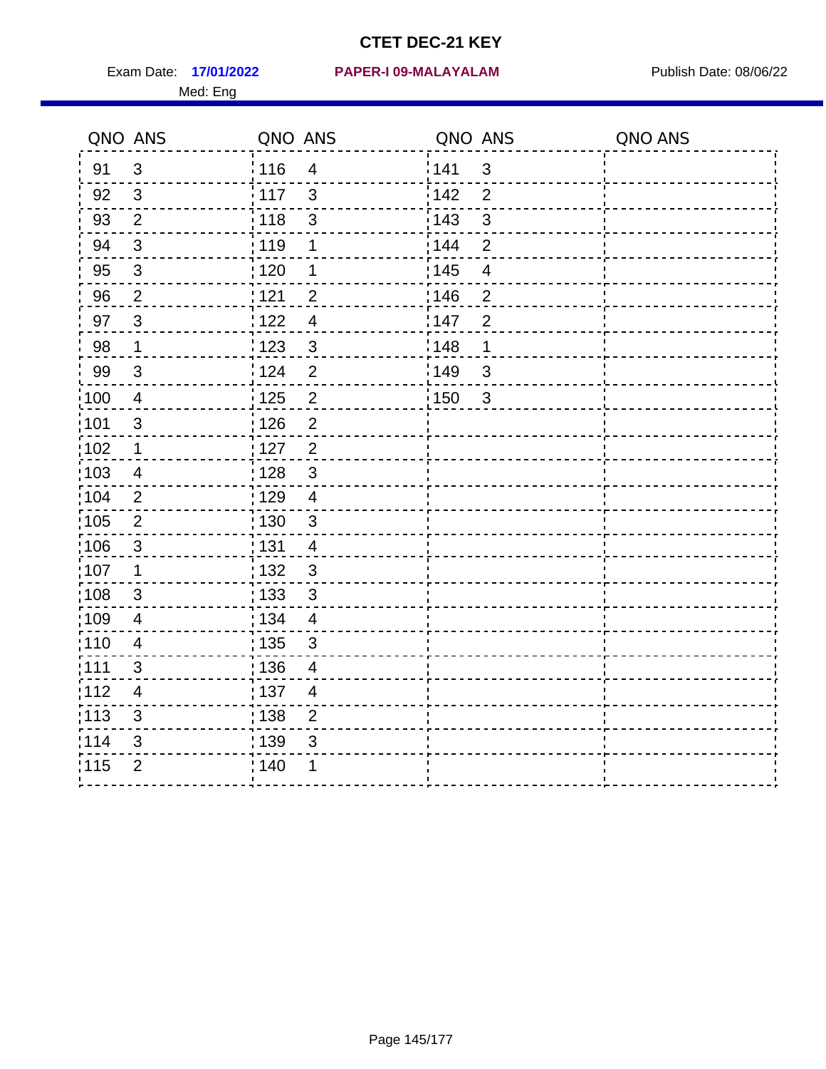Med: Eng

|                   | QNO ANS                 | QNO ANS           |                         | QNO ANS |                | QNO ANS |
|-------------------|-------------------------|-------------------|-------------------------|---------|----------------|---------|
| 91                | $\mathbf{3}$            | : 116             | $\overline{\mathbf{4}}$ | 1141    | $\mathfrak{S}$ |         |
| 92                | 3                       | : 117             | 3                       | 142     | $\overline{2}$ |         |
| 93                | $\mathbf{2}$            | : 118             | $\mathsf 3$             | 143     | $\mathfrak{S}$ |         |
| 94                | 3                       | 119               | 1                       | : 144   | $\overline{2}$ |         |
| 95                | $\mathfrak{B}$          | : 120             | 1                       | : 145   | $\overline{4}$ |         |
| 96                | $\overline{2}$          | : 121             | $\overline{2}$          | 146     | $\overline{2}$ |         |
| 97                | $\mathbf{3}$            | 1122              | $\overline{4}$          | 147     | $\overline{2}$ |         |
| 98                | $\mathbf 1$             | 1123              | $\mathfrak{S}$          | 148     | 1              |         |
| 99                | $\sqrt{3}$              | 124               | $\overline{2}$          | :149    | $\mathsf 3$    |         |
| $\frac{1}{1}$ 100 | $\overline{4}$          | 125               | $\overline{2}$          | 150     | $\mathbf{3}$   |         |
| :101              | $\mathfrak{S}$          | : 126             | $\overline{2}$          |         |                |         |
| 102               | 1                       | : 127             | $\overline{2}$          |         |                |         |
| :103              | 4                       | : 128             | $\mathbf{3}$            |         |                |         |
| 104               | $\overline{2}$          | : 129             | $\overline{4}$          |         |                |         |
| 105               | $\mathbf 2$             | $\frac{1}{1}$ 130 | $\mathbf{3}$            |         |                |         |
| 106               | 3                       | : 131             | 4                       |         |                |         |
| 107               | $\mathbf 1$             | :132              | 3                       |         |                |         |
| $\frac{1}{1}$ 108 | $\sqrt{3}$              | : 133             | $\sqrt{3}$              |         |                |         |
| :109              | $\overline{\mathbf{4}}$ | : 134             | $\overline{4}$          |         |                |         |
| :110              | 4                       | : 135             | 3                       |         |                |         |
| 111               | 3                       | : 136             | $\overline{4}$          |         |                |         |
| 112               | $\overline{4}$          | : 137             | $\overline{4}$          |         |                |         |
| : 113             | $\mathfrak{S}$          | : 138             | $\overline{c}$          |         |                |         |
| 114               | 3                       | 139               | 3                       |         |                |         |
| 115               | $\overline{2}$          | : 140             | 1                       |         |                |         |
|                   |                         |                   |                         |         |                |         |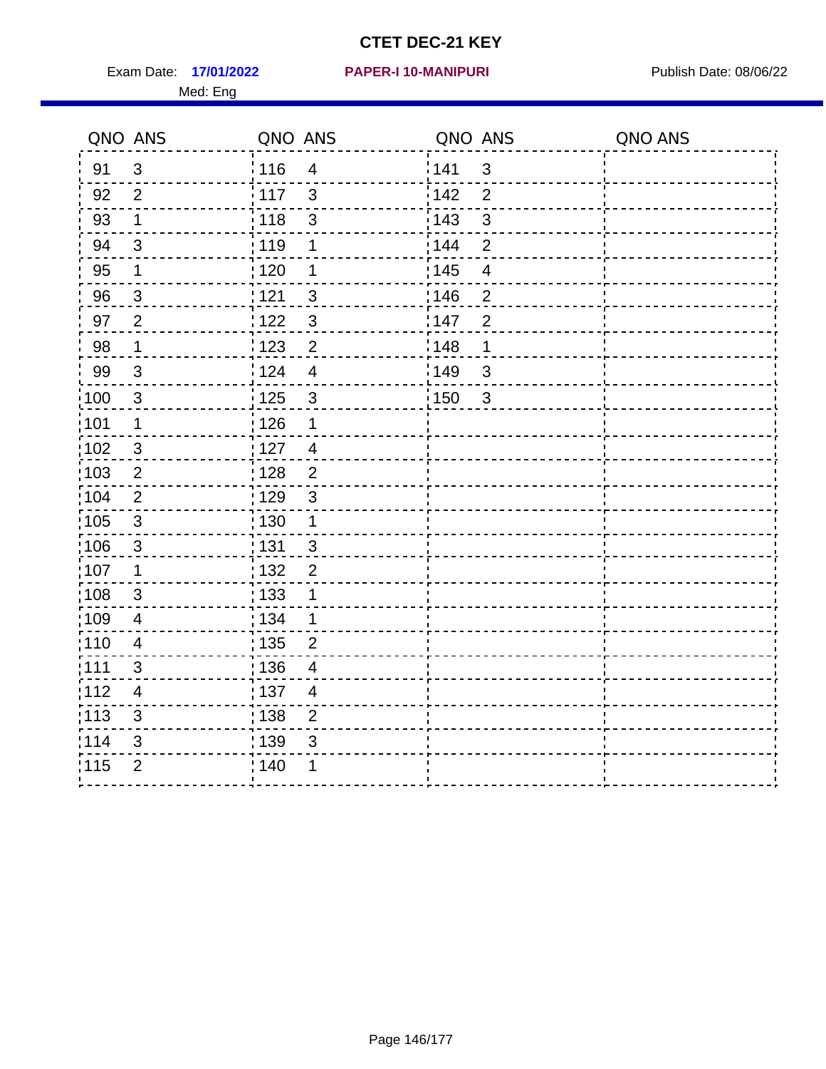Exam Date: 17/01/2022 PAPER-I 10-MANIPURI PUBLISH Date: 08/06/22 Med: Eng

#### **17/01/2022 PAPER-I 10-MANIPURI**

|                   | QNO ANS        | QNO ANS           |                         | QNO ANS           |                | QNO ANS |
|-------------------|----------------|-------------------|-------------------------|-------------------|----------------|---------|
| 91                | 3              | ່ 116             | $\overline{4}$          | 141               | $\mathfrak{S}$ |         |
| 92                | $\overline{2}$ | 117               | $\mathbf{3}$            | 142               | $\overline{2}$ |         |
| 93                | $\mathbf 1$    | 118               | $\mathsf 3$             | 143               | 3              |         |
| 94                | $\mathbf{3}$   | : 119             | $\mathbf 1$             | : 144             | $\overline{2}$ |         |
| 95                | 1              | : 120             | 1                       | : 145             | $\overline{4}$ |         |
| 96                | $\mathfrak{S}$ | 121               | $\mathbf{3}$            | 146               | $\overline{2}$ |         |
| 97                | 2              | :122              | $\mathfrak{3}$          | 147               | $\overline{2}$ |         |
| 98                | $\mathbf{1}$   | 123               | $\overline{2}$          | 148               | $\mathbf 1$    |         |
| 99                | $\sqrt{3}$     | 124               | $\overline{\mathbf{4}}$ | 149               | 3              |         |
| $\frac{1}{1}$ 100 | $\mathbf{3}$   | $\frac{1}{1}$ 125 | $\mathfrak{S}$          | $\frac{1}{1}$ 150 | $\mathbf{3}$   |         |
| :101              | $\mathbf 1$    | : 126             | 1                       |                   |                |         |
| 102               | 3              | :127              | $\overline{4}$          |                   |                |         |
| 103               | $\overline{2}$ | : 128             | $\overline{2}$          |                   |                |         |
| 104               | $\overline{2}$ | : 129             | $\mathbf{3}$            |                   |                |         |
| 105               | $\mathbf{3}$   | : 130             | $\mathbf{1}$            |                   |                |         |
| :106              | $\mathbf{3}$   | : 131             | $\mathbf{3}$            |                   |                |         |
| ;107              | $\mathbf 1$    | 132               | $\overline{2}$          |                   |                |         |
| 108               | $\mathfrak{S}$ | $\frac{1}{1}$ 133 | $\mathbf 1$             |                   |                |         |
| :109              | $\overline{4}$ | : 134             | $\mathbf{1}$            |                   |                |         |
| 110               | $\overline{4}$ | 135               | $\overline{2}$          |                   |                |         |
| 111               | 3              | : 136             | $\overline{4}$          |                   |                |         |
| 112               | $\overline{4}$ | : 137             | $\overline{4}$          |                   |                |         |
| 113               | $\mathbf{3}$   | 138               | $\overline{2}$          |                   |                |         |
| 114               | 3              | 139               | 3                       |                   |                |         |
| 115               | $\overline{2}$ | 140               | 1                       |                   |                |         |
|                   |                |                   |                         |                   |                |         |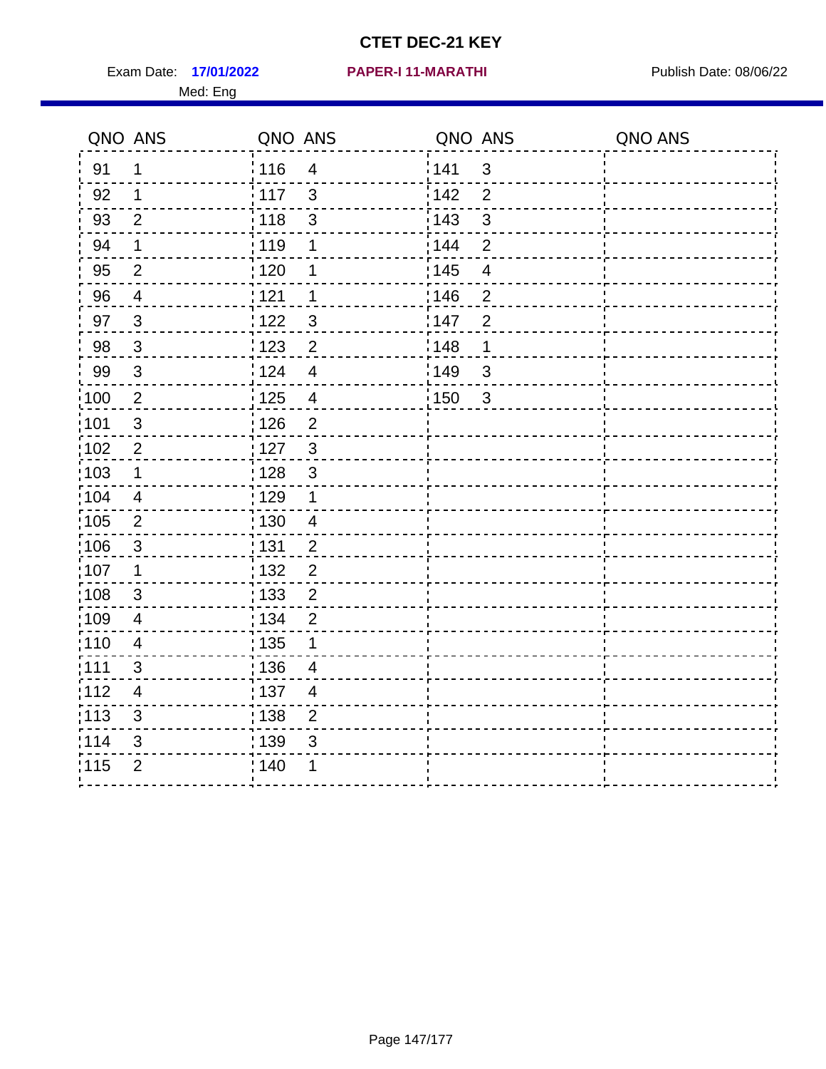Exam Date: 17/01/2022 PAPER-I 11-MARATHI Publish Date: 08/06/22 Med: Eng

#### **17/01/2022 PAPER-I 11-MARATHI**

|                   | QNO ANS        | QNO ANS           |                         | QNO ANS           |                         | QNO ANS |
|-------------------|----------------|-------------------|-------------------------|-------------------|-------------------------|---------|
| 91                | 1              | : 116             | $\overline{4}$          | 141               | $\mathfrak{3}$          |         |
| 92                | $\mathbf{1}$   | 117               | $\mathbf{3}$            | 142               | $\overline{2}$          |         |
| 93                | $\overline{2}$ | 118               | $\mathsf 3$             | 143               | $\mathbf{3}$            |         |
| 94                | $\mathbf 1$    | : 119             | 1                       | : 144             | $\overline{2}$          |         |
| 95                | $\overline{2}$ | : 120             | 1                       | : 145             | $\overline{\mathbf{4}}$ |         |
| 96                | $\overline{4}$ | 121               | 1                       | 146               | $\overline{2}$          |         |
| 97                | $\overline{3}$ | :122              | $\mathbf{3}$            | 147               | $\overline{2}$          |         |
| 98                | $\mathbf{3}$   | $\frac{1}{2}$ 123 | $\overline{c}$          | 148               | $\mathbf 1$             |         |
| 99                | $\sqrt{3}$     | 124               | $\overline{\mathbf{4}}$ | 149               | $\mathfrak{S}$          |         |
| $\frac{1}{1}$ 100 | $\sqrt{2}$     | $\frac{1}{1}$ 125 | $\overline{4}$          | $\frac{1}{1}$ 150 | $\mathbf{3}$            |         |
| :101              | $\sqrt{3}$     | : 126             | $\overline{2}$          |                   |                         |         |
| 102               | $\overline{2}$ | : 127             | $\mathbf{3}$            |                   |                         |         |
| 103               | $\mathbf 1$    | : 128             | $\mathbf{3}$            |                   |                         |         |
| :104              | $\overline{4}$ | $\frac{1}{1}$ 129 | $\mathbf 1$             |                   |                         |         |
| 105               | $\overline{2}$ | 130               | $\overline{4}$          |                   |                         |         |
| :106              | $\mathfrak{S}$ | 131               | $\overline{2}$          |                   |                         |         |
| ;107              | $\mathbf{1}$   | 132               | $\overline{2}$          |                   |                         |         |
| 108               | $\sqrt{3}$     | : 133             | $\overline{2}$          |                   |                         |         |
| :109              | $\overline{4}$ | : 134             | $\overline{2}$          |                   |                         |         |
| :110              | $\overline{4}$ | : 135             | 1                       |                   |                         |         |
| :111              | 3              | 136               | $\overline{4}$          |                   |                         |         |
| 112               | $\overline{4}$ | : 137             | $\overline{4}$          |                   |                         |         |
| 113               | $\mathbf{3}$   | : 138             | $\overline{2}$          |                   |                         |         |
| 114               | 3              | 139               | 3                       |                   |                         |         |
| 115               | $\overline{2}$ | 140               | 1                       |                   |                         |         |
|                   |                |                   |                         |                   |                         |         |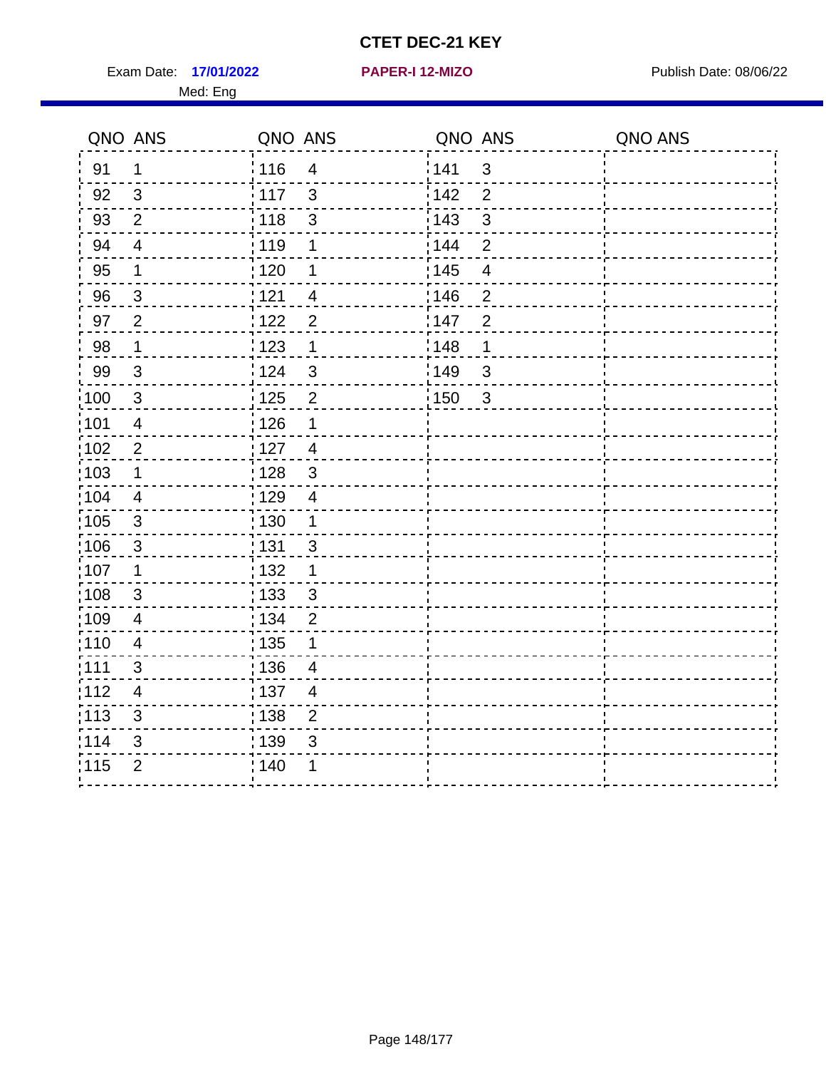Exam Date: 17/01/2022 **PAPER-I 12-MIZO** PAPER Publish Date: 08/06/22 Med: Eng

**17/01/2022 PAPER-I 12-MIZO**

|                   | QNO ANS                 | QNO ANS           |                         | QNO ANS           |                         | QNO ANS |
|-------------------|-------------------------|-------------------|-------------------------|-------------------|-------------------------|---------|
| 91                | $\mathbf 1$             | : 116             | $\overline{\mathbf{4}}$ | 141               | $\mathbf{3}$            |         |
| 92                | 3                       | $\frac{1}{2}$ 117 | 3                       | 142               | $\overline{2}$          |         |
| 93                | $\overline{2}$          | 118               | $\mathbf{3}$            | 143               | 3                       |         |
| 94                | $\overline{4}$          | : 119             | $\mathbf 1$             | 144               | $\overline{2}$          |         |
| 95                | $\mathbf 1$             | : 120             | 1                       | : 145             | $\overline{\mathbf{4}}$ |         |
| 96                | $\mathbf{3}$            | 121               | $\overline{4}$          | 146               | $\overline{2}$          |         |
| 97                | $\overline{2}$          | 122               | $\overline{2}$          | 147               | $\overline{2}$          |         |
| 98                | $\mathbf 1$             | 123               | 1                       | 148               | 1                       |         |
| 99                | 3                       | 124               | 3                       | 149               | $\mathbf{3}$            |         |
| $\frac{1}{1}$ 100 | $\mathfrak{3}$          | $\frac{1}{2}$ 125 | $\overline{2}$          | $\frac{1}{1}$ 150 | $\mathbf{3}$            |         |
| :101              | $\overline{\mathbf{4}}$ | : 126             | $\mathbf 1$             |                   |                         |         |
| $\frac{1}{1}$ 102 | $\sqrt{2}$              | : 127             | $\overline{4}$          |                   |                         |         |
| 103               | 1                       | : 128             | 3                       |                   |                         |         |
| :104              | $\overline{4}$          | :129              | $\overline{4}$          |                   |                         |         |
| $\frac{1}{1}$ 105 | $\mathbf{3}$            | : 130             | $\mathbf{1}$            |                   |                         |         |
| 106               | 3                       | : 131             | 3                       |                   |                         |         |
| 107               | $\mathbf 1$             | : 132             | $\mathbf 1$             |                   |                         |         |
| 108               | $\mathbf{3}$            | : 133             | $\mathbf{3}$            |                   |                         |         |
| :109              | $\overline{\mathbf{4}}$ | : 134             | $\overline{2}$          |                   |                         |         |
| : 110             | $\overline{4}$          | : 135             | 1                       |                   |                         |         |
| :111              | 3                       | : 136             | 4                       |                   |                         |         |
| 112               | $\overline{4}$          | :137              | $\overline{4}$          |                   |                         |         |
| :113              | 3                       | : 138             | $\overline{2}$          |                   |                         |         |
| 114               | $\sqrt{3}$              | : 139             | $\mathfrak{B}$          |                   |                         |         |
| 115               | $\overline{2}$          | ; 140             |                         |                   |                         |         |
|                   |                         |                   |                         |                   |                         |         |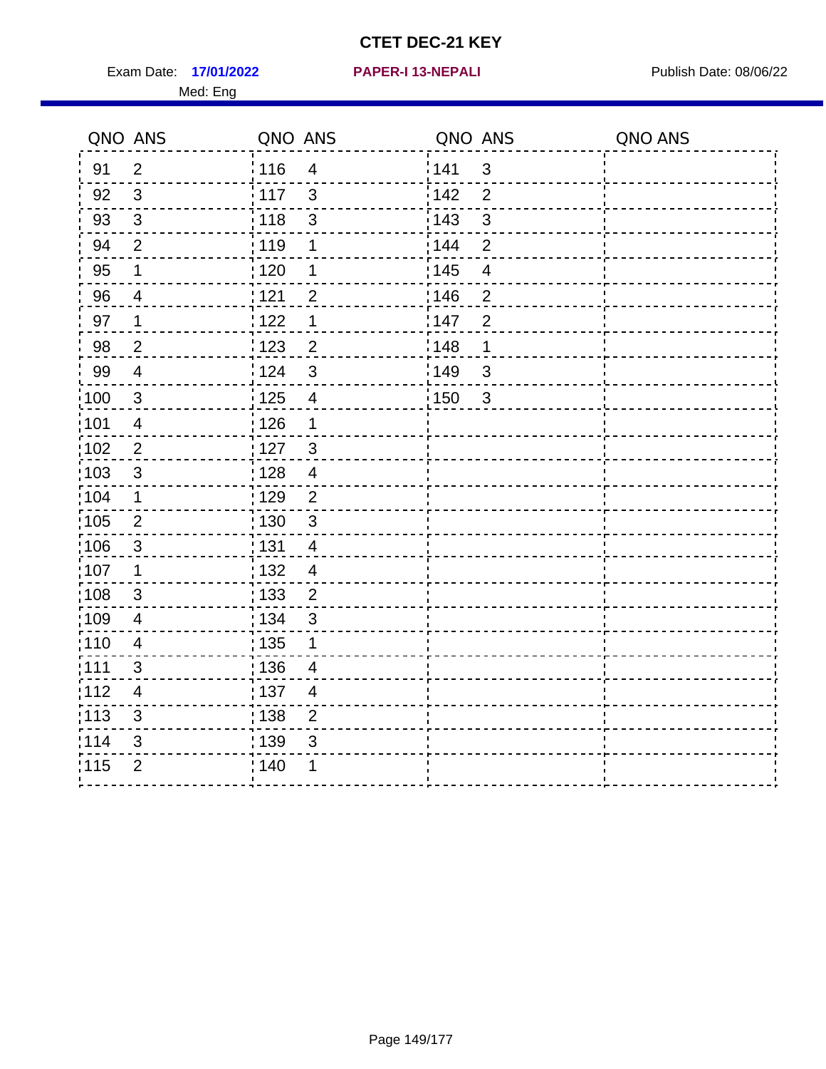Exam Date: 17/01/2022 **PAPER-I 13-NEPALI** Publish Date: 08/06/22 Med: Eng

**17/01/2022 PAPER-I 13-NEPALI**

|                   | QNO ANS                  | QNO ANS           |                         | QNO ANS |                          | QNO ANS |
|-------------------|--------------------------|-------------------|-------------------------|---------|--------------------------|---------|
| 91                | $\overline{2}$           | 116               | $\overline{4}$          | 1141    | $\mathbf{3}$             |         |
| 92                | $\mathfrak{S}$           | 117               | $\mathbf{3}$            | 142     | $\overline{2}$           |         |
| 93                | $\mathbf{3}$             | 118               | $\mathsf 3$             | 143     | $\mathbf{3}$             |         |
| 94                | $\overline{2}$           | : 119             | 1                       | : 144   | $\overline{2}$           |         |
| 95                | 1                        | : 120             | 1                       | : 145   | $\overline{\mathcal{A}}$ |         |
| 96                | $\overline{4}$           | 121               | $\overline{2}$          | :146    | $\overline{2}$           |         |
| 97                | 1                        | 122               | 1                       | 147     | $\overline{2}$           |         |
| 98                | $\overline{2}$           | 123               | $\overline{c}$          | : 148   | 1                        |         |
| 99                | $\overline{4}$           | 124               | $\mathfrak{S}$          | 149     | $\sqrt{3}$               |         |
| $\frac{1}{1}$ 100 | $\sqrt{3}$               | $\frac{1}{1}$ 125 | $\overline{\mathbf{4}}$ | 150     | $\mathbf{3}$             |         |
| :101              | $\overline{4}$           | : 126             | 1                       |         |                          |         |
| 102               | $\overline{2}$           | 127               | $\mathbf{3}$            |         |                          |         |
| 103               | 3                        | : 128             | $\overline{4}$          |         |                          |         |
| 104               | $\mathbf 1$              | : 129             | $\overline{2}$          |         |                          |         |
| 105               | $\sqrt{2}$               | $\frac{1}{1}$ 130 | $\sqrt{3}$              |         |                          |         |
| 106               | $\mathbf{3}$             | : 131             | $\overline{4}$          |         |                          |         |
| 107               | $\mathbf 1$              | :132              | $\overline{4}$          |         |                          |         |
| 108               | $\mathbf{3}$             | : 133             | $\overline{2}$          |         |                          |         |
| :109              | $\overline{4}$           | : 134             | $\mathbf{3}$            |         |                          |         |
| :110              | $\overline{4}$           | : 135             | 1                       |         |                          |         |
| ;111              | $\mathfrak{S}$           | : 136             | 4                       |         |                          |         |
| 112               | $\overline{\mathcal{A}}$ | : 137             | 4                       |         |                          |         |
| :113              | $\sqrt{3}$               | : 138             | $\mathbf 2$             |         |                          |         |
| 114               | 3                        | : 139             | 3                       |         |                          |         |
| 115               | $\overline{2}$           | 140               | 1                       |         |                          |         |
|                   |                          |                   |                         |         |                          |         |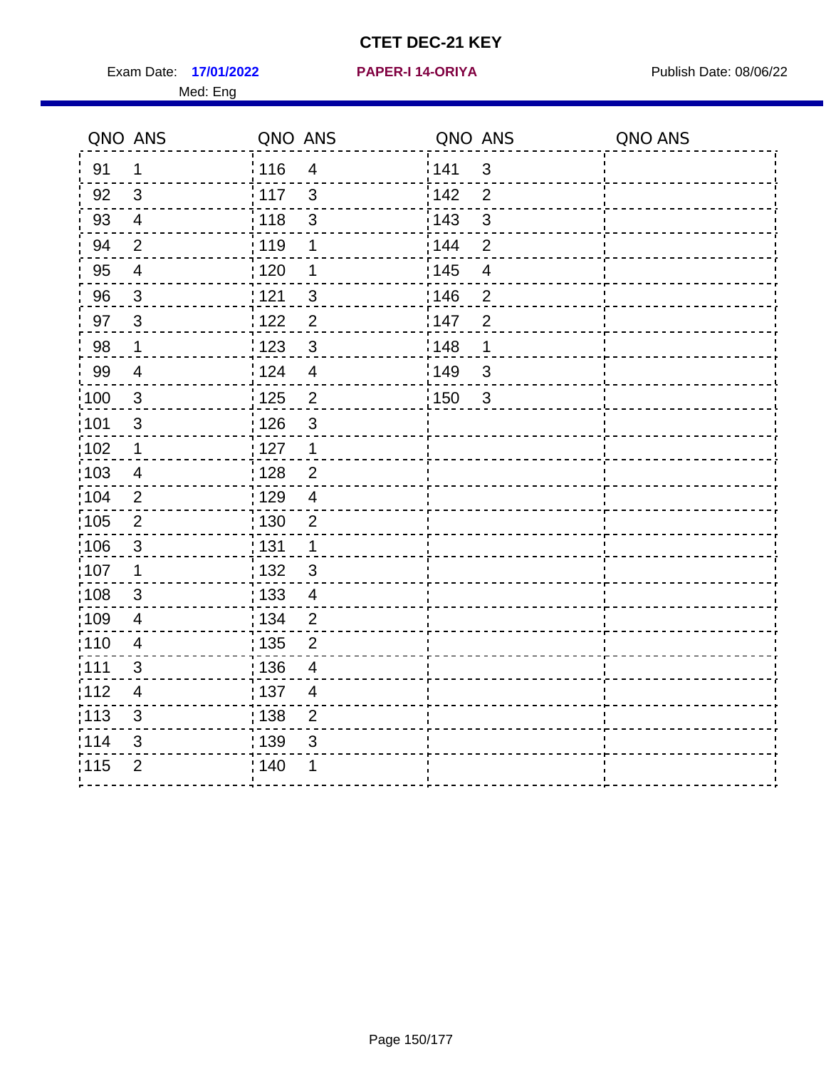Exam Date: 17/01/2022 **PAPER-I 14-ORIYA** Publish Date: 08/06/22 Med: Eng

**17/01/2022 PAPER-I 14-ORIYA**

|                   | QNO ANS                  | QNO ANS           |                         | QNO ANS |                | QNO ANS |
|-------------------|--------------------------|-------------------|-------------------------|---------|----------------|---------|
| 91                | $\mathbf{1}$             | 116               | $\overline{4}$          | 141     | $\mathfrak{B}$ |         |
| 92                | $\mathfrak{B}$           | 117               | 3                       | 142     | $\overline{2}$ |         |
| 93                | $\overline{4}$           | 118               | $\mathfrak{3}$          | 143     | $\mathfrak{S}$ |         |
| 94                | 2                        | : 119             | 1                       | : 144   | $\overline{2}$ |         |
| 95                | $\overline{\mathcal{A}}$ | : 120             | 1                       | : 145   | $\overline{4}$ |         |
| 96                | $\mathbf{3}$             | 121               | 3                       | 146     | $\overline{2}$ |         |
| 97                | $\mathbf{3}$             | 122               | $\overline{2}$          | 147     | $\overline{2}$ |         |
| 98                | $\mathbf{1}$             | $\frac{1}{2}$ 123 | $\mathbf{3}$            | 148     | 1              |         |
| 99                | $\overline{4}$           | 124               | $\overline{\mathbf{4}}$ | 149     | $\mathfrak{S}$ |         |
| $\frac{1}{1}$ 100 | $\sqrt{3}$               | $\frac{1}{1}$ 125 | $\mathbf 2$             | 150     | $\mathbf{3}$   |         |
| :101              | $\sqrt{3}$               | : 126             | $\mathfrak{S}$          |         |                |         |
| 102               | $\mathbf 1$              | : 127             | $\mathbf 1$             |         |                |         |
| 103               | $\overline{4}$           | :128              | $\overline{2}$          |         |                |         |
| 104               | $\overline{2}$           | : 129             | $\overline{4}$          |         |                |         |
| 105               | $\overline{2}$           | 130               | $\sqrt{2}$              |         |                |         |
| 106               | $\mathbf{3}$             | : 131             | $\mathbf{1}$            |         |                |         |
| 107               | 1                        | : 132             | $\mathbf{3}$            |         |                |         |
| 108               | 3                        | $\frac{1}{1}$ 133 | $\overline{4}$          |         |                |         |
| 109               | $\overline{\mathbf{4}}$  | : 134             | $\overline{2}$          |         |                |         |
| :110              | $\overline{\mathcal{A}}$ | : 135             | $\overline{2}$          |         |                |         |
| :111              | $\mathfrak{S}$           | : 136             | 4                       |         |                |         |
| 112               | $\overline{4}$           | : 137             | $\overline{4}$          |         |                |         |
| 113               | $\mathsf 3$              | : 138             | $\mathbf 2$             |         |                |         |
| 114               | 3                        | 139               | 3                       |         |                |         |
| 115               | $\overline{2}$           | 140               |                         |         |                |         |
|                   |                          |                   |                         |         |                |         |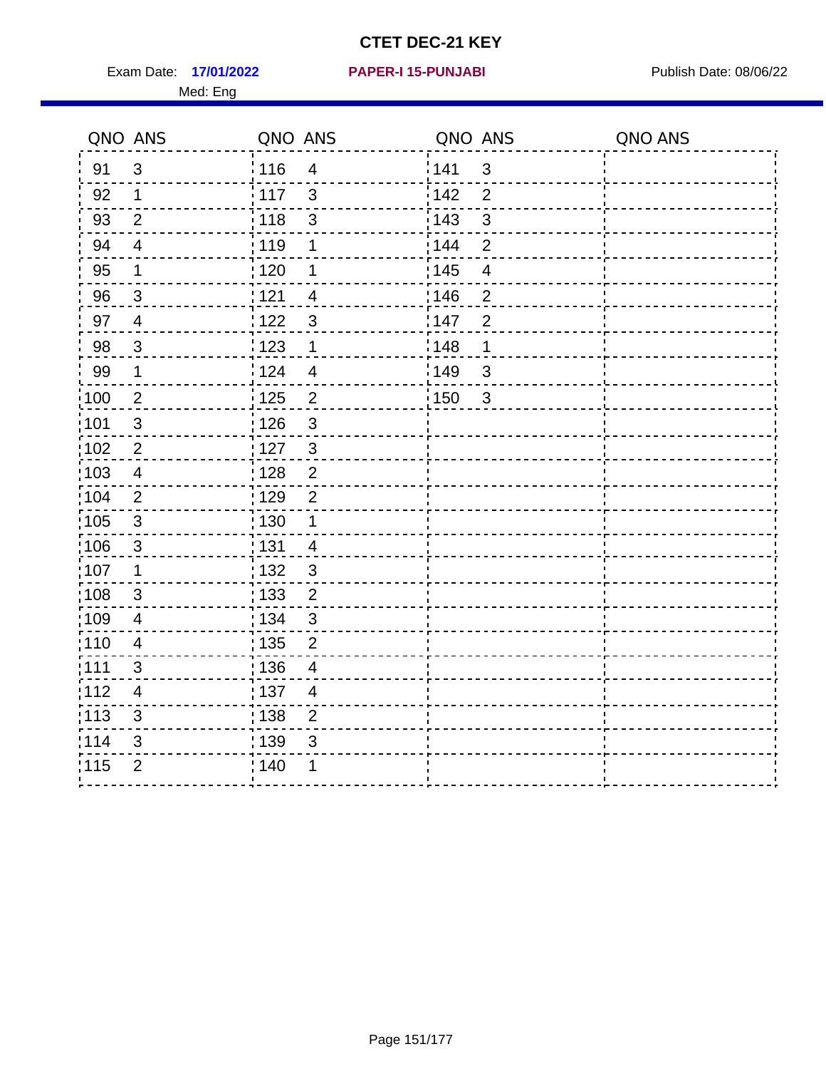Exam Date: 17/01/2022 **PAPER-I 15-PUNJABI** Publish Date: 08/06/22 Med: Eng

**17/01/2022 PAPER-I 15-PUNJABI**

|                   | QNO ANS        | QNO ANS           |                          | QNO ANS |                          | QNO ANS |
|-------------------|----------------|-------------------|--------------------------|---------|--------------------------|---------|
| 91                | $\mathfrak{3}$ | 116               | $\overline{4}$           | 1141    | $\mathfrak{B}$           |         |
| 92                | $\mathbf 1$    | 117               | $\mathbf{3}$             | 142     | $\overline{2}$           |         |
| 93                | $\overline{2}$ | $\frac{1}{118}$   | $\mathsf 3$              | 143     | $\mathbf{3}$             |         |
| 94                | $\overline{4}$ | : 119             | 1                        | : 144   | $\overline{2}$           |         |
| 95                | 1              | : 120             | 1                        | : 145   | $\overline{\mathcal{A}}$ |         |
| 96                | $\mathbf{3}$   | 121               | $\overline{4}$           | :146    | $\overline{2}$           |         |
| 97                | $\overline{4}$ | 122               | 3                        | 147     | $\overline{2}$           |         |
| 98                | $\mathbf{3}$   | $\frac{1}{2}$ 123 | $\mathbf 1$              | : 148   | 1                        |         |
| 99                | $\mathbf 1$    | 124               | $\overline{\mathcal{A}}$ | 149     | $\sqrt{3}$               |         |
| $\frac{1}{1}$ 100 | $\overline{2}$ | $\frac{1}{1}$ 125 | $\overline{2}$           | 150     | $\overline{3}$           |         |
| :101              | $\sqrt{3}$     | : 126             | $\mathfrak{S}$           |         |                          |         |
| 102               | $\overline{2}$ | 127               | $\mathbf{3}$             |         |                          |         |
| 103               | $\overline{4}$ | : 128             | 2                        |         |                          |         |
| 104               | 2              | : 129             | $\overline{2}$           |         |                          |         |
| 105               | $\mathbf{3}$   | $\frac{1}{1}$ 130 | $\mathbf{1}$             |         |                          |         |
| :106              | $\mathbf{3}$   | : 131             | $\overline{4}$           |         |                          |         |
| 107               | $\mathbf 1$    | :132              | $\mathbf{3}$             |         |                          |         |
| 108               | $\mathbf{3}$   | : 133             | $\overline{2}$           |         |                          |         |
| :109              | $\overline{4}$ | : 134             | $\mathbf{3}$             |         |                          |         |
| :110              | $\overline{4}$ | : 135             | $\overline{2}$           |         |                          |         |
| ;111              | $\mathfrak{S}$ | : 136             | $\overline{4}$           |         |                          |         |
| 112               | 4              | : 137             | 4                        |         |                          |         |
| :113              | $\sqrt{3}$     | 138               | $\overline{2}$           |         |                          |         |
| 114               | 3              | : 139             | 3                        |         |                          |         |
| 115               | $\overline{2}$ | 140               | 1                        |         |                          |         |
|                   |                |                   |                          |         |                          |         |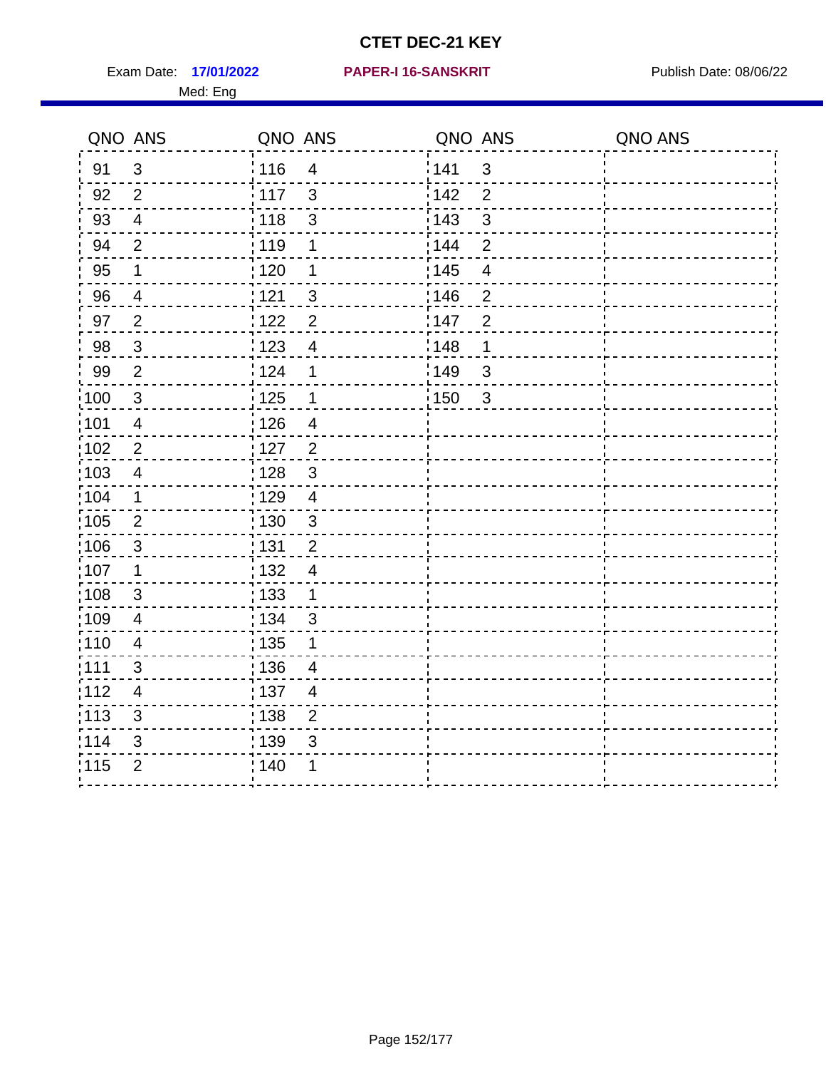Exam Date: 17/01/2022 PAPER-I 16-SANSKRIT Publish Date: 08/06/22 Med: Eng

#### **17/01/2022 PAPER-I 16-SANSKRIT**

|                   | QNO ANS                  | QNO ANS           |                | QNO ANS           |                | QNO ANS |
|-------------------|--------------------------|-------------------|----------------|-------------------|----------------|---------|
| 91                | $\mathbf{3}$             | 116               | $\overline{4}$ | 141               | $\mathbf{3}$   |         |
| 92                | 2                        | $\frac{1}{117}$   | $\mathbf{3}$   | 142               | $\overline{2}$ |         |
| 93                | $\overline{4}$           | 118               | $\mathsf 3$    | 143               | $\mathfrak{S}$ |         |
| 94                | $\overline{2}$           | : 119             | 1              | 144               | $\overline{2}$ |         |
| 95                | 1                        | : 120             | 1              | : 145             | $\overline{4}$ |         |
| 96                | 4                        | 121               | $\mathfrak{B}$ | 146               | $\overline{2}$ |         |
| 97                | $\overline{2}$           | 122               | $\overline{2}$ | 147               | $\overline{2}$ |         |
| 98                | $\mathbf{3}$             | 123               | $\overline{4}$ | $\frac{1}{2}$ 148 | 1              |         |
| 99                | $\overline{2}$           | 1124              | 1              | 149               | $\mathbf{3}$   |         |
| 100               | $\mathbf{3}$             | $\frac{1}{1}$ 125 | $\mathbf 1$    | 150               | $\mathbf{3}$   |         |
| 101               | $\overline{\mathcal{A}}$ | 126               | $\overline{4}$ |                   |                |         |
| 102               | $\overline{2}$           | : 127             | $\overline{2}$ |                   |                |         |
| 103               | 4                        | : 128             | $\mathbf{3}$   |                   |                |         |
| $\frac{1}{104}$   | $\mathbf 1$              | 129               | $\overline{4}$ |                   |                |         |
| 105               | $\sqrt{2}$               | 130               | $\mathsf 3$    |                   |                |         |
| 106               | $\mathbf{3}$             | : 131             | $\overline{2}$ |                   |                |         |
| 107               | $\mathbf 1$              | : 132             | $\overline{4}$ |                   |                |         |
| $\frac{1}{1}$ 108 | $\mathfrak{S}$           | : 133             | $\mathbf 1$    |                   |                |         |
| :109              | $\overline{4}$           | : 134             | $\mathfrak{S}$ |                   |                |         |
| :110              | 4                        | 135               | 1              |                   |                |         |
| : 111             | 3                        | : 136             | 4              |                   |                |         |
| 112               | $\overline{\mathbf{4}}$  | : 137             | $\overline{4}$ |                   |                |         |
| $\frac{1}{1}$ 113 | $\mathfrak{S}$           | : 138             | $\overline{c}$ |                   |                |         |
| 114               | 3                        | : 139             | 3              |                   |                |         |
| 115               | $\overline{2}$           | 140               | 1              |                   |                |         |
|                   |                          |                   |                |                   |                |         |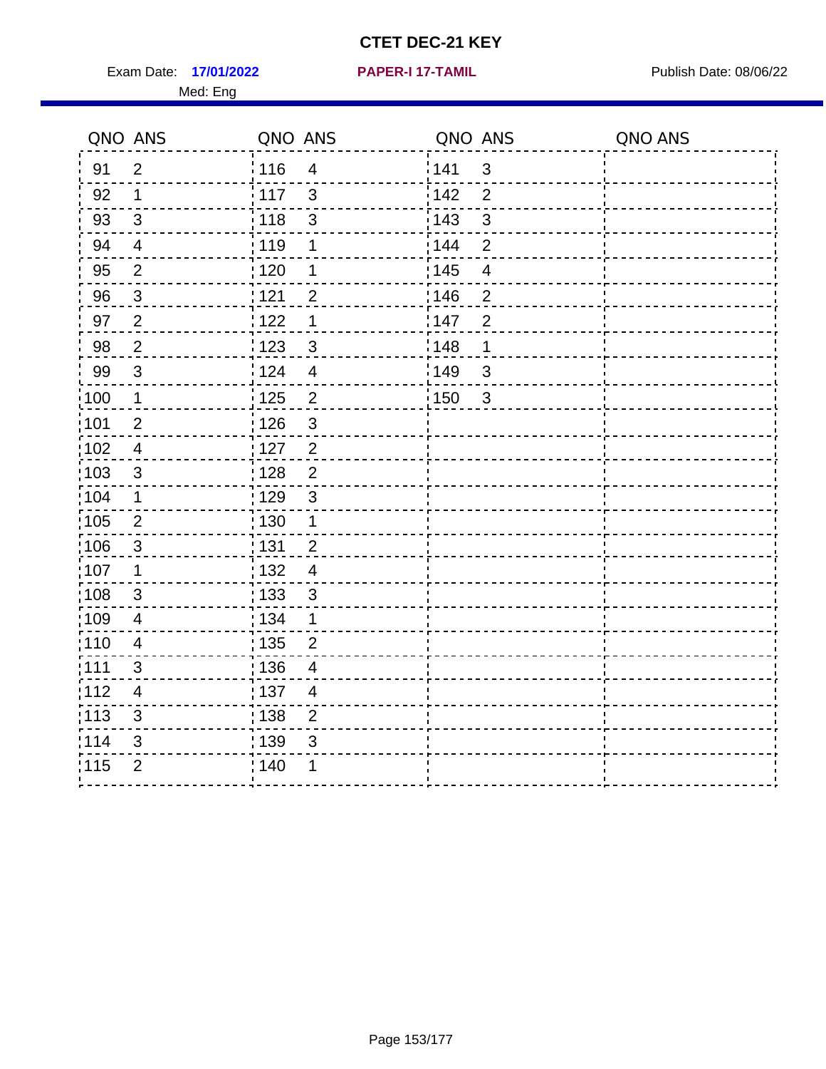Exam Date: 17/01/2022 **PAPER-I 17-TAMIL Exam Date: 08/06/22** Med: Eng

**17/01/2022 PAPER-I 17-TAMIL**

|                   | QNO ANS                  | QNO ANS           |                | QNO ANS |                         | QNO ANS |
|-------------------|--------------------------|-------------------|----------------|---------|-------------------------|---------|
| 91                | $\overline{2}$           | : 116             | $\overline{4}$ | 141     | $\mathbf{3}$            |         |
| 92                | $\mathbf{1}$             | 117               | 3              | 142     | $\overline{2}$          |         |
| 93                | $\mathfrak{3}$           | : 118             | $\mathfrak{S}$ | 143     | 3                       |         |
| 94                | $\overline{4}$           | : 119             | 1              | 144     | $\overline{2}$          |         |
| 95                | $\overline{2}$           | : 120             | 1              | : 145   | $\overline{\mathbf{4}}$ |         |
| 96                | $\mathbf{3}$             | 121               | $\overline{2}$ | 146     | $\overline{2}$          |         |
| 97                | $\overline{2}$           | 122               | 1              | 147     | $\overline{2}$          |         |
| 98                | $\overline{2}$           | 123               | $\mathfrak{S}$ | 148     | 1                       |         |
| 99                | 3                        | 124               | $\overline{4}$ | 149     | 3                       |         |
| :100              | $\mathbf 1$              | $\frac{1}{1}$ 125 | $\overline{2}$ | 150     | $\mathbf{3}$            |         |
| :101              | $\overline{2}$           | : 126             | 3              |         |                         |         |
| $\frac{1}{1}$ 102 | $\overline{4}$           | : 127             | $\overline{c}$ |         |                         |         |
| 103               | 3                        | 128               | $\overline{2}$ |         |                         |         |
| :104              | $\mathbf 1$              | :129              | 3              |         |                         |         |
| $\frac{1}{1}$ 105 | $\overline{2}$           | : 130             | $\mathbf{1}$   |         |                         |         |
| 106               | $\mathbf{3}$             | : 131             | $\overline{2}$ |         |                         |         |
| 107               | 1                        | : 132             | $\overline{4}$ |         |                         |         |
| :108              | $\mathbf{3}$             | : 133             | 3              |         |                         |         |
| 109               | $\overline{\mathcal{A}}$ | : 134             | 1              |         |                         |         |
| : 110             | $\overline{4}$           | : 135             | $\overline{2}$ |         |                         |         |
| :111              | 3                        | : 136             | $\overline{4}$ |         |                         |         |
| 112               | $\overline{\mathbf{4}}$  | :137              | $\overline{4}$ |         |                         |         |
| $\frac{1}{1}$ 113 | 3                        | 138               | $\overline{2}$ |         |                         |         |
| 114               | 3                        | 139               | $\mathfrak{S}$ |         |                         |         |
| 115               | $\overline{2}$           | ; 140             | 1              |         |                         |         |
|                   |                          |                   |                |         |                         |         |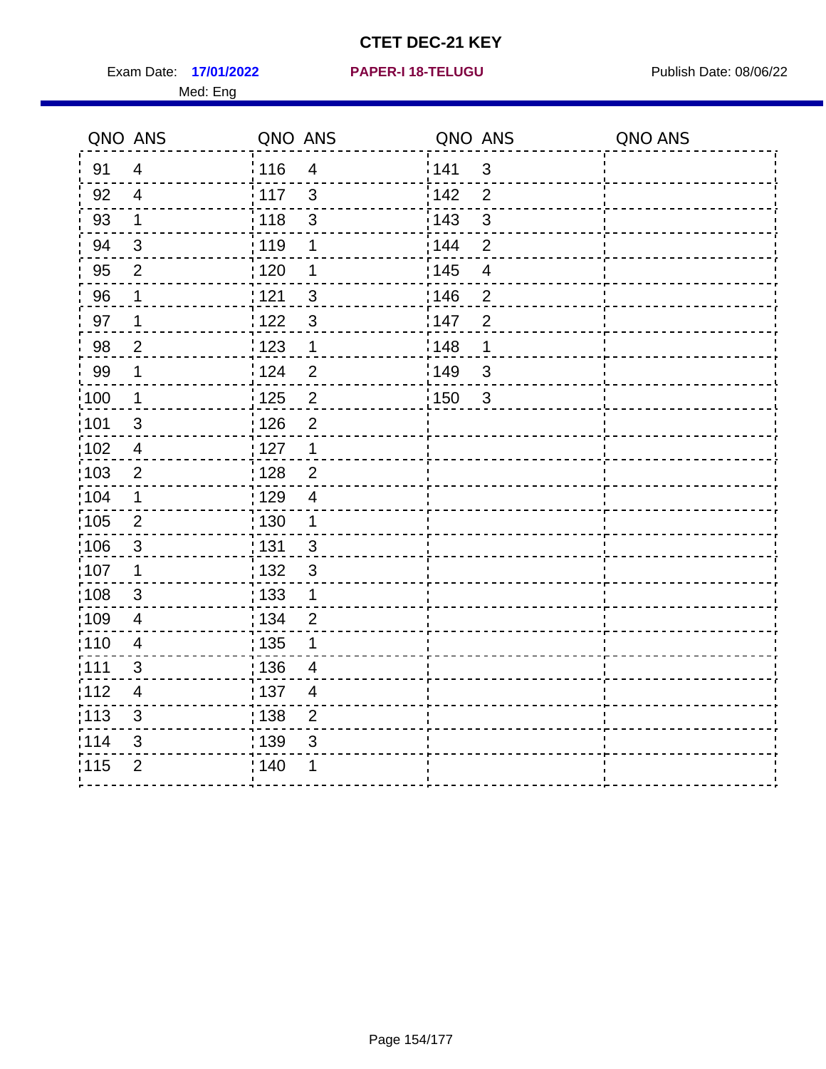Exam Date: 17/01/2022 **PAPER-I 18-TELUGU** PUBLISH Date: 08/06/22 Med: Eng

**17/01/2022 PAPER-I 18-TELUGU**

|                   | QNO ANS                 | QNO ANS                          | QNO ANS                 | QNO ANS |
|-------------------|-------------------------|----------------------------------|-------------------------|---------|
| 91                | $\overline{4}$          | 116<br>$\overline{\mathbf{4}}$   | 141<br>$\mathfrak{S}$   |         |
| 92                | $\overline{4}$          | 117<br>3                         | 142<br>$\overline{2}$   |         |
| 93                | 1                       | 118<br>$\mathbf{3}$              | 143<br>$\mathbf{3}$     |         |
| 94                | 3                       | : 119<br>1                       | 144<br>2                |         |
| 95                | $\overline{2}$          | :120<br>1                        | : 145<br>$\overline{4}$ |         |
| 96                | 1                       | 121<br>$\mathfrak{S}$            | :146<br>$\overline{2}$  |         |
| 97                | $\mathbf 1$             | : 122<br>$\mathbf{3}$            | 147<br>$\overline{2}$   |         |
| 98                | $\overline{2}$          | 123<br>$\mathbf{1}$              | 1148<br>1               |         |
| 99                | $\mathbf 1$             | 124<br>$\overline{2}$            | 149<br>$\sqrt{3}$       |         |
| $\frac{1}{1}$ 100 | $\overline{1}$          | $\overline{2}$<br>125            | 150<br>$\mathbf{3}$     |         |
| 101               | $\sqrt{3}$              | : 126<br>$\mathbf 2$             |                         |         |
| 102               | $\overline{4}$          | : 127<br>$\mathbf{1}$            |                         |         |
| :103              | 2                       | $\overline{2}$<br>: 128          |                         |         |
| 104               | $\mathbf 1$             | : 129<br>$\overline{4}$          |                         |         |
| 105               | $\overline{2}$          | : 130<br>$\mathbf{1}$            |                         |         |
| :106              | $\mathbf{3}$            | : 131<br>$\mathbf{3}$            |                         |         |
| :107              | $\mathbf 1$             | : 132<br>$\mathbf{3}$            |                         |         |
| 108               | $\mathbf{3}$            | : 133<br>$\mathbf{1}$            |                         |         |
| :109              | $\overline{\mathbf{4}}$ | : 134<br>$\overline{2}$          |                         |         |
| :110              | $\overline{4}$          | : 135<br>1                       |                         |         |
| :111              | $\mathfrak{S}$          | : 136<br>4                       |                         |         |
| 112               | $\overline{4}$          | : 137<br>$\overline{4}$          |                         |         |
| :113              | $\mathsf 3$             | $\frac{1}{1}$ 138<br>$\mathbf 2$ |                         |         |
| 114               | 3                       | 139<br>3                         |                         |         |
| 115               | $\overline{2}$          | 140                              |                         |         |
|                   |                         |                                  |                         |         |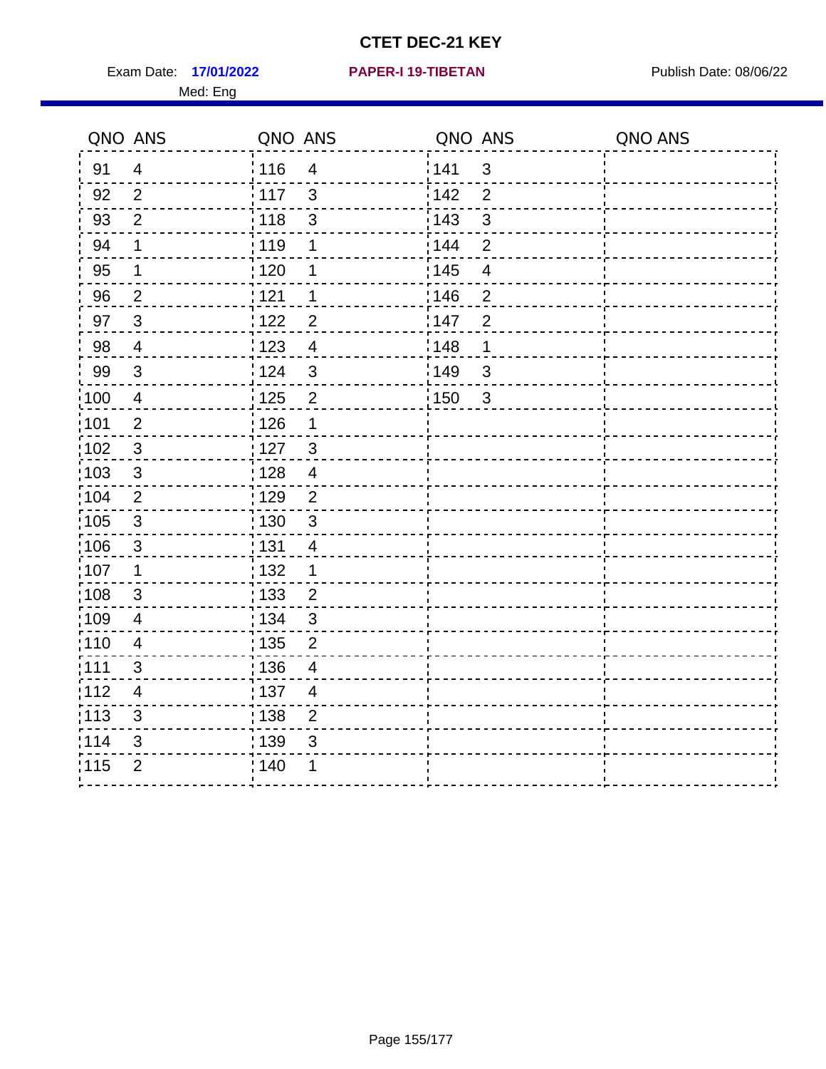Exam Date: 17/01/2022 **PAPER-I 19-TIBETAN** Publish Date: 08/06/22 Med: Eng

**17/01/2022 PAPER-I 19-TIBETAN**

|                   | QNO ANS                  | QNO ANS           |                          | QNO ANS |                          | QNO ANS |
|-------------------|--------------------------|-------------------|--------------------------|---------|--------------------------|---------|
| 91                | $\overline{4}$           | 116               | $\overline{\mathbf{4}}$  | 1141    | $\mathbf{3}$             |         |
| 92                | $\overline{2}$           | 117               | $\mathbf{3}$             | 142     | $\overline{2}$           |         |
| 93                | $\overline{2}$           | $\frac{1}{118}$   | $\sqrt{3}$               | 143     | $\mathfrak{S}$           |         |
| 94                | 1                        | : 119             | 1                        | : 144   | $\overline{2}$           |         |
| 95                | 1                        | : 120             | 1                        | : 145   | $\overline{\mathcal{A}}$ |         |
| 96                | $\overline{2}$           | 121               | 1                        | :146    | $\overline{2}$           |         |
| 97                | $\overline{3}$           | 122               | $\overline{2}$           | 147     | $\overline{2}$           |         |
| 98                | $\overline{4}$           | 123               | $\overline{4}$           | 148     | 1                        |         |
| 99                | $\sqrt{3}$               | 124               | $\mathfrak{3}$           | 149     | $\mathfrak{B}$           |         |
| $\frac{1}{1}$ 100 | $\overline{4}$           | 125               | $\overline{2}$           | 150     | $\mathbf{3}$             |         |
| :101              | $\overline{2}$           | : 126             | 1                        |         |                          |         |
| 102               | 3                        | : 127             | $\mathbf{3}$             |         |                          |         |
| 103               | 3                        | : 128             | $\overline{4}$           |         |                          |         |
| 104               | $\overline{2}$           | : 129             | $\overline{2}$           |         |                          |         |
| $\frac{1}{1}$ 105 | $\sqrt{3}$               | : 130             | $\mathfrak{3}$           |         |                          |         |
| :106              | 3                        | : 131             | $\overline{4}$           |         |                          |         |
| ;107              | $\mathbf{1}$             | 132               | $\mathbf 1$              |         |                          |         |
| 108               | $\sqrt{3}$               | 133               | $\overline{2}$           |         |                          |         |
| :109              | $\overline{\mathbf{4}}$  | : 134             | $\mathbf{3}$             |         |                          |         |
| :110              | $\overline{4}$           | : 135             | 2                        |         |                          |         |
| 1111              | 3                        | : 136             | $\overline{\mathcal{A}}$ |         |                          |         |
| 112               | $\overline{\mathcal{A}}$ | : 137             | $\overline{4}$           |         |                          |         |
| 113               | $\mathfrak{S}$           | $\frac{1}{1}$ 138 | $\overline{2}$           |         |                          |         |
| 114               | 3                        | 139               | 3                        |         |                          |         |
| 115               | $\overline{2}$           | 140               | 1                        |         |                          |         |
|                   |                          |                   |                          |         |                          |         |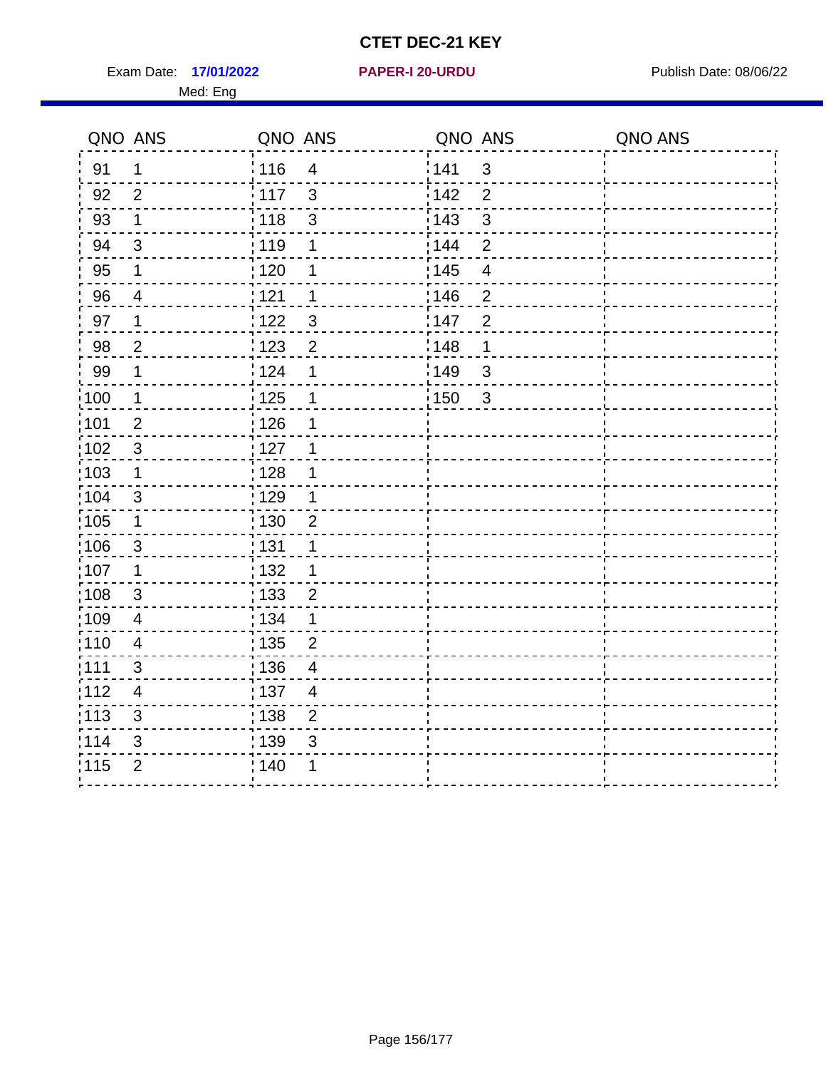Exam Date: 17/01/2022 **PAPER-I 20-URDU** PAPER 120-VERSITY Publish Date: 08/06/22 Med: Eng

**17/01/2022 PAPER-I 20-URDU**

|       | QNO ANS                  | QNO ANS                          | QNO ANS           |                | QNO ANS |
|-------|--------------------------|----------------------------------|-------------------|----------------|---------|
| 91    | $\mathbf 1$              | 116<br>$\overline{4}$            | 1141              | $\mathfrak{S}$ |         |
| 92    | $\overline{2}$           | 117<br>3                         | 142               | $\overline{2}$ |         |
| 93    | $\mathbf 1$              | : 118<br>$\mathsf 3$             | 143               | $\mathfrak{S}$ |         |
| 94    | 3                        | 119<br>1                         | : 144             | $\overline{2}$ |         |
| 95    | 1                        | : 120<br>1                       | : 145             | 4              |         |
| 96    | $\overline{\mathcal{A}}$ | 121<br>1                         | :146              | $\overline{2}$ |         |
| 97    | $\mathbf 1$              | 3<br>1122                        | 147               | $\overline{2}$ |         |
| 98    | $\overline{c}$           | 123<br>$\overline{2}$            | 148               | 1              |         |
| 99    | $\mathbf 1$              | 124<br>1                         | 149               | $\mathsf 3$    |         |
| 100   | $\mathbf 1$              | 125<br>1                         | $\frac{1}{1}$ 150 | $\sqrt{3}$     |         |
| 101   | $\mathbf 2$              | : 126<br>1                       |                   |                |         |
| :102  | $\mathbf{3}$             | : 127<br>$\overline{1}$          |                   |                |         |
| 103   | 1                        | 128<br>1                         |                   |                |         |
| 104   | $\mathfrak{B}$           | : 129<br>1                       |                   |                |         |
| :105  | $\mathbf 1$              | 130<br>$\overline{2}$            |                   |                |         |
| 106   | $\mathbf{3}$             | : 131<br>1                       |                   |                |         |
| 107   | 1                        | : 132<br>1                       |                   |                |         |
| :108  | $\sqrt{3}$               | 133<br>$\overline{2}$            |                   |                |         |
| :109  | $\overline{\mathcal{A}}$ | : 134<br>1                       |                   |                |         |
| : 110 | $\overline{\mathbf{4}}$  | : 135<br>$\overline{c}$          |                   |                |         |
| : 111 | 3                        | : 136<br>4                       |                   |                |         |
| 112   | $\overline{4}$           | :137<br>$\overline{\mathcal{A}}$ |                   |                |         |
| : 113 | $\mathfrak{S}$           | $\overline{2}$<br>: 138          |                   |                |         |
| 114   | $\sqrt{3}$               | 139<br>$\mathfrak{S}$            |                   |                |         |
| 115   | $\overline{2}$           | ; 140                            |                   |                |         |
|       |                          |                                  |                   |                |         |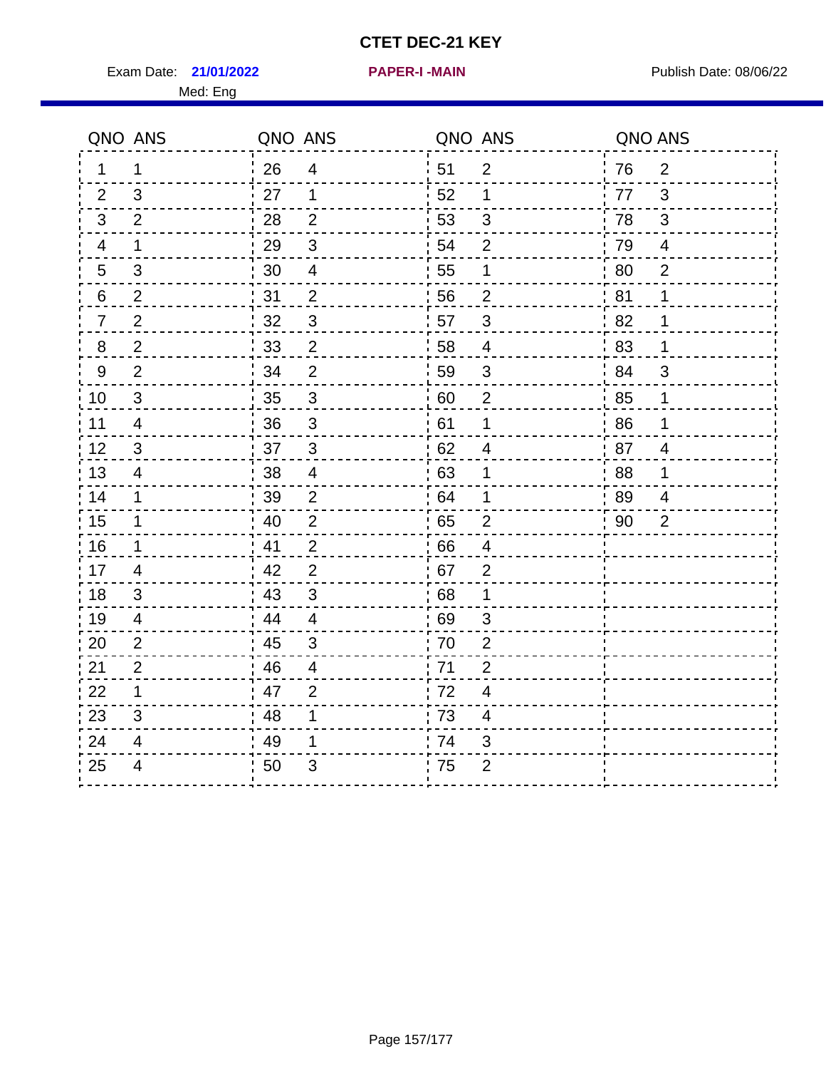Exam Date: 21/01/2022 **PAPER-I-MAIN Exam Date: 08/06/22** Med: Eng

|                | QNO ANS                 | QNO ANS |                         | QNO ANS |                | QNO ANS |                |
|----------------|-------------------------|---------|-------------------------|---------|----------------|---------|----------------|
| 1.             | 1                       | 26      | $\overline{4}$          | 51      | $\overline{2}$ | 76      | $\overline{2}$ |
| 2              | 3                       | 27      | 1                       | 52      | 1              | 77      | 3              |
| 3              | 2                       | 28      | $\overline{2}$          | 53      | 3              | 78      | 3              |
| 4              | 1                       | 29      | 3                       | 54      | $\overline{2}$ | 79      | $\overline{4}$ |
| $\overline{5}$ | 3                       | 30      | $\overline{\mathbf{4}}$ | 55      | 1              | 80      | $\overline{2}$ |
| 6              | $\overline{2}$          | 31      | $\overline{2}$          | 56      | $\overline{2}$ | 81      | 1              |
| $\overline{7}$ | $\overline{2}$          | 32      | $\mathbf{3}$            | 57      | 3              | 82      | 1              |
| 8              | $\overline{2}$          | 33      | $\overline{2}$          | 58      | 4              | 83      | 1              |
| 9              | $\overline{2}$          | 34      | $\overline{2}$          | 59      | $\mathfrak{S}$ | ' 84    | 3              |
| 10             | 3                       | 35      | $\mathbf{3}$            | 60      | $\overline{2}$ | 85      | 1              |
| 11             | $\overline{\mathbf{4}}$ | 36      | $\mathfrak{S}$          | 61      | 1              | 86      | 1              |
| 12             | 3                       | 37      | $\sqrt{3}$              | 62      | 4              | 87      | $\overline{4}$ |
| 13             | 4                       | 38      | $\overline{\mathbf{4}}$ | 63      | 1              | 88      | 1              |
| 14             | 1                       | 39      | 2                       | 64      | 1              | -89     | $\overline{4}$ |
| 15             | 1                       | 40      | $\overline{2}$          | 65      | $\overline{2}$ | 90      | $\overline{2}$ |
| 16             | 1                       | 41      | $\overline{2}$          | 66      | $\overline{4}$ |         |                |
| 17             | 4                       | 42      | $\overline{2}$          | 67      | $\overline{2}$ |         |                |
| 18             | 3                       | 43      | 3                       | 68      | 1              |         |                |
| 19             | $\overline{\mathbf{4}}$ | 44      | $\overline{4}$          | 69      | $\mathfrak{S}$ |         |                |
| 20             | $\overline{2}$          | 45      | $\mathbf{3}$            | 70      | $\overline{2}$ |         |                |
| 21             | $\overline{2}$          | 46      | $\overline{4}$          | .71     | $\overline{2}$ |         |                |
| 22             | $\mathbf{1}$            | 47      | $\overline{2}$          | 72      | $\overline{4}$ |         |                |
| 23             | 3                       | 48      | 1                       | 73      | 4              |         |                |
| 24             | 4                       | 49      | 1                       | 74      | 3              |         |                |
| 25             | 4                       | 50      | 3                       | 75      | $\overline{2}$ |         |                |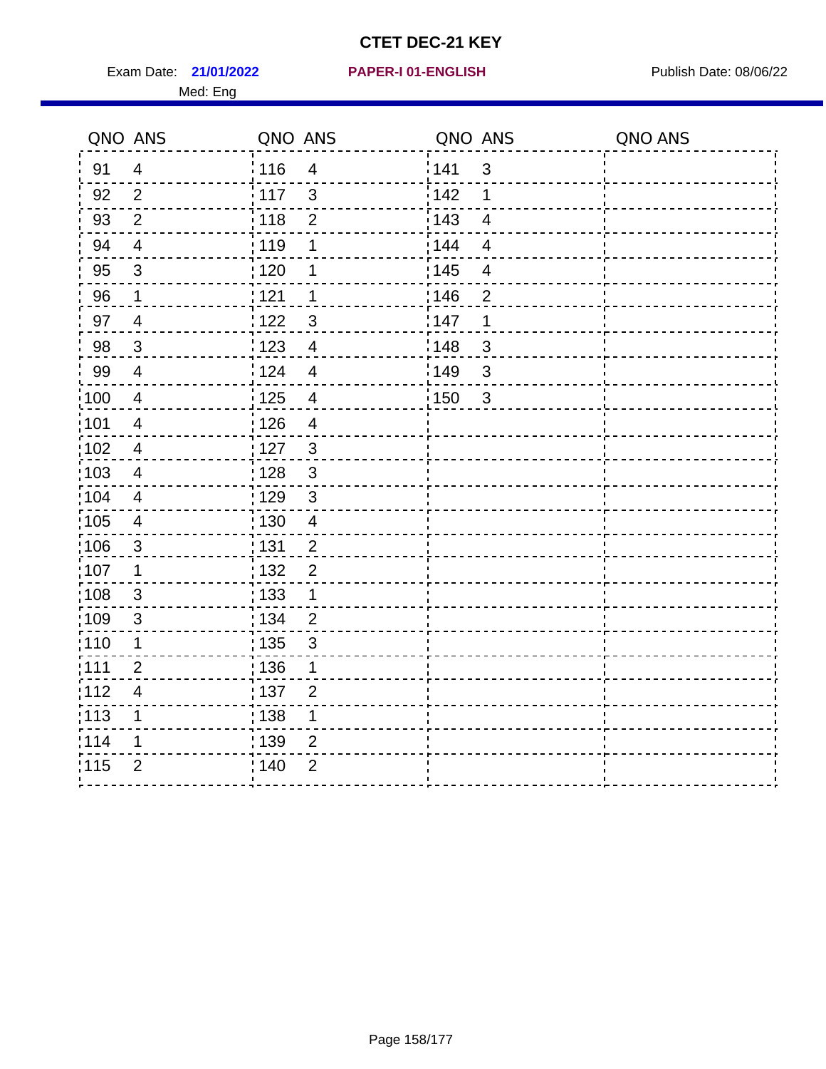Exam Date: 21/01/2022 PAPER-I 01-ENGLISH PREER FOR Publish Date: 08/06/22 Med: Eng

#### **21/01/2022 PAPER-I 01-ENGLISH**

|                 | QNO ANS                  | QNO ANS           |                | QNO ANS |                         | QNO ANS |
|-----------------|--------------------------|-------------------|----------------|---------|-------------------------|---------|
| 91              | $\overline{4}$           | 116               | $\overline{4}$ | 141     | $\mathbf{3}$            |         |
| 92              | $\overline{2}$           | 117               | $\mathbf{3}$   | 142     | 1                       |         |
| 93              | $\mathbf{2}$             | 118               | $\overline{2}$ | 143     | $\overline{4}$          |         |
| 94              | $\overline{4}$           | : 119             | 1              | 144     | $\overline{4}$          |         |
| 95              | $\mathfrak{S}$           | : 120             | 1              | : 145   | $\overline{\mathbf{4}}$ |         |
| 96              | 1                        | 121               | 1              | 146     | $\overline{2}$          |         |
| 97              | $\overline{4}$           | 122               | 3              | 147     | 1                       |         |
| 98              | $\mathbf{3}$             | $\frac{1}{2}$ 123 | $\overline{4}$ | 148     | $\mathbf{3}$            |         |
| 99              | $\overline{4}$           | 124               | $\overline{4}$ | :149    | $\sqrt{3}$              |         |
| 100             | $\overline{4}$           | $\frac{1}{1}$ 125 | $\overline{4}$ | 150     | $\mathbf{3}$            |         |
| :101            | $\overline{\mathcal{A}}$ | : 126             | $\overline{4}$ |         |                         |         |
| 102             | $\overline{4}$           | : 127             | $\mathbf{3}$   |         |                         |         |
| 103             | $\overline{4}$           | : 128             | $\mathbf{3}$   |         |                         |         |
| $\frac{1}{104}$ | $\overline{4}$           | $\frac{1}{1}$ 129 | $\mathfrak{3}$ |         |                         |         |
| 105             | $\overline{\mathbf{4}}$  | : 130             | $\overline{4}$ |         |                         |         |
| :106            | $\mathfrak{S}$           | : 131             | $\overline{2}$ |         |                         |         |
| ;107            | $\mathbf{1}$             | : 132             | $\overline{2}$ |         |                         |         |
| 108             | $\mathbf{3}$             | $\frac{1}{1}$ 133 | $\mathbf{1}$   |         |                         |         |
| :109            | $\mathfrak{3}$           | : 134             | $\overline{2}$ |         |                         |         |
| :110            | 1                        | : 135             | 3              |         |                         |         |
| : 111           | $\overline{2}$           | 136               | 1              |         |                         |         |
| 112             | $\overline{\mathbf{4}}$  | : 137             | $\overline{2}$ |         |                         |         |
| 113             | 1                        | : 138             | 1              |         |                         |         |
| 114             | 1                        | :139              | 2              |         |                         |         |
| 115             | $\overline{2}$           | 140               | $\overline{2}$ |         |                         |         |
|                 |                          |                   |                |         |                         |         |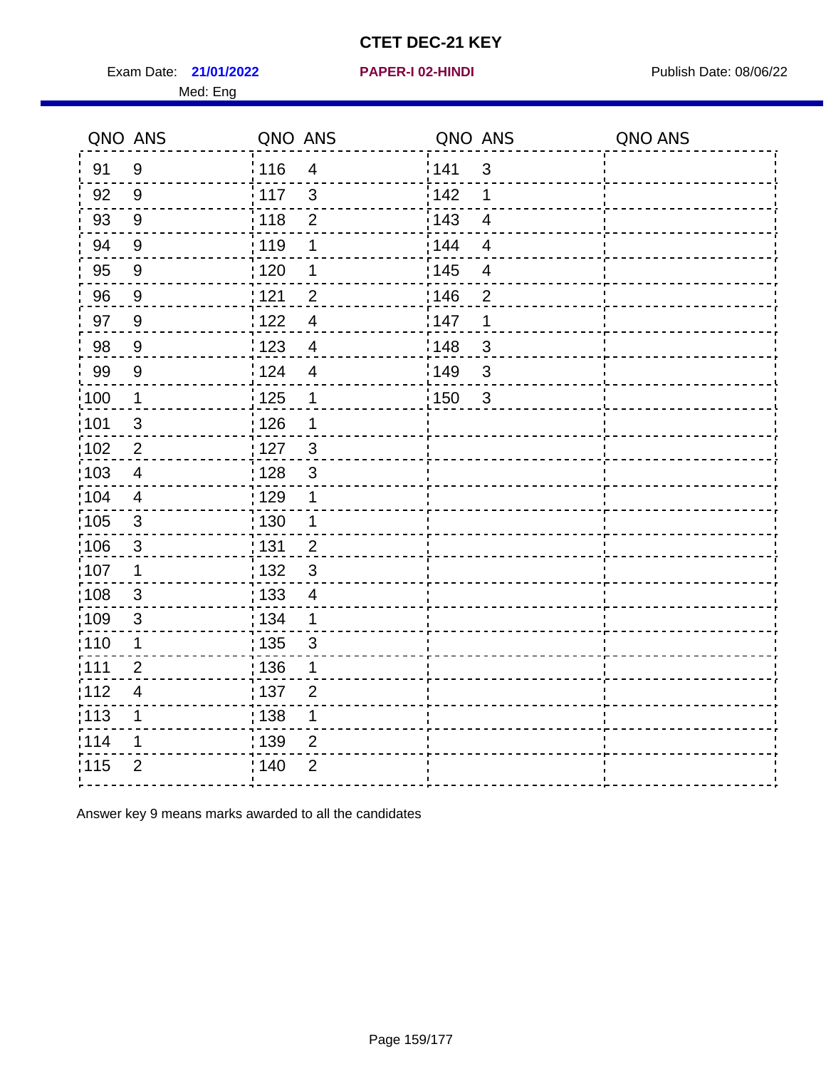Exam Date: 21/01/2022 **PAPER-I 02-HINDI Exam Date: 08/06/22** Med: Eng

#### **21/01/2022 PAPER-I 02-HINDI**

|                   | QNO ANS        | QNO ANS           |                | QNO ANS |                | QNO ANS |
|-------------------|----------------|-------------------|----------------|---------|----------------|---------|
| 91                | 9              | : 116             | $\overline{4}$ | 141     | $\mathfrak{S}$ |         |
| 92                | 9              | $\frac{1}{117}$   | 3              | 142     | 1              |         |
| 93                | 9              | : 118             | $\overline{2}$ | 143     | $\overline{4}$ |         |
| 94                | 9              | : 119             | 1              | : 144   | $\overline{4}$ |         |
| 95                | $9\,$          | ;120              | 1              | : 145   | $\overline{4}$ |         |
| 96                | 9              | 121               | $\overline{2}$ | 146     | $\overline{2}$ |         |
| 97                | 9              | 1122              | $\overline{4}$ | 147     | 1              |         |
| 98                | 9              | : 123             | $\overline{4}$ | 148     | 3              |         |
| 99                | $9\,$          | 124               | $\overline{4}$ | 149     | 3              |         |
| $\frac{1}{100}$   | $\mathbf 1$    | 125               | $\mathbf 1$    | 150     | $\mathbf{3}$   |         |
| 101               | $\mathfrak{S}$ | 126               | 1              |         |                |         |
| $\frac{1}{1}$ 102 | $\overline{2}$ | : 127             | $\mathbf{3}$   |         |                |         |
| 103               | 4              | : 128             | 3              |         |                |         |
| :104              | 4              | :129              | $\mathbf 1$    |         |                |         |
| 105               | $\mathbf{3}$   | : 130             | $\mathbf{1}$   |         |                |         |
| 106               | $\sqrt{3}$     | : 131             | $\overline{2}$ |         |                |         |
| 107               | $\mathbf 1$    | : 132             | 3              |         |                |         |
| :108              | 3              | : 133             | $\overline{4}$ |         |                |         |
| 109               | $\mathfrak{S}$ | : 134             | 1              |         |                |         |
| 110               | $\mathbf 1$    | $\frac{1}{1}$ 135 | $\mathbf{3}$   |         |                |         |
| : 111             | $\overline{2}$ | :136              | 1              |         |                |         |
| 112               | $\overline{4}$ | :137              | $\overline{2}$ |         |                |         |
| :113              | 1              | : 138             | $\mathbf 1$    |         |                |         |
| 114               | 1              | : 139             | $\overline{2}$ |         |                |         |
| 115               | $\overline{2}$ | ; 140             | $\overline{2}$ |         |                |         |

Answer key 9 means marks awarded to all the candidates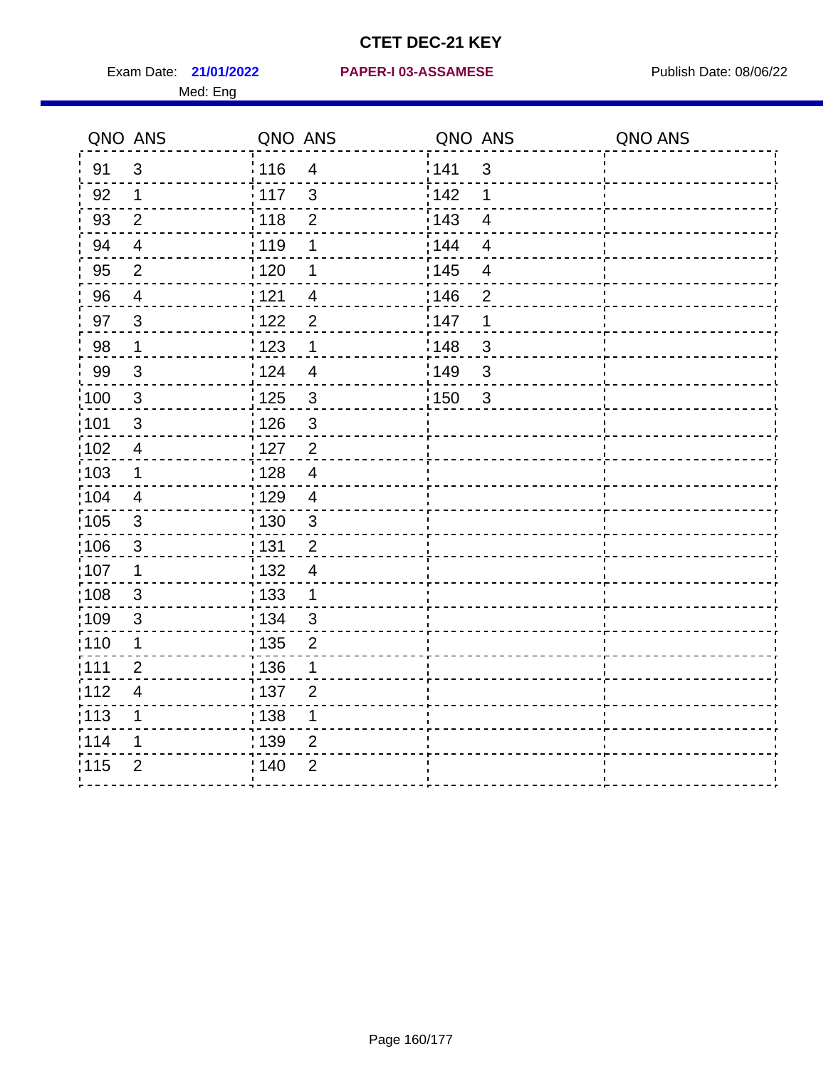Med: Eng

|                   | QNO ANS                  | QNO ANS           |                         | QNO ANS           |                          | QNO ANS |
|-------------------|--------------------------|-------------------|-------------------------|-------------------|--------------------------|---------|
| 91                | $\mathfrak{S}$           | 116               | $\overline{4}$          | 141               | $\mathfrak{S}$           |         |
| 92                | $\mathbf 1$              | 117               | $\mathbf{3}$            | 142               | 1                        |         |
| 93                | $\overline{2}$           | 118               | $\mathbf 2$             | 143               | $\overline{\mathbf{4}}$  |         |
| 94                | $\overline{4}$           | : 119             | 1                       | : 144             | $\overline{4}$           |         |
| 95                | $\overline{2}$           | : 120             | 1                       | : 145             | $\overline{\mathcal{A}}$ |         |
| 96                | 4                        | 121               | $\overline{4}$          | 146               | $\overline{2}$           |         |
| 97                | $\mathfrak{B}$           | : 122             | $\overline{2}$          | 147               | 1                        |         |
| 98                | $\mathbf{1}$             | 123               | $\mathbf{1}$            | 148               | $\mathbf{3}$             |         |
| 99                | $\sqrt{3}$               | 124               | $\overline{\mathbf{4}}$ | $\frac{1}{2}$ 149 | $\mathfrak{S}$           |         |
| $\frac{1}{1}$ 100 | $\mathbf{3}$             | $\frac{1}{1}$ 125 | $\mathfrak{3}$          | 150               | $\mathfrak{S}$           |         |
| :101              | $\sqrt{3}$               | : 126             | $\mathfrak{S}$          |                   |                          |         |
| 102               | $\overline{4}$           | : 127             | $\overline{2}$          |                   |                          |         |
| ;103              | $\mathbf 1$              | :128              | $\overline{4}$          |                   |                          |         |
| 104               | $\overline{4}$           | : 129             | $\overline{\mathbf{4}}$ |                   |                          |         |
| 105               | $\sqrt{3}$               | 130               | $\mathbf{3}$            |                   |                          |         |
| :106              | $\mathfrak{S}$           | : 131             | $\overline{2}$          |                   |                          |         |
| 107               | 1                        | :132              | $\overline{4}$          |                   |                          |         |
| 108               | $\sqrt{3}$               | 133               | $\mathbf{1}$            |                   |                          |         |
| :109              | $\sqrt{3}$               | : 134             | 3                       |                   |                          |         |
| :110              | 1                        | : 135             | 2                       |                   |                          |         |
| :111              | $\overline{2}$           | : 136             | 1                       |                   |                          |         |
| 112               | $\overline{\mathcal{A}}$ | 137               | $\overline{2}$          |                   |                          |         |
| 113               | 1                        | 138               | 1                       |                   |                          |         |
| 114               | 1                        | 139               | 2                       |                   |                          |         |
| 115               | $\overline{2}$           | 140               | $\overline{2}$          |                   |                          |         |
|                   |                          |                   |                         |                   |                          |         |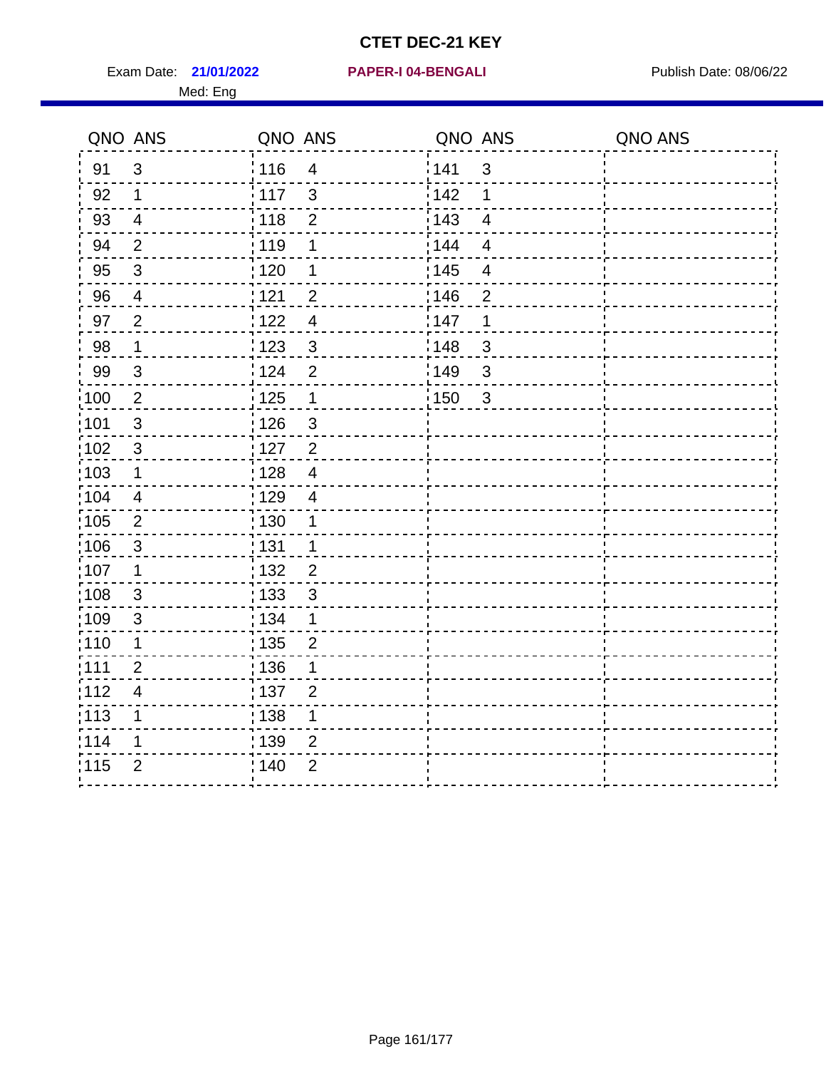Exam Date: 21/01/2022 PAPER-I 04-BENGALI PREREMENTED Publish Date: 08/06/22 Med: Eng

**21/01/2022 PAPER-I 04-BENGALI**

|                   | QNO ANS                   | QNO ANS |                           | QNO ANS |                          | QNO ANS |
|-------------------|---------------------------|---------|---------------------------|---------|--------------------------|---------|
| 91                | $\mathbf{3}$              | 116     | $\overline{\mathbf{4}}$   | 1141    | $\sqrt{3}$               |         |
| 92                | $\mathbf 1$               | 117     | $\mathfrak{3}$            | 142     | 1                        |         |
| 93                | $\overline{4}$            | 118     | $\mathbf{2}$              | 143     | $\overline{\mathbf{4}}$  |         |
| 94                | 2                         | : 119   | 1                         | 144     | $\overline{4}$           |         |
| 95                | $\mathfrak{B}$            | : 120   | 1                         | : 145   | $\overline{\mathcal{A}}$ |         |
| 96                | 4                         | 121     | $\overline{2}$            | 146     | $\overline{2}$           |         |
| 97                | $\overline{2}$            | 122     | $\overline{4}$            | 147     | 1                        |         |
| 98                | $\overline{1}$            | 1123    | $\mathbf{3}$              | 148     | $\sqrt{3}$               |         |
| 99                | $\ensuremath{\mathsf{3}}$ | 124     | $\overline{2}$            | :149    | $\mathsf 3$              |         |
| $\frac{1}{1}$ 100 | $\overline{2}$            | 125     | $\mathbf{1}$              | 150     | $\mathbf{3}$             |         |
| :101              | $\sqrt{3}$                | : 126   | $\ensuremath{\mathsf{3}}$ |         |                          |         |
| 102               | $\mathfrak{3}$            | : 127   | 2                         |         |                          |         |
| 103               | $\mathbf 1$               | :128    | $\overline{4}$            |         |                          |         |
| 104               | $\overline{4}$            | : 129   | $\overline{\mathcal{A}}$  |         |                          |         |
| 105               | $\sqrt{2}$                | 130     | $\mathbf 1$               |         |                          |         |
| :106              | $\mathfrak{S}$            | : 131   | $\mathbf 1$               |         |                          |         |
| 107               | 1                         | :132    | $\overline{2}$            |         |                          |         |
| 108               | $\sqrt{3}$                | : 133   | $\mathbf{3}$              |         |                          |         |
| :109              | $\mathfrak{S}$            | : 134   | $\mathbf 1$               |         |                          |         |
| : 110             | 1                         | : 135   | $\overline{2}$            |         |                          |         |
| 111               | $\overline{2}$            | : 136   | 1                         |         |                          |         |
| 112               | $\overline{\mathcal{A}}$  | : 137   | $\overline{2}$            |         |                          |         |
| 113               | 1                         | 138     | 1                         |         |                          |         |
| 114               | 1                         | :139    | 2                         |         |                          |         |
| 115               | $\overline{2}$            | 140     | $\overline{2}$            |         |                          |         |
|                   |                           |         |                           |         |                          |         |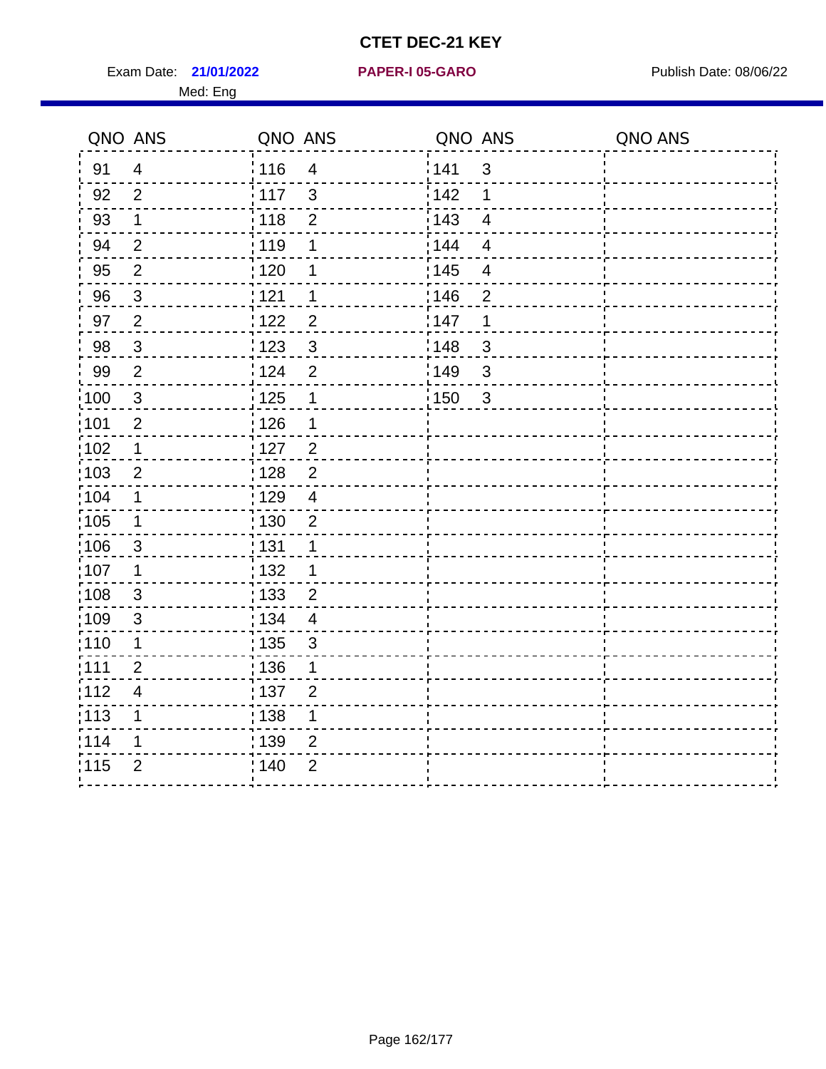Exam Date: 21/01/2022 PAPER-I 05-GARO Publish Date: 08/06/22 Med: Eng

#### **21/01/2022 PAPER-I 05-GARO**

|                   | QNO ANS                 | QNO ANS |                      | QNO ANS          |                         | QNO ANS |
|-------------------|-------------------------|---------|----------------------|------------------|-------------------------|---------|
| 91                | $\overline{4}$          | 116     | $\overline{4}$       | 141              | $\mathbf{3}$            |         |
| 92                | $\overline{2}$          | 117     | $\mathbf{3}$         | <sup>'</sup> 142 | $\mathbf 1$             |         |
| 93                | $\mathbf{1}$            | 118     | $\overline{2}$       | 143              | $\overline{4}$          |         |
| 94                | $\overline{2}$          | : 119   | 1                    | 144              | $\overline{\mathbf{4}}$ |         |
| 95                | $\overline{2}$          | :120    | 1                    | : 145            | $\overline{\mathbf{4}}$ |         |
| 96                | $\mathbf{3}$            | 121     | $\mathbf 1$          | 146              | $\overline{2}$          |         |
| 97                | $\overline{2}$          | 1122    | $\overline{2}$       | 147              | $\mathbf 1$             |         |
| 98                | $\mathbf{3}$            | 123     | $\mathbf{3}$         | 148              | 3                       |         |
| 99                | $\overline{2}$          | 124     | $\overline{2}$       | 149              | $\mathbf{3}$            |         |
| $\frac{1}{1}$ 100 | $\mathbf{3}$            | 125     | $\mathbf 1$          | : 150            | $\mathbf{3}$            |         |
| :101              | $\overline{2}$          | : 126   | $\mathbf 1$          |                  |                         |         |
| $\frac{1}{1}$ 102 | $\mathbf 1$             | :127    | $\frac{2}{\sqrt{2}}$ |                  |                         |         |
| 103               | 2                       | : 128   | 2                    |                  |                         |         |
| :104              | 1                       | :129    | $\overline{4}$       |                  |                         |         |
| $\frac{1}{1}$ 105 | $\mathbf 1$             | : 130   | $\overline{2}$       |                  |                         |         |
| 106               | 3                       | : 131   | $\mathbf 1$          |                  |                         |         |
| :107              | 1                       | : 132   | 1                    |                  |                         |         |
| 108               | $\mathbf{3}$            | : 133   | $\overline{2}$       |                  |                         |         |
| :109              | $\sqrt{3}$              | : 134   | $\overline{4}$       |                  |                         |         |
| :110              | 1                       | ; 135   | $\mathfrak{B}$       |                  |                         |         |
| :111              | $\overline{2}$          | :136    | 1                    |                  |                         |         |
| 112               | $\overline{\mathbf{4}}$ | : 137   | $\overline{2}$       |                  |                         |         |
| : 113             | 1                       | 138     | $\mathbf 1$          |                  |                         |         |
| 114               | 1                       | : 139   | $\overline{2}$       |                  |                         |         |
| 115               | $\overline{2}$          | : 140   | $\overline{2}$       |                  |                         |         |
|                   |                         |         |                      |                  |                         |         |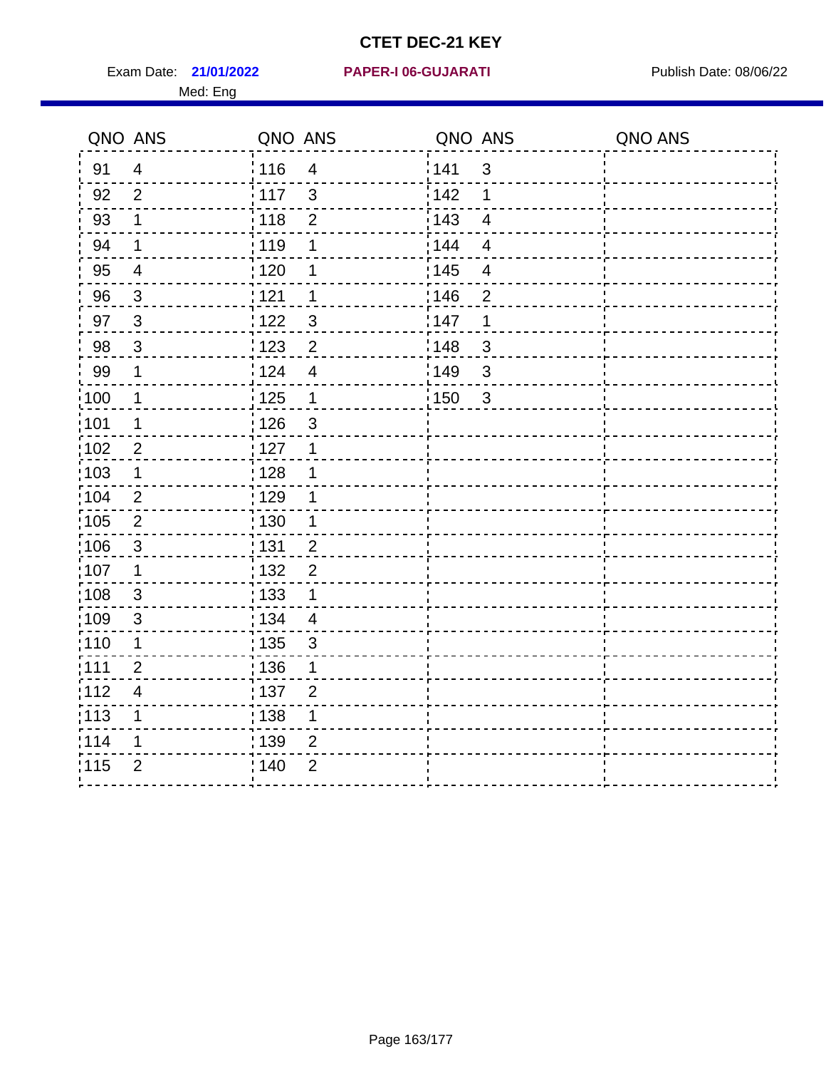Exam Date: 21/01/2022 PAPER-I 06-GUJARATI Publish Date: 08/06/22 Med: Eng

**21/01/2022 PAPER-I 06-GUJARATI**

|                   | QNO ANS                 | QNO ANS           |                         | QNO ANS           |                | QNO ANS |
|-------------------|-------------------------|-------------------|-------------------------|-------------------|----------------|---------|
| 91                | $\overline{4}$          | : 116             | $\overline{4}$          | 141               | $\mathbf{3}$   |         |
| 92                | $\overline{2}$          | 117               | $\mathbf{3}$            | 142               | 1              |         |
| 93                | $\mathbf 1$             | 118               | $\mathbf 2$             | 143               | $\overline{4}$ |         |
| 94                | $\mathbf 1$             | : 119             | 1                       | : 144             | $\overline{4}$ |         |
| 95                | $\overline{4}$          | : 120             | 1                       | : 145             | 4              |         |
| 96                | 3                       | 121               | 1                       | 146               | $\overline{2}$ |         |
| 97                | $\overline{3}$          | 122               | 3                       | 147               | 1              |         |
| 98                | $\mathbf{3}$            | 123               | $\overline{c}$          | 148               | $\mathfrak{S}$ |         |
| 99                | $\mathbf 1$             | 124               | $\overline{\mathbf{4}}$ | 149               | 3              |         |
| $\frac{1}{1}$ 100 | $\mathbf 1$             | $\frac{1}{1}$ 125 | $\mathbf{1}$            | $\frac{1}{1}$ 150 | $\mathbf{3}$   |         |
| :101              | 1                       | 126               | 3                       |                   |                |         |
| 102               | $\overline{2}$          | : 127             | $\mathbf 1$             |                   |                |         |
| 103               | $\mathbf 1$             | : 128             | $\mathbf 1$             |                   |                |         |
| 104               | $\overline{2}$          | $\frac{1}{1}$ 129 | 1                       |                   |                |         |
| 105               | $\sqrt{2}$              | 130               | $\mathbf 1$             |                   |                |         |
| 106               | $\mathfrak{S}$          | 131               | $\overline{2}$          |                   |                |         |
| ;107              | $\mathbf{1}$            | 132               | $\overline{2}$          |                   |                |         |
| 108               | $\mathbf{3}$            | : 133             | $\mathbf{1}$            |                   |                |         |
| :109              | $\mathfrak{S}$          | : 134             | $\overline{4}$          |                   |                |         |
| :110              | 1                       | : 135             | 3                       |                   |                |         |
| :111              | $\overline{2}$          | : 136             | 1                       |                   |                |         |
| 112               | $\overline{\mathbf{4}}$ | 137               | $\overline{2}$          |                   |                |         |
| 113               | 1                       | 138               | 1                       |                   |                |         |
| 114               | 1                       | 139               | 2                       |                   |                |         |
| 115               | $\overline{2}$          | 140               | $\overline{2}$          |                   |                |         |
|                   |                         |                   |                         |                   |                |         |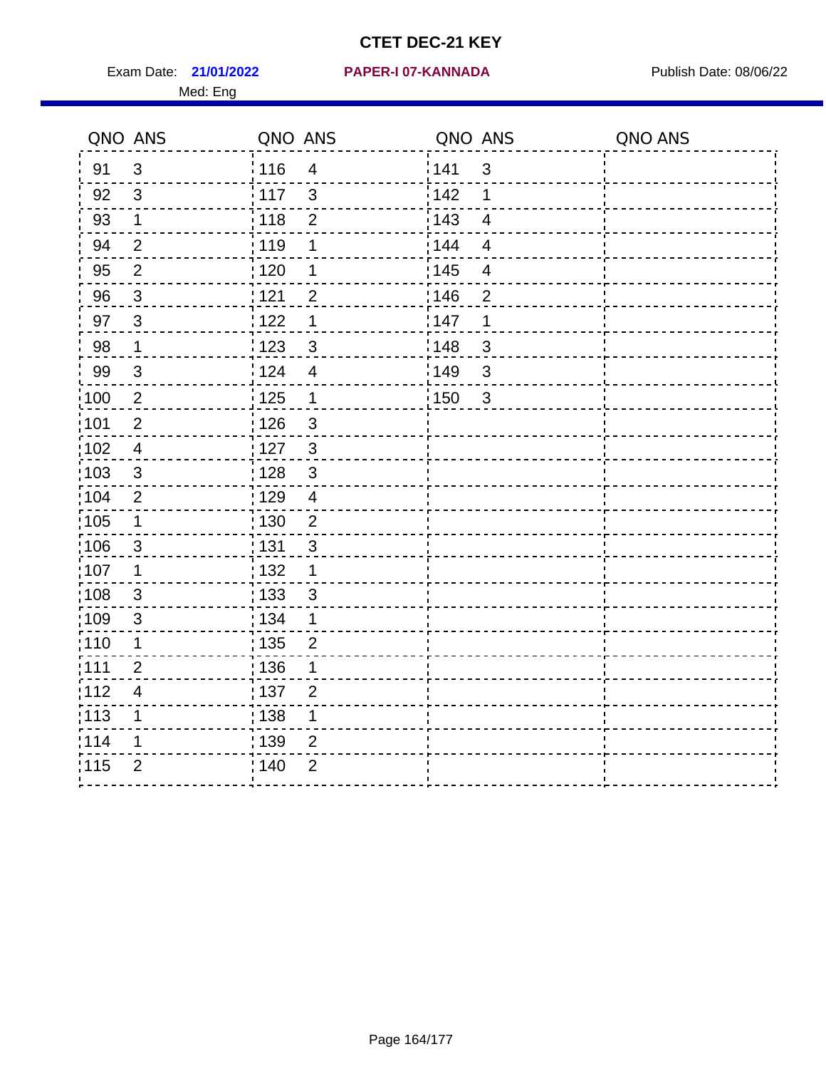Exam Date: 21/01/2022 PAPER-I 07-KANNADA Publish Date: 08/06/22 Med: Eng

|                   | QNO ANS                  | QNO ANS           |                         | QNO ANS           |                          | QNO ANS |
|-------------------|--------------------------|-------------------|-------------------------|-------------------|--------------------------|---------|
| 91                | 3                        | : 116             | $\overline{4}$          | 141               | $\mathfrak{S}$           |         |
| 92                | $\mathbf{3}$             | 117               | $\mathbf{3}$            | 142               | 1                        |         |
| 93                | $\mathbf{1}$             | 118               | $\overline{2}$          | 143               | $\overline{4}$           |         |
| 94                | $\overline{2}$           | : 119             | 1                       | : 144             | $\overline{4}$           |         |
| 95                | $\overline{2}$           | : 120             | 1                       | : 145             | $\overline{\mathcal{A}}$ |         |
| 96                | $\mathfrak{S}$           | 121               | $\overline{2}$          | 146               | $\overline{2}$           |         |
| 97                | $\overline{3}$           | 122               | 1                       | 147               | $\mathbf 1$              |         |
| 98                | $\mathbf{1}$             | 123               | $\mathfrak{S}$          | 148               | $\mathbf{3}$             |         |
| 99                | $\sqrt{3}$               | 124               | $\overline{\mathbf{4}}$ | 149               | $\mathfrak{S}$           |         |
| $\frac{1}{1}$ 100 | $\overline{2}$           | $\frac{1}{1}$ 125 | $\mathbf 1$             | $\frac{1}{1}$ 150 | $\mathbf{3}$             |         |
| :101              | $\boldsymbol{2}$         | : 126             | $\mathbf{3}$            |                   |                          |         |
| 102               | $\overline{4}$           | :127              | $\mathbf{3}$            |                   |                          |         |
| 103               | 3                        | : 128             | $\mathbf{3}$            |                   |                          |         |
| 104               | $\overline{2}$           | : 129             | $\overline{4}$          |                   |                          |         |
| 105               | $\mathbf 1$              | : 130             | $\overline{2}$          |                   |                          |         |
| :106              | $\mathbf{3}$             | : 131             | 3                       |                   |                          |         |
| ;107              | $\mathbf 1$              | 132               | $\mathbf 1$             |                   |                          |         |
| 108               | $\mathbf{3}$             | 133               | $\mathfrak{S}$          |                   |                          |         |
| :109              | $\sqrt{3}$               | : 134             | $\mathbf{1}$            |                   |                          |         |
| :110              | 1                        | 135               | $\overline{2}$          |                   |                          |         |
| 111               | $\overline{2}$           | : 136             | 1                       |                   |                          |         |
| 112               | $\overline{\mathcal{A}}$ | 137               | $\overline{2}$          |                   |                          |         |
| 113               | 1                        | 138               | 1                       |                   |                          |         |
| 114               | 1                        | 139               | 2                       |                   |                          |         |
| 115               | $\overline{2}$           | 140               | $\overline{2}$          |                   |                          |         |
|                   |                          |                   |                         |                   |                          |         |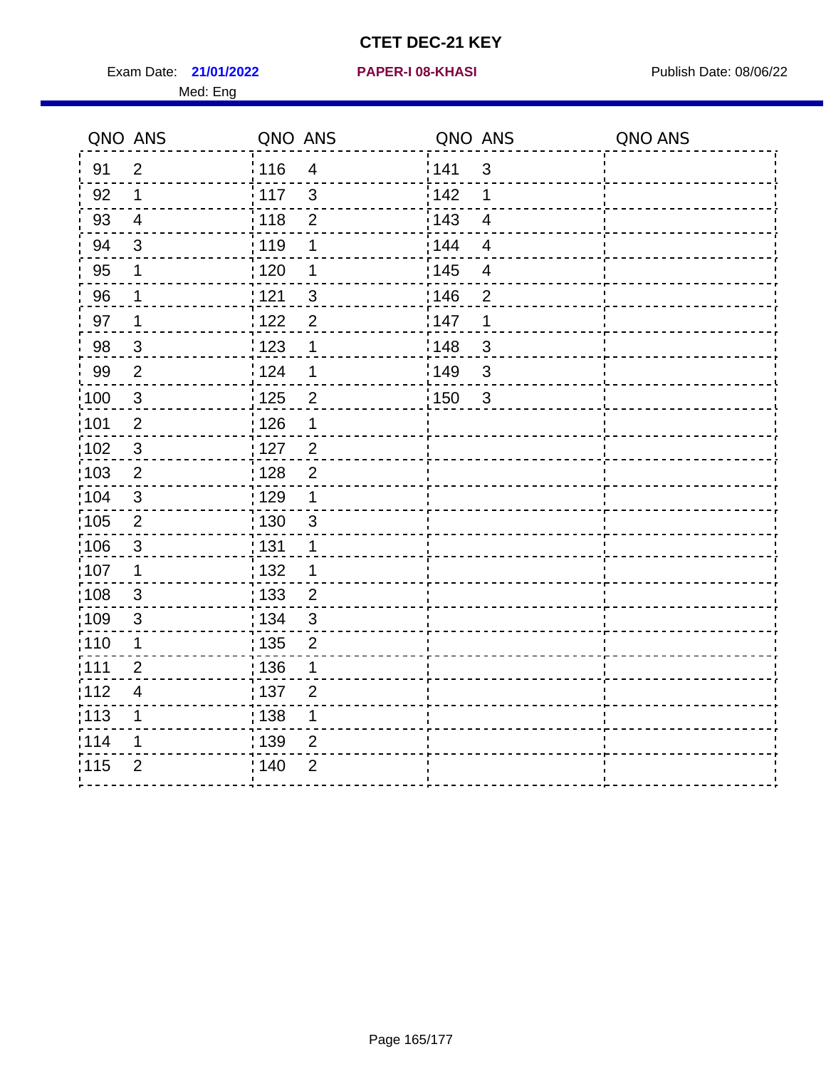Exam Date: 21/01/2022 **PAPER-I 08-KHASI** PUBLISH Date: 08/06/22 Med: Eng

#### **21/01/2022 PAPER-I 08-KHASI**

| QNO ANS           |                         | QNO ANS           |                | QNO ANS           |                         | QNO ANS |
|-------------------|-------------------------|-------------------|----------------|-------------------|-------------------------|---------|
| 91                | $\overline{2}$          | 116               | $\overline{4}$ | <sup>'</sup> 141  | 3                       |         |
| 92                | 1                       | 117               | $\mathbf{3}$   | <sup>'</sup> 142  | 1                       |         |
| 93                | $\overline{4}$          | 118               | $\overline{2}$ | : 143             | $\overline{\mathbf{4}}$ |         |
| 94                | 3                       | 119               | 1              | : 144             | $\overline{4}$          |         |
| 95                | 1                       | 120               | 1              | : 145             | $\overline{\mathbf{4}}$ |         |
| 96                | 1                       | 121               | $\mathfrak{B}$ | :146              | $\overline{2}$          |         |
| 97                | 1                       | 122               | $\overline{2}$ | 147               | 1                       |         |
| 98                | $\mathbf{3}$            | 123               | 1              | 148               | $\mathsf 3$             |         |
| 99                | $\overline{2}$          | 124               | 1              | $\frac{1}{2}$ 149 | $\sqrt{3}$              |         |
| $\frac{1}{1}$ 100 | $\sqrt{3}$              | $\frac{1}{1}$ 125 | $\overline{c}$ | 150               | $\sqrt{3}$              |         |
| :101              | $\overline{2}$          | 126               | 1              |                   |                         |         |
| 102               | $\mathfrak{3}$          | 127               | $\overline{c}$ |                   |                         |         |
| :103              | $\overline{2}$          | : 128             | $\overline{2}$ |                   |                         |         |
| 104               | 3                       | $\frac{1}{1}$ 129 | 1              |                   |                         |         |
| 105               | $\sqrt{2}$              | : 130             | $\mathfrak{S}$ |                   |                         |         |
| :106              | 3                       | : 131             | 1              |                   |                         |         |
| :107              | 1                       | 132               | 1              |                   |                         |         |
| 108               | $\sqrt{3}$              | 133               | $\overline{2}$ |                   |                         |         |
| :109              | $\mathfrak{B}$          | : 134             | $\mathbf{3}$   |                   |                         |         |
| :110              | 1                       | : 135             | $\overline{2}$ |                   |                         |         |
| 111               | $\overline{2}$          | : 136             | 1              |                   |                         |         |
| 112               | $\overline{\mathbf{4}}$ | $\frac{1}{1}$ 137 | $\overline{2}$ |                   |                         |         |
| : 113             | 1                       | : 138             | 1              |                   |                         |         |
| 114               | 1                       | : 139             | $\overline{2}$ |                   |                         |         |
| 115               | $\overline{2}$          | : 140             | $\overline{2}$ |                   |                         |         |
|                   |                         |                   |                |                   |                         |         |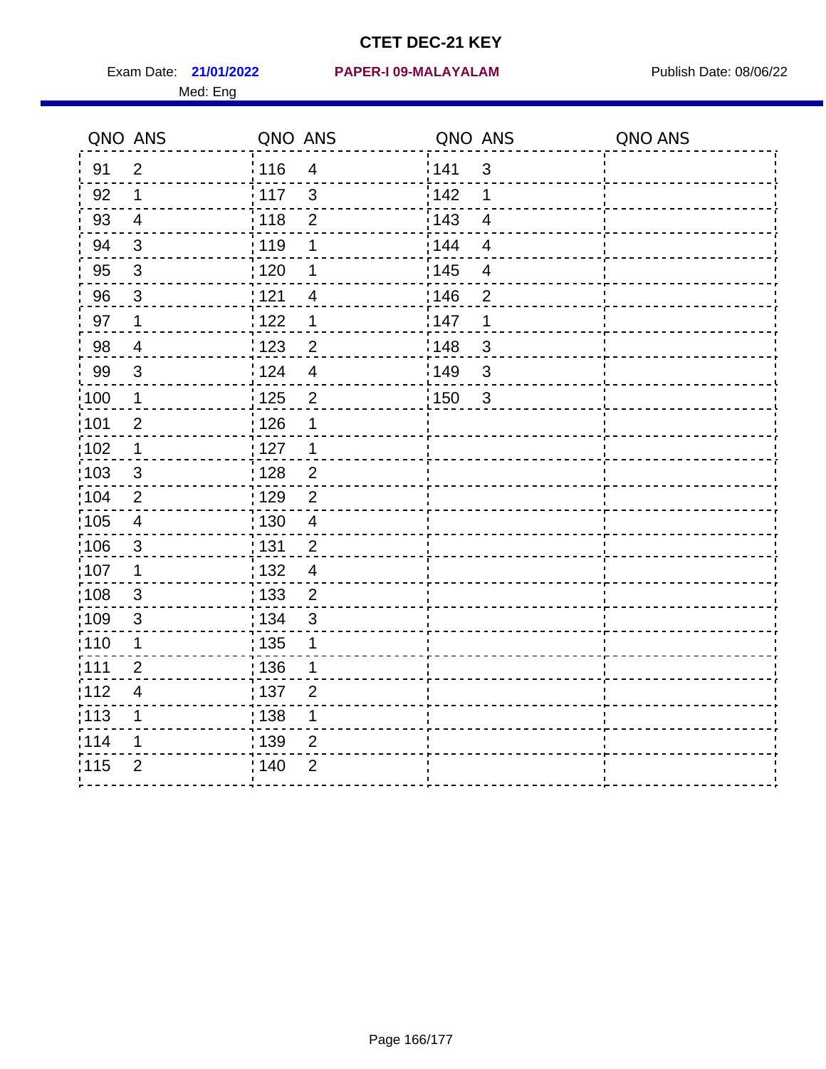Med: Eng

|                   | QNO ANS                  | QNO ANS           |                         | QNO ANS           |                           | QNO ANS |
|-------------------|--------------------------|-------------------|-------------------------|-------------------|---------------------------|---------|
| 91                | $\overline{2}$           | 116               | $\overline{\mathbf{4}}$ | 1141              | $\sqrt{3}$                |         |
| 92                | 1                        | 117               | $\mathfrak{B}$          | 142               | 1                         |         |
| 93                | $\overline{4}$           | $\frac{1}{118}$   | $\mathbf 2$             | 143               | $\overline{4}$            |         |
| 94                | $\mathbf{3}$             | 119               | 1                       | : 144             | $\overline{4}$            |         |
| 95                | 3                        | : 120             | 1                       | : 145             | $\overline{4}$            |         |
| 96                | $\mathfrak{S}$           | 121               | 4                       | :146              | $\overline{2}$            |         |
| 97                | 1                        | 1122              | 1                       | 147               | 1                         |         |
| 98                | $\overline{\mathcal{A}}$ | 1123              | $\overline{c}$          | :148              | $\sqrt{3}$                |         |
| 99                | $\sqrt{3}$               | 124               | $\overline{\mathbf{4}}$ | :149              | $\ensuremath{\mathsf{3}}$ |         |
| 100               | $\mathbf 1$              | 125               | $\mathbf{2}$            | $\frac{1}{1}$ 150 | 3                         |         |
| 101               | $\mathbf 2$              | 126               | 1                       |                   |                           |         |
| 102               | $\mathbf 1$              | : 127             | 1                       |                   |                           |         |
| 103               | $\mathbf{3}$             | :128              | $\overline{2}$          |                   |                           |         |
| 104               | $\overline{2}$           | : 129             | $\overline{2}$          |                   |                           |         |
| $\frac{1}{1}$ 105 | $\overline{\mathbf{4}}$  | $\frac{1}{1}$ 130 | $\overline{4}$          |                   |                           |         |
| 106               | $\mathbf{3}$             | : 131             | $\overline{2}$          |                   |                           |         |
| 107               | $\mathbf 1$              | : 132             | $\overline{4}$          |                   |                           |         |
| 108               | $\mathbf{3}$             | : 133             | $\overline{2}$          |                   |                           |         |
| :109              | $\sqrt{3}$               | : 134             | $\mathbf{3}$            |                   |                           |         |
| : 110             | 1                        | : 135             | 1                       |                   |                           |         |
| : 111             | $\overline{2}$           | : 136             | 1                       |                   |                           |         |
| 112               | $\overline{\mathbf{4}}$  | 137               | $\overline{2}$          |                   |                           |         |
| : 113             | $\mathbf 1$              | : 138             | $\mathbf 1$             |                   |                           |         |
| 114               | 1                        | : 139             | $\overline{2}$          |                   |                           |         |
| 115               | $\overline{2}$           | 140               | $\overline{2}$          |                   |                           |         |
|                   |                          |                   |                         |                   |                           |         |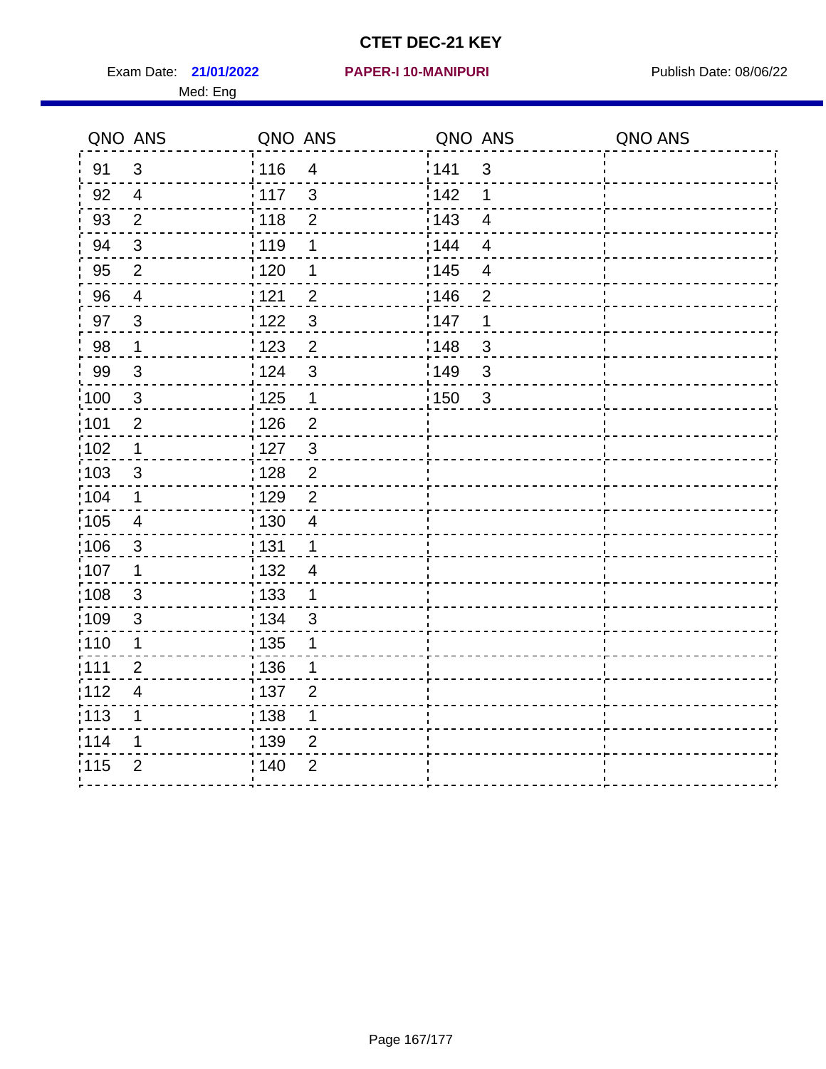Exam Date: 21/01/2022 PAPER-I 10-MANIPURI<br>
Publish Date: 08/06/22 Med: Eng

#### **21/01/2022 PAPER-I 10-MANIPURI**

|                   | QNO ANS                 | QNO ANS           |                | QNO ANS |                          | QNO ANS |
|-------------------|-------------------------|-------------------|----------------|---------|--------------------------|---------|
| 91                | $\mathfrak{B}$          | :116              | $\overline{4}$ | 141     | 3                        |         |
| 92                | $\overline{4}$          | 117               | $\mathbf{3}$   | 142     | 1                        |         |
| 93                | $\overline{2}$          | 118               | $\overline{2}$ | 143     | $\overline{4}$           |         |
| 94                | $\sqrt{3}$              | : 119             | $\mathbf 1$    | 144     | $\overline{4}$           |         |
| 95                | $\overline{2}$          | : 120             | 1              | : 145   | $\overline{\mathcal{A}}$ |         |
| 96                | $\overline{4}$          | 121               | $\overline{2}$ | 146     | $\overline{2}$           |         |
| 97                | $\mathbf{3}$            | :122              | $\mathfrak{S}$ | 147     | 1                        |         |
| 98                | $\mathbf 1$             | $\frac{1}{2}$ 123 | $\overline{2}$ | 148     | $\sqrt{3}$               |         |
| 99                | $\mathbf{3}$            | 124               | $\mathfrak{S}$ | 149     | $\mathbf{3}$             |         |
| 100               | $\sqrt{3}$              | 125               | $\mathbf 1$    | 150     | $\sqrt{3}$               |         |
| 101               | $\overline{2}$          | 126               | $\overline{2}$ |         |                          |         |
| 102               | $\mathbf 1$             | : 127             | $\mathbf{3}$   |         |                          |         |
| 103               | 3                       | : 128             | $\overline{2}$ |         |                          |         |
| $\frac{1}{1}$ 104 | $\mathbf 1$             | : 129             | $\overline{2}$ |         |                          |         |
| $\frac{1}{1}$ 105 | $\overline{4}$          | : 130             | $\overline{4}$ |         |                          |         |
| 106               | $\mathbf{3}$            | : 131             | $\overline{1}$ |         |                          |         |
| 107               | 1                       | : 132             | $\overline{4}$ |         |                          |         |
| $\frac{1}{1}$ 108 | $\mathfrak{S}$          | 133               | $\mathbf{1}$   |         |                          |         |
| 109               | $\sqrt{3}$              | : 134             | $\mathfrak{S}$ |         |                          |         |
| : 110             | 1                       | : 135             | 1              |         |                          |         |
| : 111             | $\overline{2}$          | : 136             | 1              |         |                          |         |
| 112               | $\overline{\mathbf{4}}$ | : 137             | $\overline{2}$ |         |                          |         |
| $\frac{1}{1}$ 113 | 1                       | 138               | 1              |         |                          |         |
| 114               | 1                       | : 139             | $\overline{2}$ |         |                          |         |
| 115               | $\overline{2}$          | 140               | $\overline{2}$ |         |                          |         |
|                   |                         |                   |                |         |                          |         |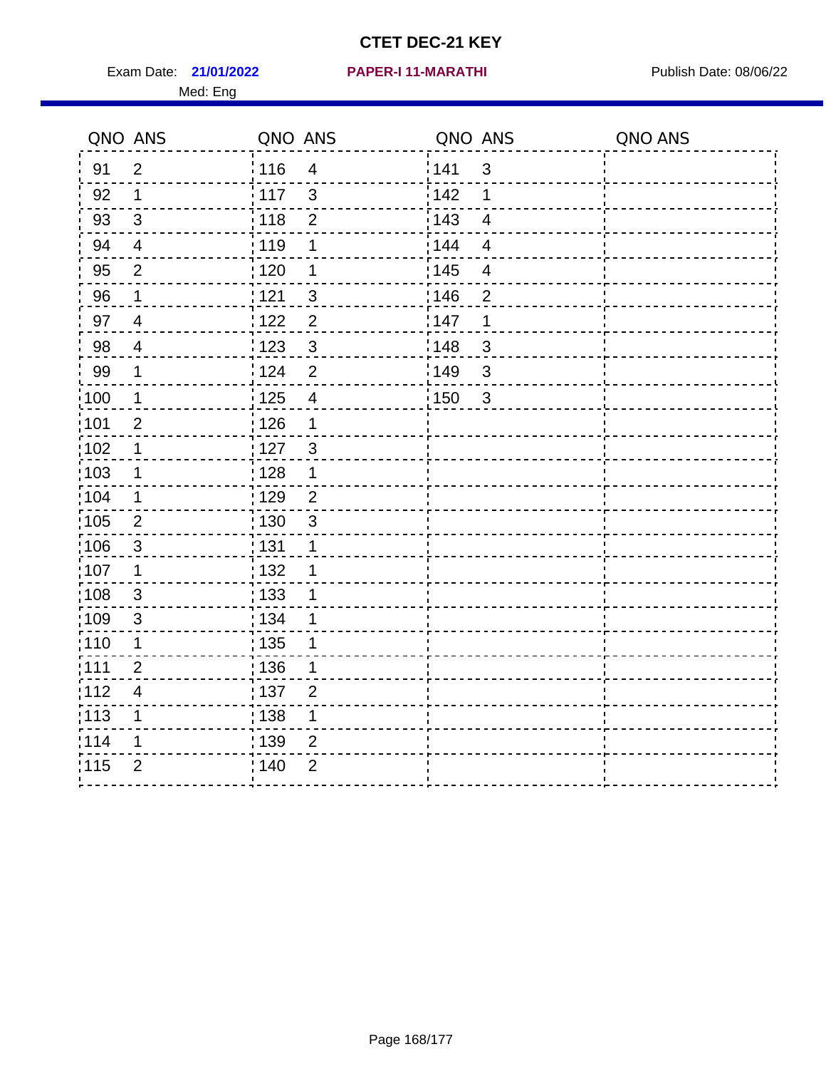Exam Date: 21/01/2022 PAPER-I 11-MARATHI Publish Date: 08/06/22 Med: Eng

#### **21/01/2022 PAPER-I 11-MARATHI**

|                   | QNO ANS                 | QNO ANS           |                | QNO ANS           |                | QNO ANS |
|-------------------|-------------------------|-------------------|----------------|-------------------|----------------|---------|
| 91                | $\overline{2}$          | : 116             | $\overline{4}$ | 141               | $\mathfrak{3}$ |         |
| 92                | $\mathbf{1}$            | 117               | $\mathbf{3}$   | 142               | 1              |         |
| 93                | $\sqrt{3}$              | 118               | $\mathbf 2$    | 143               | $\overline{4}$ |         |
| 94                | $\overline{4}$          | : 119             | 1              | : 144             | $\overline{4}$ |         |
| 95                | $\overline{2}$          | $\frac{1}{1}$ 120 | 1              | : 145             | 4              |         |
| 96                | 1                       | 121               | 3              | 146               | $\overline{2}$ |         |
| 97                | $\overline{4}$          | 122               | $\overline{2}$ | 147               | 1              |         |
| 98                | $\overline{4}$          | 123               | $\mathfrak{S}$ | 148               | $\mathfrak{S}$ |         |
| 99                | $\mathbf 1$             | 124               | $\overline{2}$ | 149               | 3              |         |
| $\frac{1}{1}$ 100 | $\mathbf{1}$            | $\frac{1}{1}$ 125 | $\overline{4}$ | $\frac{1}{1}$ 150 | $\mathbf{3}$   |         |
| :101              | $\overline{2}$          | 126               | 1              |                   |                |         |
| 102               | 1                       | : 127             | $\mathbf{3}$   |                   |                |         |
| :103              | $\mathbf 1$             | : 128             | $\mathbf 1$    |                   |                |         |
| :104              | $\mathbf 1$             | $\frac{1}{1}$ 129 | $\overline{2}$ |                   |                |         |
| 105               | $\overline{2}$          | : 130             | $\mathfrak{S}$ |                   |                |         |
| 106               | $\mathfrak{S}$          | : 131             | 1              |                   |                |         |
| ;107              | $\mathbf{1}$            | 132               | 1              |                   |                |         |
| 108               | $\mathbf{3}$            | $\frac{1}{1}$ 133 | 1              |                   |                |         |
| :109              | $\mathfrak{3}$          | : 134             | 1              |                   |                |         |
| :110              | 1                       | : 135             | 1              |                   |                |         |
| :111              | $\overline{2}$          | 136               | 1              |                   |                |         |
| 112               | $\overline{\mathbf{4}}$ | 137               | $\overline{2}$ |                   |                |         |
| 113               | 1                       | 138               | 1              |                   |                |         |
| 114               | 1                       | 139               | 2              |                   |                |         |
| 115               | $\overline{2}$          | 140               | $\overline{2}$ |                   |                |         |
|                   |                         |                   |                |                   |                |         |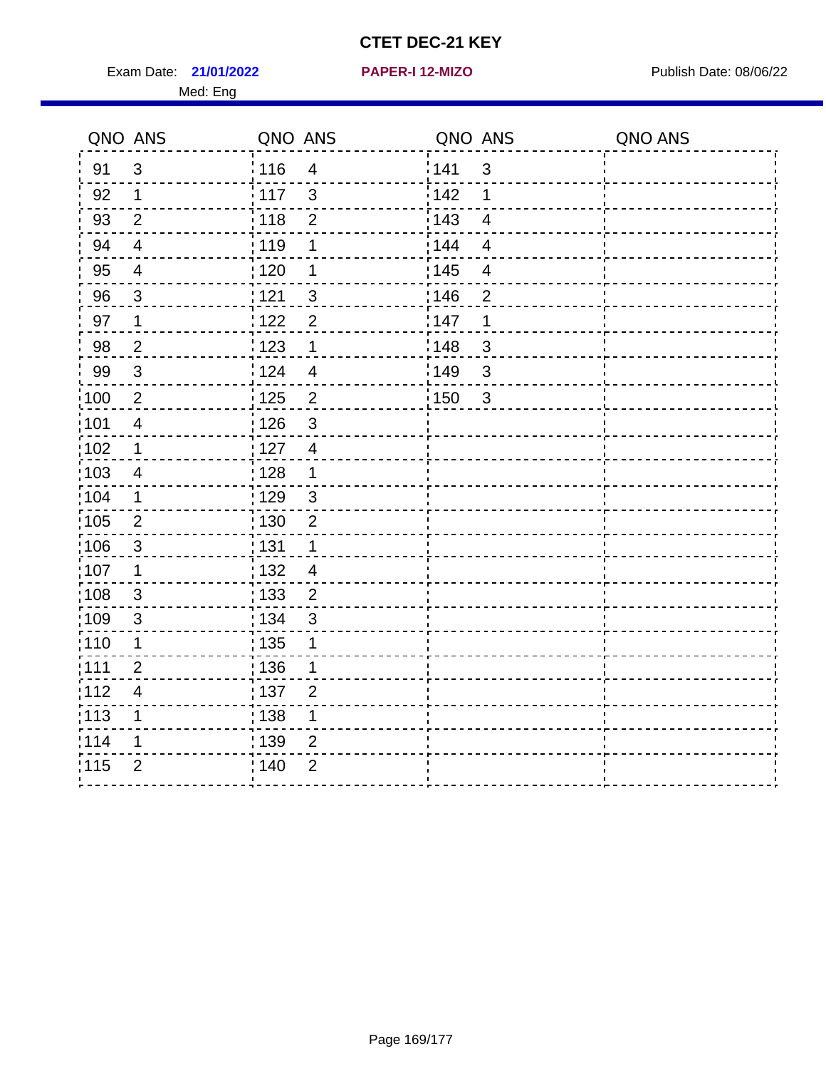Exam Date: 21/01/2022 **PAPER-I 12-MIZO** PAPER Publish Date: 08/06/22 Med: Eng

|       | QNO ANS                  | QNO ANS |                         | QNO ANS           |                         | QNO ANS |
|-------|--------------------------|---------|-------------------------|-------------------|-------------------------|---------|
| 91    | $\mathbf{3}$             | 116     | $\overline{4}$          | 141               | $\sqrt{3}$              |         |
| 92    | 1                        | 117     | $\mathbf{3}$            | 142               | 1                       |         |
| 93    | $\overline{2}$           | 118     | $\overline{2}$          | 143               | $\overline{\mathbf{4}}$ |         |
| 94    | $\overline{\mathcal{A}}$ | : 119   | 1                       | 144               | $\overline{4}$          |         |
| 95    | $\overline{\mathcal{A}}$ | : 120   | 1                       | : 145             | 4                       |         |
| 96    | 3                        | : 121   | 3                       | 146               | $\overline{2}$          |         |
| 97    | 1                        | 122     | $\overline{2}$          | 147               | 1                       |         |
| 98    | $\overline{2}$           | 123     | $\mathbf{1}$            | 148               | $\mathbf{3}$            |         |
| 99    | $\sqrt{3}$               | :124    | $\overline{\mathbf{4}}$ | :149              | $\mathfrak{S}$          |         |
| 100   | $\overline{2}$           | 125     | $\overline{2}$          | $\frac{1}{2}$ 150 | $\sqrt{3}$              |         |
| :101  | $\overline{4}$           | : 126   | $\mathsf 3$             |                   |                         |         |
| :102  | 1                        | : 127   | $\overline{4}$          |                   |                         |         |
| 103   | $\overline{4}$           | :128    | $\mathbf 1$             |                   |                         |         |
| :104  | $\mathbf 1$              | : 129   | $\mathfrak{S}$          |                   |                         |         |
| 105   | $\overline{2}$           | : 130   | $\overline{2}$          |                   |                         |         |
| :106  | $\mathfrak{S}$           | : 131   | 1                       |                   |                         |         |
| 107   | 1                        | : 132   | $\overline{4}$          |                   |                         |         |
| 108   | $\mathbf{3}$             | 133     | $\overline{2}$          |                   |                         |         |
| :109  | $\mathfrak{S}$           | : 134   | $\mathfrak{S}$          |                   |                         |         |
| :110  | 1                        | : 135   | 1                       |                   |                         |         |
| : 111 | $\overline{2}$           | : 136   | 1                       |                   |                         |         |
| 112   | $\overline{4}$           | 137     | $\overline{2}$          |                   |                         |         |
| : 113 | 1                        | 138     | 1                       |                   |                         |         |
| 1114  | 1                        | : 139   | $\overline{2}$          |                   |                         |         |
| 115   | $\overline{2}$           | 140     | $\overline{2}$          |                   |                         |         |
|       |                          |         |                         |                   |                         |         |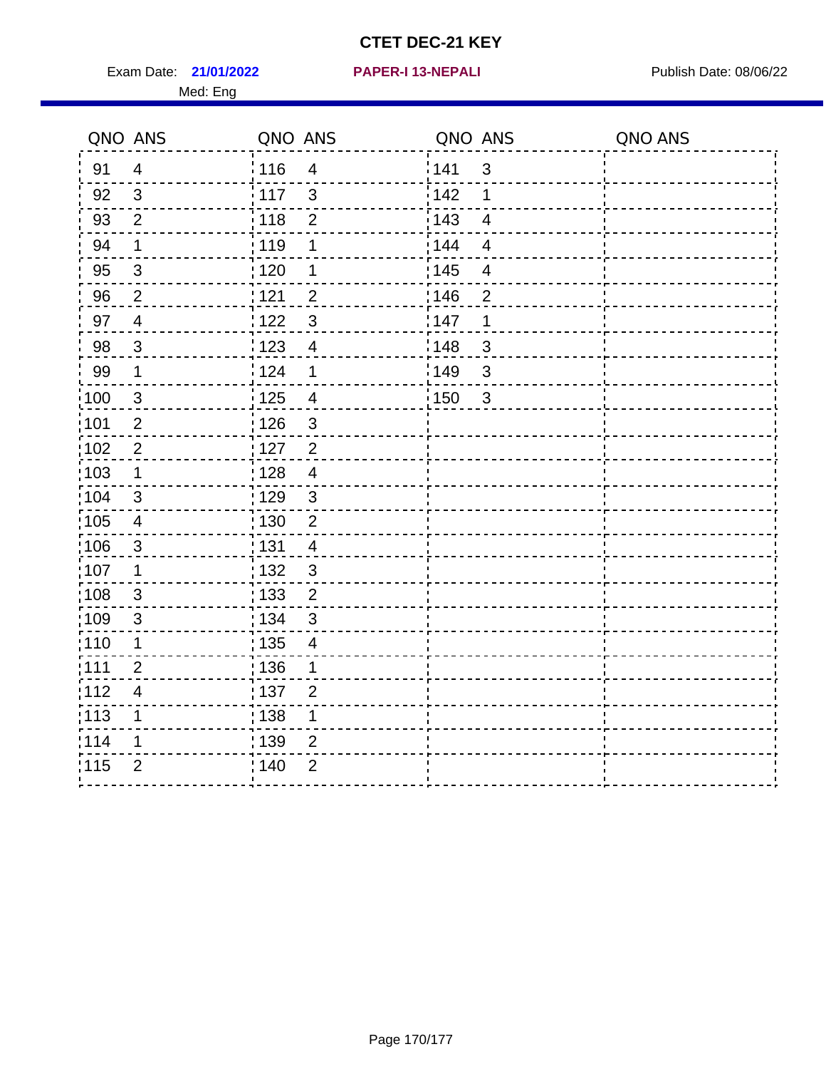Exam Date: 21/01/2022 **PAPER-I 13-NEPALI** Publish Date: 08/06/22 Med: Eng

**21/01/2022 PAPER-I 13-NEPALI**

|                   | QNO ANS                  | QNO ANS           |                         | QNO ANS |                | QNO ANS |
|-------------------|--------------------------|-------------------|-------------------------|---------|----------------|---------|
| 91                | $\overline{4}$           | 116               | $\overline{4}$          | 1141    | $\sqrt{3}$     |         |
| 92                | $\mathfrak{S}$           | 117               | $\mathfrak{3}$          | 142     | 1              |         |
| 93                | $\overline{2}$           | 118               | $\overline{2}$          | 143     | $\overline{4}$ |         |
| 94                | 1                        | : 119             | 1                       | : 144   | $\overline{4}$ |         |
| 95                | 3                        | :120              | 1                       | : 145   | 4              |         |
| 96                | $\overline{2}$           | 121               | $\overline{2}$          | :146    | $\overline{2}$ |         |
| 97                | $\overline{4}$           | 122               | $\mathbf{3}$            | 147     | 1              |         |
| 98                | $\mathbf{3}$             | : 123             | $\overline{4}$          | 148     | $\sqrt{3}$     |         |
| 99                | $\mathbf 1$              | 124               | 1                       | :149    | $\sqrt{3}$     |         |
| $\frac{1}{1}$ 100 | $\mathbf{3}$             | $\frac{1}{2}$ 125 | $\overline{\mathbf{4}}$ | 150     | 3              |         |
| :101              | $\boldsymbol{2}$         | : 126             | $\mathbf{3}$            |         |                |         |
| 102               | $\overline{2}$           | 127               | $\overline{2}$          |         |                |         |
| 103               | $\mathbf 1$              | : 128             | $\overline{4}$          |         |                |         |
| :104              | $\mathbf{3}$             | : 129             | $\mathbf{3}$            |         |                |         |
| 105               | $\overline{4}$           | $\frac{1}{1}$ 130 | $\sqrt{2}$              |         |                |         |
| :106              | $\mathbf{3}$             | : 131             | $\overline{4}$          |         |                |         |
| 107               | 1                        | :132              | $\mathbf{3}$            |         |                |         |
| 108               | $\mathbf{3}$             | : 133             | $\overline{2}$          |         |                |         |
| :109              | $\sqrt{3}$               | : 134             | $\mathfrak{S}$          |         |                |         |
| :110              | 1                        | : 135             | $\overline{4}$          |         |                |         |
| ;111              | $\overline{2}$           | : 136             | 1                       |         |                |         |
| 112               | $\overline{\mathcal{A}}$ | : 137             | $\overline{2}$          |         |                |         |
| :113              | 1                        | : 138             | 1                       |         |                |         |
| 114               | 1                        | : 139             | $\overline{2}$          |         |                |         |
| 115               | $\overline{2}$           | 140               | $\overline{2}$          |         |                |         |
|                   |                          |                   |                         |         |                |         |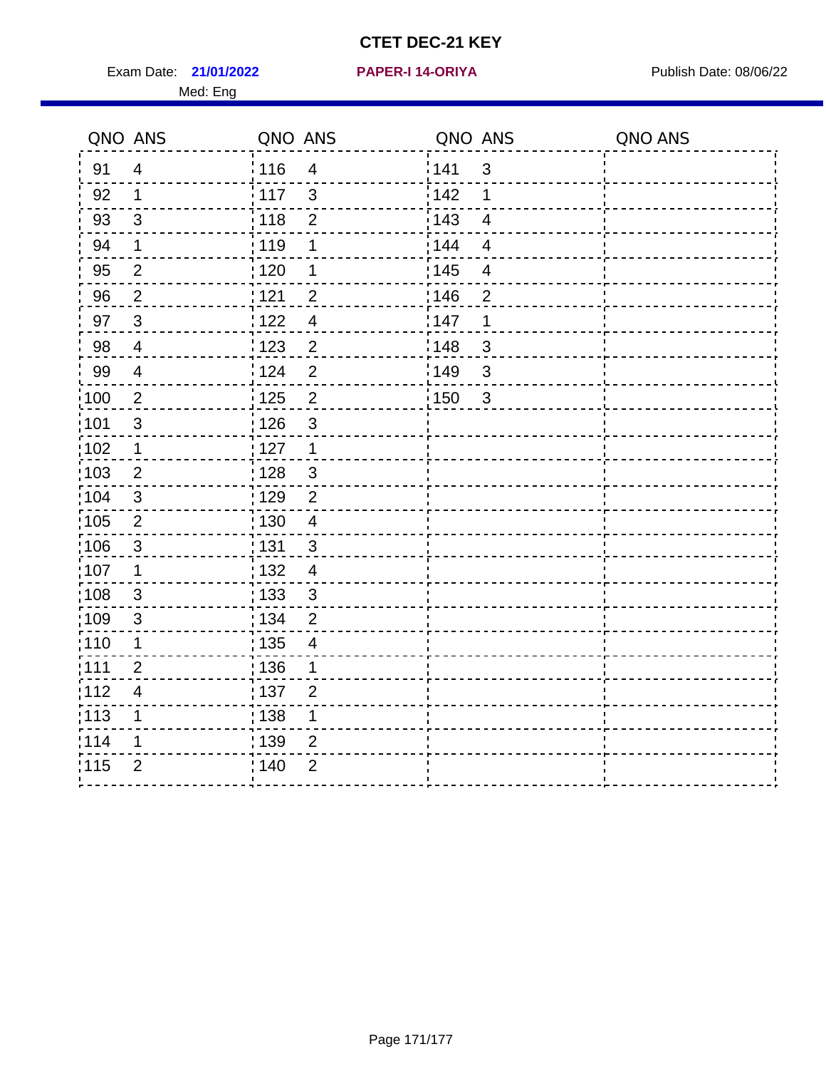Exam Date: 21/01/2022 PAPER-I 14-ORIYA Publish Date: 08/06/22 Med: Eng

#### **21/01/2022 PAPER-I 14-ORIYA**

|                   | QNO ANS                 | QNO ANS           |                          | QNO ANS |                         | QNO ANS |
|-------------------|-------------------------|-------------------|--------------------------|---------|-------------------------|---------|
| 91                | $\overline{4}$          | 116               | $\overline{4}$           | 141     | $\mathbf{3}$            |         |
| 92                | $\mathbf 1$             | 117               | 3                        | 142     | 1                       |         |
| 93                | 3                       | : 118             | $\overline{2}$           | 143     | $\overline{4}$          |         |
| 94                | 1                       | : 119             | 1                        | 144     | $\overline{4}$          |         |
| 95                | $\overline{2}$          | : 120             | 1                        | : 145   | $\overline{\mathbf{4}}$ |         |
| 96                | $\overline{2}$          | 121               | $\overline{2}$           | 146     | $\overline{2}$          |         |
| 97                | 3                       | 122               | $\overline{\mathcal{A}}$ | 147     | 1                       |         |
| 98                | $\overline{4}$          | 123               | $\overline{2}$           | 148     | $\mathfrak{S}$          |         |
| 99                | $\overline{\mathbf{4}}$ | 124               | $\overline{2}$           | ¦149    | 3                       |         |
| $\frac{1}{1}$ 100 | $\overline{2}$          | $\frac{1}{1}$ 125 | $\boldsymbol{2}$         | : 150   | $\mathbf{3}$            |         |
| :101              | 3                       | : 126             | $\mathfrak{S}$           |         |                         |         |
| $\frac{1}{1}$ 102 | $\mathbf 1$             | : 127             | $\mathbf{1}$             |         |                         |         |
| 103               | $\overline{2}$          | : 128             | $\mathfrak{S}$           |         |                         |         |
| :104              | 3                       | : 129             | $\overline{2}$           |         |                         |         |
| 105               | $\sqrt{2}$              | : 130             | $\overline{\mathbf{4}}$  |         |                         |         |
| 106               | $\mathbf{3}$            | : 131             | $\mathfrak{S}$           |         |                         |         |
| 107               | $\mathbf 1$             | : 132             | $\overline{4}$           |         |                         |         |
| 108               | 3                       | : 133             | 3                        |         |                         |         |
| :109              | $\mathfrak{S}$          | : 134             | $\overline{2}$           |         |                         |         |
| : 110             | $\mathbf 1$             | $\frac{1}{1}$ 135 | $\overline{\mathcal{A}}$ |         |                         |         |
| :111              | $\overline{2}$          | : 136             | 1                        |         |                         |         |
| 112               | $\overline{4}$          | :137              | $\overline{2}$           |         |                         |         |
| :113              | 1                       | : 138             | $\mathbf 1$              |         |                         |         |
| 114               | 1                       | 139               | $\overline{2}$           |         |                         |         |
| 115               | $\overline{2}$          | : 140             | $\overline{2}$           |         |                         |         |
|                   |                         |                   |                          |         |                         |         |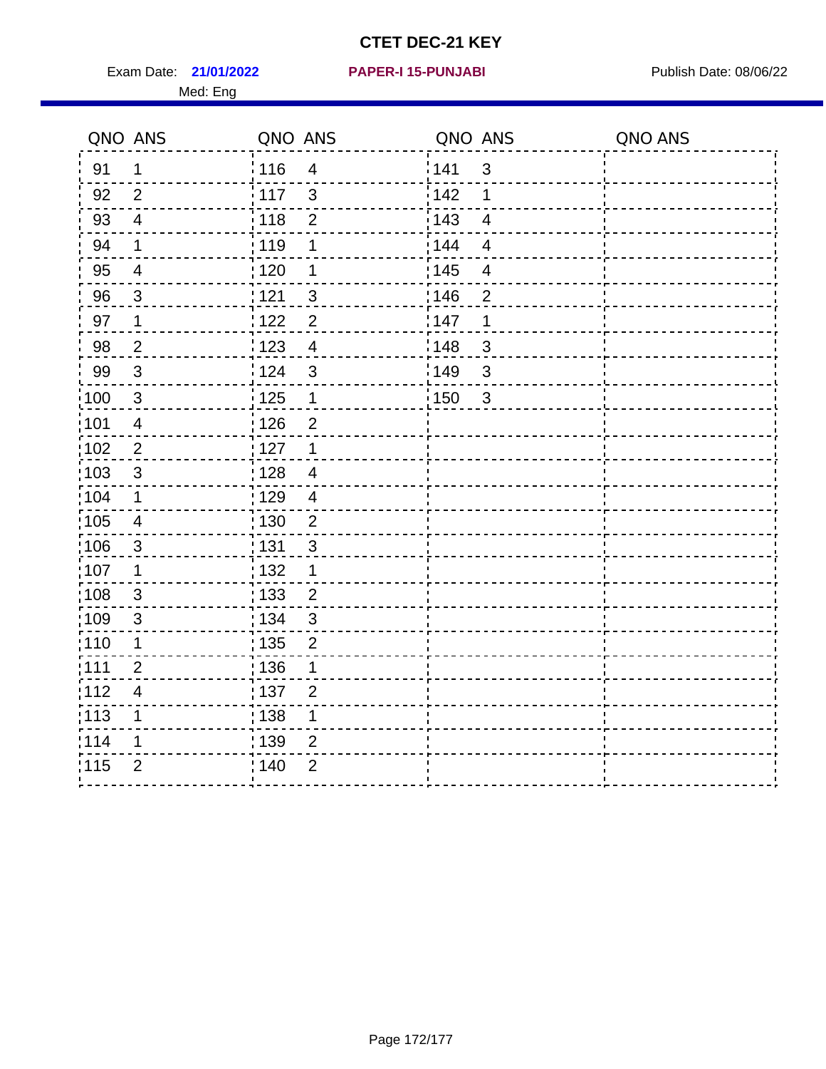Exam Date: 21/01/2022 PAPER-I 15-PUNJABI PUBLISH Date: 08/06/22 Med: Eng

**21/01/2022 PAPER-I 15-PUNJABI**

|                   | QNO ANS                  | QNO ANS           |                | QNO ANS |                          | QNO ANS |
|-------------------|--------------------------|-------------------|----------------|---------|--------------------------|---------|
| 91                | $\mathbf 1$              | : 116             | $\overline{4}$ | 141     | $\mathbf{3}$             |         |
| 92                | $\overline{2}$           | 117               | $\mathbf{3}$   | 142     | 1                        |         |
| 93                | $\overline{4}$           | 118               | $\overline{2}$ | 143     | $\overline{\mathbf{4}}$  |         |
| 94                | $\mathbf 1$              | : 119             | 1              | : 144   | $\overline{4}$           |         |
| 95                | $\overline{\mathbf{4}}$  | : 120             | 1              | : 145   | $\overline{\mathcal{A}}$ |         |
| 96                | 3                        | : 121             | $\mathfrak{S}$ | 146     | $\overline{2}$           |         |
| 97                | $\mathbf{1}$             | 122               | $\overline{2}$ | 147     | 1                        |         |
| 98                | $\overline{2}$           | 123               | $\overline{4}$ | 148     | $\mathfrak{B}$           |         |
| 99                | $\sqrt{3}$               | 124               | $\mathbf{3}$   | 149     | $\sqrt{3}$               |         |
| $\frac{1}{1}$ 100 | $\sqrt{3}$               | $\frac{1}{1}$ 125 | $\mathbf 1$    | 150     | 3                        |         |
| :101              | $\overline{4}$           | : 126             | $\mathbf 2$    |         |                          |         |
| 102               | $\overline{2}$           | 127               | $\mathbf 1$    |         |                          |         |
| 103               | 3                        | : 128             | $\overline{4}$ |         |                          |         |
| 104               | $\mathbf 1$              | : 129             | $\overline{4}$ |         |                          |         |
| 105               | $\overline{4}$           | $\frac{1}{1}$ 130 | $\overline{2}$ |         |                          |         |
| :106              | $\mathbf{3}$             | : 131             | 3              |         |                          |         |
| :107              | $\mathbf 1$              | : 132             | $\mathbf 1$    |         |                          |         |
| 108               | $\mathbf{3}$             | $\frac{1}{1}$ 133 | $\overline{2}$ |         |                          |         |
| :109              | $\sqrt{3}$               | : 134             | $\mathfrak{3}$ |         |                          |         |
| :110              | 1                        | : 135             | $\overline{2}$ |         |                          |         |
| : 111             | $\overline{2}$           | 136               | 1              |         |                          |         |
| 112               | $\overline{\mathcal{A}}$ | : 137             | $\mathbf{2}$   |         |                          |         |
| : 113             | 1                        | : 138             | 1              |         |                          |         |
| 114               | 1                        | :139              | 2              |         |                          |         |
| 115               | $\overline{2}$           | 140               | $\overline{2}$ |         |                          |         |
|                   |                          |                   |                |         |                          |         |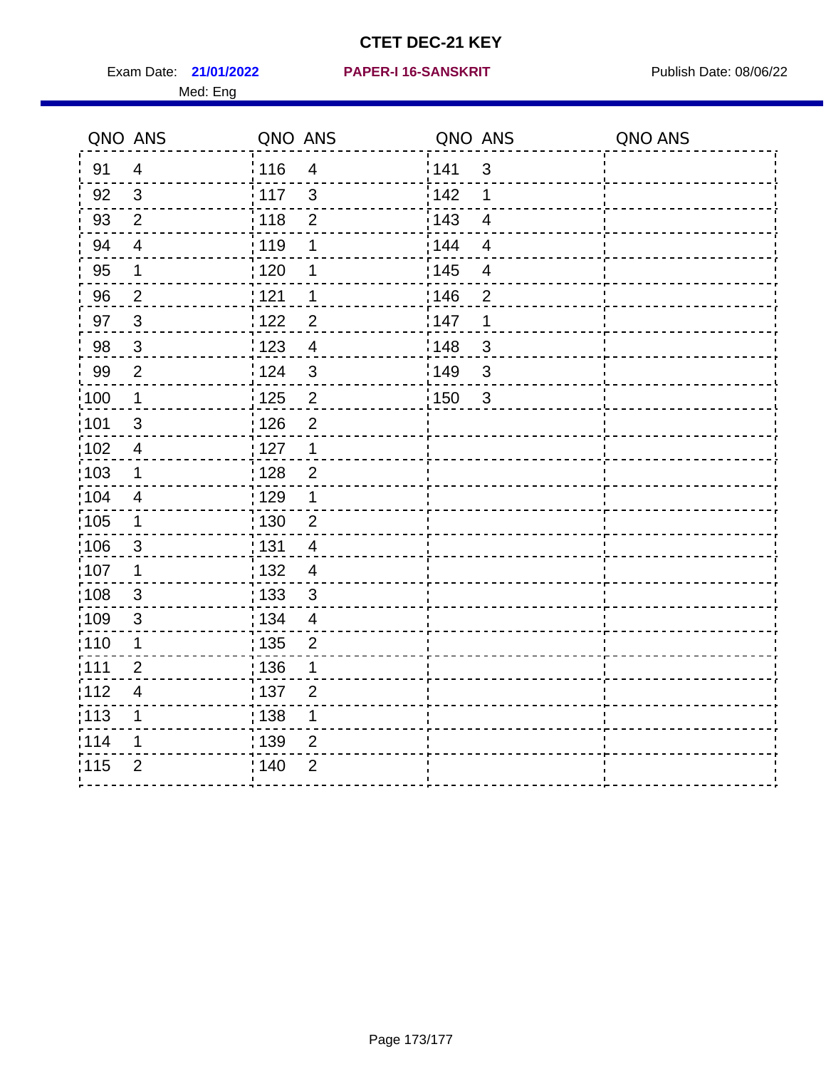Exam Date: 21/01/2022 PAPER-I 16-SANSKRIT Publish Date: 08/06/22 Med: Eng

#### **21/01/2022 PAPER-I 16-SANSKRIT**

|                   | QNO ANS                 | QNO ANS           |                | QNO ANS |                          | QNO ANS |
|-------------------|-------------------------|-------------------|----------------|---------|--------------------------|---------|
| 91                | $\overline{4}$          | : 116             | $\overline{4}$ | 141     | $\mathbf{3}$             |         |
| 92                | $\mathbf{3}$            | 117               | 3              | 142     | 1                        |         |
| 93                | $\overline{2}$          | 118               | $\overline{2}$ | 143     | $\overline{4}$           |         |
| 94                | $\overline{4}$          | :119              | 1              | 144     | $\overline{4}$           |         |
| 95                | 1                       | : 120             | 1              | : 145   | $\overline{\mathcal{A}}$ |         |
| 96                | $\overline{2}$          | 121               | 1              | 146     | $\overline{2}$           |         |
| 97                | $\mathbf{3}$            | 122               | $\overline{2}$ | 147     | $\mathbf 1$              |         |
| 98                | $\mathbf{3}$            | 123               | $\overline{4}$ | 148     | $\sqrt{3}$               |         |
| 99                | $\overline{2}$          | 124               | $\mathfrak{3}$ | 149     | $\mathbf{3}$             |         |
| 100               | $\mathbf 1$             | $\frac{1}{1}$ 125 | $\overline{2}$ | : 150   | $\mathbf{3}$             |         |
| 101               | $\sqrt{3}$              | 126               | $\overline{2}$ |         |                          |         |
| $\frac{1}{1}$ 102 | $\overline{\mathbf{4}}$ | : 127             | $\mathbf{1}$   |         |                          |         |
| 103               | 1                       | : 128             | $\overline{2}$ |         |                          |         |
| 104               | $\overline{4}$          | : 129             | $\mathbf 1$    |         |                          |         |
| $\frac{1}{1}$ 105 | $\mathbf 1$             | $\frac{1}{1}$ 130 | $\mathbf 2$    |         |                          |         |
| 106               | $\mathbf{3}$            | : 131             | $\overline{4}$ |         |                          |         |
| :107              | $\mathbf 1$             | : 132             | $\overline{4}$ |         |                          |         |
| 108               | $\mathbf{3}$            | 133               | $\mathbf{3}$   |         |                          |         |
| :109              | $\sqrt{3}$              | : 134             | $\overline{4}$ |         |                          |         |
| : 110             | 1                       | : 135             | $\overline{2}$ |         |                          |         |
| :111              | $\overline{2}$          | : 136             | 1              |         |                          |         |
| 112               | $\overline{\mathbf{4}}$ | : 137             | $\overline{2}$ |         |                          |         |
| 113               | $\mathbf 1$             | : 138             | $\mathbf 1$    |         |                          |         |
| 114               | 1                       | 139               | 2              |         |                          |         |
| 115               | $\overline{2}$          | : 140             | $\overline{2}$ |         |                          |         |
|                   |                         |                   |                |         |                          |         |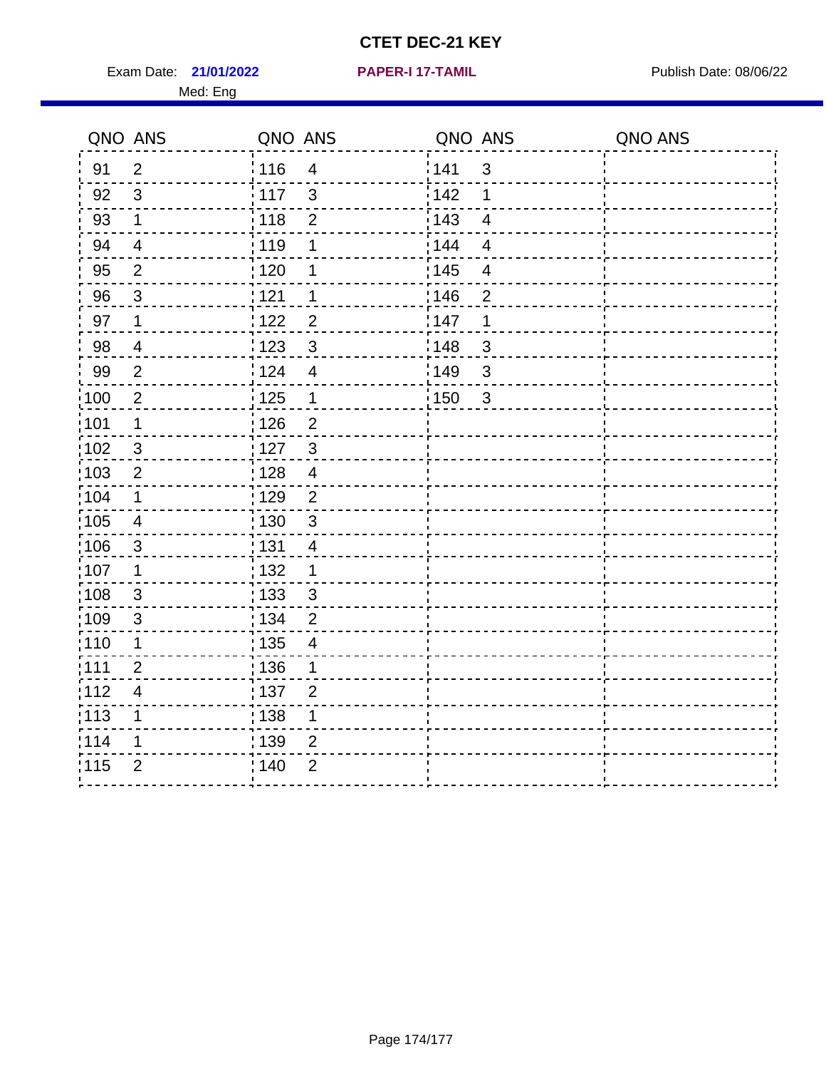Exam Date: 21/01/2022 **PAPER-I 17-TAMIL Exam Date: 08/06/22** Med: Eng

**21/01/2022 PAPER-I 17-TAMIL**

| QNO ANS           |                         | QNO ANS           |                          | QNO ANS           |                         | QNO ANS |
|-------------------|-------------------------|-------------------|--------------------------|-------------------|-------------------------|---------|
| 91                | $\overline{2}$          | 116               | $\overline{4}$           | 141               | $\mathbf{3}$            |         |
| 92                | 3                       | 117               | 3                        | 142               | 1                       |         |
| 93                | $\mathbf 1$             | 118               | $\overline{2}$           | 143               | $\overline{\mathbf{4}}$ |         |
| 94                | $\overline{4}$          | : 119             | 1                        | 144               | $\overline{4}$          |         |
| 95                | $\overline{2}$          | : 120             | 1                        | : 145             | $\overline{\mathbf{4}}$ |         |
| 96                | 3                       | 121               | 1                        | 146               | $\overline{2}$          |         |
| 97                | $\mathbf 1$             | 122               | $\overline{2}$           | 147               | 1                       |         |
| 98                | $\overline{4}$          | ¦ 123             | $\mathbf{3}$             | :148              | $\mathfrak{S}$          |         |
| 99                | $\overline{2}$          | 124               | $\overline{4}$           | 149               | $\mathfrak{S}$          |         |
| $\frac{1}{1}$ 100 | $\overline{2}$          | $\frac{1}{2}$ 125 | $\mathbf 1$              | $\frac{1}{1}$ 150 | $\mathbf{3}$            |         |
| :101              | $\mathbf 1$             | 126               | $\overline{2}$           |                   |                         |         |
| 102               | $\sqrt{3}$              | : 127             | $\mathbf{3}$             |                   |                         |         |
| 103               | 2                       | : 128             | $\overline{4}$           |                   |                         |         |
| :104              | $\mathbf 1$             | : 129             | $\overline{2}$           |                   |                         |         |
| $\frac{1}{1}$ 105 | $\overline{\mathbf{4}}$ | : 130             | $\mathbf{3}$             |                   |                         |         |
| :106              | $\mathbf{3}$            | : 131             | $\overline{4}$           |                   |                         |         |
| 107               | 1                       | : 132             | 1                        |                   |                         |         |
| 108               | 3                       | : 133             | 3                        |                   |                         |         |
| $\frac{1}{1}$ 109 | $\mathsf 3$             | : 134             | $\overline{2}$           |                   |                         |         |
| : 110             | $\mathbf 1$             | : 135             | $\overline{\mathcal{A}}$ |                   |                         |         |
| :111              | $\overline{2}$          | :136              | 1                        |                   |                         |         |
| 112               | $\overline{4}$          | :137              | $\overline{2}$           |                   |                         |         |
| :113              | $\mathbf 1$             | : 138             | $\mathbf 1$              |                   |                         |         |
| 114               | 1                       | : 139             | $\overline{2}$           |                   |                         |         |
| 115               | $\overline{2}$          | 140               | $\overline{2}$           |                   |                         |         |
|                   |                         |                   |                          |                   |                         |         |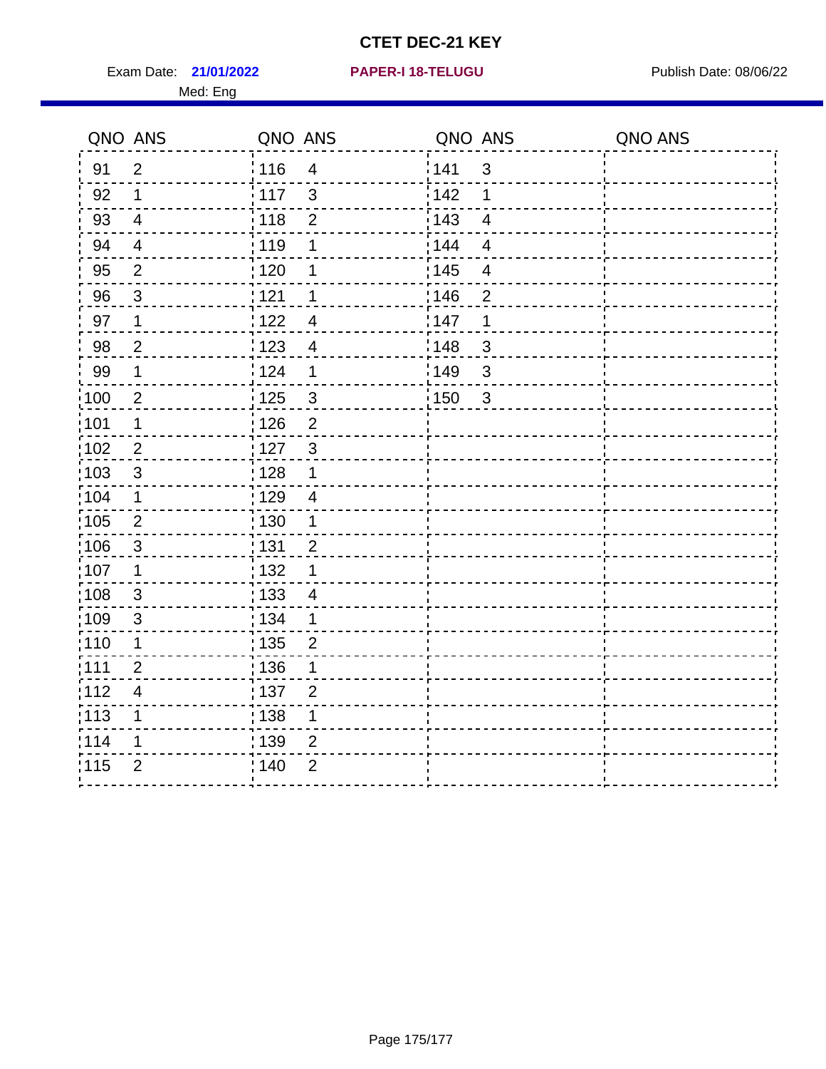Exam Date: 21/01/2022 PAPER-I 18-TELUGU PREER PUblish Date: 08/06/22 Med: Eng

**21/01/2022 PAPER-I 18-TELUGU**

|                   | QNO ANS                 | QNO ANS           |                |       | QNO ANS                  | QNO ANS |
|-------------------|-------------------------|-------------------|----------------|-------|--------------------------|---------|
| 91                | $\overline{2}$          | 116               | $\overline{4}$ | 141   | $\mathfrak{S}$           |         |
| 92                | $\mathbf 1$             | 117               | $\mathfrak{S}$ | 142   | 1                        |         |
| 93                | $\overline{4}$          | 118               | $\overline{2}$ | 143   | $\overline{\mathbf{4}}$  |         |
| 94                | $\overline{\mathbf{4}}$ | 119               | 1              | : 144 | $\overline{4}$           |         |
| 95                | $\overline{2}$          | : 120             | 1              | : 145 | $\overline{\mathcal{A}}$ |         |
| 96                | $\mathbf{3}$            | 121               | 1              | 146   | $\overline{2}$           |         |
| 97                | 1                       | 122               | 4              | 147   | 1                        |         |
| 98                | $\overline{c}$          | 123               | $\overline{4}$ | 148   | $\sqrt{3}$               |         |
| 99                | $\mathbf 1$             | 124               | 1              | :149  | $\mathfrak{S}$           |         |
| $\frac{1}{1}$ 100 | $\boldsymbol{2}$        | $\frac{1}{1}$ 125 | $\sqrt{3}$     | 150   | 3                        |         |
| :101              | 1                       | : 126             | $\overline{2}$ |       |                          |         |
| 102               | $\overline{2}$          | 127               | $\mathbf{3}$   |       |                          |         |
| 103               | 3                       | : 128             | $\mathbf 1$    |       |                          |         |
| 104               | $\mathbf 1$             | : 129             | $\overline{4}$ |       |                          |         |
| :105              | $\sqrt{2}$              | $\frac{1}{1}$ 130 | $\mathbf{1}$   |       |                          |         |
| 106               | $\mathbf{3}$            | : 131             | $\overline{2}$ |       |                          |         |
| 107               | 1                       | : 132             | $\mathbf 1$    |       |                          |         |
| 108               | $\mathbf{3}$            | $\frac{1}{1}$ 133 | $\overline{4}$ |       |                          |         |
| :109              | $\sqrt{3}$              | : 134             | $\mathbf 1$    |       |                          |         |
| :110              | 1                       | : 135             | $\overline{2}$ |       |                          |         |
| :111              | $\overline{2}$          | : 136             | 1              |       |                          |         |
| 112               | $\overline{4}$          | : 137             | $\overline{2}$ |       |                          |         |
| 113               | 1                       | : 138             | 1              |       |                          |         |
| 114               | 1                       | 139               | $\overline{2}$ |       |                          |         |
| 115               | $\overline{2}$          | 140               | $\overline{2}$ |       |                          |         |
|                   |                         |                   |                |       |                          |         |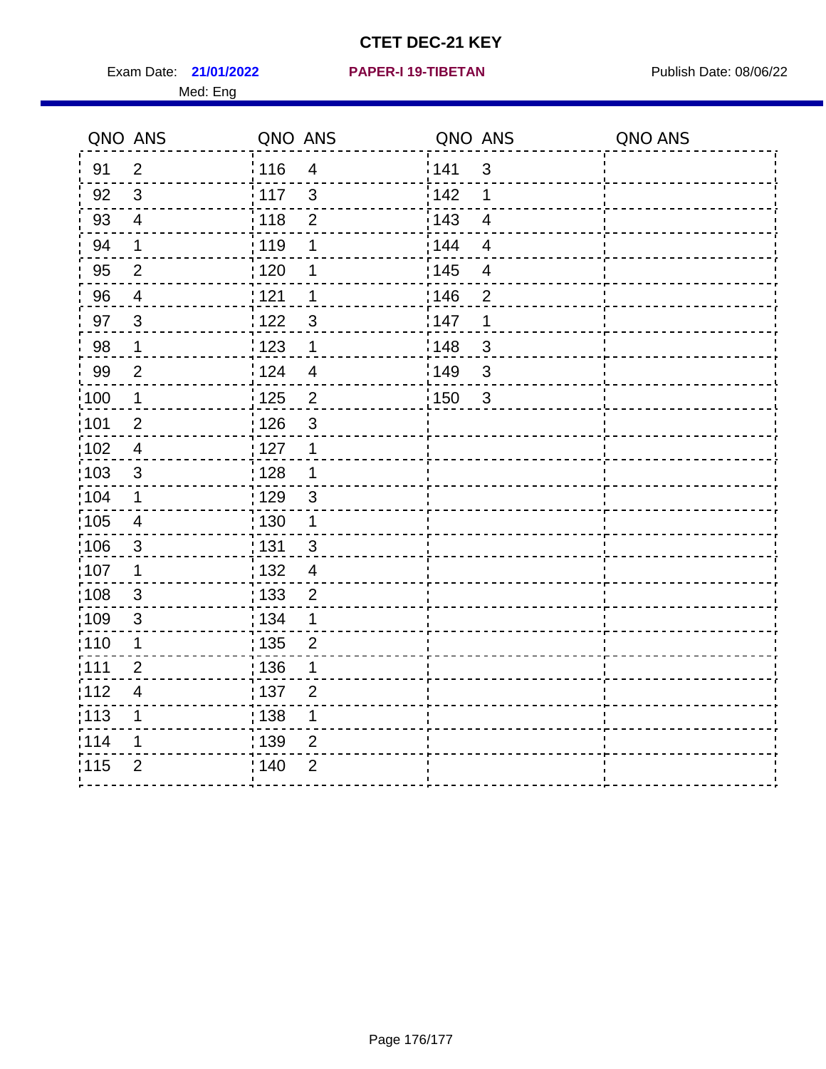Exam Date: 21/01/2022 PAPER-I 19-TIBETAN Publish Date: 08/06/22 Med: Eng

**21/01/2022 PAPER-I 19-TIBETAN**

|                   | QNO ANS                  | QNO ANS           |                         | QNO ANS |                          | QNO ANS |
|-------------------|--------------------------|-------------------|-------------------------|---------|--------------------------|---------|
| 91                | $\overline{2}$           | 116               | $\overline{4}$          | 141     | $\mathbf{3}$             |         |
| 92                | $\mathfrak{S}$           | 117               | $\mathbf{3}$            | 142     | 1                        |         |
| 93                | $\overline{4}$           | 118               | $\mathbf 2$             | 143     | $\overline{4}$           |         |
| 94                | $\mathbf{1}$             | : 119             | 1                       | : 144   | $\overline{4}$           |         |
| 95                | $\overline{2}$           | : 120             | 1                       | : 145   | $\overline{\mathcal{A}}$ |         |
| 96                | $\overline{4}$           | : 121             | 1                       | 146     | $\overline{2}$           |         |
| 97                | $\mathbf{3}$             | 122               | $\mathbf{3}$            | 147     | 1                        |         |
| 98                | $\mathbf 1$              | 123               | $\mathbf 1$             | 148     | $\mathbf{3}$             |         |
| 99                | $\overline{2}$           | 124               | $\overline{\mathbf{4}}$ | 149     | $\sqrt{3}$               |         |
| $\frac{1}{1}$ 100 | $\mathbf{1}$             | $\frac{1}{1}$ 125 | $\overline{2}$          | 150     | 3                        |         |
| :101              | $\boldsymbol{2}$         | : 126             | $\mathfrak{S}$          |         |                          |         |
| $\frac{1}{1}$ 102 | $\overline{4}$           | 127               | $\mathbf 1$             |         |                          |         |
| 103               | 3                        | : 128             | $\mathbf 1$             |         |                          |         |
| 104               | $\mathbf 1$              | : 129             | $\mathbf{3}$            |         |                          |         |
| 105               | $\overline{\mathbf{4}}$  | $\frac{1}{1}$ 130 | $\mathbf{1}$            |         |                          |         |
| :106              | $\mathbf{3}$             | : 131             | $\mathbf{3}$            |         |                          |         |
| :107              | $\mathbf 1$              | : 132             | $\overline{4}$          |         |                          |         |
| 108               | $\mathbf{3}$             | : 133             | $\overline{2}$          |         |                          |         |
| :109              | $\sqrt{3}$               | : 134             | $\mathbf 1$             |         |                          |         |
| :110              | 1                        | : 135             | $\overline{2}$          |         |                          |         |
| :111              | $\overline{2}$           | 136               | 1                       |         |                          |         |
| 112               | $\overline{\mathcal{A}}$ | 137               | $\overline{2}$          |         |                          |         |
| 113               | 1                        | : 138             | 1                       |         |                          |         |
| 114               | 1                        | :139              | 2                       |         |                          |         |
| 115               | $\overline{2}$           | 140               | $\overline{2}$          |         |                          |         |
|                   |                          |                   |                         |         |                          |         |